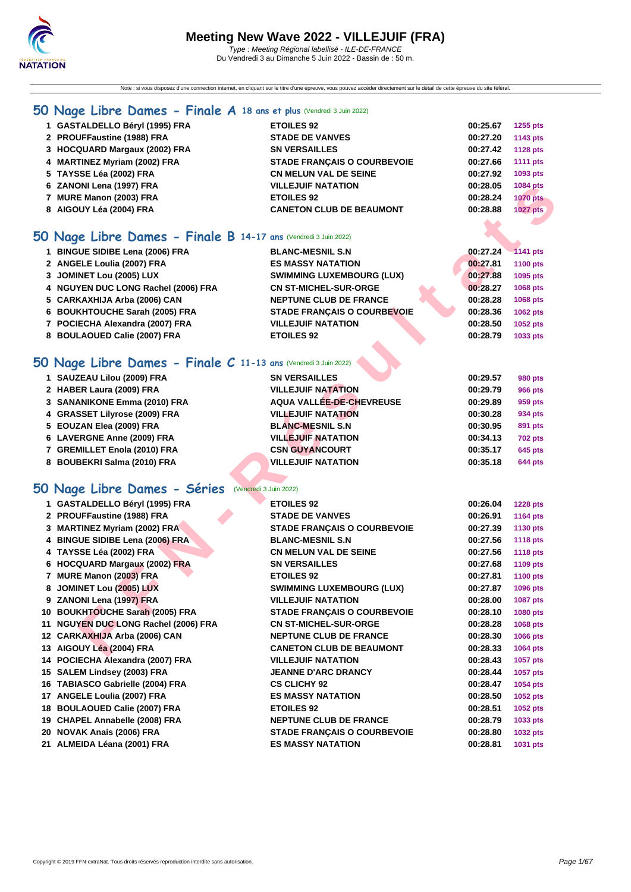Note : si vous disposez d'une connection internet, en cliquant sur le titre d'une épreuve, vous pouvez accéder directement sur le détail de cette épreuve du site féféral.

## **[50 Na](http://www.ffnatation.fr/webffn/index.php)ge Libre Dames - Finale A 18 ans et plus** (Vendredi 3 Juin 2022)

| O Nage Libre Dames - Finale B 14-17 ans (Vendredi 3 Juin 2022) |                                    |          |                 |
|----------------------------------------------------------------|------------------------------------|----------|-----------------|
| 8 AIGOUY Léa (2004) FRA                                        | <b>CANETON CLUB DE BEAUMONT</b>    | 00:28.88 | 1027 pts        |
| 7 MURE Manon (2003) FRA                                        | <b>ETOILES 92</b>                  | 00:28.24 | <b>1070 pts</b> |
| 6 ZANONI Lena (1997) FRA                                       | <b>VILLEJUIF NATATION</b>          | 00:28.05 | 1084 pts        |
| 5 TAYSSE Léa (2002) FRA                                        | <b>CN MELUN VAL DE SEINE</b>       | 00:27.92 | 1093 pts        |
| 4 MARTINEZ Myriam (2002) FRA                                   | <b>STADE FRANCAIS O COURBEVOIE</b> | 00:27.66 | <b>1111 pts</b> |
| 3 HOCQUARD Margaux (2002) FRA                                  | <b>SN VERSAILLES</b>               | 00:27.42 | <b>1128 pts</b> |
| 2 PROUFFaustine (1988) FRA                                     | <b>STADE DE VANVES</b>             | 00:27.20 | 1143 pts        |
| 1 GASTALDELLO Béryl (1995) FRA                                 | <b>ETOILES 92</b>                  | 00:25.67 | 1255 pts        |

## **50 Nage Libre Dames - Finale B 14-17 ans** (Vendredi 3 Juin 2022)

| 1 BINGUE SIDIBE Lena (2006) FRA     | <b>BLANC-MESNIL S.N</b>            | 00:27.24 | $-1141$ pts     |
|-------------------------------------|------------------------------------|----------|-----------------|
| 2 ANGELE Loulia (2007) FRA          | <b>ES MASSY NATATION</b>           | 00:27.81 | <b>1100 pts</b> |
| 3 JOMINET Lou (2005) LUX            | <b>SWIMMING LUXEMBOURG (LUX)</b>   | 00:27.88 | 1095 pts        |
| 4 NGUYEN DUC LONG Rachel (2006) FRA | <b>CN ST-MICHEL-SUR-ORGE</b>       | 00:28.27 | <b>1068 pts</b> |
| 5 CARKAXHIJA Arba (2006) CAN        | <b>NEPTUNE CLUB DE FRANCE</b>      | 00:28.28 | <b>1068 pts</b> |
| 6 BOUKHTOUCHE Sarah (2005) FRA      | <b>STADE FRANCAIS O COURBEVOIE</b> | 00:28.36 | 1062 pts        |
| 7 POCIECHA Alexandra (2007) FRA     | <b>VILLEJUIF NATATION</b>          | 00:28.50 | 1052 pts        |
| 8 BOULAOUED Calie (2007) FRA        | <b>ETOILES 92</b>                  | 00:28.79 | 1033 pts        |
|                                     |                                    |          |                 |

## **50 Nage Libre Dames - Finale C 11-13 ans** (Vendredi 3 Juin 2022)

| 1 SAUZEAU Lilou (2009) FRA    | <b>SN VERSAILLES</b>      | 00:29.57 | 980 pts        |
|-------------------------------|---------------------------|----------|----------------|
| 2 HABER Laura (2009) FRA      | <b>VILLEJUIF NATATION</b> | 00:29.79 | 966 pts        |
| 3 SANANIKONE Emma (2010) FRA  | AQUA VALLÉE-DE-CHEVREUSE  | 00:29.89 | 959 pts        |
| 4 GRASSET Lilyrose (2009) FRA | <b>VILLEJUIF NATATION</b> | 00:30.28 | 934 pts        |
| 5 EOUZAN Elea (2009) FRA      | <b>BLANC-MESNIL S.N</b>   | 00:30.95 | 891 pts        |
| 6 LAVERGNE Anne (2009) FRA    | <b>VILLEJUIF NATATION</b> | 00:34.13 | <b>702 pts</b> |
| 7 GREMILLET Enola (2010) FRA  | <b>CSN GUYANCOURT</b>     | 00:35.17 | 645 pts        |
| 8 BOUBEKRI Salma (2010) FRA   | <b>VILLEJUIF NATATION</b> | 00:35.18 | <b>644 pts</b> |

## **50 Nage Libre Dames - Séries** (Vendredi 3 Juin 2022)

| 6 ZANONI Lena (1997) FRA                                       | VILLEJUIF NATATION                                              | 00:28.05 | 1084 pts             |
|----------------------------------------------------------------|-----------------------------------------------------------------|----------|----------------------|
| 7 MURE Manon (2003) FRA                                        | <b>ETOILES 92</b>                                               | 00:28.24 | <b>1070 pts</b>      |
| 8 AIGOUY Léa (2004) FRA                                        | <b>CANETON CLUB DE BEAUMONT</b>                                 | 00:28.88 | <b>1027 pts</b>      |
|                                                                |                                                                 |          |                      |
| O Nage Libre Dames - Finale B 14-17 ans (Vendredi 3 Juin 2022) |                                                                 |          |                      |
| 1 BINGUE SIDIBE Lena (2006) FRA                                | <b>BLANC-MESNIL S.N</b>                                         | 00:27.24 | 1141 pts             |
| 2 ANGELE Loulia (2007) FRA                                     | <b>ES MASSY NATATION</b>                                        | 00:27.81 | 1100 pts             |
| 3 JOMINET Lou (2005) LUX                                       | <b>SWIMMING LUXEMBOURG (LUX)</b>                                | 00:27.88 | 1095 pts             |
| 4 NGUYEN DUC LONG Rachel (2006) FRA                            | <b>CN ST-MICHEL-SUR-ORGE</b>                                    | 00:28.27 | 1068 pts             |
| 5 CARKAXHIJA Arba (2006) CAN                                   | <b>NEPTUNE CLUB DE FRANCE</b>                                   | 00:28.28 | 1068 pts             |
| 6 BOUKHTOUCHE Sarah (2005) FRA                                 |                                                                 | 00:28.36 |                      |
| 7 POCIECHA Alexandra (2007) FRA                                | <b>STADE FRANÇAIS O COURBEVOIE</b><br><b>VILLEJUIF NATATION</b> | 00:28.50 | 1062 pts<br>1052 pts |
|                                                                |                                                                 |          |                      |
| 8 BOULAOUED Calie (2007) FRA                                   | <b>ETOILES 92</b>                                               | 00:28.79 | 1033 pts             |
|                                                                |                                                                 |          |                      |
| O Nage Libre Dames - Finale C 11-13 ans (Vendredi 3 Juin 2022) |                                                                 |          |                      |
| 1 SAUZEAU Lilou (2009) FRA                                     | <b>SN VERSAILLES</b>                                            | 00:29.57 | <b>980 pts</b>       |
| 2 HABER Laura (2009) FRA                                       | <b>VILLEJUIF NATATION</b>                                       | 00:29.79 | <b>966 pts</b>       |
| 3 SANANIKONE Emma (2010) FRA                                   | AQUA VALLÉE-DE-CHEVREUSE                                        | 00:29.89 | 959 pts              |
| 4 GRASSET Lilyrose (2009) FRA                                  | <b>VILLEJUIF NATATION</b>                                       | 00:30.28 | 934 pts              |
| 5 EOUZAN Elea (2009) FRA                                       | <b>BLANC-MESNIL S.N.</b>                                        | 00:30.95 | 891 pts              |
| 6 LAVERGNE Anne (2009) FRA                                     | <b>VILLEJUIF NATATION</b>                                       | 00:34.13 | <b>702 pts</b>       |
| 7 GREMILLET Enola (2010) FRA                                   | <b>CSN GUYANCOURT</b>                                           | 00:35.17 | 645 pts              |
| 8 BOUBEKRI Salma (2010) FRA                                    | <b>VILLEJUIF NATATION</b>                                       | 00:35.18 | <b>644 pts</b>       |
|                                                                |                                                                 |          |                      |
| O Nage Libre Dames - Séries (Vendredi 3 Juin 2022)             |                                                                 |          |                      |
| 1 GASTALDELLO Béryl (1995) FRA                                 | <b>ETOILES 92</b>                                               | 00:26.04 | <b>1228 pts</b>      |
| 2 PROUFFaustine (1988) FRA                                     | <b>STADE DE VANVES</b>                                          | 00:26.91 | <b>1164 pts</b>      |
| 3 MARTINEZ Myriam (2002) FRA                                   | <b>STADE FRANÇAIS O COURBEVOIE</b>                              | 00:27.39 | 1130 pts             |
| 4 BINGUE SIDIBE Lena (2006) FRA                                | <b>BLANC-MESNIL S.N</b>                                         | 00:27.56 | <b>1118 pts</b>      |
| 4 TAYSSE Léa (2002) FRA                                        | <b>CN MELUN VAL DE SEINE</b>                                    | 00:27.56 | <b>1118 pts</b>      |
| 6 HOCQUARD Margaux (2002) FRA                                  | <b>SN VERSAILLES</b>                                            | 00:27.68 | 1109 pts             |
| 7 MURE Manon (2003) FRA                                        | <b>ETOILES 92</b>                                               | 00:27.81 | <b>1100 pts</b>      |
| 8 JOMINET Lou (2005) LUX                                       | <b>SWIMMING LUXEMBOURG (LUX)</b>                                | 00:27.87 | 1096 pts             |
| 9 ZANONI Lena (1997) FRA                                       | <b>VILLEJUIF NATATION</b>                                       | 00:28.00 | 1087 pts             |
| 10 BOUKHTOUCHE Sarah (2005) FRA                                | <b>STADE FRANÇAIS O COURBEVOIE</b>                              | 00:28.10 | 1080 pts             |
| 11 NGUYEN DUC LONG Rachel (2006) FRA                           | <b>CN ST-MICHEL-SUR-ORGE</b>                                    | 00:28.28 | 1068 pts             |
| 12 CARKAXHIJA Arba (2006) CAN                                  | <b>NEPTUNE CLUB DE FRANCE</b>                                   | 00:28.30 | 1066 pts             |
| 13 AIGOUY Léa (2004) FRA                                       | <b>CANETON CLUB DE BEAUMONT</b>                                 | 00:28.33 | 1064 pts             |
| 14 POCIECHA Alexandra (2007) FRA                               | <b>VILLEJUIF NATATION</b>                                       | 00:28.43 | 1057 pts             |
| 15 SALEM Lindsey (2003) FRA                                    | <b>JEANNE D'ARC DRANCY</b>                                      | 00:28.44 | 1057 pts             |
| 16 TABIASCO Gabrielle (2004) FRA                               | <b>CS CLICHY 92</b>                                             | 00:28.47 | 1054 pts             |
| 17 ANGELE Loulia (2007) FRA                                    | <b>ES MASSY NATATION</b>                                        | 00:28.50 | 1052 pts             |
| 18 BOULAOUED Calie (2007) FRA                                  | <b>ETOILES 92</b>                                               | 00:28.51 | 1052 pts             |
| 19 CHAPEL Annabelle (2008) FRA                                 | <b>NEPTUNE CLUB DE FRANCE</b>                                   | 00:28.79 | 1033 pts             |
| 20 NOVAK Anais (2006) FRA                                      | <b>STADE FRANÇAIS O COURBEVOIE</b>                              | 00:28.80 | 1032 pts             |
| 21 ALMEIDA Léana (2001) FRA                                    | <b>ES MASSY NATATION</b>                                        | 00:28.81 | 1031 pts             |
|                                                                |                                                                 |          |                      |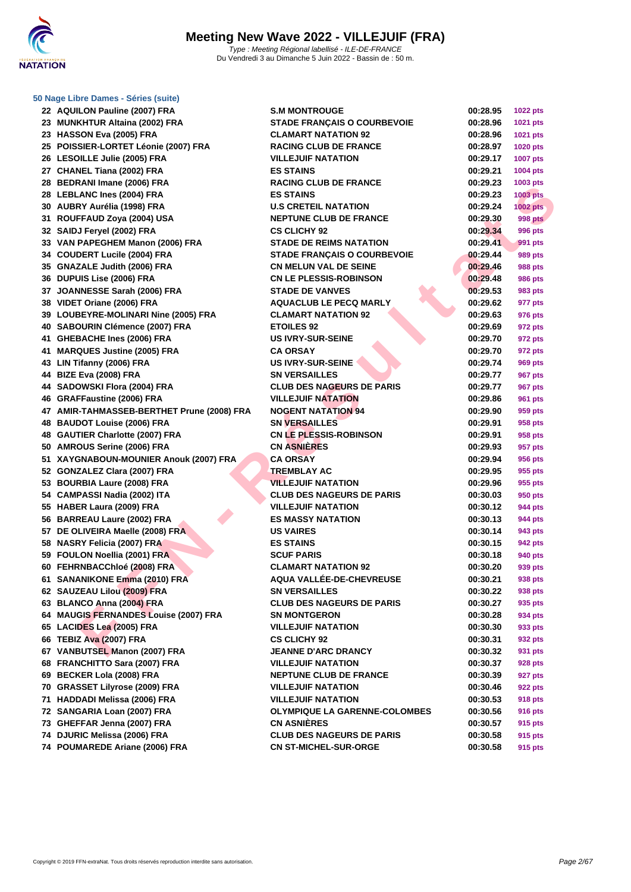

### **[50 Nage L](http://www.ffnatation.fr/webffn/index.php)ibre Dames - Séries (suite)**

| 22 AQUILON Pauline (2007) FRA              | <b>S.M MONTROUGE</b>               | 00:28.95 | <b>1022 pts</b> |
|--------------------------------------------|------------------------------------|----------|-----------------|
| 23 MUNKHTUR Altaina (2002) FRA             | <b>STADE FRANÇAIS O COURBEVOIE</b> | 00:28.96 | 1021 pts        |
| 23 HASSON Eva (2005) FRA                   | <b>CLAMART NATATION 92</b>         | 00:28.96 | 1021 pts        |
| 25 POISSIER-LORTET Léonie (2007) FRA       | <b>RACING CLUB DE FRANCE</b>       | 00:28.97 | <b>1020 pts</b> |
| 26 LESOILLE Julie (2005) FRA               | <b>VILLEJUIF NATATION</b>          | 00:29.17 | <b>1007 pts</b> |
| 27 CHANEL Tiana (2002) FRA                 | <b>ES STAINS</b>                   | 00:29.21 | 1004 pts        |
| 28 BEDRANI Imane (2006) FRA                | <b>RACING CLUB DE FRANCE</b>       | 00:29.23 | 1003 pts        |
| 28 LEBLANC Ines (2004) FRA                 | <b>ES STAINS</b>                   | 00:29.23 | <b>1003 pts</b> |
| 30 AUBRY Aurélia (1998) FRA                | <b>U.S CRETEIL NATATION</b>        | 00:29.24 | 1002 pts        |
| 31 ROUFFAUD Zoya (2004) USA                | <b>NEPTUNE CLUB DE FRANCE</b>      | 00:29.30 | <b>998 pts</b>  |
| 32 SAIDJ Feryel (2002) FRA                 | <b>CS CLICHY 92</b>                | 00:29.34 | 996 pts         |
| 33 VAN PAPEGHEM Manon (2006) FRA           | <b>STADE DE REIMS NATATION</b>     | 00:29.41 | 991 pts         |
| 34 COUDERT Lucile (2004) FRA               | STADE FRANÇAIS O COURBEVOIE        | 00:29.44 | 989 pts         |
| 35 GNAZALE Judith (2006) FRA               | <b>CN MELUN VAL DE SEINE</b>       | 00:29.46 | 988 pts         |
| 36 DUPUIS Lise (2006) FRA                  | <b>CN LE PLESSIS-ROBINSON</b>      | 00:29.48 | 986 pts         |
| 37 JOANNESSE Sarah (2006) FRA              | <b>STADE DE VANVES</b>             | 00:29.53 | 983 pts         |
| 38 VIDET Oriane (2006) FRA                 | <b>AQUACLUB LE PECQ MARLY</b>      | 00:29.62 | 977 pts         |
| 39 LOUBEYRE-MOLINARI Nine (2005) FRA       | <b>CLAMART NATATION 92</b>         | 00:29.63 | 976 pts         |
| 40 SABOURIN Clémence (2007) FRA            | <b>ETOILES 92</b>                  | 00:29.69 | 972 pts         |
| 41 GHEBACHE Ines (2006) FRA                | <b>US IVRY-SUR-SEINE</b>           | 00:29.70 | 972 pts         |
| 41 MARQUES Justine (2005) FRA              | <b>CA ORSAY</b>                    | 00:29.70 | 972 pts         |
| 43 LIN Tifanny (2006) FRA                  | <b>US IVRY-SUR-SEINE</b>           | 00:29.74 | 969 pts         |
| 44 BIZE Eva (2008) FRA                     | <b>SN VERSAILLES</b>               | 00:29.77 | 967 pts         |
| 44 SADOWSKI Flora (2004) FRA               | <b>CLUB DES NAGEURS DE PARIS</b>   | 00:29.77 | 967 pts         |
| 46 GRAFFaustine (2006) FRA                 | <b>VILLEJUIF NATATION</b>          | 00:29.86 | 961 pts         |
| 47 AMIR-TAHMASSEB-BERTHET Prune (2008) FRA | <b>NOGENT NATATION 94</b>          | 00:29.90 | 959 pts         |
| 48 BAUDOT Louise (2006) FRA                | <b>SN VERSAILLES</b>               | 00:29.91 | 958 pts         |
| 48 GAUTIER Charlotte (2007) FRA            | <b>CN LE PLESSIS-ROBINSON</b>      | 00:29.91 | 958 pts         |
| 50 AMROUS Serine (2006) FRA                | <b>CN ASNIÈRES</b>                 | 00:29.93 | 957 pts         |
| 51 XAYGNABOUN-MOUNIER Anouk (2007) FRA     | <b>CA ORSAY</b>                    | 00:29.94 | 956 pts         |
| 52 GONZALEZ Clara (2007) FRA               | <b>TREMBLAY AC</b>                 | 00:29.95 | 955 pts         |
| 53 BOURBIA Laure (2008) FRA                | <b>VILLEJUIF NATATION</b>          | 00:29.96 | 955 pts         |
| 54 CAMPASSI Nadia (2002) ITA               | <b>CLUB DES NAGEURS DE PARIS</b>   | 00:30.03 | 950 pts         |
| 55 HABER Laura (2009) FRA                  | <b>VILLEJUIF NATATION</b>          | 00:30.12 | 944 pts         |
| 56 BARREAU Laure (2002) FRA                | <b>ES MASSY NATATION</b>           | 00:30.13 | 944 pts         |
| 57 DE OLIVEIRA Maelle (2008) FRA           | <b>US VAIRES</b>                   | 00:30.14 | 943 pts         |
| 58 NASRY Felicia (2007) FRA                | <b>ES STAINS</b>                   | 00:30.15 | 942 pts         |
| 59 FOULON Noellia (2001) FRA               | <b>SCUF PARIS</b>                  | 00:30.18 | 940 pts         |
| 60 FEHRNBACChloé (2008) FRA                | <b>CLAMART NATATION 92</b>         | 00:30.20 | 939 pts         |
| 61 SANANIKONE Emma (2010) FRA              | AQUA VALLÉE-DE-CHEVREUSE           | 00:30.21 | 938 pts         |
| 62 SAUZEAU Lilou (2009) FRA                | <b>SN VERSAILLES</b>               | 00:30.22 | 938 pts         |
| 63 BLANCO Anna (2004) FRA                  | <b>CLUB DES NAGEURS DE PARIS</b>   | 00:30.27 | 935 pts         |
| 64 MAUGIS FERNANDES Louise (2007) FRA      | <b>SN MONTGERON</b>                | 00:30.28 | 934 pts         |
| 65 LACIDES Lea (2005) FRA                  | <b>VILLEJUIF NATATION</b>          | 00:30.30 | 933 pts         |
| 66 TEBIZ Ava (2007) FRA                    | <b>CS CLICHY 92</b>                | 00:30.31 | 932 pts         |
| 67 VANBUTSEL Manon (2007) FRA              | <b>JEANNE D'ARC DRANCY</b>         | 00:30.32 | 931 pts         |
| 68 FRANCHITTO Sara (2007) FRA              | <b>VILLEJUIF NATATION</b>          | 00:30.37 | 928 pts         |
| 69 BECKER Lola (2008) FRA                  | <b>NEPTUNE CLUB DE FRANCE</b>      | 00:30.39 | 927 pts         |
| 70 GRASSET Lilyrose (2009) FRA             | <b>VILLEJUIF NATATION</b>          | 00:30.46 | 922 pts         |
| 71 HADDADI Melissa (2006) FRA              | <b>VILLEJUIF NATATION</b>          | 00:30.53 | 918 pts         |
| 72 SANGARIA Loan (2007) FRA                | OLYMPIQUE LA GARENNE-COLOMBES      | 00:30.56 | 916 pts         |
| 73 GHEFFAR Jenna (2007) FRA                | <b>CN ASNIERES</b>                 | 00:30.57 | 915 pts         |
| 74 DJURIC Melissa (2006) FRA               | <b>CLUB DES NAGEURS DE PARIS</b>   | 00:30.58 | 915 pts         |
| 74 POUMAREDE Ariane (2006) FRA             | <b>CN ST-MICHEL-SUR-ORGE</b>       | 00:30.58 | 915 pts         |
|                                            |                                    |          |                 |

| <b>S.M MONTROUGE</b>                 | 00:28.95 | 1022 pts           |
|--------------------------------------|----------|--------------------|
| <b>STADE FRANCAIS O COURBEVOIE</b>   | 00:28.96 | 1021 pts           |
| <b>CLAMART NATATION 92</b>           | 00:28.96 | 1021 pts           |
| <b>RACING CLUB DE FRANCE</b>         | 00:28.97 | <b>1020 pts</b>    |
| <b>VILLEJUIF NATATION</b>            | 00:29.17 | <b>1007 pts</b>    |
| <b>ES STAINS</b>                     | 00:29.21 | 1004 pts           |
| <b>RACING CLUB DE FRANCE</b>         | 00:29.23 | 1003 pts           |
| <b>ES STAINS</b>                     | 00:29.23 | <b>1003 pts</b>    |
| <b>U.S CRETEIL NATATION</b>          | 00:29.24 | <b>1002 pts</b>    |
| <b>NEPTUNE CLUB DE FRANCE</b>        | 00:29.30 | 998 pts            |
| <b>CS CLICHY 92</b>                  | 00:29.34 | 996 pts            |
| <b>STADE DE REIMS NATATION</b>       | 00:29.41 | 991 pts            |
| <b>STADE FRANCAIS O COURBEVOIE</b>   | 00:29.44 | 989 pts            |
| <b>CN MELUN VAL DE SEINE</b>         | 00:29.46 | <b>988 pts</b>     |
| <b>CN LE PLESSIS-ROBINSON</b>        | 00:29.48 | 986 pts            |
| <b>STADE DE VANVES</b>               | 00:29.53 | 983 pts            |
| <b>AQUACLUB LE PECQ MARLY</b>        | 00:29.62 | 977 pts            |
| <b>CLAMART NATATION 92</b>           | 00:29.63 | 976 pts            |
| <b>ETOILES 92</b>                    | 00:29.69 | 972 pts            |
| <b>US IVRY-SUR-SEINE</b>             | 00:29.70 | 972 pts            |
| <b>CA ORSAY</b>                      | 00:29.70 | 972 pts            |
| <b>US IVRY-SUR-SEINE</b>             | 00:29.74 | 969 pts            |
| <b>SN VERSAILLES</b>                 | 00:29.77 | 967 pts            |
| <b>CLUB DES NAGEURS DE PARIS</b>     | 00:29.77 | 967 pts            |
| <b>VILLEJUIF NATATION</b>            | 00:29.86 | 961 pts            |
| <b>NOGENT NATATION 94</b>            | 00:29.90 | 959 pts            |
| <b>SN VERSAILLES</b>                 | 00:29.91 | 958 pts            |
| <b>CN LE PLESSIS-ROBINSON</b>        | 00:29.91 | 958 pts            |
| <b>CN ASNIERES</b>                   | 00:29.93 | 957 pts            |
| <b>CA ORSAY</b>                      | 00:29.94 | 956 pts            |
| <b>TREMBLAY AC</b>                   | 00:29.95 | 955 pts            |
| <b>VILLEJUIF NATATION</b>            | 00:29.96 | 955 pts            |
| <b>CLUB DES NAGEURS DE PARIS</b>     | 00:30.03 | 950 pts            |
| <b>VILLEJUIF NATATION</b>            | 00:30.12 | 944 pts            |
| <b>ES MASSY NATATION</b>             | 00:30.13 | 944 pts            |
| <b>US VAIRES</b>                     | 00:30.14 | 943 pts            |
| <b>ES STAINS</b>                     | 00:30.15 | 942 pts            |
| <b>SCUF PARIS</b>                    | 00:30.18 | 940 pts            |
| <b>CLAMART NATATION 92</b>           | 00:30.20 | 939 pts            |
| AQUA VALLÉE-DE-CHEVREUSE             | 00:30.21 | 938 pts            |
| <b>SN VERSAILLES</b>                 | 00:30.22 | 938 pts            |
| <b>CLUB DES NAGEURS DE PARIS</b>     | 00:30.27 | 935 pts            |
| <b>SN MONTGERON</b>                  | 00:30.28 | 934 pts            |
| <b>VILLEJUIF NATATION</b>            | 00:30.30 | 933 pts            |
| <b>CS CLICHY 92</b>                  | 00:30.31 | 932 pts            |
| <b>JEANNE D'ARC DRANCY</b>           | 00:30.32 | 931 pts            |
| <b>VILLEJUIF NATATION</b>            | 00:30.37 | 928 pts            |
| <b>NEPTUNE CLUB DE FRANCE</b>        | 00:30.39 |                    |
| <b>VILLEJUIF NATATION</b>            | 00:30.46 | 927 pts            |
| <b>VILLEJUIF NATATION</b>            | 00:30.53 | 922 pts<br>918 pts |
| <b>OLYMPIQUE LA GARENNE-COLOMBES</b> | 00:30.56 | 916 pts            |
| <b>CN ASNIÈRES</b>                   | 00:30.57 |                    |
| <b>CLUB DES NAGEURS DE PARIS</b>     | 00:30.58 | 915 pts            |
| <b>CN ST-MICHEL-SUR-ORGE</b>         |          | 915 pts            |
|                                      | 00:30.58 | 915 pts            |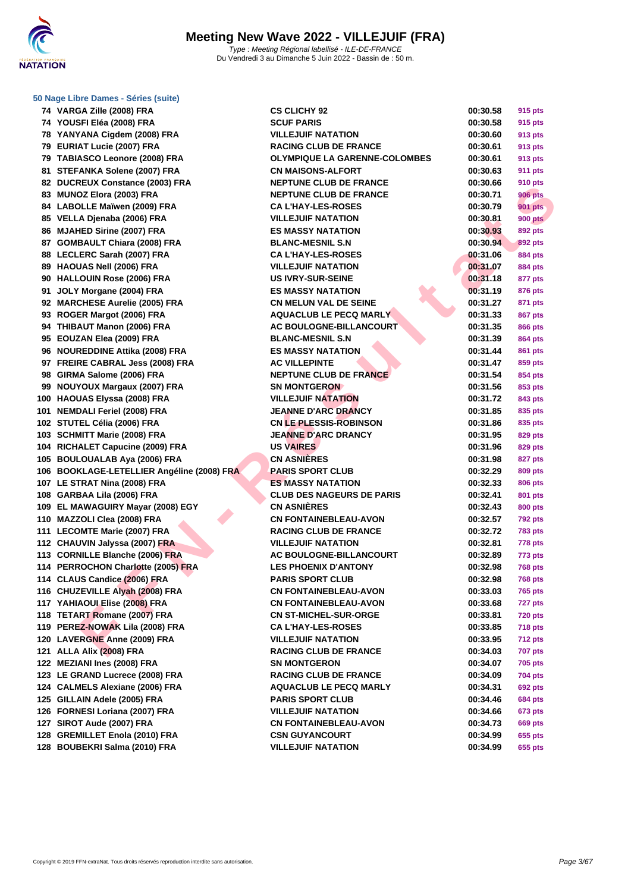

| 50 Nage Libre Dames - Séries (suite) |  |
|--------------------------------------|--|
|--------------------------------------|--|

| 74 VARGA Zille (2008) FRA                                    | <b>CS CLICHY 92</b>                                           | 00:30.58             | 915 pts        |
|--------------------------------------------------------------|---------------------------------------------------------------|----------------------|----------------|
| 74 YOUSFI Eléa (2008) FRA                                    | <b>SCUF PARIS</b>                                             | 00:30.58             | 915 pts        |
| 78 YANYANA Cigdem (2008) FRA                                 | <b>VILLEJUIF NATATION</b>                                     | 00:30.60             | 913 pts        |
| 79 EURIAT Lucie (2007) FRA                                   | <b>RACING CLUB DE FRANCE</b>                                  | 00:30.61             | 913 pts        |
| 79 TABIASCO Leonore (2008) FRA                               | <b>OLYMPIQUE LA GARENNE-COLOMBES</b>                          | 00:30.61             | 913 pts        |
| 81 STEFANKA Solene (2007) FRA                                | <b>CN MAISONS-ALFORT</b>                                      | 00:30.63             | <b>911 pts</b> |
| 82 DUCREUX Constance (2003) FRA                              | <b>NEPTUNE CLUB DE FRANCE</b>                                 | 00:30.66             | 910 pts        |
| 83 MUNOZ Elora (2003) FRA                                    | <b>NEPTUNE CLUB DE FRANCE</b>                                 | 00:30.71             | <b>906 pts</b> |
| 84 LABOLLE Maïwen (2009) FRA                                 | <b>CA L'HAY-LES-ROSES</b>                                     | 00:30.79             | <b>901 pts</b> |
| 85 VELLA Djenaba (2006) FRA                                  | <b>VILLEJUIF NATATION</b>                                     | 00:30.81             | <b>900 pts</b> |
| 86 MJAHED Sirine (2007) FRA                                  | <b>ES MASSY NATATION</b>                                      | 00:30.93             | 892 pts        |
| 87 GOMBAULT Chiara (2008) FRA                                | <b>BLANC-MESNIL S.N</b>                                       | 00:30.94             | 892 pts        |
| 88 LECLERC Sarah (2007) FRA                                  | <b>CA L'HAY-LES-ROSES</b>                                     | 00:31.06             | 884 pts        |
| 89 HAOUAS Nell (2006) FRA                                    | <b>VILLEJUIF NATATION</b>                                     | 00:31.07             | 884 pts        |
| 90 HALLOUIN Rose (2006) FRA                                  | <b>US IVRY-SUR-SEINE</b>                                      | 00:31.18             | 877 pts        |
| 91 JOLY Morgane (2004) FRA                                   | <b>ES MASSY NATATION</b>                                      | 00:31.19             | 876 pts        |
| 92 MARCHESE Aurelie (2005) FRA                               | <b>CN MELUN VAL DE SEINE</b>                                  | 00:31.27             | 871 pts        |
| 93 ROGER Margot (2006) FRA                                   | <b>AQUACLUB LE PECQ MARLY</b>                                 | 00:31.33             | 867 pts        |
| 94 THIBAUT Manon (2006) FRA                                  | AC BOULOGNE-BILLANCOURT                                       | 00:31.35             | 866 pts        |
| 95 EOUZAN Elea (2009) FRA                                    | <b>BLANC-MESNIL S.N</b>                                       | 00:31.39             | 864 pts        |
| 96 NOUREDDINE Attika (2008) FRA                              | <b>ES MASSY NATATION</b>                                      | 00:31.44             | 861 pts        |
| 97 FREIRE CABRAL Jess (2008) FRA                             | <b>AC VILLEPINTE</b>                                          | 00:31.47             | 859 pts        |
| 98 GIRMA Salome (2006) FRA                                   | <b>NEPTUNE CLUB DE FRANCE</b>                                 | 00:31.54             | 854 pts        |
| 99 NOUYOUX Margaux (2007) FRA                                | <b>SN MONTGERON</b>                                           | 00:31.56             | 853 pts        |
| 00 HAOUAS Elyssa (2008) FRA                                  | <b>VILLEJUIF NATATION</b>                                     | 00:31.72             | 843 pts        |
| 01 NEMDALI Feriel (2008) FRA                                 | <b>JEANNE D'ARC DRANCY</b>                                    | 00:31.85             | 835 pts        |
| 02 STUTEL Célia (2006) FRA                                   | <b>CN LE PLESSIS-ROBINSON</b>                                 | 00:31.86             | 835 pts        |
| 03 SCHMITT Marie (2008) FRA                                  | <b>JEANNE D'ARC DRANCY</b>                                    | 00:31.95             | 829 pts        |
| 04 RICHALET Capucine (2009) FRA                              | <b>US VAIRES</b>                                              | 00:31.96             | 829 pts        |
| 05 BOULOUALAB Aya (2006) FRA                                 | <b>CN ASNIERES</b>                                            | 00:31.98             | 827 pts        |
| 06 BOOKLAGE-LETELLIER Angéline (2008) FRA                    | PARIS SPORT CLUB                                              | 00:32.29             | 809 pts        |
| 07 LE STRAT Nina (2008) FRA                                  | <b>ES MASSY NATATION</b>                                      | 00:32.33             | 806 pts        |
| 08 GARBAA Lila (2006) FRA                                    | <b>CLUB DES NAGEURS DE PARIS</b>                              | 00:32.41             | 801 pts        |
| 09 EL MAWAGUIRY Mayar (2008) EGY                             | <b>CN ASNIÈRES</b>                                            | 00:32.43             | 800 pts        |
| 10 MAZZOLI Clea (2008) FRA                                   | <b>CN FONTAINEBLEAU-AVON</b>                                  | 00:32.57             | <b>792 pts</b> |
| 11 LECOMTE Marie (2007) FRA                                  | <b>RACING CLUB DE FRANCE</b>                                  | 00:32.72             | <b>783 pts</b> |
| 12 CHAUVIN Jalyssa (2007) FRA                                | <b>VILLEJUIF NATATION</b>                                     | 00:32.81             | 778 pts        |
| 13 CORNILLE Blanche (2006) FRA                               | <b>AC BOULOGNE-BILLANCOURT</b>                                | 00:32.89             | 773 pts        |
| 14 PERROCHON Charlotte (2005) FRA                            | <b>LES PHOENIX D'ANTONY</b>                                   | 00:32.98             | <b>768 pts</b> |
| 14 CLAUS Candice (2006) FRA                                  | <b>PARIS SPORT CLUB</b>                                       | 00:32.98             | <b>768 pts</b> |
| 16 CHUZEVILLE Alyah (2008) FRA                               | <b>CN FONTAINEBLEAU-AVON</b>                                  | 00:33.03             | 765 pts        |
| 17 YAHIAOUI Elise (2008) FRA                                 | <b>CN FONTAINEBLEAU-AVON</b>                                  | 00:33.68             | 727 pts        |
| 18 TETART Romane (2007) FRA                                  | <b>CN ST-MICHEL-SUR-ORGE</b>                                  |                      | <b>720 pts</b> |
| 19 PEREZ-NOWAK Lila (2008) FRA                               | <b>CA L'HAY-LES-ROSES</b>                                     | 00:33.81<br>00:33.85 | <b>718 pts</b> |
| 20 LAVERGNE Anne (2009) FRA                                  | <b>VILLEJUIF NATATION</b>                                     | 00:33.95             | <b>712 pts</b> |
| 21 ALLA Alix (2008) FRA                                      | <b>RACING CLUB DE FRANCE</b>                                  | 00:34.03             | <b>707 pts</b> |
| 22 MEZIANI Ines (2008) FRA                                   | <b>SN MONTGERON</b>                                           | 00:34.07             | 705 pts        |
| 23 LE GRAND Lucrece (2008) FRA                               |                                                               |                      |                |
| 24 CALMELS Alexiane (2006) FRA                               | <b>RACING CLUB DE FRANCE</b><br><b>AQUACLUB LE PECQ MARLY</b> | 00:34.09<br>00:34.31 | 704 pts        |
|                                                              | <b>PARIS SPORT CLUB</b>                                       |                      | 692 pts        |
| 25 GILLAIN Adele (2005) FRA<br>26 FORNESI Loriana (2007) FRA |                                                               | 00:34.46<br>00:34.66 | <b>684 pts</b> |
|                                                              | <b>VILLEJUIF NATATION</b>                                     |                      | 673 pts        |
| 27 SIROT Aude (2007) FRA                                     | <b>CN FONTAINEBLEAU-AVON</b>                                  | 00:34.73             | <b>669 pts</b> |
| 28 GREMILLET Enola (2010) FRA                                | <b>CSN GUYANCOURT</b>                                         | 00:34.99             | 655 pts        |
| 28 BOUBEKRI Salma (2010) FRA                                 | <b>VILLEJUIF NATATION</b>                                     | 00:34.99             | 655 pts        |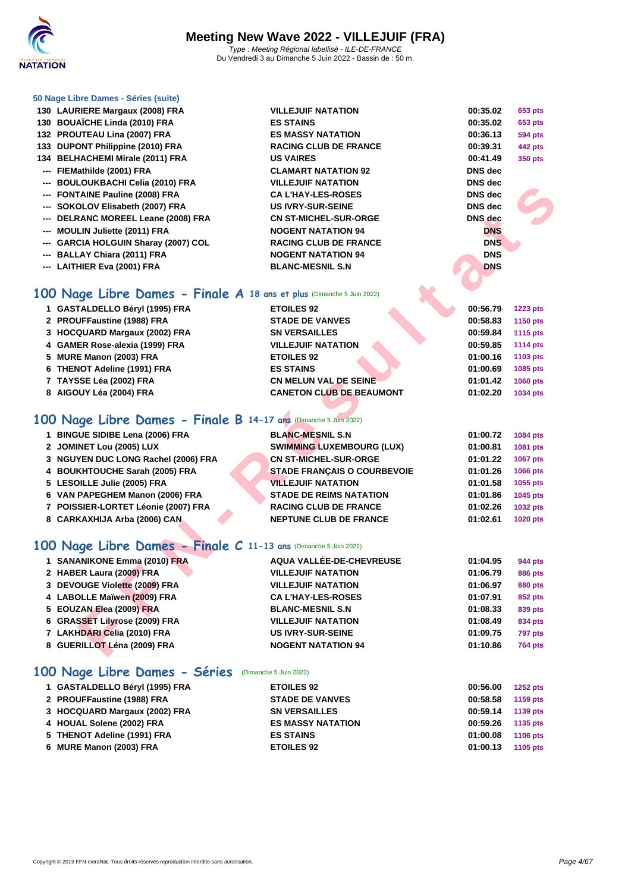

### **[50 Nage L](http://www.ffnatation.fr/webffn/index.php)ibre Dames - Séries (suite)**

- **LAURIERE Margaux (2008) FRA VILLEJUIF NATATION 00:35.02 653 pts**
- **BOUAÏCHE Linda (2010) FRA ES STAINS 00:35.02 653 pts**
- **PROUTEAU Lina (2007) FRA ES MASSY NATATION 00:36.13 594 pts**
- **DUPONT Philippine (2010) FRA RACING CLUB DE FRANCE 00:39.31 442 pts**
- **BELHACHEMI Mirale (2011) FRA US VAIRES 00:41.49 350 pts**
- **--- FIEMathilde (2001) FRA CLAMART NATATION 92 DNS dec**
- **--- BOULOUKBACHI Celia (2010) FRA VILLEJUIF NATATION DNS dec**
- **--- FONTAINE Pauline (2008) FRA CA L'HAY-LES-ROSES DNS dec**
- **--- SOKOLOV Elisabeth (2007) FRA US IVRY-SUR-SEINE DNS dec**
- **--- DELRANC MOREEL Leane (2008) FRA CN ST-MICHEL-SUR-ORGE DNS dec**
- **--- MOULIN Juliette (2011) FRA NOGENT NATATION 94 DNS**
- **--- GARCIA HOLGUIN Sharay (2007) COL RACING CLUB DE FRANCE DNS**
- **--- BALLAY Chiara (2011) FRA NOGENT NATATION 94 DNS**
- **--- LAITHIER Eva (2001) FRA BLANC-MESNIL S.N DNS**

## **100 Nage Libre Dames - Finale A 18 ans et plus** (Dimanche 5 Juin 2022)

- **GASTALDELLO Béryl (1995) FRA ETOILES 92 00:56.79 1223 pts**
- **PROUFFaustine (1988) FRA STADE DE VANVES 00:58.83 1150 pts**
- **HOCQUARD Margaux (2002) FRA SN VERSAILLES 00:59.84 1115 pts**
- **GAMER Rose-alexia (1999) FRA VILLEJUIF NATATION 00:59.85 1114 pts**
- **MURE Manon (2003) FRA ETOILES 92 01:00.16 1103 pts**
- **THENOT Adeline (1991) FRA ES STAINS 01:00.69 1085 pts**
- **TAYSSE Léa (2002) FRA CN MELUN VAL DE SEINE 01:01.42 1060 pts**
- **AIGOUY Léa (2004) FRA CANETON CLUB DE BEAUMONT 01:02.20 1034 pts**

## **100 Nage Libre Dames - Finale B 14-17 ans** (Dimanche 5 Juin 2022)

| 1 BINGUE SIDIBE Lena (2006) FRA     | <b>BLANC-MESNIL S.N.</b>           | 01:00.72 | 1084 pts        |
|-------------------------------------|------------------------------------|----------|-----------------|
| 2 JOMINET Lou (2005) LUX            | <b>SWIMMING LUXEMBOURG (LUX)</b>   | 01:00.81 | <b>1081 pts</b> |
| 3 NGUYEN DUC LONG Rachel (2006) FRA | <b>CN ST-MICHEL-SUR-ORGE</b>       | 01:01.22 | <b>1067 pts</b> |
| 4 BOUKHTOUCHE Sarah (2005) FRA      | <b>STADE FRANCAIS O COURBEVOIE</b> | 01:01.26 | <b>1066 pts</b> |
| 5 LESOILLE Julie (2005) FRA         | <b>VILLEJUIF NATATION</b>          | 01:01.58 | 1055 pts        |
| 6 VAN PAPEGHEM Manon (2006) FRA     | <b>STADE DE REIMS NATATION</b>     | 01:01.86 | 1045 pts        |
| 7 POISSIER-LORTET Léonie (2007) FRA | <b>RACING CLUB DE FRANCE</b>       | 01:02.26 | <b>1032 pts</b> |
| 8 CARKAXHIJA Arba (2006) CAN        | <b>NEPTUNE CLUB DE FRANCE</b>      | 01:02.61 | <b>1020 pts</b> |

### **100 Nage Libre Dames - Finale C 11-13 ans** (Dimanche 5 Juin 2022)

| $-$ Booloonbachi cella (2010) FINA                                   |                                    |                |                 |
|----------------------------------------------------------------------|------------------------------------|----------------|-----------------|
| --- FONTAINE Pauline (2008) FRA                                      | <b>CA L'HAY-LES-ROSES</b>          | <b>DNS</b> dec |                 |
| --- SOKOLOV Elisabeth (2007) FRA                                     | <b>US IVRY-SUR-SEINE</b>           | <b>DNS</b> dec |                 |
| --- DELRANC MOREEL Leane (2008) FRA                                  | <b>CN ST-MICHEL-SUR-ORGE</b>       | <b>DNS</b> dec |                 |
| --- MOULIN Juliette (2011) FRA                                       | <b>NOGENT NATATION 94</b>          | <b>DNS</b>     |                 |
| --- GARCIA HOLGUIN Sharay (2007) COL                                 | <b>RACING CLUB DE FRANCE</b>       | <b>DNS</b>     |                 |
| --- BALLAY Chiara (2011) FRA                                         | <b>NOGENT NATATION 94</b>          | <b>DNS</b>     |                 |
| --- LAITHIER Eva (2001) FRA                                          | <b>BLANC-MESNIL S.N</b>            | <b>DNS</b>     |                 |
|                                                                      |                                    |                |                 |
| 00 Nage Libre Dames - Finale A 18 ans et plus (Dimanche 5 Juin 2022) |                                    |                |                 |
| 1 GASTALDELLO Béryl (1995) FRA                                       | <b>ETOILES 92</b>                  | 00:56.79       | <b>1223 pts</b> |
| 2 PROUFFaustine (1988) FRA                                           | <b>STADE DE VANVES</b>             | 00:58.83       | 1150 pts        |
| 3 HOCQUARD Margaux (2002) FRA                                        | <b>SN VERSAILLES</b>               | 00:59.84       | 1115 pts        |
| 4 GAMER Rose-alexia (1999) FRA                                       | <b>VILLEJUIF NATATION</b>          | 00:59.85       | <b>1114 pts</b> |
| 5 MURE Manon (2003) FRA                                              | <b>ETOILES 92</b>                  | 01:00.16       | 1103 pts        |
| 6 THENOT Adeline (1991) FRA                                          | <b>ES STAINS</b>                   | 01:00.69       | 1085 pts        |
| 7 TAYSSE Léa (2002) FRA                                              | <b>CN MELUN VAL DE SEINE</b>       | 01:01.42       | <b>1060 pts</b> |
| 8 AIGOUY Léa (2004) FRA                                              | <b>CANETON CLUB DE BEAUMONT</b>    | 01:02.20       | 1034 pts        |
|                                                                      |                                    |                |                 |
| 00 Nage Libre Dames - Finale B 14-17 ans (Dimanche 5 Juin 2022)      |                                    |                |                 |
| 1 BINGUE SIDIBE Lena (2006) FRA                                      | <b>BLANC-MESNIL S.N</b>            | 01:00.72       | 1084 pts        |
| 2 JOMINET Lou (2005) LUX                                             | <b>SWIMMING LUXEMBOURG (LUX)</b>   | 01:00.81       | 1081 pts        |
| 3 NGUYEN DUC LONG Rachel (2006) FRA                                  | <b>CN ST-MICHEL-SUR-ORGE</b>       | 01:01.22       | 1067 pts        |
| 4 BOUKHTOUCHE Sarah (2005) FRA                                       | <b>STADE FRANÇAIS O COURBEVOIE</b> | 01:01.26       | 1066 pts        |
| 5 LESOILLE Julie (2005) FRA                                          | <b>VILLEJUIF NATATION</b>          | 01:01.58       | 1055 pts        |
| 6 VAN PAPEGHEM Manon (2006) FRA                                      | <b>STADE DE REIMS NATATION</b>     | 01:01.86       | 1045 pts        |
| 7 POISSIER-LORTET Léonie (2007) FRA                                  | <b>RACING CLUB DE FRANCE</b>       | 01:02.26       | 1032 pts        |
| 8 CARKAXHIJA Arba (2006) CAN                                         | <b>NEPTUNE CLUB DE FRANCE</b>      | 01:02.61       | 1020 pts        |
|                                                                      |                                    |                |                 |
| 00 Nage Libre Dames - Finale C 11-13 ans (Dimanche 5 Juin 2022)      |                                    |                |                 |
| 1 SANANIKONE Emma (2010) FRA                                         | AQUA VALLÉE-DE-CHEVREUSE           | 01:04.95       | 944 pts         |
| 2 HABER Laura (2009) FRA                                             | <b>VILLEJUIF NATATION</b>          | 01:06.79       | <b>886 pts</b>  |
| 3 DEVOUGE Violette (2009) FRA                                        | <b>VILLEJUIF NATATION</b>          | 01:06.97       | <b>880 pts</b>  |
| 4 LABOLLE Maïwen (2009) FRA                                          | <b>CAL'HAY-LES-ROSES</b>           | 01:07.91       | 852 pts         |
| 5 EOUZAN Elea (2009) FRA                                             | <b>BLANC-MESNIL S.N</b>            | 01:08.33       | 839 pts         |
| 6 GRASSET Lilyrose (2009) FRA                                        | <b>VILLEJUIF NATATION</b>          | 01:08.49       | 834 pts         |
| 7 LAKHDARI Celia (2010) FRA                                          | <b>US IVRY-SUR-SEINE</b>           | 01:09.75       | 797 pts         |
| 8 GUERILLOT Léna (2009) FRA                                          | <b>NOGENT NATATION 94</b>          | 01:10.86       | <b>764 pts</b>  |
|                                                                      |                                    |                |                 |

## **100 Nage Libre Dames - Séries** (Dimanche 5 Juin 2022)

| 1 GASTALDELLO Béryl (1995) FRA | <b>ETOILES 92</b>        | 00:56.00 | <b>1252 pts</b> |
|--------------------------------|--------------------------|----------|-----------------|
| 2 PROUFFaustine (1988) FRA     | <b>STADE DE VANVES</b>   | 00:58.58 | 1159 pts        |
| 3 HOCQUARD Margaux (2002) FRA  | <b>SN VERSAILLES</b>     | 00:59.14 | 1139 pts        |
| 4 HOUAL Solene (2002) FRA      | <b>ES MASSY NATATION</b> | 00:59.26 | 1135 pts        |
| 5 THENOT Adeline (1991) FRA    | <b>ES STAINS</b>         | 01:00.08 | 1106 pts        |
| 6 MURE Manon (2003) FRA        | <b>ETOILES 92</b>        | 01:00.13 | 1105 pts        |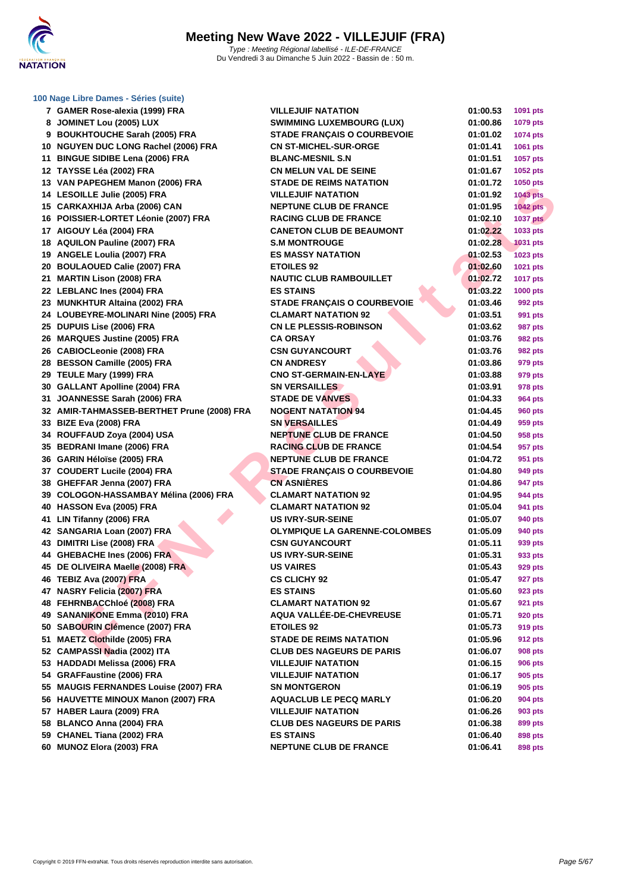

### **[100 Nage](http://www.ffnatation.fr/webffn/index.php) Libre Dames - Séries (suite)**

| 7 GAMER Rose-alexia (1999) FRA             | <b>VILLEJUIF NATATION</b>            | 01:00.53 | 1091 pts        |
|--------------------------------------------|--------------------------------------|----------|-----------------|
| 8 JOMINET Lou (2005) LUX                   | <b>SWIMMING LUXEMBOURG (LUX)</b>     | 01:00.86 | 1079 pts        |
| 9 BOUKHTOUCHE Sarah (2005) FRA             | <b>STADE FRANÇAIS O COURBEVOIE</b>   | 01:01.02 | 1074 pts        |
| 10 NGUYEN DUC LONG Rachel (2006) FRA       | <b>CN ST-MICHEL-SUR-ORGE</b>         | 01:01.41 | 1061 pts        |
| 11 BINGUE SIDIBE Lena (2006) FRA           | <b>BLANC-MESNIL S.N</b>              | 01:01.51 | 1057 pts        |
| 12 TAYSSE Léa (2002) FRA                   | <b>CN MELUN VAL DE SEINE</b>         | 01:01.67 | 1052 pts        |
| 13 VAN PAPEGHEM Manon (2006) FRA           | <b>STADE DE REIMS NATATION</b>       | 01:01.72 | 1050 pts        |
| 14 LESOILLE Julie (2005) FRA               | <b>VILLEJUIF NATATION</b>            | 01:01.92 | <b>1043 pts</b> |
| 15 CARKAXHIJA Arba (2006) CAN              | <b>NEPTUNE CLUB DE FRANCE</b>        | 01:01.95 | <b>1042 pts</b> |
| 16 POISSIER-LORTET Léonie (2007) FRA       | <b>RACING CLUB DE FRANCE</b>         | 01:02.10 | <b>1037 pts</b> |
| 17 AIGOUY Léa (2004) FRA                   | <b>CANETON CLUB DE BEAUMONT</b>      | 01:02.22 | 1033 pts        |
| 18 AQUILON Pauline (2007) FRA              | <b>S.M MONTROUGE</b>                 | 01:02.28 | <b>1031 pts</b> |
| 19 ANGELE Loulia (2007) FRA                | <b>ES MASSY NATATION</b>             | 01:02.53 | <b>1023 pts</b> |
| 20 BOULAOUED Calie (2007) FRA              | <b>ETOILES 92</b>                    | 01:02.60 | 1021 pts        |
| 21 MARTIN Lison (2008) FRA                 | <b>NAUTIC CLUB RAMBOUILLET</b>       | 01:02.72 | <b>1017 pts</b> |
| 22 LEBLANC Ines (2004) FRA                 | <b>ES STAINS</b>                     | 01:03.22 | <b>1000 pts</b> |
| 23 MUNKHTUR Altaina (2002) FRA             | <b>STADE FRANÇAIS O COURBEVOIE</b>   | 01:03.46 | 992 pts         |
| 24 LOUBEYRE-MOLINARI Nine (2005) FRA       | <b>CLAMART NATATION 92</b>           | 01:03.51 | 991 pts         |
| 25 DUPUIS Lise (2006) FRA                  | <b>CN LE PLESSIS-ROBINSON</b>        | 01:03.62 | 987 pts         |
| 26 MARQUES Justine (2005) FRA              | <b>CA ORSAY</b>                      | 01:03.76 | <b>982 pts</b>  |
| 26 CABIOCLeonie (2008) FRA                 | <b>CSN GUYANCOURT</b>                | 01:03.76 | 982 pts         |
| 28 BESSON Camille (2005) FRA               | <b>CN ANDRESY</b>                    | 01:03.86 | 979 pts         |
| 29 TEULE Mary (1999) FRA                   | <b>CNO ST-GERMAIN-EN-LAYE</b>        | 01:03.88 | 979 pts         |
| 30 GALLANT Apolline (2004) FRA             | <b>SN VERSAILLES</b>                 | 01:03.91 | 978 pts         |
| 31 JOANNESSE Sarah (2006) FRA              | <b>STADE DE VANVES</b>               | 01:04.33 | 964 pts         |
| 32 AMIR-TAHMASSEB-BERTHET Prune (2008) FRA | <b>NOGENT NATATION 94</b>            | 01:04.45 | <b>960 pts</b>  |
| 33 BIZE Eva (2008) FRA                     | <b>SN VERSAILLES</b>                 | 01:04.49 | 959 pts         |
| 34 ROUFFAUD Zoya (2004) USA                | <b>NEPTUNE CLUB DE FRANCE</b>        | 01:04.50 | 958 pts         |
| 35 BEDRANI Imane (2006) FRA                | <b>RACING CLUB DE FRANCE</b>         | 01:04.54 | 957 pts         |
| 36 GARIN Héloïse (2005) FRA                | <b>NEPTUNE CLUB DE FRANCE</b>        | 01:04.72 | 951 pts         |
| 37 COUDERT Lucile (2004) FRA               | <b>STADE FRANÇAIS O COURBEVOIE</b>   | 01:04.80 | 949 pts         |
| 38 GHEFFAR Jenna (2007) FRA                | <b>CN ASNIÈRES</b>                   | 01:04.86 | 947 pts         |
| 39 COLOGON-HASSAMBAY Mélina (2006) FRA     | <b>CLAMART NATATION 92</b>           | 01:04.95 | 944 pts         |
| 40 HASSON Eva (2005) FRA                   | <b>CLAMART NATATION 92</b>           | 01:05.04 | 941 pts         |
| 41 LIN Tifanny (2006) FRA                  | <b>US IVRY-SUR-SEINE</b>             | 01:05.07 | 940 pts         |
| 42 SANGARIA Loan (2007) FRA                | <b>OLYMPIQUE LA GARENNE-COLOMBES</b> | 01:05.09 | 940 pts         |
| 43 DIMITRI Lise (2008) FRA                 | <b>CSN GUYANCOURT</b>                | 01:05.11 | 939 pts         |
| 44 GHEBACHE Ines (2006) FRA                | <b>US IVRY-SUR-SEINE</b>             | 01:05.31 | 933 pts         |
| 45 DE OLIVEIRA Maelle (2008) FRA           | <b>US VAIRES</b>                     | 01:05.43 | <b>929 pts</b>  |
| 46 TEBIZ Ava (2007) FRA                    | <b>CS CLICHY 92</b>                  | 01:05.47 | 927 pts         |
| 47 NASRY Felicia (2007) FRA                | <b>ES STAINS</b>                     | 01:05.60 | 923 pts         |
| 48 FEHRNBACChloé (2008) FRA                | <b>CLAMART NATATION 92</b>           | 01:05.67 | 921 pts         |
| 49 SANANIKONE Emma (2010) FRA              | AQUA VALLÉE-DE-CHEVREUSE             | 01:05.71 | 920 pts         |
| 50 SABOURIN Clémence (2007) FRA            | <b>ETOILES 92</b>                    | 01:05.73 | 919 pts         |
| 51 MAETZ Clothilde (2005) FRA              | <b>STADE DE REIMS NATATION</b>       | 01:05.96 | 912 pts         |
| 52 CAMPASSI Nadia (2002) ITA               | <b>CLUB DES NAGEURS DE PARIS</b>     | 01:06.07 | <b>908 pts</b>  |
| 53 HADDADI Melissa (2006) FRA              | <b>VILLEJUIF NATATION</b>            | 01:06.15 | <b>906 pts</b>  |
| 54 GRAFFaustine (2006) FRA                 | <b>VILLEJUIF NATATION</b>            | 01:06.17 | 905 pts         |
| 55 MAUGIS FERNANDES Louise (2007) FRA      | <b>SN MONTGERON</b>                  | 01:06.19 | 905 pts         |
| 56 HAUVETTE MINOUX Manon (2007) FRA        | <b>AQUACLUB LE PECQ MARLY</b>        | 01:06.20 | 904 pts         |
| 57 HABER Laura (2009) FRA                  | <b>VILLEJUIF NATATION</b>            | 01:06.26 | 903 pts         |
| 58 BLANCO Anna (2004) FRA                  | <b>CLUB DES NAGEURS DE PARIS</b>     | 01:06.38 | 899 pts         |
| 59 CHANEL Tiana (2002) FRA                 | <b>ES STAINS</b>                     | 01:06.40 | 898 pts         |
| 60 MUNOZ Elora (2003) FRA                  | <b>NEPTUNE CLUB DE FRANCE</b>        | 01:06.41 | 898 pts         |
|                                            |                                      |          |                 |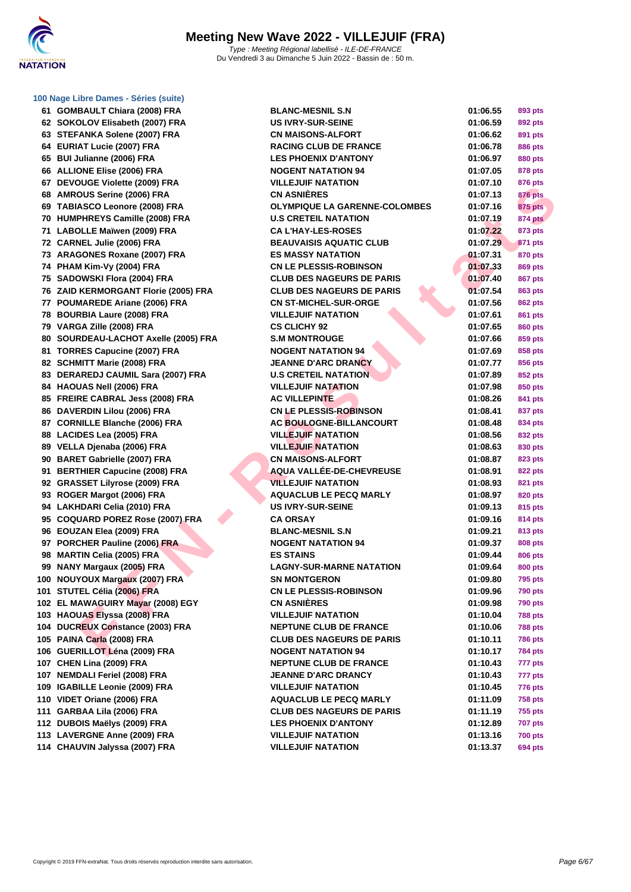| 61 GOMBAULT Chiara (2008) FRA<br><b>BLANC-MESNIL S.N</b><br>01:06.55<br>893 pts<br><b>US IVRY-SUR-SEINE</b><br>62 SOKOLOV Elisabeth (2007) FRA<br>01:06.59<br>892 pts<br>63 STEFANKA Solene (2007) FRA<br><b>CN MAISONS-ALFORT</b><br>01:06.62<br>891 pts<br>64 EURIAT Lucie (2007) FRA<br><b>RACING CLUB DE FRANCE</b><br>01:06.78<br><b>886 pts</b><br>65 BUI Julianne (2006) FRA<br><b>LES PHOENIX D'ANTONY</b><br>01:06.97<br>880 pts<br>66 ALLIONE Elise (2006) FRA<br><b>NOGENT NATATION 94</b><br>01:07.05<br>878 pts<br>67 DEVOUGE Violette (2009) FRA<br><b>VILLEJUIF NATATION</b><br>01:07.10<br>876 pts<br><b>CN ASNIÈRES</b><br>68 AMROUS Serine (2006) FRA<br>01:07.13<br>876 pts<br>69 TABIASCO Leonore (2008) FRA<br><b>OLYMPIQUE LA GARENNE-COLOMBES</b><br>01:07.16<br>875 pts<br><b>U.S CRETEIL NATATION</b><br><b>874 pts</b><br>70 HUMPHREYS Camille (2008) FRA<br>01:07.19<br>71 LABOLLE Maïwen (2009) FRA<br><b>CA L'HAY-LES-ROSES</b><br>01:07.22<br>873 pts<br>72 CARNEL Julie (2006) FRA<br><b>BEAUVAISIS AQUATIC CLUB</b><br>01:07.29<br>871 pts<br>73 ARAGONES Roxane (2007) FRA<br><b>ES MASSY NATATION</b><br>01:07.31<br>870 pts<br>74 PHAM Kim-Vy (2004) FRA<br><b>CN LE PLESSIS-ROBINSON</b><br>01:07.33<br>869 pts<br>75 SADOWSKI Flora (2004) FRA<br><b>CLUB DES NAGEURS DE PARIS</b><br>01:07.40<br>867 pts<br>76 ZAID KERMORGANT Florie (2005) FRA<br><b>CLUB DES NAGEURS DE PARIS</b><br>01:07.54<br>863 pts<br>77 POUMAREDE Ariane (2006) FRA<br><b>CN ST-MICHEL-SUR-ORGE</b><br>01:07.56<br><b>862 pts</b><br>78 BOURBIA Laure (2008) FRA<br><b>VILLEJUIF NATATION</b><br>01:07.61<br>861 pts<br>79 VARGA Zille (2008) FRA<br><b>CS CLICHY 92</b><br>01:07.65<br>860 pts<br>80 SOURDEAU-LACHOT Axelle (2005) FRA<br><b>S.M MONTROUGE</b><br>01:07.66<br>859 pts<br>81 TORRES Capucine (2007) FRA<br><b>NOGENT NATATION 94</b><br>01:07.69<br>858 pts<br>82 SCHMITT Marie (2008) FRA<br><b>JEANNE D'ARC DRANCY</b><br>01:07.77<br>856 pts<br><b>U.S CRETEIL NATATION</b><br>83 DERAREDJ CAUMIL Sara (2007) FRA<br>01:07.89<br>852 pts<br>84 HAOUAS Nell (2006) FRA<br><b>VILLEJUIF NATATION</b><br>01:07.98<br>850 pts<br>85 FREIRE CABRAL Jess (2008) FRA<br><b>AC VILLEPINTE</b><br>01:08.26<br>841 pts<br>86 DAVERDIN Lilou (2006) FRA<br><b>CN LE PLESSIS-ROBINSON</b><br>01:08.41<br>837 pts<br>87 CORNILLE Blanche (2006) FRA<br><b>AC BOULOGNE-BILLANCOURT</b><br>01:08.48<br>834 pts<br><b>VILLEJUIF NATATION</b><br>88 LACIDES Lea (2005) FRA<br>01:08.56<br>832 pts<br>89 VELLA Djenaba (2006) FRA<br><b>VILLEJUIF NATATION</b><br>01:08.63<br>830 pts<br>90 BARET Gabrielle (2007) FRA<br><b>CN MAISONS-ALFORT</b><br>01:08.87<br>823 pts<br>91 BERTHIER Capucine (2008) FRA<br><b>AQUA VALLÉE-DE-CHEVREUSE</b><br>01:08.91<br>822 pts<br><b>VILLEJUIF NATATION</b><br>92 GRASSET Lilyrose (2009) FRA<br>01:08.93<br>821 pts<br>93 ROGER Margot (2006) FRA<br><b>AQUACLUB LE PECQ MARLY</b><br>01:08.97<br>820 pts<br>94 LAKHDARI Celia (2010) FRA<br><b>US IVRY-SUR-SEINE</b><br>01:09.13<br>815 pts<br>95 COQUARD POREZ Rose (2007) FRA<br><b>CA ORSAY</b><br>01:09.16<br>814 pts<br>96 EOUZAN Elea (2009) FRA<br><b>BLANC-MESNIL S.N</b><br>01:09.21<br>813 pts<br>97 PORCHER Pauline (2006) FRA<br><b>NOGENT NATATION 94</b><br>01:09.37<br>808 pts<br>98 MARTIN Celia (2005) FRA<br><b>ES STAINS</b><br>01:09.44<br><b>806 pts</b><br>99 NANY Margaux (2005) FRA<br><b>LAGNY-SUR-MARNE NATATION</b><br>01:09.64<br>800 pts<br>100 NOUYOUX Margaux (2007) FRA<br><b>SN MONTGERON</b><br>01:09.80<br><b>795 pts</b><br>101 STUTEL Célia (2006) FRA<br><b>CN LE PLESSIS-ROBINSON</b><br>01:09.96<br>790 pts<br>102 EL MAWAGUIRY Mayar (2008) EGY<br><b>CN ASNIERES</b><br>01:09.98<br><b>790 pts</b><br>103 HAOUAS Elyssa (2008) FRA<br><b>VILLEJUIF NATATION</b><br>01:10.04<br><b>788 pts</b><br>104 DUCREUX Constance (2003) FRA<br><b>NEPTUNE CLUB DE FRANCE</b><br>01:10.06<br><b>788 pts</b><br>105 PAINA Carla (2008) FRA<br><b>CLUB DES NAGEURS DE PARIS</b><br>01:10.11<br><b>786 pts</b><br>106 GUERILLOT Léna (2009) FRA<br><b>NOGENT NATATION 94</b><br>01:10.17<br><b>784 pts</b> |
|---------------------------------------------------------------------------------------------------------------------------------------------------------------------------------------------------------------------------------------------------------------------------------------------------------------------------------------------------------------------------------------------------------------------------------------------------------------------------------------------------------------------------------------------------------------------------------------------------------------------------------------------------------------------------------------------------------------------------------------------------------------------------------------------------------------------------------------------------------------------------------------------------------------------------------------------------------------------------------------------------------------------------------------------------------------------------------------------------------------------------------------------------------------------------------------------------------------------------------------------------------------------------------------------------------------------------------------------------------------------------------------------------------------------------------------------------------------------------------------------------------------------------------------------------------------------------------------------------------------------------------------------------------------------------------------------------------------------------------------------------------------------------------------------------------------------------------------------------------------------------------------------------------------------------------------------------------------------------------------------------------------------------------------------------------------------------------------------------------------------------------------------------------------------------------------------------------------------------------------------------------------------------------------------------------------------------------------------------------------------------------------------------------------------------------------------------------------------------------------------------------------------------------------------------------------------------------------------------------------------------------------------------------------------------------------------------------------------------------------------------------------------------------------------------------------------------------------------------------------------------------------------------------------------------------------------------------------------------------------------------------------------------------------------------------------------------------------------------------------------------------------------------------------------------------------------------------------------------------------------------------------------------------------------------------------------------------------------------------------------------------------------------------------------------------------------------------------------------------------------------------------------------------------------------------------------------------------------------------------------------------------------------------------------------------------------------------------------------------------------------------------------------------------------------------------------------------------------------------------------------------------------------------------------------------------------------------------------------------------------------------------------------------------------------------------------------------------------------------------------------------------------------|
|                                                                                                                                                                                                                                                                                                                                                                                                                                                                                                                                                                                                                                                                                                                                                                                                                                                                                                                                                                                                                                                                                                                                                                                                                                                                                                                                                                                                                                                                                                                                                                                                                                                                                                                                                                                                                                                                                                                                                                                                                                                                                                                                                                                                                                                                                                                                                                                                                                                                                                                                                                                                                                                                                                                                                                                                                                                                                                                                                                                                                                                                                                                                                                                                                                                                                                                                                                                                                                                                                                                                                                                                                                                                                                                                                                                                                                                                                                                                                                                                                                                                                                                                                   |
|                                                                                                                                                                                                                                                                                                                                                                                                                                                                                                                                                                                                                                                                                                                                                                                                                                                                                                                                                                                                                                                                                                                                                                                                                                                                                                                                                                                                                                                                                                                                                                                                                                                                                                                                                                                                                                                                                                                                                                                                                                                                                                                                                                                                                                                                                                                                                                                                                                                                                                                                                                                                                                                                                                                                                                                                                                                                                                                                                                                                                                                                                                                                                                                                                                                                                                                                                                                                                                                                                                                                                                                                                                                                                                                                                                                                                                                                                                                                                                                                                                                                                                                                                   |
|                                                                                                                                                                                                                                                                                                                                                                                                                                                                                                                                                                                                                                                                                                                                                                                                                                                                                                                                                                                                                                                                                                                                                                                                                                                                                                                                                                                                                                                                                                                                                                                                                                                                                                                                                                                                                                                                                                                                                                                                                                                                                                                                                                                                                                                                                                                                                                                                                                                                                                                                                                                                                                                                                                                                                                                                                                                                                                                                                                                                                                                                                                                                                                                                                                                                                                                                                                                                                                                                                                                                                                                                                                                                                                                                                                                                                                                                                                                                                                                                                                                                                                                                                   |
|                                                                                                                                                                                                                                                                                                                                                                                                                                                                                                                                                                                                                                                                                                                                                                                                                                                                                                                                                                                                                                                                                                                                                                                                                                                                                                                                                                                                                                                                                                                                                                                                                                                                                                                                                                                                                                                                                                                                                                                                                                                                                                                                                                                                                                                                                                                                                                                                                                                                                                                                                                                                                                                                                                                                                                                                                                                                                                                                                                                                                                                                                                                                                                                                                                                                                                                                                                                                                                                                                                                                                                                                                                                                                                                                                                                                                                                                                                                                                                                                                                                                                                                                                   |
|                                                                                                                                                                                                                                                                                                                                                                                                                                                                                                                                                                                                                                                                                                                                                                                                                                                                                                                                                                                                                                                                                                                                                                                                                                                                                                                                                                                                                                                                                                                                                                                                                                                                                                                                                                                                                                                                                                                                                                                                                                                                                                                                                                                                                                                                                                                                                                                                                                                                                                                                                                                                                                                                                                                                                                                                                                                                                                                                                                                                                                                                                                                                                                                                                                                                                                                                                                                                                                                                                                                                                                                                                                                                                                                                                                                                                                                                                                                                                                                                                                                                                                                                                   |
|                                                                                                                                                                                                                                                                                                                                                                                                                                                                                                                                                                                                                                                                                                                                                                                                                                                                                                                                                                                                                                                                                                                                                                                                                                                                                                                                                                                                                                                                                                                                                                                                                                                                                                                                                                                                                                                                                                                                                                                                                                                                                                                                                                                                                                                                                                                                                                                                                                                                                                                                                                                                                                                                                                                                                                                                                                                                                                                                                                                                                                                                                                                                                                                                                                                                                                                                                                                                                                                                                                                                                                                                                                                                                                                                                                                                                                                                                                                                                                                                                                                                                                                                                   |
|                                                                                                                                                                                                                                                                                                                                                                                                                                                                                                                                                                                                                                                                                                                                                                                                                                                                                                                                                                                                                                                                                                                                                                                                                                                                                                                                                                                                                                                                                                                                                                                                                                                                                                                                                                                                                                                                                                                                                                                                                                                                                                                                                                                                                                                                                                                                                                                                                                                                                                                                                                                                                                                                                                                                                                                                                                                                                                                                                                                                                                                                                                                                                                                                                                                                                                                                                                                                                                                                                                                                                                                                                                                                                                                                                                                                                                                                                                                                                                                                                                                                                                                                                   |
|                                                                                                                                                                                                                                                                                                                                                                                                                                                                                                                                                                                                                                                                                                                                                                                                                                                                                                                                                                                                                                                                                                                                                                                                                                                                                                                                                                                                                                                                                                                                                                                                                                                                                                                                                                                                                                                                                                                                                                                                                                                                                                                                                                                                                                                                                                                                                                                                                                                                                                                                                                                                                                                                                                                                                                                                                                                                                                                                                                                                                                                                                                                                                                                                                                                                                                                                                                                                                                                                                                                                                                                                                                                                                                                                                                                                                                                                                                                                                                                                                                                                                                                                                   |
|                                                                                                                                                                                                                                                                                                                                                                                                                                                                                                                                                                                                                                                                                                                                                                                                                                                                                                                                                                                                                                                                                                                                                                                                                                                                                                                                                                                                                                                                                                                                                                                                                                                                                                                                                                                                                                                                                                                                                                                                                                                                                                                                                                                                                                                                                                                                                                                                                                                                                                                                                                                                                                                                                                                                                                                                                                                                                                                                                                                                                                                                                                                                                                                                                                                                                                                                                                                                                                                                                                                                                                                                                                                                                                                                                                                                                                                                                                                                                                                                                                                                                                                                                   |
|                                                                                                                                                                                                                                                                                                                                                                                                                                                                                                                                                                                                                                                                                                                                                                                                                                                                                                                                                                                                                                                                                                                                                                                                                                                                                                                                                                                                                                                                                                                                                                                                                                                                                                                                                                                                                                                                                                                                                                                                                                                                                                                                                                                                                                                                                                                                                                                                                                                                                                                                                                                                                                                                                                                                                                                                                                                                                                                                                                                                                                                                                                                                                                                                                                                                                                                                                                                                                                                                                                                                                                                                                                                                                                                                                                                                                                                                                                                                                                                                                                                                                                                                                   |
|                                                                                                                                                                                                                                                                                                                                                                                                                                                                                                                                                                                                                                                                                                                                                                                                                                                                                                                                                                                                                                                                                                                                                                                                                                                                                                                                                                                                                                                                                                                                                                                                                                                                                                                                                                                                                                                                                                                                                                                                                                                                                                                                                                                                                                                                                                                                                                                                                                                                                                                                                                                                                                                                                                                                                                                                                                                                                                                                                                                                                                                                                                                                                                                                                                                                                                                                                                                                                                                                                                                                                                                                                                                                                                                                                                                                                                                                                                                                                                                                                                                                                                                                                   |
|                                                                                                                                                                                                                                                                                                                                                                                                                                                                                                                                                                                                                                                                                                                                                                                                                                                                                                                                                                                                                                                                                                                                                                                                                                                                                                                                                                                                                                                                                                                                                                                                                                                                                                                                                                                                                                                                                                                                                                                                                                                                                                                                                                                                                                                                                                                                                                                                                                                                                                                                                                                                                                                                                                                                                                                                                                                                                                                                                                                                                                                                                                                                                                                                                                                                                                                                                                                                                                                                                                                                                                                                                                                                                                                                                                                                                                                                                                                                                                                                                                                                                                                                                   |
|                                                                                                                                                                                                                                                                                                                                                                                                                                                                                                                                                                                                                                                                                                                                                                                                                                                                                                                                                                                                                                                                                                                                                                                                                                                                                                                                                                                                                                                                                                                                                                                                                                                                                                                                                                                                                                                                                                                                                                                                                                                                                                                                                                                                                                                                                                                                                                                                                                                                                                                                                                                                                                                                                                                                                                                                                                                                                                                                                                                                                                                                                                                                                                                                                                                                                                                                                                                                                                                                                                                                                                                                                                                                                                                                                                                                                                                                                                                                                                                                                                                                                                                                                   |
|                                                                                                                                                                                                                                                                                                                                                                                                                                                                                                                                                                                                                                                                                                                                                                                                                                                                                                                                                                                                                                                                                                                                                                                                                                                                                                                                                                                                                                                                                                                                                                                                                                                                                                                                                                                                                                                                                                                                                                                                                                                                                                                                                                                                                                                                                                                                                                                                                                                                                                                                                                                                                                                                                                                                                                                                                                                                                                                                                                                                                                                                                                                                                                                                                                                                                                                                                                                                                                                                                                                                                                                                                                                                                                                                                                                                                                                                                                                                                                                                                                                                                                                                                   |
|                                                                                                                                                                                                                                                                                                                                                                                                                                                                                                                                                                                                                                                                                                                                                                                                                                                                                                                                                                                                                                                                                                                                                                                                                                                                                                                                                                                                                                                                                                                                                                                                                                                                                                                                                                                                                                                                                                                                                                                                                                                                                                                                                                                                                                                                                                                                                                                                                                                                                                                                                                                                                                                                                                                                                                                                                                                                                                                                                                                                                                                                                                                                                                                                                                                                                                                                                                                                                                                                                                                                                                                                                                                                                                                                                                                                                                                                                                                                                                                                                                                                                                                                                   |
|                                                                                                                                                                                                                                                                                                                                                                                                                                                                                                                                                                                                                                                                                                                                                                                                                                                                                                                                                                                                                                                                                                                                                                                                                                                                                                                                                                                                                                                                                                                                                                                                                                                                                                                                                                                                                                                                                                                                                                                                                                                                                                                                                                                                                                                                                                                                                                                                                                                                                                                                                                                                                                                                                                                                                                                                                                                                                                                                                                                                                                                                                                                                                                                                                                                                                                                                                                                                                                                                                                                                                                                                                                                                                                                                                                                                                                                                                                                                                                                                                                                                                                                                                   |
|                                                                                                                                                                                                                                                                                                                                                                                                                                                                                                                                                                                                                                                                                                                                                                                                                                                                                                                                                                                                                                                                                                                                                                                                                                                                                                                                                                                                                                                                                                                                                                                                                                                                                                                                                                                                                                                                                                                                                                                                                                                                                                                                                                                                                                                                                                                                                                                                                                                                                                                                                                                                                                                                                                                                                                                                                                                                                                                                                                                                                                                                                                                                                                                                                                                                                                                                                                                                                                                                                                                                                                                                                                                                                                                                                                                                                                                                                                                                                                                                                                                                                                                                                   |
|                                                                                                                                                                                                                                                                                                                                                                                                                                                                                                                                                                                                                                                                                                                                                                                                                                                                                                                                                                                                                                                                                                                                                                                                                                                                                                                                                                                                                                                                                                                                                                                                                                                                                                                                                                                                                                                                                                                                                                                                                                                                                                                                                                                                                                                                                                                                                                                                                                                                                                                                                                                                                                                                                                                                                                                                                                                                                                                                                                                                                                                                                                                                                                                                                                                                                                                                                                                                                                                                                                                                                                                                                                                                                                                                                                                                                                                                                                                                                                                                                                                                                                                                                   |
|                                                                                                                                                                                                                                                                                                                                                                                                                                                                                                                                                                                                                                                                                                                                                                                                                                                                                                                                                                                                                                                                                                                                                                                                                                                                                                                                                                                                                                                                                                                                                                                                                                                                                                                                                                                                                                                                                                                                                                                                                                                                                                                                                                                                                                                                                                                                                                                                                                                                                                                                                                                                                                                                                                                                                                                                                                                                                                                                                                                                                                                                                                                                                                                                                                                                                                                                                                                                                                                                                                                                                                                                                                                                                                                                                                                                                                                                                                                                                                                                                                                                                                                                                   |
|                                                                                                                                                                                                                                                                                                                                                                                                                                                                                                                                                                                                                                                                                                                                                                                                                                                                                                                                                                                                                                                                                                                                                                                                                                                                                                                                                                                                                                                                                                                                                                                                                                                                                                                                                                                                                                                                                                                                                                                                                                                                                                                                                                                                                                                                                                                                                                                                                                                                                                                                                                                                                                                                                                                                                                                                                                                                                                                                                                                                                                                                                                                                                                                                                                                                                                                                                                                                                                                                                                                                                                                                                                                                                                                                                                                                                                                                                                                                                                                                                                                                                                                                                   |
|                                                                                                                                                                                                                                                                                                                                                                                                                                                                                                                                                                                                                                                                                                                                                                                                                                                                                                                                                                                                                                                                                                                                                                                                                                                                                                                                                                                                                                                                                                                                                                                                                                                                                                                                                                                                                                                                                                                                                                                                                                                                                                                                                                                                                                                                                                                                                                                                                                                                                                                                                                                                                                                                                                                                                                                                                                                                                                                                                                                                                                                                                                                                                                                                                                                                                                                                                                                                                                                                                                                                                                                                                                                                                                                                                                                                                                                                                                                                                                                                                                                                                                                                                   |
|                                                                                                                                                                                                                                                                                                                                                                                                                                                                                                                                                                                                                                                                                                                                                                                                                                                                                                                                                                                                                                                                                                                                                                                                                                                                                                                                                                                                                                                                                                                                                                                                                                                                                                                                                                                                                                                                                                                                                                                                                                                                                                                                                                                                                                                                                                                                                                                                                                                                                                                                                                                                                                                                                                                                                                                                                                                                                                                                                                                                                                                                                                                                                                                                                                                                                                                                                                                                                                                                                                                                                                                                                                                                                                                                                                                                                                                                                                                                                                                                                                                                                                                                                   |
|                                                                                                                                                                                                                                                                                                                                                                                                                                                                                                                                                                                                                                                                                                                                                                                                                                                                                                                                                                                                                                                                                                                                                                                                                                                                                                                                                                                                                                                                                                                                                                                                                                                                                                                                                                                                                                                                                                                                                                                                                                                                                                                                                                                                                                                                                                                                                                                                                                                                                                                                                                                                                                                                                                                                                                                                                                                                                                                                                                                                                                                                                                                                                                                                                                                                                                                                                                                                                                                                                                                                                                                                                                                                                                                                                                                                                                                                                                                                                                                                                                                                                                                                                   |
|                                                                                                                                                                                                                                                                                                                                                                                                                                                                                                                                                                                                                                                                                                                                                                                                                                                                                                                                                                                                                                                                                                                                                                                                                                                                                                                                                                                                                                                                                                                                                                                                                                                                                                                                                                                                                                                                                                                                                                                                                                                                                                                                                                                                                                                                                                                                                                                                                                                                                                                                                                                                                                                                                                                                                                                                                                                                                                                                                                                                                                                                                                                                                                                                                                                                                                                                                                                                                                                                                                                                                                                                                                                                                                                                                                                                                                                                                                                                                                                                                                                                                                                                                   |
|                                                                                                                                                                                                                                                                                                                                                                                                                                                                                                                                                                                                                                                                                                                                                                                                                                                                                                                                                                                                                                                                                                                                                                                                                                                                                                                                                                                                                                                                                                                                                                                                                                                                                                                                                                                                                                                                                                                                                                                                                                                                                                                                                                                                                                                                                                                                                                                                                                                                                                                                                                                                                                                                                                                                                                                                                                                                                                                                                                                                                                                                                                                                                                                                                                                                                                                                                                                                                                                                                                                                                                                                                                                                                                                                                                                                                                                                                                                                                                                                                                                                                                                                                   |
|                                                                                                                                                                                                                                                                                                                                                                                                                                                                                                                                                                                                                                                                                                                                                                                                                                                                                                                                                                                                                                                                                                                                                                                                                                                                                                                                                                                                                                                                                                                                                                                                                                                                                                                                                                                                                                                                                                                                                                                                                                                                                                                                                                                                                                                                                                                                                                                                                                                                                                                                                                                                                                                                                                                                                                                                                                                                                                                                                                                                                                                                                                                                                                                                                                                                                                                                                                                                                                                                                                                                                                                                                                                                                                                                                                                                                                                                                                                                                                                                                                                                                                                                                   |
|                                                                                                                                                                                                                                                                                                                                                                                                                                                                                                                                                                                                                                                                                                                                                                                                                                                                                                                                                                                                                                                                                                                                                                                                                                                                                                                                                                                                                                                                                                                                                                                                                                                                                                                                                                                                                                                                                                                                                                                                                                                                                                                                                                                                                                                                                                                                                                                                                                                                                                                                                                                                                                                                                                                                                                                                                                                                                                                                                                                                                                                                                                                                                                                                                                                                                                                                                                                                                                                                                                                                                                                                                                                                                                                                                                                                                                                                                                                                                                                                                                                                                                                                                   |
|                                                                                                                                                                                                                                                                                                                                                                                                                                                                                                                                                                                                                                                                                                                                                                                                                                                                                                                                                                                                                                                                                                                                                                                                                                                                                                                                                                                                                                                                                                                                                                                                                                                                                                                                                                                                                                                                                                                                                                                                                                                                                                                                                                                                                                                                                                                                                                                                                                                                                                                                                                                                                                                                                                                                                                                                                                                                                                                                                                                                                                                                                                                                                                                                                                                                                                                                                                                                                                                                                                                                                                                                                                                                                                                                                                                                                                                                                                                                                                                                                                                                                                                                                   |
|                                                                                                                                                                                                                                                                                                                                                                                                                                                                                                                                                                                                                                                                                                                                                                                                                                                                                                                                                                                                                                                                                                                                                                                                                                                                                                                                                                                                                                                                                                                                                                                                                                                                                                                                                                                                                                                                                                                                                                                                                                                                                                                                                                                                                                                                                                                                                                                                                                                                                                                                                                                                                                                                                                                                                                                                                                                                                                                                                                                                                                                                                                                                                                                                                                                                                                                                                                                                                                                                                                                                                                                                                                                                                                                                                                                                                                                                                                                                                                                                                                                                                                                                                   |
|                                                                                                                                                                                                                                                                                                                                                                                                                                                                                                                                                                                                                                                                                                                                                                                                                                                                                                                                                                                                                                                                                                                                                                                                                                                                                                                                                                                                                                                                                                                                                                                                                                                                                                                                                                                                                                                                                                                                                                                                                                                                                                                                                                                                                                                                                                                                                                                                                                                                                                                                                                                                                                                                                                                                                                                                                                                                                                                                                                                                                                                                                                                                                                                                                                                                                                                                                                                                                                                                                                                                                                                                                                                                                                                                                                                                                                                                                                                                                                                                                                                                                                                                                   |
|                                                                                                                                                                                                                                                                                                                                                                                                                                                                                                                                                                                                                                                                                                                                                                                                                                                                                                                                                                                                                                                                                                                                                                                                                                                                                                                                                                                                                                                                                                                                                                                                                                                                                                                                                                                                                                                                                                                                                                                                                                                                                                                                                                                                                                                                                                                                                                                                                                                                                                                                                                                                                                                                                                                                                                                                                                                                                                                                                                                                                                                                                                                                                                                                                                                                                                                                                                                                                                                                                                                                                                                                                                                                                                                                                                                                                                                                                                                                                                                                                                                                                                                                                   |
|                                                                                                                                                                                                                                                                                                                                                                                                                                                                                                                                                                                                                                                                                                                                                                                                                                                                                                                                                                                                                                                                                                                                                                                                                                                                                                                                                                                                                                                                                                                                                                                                                                                                                                                                                                                                                                                                                                                                                                                                                                                                                                                                                                                                                                                                                                                                                                                                                                                                                                                                                                                                                                                                                                                                                                                                                                                                                                                                                                                                                                                                                                                                                                                                                                                                                                                                                                                                                                                                                                                                                                                                                                                                                                                                                                                                                                                                                                                                                                                                                                                                                                                                                   |
|                                                                                                                                                                                                                                                                                                                                                                                                                                                                                                                                                                                                                                                                                                                                                                                                                                                                                                                                                                                                                                                                                                                                                                                                                                                                                                                                                                                                                                                                                                                                                                                                                                                                                                                                                                                                                                                                                                                                                                                                                                                                                                                                                                                                                                                                                                                                                                                                                                                                                                                                                                                                                                                                                                                                                                                                                                                                                                                                                                                                                                                                                                                                                                                                                                                                                                                                                                                                                                                                                                                                                                                                                                                                                                                                                                                                                                                                                                                                                                                                                                                                                                                                                   |
|                                                                                                                                                                                                                                                                                                                                                                                                                                                                                                                                                                                                                                                                                                                                                                                                                                                                                                                                                                                                                                                                                                                                                                                                                                                                                                                                                                                                                                                                                                                                                                                                                                                                                                                                                                                                                                                                                                                                                                                                                                                                                                                                                                                                                                                                                                                                                                                                                                                                                                                                                                                                                                                                                                                                                                                                                                                                                                                                                                                                                                                                                                                                                                                                                                                                                                                                                                                                                                                                                                                                                                                                                                                                                                                                                                                                                                                                                                                                                                                                                                                                                                                                                   |
|                                                                                                                                                                                                                                                                                                                                                                                                                                                                                                                                                                                                                                                                                                                                                                                                                                                                                                                                                                                                                                                                                                                                                                                                                                                                                                                                                                                                                                                                                                                                                                                                                                                                                                                                                                                                                                                                                                                                                                                                                                                                                                                                                                                                                                                                                                                                                                                                                                                                                                                                                                                                                                                                                                                                                                                                                                                                                                                                                                                                                                                                                                                                                                                                                                                                                                                                                                                                                                                                                                                                                                                                                                                                                                                                                                                                                                                                                                                                                                                                                                                                                                                                                   |
|                                                                                                                                                                                                                                                                                                                                                                                                                                                                                                                                                                                                                                                                                                                                                                                                                                                                                                                                                                                                                                                                                                                                                                                                                                                                                                                                                                                                                                                                                                                                                                                                                                                                                                                                                                                                                                                                                                                                                                                                                                                                                                                                                                                                                                                                                                                                                                                                                                                                                                                                                                                                                                                                                                                                                                                                                                                                                                                                                                                                                                                                                                                                                                                                                                                                                                                                                                                                                                                                                                                                                                                                                                                                                                                                                                                                                                                                                                                                                                                                                                                                                                                                                   |
|                                                                                                                                                                                                                                                                                                                                                                                                                                                                                                                                                                                                                                                                                                                                                                                                                                                                                                                                                                                                                                                                                                                                                                                                                                                                                                                                                                                                                                                                                                                                                                                                                                                                                                                                                                                                                                                                                                                                                                                                                                                                                                                                                                                                                                                                                                                                                                                                                                                                                                                                                                                                                                                                                                                                                                                                                                                                                                                                                                                                                                                                                                                                                                                                                                                                                                                                                                                                                                                                                                                                                                                                                                                                                                                                                                                                                                                                                                                                                                                                                                                                                                                                                   |
|                                                                                                                                                                                                                                                                                                                                                                                                                                                                                                                                                                                                                                                                                                                                                                                                                                                                                                                                                                                                                                                                                                                                                                                                                                                                                                                                                                                                                                                                                                                                                                                                                                                                                                                                                                                                                                                                                                                                                                                                                                                                                                                                                                                                                                                                                                                                                                                                                                                                                                                                                                                                                                                                                                                                                                                                                                                                                                                                                                                                                                                                                                                                                                                                                                                                                                                                                                                                                                                                                                                                                                                                                                                                                                                                                                                                                                                                                                                                                                                                                                                                                                                                                   |
|                                                                                                                                                                                                                                                                                                                                                                                                                                                                                                                                                                                                                                                                                                                                                                                                                                                                                                                                                                                                                                                                                                                                                                                                                                                                                                                                                                                                                                                                                                                                                                                                                                                                                                                                                                                                                                                                                                                                                                                                                                                                                                                                                                                                                                                                                                                                                                                                                                                                                                                                                                                                                                                                                                                                                                                                                                                                                                                                                                                                                                                                                                                                                                                                                                                                                                                                                                                                                                                                                                                                                                                                                                                                                                                                                                                                                                                                                                                                                                                                                                                                                                                                                   |
|                                                                                                                                                                                                                                                                                                                                                                                                                                                                                                                                                                                                                                                                                                                                                                                                                                                                                                                                                                                                                                                                                                                                                                                                                                                                                                                                                                                                                                                                                                                                                                                                                                                                                                                                                                                                                                                                                                                                                                                                                                                                                                                                                                                                                                                                                                                                                                                                                                                                                                                                                                                                                                                                                                                                                                                                                                                                                                                                                                                                                                                                                                                                                                                                                                                                                                                                                                                                                                                                                                                                                                                                                                                                                                                                                                                                                                                                                                                                                                                                                                                                                                                                                   |
|                                                                                                                                                                                                                                                                                                                                                                                                                                                                                                                                                                                                                                                                                                                                                                                                                                                                                                                                                                                                                                                                                                                                                                                                                                                                                                                                                                                                                                                                                                                                                                                                                                                                                                                                                                                                                                                                                                                                                                                                                                                                                                                                                                                                                                                                                                                                                                                                                                                                                                                                                                                                                                                                                                                                                                                                                                                                                                                                                                                                                                                                                                                                                                                                                                                                                                                                                                                                                                                                                                                                                                                                                                                                                                                                                                                                                                                                                                                                                                                                                                                                                                                                                   |
|                                                                                                                                                                                                                                                                                                                                                                                                                                                                                                                                                                                                                                                                                                                                                                                                                                                                                                                                                                                                                                                                                                                                                                                                                                                                                                                                                                                                                                                                                                                                                                                                                                                                                                                                                                                                                                                                                                                                                                                                                                                                                                                                                                                                                                                                                                                                                                                                                                                                                                                                                                                                                                                                                                                                                                                                                                                                                                                                                                                                                                                                                                                                                                                                                                                                                                                                                                                                                                                                                                                                                                                                                                                                                                                                                                                                                                                                                                                                                                                                                                                                                                                                                   |
|                                                                                                                                                                                                                                                                                                                                                                                                                                                                                                                                                                                                                                                                                                                                                                                                                                                                                                                                                                                                                                                                                                                                                                                                                                                                                                                                                                                                                                                                                                                                                                                                                                                                                                                                                                                                                                                                                                                                                                                                                                                                                                                                                                                                                                                                                                                                                                                                                                                                                                                                                                                                                                                                                                                                                                                                                                                                                                                                                                                                                                                                                                                                                                                                                                                                                                                                                                                                                                                                                                                                                                                                                                                                                                                                                                                                                                                                                                                                                                                                                                                                                                                                                   |
|                                                                                                                                                                                                                                                                                                                                                                                                                                                                                                                                                                                                                                                                                                                                                                                                                                                                                                                                                                                                                                                                                                                                                                                                                                                                                                                                                                                                                                                                                                                                                                                                                                                                                                                                                                                                                                                                                                                                                                                                                                                                                                                                                                                                                                                                                                                                                                                                                                                                                                                                                                                                                                                                                                                                                                                                                                                                                                                                                                                                                                                                                                                                                                                                                                                                                                                                                                                                                                                                                                                                                                                                                                                                                                                                                                                                                                                                                                                                                                                                                                                                                                                                                   |
|                                                                                                                                                                                                                                                                                                                                                                                                                                                                                                                                                                                                                                                                                                                                                                                                                                                                                                                                                                                                                                                                                                                                                                                                                                                                                                                                                                                                                                                                                                                                                                                                                                                                                                                                                                                                                                                                                                                                                                                                                                                                                                                                                                                                                                                                                                                                                                                                                                                                                                                                                                                                                                                                                                                                                                                                                                                                                                                                                                                                                                                                                                                                                                                                                                                                                                                                                                                                                                                                                                                                                                                                                                                                                                                                                                                                                                                                                                                                                                                                                                                                                                                                                   |
|                                                                                                                                                                                                                                                                                                                                                                                                                                                                                                                                                                                                                                                                                                                                                                                                                                                                                                                                                                                                                                                                                                                                                                                                                                                                                                                                                                                                                                                                                                                                                                                                                                                                                                                                                                                                                                                                                                                                                                                                                                                                                                                                                                                                                                                                                                                                                                                                                                                                                                                                                                                                                                                                                                                                                                                                                                                                                                                                                                                                                                                                                                                                                                                                                                                                                                                                                                                                                                                                                                                                                                                                                                                                                                                                                                                                                                                                                                                                                                                                                                                                                                                                                   |
|                                                                                                                                                                                                                                                                                                                                                                                                                                                                                                                                                                                                                                                                                                                                                                                                                                                                                                                                                                                                                                                                                                                                                                                                                                                                                                                                                                                                                                                                                                                                                                                                                                                                                                                                                                                                                                                                                                                                                                                                                                                                                                                                                                                                                                                                                                                                                                                                                                                                                                                                                                                                                                                                                                                                                                                                                                                                                                                                                                                                                                                                                                                                                                                                                                                                                                                                                                                                                                                                                                                                                                                                                                                                                                                                                                                                                                                                                                                                                                                                                                                                                                                                                   |
| 107 CHEN Lina (2009) FRA<br><b>NEPTUNE CLUB DE FRANCE</b><br>01:10.43<br>777 pts                                                                                                                                                                                                                                                                                                                                                                                                                                                                                                                                                                                                                                                                                                                                                                                                                                                                                                                                                                                                                                                                                                                                                                                                                                                                                                                                                                                                                                                                                                                                                                                                                                                                                                                                                                                                                                                                                                                                                                                                                                                                                                                                                                                                                                                                                                                                                                                                                                                                                                                                                                                                                                                                                                                                                                                                                                                                                                                                                                                                                                                                                                                                                                                                                                                                                                                                                                                                                                                                                                                                                                                                                                                                                                                                                                                                                                                                                                                                                                                                                                                                  |
| 107 NEMDALI Feriel (2008) FRA<br><b>JEANNE D'ARC DRANCY</b><br>01:10.43<br>777 pts                                                                                                                                                                                                                                                                                                                                                                                                                                                                                                                                                                                                                                                                                                                                                                                                                                                                                                                                                                                                                                                                                                                                                                                                                                                                                                                                                                                                                                                                                                                                                                                                                                                                                                                                                                                                                                                                                                                                                                                                                                                                                                                                                                                                                                                                                                                                                                                                                                                                                                                                                                                                                                                                                                                                                                                                                                                                                                                                                                                                                                                                                                                                                                                                                                                                                                                                                                                                                                                                                                                                                                                                                                                                                                                                                                                                                                                                                                                                                                                                                                                                |
| 109 IGABILLE Leonie (2009) FRA<br><b>VILLEJUIF NATATION</b><br>01:10.45<br>776 pts                                                                                                                                                                                                                                                                                                                                                                                                                                                                                                                                                                                                                                                                                                                                                                                                                                                                                                                                                                                                                                                                                                                                                                                                                                                                                                                                                                                                                                                                                                                                                                                                                                                                                                                                                                                                                                                                                                                                                                                                                                                                                                                                                                                                                                                                                                                                                                                                                                                                                                                                                                                                                                                                                                                                                                                                                                                                                                                                                                                                                                                                                                                                                                                                                                                                                                                                                                                                                                                                                                                                                                                                                                                                                                                                                                                                                                                                                                                                                                                                                                                                |
| 110 VIDET Oriane (2006) FRA<br><b>AQUACLUB LE PECQ MARLY</b><br>01:11.09<br><b>758 pts</b>                                                                                                                                                                                                                                                                                                                                                                                                                                                                                                                                                                                                                                                                                                                                                                                                                                                                                                                                                                                                                                                                                                                                                                                                                                                                                                                                                                                                                                                                                                                                                                                                                                                                                                                                                                                                                                                                                                                                                                                                                                                                                                                                                                                                                                                                                                                                                                                                                                                                                                                                                                                                                                                                                                                                                                                                                                                                                                                                                                                                                                                                                                                                                                                                                                                                                                                                                                                                                                                                                                                                                                                                                                                                                                                                                                                                                                                                                                                                                                                                                                                        |
|                                                                                                                                                                                                                                                                                                                                                                                                                                                                                                                                                                                                                                                                                                                                                                                                                                                                                                                                                                                                                                                                                                                                                                                                                                                                                                                                                                                                                                                                                                                                                                                                                                                                                                                                                                                                                                                                                                                                                                                                                                                                                                                                                                                                                                                                                                                                                                                                                                                                                                                                                                                                                                                                                                                                                                                                                                                                                                                                                                                                                                                                                                                                                                                                                                                                                                                                                                                                                                                                                                                                                                                                                                                                                                                                                                                                                                                                                                                                                                                                                                                                                                                                                   |
| 111 GARBAA Lila (2006) FRA<br><b>CLUB DES NAGEURS DE PARIS</b><br>01:11.19<br>755 pts                                                                                                                                                                                                                                                                                                                                                                                                                                                                                                                                                                                                                                                                                                                                                                                                                                                                                                                                                                                                                                                                                                                                                                                                                                                                                                                                                                                                                                                                                                                                                                                                                                                                                                                                                                                                                                                                                                                                                                                                                                                                                                                                                                                                                                                                                                                                                                                                                                                                                                                                                                                                                                                                                                                                                                                                                                                                                                                                                                                                                                                                                                                                                                                                                                                                                                                                                                                                                                                                                                                                                                                                                                                                                                                                                                                                                                                                                                                                                                                                                                                             |
| 112 DUBOIS Maëlys (2009) FRA<br><b>LES PHOENIX D'ANTONY</b><br>01:12.89<br>707 pts                                                                                                                                                                                                                                                                                                                                                                                                                                                                                                                                                                                                                                                                                                                                                                                                                                                                                                                                                                                                                                                                                                                                                                                                                                                                                                                                                                                                                                                                                                                                                                                                                                                                                                                                                                                                                                                                                                                                                                                                                                                                                                                                                                                                                                                                                                                                                                                                                                                                                                                                                                                                                                                                                                                                                                                                                                                                                                                                                                                                                                                                                                                                                                                                                                                                                                                                                                                                                                                                                                                                                                                                                                                                                                                                                                                                                                                                                                                                                                                                                                                                |
| 113 LAVERGNE Anne (2009) FRA<br><b>VILLEJUIF NATATION</b><br>01:13.16<br><b>700 pts</b><br>114 CHAUVIN Jalyssa (2007) FRA<br><b>VILLEJUIF NATATION</b><br>01:13.37<br>694 pts                                                                                                                                                                                                                                                                                                                                                                                                                                                                                                                                                                                                                                                                                                                                                                                                                                                                                                                                                                                                                                                                                                                                                                                                                                                                                                                                                                                                                                                                                                                                                                                                                                                                                                                                                                                                                                                                                                                                                                                                                                                                                                                                                                                                                                                                                                                                                                                                                                                                                                                                                                                                                                                                                                                                                                                                                                                                                                                                                                                                                                                                                                                                                                                                                                                                                                                                                                                                                                                                                                                                                                                                                                                                                                                                                                                                                                                                                                                                                                     |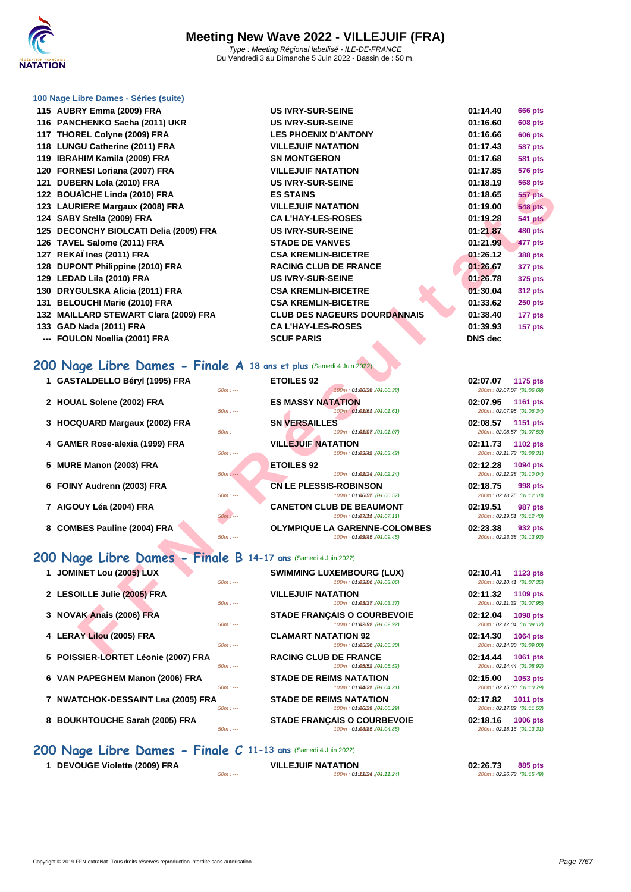

### **[100 Nage](http://www.ffnatation.fr/webffn/index.php) Libre Dames - Séries (suite)**

- **115 AUBRY Emma (2009) FRA US IVRY-SUR-SEINE 01:14.40 666 pts 116 PANCHENKO Sacha (2011) UKR US IVRY-SUR-SEINE 01:16.60 608 pts** 117 **THOREL Colyne (2009) FRA LES PHOENIX D'ANTONY 118 LUNGU Catherine (2011) FRA VILLEJUIF NATATION 01:17.43 587 pts 119 IBRAHIM Kamila (2009) FRA SN MONTGERON 120 FORNESI Loriana (2007) FRA VILLEJUIF NATATION 01:17.85 576 pts** 121 **DUBERN Lola (2010) FRA US IVRY-SUR-SEINE 122 BOUAÏCHE Linda (2010) FRA ES STAINS 01:18.65 557 pts 123 LAURIERE Margaux (2008) FRA VILLEJUIF NATATION 01:19.00 548 pts** 124 SABY Stella (2009) FRA<br>
CA L'HAY-LES-ROSES **125 DECONCHY BIOLCATI Delia (2009) FRA US IVRY-SUR-SEINE 01:21.87 480 pts 126 TAVEL Salome (2011) FRA STADE DE VANVES 01:21.99 477 pts 127 REKAÏ Ines (2011) FRA CSA KREMLIN-BICETRE 01:26.12 388 pts 128 DUPONT Philippine (2010) FRA** RACING CLUB DE FRANCE **129 LEDAD Lila (2010) FRA US IVRY-SUR-SEINE 01:26.78 375 pts 130 DRYGULSKA Alicia (2011) FRA CSA KREMLIN-BICETRE 01:30.04 312 pts 131 BELOUCHI Marie (2010) FRA CSA KREMLIN-BICETRE 132 MAILLARD STEWART Clara (2009) FRA CLUB DES NAGEURS DOURDANNAIS 01:38.40 177 pts** 133 **GAD Nada (2011) FRA CA L'HAY-LES-ROSES**
- -- **FOULON Noellia (2001) FRA SCUF PARIS**

## **200 Nage Libre Dames - Finale A 18 ans et plus** (Samedi 4 Juin 2022)

| 21 DODLINN LOIA (2010) I INA                                       | UU IVI\I "JUI\"JLIINL                                                           | v v. . <i>3</i><br>υυσ μιο                        |
|--------------------------------------------------------------------|---------------------------------------------------------------------------------|---------------------------------------------------|
| 22 BOUAÏCHE Linda (2010) FRA                                       | <b>ES STAINS</b>                                                                | 01:18.65<br><b>557 pts</b>                        |
| 23 LAURIERE Margaux (2008) FRA                                     | <b>VILLEJUIF NATATION</b>                                                       | 01:19.00<br><b>548 pts</b>                        |
| 24 SABY Stella (2009) FRA                                          | <b>CAL'HAY-LES-ROSES</b>                                                        | 01:19.28<br><b>541 pts</b>                        |
| 25 DECONCHY BIOLCATI Delia (2009) FRA                              | <b>US IVRY-SUR-SEINE</b>                                                        | 01:21.87<br><b>480 pts</b>                        |
| 26 TAVEL Salome (2011) FRA                                         | <b>STADE DE VANVES</b>                                                          | 01:21.99<br>477 pts                               |
| 27 REKAÏ Ines (2011) FRA                                           | <b>CSA KREMLIN-BICETRE</b>                                                      | 01:26.12<br><b>388 pts</b>                        |
| 28 DUPONT Philippine (2010) FRA                                    | <b>RACING CLUB DE FRANCE</b>                                                    | 01:26.67<br>377 pts                               |
| 29 LEDAD Lila (2010) FRA                                           | <b>US IVRY-SUR-SEINE</b>                                                        | 01:26.78<br>375 pts                               |
| 30 DRYGULSKA Alicia (2011) FRA                                     | <b>CSA KREMLIN-BICETRE</b>                                                      | 01:30.04<br><b>312 pts</b>                        |
| 31 BELOUCHI Marie (2010) FRA                                       | <b>CSA KREMLIN-BICETRE</b>                                                      | 01:33.62<br><b>250 pts</b>                        |
| 32 MAILLARD STEWART Clara (2009) FRA                               | <b>CLUB DES NAGEURS DOURDANNAIS</b>                                             | 01:38.40<br>177 pts                               |
| 33 GAD Nada (2011) FRA                                             | <b>CA L'HAY-LES-ROSES</b>                                                       | 01:39.93<br>157 pts                               |
| --- FOULON Noellia (2001) FRA                                      | <b>SCUF PARIS</b>                                                               | <b>DNS</b> dec                                    |
|                                                                    |                                                                                 |                                                   |
| 00 Nage Libre Dames - Finale A 18 ans et plus (Samedi 4 Juin 2022) |                                                                                 |                                                   |
| 1 GASTALDELLO Béryl (1995) FRA                                     | <b>ETOILES 92</b>                                                               | 02:07.07<br>1175 pts                              |
|                                                                    | 100m: 01:06038 : (01:00.38)<br>$50m: -$                                         | 200m: 02:07.07 (01:06.69)                         |
| 2 HOUAL Solene (2002) FRA                                          | <b>ES MASSY NATATION</b>                                                        | 02:07.95<br>1161 pts                              |
|                                                                    | 100m: 01:05.01 (04:01.61)<br>$50m: -$                                           | 200m: 02:07.95 (01:06.34)                         |
| 3 HOCQUARD Margaux (2002) FRA                                      | <b>SN VERSAILLES</b>                                                            | 02:08.57<br>1151 pts                              |
|                                                                    | 100m: 01:05077:(04:01.07)<br>$50m: -$                                           | 200m: 02:08.57 (01:07.50)                         |
| 4 GAMER Rose-alexia (1999) FRA                                     | <b>VILLEJUIF NATATION</b><br>100m: 01:03042 : (01:03.42)<br>$50m: -$            | 02:11.73<br>1102 pts<br>200m: 02:11.73 (01:08.31) |
| 5 MURE Manon (2003) FRA                                            | <b>ETOILES 92</b>                                                               | 02:12.28<br>1094 pts                              |
|                                                                    | $50m: -$<br>100m: 01:08(24 : (01:02.24)                                         | 200m: 02:12.28 (01:10.04)                         |
| 6 FOINY Audrenn (2003) FRA                                         | <b>CN LE PLESSIS-ROBINSON</b>                                                   | 02:18.75<br>998 pts                               |
|                                                                    | $50m: -$<br>100m: 01:06.57): (04:06.57)                                         | 200m: 02:18.75 (01:12.18)                         |
| 7 AIGOUY Léa (2004) FRA                                            | <b>CANETON CLUB DE BEAUMONT</b>                                                 | 02:19.51<br>987 pts                               |
|                                                                    | 100m: 01:080mm : (01:07.11)<br>50m : ---                                        | 200m: 02:19.51 (01:12.40)                         |
| 8 COMBES Pauline (2004) FRA                                        | <b>OLYMPIQUE LA GARENNE-COLOMBES</b><br>$50m: -$<br>100m: 01:09045 : (01:09.45) | 02:23.38<br>932 pts<br>200m: 02:23.38 (01:13.93)  |
|                                                                    |                                                                                 |                                                   |
| 00 Nage Libre Dames - Finale B 14-17 ans (Samedi 4 Juin 2022)      |                                                                                 |                                                   |
| 1 JOMINET Lou (2005) LUX                                           | <b>SWIMMING LUXEMBOURG (LUX)</b>                                                | 02:10.41<br>1123 pts                              |
|                                                                    | 100m: 01:03.06 : (01:03.06)<br>$50m: -$                                         | 200m: 02:10.41 (01:07.35)                         |
| 2 LESOILLE Julie (2005) FRA                                        | <b>VILLEJUIF NATATION</b>                                                       | 02:11.32<br>1109 pts                              |
|                                                                    | 100m: 01:03037: (04:03.37)<br>$50m: -$                                          | 200m: 02:11.32 (01:07.95)                         |
| 3 NOVAK Anais (2006) FRA                                           | <b>STADE FRANÇAIS O COURBEVOIE</b>                                              | 02:12.04<br>1098 pts                              |
|                                                                    | 100m: 01:08092 : (01:02.92)<br>$50m: -$                                         | 200m: 02:12.04 (01:09.12)                         |
| 4 LERAY Lilou (2005) FRA                                           | <b>CLAMART NATATION 92</b><br>$50m: -$<br>100m: 01:05/30 : (01:05.30)           | 02:14.30<br>1064 pts<br>200m: 02:14.30 (01:09.00) |
| $E$ DOICCIED LODTET Léania (2007) ED A                             | <b>DACING CLUB BE EDANCE</b>                                                    | 0.2.44.44<br>$AOCA = 1$                           |

### **200 Nage Libre Dames - Finale B 14-17 ans** (Samedi 4 Juin 2022)

| 1 JOMINET Lou (2005) LUX            |                 |
|-------------------------------------|-----------------|
| 2 LESOILLE Julie (2005) FRA         | 50              |
| 3 NOVAK Anais (2006) FRA            | 50 <sub>1</sub> |
|                                     | 50 <sub>1</sub> |
| 4 LERAY Lilou (2005) FRA            | 50 <sub>1</sub> |
| 5 POISSIER-LORTET Léonie (2007) FRA | 50              |
| 6 VAN PAPEGHEM Manon (2006) FRA     | 50 <sub>1</sub> |
| 7 NWATCHOK-DESSAINT Lea (2005) FRA  |                 |
|                                     | 50              |

- 
- 
- **200 Nage Libre Dames Finale C 11-13 ans** (Samedi 4 Juin 2022)
	-

 $5.50$  m : ---  $100$  m : 01:05.52 (01:05.52) **6 STADE DE REIMS NATATION**  $5.50$  m : --- 100m : 01:04.21 150m : 01:04.21

**STADE DE REIMS NATATION**  $5.50$  m : --- 100m : 01:06.29 (01:06.29)

**8** BOUKHTOUCHE Sarah (2005) FRA<br>  $\frac{50m}{100m}$  STADE FRANÇAIS O COURBEVOIE  $100m : 01:04.85 : (01:04.85)$ 

**1 DEVOUGE Violette (2009) FRA 1 DEVOUGE Violette (2009) FRA 1 100m**: **01:15.49 02:26.73 02:26.73 02:26.73 01:15.49 02:26.73 01:15.49**  $100m : 01:1524:(01:11.24)$ 

| 01:14.40       | 666 pts        |
|----------------|----------------|
| 01:16.60       | 608 pts        |
| 01:16.66       | 606 pts        |
| 01:17.43       | 587 pts        |
| 01:17.68       | 581 pts        |
| 01:17.85       | 576 pts        |
| 01:18.19       | 568 pts        |
| 01:18.65       | 557 pts        |
| 01:19.00       | <b>548 pts</b> |
| 01:19.28       | <b>541 pts</b> |
| 01:21.87       | <b>480 pts</b> |
| 01:21.99       | 477 pts        |
| 01:26.12       | 388 pts        |
| 01:26.67       | 377 pts        |
| 01:26.78       | 375 pts        |
| 01:30.04       | <b>312 pts</b> |
| 01:33.62       | <b>250 pts</b> |
| 01:38.40       | 177 pts        |
| 01:39.93       | 157 pts        |
| <b>DNS</b> dec |                |
|                |                |

| 02:07.07 1175 pts | 200m: 02:07.07 (01:06.69) |
|-------------------|---------------------------|
| 02:07.95 1161 pts | 200m: 02:07.95 (01:06.34) |
| 02:08.57 1151 pts | 200m: 02:08.57 (01:07.50) |
| 02:11.73 1102 pts | 200m: 02:11.73 (01:08.31) |
| 02:12.28 1094 pts | 200m: 02:12.28 (01:10.04) |
| 02:18.75 998 pts  | 200m: 02:18.75 (01:12.18) |
| 02:19.51 987 pts  | 200m: 02:19.51 (01:12.40) |
| 02:23.38 932 pts  | 200m: 02:23.38 (01:13.93) |

| 02:10.41 1123 pts |                           |
|-------------------|---------------------------|
|                   | 200m: 02:10.41 (01:07.35) |
| 02:11.32 1109 pts |                           |
|                   | 200m: 02:11.32 (01:07.95) |
| 02:12.04 1098 pts |                           |
|                   | 200m: 02:12.04 (01:09.12) |
| 02:14.30 1064 pts |                           |
|                   | 200m: 02:14.30 (01:09.00) |
|                   |                           |
| 02:14.44 1061 pts |                           |
|                   | 200m: 02:14.44 (01:08.92) |
| 02:15.00 1053 pts |                           |
|                   | 200m: 02:15.00 (01:10.79) |
| 02:17.82 1011 pts |                           |
|                   | 200m: 02:17.82 (01:11.53) |
| 02:18.16 1006 pts |                           |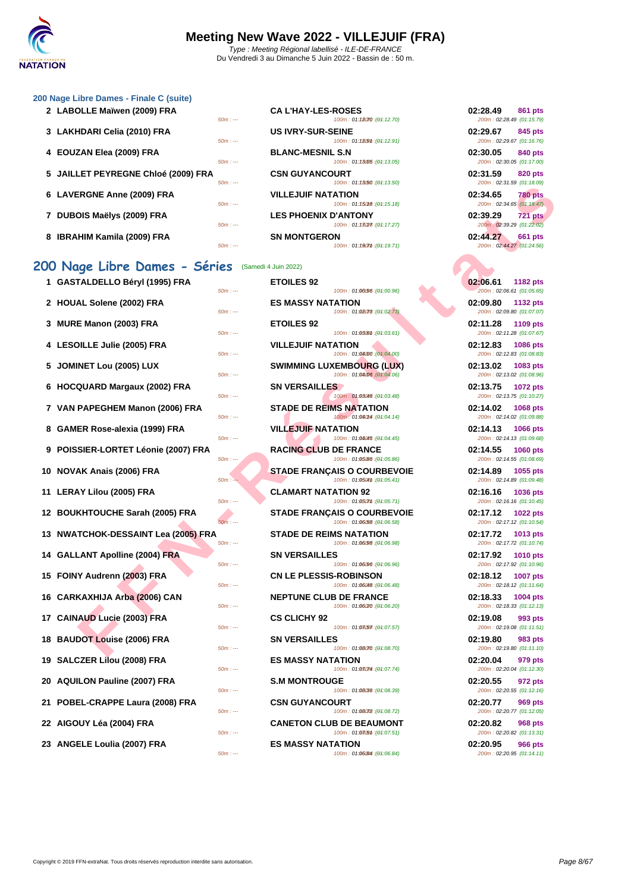### **[200 Nage](http://www.ffnatation.fr/webffn/index.php) Libre Dames - Finale C (suite)**

|  | 2 LABOLLE Maiwen (2009) FRA         |                             | <b>CAL HAY-LES-ROSES</b>    | 02.28.49                  | 861 pts        |
|--|-------------------------------------|-----------------------------|-----------------------------|---------------------------|----------------|
|  |                                     | $50m: -$                    | 100m: 01:18070 : (04:12.70) | 200m: 02:28.49 (01:15.79) |                |
|  | 3 LAKHDARI Celia (2010) FRA         |                             | <b>US IVRY-SUR-SEINE</b>    | 02:29.67                  | 845 pts        |
|  |                                     | $50m: -$                    | 100m: 01:12.91 : (04:12.91) | 200m: 02:29.67 (01:16.76) |                |
|  | 4 EOUZAN Elea (2009) FRA            |                             | <b>BLANC-MESNIL S.N</b>     | 02:30.05                  | 840 pts        |
|  |                                     | $50m: -$                    | 100m: 01:13005:(04:13.05)   | 200m: 02:30.05 (01:17.00) |                |
|  | 5 JAILLET PEYREGNE Chloé (2009) FRA |                             | <b>CSN GUYANCOURT</b>       | 02:31.59                  | 820 pts        |
|  | $50m: -$                            | 100m: 01:13(50 : (04:13.50) | 200m: 02:31.59 (01:18.09)   |                           |                |
|  | 6 LAVERGNE Anne (2009) FRA          |                             | <b>VILLEJUIF NATATION</b>   | 02:34.65                  | <b>780 pts</b> |
|  |                                     | $50m: -$                    | 100m: 01:15018 : (04:15.18) | 200m: 02:34.65 (01:19.47) |                |
|  | 7 DUBOIS Maëlys (2009) FRA          |                             | <b>LES PHOENIX D'ANTONY</b> | 02:39.29                  | <b>721 pts</b> |
|  |                                     | $50m: -$                    | 100m: 01:13027 : (01:17.27) | 200m: 02:39.29 (01:22.02) |                |
|  |                                     |                             |                             |                           |                |

**8 IBRAHIM Kamila (2009) FRA 6600 pts** 

## **200 Nage Libre Dames - Séries** (Samedi 4 Juin 2022)

| ר GASTALDELLO Beryi (1995) FRA<br>$50m: -$      | ETUILES 92<br>100m: 01:00096 : (01:00.96)                          | <b>UZ:00.01</b><br>1182 pts<br>200m: 02:06.61 (01:05.65) |
|-------------------------------------------------|--------------------------------------------------------------------|----------------------------------------------------------|
| 2 HOUAL Solene (2002) FRA<br>$50m: -$           | <b>ES MASSY NATATION</b><br>100m: 01:08078 : (01:02.73)            | 02:09.80<br><b>1132 pts</b><br>200m: 02:09.80 (01:07.07, |
| 3 MURE Manon (2003) FRA<br>$50m: -$             | <b>ETOILES 92</b><br>100m: 01:03.61 : (04:03.61)                   | 02:11.28<br>1109 pts<br>200m: 02:11.28 (01:07.67)        |
| 4 LESOILLE Julie (2005) FRA<br>$50m: -$         | <b>VILLEJUIF NATATION</b><br>100m: 01:04/00 : (01:04.00)           | 02:12.83<br><b>1086 pts</b><br>200m: 02:12.83 (01:08.83) |
| 5 JOMINET Lou (2005) LUX<br>$50m: -$            | <b>SWIMMING LUXEMBOURG (LUX)</b><br>100m: 01:04:06 : (01:04.06)    | 02:13.02<br>1083 pts<br>200m: 02:13.02 (01:08.96)        |
| 6 HOCQUARD Margaux (2002) FRA<br>$50m: -$       | <b>SN VERSAILLES</b><br>100m: 01:03048 : (01:03.48)                | 02:13.75<br><b>1072 pts</b><br>200m: 02:13.75 (01:10.27) |
| 7 VAN PAPEGHEM Manon (2006) FRA<br>$50m: -$     | <b>STADE DE REIMS NATATION</b><br>100m: 01:040m4 : (01:04.14)      | 02:14.02<br>1068 pts<br>200m: 02:14.02 (01:09.88)        |
| 8 GAMER Rose-alexia (1999) FRA<br>$50m: -$      | <b>VILLEJUIF NATATION</b><br>100m: 01:04045 : (01:04.45)           | 02:14.13<br><b>1066 pts</b><br>200m: 02:14.13 (01:09.68) |
| 9 POISSIER-LORTET Léonie (2007) FRA<br>$50m: -$ | <b>RACING CLUB DE FRANCE</b><br>100m: 01:05/86 : (01:05.86)        | 02:14.55<br><b>1060 pts</b><br>200m: 02:14.55 (01:08.69) |
| 10 NOVAK Anais (2006) FRA<br>$50m: -$           | <b>STADE FRANCAIS O COURBEVOIE</b><br>100m: 01:0504th : (01:05.41) | 02:14.89<br>1055 pts<br>200m: 02:14.89 (01:09.48)        |
| 11 LERAY Lilou (2005) FRA<br>$50m: -$           | <b>CLAMART NATATION 92</b><br>100m: 01:050mm : (01:05.71)          | 02:16.16<br><b>1036 pts</b><br>200m: 02:16.16 (01:10.45) |
| 12 BOUKHTOUCHE Sarah (2005) FRA<br>$50m: -$     | <b>STADE FRANCAIS O COURBEVOIE</b><br>100m: 01:06:58 : (01:06.58)  | 02:17.12<br><b>1022 pts</b><br>200m: 02:17.12 (01:10.54) |
| 13 NWATCHOK-DESSAINT Lea (2005) FRA<br>$50m: -$ | <b>STADE DE REIMS NATATION</b><br>100m: 01:06/98 : (01:06.98)      | 02:17.72<br>1013 pts<br>200m: 02:17.72 (01:10.74)        |
| 14 GALLANT Apolline (2004) FRA<br>$50m: -$      | <b>SN VERSAILLES</b><br>100m: 01:06/96 : (01:06.96)                | 02:17.92<br>1010 pts<br>200m: 02:17.92 (01:10.96)        |
| 15 FOINY Audrenn (2003) FRA<br>$50m: -$         | <b>CN LE PLESSIS-ROBINSON</b><br>100m: 01:06048 : (01:06.48)       | 02:18.12<br><b>1007 pts</b><br>200m: 02:18.12 (01:11.64) |
| 16 CARKAXHIJA Arba (2006) CAN<br>$50m: -$       | <b>NEPTUNE CLUB DE FRANCE</b><br>100m: 01:06/20 : (01:06.20)       | 02:18.33<br><b>1004 pts</b><br>200m: 02:18.33 (01:12.13) |
| 17 CAINAUD Lucie (2003) FRA<br>$50m: -$         | <b>CS CLICHY 92</b><br>100m: 01:08/57 : (01:07.57)                 | 02:19.08<br>993 pts<br>200m: 02:19.08 (01:11.51)         |
| 18 BAUDOT Louise (2006) FRA<br>$50m: -$         | <b>SN VERSAILLES</b><br>100m: 01:08070 : (01:08.70)                | 02:19.80<br>983 pts<br>200m: 02:19.80 (01:11.10)         |
| 19 SALCZER Lilou (2008) FRA<br>$50m: -$         | <b>ES MASSY NATATION</b><br>100m: 01:08074 : (01:07.74)            | 02:20.04<br>979 pts<br>200m: 02:20.04 (01:12.30)         |
| 20 AQUILON Pauline (2007) FRA<br>$50m: -$       | <b>S.M MONTROUGE</b><br>100m: 01:08(39 : (01:08.39)                | 02:20.55<br>972 pts<br>200m: 02:20.55 (01:12.16)         |
| 21 POBEL-CRAPPE Laura (2008) FRA<br>$50m: -$    | <b>CSN GUYANCOURT</b><br>100m: 01:08072 : (01:08.72)               | 02:20.77<br>969 pts<br>200m: 02:20.77 (01:12.05)         |
| 22 AIGOUY Léa (2004) FRA<br>$50m: -$            | <b>CANETON CLUB DE BEAUMONT</b><br>100m: 01:08/5th: (01:07.51)     | 02:20.82<br>968 pts<br>200m: 02:20.82 (01:13.31)         |
| $22$ ANCELE Loulis (2007) EDA                   | EC MACCV NATATION                                                  | በኃ-ኃበ በნ<br>$QGE$ nto                                    |

| 2 LABOLLE Maïwen (2009) FRA         | $50m: -$ | <b>CAL'HAY-LES-ROSES</b><br>100m: 01:12070:(04:12.70)    | 02:28.49<br>200m: 02:28.49 (01:15.79) | <b>861 pts</b> |
|-------------------------------------|----------|----------------------------------------------------------|---------------------------------------|----------------|
| 3 LAKHDARI Celia (2010) FRA         | $50m: -$ | <b>US IVRY-SUR-SEINE</b><br>100m: 01:12.91 : (01:12.91)  | 02:29.67<br>200m: 02:29.67 (01:16.76) | 845 pts        |
| 4 EOUZAN Elea (2009) FRA            | $50m: -$ | <b>BLANC-MESNIL S.N</b><br>100m: 01:13005 : (01:13.05)   | 02:30.05<br>200m: 02:30.05 (01:17.00) | <b>840 pts</b> |
| 5 JAILLET PEYREGNE Chloé (2009) FRA | $50m: -$ | <b>CSN GUYANCOURT</b><br>100m: 01:1350:(04:13.50)        | 02:31.59<br>200m: 02:31.59 (01:18.09) | <b>820 pts</b> |
| 6 LAVERGNE Anne (2009) FRA          | $50m: -$ | <b>VILLEJUIF NATATION</b><br>100m: 01:150f8 : (04:15.18) | 02:34.65<br>200m: 02:34.65 (01:19.47) | <b>780 pts</b> |
| 7 DUBOIS Maëlys (2009) FRA          | $50m: -$ | <b>LES PHOENIX D'ANTONY</b><br>100m: 01:1327::(04:17.27) | 02:39.29<br>200m: 02:39.29 (01:22.02) | <b>721 pts</b> |
| 8 IBRAHIM Kamila (2009) FRA         |          | <b>SN MONTGERON</b>                                      | 02:44.27                              | <b>661 pts</b> |

### **F F N - R é s u l t a t s 1 GASTALDELLO Béryl (1995) FRA ETOILES 92 02:06.61 1182 pts**  $50m : -100m : 01:00000$  :  $(04:00.96)$ **22 BUAL SOLENE (2002) FRANK** 50m : ---  $100m : 01:02.73$  $50m$  : ---  $100m$  : 01:03.61) **400m 100m 100m 100m 100m 100m 101** 100m : 01:04.00 : (01:04.00) **SWIMMING LUXEMBOURG (LUX)** 50m : --- 100m : 01:04.06 100m : 01:04.06) **60 <b>SN VERSAILLES** 100m : 01:03018 : (01:03.48) **STADE DE REIMS NATATION**  $50m$  : ---  $100m$  : 01:080M : (01:04.14) **8 WILLEJUIF NATATION**  $100m$  : 01:04045 : (01:04.45) **POING CLUB DE FRANCE** 50m : --- 100m : 01:05.86 10m : --- (01:05.86) 200m : 02:14.55 (01:08.69) **100m 02:04:05 <b>100m 02:05:44 0 100m 02:05:44 0 105:44 0 105:44 05:44 0 105:44 05:44 05:44 05:44 05:44 05:44 05:44 05:44 05:44 05:44 05:44 05:44 05:44 05:44 05:44 05:44** 100m : 01:05.41 (01:05.41) **12 CLAMART NATATION 92**  $50m$  :  $- 100m$  :  $01:05cm$   $(04:05.71)$ **120 <b>BUKHTOUCHE SARAH (2006)** SARAH SARAH (2006) FRANÇAIS O COURBEVOIE 100m : 01:06.58 : (01:06.58) **13 NWATCHOK-DESSAINT Lea (2005) FRA STADE DE REIMS NATATION 02:17.72 1013 pts** 50m : --- 100m : 01:06.98 150m : --- (01:06.98) 200m : 02:17.72 (01:10.74) **14 14 CALLANT SN VERSAILLES** 100m : 01:06096 : (01:06.96) **100m** :  $\frac{1}{2}$  **CN LE PLESSIS-ROBINSON** 100m : 01:06048 : (01:06.48) **100m** :  $\frac{1}{2}$  **NEPTUNE CLUB DE FRANCE**  $100m : 01:06.20$  : (01:06.20) **17 CS CLICHY 92**  $100m : 01:08:57 : (01:07.57)$ **18 BAUDON SN VERSAILLES** 100m : 01:08070 : (01:08.70) **199 <b>ES MASSY NATATION ES**  $100m : 01:0$  BOM :  $(04:07.74)$ **20 <b>20 2007 2007 2007 2007 2007 2007 2007 2007 2007 2007 2007 2007** 100m : 01:08.39 (01:08.39) 100m : 01:08072 : (01:08.72) **22 CANETON CLUB DE BEAUMONT**<br>
2008 **CANETON CLUB** DE **BEAUMONT**  $100m$  :  $01:0$  B(5th : (04:07.51) **23 ANGELE Loulia (2007) FRA ES MASSY NATATION 02:20.95 966 pts**  $50m : -100m : 01:06.84$  ( $\theta$ 1:06.84) 200m : 02:20.95 (0.1.11)

| <b>ROSES</b><br>100m: 01:12070 : (01:12.70)      | 02:28.49<br>861 pts<br>200m: 02:28.49 (01:15.79)        |
|--------------------------------------------------|---------------------------------------------------------|
| EINE<br>100m: 01:1209m: (04:12.91)               | 02:29.67<br>845 pts<br>200m: 02:29.67 (01:16.76)        |
| . S.N<br>100m: 01:13005 : (01:13.05)             | 02:30.05<br>840 pts<br>200m: 02:30.05 (01:17.00)        |
| <b>IURT</b><br>100m: 01:13/50 : (01:13.50)       | 02:31.59<br>820 pts<br>200m: 02:31.59 (01:18.09)        |
| <b>ATION</b><br>100m: 01:15018 : (01:15.18)      | 02:34.65 780 pts<br>200m: 02:34.65 (01:19.47)           |
| <b>ANTONY'</b> כ<br>100m: 01:13(2)7 : (01:17.27) | 02:39.29 721 pts<br>200m: 02:39.29 (01:22.02)           |
| ۱N<br>100m: 01:190mm: (01:19.71)                 | 02:44.27<br><b>661 pts</b><br>200m: 02:44.27 (01:24.56) |

| 02:06.61<br><b>1182 pts</b><br>200m: 02:06.61 (01:05.65) |  |
|----------------------------------------------------------|--|
| <b>1132 pts</b><br>02:09.80                              |  |
| 200m: 02:09.80 (01:07.07)<br>02:11.28<br>1109 pts        |  |
| 200m: 02:11.28 (01:07.67)<br>02:12.83<br>1086 pts        |  |
| 200m: 02:12.83 (01:08.83)<br>02:13.02<br>1083 pts        |  |
| 200m: 02:13.02 (01:08.96)<br>02:13.75<br>1072 pts        |  |
| 200m: 02:13.75 (01:10.27)<br>02:14.02<br>1068 pts        |  |
| 200m: 02:14.02 (01:09.88)<br>02:14.13<br>1066 pts        |  |
| 200m: 02:14.13 (01:09.68)<br>02:14.55<br><b>1060 pts</b> |  |
| 200m: 02:14.55 (01:08.69)<br>02:14.89<br>1055 pts        |  |
| 200m: 02:14.89 (01:09.48)<br>02:16.16<br>1036 pts        |  |
| 200m: 02:16.16 (01:10.45)<br>02:17.12<br><b>1022 pts</b> |  |
| 200m: 02:17.12 (01:10.54)<br>02:17.72<br>1013 pts        |  |
| 200m: 02:17.72 (01:10.74)<br>02:17.92<br>1010 pts        |  |
| 200m: 02:17.92 (01:10.96)<br>02:18.12<br><b>1007 pts</b> |  |
| 200m: 02:18.12 (01:11.64)<br>02:18.33<br><b>1004 pts</b> |  |
| 200m: 02:18.33 (01:12.13)<br>02:19.08<br>993 pts         |  |
| 200m: 02:19.08 (01:11.51)<br>02:19.80<br>983 pts         |  |
| 200m: 02:19.80 (01:11.10)<br>02:20.04<br>979 pts         |  |
| 200m: 02:20.04 (01:12.30)<br>02:20.55<br>972 pts         |  |
| 200m: 02:20.55 (01:12.16)<br>02:20.77<br><b>969 pts</b>  |  |
| 200m: 02:20.77 (01:12.05)<br>02:20.82<br><b>968 pts</b>  |  |
| 200m: 02:20.82 (01:13.31)<br>02:20.95<br>966 pts         |  |
| $200m \cdot 02.2095 (01.1411)$                           |  |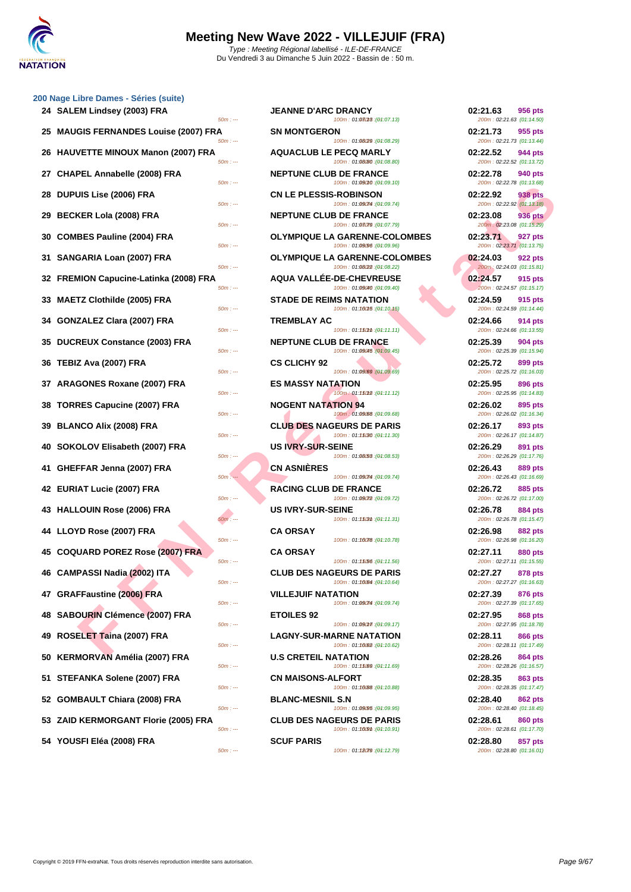|    | 200 Nage Libre Dames - Séries (suite)              |                                                                                                    |                                                                               |
|----|----------------------------------------------------|----------------------------------------------------------------------------------------------------|-------------------------------------------------------------------------------|
|    | 24 SALEM Lindsey (2003) FRA<br>$50m: -$            | <b>JEANNE D'ARC DRANCY</b><br>100m: 01:08018 : (01:07.13)                                          | 02:21.63<br><b>956 pts</b><br>200m: 02:21.63 (01:14.50)                       |
|    | 25 MAUGIS FERNANDES Louise (2007) FRA<br>$50m: -$  | <b>SN MONTGERON</b><br>100m: 01:08/29 : (01:08.29)                                                 | 02:21.73<br>955 pts<br>200m: 02:21.73 (01:13.44)                              |
|    | 26 HAUVETTE MINOUX Manon (2007) FRA<br>$50m: -$    | <b>AQUACLUB LE PECQ MARLY</b><br>100m: 01:08/80 : (01:08.80)                                       | 02:22.52<br>944 pts<br>200m: 02:22.52 (01:13.72)                              |
| 27 | <b>CHAPEL Annabelle (2008) FRA</b><br>$50m: -$     | <b>NEPTUNE CLUB DE FRANCE</b><br>100m: 01:09010 : (01:09.10)                                       | 02:22.78<br>940 pts<br>200m: 02:22.78 (01:13.68)                              |
| 28 | <b>DUPUIS Lise (2006) FRA</b><br>$50m: -$          | <b>CN LE PLESSIS-ROBINSON</b><br>100m: 01:09074 : (01:09.74)                                       | 02:22.92<br>938 pts<br>200m: 02:22.92 (01:13.18)                              |
| 29 | <b>BECKER Lola (2008) FRA</b><br>$50m: -$          | <b>NEPTUNE CLUB DE FRANCE</b><br>100m: 01:08079 : (01:07.79)                                       | 02:23.08<br>936 pts<br>200m: 02:23.08 (01:15.29)                              |
| 30 | <b>COMBES Pauline (2004) FRA</b>                   | <b>OLYMPIQUE LA GARENNE-COLOMBES</b>                                                               | 02:23.71<br>927 pts                                                           |
| 31 | $50m: -$<br>SANGARIA Loan (2007) FRA<br>$50m: -$   | 100m: 01:09/96 : (01:09.96)<br><b>OLYMPIQUE LA GARENNE-COLOMBES</b><br>100m: 01:08/22 : (01:08.22) | 200m: 02:23.71 (01:13.75)<br>02:24.03<br>922 pts<br>200m: 02:24.03 (01:15.81) |
|    | 32 FREMION Capucine-Latinka (2008) FRA<br>$50m: -$ | <b>AQUA VALLEE-DE-CHEVREUSE</b><br>100m: 01:09040 : (01:09.40)                                     | 02:24.57<br>915 pts<br>200m: 02:24.57 (01:15.17)                              |
| 33 | <b>MAETZ Clothilde (2005) FRA</b><br>$50m: -$      | <b>STADE DE REIMS NATATION</b><br>100m: 01:10015 : (01:10.15)                                      | 02:24.59<br>915 pts<br>200m: 02:24.59 (01:14.44)                              |
| 34 | <b>GONZALEZ Clara (2007) FRA</b><br>$50m: -$       | <b>TREMBLAY AC</b><br>100m: 01:150mm : (04:11.11)                                                  | 02:24.66<br>914 pts<br>200m: 02:24.66 (01:13.55)                              |
| 35 | <b>DUCREUX Constance (2003) FRA</b><br>$50m: -$    | <b>NEPTUNE CLUB DE FRANCE</b><br>100m: 01:09045 : (01:09.45)                                       | 02:25.39<br>904 pts<br>200m: 02:25.39 (01:15.94)                              |
| 36 | TEBIZ Ava (2007) FRA<br>$50m: -$                   | <b>CS CLICHY 92</b><br>100m: 01:09/69 : (01:09.69)                                                 | 02:25.72<br>899 pts<br>200m: 02:25.72 (01:16.03)                              |
| 37 | <b>ARAGONES Roxane (2007) FRA</b><br>$50m: -$      | <b>ES MASSY NATATION</b><br>100m: 01:15012 :(01:11.12)                                             | 02:25.95<br>896 pts<br>200m: 02:25.95 (01:14.83)                              |
| 38 | <b>TORRES Capucine (2007) FRA</b><br>$50m: -$      | <b>NOGENT NATATION 94</b><br>(04:09.68): 01:09.68                                                  | 02:26.02<br>895 pts<br>200m: 02:26.02 (01:16.34)                              |
| 39 | <b>BLANCO Alix (2008) FRA</b><br>$50m: -$          | <b>CLUB DES NAGEURS DE PARIS</b><br>100m: 01:15030 :(01:11.30)                                     | 02:26.17<br>893 pts<br>200m: 02:26.17 (01:14.87)                              |
| 40 | SOKOLOV Elisabeth (2007) FRA<br>$50m: -$           | <b>US IVRY-SUR-SEINE</b><br>100m: 01:08/53 : (01:08.53)                                            | 02:26.29<br>891 pts<br>200m: 02:26.29 (01:17.76)                              |
| 41 | GHEFFAR Jenna (2007) FRA<br>$50m: -$               | <b>CN ASNIÈRES</b><br>100m: 01:09074 : (01:09.74)                                                  | 02:26.43<br>889 pts<br>200m: 02:26.43 (01:16.69)                              |
|    | 42 EURIAT Lucie (2007) FRA<br>$50m: -$             | <b>RACING CLUB DE FRANCE</b><br>100m: 01:09072 : (01:09.72)                                        | 02:26.72<br>885 pts<br>200m: 02:26.72 (01:17.00)                              |
|    | 43 HALLOUIN Rose (2006) FRA<br>$50m: -$            | <b>US IVRY-SUR-SEINE</b><br>100m: 01:1503th: (01:11.31)                                            | 02:26.78<br>884 pts<br>200m: 02:26.78 (01:15.47)                              |
|    | 44 LLOYD Rose (2007) FRA<br>$50m: -$               | <b>CA ORSAY</b><br>100m: 01:10078 : (01:10.78)                                                     | 02:26.98<br>882 pts<br>200m: 02:26.98 (01:16.20)                              |
|    | 45 COQUARD POREZ Rose (2007) FRA<br>$50m: -$       | <b>CA ORSAY</b><br>100m: 01:15056 : (01:11.56)                                                     | 02:27.11<br>880 pts<br>200m: 02:27.11 (01:15.55)                              |
|    | 46   CAMPASSI Nadia (2002) ITA<br>$50m: -$         | <b>CLUB DES NAGEURS DE PARIS</b><br>100m: 01:10004 : (01:10.64)                                    | 02:27.27<br>878 pts<br>200m: 02:27.27 (01:16.63)                              |
| 47 | <b>GRAFFaustine (2006) FRA</b><br>$50m: -$         | <b>VILLEJUIF NATATION</b><br>100m: 01:09074 : (01:09.74)                                           | 02:27.39<br>876 pts<br>200m: 02:27.39 (01:17.65)                              |
| 48 | <b>SABOURIN Clémence (2007) FRA</b><br>$50m: -$    | <b>ETOILES 92</b><br>100m: 01:090f7 : (01:09.17)                                                   | 02:27.95<br>868 pts<br>200m: 02:27.95 (01:18.78)                              |
| 49 | ROSELET Taina (2007) FRA<br>$50m: -$               | <b>LAGNY-SUR-MARNE NATATION</b><br>100m: 01:10082 : (01:10.62)                                     | 02:28.11<br>866 pts<br>200m: 02:28.11 (01:17.49)                              |
| 50 | KERMORVAN Amélia (2007) FRA<br>$50m: -$            | <b>U.S CRETEIL NATATION</b><br>100m: 01:15089 : (01:11.69)                                         | 02:28.26<br>864 pts<br>200m: 02:28.26 (01:16.57)                              |
| 51 | STEFANKA Solene (2007) FRA<br>$50m: -$             | <b>CN MAISONS-ALFORT</b><br>100m: 01:10088 : (01:10.88)                                            | 02:28.35<br>863 pts<br>200m: 02:28.35 (01:17.47)                              |
|    | 52 GOMBAULT Chiara (2008) FRA<br>$50m: -$          | <b>BLANC-MESNIL S.N</b><br>100m: 01:09/95 : (01:09.95)                                             | 02:28.40<br>862 pts<br>200m: 02:28.40 (01:18.45)                              |
|    | 53   ZAID KERMORGANT Florie (2005) FRA<br>$50m: -$ | <b>CLUB DES NAGEURS DE PARIS</b><br>100m: 01:1609m: (01:10.91)                                     | 02:28.61<br>860 pts<br>200m: 02:28.61 (01:17.70)                              |
|    | 54 YOUSFI Eléa (2008) FRA<br>$50m: -$              | <b>SCUF PARIS</b><br>100m: 01:18079 : (01:12.79)                                                   | 02:28.80<br>857 pts<br>200m: 02:28.80 (01:16.01)                              |
|    |                                                    |                                                                                                    |                                                                               |

| 50m : ---      | <b>JEANNE D'ARC DRANCY</b>       | 100m: 01:080f8 : (01:07.13)                                         | 02:21.63<br>200m: 02:21.63 (01:14.50) | 956 pts |
|----------------|----------------------------------|---------------------------------------------------------------------|---------------------------------------|---------|
| ۹<br>50m : --- | <b>SN MONTGERON</b>              | 100m: 01:08/29 : (01:08.29)                                         | 02:21.73<br>200m: 02:21.73 (01:13.44) | 955 pts |
| $50m: -$       | <b>AQUACLUB LE PECQ MARLY</b>    | 100m: 01:08/80 : (01:08.80)                                         | 02:22.52<br>200m: 02:22.52 (01:13.72) | 944 pts |
| 50m : ---      | <b>NEPTUNE CLUB DE FRANCE</b>    | 100m: 01:09010 : (01:09.10)                                         | 02:22.78<br>200m: 02:22.78 (01:13.68) | 940 pts |
| 50m : ---      | <b>CN LE PLESSIS-ROBINSON</b>    | 100m: 01:09074 : (01:09.74)                                         | 02:22.92<br>200m: 02:22.92 (01:13.18) | 938 pts |
| 50m : ---      | <b>NEPTUNE CLUB DE FRANCE</b>    | 100m: 01:08079 : (01:07.79)                                         | 02:23.08<br>200m: 02:23.08 (01:15.29) | 936 pts |
| 50m : ---      |                                  | <b>OLYMPIQUE LA GARENNE-COLOMBES</b><br>100m: 01:09.96 : (01:09.96) | 02:23.71<br>200m: 02:23.71 (01:13.75) | 927 pts |
| 50m : ---      |                                  | <b>OLYMPIQUE LA GARENNE-COLOMBES</b><br>100m: 01:08/22 : (01:08.22) | 02:24.03<br>200m: 02:24.03 (01:15.81) | 922 pts |
| 50m : ---      | <b>AQUA VALLEE-DE-CHEVREUSE</b>  | 100m: 01:09040 : (01:09.40)                                         | 02:24.57<br>200m: 02:24.57 (01:15.17) | 915 pts |
| 50m : ---      | <b>STADE DE REIMS NATATION</b>   | 100m: 01:160f5 : (01:10.15)                                         | 02:24.59<br>200m: 02:24.59 (01:14.44) | 915 pts |
| 50m : ---      | <b>TREMBLAY AC</b>               | 100m: 01:150mm : (04:11.11)                                         | 02:24.66<br>200m: 02:24.66 (01:13.55) | 914 pts |
| $50m: -$       | <b>NEPTUNE CLUB DE FRANCE</b>    | 100m: 01:09045 : (01:09.45)                                         | 02:25.39<br>200m: 02:25.39 (01:15.94) | 904 pts |
| 50m : ---      | <b>CS CLICHY 92</b>              | 100m: 01:09:69 : (01:09.69)                                         | 02:25.72<br>200m: 02:25.72 (01:16.03) | 899 pts |
| 50m : ---      | <b>ES MASSY NATATION</b>         | 100m: 01:15012 : (01:11.12)                                         | 02:25.95<br>200m: 02:25.95 (01:14.83) | 896 pts |
| 50m : ---      | <b>NOGENT NATATION 94</b>        | (04:09.68): 01:09.68                                                | 02:26.02<br>200m: 02:26.02 (01:16.34) | 895 pts |
| 50m : ---      | <b>CLUB DES NAGEURS DE PARIS</b> | 100m: 01:15030 : (04:11.30)                                         | 02:26.17<br>200m: 02:26.17 (01:14.87) | 893 pts |
| 50m : ---      | <b>US IVRY-SUR-SEINE</b>         | 100m: 01:08/53 : (01:08.53)                                         | 02:26.29<br>200m: 02:26.29 (01:17.76) | 891 pts |
| 50m : ---      | <b>CN ASNIERES</b>               | 100m: 01:09074 : (01:09.74)                                         | 02:26.43<br>200m: 02:26.43 (01:16.69) | 889 pts |
| 50m : ---      | <b>RACING CLUB DE FRANCE</b>     | 100m: 01:09072 : (01:09.72)                                         | 02:26.72<br>200m: 02:26.72 (01:17.00) | 885 pts |
| $50m: -$       | <b>US IVRY-SUR-SEINE</b>         | 100m: 01:15(3th : (01:11.31)                                        | 02:26.78<br>200m: 02:26.78 (01:15.47) | 884 pts |
| 50m : ---      | <b>CA ORSAY</b>                  | 100m: 01:10078 : (01:10.78)                                         | 02:26.98<br>200m: 02:26.98 (01:16.20) | 882 pts |
| 50m : ---      | <b>CA ORSAY</b>                  | 100m: 01:15:56 : (01:11.56)                                         | 02:27.11<br>200m: 02:27.11 (01:15.55) | 880 pts |
| 50m : ---      | <b>CLUB DES NAGEURS DE PARIS</b> | 100m: 01:10004 : (01:10.64)                                         | 02:27.27<br>200m: 02:27.27 (01:16.63) | 878 pts |
| 50m : ---      | <b>VILLEJUIF NATATION</b>        | 100m: 01:09074 : (01:09.74)                                         | 02:27.39<br>200m: 02:27.39 (01:17.65) | 876 pts |
| 50m : ---      | <b>ETOILES 92</b>                | 100m: 01:090f7 : (01:09.17)                                         | 02:27.95<br>200m: 02:27.95 (01:18.78) | 868 pts |
| $50m: -$       | <b>LAGNY-SUR-MARNE NATATION</b>  | 100m: 01:10002 : (01:10.62)                                         | 02:28.11<br>200m: 02:28.11 (01:17.49) | 866 pts |
| 50m : ---      | <b>U.S CRETEIL NATATION</b>      | 100m: 01:15099 : (01:11.69)                                         | 02:28.26<br>200m: 02:28.26 (01:16.57) | 864 pts |
| $50m: -$       | <b>CN MAISONS-ALFORT</b>         | 100m: 01:10088 : (01:10.88)                                         | 02:28.35<br>200m: 02:28.35 (01:17.47) | 863 pts |
| 50m : ---      | <b>BLANC-MESNIL S.N</b>          | 100m: 01:09.95 : (01:09.95)                                         | 02:28.40<br>200m: 02:28.40 (01:18.45) | 862 pts |
| 50m : ---      | <b>CLUB DES NAGEURS DE PARIS</b> | 100m: 01:1009m: (04:10.91)                                          | 02:28.61<br>200m: 02:28.61 (01:17.70) | 860 pts |
| 50m : ---      | <b>SCUF PARIS</b>                | 100m: 01:18079 : (01:12.79)                                         | 02:28.80<br>200m: 02:28.80 (01:16.01) | 857 pts |

| 02:21.63<br>956 pts<br>200m: 02:21.63 (01:14.50)                              |
|-------------------------------------------------------------------------------|
| 02:21.73<br>955 pts<br>200m: 02:21.73 (01:13.44)                              |
| 02:22.52<br>944 pts<br>200m: 02:22.52 (01:13.72)                              |
| 02:22.78<br><b>940 pts</b><br>200m: 02:22.78 (01:13.68)                       |
| 02:22.92<br>938 pts                                                           |
| 200m: 02:22.92 (01:13.18)<br>02:23.08<br>936 pts                              |
| 200m: 02;23.08 (01:15.29)<br>02:23.71<br>927 pts                              |
| 200m: 02:23.71 (01:13.75)<br>02:24.03<br>922 pts                              |
| 200m: 02:24.03 (01:15.81)<br>02:24.57<br>915 pts                              |
| 200m: 02:24.57 (01:15.17)                                                     |
| 02:24.59<br>915 pts<br>200m: 02:24.59 (01:14.44)                              |
| 02:24.66<br>914 pts<br>200m: 02:24.66 (01:13.55)                              |
| 02:25.39<br>904 pts<br>200m: 02:25.39 (01:15.94)                              |
| 02:25.72<br>899 pts<br>200m: 02:25.72 (01:16.03)                              |
| 02:25.95<br>896 pts<br>200m: 02:25.95 (01:14.83)                              |
| 02:26.02<br>895 pts<br>200m: 02:26.02 (01:16.34)                              |
| 02:26.17<br>893 pts<br>200m: 02:26.17 (01:14.87)                              |
| 02:26.29<br>891 pts<br>200m: 02:26.29 (01:17.76)                              |
| 02:26.43<br>889 pts                                                           |
| 200m: 02:26.43 (01:16.69)<br>02:26.72<br>885 pts                              |
| 200m: 02:26.72 (01:17.00)<br>02:26.78<br><b>884 pts</b>                       |
| 200m: 02:26.78 (01:15.47)<br>02:26.98<br>882 pts                              |
| 200m: 02:26.98 (01:16.20)                                                     |
| 02:27.11<br>880 pts<br>200m: 02:27.11 (01:15.55)                              |
| 02:27.27<br>878 pts<br>200m: 02:27.27 (01:16.63)                              |
| 02:27.39<br>876 pts<br>200m: 02:27.39 (01:17.65)                              |
| 02:27.95<br><b>868 pts</b><br>200m: 02:27.95 (01:18.78)                       |
| 02:28.11<br>866 pts<br>200m: 02:28.11 (01:17.49)                              |
| 02:28.26<br>864 pts<br>200m: 02:28.26 (01:16.57)                              |
| 02:28.35<br><b>863 pts</b><br>200m: 02:28.35 (01:17.47)                       |
| 02:28.40<br>862 pts<br>200m: 02:28.40 (01:18.45)                              |
| 02:28.61<br>860 pts                                                           |
| 200m: 02:28.61 (01:17.70)<br>02:28.80<br>857 pts<br>200m: 02:28.80 (01:16.01) |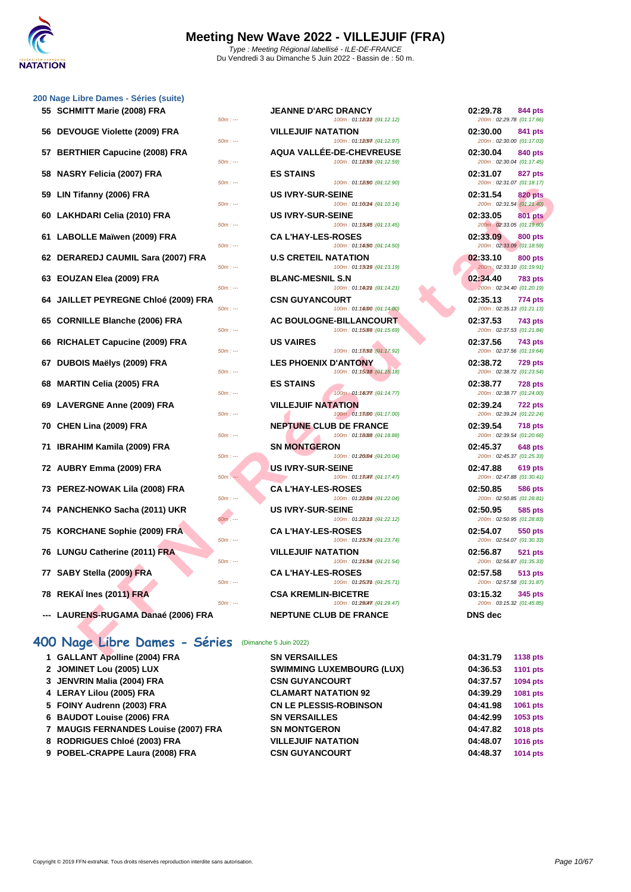| 200 Nage Libre Dames - Séries (suite) |          |                                                            |                                                         |
|---------------------------------------|----------|------------------------------------------------------------|---------------------------------------------------------|
| 55 SCHMITT Marie (2008) FRA           | $50m: -$ | <b>JEANNE D'ARC DRANCY</b><br>100m: 01:18012 : (04:12.12)  | 02:29.78<br><b>844 pts</b><br>200m: 02:29.78 (01:17.66) |
| 56 DEVOUGE Violette (2009) FRA        | $50m: -$ | <b>VILLEJUIF NATATION</b><br>100m: 01:18097 : (01:12.97)   | 02:30.00<br>841 pts<br>200m: 02:30.00 (01:17.03)        |
| 57 BERTHIER Capucine (2008) FRA       | $50m: -$ | AQUA VALLÉE-DE-CHEVREUSE<br>100m: 01:18(59 : (01:12.59)    | 02:30.04<br>840 pts<br>200m: 02:30.04 (01:17.45)        |
| 58 NASRY Felicia (2007) FRA           | $50m: -$ | <b>ES STAINS</b><br>100m: 01:12090 : (01:12.90)            | 02:31.07<br>827 pts<br>200m: 02:31.07 (01:18.17)        |
| 59 LIN Tifanny (2006) FRA             | $50m: -$ | <b>US IVRY-SUR-SEINE</b><br>100m: 01.160m: (04.10.14)      | 02:31.54<br><b>820 pts</b><br>200m: 02:31.54 (01:21.40) |
| 60 LAKHDARI Celia (2010) FRA          | $50m: -$ | <b>US IVRY-SUR-SEINE</b><br>100m: 01:13045 : (01:13.45)    | 02:33.05<br><b>801 pts</b><br>200m: 02:33.05 (01:19.60) |
| 61 LABOLLE Maïwen (2009) FRA          | $50m: -$ | <b>CAL'HAY-LES-ROSES</b><br>100m: 01:14/50 : (01:14.50)    | 02:33.09<br><b>800 pts</b><br>200m: 02:33.09 (01:18.59) |
| 62 DERAREDJ CAUMIL Sara (2007) FRA    | $50m: -$ | <b>U.S CRETEIL NATATION</b><br>100m: 01:13019 : (04:13.19) | 02:33.10<br><b>800 pts</b><br>200m: 02:33.10 (01:19.91) |
| 63 EOUZAN Elea (2009) FRA             | $50m: -$ | <b>BLANC-MESNIL S.N.</b><br>100m: 01:182m:(01:14.21)       | 02:34.40<br><b>783 pts</b><br>200m: 02:34.40 (01:20.19) |
| 64 JAILLET PEYREGNE Chloé (2009) FRA  | $50m: -$ | <b>CSN GUYANCOURT</b><br>100m: 01:14000 : (01:14.00)       | 02:35.13<br>774 pts<br>200m: 02:35.13 (01:21.13)        |
| 65 CORNILLE Blanche (2006) FRA        | $50m: -$ | AC BOULOGNE-BILLANCOURT<br>100m: 01:15.69 : (01:15.69)     | 02:37.53<br>743 pts<br>200m: 02:37.53 (01:21.84)        |
|                                       |          |                                                            |                                                         |

**66** RICHALET Capucine (2009) FRA

**67 DUBOIS Maëlys (2009) FRA**  $\frac{50m \div m}{2}$ 

**68 MARTIN Celia (2005) FRA ES STAINS 02:38.77 728 pts**

**69 LAVERGNE Anne (2009) FRA** *50m a* 

**70 CHEN Lina (2009) FRA**  $\frac{50m}{100}$ 

**71 <b>IBRAHIM Kamila (2009) FRA 60m**:

*12* **AUBRY Emma (2009) FRA** 

**73 PEREZ-NOWAK Lila (2008) FRA CA L'HAY-LES-ROSES 02:50.85 586 pts**

**74 PANCHENKO Sacha (2011) UKR** 

**75 KORCHANE Sophie (2009) FRA 60m c** 

**76 LUNGU Catherine (2011) FRA 50m** 

**77 SABY Stella (2009) FRA CAN LINE SOME** 

**78 REKAÏ Ines (2011) FRA CONSERVERTREN** 

**---** LAURENS-RUGAMA Danaé (2006) FRA

## **400 Nage Libre Dames - Séries** (Dimanche 5 Juin 2022)

| 1 GALLANT Apolline (2004) FRA        | <b>SN VERSAILLES</b>   |
|--------------------------------------|------------------------|
| 2 JOMINET Lou (2005) LUX             | <b>SWIMMING LUXE</b>   |
| 3 JENVRIN Malia (2004) FRA           | <b>CSN GUYANCOU</b>    |
| 4 LERAY Lilou (2005) FRA             | <b>CLAMART NATA1</b>   |
| 5 FOINY Audrenn (2003) FRA           | <b>CN LE PLESSIS-R</b> |
| 6 BAUDOT Louise (2006) FRA           | <b>SN VERSAILLES</b>   |
| 7 MAUGIS FERNANDES Louise (2007) FRA | <b>SN MONTGERON</b>    |

- 
- **8 RODRIGUES Chloé (2003) FRA VILLEJUIF NATATION 04:48.07 1016 pts**
- **9 POBEL-CRAPPE Laura (2008) FRA CSN GUYANCOURT 04:48.37 1014 pts**

| MITT Marie (2008) FRA                                  | <b>JEANNE D'ARC DRANCY</b><br>$50m: -$<br>100m: 01:18012 : (01:12.12)     | 02:29.78<br>844 pts<br>200m: 02:29.78 (01:17.66)        |
|--------------------------------------------------------|---------------------------------------------------------------------------|---------------------------------------------------------|
| <b>OUGE Violette (2009) FRA</b>                        | <b>VILLEJUIF NATATION</b><br>100m: 01:12097 : (01:12.97)<br>$50m: -$      | 02:30.00<br>841 pts<br>200m: 02:30.00 (01:17.03)        |
| THIER Capucine (2008) FRA                              | AQUA VALLÉE-DE-CHEVREUSE                                                  | 02:30.04<br>840 pts                                     |
| RY Felicia (2007) FRA                                  | 100m: 01:18(59 : (01:12.59)<br>$50m: -$<br><b>ES STAINS</b>               | 200m: 02:30.04 (01:17.45)<br>02:31.07<br>827 pts        |
| ʿifanny (2006) FRA                                     | 100m: 01:18090 : (04:12.90)<br>$50m: -$<br><b>US IVRY-SUR-SEINE</b>       | 200m: 02:31.07 (01:18.17)<br>02:31.54<br><b>820 pts</b> |
| HDARI Celia (2010) FRA                                 | 100m: 01:160m4 : (01:10.14)<br>$50m: -$<br><b>US IVRY-SUR-SEINE</b>       | 200m: 02:31.54 (01:21.40)<br>02:33.05<br><b>801 pts</b> |
| OLLE Maïwen (2009) FRA                                 | 100m: 01:13045 : (01:13.45)<br>$50m: -$<br><b>CA L'HAY-LES-ROSES</b>      | 200m: 02:33.05 (01:19.60)<br>02:33.09<br><b>800 pts</b> |
| AREDJ CAUMIL Sara (2007) FRA                           | 100m: 01:14/50 : (01:14.50)<br>$50m: -$<br><b>U.S CRETEIL NATATION</b>    | 200m: 02:33.09 (01:18.59)<br>02:33.10<br>800 pts        |
| ZAN Elea (2009) FRA                                    | 100m: 01:13019 : (01:13.19)<br>$50m: -$<br><b>BLANC-MESNIL S.N</b>        | 200m: 02:33.10 (01:19.91)<br>02:34.40<br><b>783 pts</b> |
| LET PEYREGNE Chloé (2009) FRA                          | $50m: -$<br>100m: 01:18(2m : (01:14.21)<br><b>CSN GUYANCOURT</b>          | 200m: 02:34.40 (01:20.19)<br>02:35.13<br>774 pts        |
| NILLE Blanche (2006) FRA                               | $50m: -$<br>100m: 01:14000 : (01:14.00)<br><b>AC BOULOGNE-BILLANCOURT</b> | 200m: 02:35.13 (01:21.13)<br>02:37.53<br><b>743 pts</b> |
| IALET Capucine (2009) FRA                              | 100m: 01:15.09 : (01:15.69)<br>$50m: -$<br><b>US VAIRES</b>               | 200m: 02:37.53 (01:21.84)<br>02:37.56<br>743 pts        |
| OIS Maëlys (2009) FRA                                  | 100m: 01:13092 (01:17.92)<br>$50m: -$<br><b>LES PHOENIX D'ANTONY</b>      | 200m: 02:37.56 (01:19.64)<br>02:38.72<br><b>729 pts</b> |
| TIN Celia (2005) FRA                                   | 100m: 01:15018 : (01:15.18)<br>$50m: -$<br><b>ES STAINS</b>               | 200m: 02:38.72 (01:23.54)<br>02:38.77<br><b>728 pts</b> |
| <b>ERGNE Anne (2009) FRA</b>                           | 100m: 01:18077 : (01:14.77)<br>$50m: -$<br><b>VILLEJUIF NATATION</b>      | 200m: 02:38.77 (01:24.00)<br>02:39.24<br><b>722 pts</b> |
| N Lina (2009) FRA                                      | 100m: 01:13000 : (01:17.00)<br>$50m: -$<br><b>NEPTUNE CLUB DE FRANCE</b>  | 200m: 02:39.24 (01:22.24)<br>02:39.54<br><b>718 pts</b> |
| .HIM Kamila (2009) FRA                                 | 100m: 01:1888 : (01:18.88)<br>$50m: -$<br><b>SN MONTGERON</b>             | 200m: 02:39.54 (01:20.66)<br>02:45.37<br><b>648 pts</b> |
| RY Emma (2009) FRA                                     | 100m: 01:26004 : (01:20.04)<br>$50m: -$<br><b>US IVRY-SUR-SEINE</b>       | 200m: 02:45.37 (01:25.33)<br>02:47.88<br>619 pts        |
| EZ-NOWAK Lila (2008) FRA                               | 100m: 01:13047.(04:17.47)<br>$50m: -$<br><b>CA L'HAY-LES-ROSES</b>        | 200m: 02:47.88 (01:30.41)<br>02:50.85<br>586 pts        |
| CHENKO Sacha (2011) UKR                                | 100m: 01:28004 : (01:22.04)<br>$50m: -$<br><b>US IVRY-SUR-SEINE</b>       | 200m: 02:50.85 (01:28.81)<br>02:50.95<br>585 pts        |
| <b>CHANE Sophie (2009) FRA</b>                         | 100m: 01:28012 : (01:22.12)<br>$50m: -$<br><b>CAL'HAY-LES-ROSES</b>       | 200m: 02:50.95 (01:28.83)<br>02:54.07<br>550 pts        |
| <b>GU Catherine (2011) FRA</b>                         | 100m: 01:23074 : (01:23.74)<br>$50m: -$<br><b>VILLEJUIF NATATION</b>      | 200m: 02:54.07 (01:30.33)<br>02:56.87<br>521 pts        |
| Y Stella (2009) FRA                                    | $50m: -$<br>100m: 01:25/54 : (01:21.54)<br><b>CA L'HAY-LES-ROSES</b>      | 200m: 02:56.87 (01:35.33)<br>02:57.58<br><b>513 pts</b> |
| AÏ Ines (2011) FRA                                     | $50m: -$<br>100m: 01:250mm : (01:25.71)<br><b>CSA KREMLIN-BICETRE</b>     | 200m: 02:57.58 (01:31.87)<br>03:15.32<br>345 pts        |
| RENS-RUGAMA Danaé (2006) FRA                           | $50m: -$<br>100m: 01:29047. (01:29.47)<br><b>NEPTUNE CLUB DE FRANCE</b>   | 200m: 03:15.32 (01:45.85)<br><b>DNS</b> dec             |
|                                                        |                                                                           |                                                         |
| <b>Ige Libre Dames - Séries</b> (Dimanche 5 Juin 2022) | <b>CM VEDCAHIEC</b>                                                       | 04.04.70<br>$\overline{AB}$                             |
|                                                        |                                                                           |                                                         |

**12 SN VERSAILLES** 

 $CSN$  GUYANCOURT **CLAMART NATATION 92**  $CN$  LE PLESSIS-ROBINSON

**22 SWIMMING LUXEMBOURG (LUX)** 

| 02:29.78<br>200m: 02:29.78 (01:17.66) | <b>844 pts</b> |
|---------------------------------------|----------------|
| 02:30.00<br>200m: 02:30.00 (01:17.03) | 841 pts        |
| 02:30.04<br>200m: 02:30.04 (01:17.45) | 840 pts        |
| 02:31.07<br>200m: 02:31.07 (01:18.17) | 827 pts        |
| 02:31.54<br>200m: 02:31.54 (01:21.40) | <b>820 pts</b> |
| 02:33.05<br>200m: 02:33.05 (01:19.60) | <b>801 pts</b> |
| 02:33.09<br>200m: 02:33.09 (01:18.59) | <b>800 pts</b> |
| 02:33.10<br>200m: 02:33.10 (01:19.91) | <b>800 pts</b> |
| 02:34.40<br>200m: 02:34.40 (01:20.19) | <b>783 pts</b> |
| 02:35.13<br>200m: 02:35.13 (01:21.13) | 774 pts        |
| 02:37.53<br>200m: 02:37.53 (01:21.84) | <b>743 pts</b> |
| 02:37.56<br>200m: 02:37.56 (01:19.64) | <b>743 pts</b> |
| 02:38.72<br>200m: 02:38.72 (01:23.54) | <b>729 pts</b> |
| 02:38.77<br>200m: 02:38.77 (01:24.00) | 728 pts        |
| 02:39.24<br>200m: 02:39.24 (01:22.24) | 722 pts        |
| 02:39.54<br>200m: 02:39.54 (01:20.66) | 718 pts        |
| 02:45.37<br>200m: 02:45.37 (01:25.33) | <b>648 pts</b> |
| 02:47.88<br>200m: 02:47.88 (01:30.41) | <b>619 pts</b> |
| 02:50.85<br>200m: 02:50.85 (01:28.81) | <b>586 pts</b> |
| 02:50.95<br>200m: 02:50.95 (01:28.83) | <b>585 pts</b> |
| 02:54.07<br>200m: 02:54.07 (01:30.33) | <b>550 pts</b> |
| 02:56.87<br>200m: 02:56.87 (01:35.33) | <b>521 pts</b> |
| 02:57.58<br>200m: 02:57.58 (01:31.87) | <b>513 pts</b> |
| 03:15.32<br>200m: 03:15.32 (01:45.85) | 345 pts        |
| DNS dec                               |                |

| 04:31.79 | <b>1138 pts</b> |
|----------|-----------------|
| 04:36.53 | <b>1101 pts</b> |
| 04:37.57 | 1094 pts        |
| 04:39.29 | 1081 pts        |
| 04:41.98 | 1061 pts        |
| 04:42.99 | 1053 pts        |
| 04:47.82 | <b>1018 pts</b> |
| 04:48.07 | 1016 pts        |
| 04:48.37 | 1014 pts        |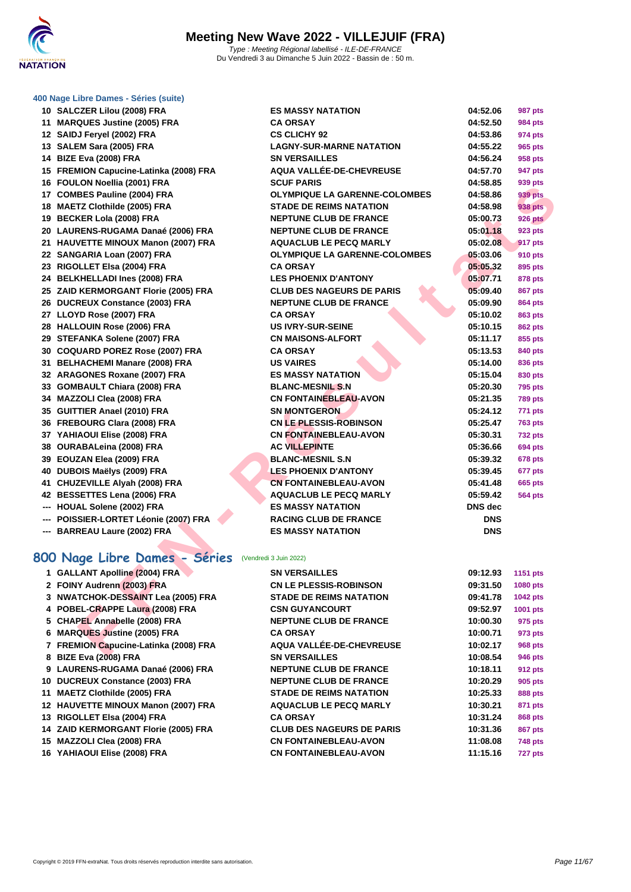

|  |  |  |  | 400 Nage Libre Dames - Séries (suite) |  |  |
|--|--|--|--|---------------------------------------|--|--|
|--|--|--|--|---------------------------------------|--|--|

| 10 SALCZER Lilou (2008) FRA            | <b>ES MASSY NATATION</b>             | 04:52.06       | 987 pts        |
|----------------------------------------|--------------------------------------|----------------|----------------|
| 11 MARQUES Justine (2005) FRA          | <b>CA ORSAY</b>                      | 04:52.50       | <b>984 pts</b> |
| 12 SAIDJ Feryel (2002) FRA             | <b>CS CLICHY 92</b>                  | 04:53.86       | 974 pts        |
| 13 SALEM Sara (2005) FRA               | <b>LAGNY-SUR-MARNE NATATION</b>      | 04:55.22       | 965 pts        |
| 14 BIZE Eva (2008) FRA                 | <b>SN VERSAILLES</b>                 | 04:56.24       | 958 pts        |
| 15 FREMION Capucine-Latinka (2008) FRA | AQUA VALLÉE-DE-CHEVREUSE             | 04:57.70       | 947 pts        |
| 16 FOULON Noellia (2001) FRA           | <b>SCUF PARIS</b>                    | 04:58.85       | 939 pts        |
| 17 COMBES Pauline (2004) FRA           | <b>OLYMPIQUE LA GARENNE-COLOMBES</b> | 04:58.86       | 939 pts        |
| 18 MAETZ Clothilde (2005) FRA          | <b>STADE DE REIMS NATATION</b>       | 04:58.98       | 938 pts        |
| 19 BECKER Lola (2008) FRA              | <b>NEPTUNE CLUB DE FRANCE</b>        | 05:00.73       | <b>926 pts</b> |
| 20 LAURENS-RUGAMA Danaé (2006) FRA     | <b>NEPTUNE CLUB DE FRANCE</b>        | 05:01.18       | <b>923 pts</b> |
| 21 HAUVETTE MINOUX Manon (2007) FRA    | <b>AQUACLUB LE PECQ MARLY</b>        | 05:02.08       | 917 pts        |
| 22 SANGARIA Loan (2007) FRA            | <b>OLYMPIQUE LA GARENNE-COLOMBES</b> | 05:03.06       | <b>910 pts</b> |
| 23 RIGOLLET Elsa (2004) FRA            | <b>CA ORSAY</b>                      | 05:05.32       | 895 pts        |
| 24 BELKHELLADI Ines (2008) FRA         | <b>LES PHOENIX D'ANTONY</b>          | 05:07.71       | <b>878 pts</b> |
| 25 ZAID KERMORGANT Florie (2005) FRA   | <b>CLUB DES NAGEURS DE PARIS</b>     | 05:09.40       | <b>867 pts</b> |
| 26 DUCREUX Constance (2003) FRA        | <b>NEPTUNE CLUB DE FRANCE</b>        | 05:09.90       | <b>864 pts</b> |
| 27 LLOYD Rose (2007) FRA               | <b>CA ORSAY</b>                      | 05:10.02       | <b>863 pts</b> |
| 28 HALLOUIN Rose (2006) FRA            | <b>US IVRY-SUR-SEINE</b>             | 05:10.15       | <b>862 pts</b> |
| 29 STEFANKA Solene (2007) FRA          | <b>CN MAISONS-ALFORT</b>             | 05:11.17       | 855 pts        |
| 30 COQUARD POREZ Rose (2007) FRA       | <b>CA ORSAY</b>                      | 05:13.53       | <b>840 pts</b> |
| 31 BELHACHEMI Manare (2008) FRA        | <b>US VAIRES</b>                     | 05:14.00       | <b>836 pts</b> |
| 32 ARAGONES Roxane (2007) FRA          | <b>ES MASSY NATATION</b>             | 05:15.04       | 830 pts        |
| 33 GOMBAULT Chiara (2008) FRA          | <b>BLANC-MESNIL S.N</b>              | 05:20.30       | <b>795 pts</b> |
| 34 MAZZOLI Clea (2008) FRA             | <b>CN FONTAINEBLEAU-AVON</b>         | 05:21.35       | <b>789 pts</b> |
| 35 GUITTIER Anael (2010) FRA           | <b>SN MONTGERON</b>                  | 05:24.12       | 771 pts        |
| 36 FREBOURG Clara (2008) FRA           | <b>CN LE PLESSIS-ROBINSON</b>        | 05:25.47       | <b>763 pts</b> |
| 37 YAHIAOUI Elise (2008) FRA           | <b>CN FONTAINEBLEAU-AVON</b>         | 05:30.31       | <b>732 pts</b> |
| 38 OURABALeina (2008) FRA              | <b>AC VILLEPINTE</b>                 | 05:36.66       | <b>694 pts</b> |
|                                        | <b>BLANC-MESNIL S.N</b>              | 05:39.32       | <b>678 pts</b> |
| 40 DUBOIS Maëlys (2009) FRA            | <b>LES PHOENIX D'ANTONY</b>          | 05:39.45       | 677 pts        |
| 41 CHUZEVILLE Alyah (2008) FRA         | <b>CN FONTAINEBLEAU-AVON</b>         | 05:41.48       | <b>665 pts</b> |
| 42 BESSETTES Lena (2006) FRA           | <b>AQUACLUB LE PECQ MARLY</b>        | 05:59.42       | <b>564 pts</b> |
| --- HOUAL Solene (2002) FRA            | <b>ES MASSY NATATION</b>             | <b>DNS</b> dec |                |
| --- POISSIER-LORTET Léonie (2007) FRA  | <b>RACING CLUB DE FRANCE</b>         | <b>DNS</b>     |                |
|                                        | 39 EOUZAN Elea (2009) FRA            |                |                |

| 8 BIZE Eva (2008) FRA               | <b>SN VERSAILLES</b>           | 10:08.54 | 946 pts |
|-------------------------------------|--------------------------------|----------|---------|
| 9 LAURENS-RUGAMA Danaé (2006) FRA   | <b>NEPTUNE CLUB DE FRANCE</b>  | 10:18.11 | 912 pts |
| 10 DUCREUX Constance (2003) FRA     | <b>NEPTUNE CLUB DE FRANCE</b>  | 10:20.29 | 905 pts |
| 11 MAETZ Clothilde (2005) FRA       | <b>STADE DE REIMS NATATION</b> | 10:25.33 | 888 pts |
| 12 HAUVETTE MINOUX Manon (2007) FRA | <b>AQUACLUB LE PECQ MARLY</b>  | 10:30.21 | 871 pts |

**FREMION Capucine-Latinka (2008) FRA AQUA VALLÉE-DE-CHEVREUSE 10:02.17 968 pts**

**FOINY Audrenn (2003) FRA CN LE PLESSIS-ROBINSON NWATCHOK-DESSAINT Lea (2005) FRA STADE DE REIMS NATATION 09:41.78 1042 pts**

GALLANT Apolline (2004) FRA SN VERSAILLES

 **POBEL-CRAPPE Laura (2008) FRA CSN GUYANCOURT 09:52.97 1001 pts CHAPEL Annabelle (2008) FRA NEPTUNE CLUB DE FRANCE 10:00.30 975 pts**

**MARQUES Justine (2005) FRA CA ORSAY** 

**RIGOLLET Elsa (2004) FRA CA ORSAY** 

- **ZAID KERMORGANT Florie (2005) FRA CLUB DES NAGEURS DE PARIS 10:31.36 867 pts**
- **MAZZOLI Clea (2008) FRA CN FONTAINEBLEAU-AVON 11:08.08 748 pts**
- **YAHIAOUI Elise (2008) FRA CN FONTAINEBLEAU-AVON 11:15.16 727 pts**

| <b>CZER Lilou (2008) FRA</b>                           | <b>ES MASSY NATATION</b>             | 04:52.06       | 987 pts         |
|--------------------------------------------------------|--------------------------------------|----------------|-----------------|
| QUES Justine (2005) FRA                                | <b>CA ORSAY</b>                      | 04:52.50       | <b>984 pts</b>  |
| J Feryel (2002) FRA                                    | <b>CS CLICHY 92</b>                  | 04:53.86       | 974 pts         |
| EM Sara (2005) FRA                                     | <b>LAGNY-SUR-MARNE NATATION</b>      | 04:55.22       | <b>965 pts</b>  |
| Eva (2008) FRA                                         | <b>SN VERSAILLES</b>                 | 04:56.24       | 958 pts         |
| 008) MION Capucine-Latinka (2008) FRA                  | AQUA VALLÉE-DE-CHEVREUSE             | 04:57.70       | 947 pts         |
| LON Noellia (2001) FRA                                 | <b>SCUF PARIS</b>                    | 04:58.85       | 939 pts         |
| BES Pauline (2004) FRA                                 | <b>OLYMPIQUE LA GARENNE-COLOMBES</b> | 04:58.86       | <b>939 pts</b>  |
| TZ Clothilde (2005) FRA                                | <b>STADE DE REIMS NATATION</b>       | 04:58.98       | 938 pts         |
| <b>KER Lola (2008) FRA</b>                             | <b>NEPTUNE CLUB DE FRANCE</b>        | 05:00.73       | <b>926 pts</b>  |
| RENS-RUGAMA Danaé (2006) FRA                           | <b>NEPTUNE CLUB DE FRANCE</b>        | 05:01.18       | 923 pts         |
| VETTE MINOUX Manon (2007) FRA                          | <b>AQUACLUB LE PECQ MARLY</b>        | 05:02.08       | 917 pts         |
| <b>GARIA Loan (2007) FRA</b>                           | <b>OLYMPIQUE LA GARENNE-COLOMBES</b> | 05:03.06       | <b>910 pts</b>  |
| <b>)LLET Elsa (2004) FRA</b>                           | <b>CA ORSAY</b>                      | 05:05.32       | 895 pts         |
| <b>KHELLADI Ines (2008) FRA</b>                        | <b>LES PHOENIX D'ANTONY</b>          | 05:07.71       | 878 pts         |
| <b>KERMORGANT Florie (2005) FRA</b>                    | <b>CLUB DES NAGEURS DE PARIS</b>     | 05:09.40       | <b>867 pts</b>  |
| REUX Constance (2003) FRA                              | <b>NEPTUNE CLUB DE FRANCE</b>        | 05:09.90       | <b>864 pts</b>  |
| YD Rose (2007) FRA                                     | <b>CA ORSAY</b>                      | 05:10.02       | <b>863 pts</b>  |
| <b>LOUIN Rose (2006) FRA</b>                           | <b>US IVRY-SUR-SEINE</b>             | 05:10.15       | <b>862 pts</b>  |
| <b>FANKA Solene (2007) FRA</b>                         | <b>CN MAISONS-ALFORT</b>             | 05:11.17       | 855 pts         |
| <b>UARD POREZ Rose (2007) FRA</b>                      | <b>CA ORSAY</b>                      | 05:13.53       | 840 pts         |
| <b>HACHEMI Manare (2008) FRA</b>                       | <b>US VAIRES</b>                     | 05:14.00       | 836 pts         |
| <b>GONES Roxane (2007) FRA</b>                         | <b>ES MASSY NATATION</b>             | 05:15.04       | 830 pts         |
| <b>BAULT Chiara (2008) FRA</b>                         | <b>BLANC-MESNIL S.N</b>              | 05:20.30       | <b>795 pts</b>  |
| ZOLI Clea (2008) FRA                                   | <b>CN FONTAINEBLEAU-AVON</b>         | 05:21.35       | <b>789 pts</b>  |
| TIER Anael (2010) FRA                                  | <b>SN MONTGERON</b>                  | 05:24.12       | 771 pts         |
| <b>3OURG Clara (2008) FRA</b>                          | <b>CN LE PLESSIS-ROBINSON</b>        | 05:25.47       | <b>763 pts</b>  |
| <b>AOUI Elise (2008) FRA</b>                           | <b>CN FONTAINEBLEAU-AVON</b>         | 05:30.31       | <b>732 pts</b>  |
| ABALeina (2008) FRA                                    | <b>AC VILLEPINTE</b>                 | 05:36.66       | <b>694 pts</b>  |
| ZAN Elea (2009) FRA                                    | <b>BLANC-MESNIL S.N</b>              | 05:39.32       | <b>678 pts</b>  |
| OIS Maëlys (2009) FRA                                  | <b>LES PHOENIX D'ANTONY</b>          | 05:39.45       | 677 pts         |
| ZEVILLE Alyah (2008) FRA                               | <b>CN FONTAINEBLEAU-AVON</b>         | 05:41.48       | <b>665 pts</b>  |
| <b>SETTES Lena (2006) FRA</b>                          | <b>AQUACLUB LE PECQ MARLY</b>        | 05:59.42       | <b>564 pts</b>  |
| AL Solene (2002) FRA                                   | <b>ES MASSY NATATION</b>             | <b>DNS</b> dec |                 |
| SIER-LORTET Léonie (2007) FRA                          | <b>RACING CLUB DE FRANCE</b>         | <b>DNS</b>     |                 |
| <b>REAU Laure (2002) FRA</b>                           | <b>ES MASSY NATATION</b>             | <b>DNS</b>     |                 |
|                                                        |                                      |                |                 |
| <b>age Libre Dames - Séries</b> (Vendredi 3 Juin 2022) |                                      |                |                 |
| <b>LANT Apolline (2004) FRA</b>                        | <b>SN VERSAILLES</b>                 | 09:12.93       | 1151 pts        |
| Y Audrenn (2003) FRA                                   | <b>CN LE PLESSIS-ROBINSON</b>        | 09:31.50       | <b>1080 pts</b> |
| TCHOK-DESSAINT Lea (2005) FRA                          | <b>STADE DE REIMS NATATION</b>       | 09:41.78       | <b>1042 pts</b> |
| EL-CRAPPE Laura (2008) FRA                             | <b>CSN GUYANCOURT</b>                | 09:52.97       | 1001 pts        |
| PEL Annabelle (2008) FRA                               | <b>NEPTUNE CLUB DE FRANCE</b>        | 10:00.30       | 975 pts         |
| QUES Justine (2005) FRA                                | <b>CA ORSAY</b>                      | 10:00.71       | 973 pts         |
| MION Capucine-Latinka (2008) FRA                       | AQUA VALLÉE-DE-CHEVREUSE             | 10:02.17       | <b>968 pts</b>  |
| $F_{\text{max}}$ (0000) FBA                            | <b>CHIVEDCAULES</b>                  | 40.00E         | 0.40            |

### **800 Nage Libre Dames - Séries** (Vendredi 3 Juin 2022)

**--- BARREAU Laure (2002) FRA ES MASSY NATATION DNS**

| 09:12.93 | 1151 pts        |
|----------|-----------------|
| 09:31.50 | <b>1080 pts</b> |
| 09:41.78 | 1042 pts        |
| 09:52.97 | 1001 pts        |
| 10:00.30 | 975 pts         |
| 10:00.71 | 973 pts         |
| 10:02.17 | <b>968 pts</b>  |
| 10:08.54 | 946 pts         |
| 10:18.11 | <b>912 pts</b>  |
| 10:20.29 | 905 pts         |
| 10:25.33 | <b>888 pts</b>  |
| 10:30.21 | 871 pts         |
| 10:31.24 | 868 pts         |
| 10:31.36 | <b>867 pts</b>  |
| 11:08.08 | 748 pts         |
| 11-15 16 | 727 nte         |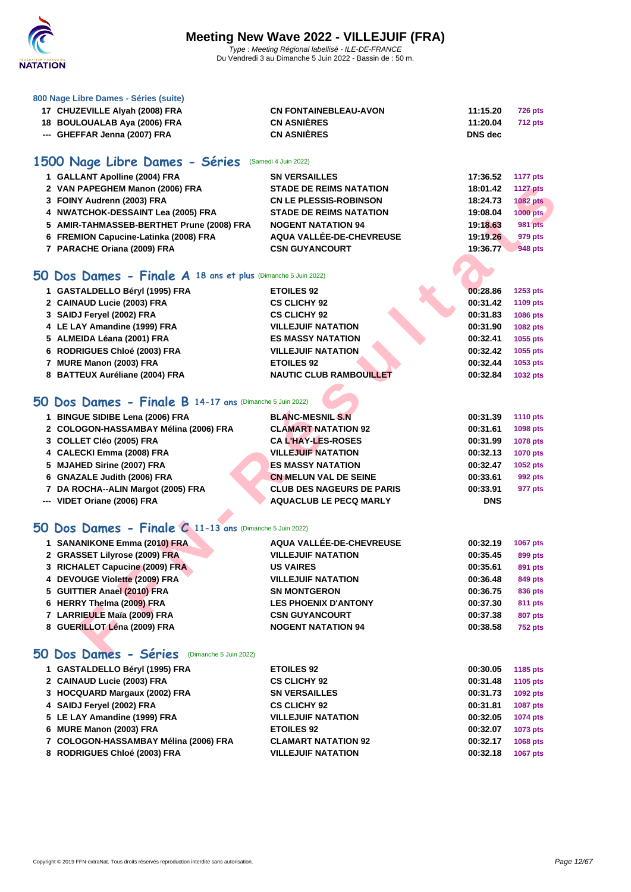

|  |  |  |  | 800 Nage Libre Dames - Séries (suite) |  |  |
|--|--|--|--|---------------------------------------|--|--|
|--|--|--|--|---------------------------------------|--|--|

| 17 CHUZEVILLE Alyah (2008) FRA | <b>CN FONTAINEBLEAU-AVON</b> | 11:15.20 | <b>726 pts</b> |
|--------------------------------|------------------------------|----------|----------------|
| 18 BOULOUALAB Aya (2006) FRA   | <b>CN ASNIÈRES</b>           | 11:20.04 | <b>712 pts</b> |
| --- GHEFFAR Jenna (2007) FRA   | <b>CN ASNIÈRES</b>           | DNS dec  |                |

## **1500 Nage Libre Dames - Séries** (Samedi 4 Juin 2022)

| 1 GALLANT Apolline (2004) FRA             | <b>SN VERSAILLES</b>           | 17:36.52 | 1177 pts        |
|-------------------------------------------|--------------------------------|----------|-----------------|
| 2 VAN PAPEGHEM Manon (2006) FRA           | <b>STADE DE REIMS NATATION</b> | 18:01.42 | <b>1127 pts</b> |
| 3 FOINY Audrenn (2003) FRA                | <b>CN LE PLESSIS-ROBINSON</b>  | 18:24.73 | <b>1082 pts</b> |
| 4 NWATCHOK-DESSAINT Lea (2005) FRA        | <b>STADE DE REIMS NATATION</b> | 19:08.04 | 1000 pts        |
| 5 AMIR-TAHMASSEB-BERTHET Prune (2008) FRA | <b>NOGENT NATATION 94</b>      | 19:18.63 | <b>981 pts</b>  |
| 6 FREMION Capucine-Latinka (2008) FRA     | AQUA VALLÉE-DE-CHEVREUSE       | 19:19.26 | 979 pts         |
| 7 PARACHE Oriana (2009) FRA               | <b>CSN GUYANCOURT</b>          | 19:36.77 | 948 pts         |

## **50 Dos Dames - Finale A 18 ans et plus** (Dimanche 5 Juin 2022)

| 2 VAN PAPEGHEM Manon (2006) FRA                              | <b>STADE DE REIMS NATATION</b>   | 18:01.42   | <b>1127 pts</b> |
|--------------------------------------------------------------|----------------------------------|------------|-----------------|
| 3 FOINY Audrenn (2003) FRA                                   | <b>CN LE PLESSIS-ROBINSON</b>    | 18:24.73   | <b>1082 pts</b> |
| 4 NWATCHOK-DESSAINT Lea (2005) FRA                           | <b>STADE DE REIMS NATATION</b>   | 19:08.04   | <b>1000 pts</b> |
| 5 AMIR-TAHMASSEB-BERTHET Prune (2008) FRA                    | <b>NOGENT NATATION 94</b>        | 19:18.63   | 981 pts         |
| 6 FREMION Capucine-Latinka (2008) FRA                        | AQUA VALLÉE-DE-CHEVREUSE         | 19:19.26   | 979 pts         |
| 7 PARACHE Oriana (2009) FRA                                  | <b>CSN GUYANCOURT</b>            | 19:36.77   | <b>948 pts</b>  |
|                                                              |                                  |            |                 |
| O Dos Dames - Finale A 18 ans et plus (Dimanche 5 Juin 2022) |                                  |            |                 |
| 1 GASTALDELLO Béryl (1995) FRA                               | <b>ETOILES 92</b>                | 00:28.86   | 1253 pts        |
| 2 CAINAUD Lucie (2003) FRA                                   | <b>CS CLICHY 92</b>              | 00:31.42   | 1109 pts        |
| 3 SAIDJ Feryel (2002) FRA                                    | <b>CS CLICHY 92</b>              | 00:31.83   | 1086 pts        |
| 4 LE LAY Amandine (1999) FRA                                 | <b>VILLEJUIF NATATION</b>        | 00:31.90   | 1082 pts        |
| 5 ALMEIDA Léana (2001) FRA                                   | <b>ES MASSY NATATION</b>         | 00:32.41   | 1055 pts        |
| 6 RODRIGUES Chloé (2003) FRA                                 | <b>VILLEJUIF NATATION</b>        | 00:32.42   | 1055 pts        |
| 7 MURE Manon (2003) FRA                                      | <b>ETOILES 92</b>                | 00:32.44   | 1053 pts        |
| 8 BATTEUX Auréliane (2004) FRA                               | <b>NAUTIC CLUB RAMBOUILLET</b>   | 00:32.84   | 1032 pts        |
|                                                              |                                  |            |                 |
| O Dos Dames - Finale B 14-17 ans (Dimanche 5 Juin 2022)      |                                  |            |                 |
| 1 BINGUE SIDIBE Lena (2006) FRA                              | <b>BLANC-MESNIL S.N</b>          | 00:31.39   | <b>1110 pts</b> |
| 2 COLOGON-HASSAMBAY Mélina (2006) FRA                        | <b>CLAMART NATATION 92</b>       | 00:31.61   | 1098 pts        |
| 3 COLLET Cléo (2005) FRA                                     | <b>CAL'HAY-LES-ROSES</b>         | 00:31.99   | 1078 pts        |
| 4 CALECKI Emma (2008) FRA                                    | <b>VILLEJUIF NATATION</b>        | 00:32.13   | <b>1070 pts</b> |
| 5 MJAHED Sirine (2007) FRA                                   | <b>ES MASSY NATATION</b>         | 00:32.47   | 1052 pts        |
| 6 GNAZALE Judith (2006) FRA                                  | <b>CN MELUN VAL DE SEINE</b>     | 00:33.61   | 992 pts         |
| 7 DA ROCHA--ALIN Margot (2005) FRA                           | <b>CLUB DES NAGEURS DE PARIS</b> | 00:33.91   | 977 pts         |
| --- VIDET Oriane (2006) FRA                                  | <b>AQUACLUB LE PECQ MARLY</b>    | <b>DNS</b> |                 |
|                                                              |                                  |            |                 |
| O Dos Dames - Finale C 11-13 ans (Dimanche 5 Juin 2022)      |                                  |            |                 |
| 1 SANANIKONE Emma (2010) FRA                                 | AQUA VALLÉE-DE-CHEVREUSE         | 00:32.19   | 1067 pts        |
| 2 GRASSET Lilyrose (2009) FRA                                | <b>VILLEJUIF NATATION</b>        | 00:35.45   | 899 pts         |
| 3 RICHALET Capucine (2009) FRA                               | <b>US VAIRES</b>                 | 00:35.61   | 891 pts         |
| 4 DEVOUGE Violette (2009) FRA                                | <b>VILLEJUIF NATATION</b>        | 00:36.48   | 849 pts         |
| 5 GUITTIER Anael (2010) FRA                                  | <b>SN MONTGERON</b>              | 00:36.75   | 836 pts         |
| 6 HERRY Thelma (2009) FRA                                    | <b>LES PHOENIX D'ANTONY</b>      | 00:37.30   | 811 pts         |
| 7 LARRIEULE Maïa (2009) FRA                                  | <b>CSN GUYANCOURT</b>            | 00:37.38   | <b>807 pts</b>  |
| 8 GUERILLOT Léna (2009) FRA                                  | <b>NOGENT NATATION 94</b>        | 00:38.58   | <b>752 pts</b>  |
|                                                              |                                  |            |                 |
| <b>O Dos Dames - Séries</b> (Dimanche 5 Juin 2022)           |                                  |            |                 |

## **50 Dos Dames - Finale B 14-17 ans** (Dimanche 5 Juin 2022)

| 1 BINGUE SIDIBE Lena (2006) FRA       | <b>BLANC-MESNIL S.N</b>          | 00:31.39   | <b>1110 pts</b> |
|---------------------------------------|----------------------------------|------------|-----------------|
| 2 COLOGON-HASSAMBAY Mélina (2006) FRA | <b>CLAMART NATATION 92</b>       | 00:31.61   | <b>1098 pts</b> |
| 3 COLLET Cléo (2005) FRA              | <b>CAL'HAY-LES-ROSES</b>         | 00:31.99   | <b>1078 pts</b> |
| 4 CALECKI Emma (2008) FRA             | <b>VILLEJUIF NATATION</b>        | 00:32.13   | <b>1070 pts</b> |
| 5 MJAHED Sirine (2007) FRA            | <b>ES MASSY NATATION</b>         | 00:32.47   | <b>1052 pts</b> |
| 6 GNAZALE Judith (2006) FRA           | <b>CN MELUN VAL DE SEINE</b>     | 00:33.61   | 992 pts         |
| 7 DA ROCHA--ALIN Margot (2005) FRA    | <b>CLUB DES NAGEURS DE PARIS</b> | 00:33.91   | 977 pts         |
| --- VIDET Oriane (2006) FRA           | <b>AQUACLUB LE PECQ MARLY</b>    | <b>DNS</b> |                 |
|                                       |                                  |            |                 |

## **50 Dos Dames - Finale C 11-13 ans** (Dimanche 5 Juin 2022)

| 1 SANANIKONE Emma (2010) FRA   | AQUA VALLÉE-DE-CHEVREUSE    | 00:32.19 | <b>1067 pts</b> |
|--------------------------------|-----------------------------|----------|-----------------|
| 2 GRASSET Lilyrose (2009) FRA  | <b>VILLEJUIF NATATION</b>   | 00:35.45 | 899 pts         |
| 3 RICHALET Capucine (2009) FRA | <b>US VAIRES</b>            | 00:35.61 | 891 pts         |
| 4 DEVOUGE Violette (2009) FRA  | <b>VILLEJUIF NATATION</b>   | 00:36.48 | 849 pts         |
| 5 GUITTIER Anael (2010) FRA    | <b>SN MONTGERON</b>         | 00:36.75 | 836 pts         |
| 6 HERRY Thelma (2009) FRA      | <b>LES PHOENIX D'ANTONY</b> | 00:37.30 | <b>811 pts</b>  |
| 7 LARRIEULE Maïa (2009) FRA    | <b>CSN GUYANCOURT</b>       | 00:37.38 | 807 pts         |
| 8 GUERILLOT Léna (2009) FRA    | <b>NOGENT NATATION 94</b>   | 00:38.58 | <b>752 pts</b>  |

## **50 Dos Dames - Séries** (Dimanche 5 Juin 2022)

| 1 GASTALDELLO Béryl (1995) FRA        | <b>ETOILES 92</b>          | 00:30.05 | 1185 pts        |
|---------------------------------------|----------------------------|----------|-----------------|
| 2 CAINAUD Lucie (2003) FRA            | <b>CS CLICHY 92</b>        | 00:31.48 | 1105 pts        |
| 3 HOCQUARD Margaux (2002) FRA         | <b>SN VERSAILLES</b>       | 00:31.73 | <b>1092 pts</b> |
| 4 SAIDJ Feryel (2002) FRA             | <b>CS CLICHY 92</b>        | 00:31.81 | <b>1087 pts</b> |
| 5 LE LAY Amandine (1999) FRA          | <b>VILLEJUIF NATATION</b>  | 00:32.05 | <b>1074 pts</b> |
| 6 MURE Manon (2003) FRA               | <b>ETOILES 92</b>          | 00:32.07 | 1073 pts        |
| 7 COLOGON-HASSAMBAY Mélina (2006) FRA | <b>CLAMART NATATION 92</b> | 00:32.17 | 1068 pts        |
| 8 RODRIGUES Chloé (2003) FRA          | <b>VILLEJUIF NATATION</b>  | 00:32.18 | <b>1067 pts</b> |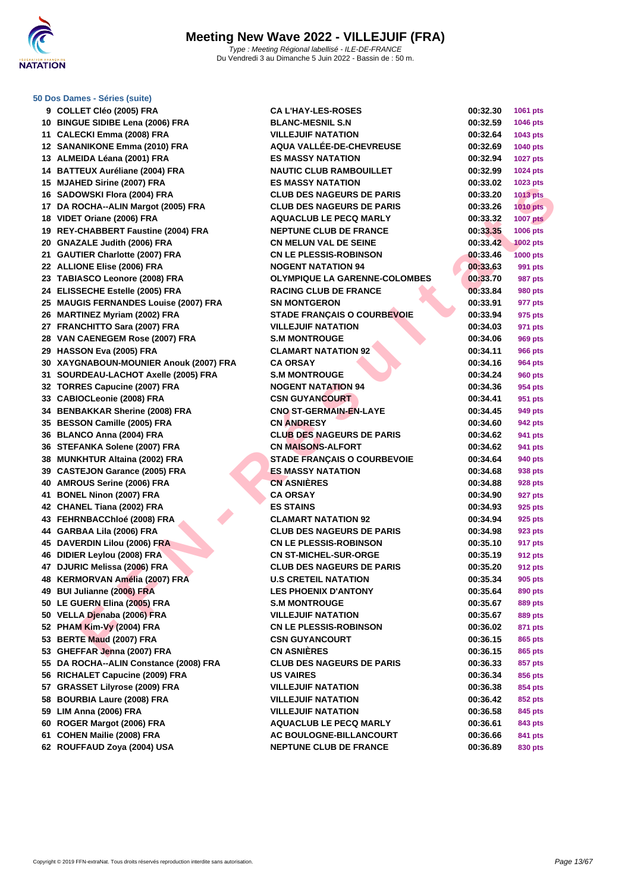

### **[50 Dos D](http://www.ffnatation.fr/webffn/index.php)ames - Séries (suite)**

| 9  | <b>COLLET Cléo (2005) FRA</b>             |
|----|-------------------------------------------|
| 10 | <b>BINGUE SIDIBE Lena (2006) FRA</b>      |
| 11 | <b>CALECKI Emma (2008) FRA</b>            |
| 12 | <b>SANANIKONE Emma (2010) FRA</b>         |
| 13 | ALMEIDA Léana (2001) FRA                  |
| 14 | <b>BATTEUX Auréliane (2004) FRA</b>       |
| 15 | <b>MJAHED Sirine (2007) FRA</b>           |
| 16 | SADOWSKI Flora (2004) FRA                 |
| 17 | DA ROCHA--ALIN Margot (2005) FRA          |
| 18 | VIDET Oriane (2006) FRA                   |
| 19 | <b>REY-CHABBERT Faustine (2004) FRA</b>   |
| 20 | <b>GNAZALE Judith (2006) FRA</b>          |
| 21 | <b>GAUTIER Charlotte (2007) FRA</b>       |
| 22 | <b>ALLIONE Elise (2006) FRA</b>           |
| 23 | <b>TABIASCO Leonore (2008) FRA</b>        |
| 24 | ELISSECHE Estelle (2005) FRA              |
| 25 | <b>MAUGIS FERNANDES Louise (2007) FRA</b> |
| 26 | <b>MARTINEZ Myriam (2002) FRA</b>         |
| 27 | FRANCHITTO Sara (2007) FRA                |
|    | 28 VAN CAENEGEM Rose (2007) FRA           |
| 29 | HASSON Eva (2005) FRA                     |
| 30 | XAYGNABOUN-MOUNIER Anouk (2007) F         |
| 31 | SOURDEAU-LACHOT Axelle (2005) FRA         |
| 32 | <b>TORRES Capucine (2007) FRA</b>         |
| 33 | <b>CABIOCLeonie (2008) FRA</b>            |
| 34 | <b>BENBAKKAR Sherine (2008) FRA</b>       |
| 35 | <b>BESSON Camille (2005) FRA</b>          |
| 36 | <b>BLANCO Anna (2004) FRA</b>             |
| 36 | STEFANKA Solene (2007) FRA                |
| 38 | <b>MUNKHTUR Altaina (2002) FRA</b>        |
| 39 | <b>CASTEJON Garance (2005) FRA</b>        |
| 40 | <b>AMROUS Serine (2006) FRA</b>           |
| 41 | <b>BONEL Ninon (2007) FRA</b>             |
| 42 | <b>CHANEL Tiana (2002) FRA</b>            |
| 43 | FEHRNBACChloé (2008) FRA                  |
| 44 | GARBAA Lila (2006) FRA                    |
| 45 | DAVERDIN Lilou (2006) FRA                 |
| 46 | DIDIER Leylou (2008) FRA                  |
| 47 | DJURIC Melissa (2006) FRA                 |
| 48 | KERMORVAN Amélia (2007) FRA               |
| 49 | <b>BUI Julianne (2006) FRA</b>            |
| 50 | LE GUERN Elina (2005) FRA                 |
| 50 | <b>VELLA Djenaba (2006) FRA</b>           |
| 52 | PHAM Kim-Vy (2004) FRA                    |
| 53 | BERTE Maud (2007) FRA                     |
| 53 | GHEFFAR Jenna (2007) FRA                  |
| 55 | DA ROCHA--ALIN Constance (2008) FRA       |
| 56 | RICHALET Capucine (2009) FRA              |
| 57 | <b>GRASSET Lilyrose (2009) FRA</b>        |
| 58 | <b>BOURBIA Laure (2008) FRA</b>           |
| 59 | LIM Anna (2006) FRA                       |
| 60 | ROGER Margot (2006) FRA                   |
| 61 | COHEN Mailie (2008) FRA                   |
| 62 | ROUFFAUD Zoya (2004) USA                  |
|    |                                           |

| 9 COLLET Cléo (2005) FRA               | <b>CA L'HAY-LES-ROSES</b>            | 00:32.30 | 1061 pts        |
|----------------------------------------|--------------------------------------|----------|-----------------|
| 10 BINGUE SIDIBE Lena (2006) FRA       | <b>BLANC-MESNIL S.N</b>              | 00:32.59 | <b>1046 pts</b> |
| 11 CALECKI Emma (2008) FRA             | <b>VILLEJUIF NATATION</b>            | 00:32.64 | 1043 pts        |
| 12 SANANIKONE Emma (2010) FRA          | AQUA VALLÉE-DE-CHEVREUSE             | 00:32.69 | <b>1040 pts</b> |
| 13 ALMEIDA Léana (2001) FRA            | <b>ES MASSY NATATION</b>             | 00:32.94 | <b>1027 pts</b> |
| 14 BATTEUX Auréliane (2004) FRA        | <b>NAUTIC CLUB RAMBOUILLET</b>       | 00:32.99 | 1024 pts        |
| 15 MJAHED Sirine (2007) FRA            | <b>ES MASSY NATATION</b>             | 00:33.02 | 1023 pts        |
| 16 SADOWSKI Flora (2004) FRA           | <b>CLUB DES NAGEURS DE PARIS</b>     | 00:33.20 | <b>1013 pts</b> |
| 17 DA ROCHA--ALIN Margot (2005) FRA    | <b>CLUB DES NAGEURS DE PARIS</b>     | 00:33.26 | <b>1010 pts</b> |
| 18 VIDET Oriane (2006) FRA             | <b>AQUACLUB LE PECQ MARLY</b>        | 00:33.32 | <b>1007 pts</b> |
| 19 REY-CHABBERT Faustine (2004) FRA    | <b>NEPTUNE CLUB DE FRANCE</b>        | 00:33.35 | 1006 pts        |
| 20 GNAZALE Judith (2006) FRA           | <b>CN MELUN VAL DE SEINE</b>         | 00:33.42 | <b>1002 pts</b> |
| 21 GAUTIER Charlotte (2007) FRA        | <b>CN LE PLESSIS-ROBINSON</b>        | 00:33.46 | <b>1000 pts</b> |
| 22 ALLIONE Elise (2006) FRA            | <b>NOGENT NATATION 94</b>            | 00:33.63 | 991 pts         |
| 23 TABIASCO Leonore (2008) FRA         | <b>OLYMPIQUE LA GARENNE-COLOMBES</b> | 00:33.70 | 987 pts         |
| 24 ELISSECHE Estelle (2005) FRA        | <b>RACING CLUB DE FRANCE</b>         | 00:33.84 | <b>980 pts</b>  |
| 25 MAUGIS FERNANDES Louise (2007) FRA  | <b>SN MONTGERON</b>                  | 00:33.91 | 977 pts         |
| 26 MARTINEZ Myriam (2002) FRA          | <b>STADE FRANÇAIS O COURBEVOIE</b>   | 00:33.94 | 975 pts         |
| 27 FRANCHITTO Sara (2007) FRA          | <b>VILLEJUIF NATATION</b>            | 00:34.03 | 971 pts         |
| 28 VAN CAENEGEM Rose (2007) FRA        | <b>S.M MONTROUGE</b>                 | 00:34.06 | 969 pts         |
| 29 HASSON Eva (2005) FRA               | <b>CLAMART NATATION 92</b>           | 00:34.11 | <b>966 pts</b>  |
| 30 XAYGNABOUN-MOUNIER Anouk (2007) FRA | <b>CA ORSAY</b>                      | 00:34.16 | 964 pts         |
| 31 SOURDEAU-LACHOT Axelle (2005) FRA   | <b>S.M MONTROUGE</b>                 | 00:34.24 | <b>960 pts</b>  |
| 32 TORRES Capucine (2007) FRA          | <b>NOGENT NATATION 94</b>            | 00:34.36 | 954 pts         |
| 33 CABIOCLeonie (2008) FRA             | <b>CSN GUYANCOURT</b>                | 00:34.41 | 951 pts         |
| 34 BENBAKKAR Sherine (2008) FRA        | <b>CNO ST-GERMAIN-EN-LAYE</b>        | 00:34.45 | 949 pts         |
| 35 BESSON Camille (2005) FRA           | <b>CN ANDRESY</b>                    | 00:34.60 | 942 pts         |
| 36 BLANCO Anna (2004) FRA              | <b>CLUB DES NAGEURS DE PARIS</b>     | 00:34.62 | 941 pts         |
| 36 STEFANKA Solene (2007) FRA          | <b>CN MAISONS-ALFORT</b>             | 00:34.62 | 941 pts         |
| 38 MUNKHTUR Altaina (2002) FRA         | <b>STADE FRANÇAIS O COURBEVOIE</b>   | 00:34.64 | 940 pts         |
| 39 CASTEJON Garance (2005) FRA         | <b>ES MASSY NATATION</b>             | 00:34.68 | 938 pts         |
| 40 AMROUS Serine (2006) FRA            | <b>CN ASNIÈRES</b>                   | 00:34.88 | 928 pts         |
| 41 BONEL Ninon (2007) FRA              | <b>CA ORSAY</b>                      | 00:34.90 | 927 pts         |
| 42 CHANEL Tiana (2002) FRA             | <b>ES STAINS</b>                     | 00:34.93 | 925 pts         |
| 43 FEHRNBACChloé (2008) FRA            | <b>CLAMART NATATION 92</b>           | 00:34.94 | 925 pts         |
| 44 GARBAA Lila (2006) FRA              | <b>CLUB DES NAGEURS DE PARIS</b>     | 00:34.98 | 923 pts         |
| 45 DAVERDIN Lilou (2006) FRA           | <b>CN LE PLESSIS-ROBINSON</b>        | 00:35.10 | <b>917 pts</b>  |
| 46 DIDIER Leylou (2008) FRA            | <b>CN ST-MICHEL-SUR-ORGE</b>         | 00:35.19 | 912 pts         |
| 47 DJURIC Melissa (2006) FRA           | <b>CLUB DES NAGEURS DE PARIS</b>     | 00:35.20 | 912 pts         |
| 48 KERMORVAN Amélia (2007) FRA         | <b>U.S CRETEIL NATATION</b>          | 00:35.34 | 905 pts         |
| 49 BUI Julianne (2006) FRA             | <b>LES PHOENIX D'ANTONY</b>          |          |                 |
| 50 LE GUERN Elina (2005) FRA           |                                      | 00:35.64 | 890 pts         |
| 50 VELLA Djenaba (2006) FRA            | <b>S.M MONTROUGE</b>                 | 00:35.67 | 889 pts         |
| 52 PHAM Kim-Vy (2004) FRA              | <b>VILLEJUIF NATATION</b>            | 00:35.67 | 889 pts         |
|                                        | <b>CN LE PLESSIS-ROBINSON</b>        | 00:36.02 | 871 pts         |
| 53 BERTE Maud (2007) FRA               | <b>CSN GUYANCOURT</b>                | 00:36.15 | 865 pts         |
| 53 GHEFFAR Jenna (2007) FRA            | <b>CN ASNIÈRES</b>                   | 00:36.15 | 865 pts         |
| 55 DA ROCHA--ALIN Constance (2008) FRA | <b>CLUB DES NAGEURS DE PARIS</b>     | 00:36.33 | 857 pts         |
| 56 RICHALET Capucine (2009) FRA        | <b>US VAIRES</b>                     | 00:36.34 | 856 pts         |
| 57 GRASSET Lilyrose (2009) FRA         | <b>VILLEJUIF NATATION</b>            | 00:36.38 | 854 pts         |
| 58 BOURBIA Laure (2008) FRA            | <b>VILLEJUIF NATATION</b>            | 00:36.42 | 852 pts         |
| 59 LIM Anna (2006) FRA                 | <b>VILLEJUIF NATATION</b>            | 00:36.58 | 845 pts         |
| 60 ROGER Margot (2006) FRA             | <b>AQUACLUB LE PECQ MARLY</b>        | 00:36.61 | 843 pts         |
| 61 COHEN Mailie (2008) FRA             | AC BOULOGNE-BILLANCOURT              | 00:36.66 | 841 pts         |
| 62 ROUFFAUD Zoya (2004) USA            | <b>NEPTUNE CLUB DE FRANCE</b>        | 00:36.89 | 830 pts         |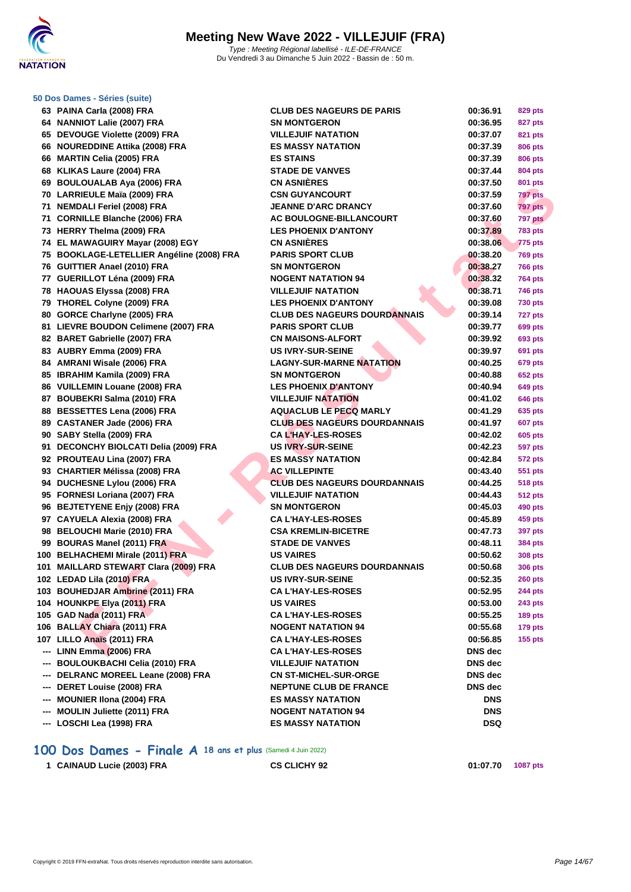

| 50 Dos Dames - Séries (suite)             |                                     |            |                |
|-------------------------------------------|-------------------------------------|------------|----------------|
| 63 PAINA Carla (2008) FRA                 | <b>CLUB DES NAGEURS DE PARIS</b>    | 00:36.91   | 829 pts        |
| 64 NANNIOT Lalie (2007) FRA               | <b>SN MONTGERON</b>                 | 00:36.95   | 827 pts        |
| 65 DEVOUGE Violette (2009) FRA            | <b>VILLEJUIF NATATION</b>           | 00:37.07   | 821 pts        |
| 66 NOUREDDINE Attika (2008) FRA           | <b>ES MASSY NATATION</b>            | 00:37.39   | <b>806 pts</b> |
| 66 MARTIN Celia (2005) FRA                | <b>ES STAINS</b>                    | 00:37.39   | 806 pts        |
| 68 KLIKAS Laure (2004) FRA                | <b>STADE DE VANVES</b>              | 00:37.44   | 804 pts        |
| 69 BOULOUALAB Aya (2006) FRA              | <b>CN ASNIÈRES</b>                  | 00:37.50   | 801 pts        |
| 70 LARRIEULE Maïa (2009) FRA              | <b>CSN GUYANCOURT</b>               | 00:37.59   | <b>797 pts</b> |
| 71 NEMDALI Feriel (2008) FRA              | <b>JEANNE D'ARC DRANCY</b>          | 00:37.60   | <b>797 pts</b> |
| 71 CORNILLE Blanche (2006) FRA            | AC BOULOGNE-BILLANCOURT             | 00:37.60   | 797 pts        |
| 73 HERRY Thelma (2009) FRA                | <b>LES PHOENIX D'ANTONY</b>         | 00:37.89   | <b>783 pts</b> |
| 74 EL MAWAGUIRY Mayar (2008) EGY          | <b>CN ASNIÈRES</b>                  | 00:38.06   | 775 pts        |
| 75 BOOKLAGE-LETELLIER Angéline (2008) FRA | <b>PARIS SPORT CLUB</b>             | 00:38.20   | <b>769 pts</b> |
| 76 GUITTIER Anael (2010) FRA              | <b>SN MONTGERON</b>                 | 00:38.27   | 766 pts        |
| 77 GUERILLOT Léna (2009) FRA              | <b>NOGENT NATATION 94</b>           | 00:38.32   | <b>764 pts</b> |
| 78 HAOUAS Elyssa (2008) FRA               | <b>VILLEJUIF NATATION</b>           | 00:38.71   | 746 pts        |
| 79 THOREL Colyne (2009) FRA               | <b>LES PHOENIX D'ANTONY</b>         | 00:39.08   | 730 pts        |
| 80 GORCE Charlyne (2005) FRA              | <b>CLUB DES NAGEURS DOURDANNAIS</b> | 00:39.14   | <b>727 pts</b> |
| 81 LIEVRE BOUDON Celimene (2007) FRA      | <b>PARIS SPORT CLUB</b>             | 00:39.77   | 699 pts        |
| 82 BARET Gabrielle (2007) FRA             | <b>CN MAISONS-ALFORT</b>            | 00:39.92   | 693 pts        |
| 83 AUBRY Emma (2009) FRA                  | <b>US IVRY-SUR-SEINE</b>            | 00:39.97   | 691 pts        |
| 84 AMRANI Wisale (2006) FRA               | <b>LAGNY-SUR-MARNE NATATION</b>     | 00:40.25   | 679 pts        |
| 85 IBRAHIM Kamila (2009) FRA              | <b>SN MONTGERON</b>                 | 00:40.88   | 652 pts        |
| 86 VUILLEMIN Louane (2008) FRA            | <b>LES PHOENIX D'ANTONY</b>         | 00:40.94   | 649 pts        |
| 87 BOUBEKRI Salma (2010) FRA              | <b>VILLEJUIF NATATION</b>           | 00:41.02   | 646 pts        |
| 88 BESSETTES Lena (2006) FRA              | <b>AQUACLUB LE PECQ MARLY</b>       | 00:41.29   | 635 pts        |
| 89 CASTANER Jade (2006) FRA               | <b>CLUB DES NAGEURS DOURDANNAIS</b> | 00:41.97   | 607 pts        |
| 90 SABY Stella (2009) FRA                 | <b>CA L'HAY-LES-ROSES</b>           | 00:42.02   | 605 pts        |
| 91 DECONCHY BIOLCATI Delia (2009) FRA     | <b>US IVRY-SUR-SEINE</b>            | 00:42.23   | <b>597 pts</b> |
| 92 PROUTEAU Lina (2007) FRA               | <b>ES MASSY NATATION</b>            | 00:42.84   | 572 pts        |
| 93 CHARTIER Mélissa (2008) FRA            | <b>AC VILLEPINTE</b>                | 00:43.40   | 551 pts        |
| 94 DUCHESNE Lylou (2006) FRA              | <b>CLUB DES NAGEURS DOURDANNAIS</b> | 00:44.25   | 518 pts        |
| 95 FORNESI Loriana (2007) FRA             | <b>VILLEJUIF NATATION</b>           | 00:44.43   | <b>512 pts</b> |
| 96 BEJTETYENE Enjy (2008) FRA             | <b>SN MONTGERON</b>                 | 00:45.03   | 490 pts        |
| 97 CAYUELA Alexia (2008) FRA              | <b>CA L'HAY-LES-ROSES</b>           | 00:45.89   | 459 pts        |
| 98 BELOUCHI Marie (2010) FRA              | <b>CSA KREMLIN-BICETRE</b>          | 00:47.73   | 397 pts        |
| 99 BOURAS Manel (2011) FRA                | <b>STADE DE VANVES</b>              | 00:48.11   | 384 pts        |
| 100 BELHACHEMI Mirale (2011) FRA          | <b>US VAIRES</b>                    | 00:50.62   | 308 pts        |
| 101 MAILLARD STEWART Clara (2009) FRA     | <b>CLUB DES NAGEURS DOURDANNAIS</b> | 00:50.68   | <b>306 pts</b> |
| 102 LEDAD Lila (2010) FRA                 | <b>US IVRY-SUR-SEINE</b>            | 00:52.35   | <b>260 pts</b> |
| 103 BOUHEDJAR Ambrine (2011) FRA          | <b>CA L'HAY-LES-ROSES</b>           | 00:52.95   | 244 pts        |
| 104 HOUNKPE Elya (2011) FRA               | <b>US VAIRES</b>                    | 00:53.00   | 243 pts        |
| 105 GAD Nada (2011) FRA                   | <b>CA L'HAY-LES-ROSES</b>           | 00:55.25   | <b>189 pts</b> |
| 106 BALLAY Chiara (2011) FRA              | <b>NOGENT NATATION 94</b>           | 00:55.68   | <b>179 pts</b> |
| 107 LILLO Anaïs (2011) FRA                | <b>CA L'HAY-LES-ROSES</b>           | 00:56.85   | $155$ pts      |
| --- LINN Emma (2006) FRA                  | <b>CA L'HAY-LES-ROSES</b>           | DNS dec    |                |
| --- BOULOUKBACHI Celia (2010) FRA         | <b>VILLEJUIF NATATION</b>           | DNS dec    |                |
| --- DELRANC MOREEL Leane (2008) FRA       | <b>CN ST-MICHEL-SUR-ORGE</b>        | DNS dec    |                |
| --- DERET Louise (2008) FRA               | <b>NEPTUNE CLUB DE FRANCE</b>       | DNS dec    |                |
| <b>MOUNIER IIona (2004) FRA</b>           | <b>ES MASSY NATATION</b>            | <b>DNS</b> |                |
| <b>MOULIN Juliette (2011) FRA</b>         | <b>NOGENT NATATION 94</b>           | <b>DNS</b> |                |
| --- LOSCHI Lea (1998) FRA                 | <b>ES MASSY NATATION</b>            | DSQ        |                |

## **100 Dos Dames - Finale A 18 ans et plus** (Samedi 4 Juin 2022)

```
1 CAINAUD Lucie (2003) FRA CS CLICHY 92 01:07.70 1087 pts
```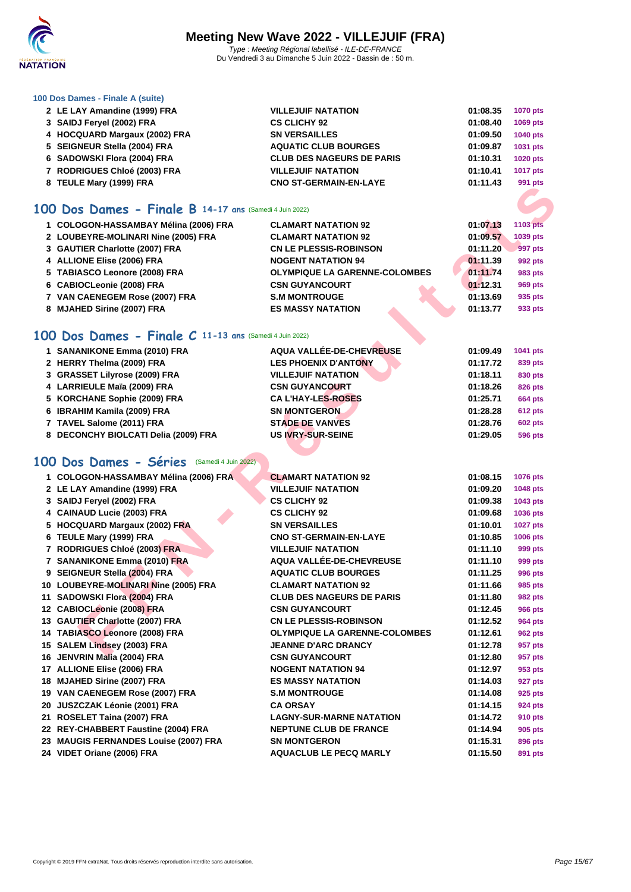

### **[100 Dos D](http://www.ffnatation.fr/webffn/index.php)ames - Finale A (suite)**

| 2 LE LAY Amandine (1999) FRA  | <b>VILLEJUIF NATATION</b>        | 01:08.35 | <b>1070 pts</b> |
|-------------------------------|----------------------------------|----------|-----------------|
| 3 SAIDJ Feryel (2002) FRA     | <b>CS CLICHY 92</b>              | 01:08.40 | 1069 pts        |
| 4 HOCQUARD Margaux (2002) FRA | <b>SN VERSAILLES</b>             | 01:09.50 | <b>1040 pts</b> |
| 5 SEIGNEUR Stella (2004) FRA  | <b>AQUATIC CLUB BOURGES</b>      | 01:09.87 | 1031 pts        |
| 6 SADOWSKI Flora (2004) FRA   | <b>CLUB DES NAGEURS DE PARIS</b> | 01:10.31 | <b>1020 pts</b> |
| 7 RODRIGUES Chloé (2003) FRA  | <b>VILLEJUIF NATATION</b>        | 01:10.41 | <b>1017 pts</b> |
| 8 TEULE Mary (1999) FRA       | <b>CNO ST-GERMAIN-EN-LAYE</b>    | 01:11.43 | 991 pts         |
|                               |                                  |          |                 |

## **100 Dos Dames - Finale B 14-17 ans** (Samedi 4 Juin 2022)

| 1 COLOGON-HASSAMBAY Mélina (2006) FRA | <b>CLAMART NATATION 92</b>           | 01:07.13 | <b>1103 pts</b> |
|---------------------------------------|--------------------------------------|----------|-----------------|
| 2 LOUBEYRE-MOLINARI Nine (2005) FRA   | <b>CLAMART NATATION 92</b>           | 01:09.57 | 1039 pts        |
| 3 GAUTIER Charlotte (2007) FRA        | <b>CN LE PLESSIS-ROBINSON</b>        | 01:11.20 | 997 pts         |
| 4 ALLIONE Elise (2006) FRA            | <b>NOGENT NATATION 94</b>            | 01:11.39 | 992 pts         |
| 5 TABIASCO Leonore (2008) FRA         | <b>OLYMPIQUE LA GARENNE-COLOMBES</b> | 01:11.74 | 983 pts         |
| 6 CABIOCLeonie (2008) FRA             | <b>CSN GUYANCOURT</b>                | 01:12.31 | 969 pts         |
| 7 VAN CAENEGEM Rose (2007) FRA        | <b>S.M MONTROUGE</b>                 | 01:13.69 | 935 pts         |
| 8 MJAHED Sirine (2007) FRA            | <b>ES MASSY NATATION</b>             | 01:13.77 | 933 pts         |

## **100 Dos Dames - Finale C 11-13 ans** (Samedi 4 Juin 2022)

| 1 SANANIKONE Emma (2010) FRA         | AQUA VALLÉE-DE-CHEVREUSE    | 01:09.49 | 1041 pts       |
|--------------------------------------|-----------------------------|----------|----------------|
| 2 HERRY Thelma (2009) FRA            | <b>LES PHOENIX D'ANTONY</b> | 01:17.72 | 839 pts        |
| 3 GRASSET Lilyrose (2009) FRA        | <b>VILLEJUIF NATATION</b>   | 01:18.11 | 830 pts        |
| 4 LARRIEULE Maïa (2009) FRA          | <b>CSN GUYANCOURT</b>       | 01:18.26 | 826 pts        |
| 5 KORCHANE Sophie (2009) FRA         | <b>CAL'HAY-LES-ROSES</b>    | 01:25.71 | <b>664 pts</b> |
| 6 IBRAHIM Kamila (2009) FRA          | <b>SN MONTGERON</b>         | 01:28.28 | <b>612 pts</b> |
| 7 TAVEL Salome (2011) FRA            | <b>STADE DE VANVES</b>      | 01:28.76 | <b>602 pts</b> |
| 8 DECONCHY BIOLCATI Delia (2009) FRA | <b>US IVRY-SUR-SEINE</b>    | 01:29.05 | 596 pts        |

## **100 Dos Dames - Séries** (Samedi 4 Juin 2022)

| $0.1$ LOLL mary (1999) 1 KM                            |                                      |          | ອອ i pis        |
|--------------------------------------------------------|--------------------------------------|----------|-----------------|
|                                                        |                                      |          |                 |
| 00 Dos Dames - Finale B 14-17 ans (Samedi 4 Juin 2022) |                                      |          |                 |
| 1 COLOGON-HASSAMBAY Mélina (2006) FRA                  | <b>CLAMART NATATION 92</b>           | 01:07.13 | <b>1103 pts</b> |
| 2 LOUBEYRE-MOLINARI Nine (2005) FRA                    | <b>CLAMART NATATION 92</b>           | 01:09.57 | 1039 pts        |
| 3 GAUTIER Charlotte (2007) FRA                         | <b>CN LE PLESSIS-ROBINSON</b>        | 01:11.20 | 997 pts         |
| 4 ALLIONE Elise (2006) FRA                             | <b>NOGENT NATATION 94</b>            | 01:11.39 | 992 pts         |
| 5 TABIASCO Leonore (2008) FRA                          | <b>OLYMPIQUE LA GARENNE-COLOMBES</b> | 01:11.74 | 983 pts         |
| 6 CABIOCLeonie (2008) FRA                              | <b>CSN GUYANCOURT</b>                | 01:12.31 | <b>969 pts</b>  |
| 7 VAN CAENEGEM Rose (2007) FRA                         | <b>S.M MONTROUGE</b>                 | 01:13.69 | 935 pts         |
| 8 MJAHED Sirine (2007) FRA                             | <b>ES MASSY NATATION</b>             | 01:13.77 | 933 pts         |
|                                                        |                                      |          |                 |
| 00 Dos Dames - Finale C 11-13 ans (Samedi 4 Juin 2022) |                                      |          |                 |
| 1 SANANIKONE Emma (2010) FRA                           | AQUA VALLÉE-DE-CHEVREUSE             | 01:09.49 | 1041 pts        |
| 2 HERRY Thelma (2009) FRA                              | <b>LES PHOENIX D'ANTONY</b>          | 01:17.72 | 839 pts         |
| 3 GRASSET Lilyrose (2009) FRA                          | <b>VILLEJUIF NATATION</b>            | 01:18.11 | 830 pts         |
| 4 LARRIEULE Maïa (2009) FRA                            | <b>CSN GUYANCOURT</b>                | 01:18.26 | <b>826 pts</b>  |
| 5 KORCHANE Sophie (2009) FRA                           | <b>CAL'HAY-LES-ROSES</b>             | 01:25.71 | <b>664 pts</b>  |
| 6 IBRAHIM Kamila (2009) FRA                            | <b>SN MONTGERON</b>                  | 01:28.28 | <b>612 pts</b>  |
| 7 TAVEL Salome (2011) FRA                              | <b>STADE DE VANVES</b>               | 01:28.76 | <b>602 pts</b>  |
| 8 DECONCHY BIOLCATI Delia (2009) FRA                   | <b>US IVRY-SUR-SEINE</b>             | 01:29.05 | <b>596 pts</b>  |
|                                                        |                                      |          |                 |
| 00 Dos Dames - Séries (Samedi 4 Juin 2022)             |                                      |          |                 |
|                                                        |                                      |          |                 |
| 1 COLOGON-HASSAMBAY Mélina (2006) FRA                  | <b>CLAMART NATATION 92</b>           | 01:08.15 | <b>1076 pts</b> |
| 2 LE LAY Amandine (1999) FRA                           | <b>VILLEJUIF NATATION</b>            | 01:09.20 | 1048 pts        |
| 3 SAIDJ Feryel (2002) FRA                              | <b>CS CLICHY 92</b>                  | 01:09.38 | 1043 pts        |
| 4 CAINAUD Lucie (2003) FRA                             | <b>CS CLICHY 92</b>                  | 01:09.68 | 1036 pts        |
| 5 HOCQUARD Margaux (2002) FRA                          | <b>SN VERSAILLES</b>                 | 01:10.01 | <b>1027 pts</b> |
| 6 TEULE Mary (1999) FRA                                | <b>CNO ST-GERMAIN-EN-LAYE</b>        | 01:10.85 | <b>1006 pts</b> |
| 7 RODRIGUES Chloé (2003) FRA                           | <b>VILLEJUIF NATATION</b>            | 01:11.10 | 999 pts         |
| 7 SANANIKONE Emma (2010) FRA                           | <b>AQUA VALLÉE-DE-CHEVREUSE</b>      | 01:11.10 | 999 pts         |
| 9 SEIGNEUR Stella (2004) FRA                           | <b>AQUATIC CLUB BOURGES</b>          | 01:11.25 | 996 pts         |
| 10 LOUBEYRE-MOLINARI Nine (2005) FRA                   | <b>CLAMART NATATION 92</b>           | 01:11.66 | 985 pts         |
| 11 SADOWSKI Flora (2004) FRA                           | <b>CLUB DES NAGEURS DE PARIS</b>     | 01:11.80 | <b>982 pts</b>  |
| 12 CABIOCLeonie (2008) FRA                             | <b>CSN GUYANCOURT</b>                | 01:12.45 | <b>966 pts</b>  |
| 13 GAUTIER Charlotte (2007) FRA                        | <b>CN LE PLESSIS-ROBINSON</b>        | 01:12.52 | 964 pts         |
| 14 TABIASCO Leonore (2008) FRA                         | <b>OLYMPIQUE LA GARENNE-COLOMBES</b> | 01:12.61 | <b>962 pts</b>  |
| 15 SALEM Lindsey (2003) FRA                            | <b>JEANNE D'ARC DRANCY</b>           | 01:12.78 | 957 pts         |
| 16 JENVRIN Malia (2004) FRA                            | <b>CSN GUYANCOURT</b>                | 01:12.80 | 957 pts         |
| 17 ALLIONE Elise (2006) FRA                            | <b>NOGENT NATATION 94</b>            | 01:12.97 | 953 pts         |
| 18 MJAHED Sirine (2007) FRA                            | <b>ES MASSY NATATION</b>             | 01:14.03 | 927 pts         |
| 19 VAN CAENEGEM Rose (2007) FRA                        | <b>S.M MONTROUGE</b>                 | 01:14.08 | 925 pts         |
| 20 JUSZCZAK Léonie (2001) FRA                          | <b>CA ORSAY</b>                      | 01:14.15 | 924 pts         |
| 21 ROSELET Taina (2007) FRA                            | <b>LAGNY-SUR-MARNE NATATION</b>      | 01:14.72 | 910 pts         |
| 22 REY-CHABBERT Faustine (2004) FRA                    | <b>NEPTUNE CLUB DE FRANCE</b>        | 01:14.94 | 905 pts         |
| 23 MAUGIS FERNANDES Louise (2007) FRA                  | <b>SN MONTGERON</b>                  | 01:15.31 | 896 pts         |
| 24 VIDET Oriane (2006) FRA                             | <b>AQUACLUB LE PECQ MARLY</b>        | 01:15.50 | 891 pts         |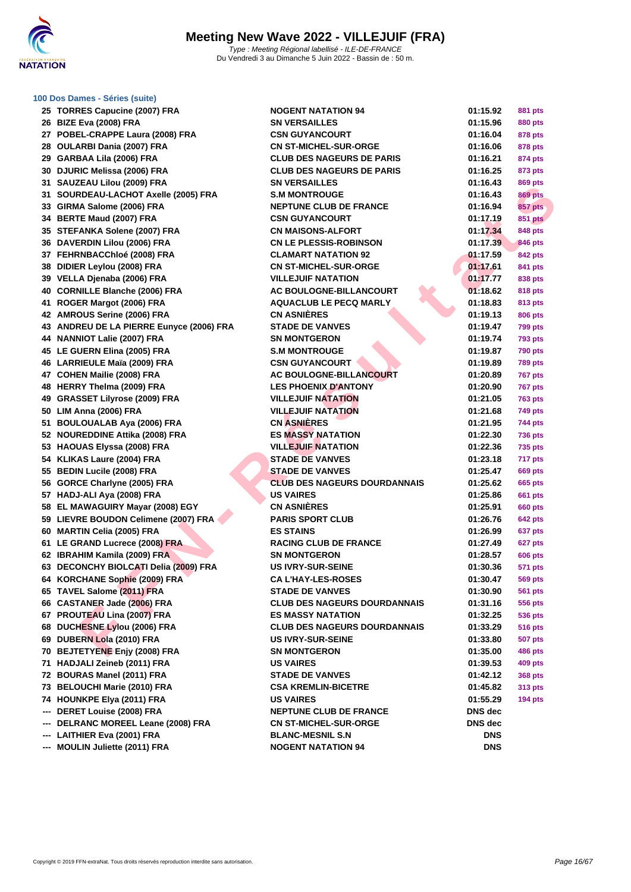

**[100 Dos D](http://www.ffnatation.fr/webffn/index.php)ames - Séries (suite)**

### **FIRE MANOIT AND CONSUMER SERVER DE CONSUMERE DE CONSUMERE DE CRIMINATION (1997) FRA SAMPLE (FIRE SERVER DE CRIMINATION DE CRIMINATION (1997) FRA CRIMINATION (1997) FRA CRIMINATION (1997) FRA CRIMINATION (1997) FRA CRIMINA TORRES Capucine (2007) FRA NOGENT NATATION 94 01:15.92 881 pts BIZE Eva (2008) FRA SN VERSAILLES 01:15.96 880 pts POBEL-CRAPPE Laura (2008) FRA CSN GUYANCOURT 01:16.04 878 pts OULARBI Dania (2007) FRA CN ST-MICHEL-SUR-ORGE 01:16.06 878 pts GARBAA Lila (2006) FRA CLUB DES NAGEURS DE PARIS 01:16.21 874 pts DJURIC Melissa (2006) FRA CLUB DES NAGEURS DE PARIS 01:16.25 873 pts SAUZEAU Lilou (2009) FRA SN VERSAILLES 01:16.43 869 pts SOURDEAU-LACHOT Axelle (2005) FRA S.M MONTROUGE 01:16.43 869 pts GIRMA Salome (2006) FRA NEPTUNE CLUB DE FRANCE 01:16.94 857 pts BERTE Maud (2007) FRA CSN GUYANCOURT 01:17.19 851 pts STEFANKA Solene (2007) FRA CN MAISONS-ALFORT 01:17.34 848 pts DAVERDIN Lilou (2006) FRA CN LE PLESSIS-ROBINSON 01:17.39 846 pts FEHRNBACChloé (2008) FRA CLAMART NATATION 92 01:17.59 842 pts DIDIER Leylou (2008) FRA CN ST-MICHEL-SUR-ORGE 01:17.61 841 pts VELLA Djenaba (2006) FRA VILLEJUIF NATATION 01:17.77 838 pts CORNILLE Blanche (2006) FRA AC BOULOGNE-BILLANCOURT 01:18.62 818 pts ROGER Margot (2006) FRA AQUACLUB LE PECQ MARLY 01:18.83 813 pts AMROUS Serine (2006) FRA CN ASNIÈRES 01:19.13 806 pts ANDREU DE LA PIERRE Eunyce (2006) FRA STADE DE VANVES 01:19.47 799 pts NANNIOT Lalie (2007) FRA SN MONTGERON 01:19.74 793 pts LE GUERN Elina (2005) FRA S.M MONTROUGE 01:19.87 790 pts LARRIEULE Maïa (2009) FRA CSN GUYANCOURT 01:19.89 789 pts COHEN Mailie (2008) FRA AC BOULOGNE-BILLANCOURT 01:20.89 767 pts HERRY Thelma (2009) FRA LES PHOENIX D'ANTONY 01:20.90 767 pts GRASSET Lilyrose (2009) FRA VILLEJUIF NATATION 01:21.05 763 pts LIM Anna (2006) FRA VILLEJUIF NATATION 01:21.68 749 pts BOULOUALAB Aya (2006) FRA CN ASNIÈRES 01:21.95 744 pts NOUREDDINE Attika (2008) FRA ES MASSY NATATION 01:22.30 736 pts HAOUAS Elyssa (2008) FRA VILLEJUIF NATATION 01:22.36 735 pts KLIKAS Laure (2004) FRA STADE DE VANVES 01:23.18 717 pts BEDIN Lucile (2008) FRA STADE DE VANVES 01:25.47 669 pts GORCE Charlyne (2005) FRA CLUB DES NAGEURS DOURDANNAIS 01:25.62 665 pts HADJ-ALI Aya (2008) FRA US VAIRES 01:25.86 661 pts EL MAWAGUIRY Mayar (2008) EGY CN ASNIÈRES 01:25.91 660 pts LIEVRE BOUDON Celimene (2007) FRA PARIS SPORT CLUB 01:26.76 642 pts MARTIN Celia (2005) FRA ES STAINS 01:26.99 637 pts LE GRAND Lucrece (2008) FRA RACING CLUB DE FRANCE 01:27.49 627 pts IBRAHIM Kamila (2009) FRA SN MONTGERON 01:28.57 606 pts DECONCHY BIOLCATI Delia (2009) FRA US IVRY-SUR-SEINE 01:30.36 571 pts KORCHANE Sophie (2009) FRA CA L'HAY-LES-ROSES 01:30.47 569 pts TAVEL Salome (2011) FRA STADE DE VANVES 01:30.90 561 pts CASTANER Jade (2006) FRA CLUB DES NAGEURS DOURDANNAIS 01:31.16 556 pts PROUTEAU Lina (2007) FRA ES MASSY NATATION 01:32.25 536 pts DUCHESNE Lylou (2006) FRA CLUB DES NAGEURS DOURDANNAIS 01:33.29 516 pts DUBERN Lola (2010) FRA US IVRY-SUR-SEINE 01:33.80 507 pts BEJTETYENE Enjy (2008) FRA SN MONTGERON 01:35.00 486 pts HADJALI Zeineb (2011) FRA US VAIRES 01:39.53 409 pts BOURAS Manel (2011) FRA STADE DE VANVES 01:42.12 368 pts BELOUCHI Marie (2010) FRA CSA KREMLIN-BICETRE 01:45.82 313 pts HOUNKPE Elya (2011) FRA US VAIRES 01:55.29 194 pts --- DERET Louise (2008) FRA NEPTUNE CLUB DE FRANCE DNS dec**

**--- DELRANC MOREEL Leane (2008) FRA CN ST-MICHEL-SUR-ORGE DNS dec**

- **--- LAITHIER Eva (2001) FRA BLANC-MESNIL S.N DNS**
- **--- MOULIN Juliette (2011) FRA NOGENT NATATION 94 DNS**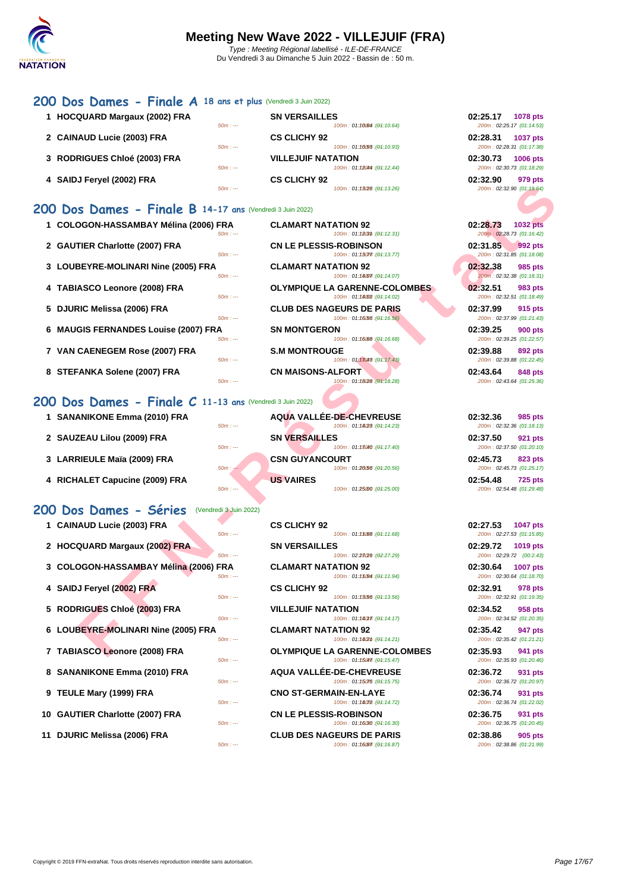### **[200 D](http://www.ffnatation.fr/webffn/index.php)os Dames - Finale A 18 ans et plus** (Vendredi 3 Juin 2022)

**1 HOCQUARD Margaux (2002) FRA SN VERSAILLES** 100m : 01:16064 : (01:10.64) 2 **CAINAUD Lucie (2003) FRA CS CLICHY 92** 50m : --- 100m : 01:10.9350m : --- (01:10.93) 200m : 02:28.31 (01:17.38) **3 [RODRIGUES Chloé \(2003\) FRA](http://www.ffnatation.fr/webffn/resultats.php?idact=nat&go=epr&idcpt=78300&idepr=13) VILLEJUIF NATATION 02:30.73 1006 pts** 100m : 01:12044 : (01:12.44) **4 SAIDJ Feryel (2002) FRA CS CLICHY 92 02:32.90 979 pts**  $50m$  : ---  $100m$  : 01:13.26 (01:13.26)

### **200 Dos Dames - Finale B 14-17 ans (Ver**

- 
- 
- 
- 
- 
- **6 MAUGIS FERNANDES Louise (2007) FRA SN MONTGERON 02:39.25 900 pts**
- 
- 

### **200 Dos Dames - Finale C 11-13 ans** (Vendredi 3 Juin 2022)

- 
- 
- 
- 

### 200 Dos Dames - Séries (Vendredi 3 Juin 2022)

- 
- 
- 
- 
- 
- 
- 
- 
- 
- 
- 

| $50m: -$                                                   | 100m: 01:13/26 : (01:13.26)                               | 200m: 02:32.90 (01:19.64)                                |
|------------------------------------------------------------|-----------------------------------------------------------|----------------------------------------------------------|
| 00 Dos Dames - Finale B 14-17 ans (Vendredi 3 Juin 2022)   |                                                           |                                                          |
|                                                            |                                                           |                                                          |
| 1 COLOGON-HASSAMBAY Mélina (2006) FRA<br>$50m: -$          | <b>CLAMART NATATION 92</b><br>100m: 01:18031 : (01:12.31) | 02:28.73<br><b>1032 pts</b><br>200m: 02:28.73 (01:16.42) |
| 2 GAUTIER Charlotte (2007) FRA                             | <b>CN LE PLESSIS-ROBINSON</b>                             | 02:31.85<br>992 pts                                      |
| $50m: -$                                                   | 100m: 01:13077 : (01:13.77)                               | 200m: 02:31.85 (01:18.08)                                |
| 3 LOUBEYRE-MOLINARI Nine (2005) FRA                        | <b>CLAMART NATATION 92</b>                                | 02:32.38<br>985 pts                                      |
| $50m: -$                                                   | 100m: 01:14077 : (01:14.07)                               | 200m: 02:32.38 (01:18.31)                                |
| 4 TABIASCO Leonore (2008) FRA                              | <b>OLYMPIQUE LA GARENNE-COLOMBES</b>                      | 02:32.51<br>983 pts                                      |
| $50m: -$                                                   | 100m: 01:1402 : (01:14.02)                                | 200m: 02:32.51 (01:18.49)                                |
| 5 DJURIC Melissa (2006) FRA<br>$50m: -$                    | <b>CLUB DES NAGEURS DE PARIS</b>                          | 02:37.99<br>915 pts<br>200m: 02:37.99 (01:21.43)         |
|                                                            | 100m: 01:16.56 : (01:16.56)                               |                                                          |
| 6 MAUGIS FERNANDES Louise (2007) FRA<br>$50m: -$           | <b>SN MONTGERON</b><br>100m: 01:16:68 : (01:16.68)        | 02:39.25<br><b>900 pts</b><br>200m: 02:39.25 (01:22.57)  |
| 7 VAN CAENEGEM Rose (2007) FRA                             | <b>S.M MONTROUGE</b>                                      | 02:39.88<br><b>892 pts</b>                               |
| $50m: -$                                                   | 100m: 01:17.43 : (01:17.43)                               | 200m: 02:39.88 (01:22.45)                                |
| 8 STEFANKA Solene (2007) FRA                               | <b>CN MAISONS-ALFORT</b>                                  | 02:43.64<br>848 pts                                      |
| $50m: -$                                                   | 100m: 01:1828 : (01:18.28)                                | 200m: 02:43.64 (01:25.36)                                |
| 00 Dos Dames - Finale $C$ 11-13 ans (Vendredi 3 Juin 2022) |                                                           |                                                          |
|                                                            |                                                           |                                                          |
| 1 SANANIKONE Emma (2010) FRA<br>$50m: -$                   | AQUA VALLÉE-DE-CHEVREUSE<br>100m: 01:14/28 : (01:14.23)   | 02:32.36<br>985 pts<br>200m: 02:32.36 (01:18.13)         |
| 2 SAUZEAU Lilou (2009) FRA                                 | <b>SN VERSAILLES</b>                                      | 02:37.50<br>921 pts                                      |
| $50m: -$                                                   | 100m: 01:13040 : (01:17.40)                               | 200m: 02:37.50 (01:20.10)                                |
| 3 LARRIEULE Maïa (2009) FRA                                | <b>CSN GUYANCOURT</b>                                     | 02:45.73<br>823 pts                                      |
| $50m: -$                                                   | 100m: 01:20.56 : (01:20.56)                               | 200m: 02:45.73 (01:25.17)                                |
| 4 RICHALET Capucine (2009) FRA                             | <b>US VAIRES</b>                                          | 02:54.48<br><b>725 pts</b>                               |
| $50m: -$                                                   | 100m: 01:25000 : (01:25.00)                               | 200m: 02:54.48 (01:29.48)                                |
| <b>00 Dos Dames - Séries</b><br>(Vendredi 3 Juin 2022)     |                                                           |                                                          |
| 1 CAINAUD Lucie (2003) FRA                                 | <b>CS CLICHY 92</b>                                       | 02:27.53<br><b>1047 pts</b>                              |
| $50m: -$                                                   | 100m: 01:15088 : (04:11.68)                               | 200m: 02:27.53 (01:15.85)                                |
| 2 HOCQUARD Margaux (2002) FRA                              | <b>SN VERSAILLES</b>                                      | 02:29.72<br>1019 pts                                     |
| $50m: -$                                                   | 100m: 02:23/29 : (02:27.29)                               | 200m: 02:29.72 (00:2.43)                                 |
| 3 COLOGON-HASSAMBAY Mélina (2006) FRA                      | <b>CLAMART NATATION 92</b>                                | 02:30.64<br>1007 pts                                     |
| $50m: -$                                                   | 100m: 01:15094 : (01:11.94)                               | 200m: 02:30.64 (01:18.70)                                |
| 4 SAIDJ Feryel (2002) FRA                                  | <b>CS CLICHY 92</b>                                       | 02:32.91<br>978 pts                                      |
| $50m: -$                                                   | 100m: 01:13.56 : (01:13.56)                               | 200m: 02:32.91 (01:19.35)                                |
| 5 RODRIGUES Chloé (2003) FRA<br>$50m: -$                   | <b>VILLEJUIF NATATION</b><br>100m: 01:140m : (01:14.17)   | 02:34.52<br>958 pts<br>200m: 02:34.52 (01:20.35)         |
| 6 LOUBEYRE-MOLINARI Nine (2005) FRA                        | <b>CLAMART NATATION 92</b>                                | 02:35.42<br>947 pts                                      |
| $50m: -$                                                   | 100m: 01:14/2m: (01:14.21)                                | 200m: 02:35.42 (01:21.21)                                |
| 7 TABIASCO Leonore (2008) FRA                              | <b>OLYMPIQUE LA GARENNE-COLOMBES</b>                      | 02:35.93<br>941 pts                                      |
|                                                            |                                                           |                                                          |

 **CAINAUD Lucie (2003) FRA CS CLICHY 92 02:27.53 02:27.53 01:15.85 01:15.85 01:15.85 HOCQUARD Margaux (2002) FRA SN VERSAILLES 02:29.72 1019 pts** 50m : --- 100m : 02:27.29 150m : --- (02:27.29) 200m : 02:29.72 (00:2.43) **COLOGON-HASSAMBAY Mélina (2006) FRA CLAMART NATATION 92 02:30.64 1007 pts** 50m : --- 100m : 01:11.15094 (04:11.94) 200m : 02:30.64 (01:18.70) **SAIDJ Feryel (2002) FRA CS CLICHY 92 02:32.91 978 pts**  $50m : -100m : 01:13.56$  ( $01:13.56$ ) 200m : 02:32.91 (01:19.35) **RODRIGUES Chloé (2003) FRA VILLEJUIF NATATION 02:34.52 958 pts** LOUBEYRE-MOLINARI Nine (2005) FRA<br>  $\frac{60m}{2}$  **CLAMART NATATION 92 02:35.42 02:35.42 02:35.42 01:24:21** 50m : --- 100m : 01:14.21) 100m : 01:14.21 **TABIASCO Leonore (2008) FRA OLYMPIQUE LA GARENNE-COLOMBES 02:35.93 941 pts** 50m : --- 100m : 01:15.470m : 01:15.470 and 01:15.470 200m : 02:35.93 (01:20.46) **SANANIKONE Emma (2010) FRA AQUA VALLÉE-DE-CHEVREUSE 02:36.72 931 pts TEULE Mary (1999) FRA CNO ST-GERMAIN-EN-LAYE 02:36.74 931 pts** 50m : --- 100m : 01:14072 (04:14.72) 200m : 02:36.74 (01:22.02) **GAUTIER Charlotte (2007) FRA CN LE PLESSIS-ROBINSON 02:36.75 931 pts**<br>*50m* : <u>50m</u> **11.16.201116.30 104:15.30 104:16.30 104:16.30 102:36.75 01:20:45 01:20:45** 

**11 DJURIC Melissa (2006) FRA CLUB DES NAGEURS DE PARIS 02:38.86 905 pts**

| 02:25.17 | 1078 pts<br>200m: 02:25.17 (01:14.53)                |
|----------|------------------------------------------------------|
| 02:28.31 | <b>1037 pts</b>                                      |
|          | 200m: 02:28.31 (01:17.38)                            |
| 02:30.73 | <b>1006 pts</b>                                      |
|          | 200m: 02:30.73 (01:18.29)                            |
| 02:32.90 | 979 pts<br>$0.00 - 0.00 - 0.00 - 0.00 - 0.00 - 0.01$ |

# 200m : 02:27.53 (01:15.85) 200m : 02:34.52 (01:20.35)  $200m : 02:36.72 (01:20.97)$ 200m : 02:36.75 (01:20.45) 200m : 02:38.86 (01:21.99)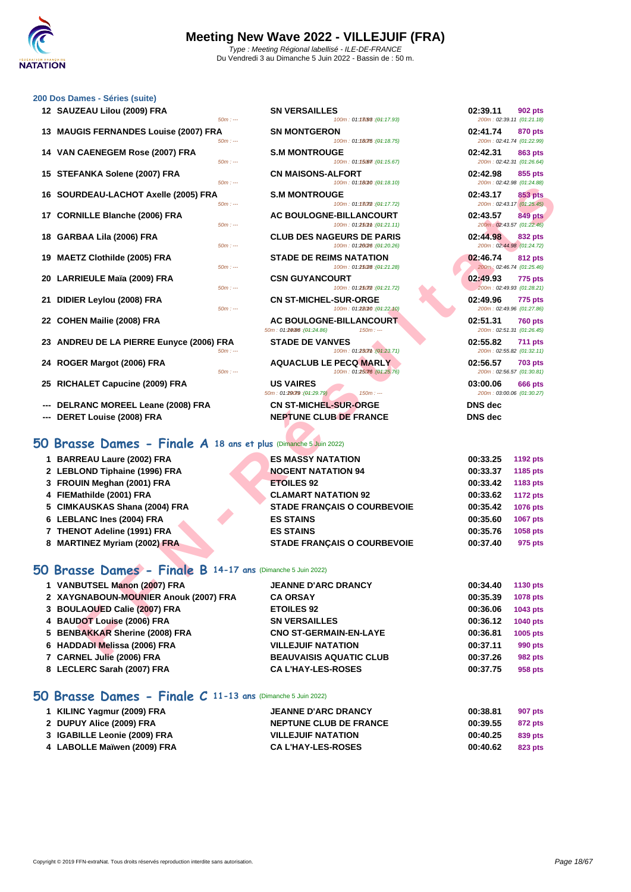

100m : 01:18098 : (01:17.93)

100m : 01:18075 : (01:18.75)

 $100m$  : 01:15.67)  $(04:15.67)$ 

 $100m$  : 01:18010 : (01:18.10)

**12 SN VERSAILLES** 

**138 BIG MONTGERON** 

**14 S.M MONTROUGE** 

 $CN$  **MAISONS-ALFORT** 

### **[200 Dos D](http://www.ffnatation.fr/webffn/index.php)ames - Séries (suite)**

| 00 Dos Dames - Séries (suite)            |          |
|------------------------------------------|----------|
| 12 SAUZEAU Lilou (2009) FRA              | $50m: -$ |
| 13 MAUGIS FERNANDES Louise (2007) FRA    | $50m: -$ |
| 14 VAN CAENEGEM Rose (2007) FRA          | $50m: -$ |
| 15 STEFANKA Solene (2007) FRA            | $50m: -$ |
| 16 SOURDEAU-LACHOT Axelle (2005) FRA     | $50m: -$ |
| 17 CORNILLE Blanche (2006) FRA           | $50m: -$ |
| 18 GARBAA Lila (2006) FRA                | $50m: -$ |
| 19 MAETZ Clothilde (2005) FRA            | $50m: -$ |
| 20 LARRIEULE Maïa (2009) FRA             | $50m: -$ |
| 21 DIDIER Leylou (2008) FRA              | $50m: -$ |
| 22 COHEN Mailie (2008) FRA               |          |
| 23 ANDREU DE LA PIERRE Eunyce (2006) FRA | $50m: -$ |
| 24 ROGER Margot (2006) FRA               | $50m: -$ |

- **25 RICHALET Capucine (2009) FRA US VAIRES 03:00.06 666 pts**
- --- **DELRANC MOREEL Leane (2008) FRA CN ST-MICHEL-SUR-ORGE**
- **--- DERET Louise (2008) FRA NEPTUNE CLUB DE FRANCE**

## **50 Brasse Dames - Finale A 18 ans et plus** (Dimanche 5 Juin 2022)

|                                                                 | 100111.01.10010.101.10.101                                                | $LUUIII$ . UZ.42.30 [UT.24.00]                          |
|-----------------------------------------------------------------|---------------------------------------------------------------------------|---------------------------------------------------------|
| 16 SOURDEAU-LACHOT Axelle (2005) FRA<br>$50m: -$                | <b>S.M MONTROUGE</b><br>100m: 01:13072 : (01:17.72)                       | 02:43.17<br><b>853 pts</b><br>200m: 02:43.17 (01:25.45) |
| 17 CORNILLE Blanche (2006) FRA<br>$50m: -$                      | <b>AC BOULOGNE-BILLANCOURT</b><br>100m: 01:250mm: (01:21.11)              | 02:43.57<br><b>849 pts</b><br>200m: 02:43.57 (01:22.46) |
| 18 GARBAA Lila (2006) FRA<br>$50m: -$                           | <b>CLUB DES NAGEURS DE PARIS</b><br>100m: 01:20/26 : (01:20.26)           | 02:44.98<br>832 pts<br>200m: 02:44.98 (01:24.72)        |
| 19 MAETZ Clothilde (2005) FRA<br>$50m: -$                       | <b>STADE DE REIMS NATATION</b><br>100m: 01:25(28 : (01:21.28)             | 02:46.74<br><b>812 pts</b><br>200m: 02:46.74 (01:25.46) |
| 20 LARRIEULE Maïa (2009) FRA<br>$50m: -$                        | <b>CSN GUYANCOURT</b><br>100m: 01:25072 : (01:21.72)                      | 02:49.93<br>775 pts<br>200m: 02:49.93 (01:28.21)        |
| 21 DIDIER Leylou (2008) FRA<br>$50m: -$                         | <b>CN ST-MICHEL-SUR-ORGE</b><br>100m: 01:28010 : (01:22.10)               | 02:49.96<br>775 pts<br>200m: 02:49.96 (01:27.86)        |
| 22 COHEN Mailie (2008) FRA                                      | <b>AC BOULOGNE-BILLANCOURT</b><br>50m: 01:24/86 : (04:24.86)<br>$150m: -$ | 02:51.31<br><b>760 pts</b><br>200m: 02:51.31 (01:26.45) |
| 23 ANDREU DE LA PIERRE Eunyce (2006) FRA<br>$50m: -$            | <b>STADE DE VANVES</b><br>100m: 01:230mm : (01:23.71)                     | 02:55.82<br><b>711 pts</b><br>200m: 02:55.82 (01:32.11) |
| 24 ROGER Margot (2006) FRA<br>$50m: -$                          | <b>AQUACLUB LE PECQ MARLY</b><br>100m: 01:25076 : (01:25.76)              | 02:56.57<br><b>703 pts</b><br>200m: 02:56.57 (01:30.81) |
| 25 RICHALET Capucine (2009) FRA                                 | <b>US VAIRES</b><br>50m: 01:29079 : (04:29.79)<br>$150m: -$               | 03:00.06<br>666 pts<br>200m: 03:00.06 (01:30.27)        |
| --- DELRANC MOREEL Leane (2008) FRA                             | <b>CN ST-MICHEL-SUR-ORGE</b>                                              | <b>DNS</b> dec                                          |
| --- DERET Louise (2008) FRA                                     | <b>NEPTUNE CLUB DE FRANCE</b>                                             | <b>DNS</b> dec                                          |
| O Brasse Dames - Finale A 18 ans et plus (Dimanche 5 Juin 2022) |                                                                           |                                                         |
| 1 BARREAU Laure (2002) FRA                                      | <b>ES MASSY NATATION</b>                                                  | 00:33.25<br>1192 pts                                    |
| 2 LEBLOND Tiphaine (1996) FRA                                   | <b>NOGENT NATATION 94</b>                                                 | 00:33.37<br>1185 pts                                    |
| 3 FROUIN Meghan (2001) FRA                                      | <b>ETOILES 92</b>                                                         | 00:33.42<br>1183 pts                                    |
| 4 FIEMathilde (2001) FRA                                        | <b>CLAMART NATATION 92</b>                                                | 00:33.62<br><b>1172 pts</b>                             |
| 5 CIMKAUSKAS Shana (2004) FRA                                   | <b>STADE FRANÇAIS O COURBEVOIE</b>                                        | 00:35.42<br>1076 pts                                    |
| 6 LEBLANC Ines (2004) FRA                                       | <b>ES STAINS</b>                                                          | 00:35.60<br>1067 pts                                    |
| 7 THENOT Adeline (1991) FRA                                     | <b>ES STAINS</b>                                                          | 00:35.76<br>1058 pts                                    |
| 8 MARTINEZ Myriam (2002) FRA                                    | <b>STADE FRANÇAIS O COURBEVOIE</b>                                        | 00:37.40<br>975 pts                                     |
| O Brasse Dames - Finale B 14-17 ans (Dimanche 5 Juin 2022)      |                                                                           |                                                         |
| 1 VANBUTSEL Manon (2007) FRA                                    | <b>JEANNE D'ARC DRANCY</b>                                                | 00:34.40<br><b>1130 pts</b>                             |
| 2 XAYGNABOUN-MOUNIER Anouk (2007) FRA                           | <b>CA ORSAY</b>                                                           | 00:35.39<br>1078 pts                                    |
| 3 BOULAOUED Calie (2007) FRA                                    | <b>ETOILES 92</b>                                                         | 00:36.06<br>1043 pts                                    |
| 4 BAUDOT Louise (2006) FRA                                      | <b>SN VERSAILLES</b>                                                      | 00:36.12<br>1040 pts                                    |
| 5 BENBAKKAR Sherine (2008) FRA                                  | <b>CNO ST-GERMAIN-EN-LAYE</b>                                             | 00:36.81<br>1005 pts                                    |
| 6 HADDADI Melissa (2006) FRA                                    | <b>VILLEJUIF NATATION</b>                                                 | 00:37.11<br>990 pts                                     |
| <b>7. CADMEL LUIS (2006) EDA</b>                                | <b>DEALIVAICIC AQUATIC CLUD</b>                                           | 00.27.25<br>$002 - 1$                                   |

## **50 Brasse Dames - Finale B 14-17 ans** (Dimanche 5 Juin 2022)

| <b>JEANNE D'ARC DRANCY</b>                                                                                                                                                                                                                                       | 00:34.40 | 1130 pts        |
|------------------------------------------------------------------------------------------------------------------------------------------------------------------------------------------------------------------------------------------------------------------|----------|-----------------|
| <b>CA ORSAY</b>                                                                                                                                                                                                                                                  | 00:35.39 | <b>1078 pts</b> |
| <b>ETOILES 92</b>                                                                                                                                                                                                                                                | 00:36.06 | 1043 pts        |
| <b>SN VERSAILLES</b>                                                                                                                                                                                                                                             | 00:36.12 | <b>1040 pts</b> |
| <b>CNO ST-GERMAIN-EN-LAYE</b>                                                                                                                                                                                                                                    | 00:36.81 | 1005 pts        |
| <b>VILLEJUIF NATATION</b>                                                                                                                                                                                                                                        | 00:37.11 | 990 pts         |
| <b>BEAUVAISIS AQUATIC CLUB</b>                                                                                                                                                                                                                                   | 00:37.26 | 982 pts         |
| <b>CAL'HAY-LES-ROSES</b>                                                                                                                                                                                                                                         | 00:37.75 | 958 pts         |
| 1 VANBUTSEL Manon (2007) FRA<br>2 XAYGNABOUN-MOUNIER Anouk (2007) FRA<br>3 BOULAOUED Calie (2007) FRA<br>4 BAUDOT Louise (2006) FRA<br>5 BENBAKKAR Sherine (2008) FRA<br>6 HADDADI Melissa (2006) FRA<br>7 CARNEL Julie (2006) FRA<br>8 LECLERC Sarah (2007) FRA |          |                 |

## **50 Brasse Dames - Finale C 11-13 ans** (Dimanche 5 Juin 2022)

| 1 KILINC Yagmur (2009) FRA   | <b>JEANNE D'ARC DRANCY</b>    | 00:38.81 | 907 pts |
|------------------------------|-------------------------------|----------|---------|
| 2 DUPUY Alice (2009) FRA     | <b>NEPTUNE CLUB DE FRANCE</b> | 00:39.55 | 872 pts |
| 3 IGABILLE Leonie (2009) FRA | <b>VILLEJUIF NATATION</b>     | 00:40.25 | 839 pts |
| 4 LABOLLE Maïwen (2009) FRA  | <b>CA L'HAY-LES-ROSES</b>     | 00:40.62 | 823 pts |

| 02:39.11 902 pts<br>200m: 02:39.11 (01:21.18) |  |
|-----------------------------------------------|--|
| 02:41.74 870 pts                              |  |
| 200m: 02:41.74 (01:22.99)<br>02:42.31 863 pts |  |
| 200m: 02:42.31 (01:26.64)                     |  |
| 02:42.98 855 pts<br>200m: 02:42.98 (01:24.88) |  |
| 02:43.17 853 pts<br>200m: 02:43.17 (01:25.45) |  |
| 02:43.57 849 pts<br>200m: 02:43.57 (01:22.46) |  |
| 02:44.98 832 pts                              |  |
| 200m: 02:44.98 (01:24.72)<br>02:46.74 812 pts |  |
| 200m: 02:46.74 (01:25.46)                     |  |
| 02:49.93 775 pts<br>200m: 02:49.93 (01:28.21) |  |
|                                               |  |
| 02:49.96 775 pts<br>200m: 02:49.96 (01:27.86) |  |
| 02:51.31 760 pts                              |  |
| 200m: 02:51.31 (01:26.45)<br>02:55.82 711 pts |  |
| 200m: 02:55.82 (01:32.11)                     |  |
| 02:56.57 703 pts<br>200m: 02:56.57 (01:30.81) |  |
| 03:00.06 666 pts<br>200m: 03:00.06 (01:30.27) |  |
| <b>DNS</b> dec                                |  |
| <b>DNS</b> dec                                |  |
|                                               |  |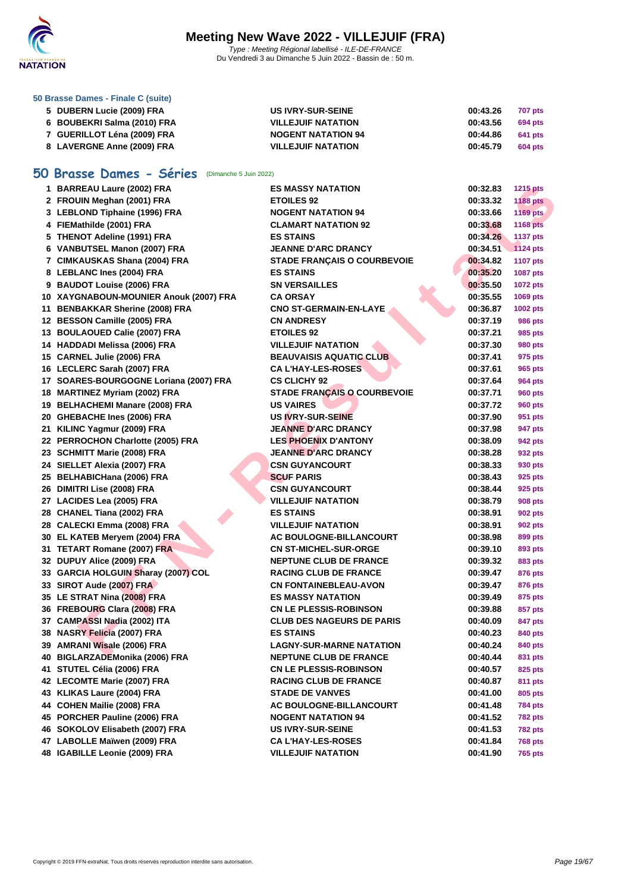

**[50 Brasse](http://www.ffnatation.fr/webffn/index.php) Dames - Finale C (suite)**

| 5 DUBERN Lucie (2009) FRA   | <b>US IVRY-SUR-SEINE</b>  | 00:43.26<br>707 pts |
|-----------------------------|---------------------------|---------------------|
| 6 BOUBEKRI Salma (2010) FRA | <b>VILLEJUIF NATATION</b> | 00:43.56<br>694 pts |
| 7 GUERILLOT Léna (2009) FRA | <b>NOGENT NATATION 94</b> | 00:44.86<br>641 pts |
| 8 LAVERGNE Anne (2009) FRA  | <b>VILLEJUIF NATATION</b> | 00:45.79<br>604 pts |

## **50 Brasse Dames - Séries** (Dimanche 5 Juin 2022)

| 1 BARREAU Laure (2002) FRA             | <b>ES MASSY NATATION</b>           | 00:32.83 | <b>1215 pts</b> |
|----------------------------------------|------------------------------------|----------|-----------------|
| 2 FROUIN Meghan (2001) FRA             | <b>ETOILES 92</b>                  | 00:33.32 | <b>1188 pts</b> |
| 3 LEBLOND Tiphaine (1996) FRA          | <b>NOGENT NATATION 94</b>          | 00:33.66 | 1169 pts        |
| 4 FIEMathilde (2001) FRA               | <b>CLAMART NATATION 92</b>         | 00:33.68 | <b>1168 pts</b> |
| 5 THENOT Adeline (1991) FRA            | <b>ES STAINS</b>                   | 00:34.26 | <b>1137 pts</b> |
| 6 VANBUTSEL Manon (2007) FRA           | <b>JEANNE D'ARC DRANCY</b>         | 00:34.51 | <b>1124 pts</b> |
| 7 CIMKAUSKAS Shana (2004) FRA          | <b>STADE FRANÇAIS O COURBEVOIE</b> | 00:34.82 | <b>1107 pts</b> |
| 8 LEBLANC Ines (2004) FRA              | <b>ES STAINS</b>                   | 00:35.20 | 1087 pts        |
| 9 BAUDOT Louise (2006) FRA             | <b>SN VERSAILLES</b>               | 00:35.50 | <b>1072 pts</b> |
| 10 XAYGNABOUN-MOUNIER Anouk (2007) FRA | CA ORSAY                           | 00:35.55 | 1069 pts        |
| 11 BENBAKKAR Sherine (2008) FRA        | <b>CNO ST-GERMAIN-EN-LAYE</b>      | 00:36.87 | 1002 pts        |
| 12 BESSON Camille (2005) FRA           | <b>CN ANDRESY</b>                  | 00:37.19 | 986 pts         |
| 13 BOULAOUED Calie (2007) FRA          | <b>ETOILES 92</b>                  | 00:37.21 | 985 pts         |
| 14 HADDADI Melissa (2006) FRA          | <b>VILLEJUIF NATATION</b>          | 00:37.30 | 980 pts         |
| 15 CARNEL Julie (2006) FRA             | <b>BEAUVAISIS AQUATIC CLUB</b>     | 00:37.41 | 975 pts         |
| 16 LECLERC Sarah (2007) FRA            | <b>CA L'HAY-LES-ROSES</b>          | 00:37.61 | 965 pts         |
| 17 SOARES-BOURGOGNE Loriana (2007) FRA | <b>CS CLICHY 92</b>                | 00:37.64 | 964 pts         |
| 18 MARTINEZ Myriam (2002) FRA          | <b>STADE FRANÇAIS O COURBEVOIE</b> | 00:37.71 | <b>960 pts</b>  |
| 19 BELHACHEMI Manare (2008) FRA        | <b>US VAIRES</b>                   | 00:37.72 | 960 pts         |
| 20 GHEBACHE Ines (2006) FRA            | <b>US IVRY-SUR-SEINE</b>           | 00:37.90 | 951 pts         |
| 21 KILINC Yagmur (2009) FRA            | <b>JEANNE D'ARC DRANCY</b>         | 00:37.98 | 947 pts         |
| 22 PERROCHON Charlotte (2005) FRA      | <b>LES PHOENIX D'ANTONY</b>        | 00:38.09 | 942 pts         |
| 23 SCHMITT Marie (2008) FRA            | <b>JEANNE D'ARC DRANCY</b>         | 00:38.28 | 932 pts         |
| 24 SIELLET Alexia (2007) FRA           | <b>CSN GUYANCOURT</b>              | 00:38.33 | 930 pts         |
| 25 BELHABICHana (2006) FRA             | <b>SCUF PARIS</b>                  | 00:38.43 | 925 pts         |
| 26 DIMITRI Lise (2008) FRA             | <b>CSN GUYANCOURT</b>              | 00:38.44 | 925 pts         |
| 27 LACIDES Lea (2005) FRA              | <b>VILLEJUIF NATATION</b>          | 00:38.79 | <b>908 pts</b>  |
| 28 CHANEL Tiana (2002) FRA             | <b>ES STAINS</b>                   | 00:38.91 | 902 pts         |
| 28 CALECKI Emma (2008) FRA             | <b>VILLEJUIF NATATION</b>          | 00:38.91 | 902 pts         |
| 30 EL KATEB Meryem (2004) FRA          | <b>AC BOULOGNE-BILLANCOURT</b>     | 00:38.98 |                 |
| 31 TETART Romane (2007) FRA            |                                    |          | 899 pts         |
| 32 DUPUY Alice (2009) FRA              | <b>CN ST-MICHEL-SUR-ORGE</b>       | 00:39.10 | 893 pts         |
|                                        | <b>NEPTUNE CLUB DE FRANCE</b>      | 00:39.32 | 883 pts         |
| 33 GARCIA HOLGUIN Sharay (2007) COL    | <b>RACING CLUB DE FRANCE</b>       | 00:39.47 | 876 pts         |
| 33 SIROT Aude (2007) FRA               | <b>CN FONTAINEBLEAU-AVON</b>       | 00:39.47 | 876 pts         |
| 35 LE STRAT Nina (2008) FRA            | <b>ES MASSY NATATION</b>           | 00:39.49 | 875 pts         |
| 36 FREBOURG Clara (2008) FRA           | <b>CN LE PLESSIS-ROBINSON</b>      | 00:39.88 | 857 pts         |
| 37 CAMPASSI Nadia (2002) ITA           | <b>CLUB DES NAGEURS DE PARIS</b>   | 00:40.09 | 847 pts         |
| 38 NASRY Felicia (2007) FRA            | <b>ES STAINS</b>                   | 00:40.23 | 840 pts         |
| 39 AMRANI Wisale (2006) FRA            | <b>LAGNY-SUR-MARNE NATATION</b>    | 00:40.24 | 840 pts         |
| 40 BIGLARZADEMonika (2006) FRA         | <b>NEPTUNE CLUB DE FRANCE</b>      | 00:40.44 | 831 pts         |
| 41 STUTEL Célia (2006) FRA             | <b>CN LE PLESSIS-ROBINSON</b>      | 00:40.57 | 825 pts         |
| 42 LECOMTE Marie (2007) FRA            | <b>RACING CLUB DE FRANCE</b>       | 00:40.87 | 811 pts         |
| 43 KLIKAS Laure (2004) FRA             | <b>STADE DE VANVES</b>             | 00:41.00 | 805 pts         |
| 44 COHEN Mailie (2008) FRA             | AC BOULOGNE-BILLANCOURT            | 00:41.48 | <b>784 pts</b>  |
| 45 PORCHER Pauline (2006) FRA          | <b>NOGENT NATATION 94</b>          | 00:41.52 | <b>782 pts</b>  |
| 46 SOKOLOV Elisabeth (2007) FRA        | <b>US IVRY-SUR-SEINE</b>           | 00:41.53 | <b>782 pts</b>  |
| 47 LABOLLE Maïwen (2009) FRA           | <b>CA L'HAY-LES-ROSES</b>          | 00:41.84 | <b>768 pts</b>  |
| 48 IGABILLE Leonie (2009) FRA          | <b>VILLEJUIF NATATION</b>          | 00:41.90 | <b>765 pts</b>  |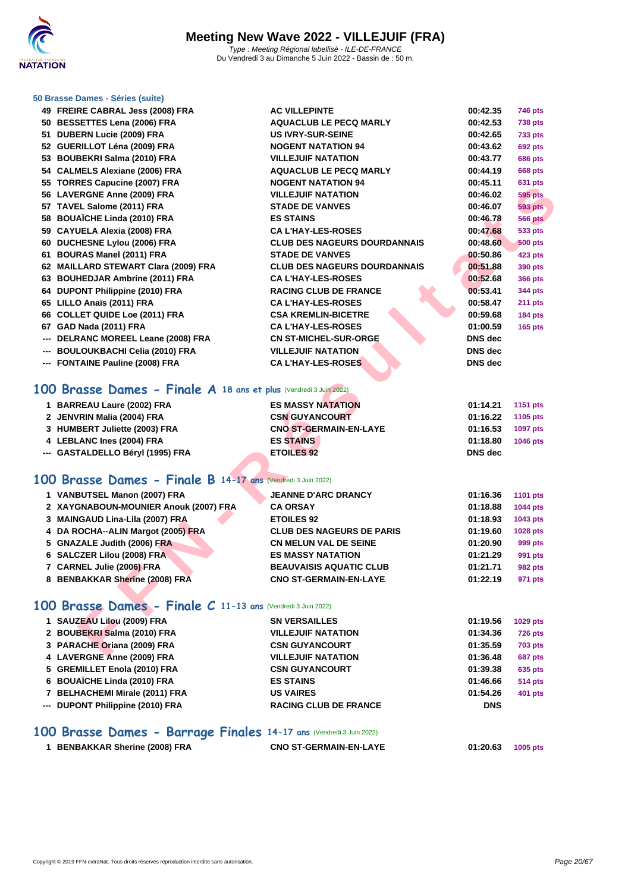

### **[50 Brasse](http://www.ffnatation.fr/webffn/index.php) Dames - Séries (suite)**

| 49 FREIRE CABRAL Jess (2008) FRA                                 | <b>AC VILLEPINTE</b>                | 00:42.35       | 746 pts        |
|------------------------------------------------------------------|-------------------------------------|----------------|----------------|
| 50 BESSETTES Lena (2006) FRA                                     | <b>AQUACLUB LE PECQ MARLY</b>       | 00:42.53       | <b>738 pts</b> |
| 51 DUBERN Lucie (2009) FRA                                       | <b>US IVRY-SUR-SEINE</b>            | 00:42.65       | <b>733 pts</b> |
| 52 GUERILLOT Léna (2009) FRA                                     | <b>NOGENT NATATION 94</b>           | 00:43.62       | <b>692 pts</b> |
| 53 BOUBEKRI Salma (2010) FRA                                     | <b>VILLEJUIF NATATION</b>           | 00:43.77       | 686 pts        |
| 54 CALMELS Alexiane (2006) FRA                                   | <b>AQUACLUB LE PECQ MARLY</b>       | 00:44.19       | <b>668 pts</b> |
| 55 TORRES Capucine (2007) FRA                                    | <b>NOGENT NATATION 94</b>           | 00:45.11       | <b>631 pts</b> |
| 56 LAVERGNE Anne (2009) FRA                                      | <b>VILLEJUIF NATATION</b>           | 00:46.02       | 595 pts        |
| 57 TAVEL Salome (2011) FRA                                       | <b>STADE DE VANVES</b>              | 00:46.07       | <b>593 pts</b> |
| 58 BOUAÏCHE Linda (2010) FRA                                     | <b>ES STAINS</b>                    | 00:46.78       | <b>566 pts</b> |
| 59 CAYUELA Alexia (2008) FRA                                     | <b>CA L'HAY-LES-ROSES</b>           | 00:47.68       | 533 pts        |
| 60 DUCHESNE Lylou (2006) FRA                                     | <b>CLUB DES NAGEURS DOURDANNAIS</b> | 00:48.60       | <b>500 pts</b> |
| 61 BOURAS Manel (2011) FRA                                       | <b>STADE DE VANVES</b>              | 00:50.86       | 423 pts        |
| 62 MAILLARD STEWART Clara (2009) FRA                             | <b>CLUB DES NAGEURS DOURDANNAIS</b> | 00:51.88       | 390 pts        |
| 63 BOUHEDJAR Ambrine (2011) FRA                                  | <b>CA L'HAY-LES-ROSES</b>           | 00:52.68       | <b>366 pts</b> |
| 64 DUPONT Philippine (2010) FRA                                  | <b>RACING CLUB DE FRANCE</b>        | 00:53.41       | 344 pts        |
| 65 LILLO Anaïs (2011) FRA                                        | <b>CA L'HAY-LES-ROSES</b>           | 00:58.47       | <b>211 pts</b> |
| 66 COLLET QUIDE Loe (2011) FRA                                   | <b>CSA KREMLIN-BICETRE</b>          | 00:59.68       | 184 pts        |
| 67 GAD Nada (2011) FRA                                           | <b>CA L'HAY-LES-ROSES</b>           | 01:00.59       | <b>165 pts</b> |
| --- DELRANC MOREEL Leane (2008) FRA                              | <b>CN ST-MICHEL-SUR-ORGE</b>        | <b>DNS</b> dec |                |
| --- BOULOUKBACHI Celia (2010) FRA                                | <b>VILLEJUIF NATATION</b>           | <b>DNS</b> dec |                |
| --- FONTAINE Pauline (2008) FRA                                  | <b>CA L'HAY-LES-ROSES</b>           | <b>DNS</b> dec |                |
| 00 Brasse Dames - Finale A 18 ans et plus (Vendredi 3 Juin 2022) |                                     |                |                |
| 1 BARREAU Laure (2002) FRA                                       | <b>ES MASSY NATATION</b>            | 01:14.21       | 1151 pts       |
| 2 JENVRIN Malia (2004) FRA                                       | <b>CSN GUYANCOURT</b>               | 01:16.22       | 1105 pts       |
| 3 HUMBERT Juliette (2003) FRA                                    | CNO ST-GERMAIN-EN-LAYE              | 01:16.53       | 1097 pts       |
| 4 LEBLANC Ines (2004) FRA                                        | <b>ES STAINS</b>                    | 01:18.80       | 1046 pts       |
| --- GASTALDELLO Béryl (1995) FRA                                 | <b>ETOILES 92</b>                   | <b>DNS</b> dec |                |
| 00 Brasse Dames - Finale B 14-17 ans (Vendredi 3 Juin 2022)      |                                     |                |                |
|                                                                  |                                     |                |                |
| 1 VANBUTSEL Manon (2007) FRA                                     | <b>JEANNE D'ARC DRANCY</b>          | 01:16.36       | 1101 pts       |
| 2 XAYGNABOUN-MOUNIER Anouk (2007) FRA                            | <b>CA ORSAY</b>                     | 01:18.88       | 1044 pts       |
| 3 MAINGAUD Lina-Lila (2007) FRA                                  | <b>ETOILES 92</b>                   | 01:18.93       | 1043 pts       |
| 4 DA ROCHA--ALIN Margot (2005) FRA                               | <b>CLUB DES NAGEURS DE PARIS</b>    | 01:19.60       | 1028 pts       |
| 5 GNAZALE Judith (2006) FRA                                      | <b>CN MELUN VAL DE SEINE</b>        | 01:20.90       | 999 pts        |
| 6 SALCZER Lilou (2008) FRA                                       | <b>ES MASSY NATATION</b>            | 01:21.29       | 991 pts        |
| 7 CARNEL Julie (2006) FRA                                        | <b>BEAUVAISIS AQUATIC CLUB</b>      | 01:21.71       | <b>982 pts</b> |
| 8 BENBAKKAR Sherine (2008) FRA                                   | <b>CNO ST-GERMAIN-EN-LAYE</b>       | 01:22.19       | 971 pts        |
|                                                                  |                                     |                |                |
| 00 Brasse Dames - Finale C 11-13 ans (Vendredi 3 Juin 2022)      |                                     |                |                |
| 1 SAUZEAU Lilou (2009) FRA                                       | <b>SN VERSAILLES</b>                | 01:19.56       | 1029 pts       |
| 2 BOUBEKRI Salma (2010) FRA                                      | <b>VILLEJUIF NATATION</b>           | 01:34.36       | <b>726 pts</b> |
| 3 PARACHE Oriana (2009) FRA                                      | <b>CSN GUYANCOURT</b>               | 01:35.59       | <b>703 pts</b> |
| AUFRANE Agos (0000) FRA                                          |                                     | 04.204.40      | $0.07 - 1$     |

## **100 Brasse Dames - Finale A 18 ans et plus** (Vendredi 3 Juin 2022)

| 1 BARREAU Laure (2002) FRA       | <b>ES MASSY NATATION</b>      | 01:14.21 | 1151 pts        |
|----------------------------------|-------------------------------|----------|-----------------|
| 2 JENVRIN Malia (2004) FRA       | <b>CSN GUYANCOURT</b>         | 01:16.22 | 1105 pts        |
| 3 HUMBERT Juliette (2003) FRA    | <b>CNO ST-GERMAIN-EN-LAYE</b> | 01:16.53 | 1097 pts        |
| 4 LEBLANC Ines (2004) FRA        | <b>ES STAINS</b>              | 01:18.80 | <b>1046 pts</b> |
| --- GASTALDELLO Béryl (1995) FRA | <b>ETOILES 92</b>             | DNS dec  |                 |

## **100 Brasse Dames - Finale B 14-17 ans** (Vendredi 3 Juin 2022)

| 1 VANBUTSEL Manon (2007) FRA          | <b>JEANNE D'ARC DRANCY</b>       | 01:16.36 | 1101 pts       |
|---------------------------------------|----------------------------------|----------|----------------|
| 2 XAYGNABOUN-MOUNIER Anouk (2007) FRA | <b>CA ORSAY</b>                  | 01:18.88 | 1044 pts       |
| 3 MAINGAUD Lina-Lila (2007) FRA       | <b>ETOILES 92</b>                | 01:18.93 | 1043 pts       |
| 4 DA ROCHA--ALIN Margot (2005) FRA    | <b>CLUB DES NAGEURS DE PARIS</b> | 01:19.60 | 1028 pts       |
| 5 GNAZALE Judith (2006) FRA           | <b>CN MELUN VAL DE SEINE</b>     | 01:20.90 | 999 pts        |
| 6 SALCZER Lilou (2008) FRA            | <b>ES MASSY NATATION</b>         | 01:21.29 | 991 pts        |
| 7 CARNEL Julie (2006) FRA             | <b>BEAUVAISIS AQUATIC CLUB</b>   | 01:21.71 | <b>982 pts</b> |
| 8 BENBAKKAR Sherine (2008) FRA        | <b>CNO ST-GERMAIN-EN-LAYE</b>    | 01:22.19 | 971 pts        |

## **100 Brasse Dames - Finale C 11-13 ans** (Vendredi 3 Juin 2022)

| 1 SAUZEAU Lilou (2009) FRA       | <b>SN VERSAILLES</b>         | 01:19.56   | 1029 pts       |
|----------------------------------|------------------------------|------------|----------------|
| 2 BOUBEKRI Salma (2010) FRA      | <b>VILLEJUIF NATATION</b>    | 01:34.36   | <b>726 pts</b> |
| 3 PARACHE Oriana (2009) FRA      | <b>CSN GUYANCOURT</b>        | 01:35.59   | <b>703 pts</b> |
| 4 LAVERGNE Anne (2009) FRA       | <b>VILLEJUIF NATATION</b>    | 01:36.48   | <b>687 pts</b> |
| 5 GREMILLET Enola (2010) FRA     | <b>CSN GUYANCOURT</b>        | 01:39.38   | 635 pts        |
| 6 BOUAÏCHE Linda (2010) FRA      | <b>ES STAINS</b>             | 01:46.66   | <b>514 pts</b> |
| 7 BELHACHEMI Mirale (2011) FRA   | <b>US VAIRES</b>             | 01:54.26   | 401 pts        |
| --- DUPONT Philippine (2010) FRA | <b>RACING CLUB DE FRANCE</b> | <b>DNS</b> |                |

## **100 Brasse Dames - Barrage Finales 14-17 ans** (Vendredi 3 Juin 2022)

| 1 BENBAKKAR Sherine (2008) FRA | <b>CNO ST-GERMAIN-EN-LAYE</b> | 01:20.63 | 1005 pts |
|--------------------------------|-------------------------------|----------|----------|
|--------------------------------|-------------------------------|----------|----------|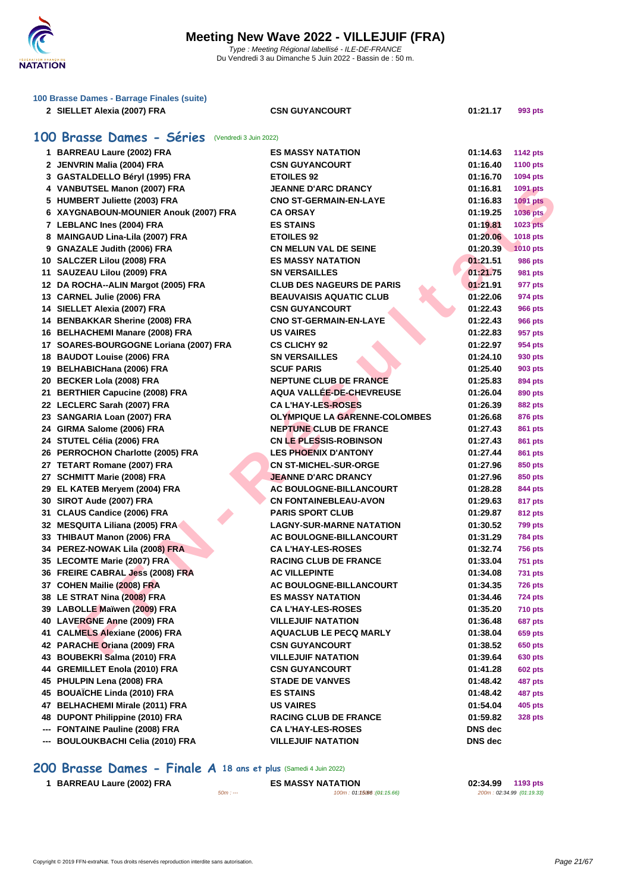

| 100 Brasse Dames - Barrage Finales (suite) |                                                  |                                  |          |                 |  |
|--------------------------------------------|--------------------------------------------------|----------------------------------|----------|-----------------|--|
|                                            | 2 SIELLET Alexia (2007) FRA                      | <b>CSN GUYANCOURT</b>            | 01:21.17 | 993 pts         |  |
|                                            |                                                  |                                  |          |                 |  |
|                                            | 100 Brasse Dames - Séries (Vendredi 3 Juin 2022) |                                  |          |                 |  |
|                                            | 1 BARREAU Laure (2002) FRA                       | <b>ES MASSY NATATION</b>         | 01:14.63 | <b>1142 pts</b> |  |
|                                            | 2 JENVRIN Malia (2004) FRA                       | <b>CSN GUYANCOURT</b>            | 01:16.40 | <b>1100 pts</b> |  |
|                                            | 3 GASTALDELLO Béryl (1995) FRA                   | <b>ETOILES 92</b>                | 01:16.70 | 1094 pts        |  |
|                                            | 4 VANBUTSEL Manon (2007) FRA                     | <b>JEANNE D'ARC DRANCY</b>       | 01:16.81 | 1091 pts        |  |
|                                            | 5 HUMBERT Juliette (2003) FRA                    | <b>CNO ST-GERMAIN-EN-LAYE</b>    | 01:16.83 | <b>1091 pts</b> |  |
|                                            | 6 XAYGNABOUN-MOUNIER Anouk (2007) FRA            | <b>CA ORSAY</b>                  | 01:19.25 | 1036 pts        |  |
|                                            | 7 LEBLANC Ines (2004) FRA                        | <b>ES STAINS</b>                 | 01:19.81 | 1023 pts        |  |
|                                            | 8 MAINGAUD Lina-Lila (2007) FRA                  | <b>ETOILES 92</b>                | 01:20.06 | 1018 pts        |  |
|                                            | 9 GNAZALE Judith (2006) FRA                      | <b>CN MELUN VAL DE SEINE</b>     | 01:20.39 | 1010 pts        |  |
|                                            | 10 SALCZER Lilou (2008) FRA                      | <b>ES MASSY NATATION</b>         | 01:21.51 | 986 pts         |  |
|                                            | 11 SAUZEAU Lilou (2009) FRA                      | <b>SN VERSAILLES</b>             | 01:21.75 | 981 pts         |  |
|                                            | 12 DA ROCHA--ALIN Margot (2005) FRA              | <b>CLUB DES NAGEURS DE PARIS</b> | 01:21.91 | 977 pts         |  |
|                                            | 13 CARNEL Julie (2006) FRA                       | <b>BEAUVAISIS AQUATIC CLUB</b>   | 01:22.06 | 974 pts         |  |
|                                            | 14 SIELLET Alexia (2007) FRA                     | <b>CSN GUYANCOURT</b>            | 01:22.43 | <b>966 pts</b>  |  |
|                                            | 14 BENBAKKAR Sherine (2008) FRA                  | <b>CNO ST-GERMAIN-EN-LAYE</b>    | 01:22.43 | <b>966 pts</b>  |  |
|                                            | 16 BELHACHEMI Manare (2008) FRA                  | <b>US VAIRES</b>                 | 01:22.83 | 957 pts         |  |
|                                            | 17 SOARES-BOURGOGNE Loriana (2007) FRA           | <b>CS CLICHY 92</b>              | 01:22.97 | 954 pts         |  |
|                                            | 18 BAUDOT Louise (2006) FRA                      | <b>SN VERSAILLES</b>             | 01:24.10 | 930 pts         |  |
|                                            | 19 BELHABICHana (2006) FRA                       | <b>SCUF PARIS</b>                | 01:25.40 | 903 pts         |  |
|                                            | 20 BECKER Lola (2008) FRA                        | <b>NEPTUNE CLUB DE FRANCE</b>    | 01:25.83 | 894 pts         |  |
|                                            | 21 BERTHIER Capucine (2008) FRA                  | AQUA VALLÉE-DE-CHEVREUSE         | 01:26.04 | 890 pts         |  |
|                                            | 22 LECLERC Sarah (2007) FRA                      | <b>CA L'HAY-LES-ROSES</b>        | 01:26.39 | 882 pts         |  |
|                                            | 23 SANGARIA Loan (2007) FRA                      | OLYMPIQUE LA GARENNE-COLOMBES    | 01:26.68 | 876 pts         |  |
|                                            | 24 GIRMA Salome (2006) FRA                       | <b>NEPTUNE CLUB DE FRANCE</b>    | 01:27.43 | <b>861 pts</b>  |  |
|                                            | 24 STUTEL Célia (2006) FRA                       | <b>CN LE PLESSIS-ROBINSON</b>    | 01:27.43 | 861 pts         |  |
|                                            | 26 PERROCHON Charlotte (2005) FRA                | <b>LES PHOENIX D'ANTONY</b>      | 01:27.44 | 861 pts         |  |
|                                            | 27 TETART Romane (2007) FRA                      | <b>CN ST-MICHEL-SUR-ORGE</b>     | 01:27.96 | 850 pts         |  |
|                                            | 27 SCHMITT Marie (2008) FRA                      | <b>JEANNE D'ARC DRANCY</b>       | 01:27.96 | 850 pts         |  |
|                                            | 29 EL KATEB Meryem (2004) FRA                    | AC BOULOGNE-BILLANCOURT          | 01:28.28 | 844 pts         |  |
|                                            | 30 SIROT Aude (2007) FRA                         | <b>CN FONTAINEBLEAU-AVON</b>     | 01:29.63 | 817 pts         |  |
|                                            | 31 CLAUS Candice (2006) FRA                      | <b>PARIS SPORT CLUB</b>          | 01:29.87 | 812 pts         |  |
|                                            | 32 MESQUITA Liliana (2005) FRA                   | <b>LAGNY-SUR-MARNE NATATION</b>  | 01:30.52 | <b>799 pts</b>  |  |
|                                            | 33 THIBAUT Manon (2006) FRA                      | <b>AC BOULOGNE-BILLANCOURT</b>   | 01:31.29 | <b>784 pts</b>  |  |
|                                            | 34 PEREZ-NOWAK Lila (2008) FRA                   | <b>CA L'HAY-LES-ROSES</b>        | 01:32.74 | <b>756 pts</b>  |  |
|                                            | 35 LECOMTE Marie (2007) FRA                      | <b>RACING CLUB DE FRANCE</b>     | 01:33.04 | <b>751 pts</b>  |  |
|                                            | 36 FREIRE CABRAL Jess (2008) FRA                 | <b>AC VILLEPINTE</b>             | 01:34.08 | <b>731 pts</b>  |  |
|                                            | 37 COHEN Mailie (2008) FRA                       | AC BOULOGNE-BILLANCOURT          | 01:34.35 | <b>726 pts</b>  |  |
|                                            | 38 LE STRAT Nina (2008) FRA                      | <b>ES MASSY NATATION</b>         | 01:34.46 | <b>724 pts</b>  |  |
|                                            | 39 LABOLLE Maïwen (2009) FRA                     | <b>CA L'HAY-LES-ROSES</b>        | 01:35.20 | <b>710 pts</b>  |  |
|                                            | 40 LAVERGNE Anne (2009) FRA                      | <b>VILLEJUIF NATATION</b>        | 01:36.48 | 687 pts         |  |
|                                            | 41 CALMELS Alexiane (2006) FRA                   | <b>AQUACLUB LE PECQ MARLY</b>    | 01:38.04 | 659 pts         |  |
|                                            | 42 PARACHE Oriana (2009) FRA                     | <b>CSN GUYANCOURT</b>            | 01:38.52 | 650 pts         |  |
|                                            | 43 BOUBEKRI Salma (2010) FRA                     | <b>VILLEJUIF NATATION</b>        | 01:39.64 | 630 pts         |  |
|                                            | 44 GREMILLET Enola (2010) FRA                    | <b>CSN GUYANCOURT</b>            | 01:41.28 | <b>602 pts</b>  |  |
|                                            | 45 PHULPIN Lena (2008) FRA                       | <b>STADE DE VANVES</b>           | 01:48.42 | 487 pts         |  |
|                                            | 45 BOUAÏCHE Linda (2010) FRA                     | <b>ES STAINS</b>                 | 01:48.42 | 487 pts         |  |
|                                            | 47 BELHACHEMI Mirale (2011) FRA                  | <b>US VAIRES</b>                 | 01:54.04 | 405 pts         |  |
|                                            | 48 DUPONT Philippine (2010) FRA                  | <b>RACING CLUB DE FRANCE</b>     | 01:59.82 | 328 pts         |  |
|                                            | --- FONTAINE Pauline (2008) FRA                  | <b>CA L'HAY-LES-ROSES</b>        | DNS dec  |                 |  |
|                                            | --- BOULOUKBACHI Celia (2010) FRA                | <b>VILLEJUIF NATATION</b>        | DNS dec  |                 |  |
|                                            |                                                  |                                  |          |                 |  |

## **200 Brasse Dames - Finale A 18 ans et plus** (Samedi 4 Juin 2022)

| 1 BARREAU Laure (2002) FRA |  |
|----------------------------|--|
|----------------------------|--|

**BARREAU Laure (2002) FRA ES MASSY NATATION 02:34.99 1193 pts** 50m : --- 100m : 01:15.660m : --- (01:15.66) 200m : 02:34.99 (01:19.33)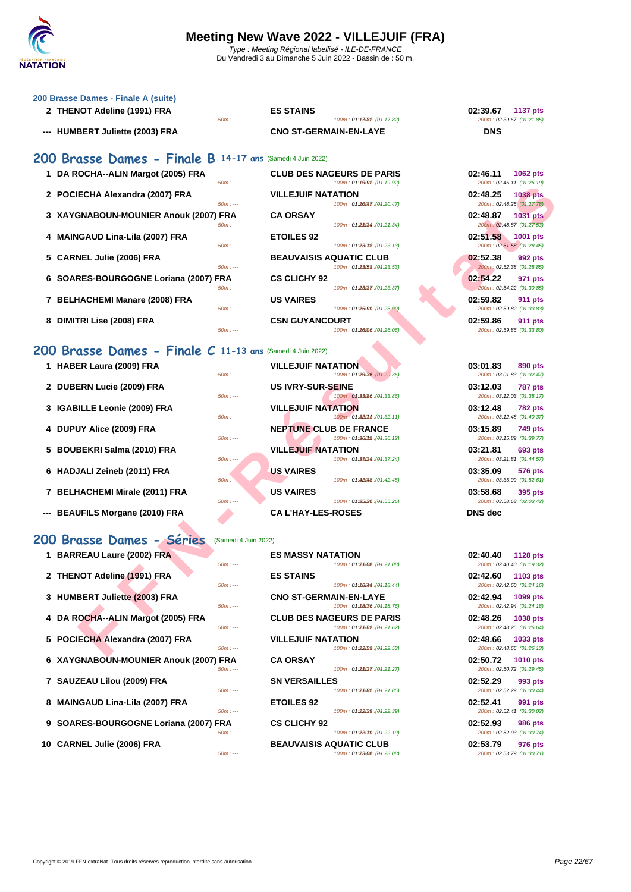

| 200 Brasse Dames - Finale A (suite)                        |                                                                                                |                                                                                |
|------------------------------------------------------------|------------------------------------------------------------------------------------------------|--------------------------------------------------------------------------------|
| 2 THENOT Adeline (1991) FRA<br>$50m: -$                    | <b>ES STAINS</b><br>100m: 01:13082 : (04:17.82)                                                | 02:39.67<br><b>1137 pts</b><br>200m: 02:39.67 (01:21.85)                       |
| --- HUMBERT Juliette (2003) FRA                            | <b>CNO ST-GERMAIN-EN-LAYE</b>                                                                  | <b>DNS</b>                                                                     |
| 200 Brasse Dames - Finale B 14-17 ans (Samedi 4 Juin 2022) |                                                                                                |                                                                                |
| 1 DA ROCHA--ALIN Margot (2005) FRA<br>$50m: -$             | <b>CLUB DES NAGEURS DE PARIS</b><br>100m: 01:19092 : (01:19.92)                                | 02:46.11<br>1062 pts<br>200m: 02:46.11 (01:26.19)                              |
| 2 POCIECHA Alexandra (2007) FRA<br>$50m: -$                | <b>VILLEJUIF NATATION</b><br>100m: 01:20047 : (01:20.47)                                       | 02:48.25<br><b>1038 pts</b><br>200m: 02:48.25 (01:27.78)                       |
| 3 XAYGNABOUN-MOUNIER Anouk (2007) FRA<br>$50m: -$          | <b>CA ORSAY</b><br>100m: 01:25034 : (01:21.34)                                                 | 02:48.87<br><b>1031 pts</b><br>200m: 02:48.87 (01:27.53)                       |
| 4 MAINGAUD Lina-Lila (2007) FRA<br>$50m: -$                | <b>ETOILES 92</b><br>100m: 01:23013: (01:23.13)                                                | 02:51.58<br><b>1001 pts</b><br>200m: 02:51.58 (01:28.45)                       |
| 5 CARNEL Julie (2006) FRA<br>$50m: -$                      | <b>BEAUVAISIS AQUATIC CLUB</b><br>100m: 01:23.53 : (01:23.53)                                  | 02:52.38<br>992 pts<br>200m: 02:52.38 (01:28.85)                               |
| 6 SOARES-BOURGOGNE Loriana (2007) FRA<br>$50m: -$          | <b>CS CLICHY 92</b><br>100m: 01:23037: (01:23.37)                                              | 02:54.22<br>971 pts<br>200m: 02:54.22 (01:30.85)                               |
| 7 BELHACHEMI Manare (2008) FRA<br>$50m: -$                 | <b>US VAIRES</b><br>100m: 01:25/99 : (01:25.99)                                                | 02:59.82<br>911 pts<br>200m: 02:59.82 (01:33.83)                               |
| 8 DIMITRI Lise (2008) FRA<br>$50m: -$                      | <b>CSN GUYANCOURT</b><br>100m: 01:26.06 : (01:26.06)                                           | 02:59.86<br><b>911 pts</b><br>200m: 02:59.86 (01:33.80)                        |
| 200 Brasse Dames - Finale C 11-13 ans (Samedi 4 Juin 2022) |                                                                                                |                                                                                |
| 1 HABER Laura (2009) FRA<br>$50m: -$                       | <b>VILLEJUIF NATATION</b><br>100m: 01:29:36 : (01:29.36)                                       | 03:01.83<br>890 pts<br>200m: 03:01.83 (01:32.47)                               |
| 2 DUBERN Lucie (2009) FRA<br>$50m: -$                      | <b>US IVRY-SUR-SEINE</b><br>100m: 01:33/86 : (01:33.86)                                        | 03:12.03<br><b>787 pts</b><br>200m: 03:12.03 (01:38.17)                        |
| 3 IGABILLE Leonie (2009) FRA<br>$50m: -$                   | <b>VILLEJUIF NATATION</b><br>100m: 01:320mm : (01:32.11)                                       | 03:12.48<br><b>782 pts</b><br>200m: 03:12.48 (01:40.37)                        |
| 4 DUPUY Alice (2009) FRA<br>$50m: -$                       | <b>NEPTUNE CLUB DE FRANCE</b><br>100m: 01:36012 : (01:36.12)                                   | 03:15.89<br>749 pts<br>200m: 03:15.89 (01:39.77)                               |
| 5 BOUBEKRI Salma (2010) FRA<br>$50m: -$                    | <b>VILLEJUIF NATATION</b><br>100m: 01:33(24): (01:37.24)                                       | 03:21.81<br>693 pts<br>200m: 03:21.81 (01:44.57)                               |
| 6 HADJALI Zeineb (2011) FRA<br>$50m: -$                    | <b>US VAIRES</b><br>100m: 01:48048 : (01:42.48)                                                | 03:35.09<br>576 pts<br>200m: 03:35.09 (01:52.61)                               |
| 7 BELHACHEMI Mirale (2011) FRA<br>$50m: -$                 | <b>US VAIRES</b><br>100m: 01:55/26 : (01:55.26)                                                | 03:58.68<br>395 pts<br>200m: 03:58.68 (02:03.42)                               |
| --- BEAUFILS Morgane (2010) FRA                            | <b>CA L'HAY-LES-ROSES</b>                                                                      | <b>DNS</b> dec                                                                 |
| 200 Brasse Dames - Séries<br>(Samedi 4 Juin 2022)          |                                                                                                |                                                                                |
| 1 BARREAU Laure (2002) FRA<br>$50m : -$                    | <b>ES MASSY NATATION</b><br>100m: 01:25008 : (01:21.08)                                        | 02:40.40<br>1128 pts<br>200m: 02:40.40 (01:19.32)                              |
| 2 THENOT Adeline (1991) FRA<br>$50m: -$                    | <b>ES STAINS</b><br>100m: 01:18044 : (01:18.44)                                                | 02:42.60<br>1103 pts<br>200m: 02:42.60 (01:24.16)                              |
| 3 HUMBERT Juliette (2003) FRA                              | <b>CNO ST-GERMAIN-EN-LAYE</b>                                                                  | 02:42.94<br>1099 pts                                                           |
| $50m: -$<br>4 DA ROCHA--ALIN Margot (2005) FRA<br>$50m: -$ | 100m: 01:18076 : (01:18.76)<br><b>CLUB DES NAGEURS DE PARIS</b><br>100m: 01:25062 : (01:21.62) | 200m: 02:42.94 (01:24.18)<br>02:48.26<br>1038 pts<br>200m: 02:48.26 (01:26.64) |
| 5 POCIECHA Alexandra (2007) FRA<br>$50m: -$                | <b>VILLEJUIF NATATION</b><br>100m: 01:28/53 : (01:22.53)                                       | 02:48.66<br>1033 pts<br>200m: 02:48.66 (01:26.13)                              |
|                                                            |                                                                                                |                                                                                |

## **200 Brasse Dames - Finale C 11-13 ans** (Samedi 4 Juin 2022)

|  | 1 HABER Laura (2009) FRA |  |  |  |
|--|--------------------------|--|--|--|
|--|--------------------------|--|--|--|

- **2 DUBERN Lucie (2009) FRA US IVRY-SUR-SEINE 03:12.03 787 pts**
- **3 IGABILLE Leonie (2009) FRA VILLEJUIF NATATION 100m**: 01:
- **4 DUPUY Alice (2009) FRA NEPTUNE CLUB DE FRANCE**<br>
<sup>500</sup> **100 104:3628 194:36**
- **5 BOUBEKRI Salma (2010) FRA VILLEJUIF NATATION**
- **6 HADJALI Zeineb (2011) FRA US VAIRES**
- **7 BELHACHEMI Mirale (2011) FRA US VAIRES**
- **--- BEAUFILS Morgane (2010) FRA CA L'HAY-LES-ROSES DNS dec**

### **200 Brasse Dames - Séries** (Samedi 4 Juin 2022)

| 1 BARREAU Laure (2002) FRA            |           | <b>ES MASSY NATATION</b>         | 02:40.40 | <b>1128 pts</b>           |
|---------------------------------------|-----------|----------------------------------|----------|---------------------------|
|                                       | $50m: -$  | 100m: 01:25008 : (01:21.08)      |          | 200m: 02:40.40 (01:19.32) |
| 2 THENOT Adeline (1991) FRA           |           | <b>ES STAINS</b>                 | 02:42.60 | 1103 pts                  |
|                                       | $50m: -$  | 100m: 01:18044 : (01:18.44)      |          | 200m: 02:42.60 (01:24.16) |
| 3 HUMBERT Juliette (2003) FRA         |           | <b>CNO ST-GERMAIN-EN-LAYE</b>    | 02:42.94 | 1099 pts                  |
|                                       | $50m: -$  | 100m: 01:18076 : (04:18.76)      |          | 200m: 02:42.94 (01:24.18) |
| 4 DA ROCHA--ALIN Margot (2005) FRA    |           | <b>CLUB DES NAGEURS DE PARIS</b> | 02:48.26 | <b>1038 pts</b>           |
|                                       | $50m: -$  | 100m: 01:25062 : (01:21.62)      |          | 200m: 02:48.26 (01:26.64) |
| 5 POCIECHA Alexandra (2007) FRA       |           | <b>VILLEJUIF NATATION</b>        | 02:48.66 | 1033 pts                  |
|                                       | $50m: -$  | 100m: 01:28.53 : (04:22.53)      |          | 200m: 02:48.66 (01:26.13) |
| 6 XAYGNABOUN-MOUNIER Anouk (2007) FRA |           | <b>CA ORSAY</b>                  | 02:50.72 | <b>1010 pts</b>           |
|                                       | $50m: -$  | 100m: 01:25027 : (04:21.27)      |          | 200m: 02:50.72 (01:29.45) |
| 7 SAUZEAU Lilou (2009) FRA            |           | <b>SN VERSAILLES</b>             | 02:52.29 | 993 pts                   |
|                                       | $50m: -$  | 100m: 01:250B5:(04:21.85)        |          | 200m: 02:52.29 (01:30.44) |
| 8 MAINGAUD Lina-Lila (2007) FRA       |           | <b>ETOILES 92</b>                | 02:52.41 | 991 pts                   |
|                                       | $50m: --$ | 100m: 01:28039 : (04:22.39)      |          | 200m: 02:52.41 (01:30.02) |
| 9 SOARES-BOURGOGNE Loriana (2007) FRA |           | <b>CS CLICHY 92</b>              | 02:52.93 | <b>986 pts</b>            |
|                                       | $50m: -$  | 100m: 01:28019 : (01:22.19)      |          | 200m: 02:52.93 (01:30.74) |
| 10 CARNEL Julie (2006) FRA            |           | <b>BEAUVAISIS AQUATIC CLUB</b>   | 02:53.79 | 976 pts                   |

| $50m: -$               | <b>ES MASSY NATATION</b><br>100m: 01:25008 : (01:21.08)                                     | 02:40.40<br>1128 pts<br>200m: 02:40.40 (01:19.32)                              |
|------------------------|---------------------------------------------------------------------------------------------|--------------------------------------------------------------------------------|
|                        | <b>ES STAINS</b>                                                                            | 02:42.60<br>1103 pts                                                           |
| $50m: -$<br>$50m: -$   | 100m: 01:18044 : (01:18.44)<br><b>CNO ST-GERMAIN-EN-LAYE</b><br>100m: 01:18076 : (01:18.76) | 200m: 02:42.60 (01:24.16)<br>02:42.94<br>1099 pts<br>200m: 02:42.94 (01:24.18) |
| $50m: -$               | <b>CLUB DES NAGEURS DE PARIS</b><br>100m: 01:25062 : (01:21.62)                             | 02:48.26<br>1038 pts<br>200m: 02:48.26 (01:26.64)                              |
| $50m: -$               | <b>VILLEJUIF NATATION</b><br>100m: 01:28(58 : (01:22.53)                                    | 02:48.66<br>1033 pts<br>200m: 02:48.66 (01:26.13)                              |
| <b>FRA</b><br>$50m: -$ | <b>CA ORSAY</b><br>100m: 01:25(27): (04:21.27)                                              | 02:50.72<br><b>1010 pts</b><br>200m: 02:50.72 (01:29.45)                       |
| $50m: -$               | <b>SN VERSAILLES</b><br>100m: 01:25(85 : (01:21.85)                                         | 02:52.29<br>993 pts<br>200m: 02:52.29 (01:30.44)                               |
| $50m: -$               | <b>ETOILES 92</b><br>100m: 01:28089 : (01:22.39)                                            | 02:52.41<br>991 pts<br>200m: 02:52.41 (01:30.02)                               |
| FRA<br>$50m: -$        | <b>CS CLICHY 92</b><br>100m: 01:28019 : (01:22.19)                                          | 02:52.93<br><b>986 pts</b><br>200m: 02:52.93 (01:30.74)                        |
| $50m: -$               | <b>BEAUVAISIS AQUATIC CLUB</b><br>100m: 01:23008 : (01:23.08)                               | 02:53.79<br>976 pts<br>200m: 02:53.79 (01:30.71)                               |

| 2:39.67 | <b>1137 pts</b>           |
|---------|---------------------------|
|         | 200m: 02:39.67 (01:21.85) |
| DNS     |                           |

| 02:46.11 1062 pts | 200m: 02:46.11 (01:26.19)                        |
|-------------------|--------------------------------------------------|
| 02:48.25 1038 pts | 200m: 02:48.25 (01:27.78)                        |
| 02:48.87 1031 pts |                                                  |
| 02:51.58 1001 pts | 200m: 02:48.87 (01:27.53)                        |
| 02:52.38 992 pts  | 200m: 02:51.58 (01:28.45)                        |
| 02:54.22 971 pts  | 200m: 02:52.38 (01:28.85)                        |
| 02:59.82 911 pts  | 200m: 02:54.22 (01:30.85)                        |
|                   | 200m: 02:59.82 (01:33.83)                        |
| 02:59.86          | <b>911 pts</b><br>$200m + 02.59$ RG $(01.33$ ROI |

| 03:01.83<br>200m: 03:01.83 (01:32.47) | 890 pts        |
|---------------------------------------|----------------|
| 03:12.03<br>200m: 03:12.03 (01:38.17) | <b>787 pts</b> |
| 03:12.48<br>200m: 03:12.48 (01:40.37) | <b>782 pts</b> |
| 03:15.89<br>200m: 03:15.89 (01:39.77) | 749 pts        |
| 03:21.81<br>200m: 03:21.81 (01:44.57) | 693 pts        |
| 03:35.09<br>200m: 03:35.09 (01:52.61) | 576 pts        |
| 03:58.68<br>200m: 03:58.68 (02:03.42) | 395 pts        |
| DNS dec                               |                |

| 02:40.40 1128 pts | 200m: 02:40.40 (01:19.32) |
|-------------------|---------------------------|
| 02:42.60 1103 pts | 200m: 02:42.60 (01:24.16) |
| 02:42.94 1099 pts | 200m: 02:42.94 (01:24.18) |
| 02:48.26 1038 pts | 200m: 02:48.26 (01:26.64) |
| 02:48.66 1033 pts | 200m: 02:48.66 (01:26.13) |
| 02:50.72 1010 pts | 200m: 02:50.72 (01:29.45) |
| 02:52.29 993 pts  | 200m: 02:52.29 (01:30.44) |
| 02:52.41 991 pts  | 200m: 02:52.41 (01:30.02) |
| 02:52.93 986 pts  | 200m: 02:52.93 (01:30.74) |
| 02:53.79 976 pts  | 200m: 02:53.79 (01:30.71) |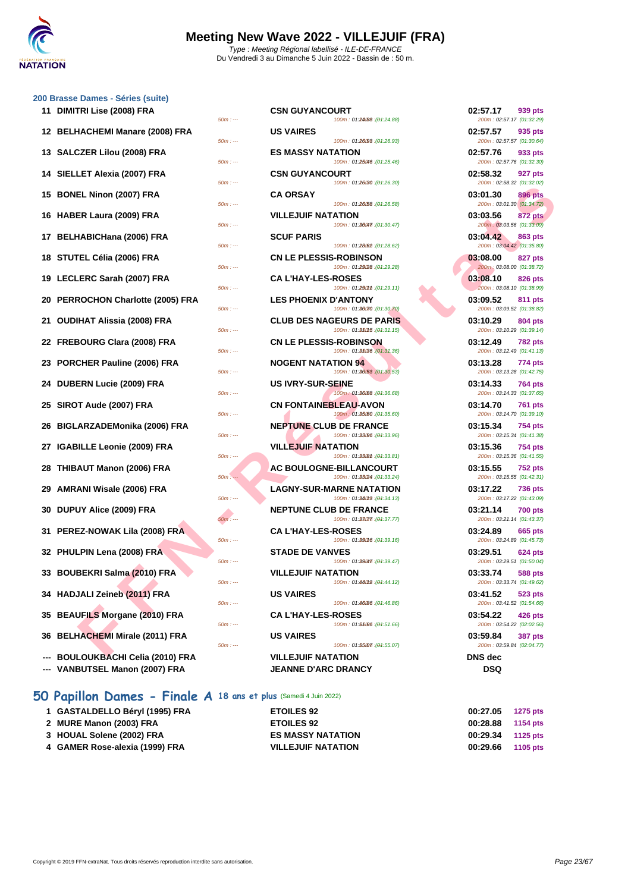

### **[200 Brass](http://www.ffnatation.fr/webffn/index.php)e Dames - Séries (suite)**

| 11 DIMITRI Lise (2008) FRA                                         | <b>CSN GUYANCOURT</b><br>100m: 01:24088 : (01:24.88)<br>$50m: -$                                   | 02:57.17<br>939 pts<br>200m: 02:57.17 (01:32.29)          |
|--------------------------------------------------------------------|----------------------------------------------------------------------------------------------------|-----------------------------------------------------------|
| 12 BELHACHEMI Manare (2008) FRA                                    | <b>US VAIRES</b><br>100m: 01:26/98 : (01:26.93)<br>$50m: -$                                        | 02:57.57<br>935 pts<br>200m: 02:57.57 (01:30.64)          |
| 13 SALCZER Lilou (2008) FRA                                        | <b>ES MASSY NATATION</b><br>100m: 01:25046 : (01:25.46)<br>$50m: -$                                | 02:57.76<br>933 pts<br>200m: 02:57.76 (01:32.30)          |
| 14 SIELLET Alexia (2007) FRA                                       | <b>CSN GUYANCOURT</b><br>100m: 01:26/30 : (01:26.30)<br>$50m: -$                                   | 02:58.32<br>927 pts<br>200m: 02:58.32 (01:32.02)          |
| 15 BONEL Ninon (2007) FRA                                          | <b>CA ORSAY</b><br>100m: 01:26.58 : (01:26.58)<br>$50m: -$                                         | 03:01.30<br>896 pts<br>200m: 03:01.30 (01:34.72)          |
| 16 HABER Laura (2009) FRA                                          | <b>VILLEJUIF NATATION</b><br>100m: 01:36047. (01:30.47)<br>$50m: -$                                | 03:03.56<br>872 pts<br>200m: 03:03.56 (01:33.09)          |
| 17 BELHABICHana (2006) FRA                                         | <b>SCUF PARIS</b><br>100m: 01:28.62 : (01:28.62)<br>$50m: -$                                       | 03:04.42<br>863 pts<br>200m: 03:04.42 (01:35.80)          |
| 18 STUTEL Célia (2006) FRA                                         | <b>CN LE PLESSIS-ROBINSON</b><br>100m: 01:29/28 : (01:29.28)<br>$50m: -$                           | 03:08.00<br>827 pts<br>200m: 03:08.00 (01:38.72)          |
| 19 LECLERC Sarah (2007) FRA                                        | <b>CA L'HAY-LES-ROSES</b><br>100m: 01:290mm : (01:29.11)<br>$50m: -$                               | 03:08.10<br>826 pts<br>200m: 03:08.10 (01:38.99)          |
| 20 PERROCHON Charlotte (2005) FRA                                  | <b>LES PHOENIX D'ANTONY</b>                                                                        | 03:09.52<br>811 pts                                       |
| 21 OUDIHAT Alissia (2008) FRA                                      | 100m: 01:30070 : (01:30.70)<br>$50m: -$<br><b>CLUB DES NAGEURS DE PARIS</b>                        | 200m: 03:09.52 (01:38.82)<br>03:10.29<br>804 pts          |
| 22 FREBOURG Clara (2008) FRA                                       | 100m: 01:350f5 : (01:31.15)<br>$50m: -$<br><b>CN LE PLESSIS-ROBINSON</b>                           | 200m: 03:10.29 (01:39.14)<br>03:12.49<br><b>782 pts</b>   |
| 23 PORCHER Pauline (2006) FRA                                      | 100m: 01:35036 : (01:31.36)<br>$50m: -$<br><b>NOGENT NATATION 94</b>                               | 200m: 03:12.49 (01:41.13)<br>03:13.28<br>774 pts          |
| 24 DUBERN Lucie (2009) FRA                                         | 100m: 01:30/53 : (01:30.53)<br>$50m: -$<br><b>US IVRY-SUR-SEINE</b>                                | 200m: 03:13.28 (01:42.75)<br>03:14.33<br>764 pts          |
| 25 SIROT Aude (2007) FRA                                           | 100m: 01:36.68 : (01:36.68)<br>$50m: -$<br><b>CN FONTAINEBLEAU-AVON</b>                            | 200m: 03:14.33 (01:37.65)<br>03:14.70<br><b>761 pts</b>   |
| 26 BIGLARZADEMonika (2006) FRA                                     | 100m: 01:35.60 : (01:35.60)<br>$50m: -$<br><b>NEPTUNE CLUB DE FRANCE</b>                           | 200m: 03:14.70 (01:39.10)<br>03:15.34<br>754 pts          |
| 27 IGABILLE Leonie (2009) FRA                                      | 100m: 01:33/96 : (01:33.96)<br>$50m: -$<br><b>VILLEJUIF NATATION</b>                               | 200m: 03:15.34 (01:41.38)<br>03:15.36<br>754 pts          |
| 28 THIBAUT Manon (2006) FRA                                        | $50m: -$<br>100m: 01:33 (01:33.81)<br>AC BOULOGNE-BILLANCOURT                                      | 200m: 03:15.36 (01:41.55)<br>03:15.55<br><b>752 pts</b>   |
| 29 AMRANI Wisale (2006) FRA                                        | 100m: 01:33(24 : (01:33.24)<br>$50m: -$<br><b>LAGNY-SUR-MARNE NATATION</b>                         | 200m: 03:15.55 (01:42.31)<br>03:17.22<br><b>736 pts</b>   |
| 30 DUPUY Alice (2009) FRA                                          | $50m: -$<br>100m: 01:38013 : (01:34.13)<br><b>NEPTUNE CLUB DE FRANCE</b>                           | 200m: 03:17.22 (01:43.09)<br>03:21.14<br><b>700 pts</b>   |
| 31 PEREZ-NOWAK Lila (2008) FRA                                     | 100m: 01:38077 : (01:37.77)<br>$50m: -$<br><b>CA L'HAY-LES-ROSES</b>                               | 200m: 03:21.14 (01:43.37)<br>03:24.89<br>665 pts          |
| 32 PHULPIN Lena (2008) FRA                                         | 100m: 01:390f6 : (01:39.16)<br>$50m: -$<br><b>STADE DE VANVES</b>                                  | 200m: 03:24.89 (01:45.73)<br>03:29.51<br>624 pts          |
| 33 BOUBEKRI Salma (2010) FRA                                       | 100m: 01:39047. (01:39.47)<br>$50m: -$<br><b>VILLEJUIF NATATION</b>                                | 200m: 03:29.51 (01:50.04)<br>03:33.74<br>588 pts          |
| 34 HADJALI Zeineb (2011) FRA                                       | $50m: -$<br>100m: 01:48012 : (01:44.12)<br><b>US VAIRES</b>                                        | 200m: 03:33.74 (01:49.62)<br>03:41.52<br>523 pts          |
| 35 BEAUFILS Morgane (2010) FRA                                     | 100m: 01:46/86 : (01:46.86)<br>$50m: -$<br><b>CA L'HAY-LES-ROSES</b>                               | 200m: 03:41.52 (01:54.66)<br>03:54.22<br>426 pts          |
| 36 BELHACHEMI Mirale (2011) FRA                                    | 100m: 01:55.00 : (01:51.66)<br>$50m: -$<br><b>US VAIRES</b>                                        | 200m: 03:54.22 (02:02.56)<br>03:59.84<br>387 pts          |
| <b>BOULOUKBACHI Celia (2010) FRA</b><br>VANBUTSEL Manon (2007) FRA | 100m: 01:55007 : (01:55.07)<br>$50m: -$<br><b>VILLEJUIF NATATION</b><br><b>JEANNE D'ARC DRANCY</b> | 200m: 03:59.84 (02:04.77)<br><b>DNS</b> dec<br><b>DSQ</b> |

## **50 Papillon Dames - Finale A 18 ans et plus** (Samedi 4 Juin 2022)

- **1 GASTALDELLO Béryl (1995) FRA ETOILES 92 00:27.05 1275 pts**
- **2 MURE Manon (2003) FRA ETOILES 92**
- **3 HOUAL Solene (2002) FRA ES MASSY NATATION 00:29.34 1125 pts**
- **4 [GAMER Rose-alexia \(1999\) FRA](http://www.ffnatation.fr/webffn/resultats.php?idact=nat&go=epr&idcpt=78300&idepr=31) VILLEJUIF NATATION 00:29.66 1105 pts**

| : Dames - Séries (suite)                                      |                                                                 |                                                         |
|---------------------------------------------------------------|-----------------------------------------------------------------|---------------------------------------------------------|
| TRI Lise (2008) FRA<br>$50m: -$                               | <b>CSN GUYANCOURT</b><br>100m: 01:24/88 : (01:24.88)            | 02:57.17<br>939 pts<br>200m: 02:57.17 (01:32.29)        |
| HACHEMI Manare (2008) FRA                                     | <b>US VAIRES</b>                                                | 02:57.57<br>935 pts                                     |
| $50m: -$                                                      | 100m: 01:26.98 : (01:26.93)                                     | 200m: 02:57.57 (01:30.64)                               |
| CZER Lilou (2008) FRA<br>$50m: -$                             | <b>ES MASSY NATATION</b><br>100m: 01:25046 : (01:25.46)         | 02:57.76<br>933 pts<br>200m: 02:57.76 (01:32.30)        |
| LET Alexia (2007) FRA<br>$50m: -$                             | <b>CSN GUYANCOURT</b><br>100m: 01:26/30 : (01:26.30)            | 02:58.32<br>927 pts<br>200m: 02:58.32 (01:32.02)        |
| EL Ninon (2007) FRA                                           | <b>CA ORSAY</b><br>100m: 01:26.58 : (01:26.58)                  | 03:01.30<br><b>896 pts</b>                              |
| $50m: -$<br>ER Laura (2009) FRA                               | <b>VILLEJUIF NATATION</b>                                       | 200m: 03:01.30 (01:34.72)<br>03:03.56<br>872 pts        |
| $50m: -$<br><b>HABICHana (2006) FRA</b>                       | 100m: 01:36047. (04:30.47)<br><b>SCUF PARIS</b>                 | 200m: 03:03.56 (01:33.09)<br>03:04.42<br>863 pts        |
| $50m: -$<br><b>FEL Célia (2006) FRA</b>                       | 100m: 01:28.62 : (01:28.62)<br><b>CN LE PLESSIS-ROBINSON</b>    | 200m: 03:04.42 (01:35.80)<br>03:08.00<br><b>827 pts</b> |
| $50m: -$                                                      | 100m: 01:29/28 : (01:29.28)                                     | 200m: 03:08.00 (01:38.72)                               |
| <b>_ERC Sarah (2007) FRA</b><br>$50m: -$                      | <b>CA L'HAY-LES-ROSES</b><br>100m: 01:290mm : (01:29.11)        | 03:08.10<br>826 pts<br>200m: 03:08.10 (01:38.99)        |
| ROCHON Charlotte (2005) FRA<br>$50m: -$                       | <b>LES PHOENIX D'ANTONY</b><br>100m: 01:36070 : (01:30.70)      | 03:09.52<br>811 pts<br>200m: 03:09.52 (01:38.82)        |
| IHAT Alissia (2008) FRA<br>$50m: -$                           | <b>CLUB DES NAGEURS DE PARIS</b><br>100m: 01:350f5 : (01:31.15) | 03:10.29<br>804 pts<br>200m: 03:10.29 (01:39.14)        |
| 3OURG Clara (2008) FRA<br>$50m: -$                            | <b>CN LE PLESSIS-ROBINSON</b><br>100m: 01:35036 : (01:31.36)    | 03:12.49<br><b>782 pts</b><br>200m: 03:12.49 (01:41.13) |
| CHER Pauline (2006) FRA<br>$50m: -$                           | <b>NOGENT NATATION 94</b><br>100m: 01:30.53 : (01:30.53)        | 03:13.28<br>774 pts<br>200m: 03:13.28 (01:42.75)        |
| ERN Lucie (2009) FRA<br>$50m: -$                              | <b>US IVRY-SUR-SEINE</b><br>100m: 01:36.68 : (01:36.68)         | 03:14.33<br><b>764 pts</b><br>200m: 03:14.33 (01:37.65) |
| <sub>I</sub> T Aude (2007) FRA<br>$50m: -$                    | <b>CN FONTAINEBLEAU-AVON</b><br>100m: 01:35.60 : (01:35.60)     | 03:14.70<br><b>761 pts</b><br>200m: 03:14.70 (01:39.10) |
| .ARZADEMonika (2006) FRA<br>$50m: -$                          | <b>NEPTUNE CLUB DE FRANCE</b><br>100m: 01:33/96 : (01:33.96)    | 03:15.34<br><b>754 pts</b><br>200m: 03:15.34 (01:41.38) |
| <b>IILLE Leonie (2009) FRA</b>                                | <b>VILLEJUIF NATATION</b>                                       | 03:15.36<br>754 pts                                     |
| $50m: -$<br>AUT Manon (2006) FRA                              | 100m: 01:33 (01:33.81)<br>AC BOULOGNE-BILLANCOURT               | 200m: 03:15.36 (01:41.55)<br>03:15.55<br><b>752 pts</b> |
| $50m: -$<br>ANI Wisale (2006) FRA                             | 100m: 01:33(24): (01:33.24)<br><b>LAGNY-SUR-MARNE NATATION</b>  | 200m: 03:15.55 (01:42.31)<br>03:17.22<br><b>736 pts</b> |
| $50m: -$<br>UY Alice (2009) FRA                               | 100m: 01:36013 : (01:34.13)<br><b>NEPTUNE CLUB DE FRANCE</b>    | 200m: 03:17.22 (01:43.09)<br>03:21.14<br><b>700 pts</b> |
| $50m: -$<br>EZ-NOWAK Lila (2008) FRA                          | 100m: 01:38077 : (01:37.77)<br><b>CA L'HAY-LES-ROSES</b>        | 200m: 03:21.14 (01:43.37)<br>03:24.89<br>665 pts        |
| $50m: -$<br>LPIN Lena (2008) FRA                              | 100m: 01:39016 : (01:39.16)<br><b>STADE DE VANVES</b>           | 200m: 03:24.89 (01:45.73)<br>03:29.51<br>624 pts        |
| $50m: -$                                                      | 100m: 01:39047. (01:39.47)                                      | 200m: 03:29.51 (01:50.04)                               |
| BEKRI Salma (2010) FRA<br>$50m: -$                            | <b>VILLEJUIF NATATION</b><br>100m: 01:48012 : (01:44.12)        | 03:33.74<br><b>588 pts</b><br>200m: 03:33.74 (01:49.62) |
| JALI Zeineb (2011) FRA<br>$50m: -$                            | <b>US VAIRES</b><br>100m: 01:46/86 : (01:46.86)                 | 03:41.52<br><b>523 pts</b><br>200m: 03:41.52 (01:54.66) |
| UFILS Morgane (2010) FRA                                      | <b>CA L'HAY-LES-ROSES</b>                                       | 03:54.22<br>426 pts                                     |
| $50m: -$<br><b>HACHEMI Mirale (2011) FRA</b>                  | 100m: 01:55.00 : (01:51.66)<br><b>US VAIRES</b>                 | 200m: 03:54.22 (02:02.56)<br>03:59.84<br><b>387 pts</b> |
| $50m: -$                                                      | 100m: 01:55007 : (01:55.07)                                     | 200m: 03:59.84 (02:04.77)                               |
| LOUKBACHI Celia (2010) FRA<br><b>RUTSEL Manon (2007) EP A</b> | <b>VILLEJUIF NATATION</b><br><b>IEANNE D'ADC DOANCY</b>         | <b>DNS</b> dec<br>חפח                                   |

| 02:57.17<br>200m: 02:57.17 (01:32.29) | 939 pts        |
|---------------------------------------|----------------|
| 02:57.57<br>200m: 02:57.57 (01:30.64) | 935 pts        |
| 02:57.76<br>200m: 02:57.76 (01:32.30) | 933 pts        |
| 02:58.32<br>200m: 02:58.32 (01:32.02) | 927 pts        |
| 03:01.30<br>200m: 03:01.30 (01:34.72) | <b>896 pts</b> |
| 03:03.56<br>200m: 03:03.56 (01:33.09) | <b>872 pts</b> |
| 03:04.42<br>200m: 03:04.42 (01:35.80) | <b>863 pts</b> |
| 03:08.00<br>200m: 03:08.00 (01:38.72) | 827 pts        |
| 03:08.10<br>200m: 03:08.10 (01:38.99) | 826 pts        |
| 03:09.52<br>200m: 03:09.52 (01:38.82) | 811 pts        |
| 03:10.29<br>200m: 03:10.29 (01:39.14) | 804 pts        |
| 03:12.49<br>200m: 03:12.49 (01:41.13) | <b>782 pts</b> |
| 03:13.28<br>200m: 03:13.28 (01:42.75) | 774 pts        |
| 03:14.33<br>200m: 03:14.33 (01:37.65) | 764 pts        |
| 03:14.70<br>200m: 03:14.70 (01:39.10) | <b>761 pts</b> |
| 03:15.34<br>200m: 03:15.34 (01:41.38) | <b>754 pts</b> |
| 03:15.36<br>200m: 03:15.36 (01:41.55) | <b>754 pts</b> |
| 03:15.55<br>200m: 03:15.55 (01:42.31) | <b>752 pts</b> |
| 03:17.22<br>200m: 03:17.22 (01:43.09) | <b>736 pts</b> |
| 03:21.14<br>200m: 03:21.14 (01:43.37) | 700 pts        |
| 03:24.89<br>200m: 03:24.89 (01:45.73) | <b>665 pts</b> |
| 03:29.51<br>200m: 03:29.51 (01:50.04) | 624 pts        |
| 03:33.74<br>200m: 03:33.74 (01:49.62) | 588 pts        |
| 03:41.52<br>200m: 03:41.52 (01:54.66) | 523 pts        |
| 03:54.22<br>200m: 03:54.22 (02:02.56) | 426 pts        |
| 03:59.84<br>200m: 03:59.84 (02:04.77) | 387 pts        |
| <b>DNS</b> dec<br>DSQ                 |                |
|                                       |                |

| 00:27.05 | 1275 pts |
|----------|----------|
| 00:28.88 | 1154 pts |
| 00:29.34 | 1125 pts |
| 00:29.66 | 1105 pts |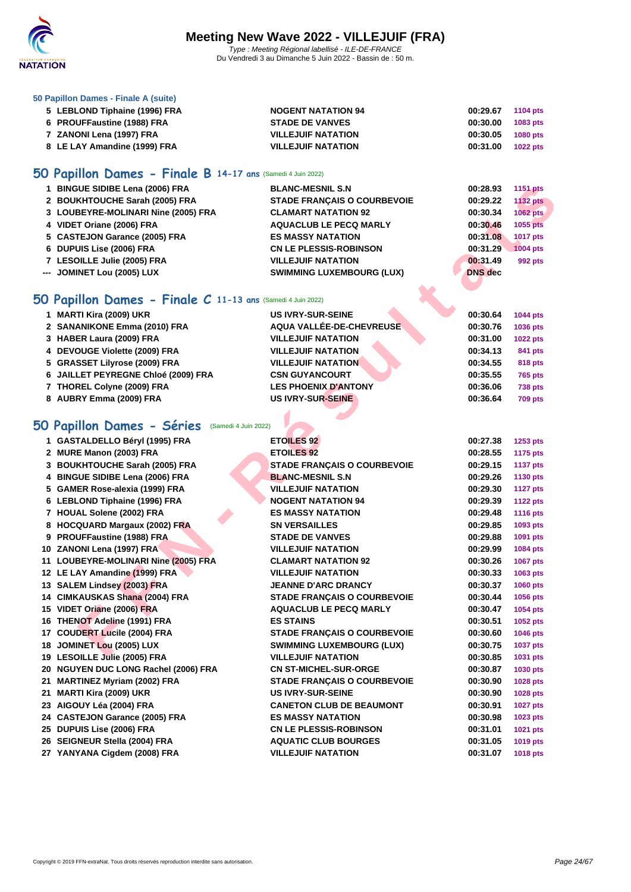

### **[50 Papillo](http://www.ffnatation.fr/webffn/index.php)n Dames - Finale A (suite)**

| 5 LEBLOND Tiphaine (1996) FRA | <b>NOGENT NATATION 94</b> | 00:29.67<br>1104 pts        |
|-------------------------------|---------------------------|-----------------------------|
| 6 PROUFFaustine (1988) FRA    | <b>STADE DE VANVES</b>    | 1083 pts<br>00:30.00        |
| 7 ZANONI Lena (1997) FRA      | <b>VILLEJUIF NATATION</b> | 00:30.05<br><b>1080 pts</b> |
| 8 LE LAY Amandine (1999) FRA  | <b>VILLEJUIF NATATION</b> | 00:31.00<br><b>1022 pts</b> |

## **50 Papillon Dames - Finale B 14-17 ans** (Samedi 4 Juin 2022)

| 1 BINGUE SIDIBE Lena (2006) FRA     | <b>BLANC-MESNIL S.N</b>            | 00:28.93       | 1151 pts        |
|-------------------------------------|------------------------------------|----------------|-----------------|
| 2 BOUKHTOUCHE Sarah (2005) FRA      | <b>STADE FRANCAIS O COURBEVOIE</b> | 00:29.22       | <b>1132 pts</b> |
| 3 LOUBEYRE-MOLINARI Nine (2005) FRA | <b>CLAMART NATATION 92</b>         | 00:30.34       | 1062 pts        |
| 4 VIDET Oriane (2006) FRA           | <b>AQUACLUB LE PECQ MARLY</b>      | 00:30.46       | 1055 pts        |
| 5 CASTEJON Garance (2005) FRA       | <b>ES MASSY NATATION</b>           | 00:31.08       | 1017 pts        |
| 6 DUPUIS Lise (2006) FRA            | <b>CN LE PLESSIS-ROBINSON</b>      | 00:31.29       | <b>1004 pts</b> |
| 7 LESOILLE Julie (2005) FRA         | <b>VILLEJUIF NATATION</b>          | 00:31.49       | 992 pts         |
| --- JOMINET Lou (2005) LUX          | <b>SWIMMING LUXEMBOURG (LUX)</b>   | <b>DNS</b> dec |                 |
|                                     |                                    |                |                 |

## **50 Papillon Dames - Finale C 11-13 ans** (Samedi 4 Juin 2022)

| 1 MARTI Kira (2009) UKR             | <b>US IVRY-SUR-SEINE</b>    | 00:30.64 | <b>1044 pts</b> |
|-------------------------------------|-----------------------------|----------|-----------------|
| 2 SANANIKONE Emma (2010) FRA        | AQUA VALLÉE-DE-CHEVREUSE    | 00:30.76 | <b>1036 pts</b> |
| 3 HABER Laura (2009) FRA            | <b>VILLEJUIF NATATION</b>   | 00:31.00 | <b>1022 pts</b> |
| 4 DEVOUGE Violette (2009) FRA       | <b>VILLEJUIF NATATION</b>   | 00:34.13 | 841 pts         |
| 5 GRASSET Lilyrose (2009) FRA       | <b>VILLEJUIF NATATION</b>   | 00:34.55 | 818 pts         |
| 6 JAILLET PEYREGNE Chloé (2009) FRA | <b>CSN GUYANCOURT</b>       | 00:35.55 | <b>765 pts</b>  |
| 7 THOREL Colyne (2009) FRA          | <b>LES PHOENIX D'ANTONY</b> | 00:36.06 | <b>738 pts</b>  |
| 8 AUBRY Emma (2009) FRA             | US IVRY-SUR-SEINE           | 00:36.64 | <b>709 pts</b>  |

### **50 Papillon Dames - Séries** (Samedi 4 Juin 2022)

| 1 BINGUE SIDIBE Lena (2006) FRA                             | <b>BLANC-MESNIL S.N</b>            | 00:28.93       | <b>1151 pts</b> |
|-------------------------------------------------------------|------------------------------------|----------------|-----------------|
| 2 BOUKHTOUCHE Sarah (2005) FRA                              | <b>STADE FRANÇAIS O COURBEVOIE</b> | 00:29.22       | <b>1132 pts</b> |
| 3 LOUBEYRE-MOLINARI Nine (2005) FRA                         | <b>CLAMART NATATION 92</b>         | 00:30.34       | 1062 pts        |
| 4 VIDET Oriane (2006) FRA                                   | <b>AQUACLUB LE PECQ MARLY</b>      | 00:30.46       | 1055 pts        |
| 5 CASTEJON Garance (2005) FRA                               | <b>ES MASSY NATATION</b>           | 00:31.08       | 1017 pts        |
| 6 DUPUIS Lise (2006) FRA                                    | <b>CN LE PLESSIS-ROBINSON</b>      | 00:31.29       | <b>1004 pts</b> |
| 7 LESOILLE Julie (2005) FRA                                 | <b>VILLEJUIF NATATION</b>          | 00:31.49       | 992 pts         |
| --- JOMINET Lou (2005) LUX                                  | <b>SWIMMING LUXEMBOURG (LUX)</b>   | <b>DNS</b> dec |                 |
|                                                             |                                    |                |                 |
| iO Papillon Dames - Finale C 11-13 ans (Samedi 4 Juin 2022) |                                    |                |                 |
| 1 MARTI Kira (2009) UKR                                     | <b>US IVRY-SUR-SEINE</b>           | 00:30.64       | 1044 pts        |
| 2 SANANIKONE Emma (2010) FRA                                | AQUA VALLÉE-DE-CHEVREUSE           | 00:30.76       | 1036 pts        |
| 3 HABER Laura (2009) FRA                                    | <b>VILLEJUIF NATATION</b>          | 00:31.00       | <b>1022 pts</b> |
| 4 DEVOUGE Violette (2009) FRA                               | <b>VILLEJUIF NATATION</b>          | 00:34.13       | 841 pts         |
| 5 GRASSET Lilyrose (2009) FRA                               | <b>VILLEJUIF NATATION</b>          | 00:34.55       | 818 pts         |
| 6 JAILLET PEYREGNE Chloé (2009) FRA                         | <b>CSN GUYANCOURT</b>              | 00:35.55       | 765 pts         |
| 7 THOREL Colyne (2009) FRA                                  | <b>LES PHOENIX D'ANTONY</b>        | 00:36.06       | <b>738 pts</b>  |
| 8 AUBRY Emma (2009) FRA                                     | <b>US IVRY-SUR-SEINE</b>           | 00:36.64       | <b>709 pts</b>  |
|                                                             |                                    |                |                 |
| <b>iO Papillon Dames - Séries</b> (Samedi 4 Juin 2022)      |                                    |                |                 |
| 1 GASTALDELLO Béryl (1995) FRA                              | <b>ETOILES 92</b>                  | 00:27.38       | 1253 pts        |
| 2 MURE Manon (2003) FRA                                     | <b>ETOILES 92</b>                  | 00:28.55       | <b>1175 pts</b> |
| 3 BOUKHTOUCHE Sarah (2005) FRA                              | <b>STADE FRANÇAIS O COURBEVOIE</b> | 00:29.15       | <b>1137 pts</b> |
| 4 BINGUE SIDIBE Lena (2006) FRA                             | <b>BLANC-MESNIL S.N</b>            | 00:29.26       | 1130 pts        |
| 5 GAMER Rose-alexia (1999) FRA                              | <b>VILLEJUIF NATATION</b>          | 00:29.30       | <b>1127 pts</b> |
| 6 LEBLOND Tiphaine (1996) FRA                               | <b>NOGENT NATATION 94</b>          | 00:29.39       | <b>1122 pts</b> |
| 7 HOUAL Solene (2002) FRA                                   | <b>ES MASSY NATATION</b>           | 00:29.48       | <b>1116 pts</b> |
| 8 HOCQUARD Margaux (2002) FRA                               | <b>SN VERSAILLES</b>               | 00:29.85       | 1093 pts        |
| 9 PROUFFaustine (1988) FRA                                  | <b>STADE DE VANVES</b>             | 00:29.88       | 1091 pts        |
| 10 ZANONI Lena (1997) FRA                                   | <b>VILLEJUIF NATATION</b>          | 00:29.99       | 1084 pts        |
| 11 LOUBEYRE-MOLINARI Nine (2005) FRA                        | <b>CLAMART NATATION 92</b>         | 00:30.26       | <b>1067 pts</b> |
| 12 LE LAY Amandine (1999) FRA                               | <b>VILLEJUIF NATATION</b>          | 00:30.33       | 1063 pts        |
| 13 SALEM Lindsey (2003) FRA                                 | <b>JEANNE D'ARC DRANCY</b>         | 00:30.37       | 1060 pts        |
| 14 CIMKAUSKAS Shana (2004) FRA                              | <b>STADE FRANÇAIS O COURBEVOIE</b> | 00:30.44       | 1056 pts        |
| 15 VIDET Oriane (2006) FRA                                  | <b>AQUACLUB LE PECQ MARLY</b>      | 00:30.47       | 1054 pts        |
| 16 THENOT Adeline (1991) FRA                                | <b>ES STAINS</b>                   | 00:30.51       | 1052 pts        |
| 17 COUDERT Lucile (2004) FRA                                | <b>STADE FRANÇAIS O COURBEVOIE</b> | 00:30.60       | 1046 pts        |
| 18 JOMINET Lou (2005) LUX                                   | <b>SWIMMING LUXEMBOURG (LUX)</b>   | 00:30.75       | <b>1037 pts</b> |
| 19 LESOILLE Julie (2005) FRA                                | VILLEJUIF NATATION                 | 00:30.85       | 1031 pts        |
| 20 NGUYEN DUC LONG Rachel (2006) FRA                        | <b>CN ST-MICHEL-SUR-ORGE</b>       | 00:30.87       | 1030 pts        |
| 21 MARTINEZ Myriam (2002) FRA                               | <b>STADE FRANÇAIS O COURBEVOIE</b> | 00:30.90       | <b>1028 pts</b> |
| 21 MARTI Kira (2009) UKR                                    | <b>US IVRY-SUR-SEINE</b>           | 00:30.90       | 1028 pts        |
| 23 AIGOUY Léa (2004) FRA                                    | <b>CANETON CLUB DE BEAUMONT</b>    | 00:30.91       | <b>1027 pts</b> |
| 24 CASTEJON Garance (2005) FRA                              | <b>ES MASSY NATATION</b>           | 00:30.98       | 1023 pts        |
| 25 DUPUIS Lise (2006) FRA                                   | <b>CN LE PLESSIS-ROBINSON</b>      | 00:31.01       | 1021 pts        |
| 26 SEIGNEUR Stella (2004) FRA                               | <b>AQUATIC CLUB BOURGES</b>        | 00:31.05       | 1019 pts        |
| 27 YANYANA Cigdem (2008) FRA                                | <b>VILLEJUIF NATATION</b>          | 00:31.07       | 1018 pts        |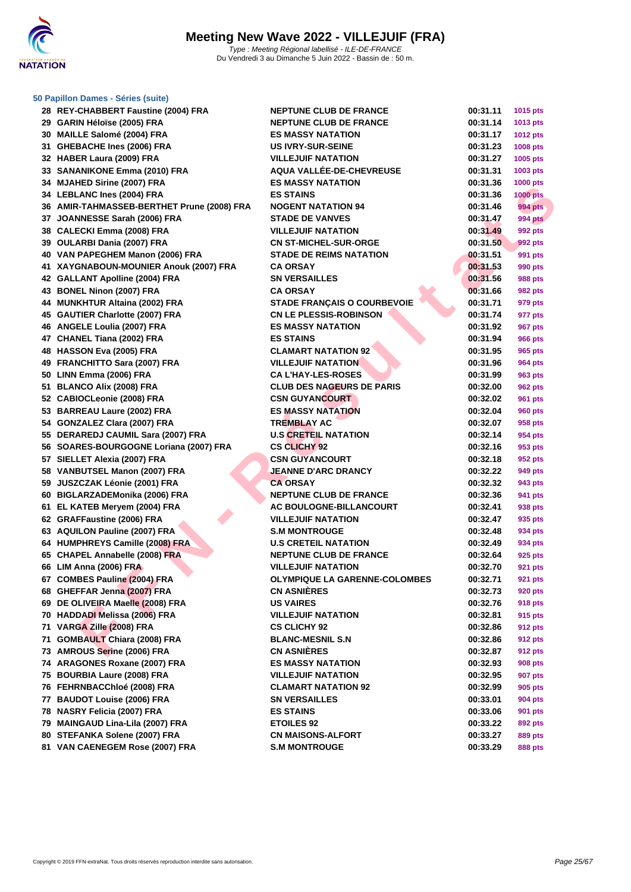

## **[50 Papillo](http://www.ffnatation.fr/webffn/index.php)n Dames - Séries (suite)**

| 28 REY-CHABBERT Faustine (2004) FRA        | <b>NEPTUNE CLUB DE FRANCE</b>      | 00:31.11 | 1015 pts        |
|--------------------------------------------|------------------------------------|----------|-----------------|
| 29 GARIN Héloïse (2005) FRA                | <b>NEPTUNE CLUB DE FRANCE</b>      | 00:31.14 | 1013 pts        |
| 30 MAILLE Salomé (2004) FRA                | <b>ES MASSY NATATION</b>           | 00:31.17 | <b>1012 pts</b> |
| 31 GHEBACHE Ines (2006) FRA                | <b>US IVRY-SUR-SEINE</b>           | 00:31.23 | 1008 pts        |
| 32 HABER Laura (2009) FRA                  | <b>VILLEJUIF NATATION</b>          | 00:31.27 | 1005 pts        |
| 33 SANANIKONE Emma (2010) FRA              | <b>AQUA VALLÉE-DE-CHEVREUSE</b>    | 00:31.31 | 1003 pts        |
| 34 MJAHED Sirine (2007) FRA                | <b>ES MASSY NATATION</b>           | 00:31.36 | <b>1000 pts</b> |
| 34 LEBLANC Ines (2004) FRA                 | <b>ES STAINS</b>                   | 00:31.36 | <b>1000 pts</b> |
| 36 AMIR-TAHMASSEB-BERTHET Prune (2008) FRA | <b>NOGENT NATATION 94</b>          | 00:31.46 | <b>994 pts</b>  |
| 37 JOANNESSE Sarah (2006) FRA              | <b>STADE DE VANVES</b>             | 00:31.47 | <b>994 pts</b>  |
| 38 CALECKI Emma (2008) FRA                 | <b>VILLEJUIF NATATION</b>          | 00:31.49 | 992 pts         |
| 39 OULARBI Dania (2007) FRA                | <b>CN ST-MICHEL-SUR-ORGE</b>       | 00:31.50 | 992 pts         |
| 40 VAN PAPEGHEM Manon (2006) FRA           | <b>STADE DE REIMS NATATION</b>     | 00:31.51 | 991 pts         |
| 41 XAYGNABOUN-MOUNIER Anouk (2007) FRA     | CA ORSAY                           | 00:31.53 | 990 pts         |
| 42 GALLANT Apolline (2004) FRA             | <b>SN VERSAILLES</b>               | 00:31.56 | 988 pts         |
| 43 BONEL Ninon (2007) FRA                  | <b>CA ORSAY</b>                    | 00:31.66 | 982 pts         |
| 44 MUNKHTUR Altaina (2002) FRA             | <b>STADE FRANÇAIS O COURBEVOIE</b> | 00:31.71 | 979 pts         |
| 45 GAUTIER Charlotte (2007) FRA            | <b>CN LE PLESSIS-ROBINSON</b>      | 00:31.74 | 977 pts         |
| 46 ANGELE Loulia (2007) FRA                | <b>ES MASSY NATATION</b>           | 00:31.92 | <b>967 pts</b>  |
| 47 CHANEL Tiana (2002) FRA                 | <b>ES STAINS</b>                   | 00:31.94 | 966 pts         |
| 48 HASSON Eva (2005) FRA                   | <b>CLAMART NATATION 92</b>         | 00:31.95 | 965 pts         |
| 49 FRANCHITTO Sara (2007) FRA              | <b>VILLEJUIF NATATION</b>          | 00:31.96 | 964 pts         |
| 50 LINN Emma (2006) FRA                    | <b>CA L'HAY-LES-ROSES</b>          | 00:31.99 | 963 pts         |
| 51 BLANCO Alix (2008) FRA                  | <b>CLUB DES NAGEURS DE PARIS</b>   | 00:32.00 | <b>962 pts</b>  |
| 52 CABIOCLeonie (2008) FRA                 | <b>CSN GUYANCOURT</b>              | 00:32.02 | 961 pts         |
| 53 BARREAU Laure (2002) FRA                | <b>ES MASSY NATATION</b>           | 00:32.04 | <b>960 pts</b>  |
| 54 GONZALEZ Clara (2007) FRA               | <b>TREMBLAY AC</b>                 | 00:32.07 | 958 pts         |
| 55 DERAREDJ CAUMIL Sara (2007) FRA         | <b>U.S CRETEIL NATATION</b>        | 00:32.14 | 954 pts         |
| 56 SOARES-BOURGOGNE Loriana (2007) FRA     | <b>CS CLICHY 92</b>                | 00:32.16 | 953 pts         |
| 57 SIELLET Alexia (2007) FRA               | <b>CSN GUYANCOURT</b>              | 00:32.18 | 952 pts         |
| 58 VANBUTSEL Manon (2007) FRA              | <b>JEANNE D'ARC DRANCY</b>         | 00:32.22 | 949 pts         |
| 59 JUSZCZAK Léonie (2001) FRA              | <b>CA ORSAY</b>                    | 00:32.32 | 943 pts         |
| 60 BIGLARZADEMonika (2006) FRA             | <b>NEPTUNE CLUB DE FRANCE</b>      | 00:32.36 | 941 pts         |
| 61 EL KATEB Meryem (2004) FRA              | <b>AC BOULOGNE-BILLANCOURT</b>     | 00:32.41 | 938 pts         |
| 62 GRAFFaustine (2006) FRA                 | <b>VILLEJUIF NATATION</b>          | 00:32.47 | 935 pts         |
| 63 AQUILON Pauline (2007) FRA              | <b>S.M MONTROUGE</b>               | 00:32.48 | 934 pts         |
| 64 HUMPHREYS Camille (2008) FRA            | <b>U.S CRETEIL NATATION</b>        | 00:32.49 | 934 pts         |
| 65 CHAPEL Annabelle (2008) FRA             | <b>NEPTUNE CLUB DE FRANCE</b>      | 00:32.64 | 925 pts         |
| 66 LIM Anna (2006) FRA                     | <b>VILLEJUIF NATATION</b>          | 00:32.70 | <b>921 pts</b>  |
| 67 COMBES Pauline (2004) FRA               | OLYMPIQUE LA GARENNE-COLOMBES      | 00:32.71 | 921 pts         |
| 68 GHEFFAR Jenna (2007) FRA                | <b>CN ASNIERES</b>                 | 00:32.73 | 920 pts         |
| 69 DE OLIVEIRA Maelle (2008) FRA           | <b>US VAIRES</b>                   | 00:32.76 | 918 pts         |
| 70 HADDADI Melissa (2006) FRA              | <b>VILLEJUIF NATATION</b>          | 00:32.81 | 915 pts         |
| 71 VARGA Zille (2008) FRA                  | <b>CS CLICHY 92</b>                | 00:32.86 | 912 pts         |
| 71 GOMBAULT Chiara (2008) FRA              | <b>BLANC-MESNIL S.N</b>            | 00:32.86 | 912 pts         |
| 73 AMROUS Serine (2006) FRA                | <b>CN ASNIÈRES</b>                 | 00:32.87 | 912 pts         |
| 74 ARAGONES Roxane (2007) FRA              | <b>ES MASSY NATATION</b>           | 00:32.93 | 908 pts         |
| 75 BOURBIA Laure (2008) FRA                | <b>VILLEJUIF NATATION</b>          | 00:32.95 | 907 pts         |
| 76 FEHRNBACChloé (2008) FRA                | <b>CLAMART NATATION 92</b>         | 00:32.99 | 905 pts         |
| 77 BAUDOT Louise (2006) FRA                | <b>SN VERSAILLES</b>               | 00:33.01 | 904 pts         |
| 78 NASRY Felicia (2007) FRA                | <b>ES STAINS</b>                   | 00:33.06 | 901 pts         |
| 79 MAINGAUD Lina-Lila (2007) FRA           | <b>ETOILES 92</b>                  | 00:33.22 | 892 pts         |
| 80 STEFANKA Solene (2007) FRA              | <b>CN MAISONS-ALFORT</b>           | 00:33.27 | 889 pts         |
| 81 VAN CAENEGEM Rose (2007) FRA            | <b>S.M MONTROUGE</b>               | 00:33.29 | <b>888 pts</b>  |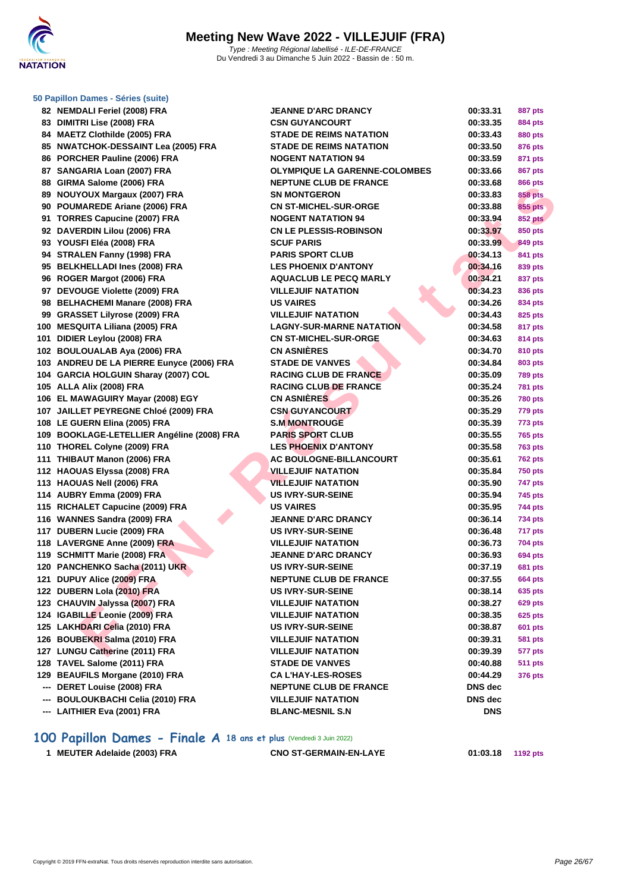

| 50 Papillon Dames - Séries (suite) |
|------------------------------------|
| ---- -- -                          |

| 82 NEMDALI Feriel (2008) FRA                                   | <b>JEANNE D'ARC DRANCY</b>           | 00:33.31   | 887 pts        |
|----------------------------------------------------------------|--------------------------------------|------------|----------------|
| 83 DIMITRI Lise (2008) FRA                                     | <b>CSN GUYANCOURT</b>                | 00:33.35   | <b>884 pts</b> |
| 84 MAETZ Clothilde (2005) FRA                                  | <b>STADE DE REIMS NATATION</b>       | 00:33.43   | 880 pts        |
| 85 NWATCHOK-DESSAINT Lea (2005) FRA                            | <b>STADE DE REIMS NATATION</b>       | 00:33.50   | 876 pts        |
| 86 PORCHER Pauline (2006) FRA                                  | <b>NOGENT NATATION 94</b>            | 00:33.59   | 871 pts        |
| 87 SANGARIA Loan (2007) FRA                                    | <b>OLYMPIQUE LA GARENNE-COLOMBES</b> | 00:33.66   | 867 pts        |
| 88 GIRMA Salome (2006) FRA                                     | NEPTUNE CLUB DE FRANCE               | 00:33.68   | 866 pts        |
| 89 NOUYOUX Margaux (2007) FRA                                  | <b>SN MONTGERON</b>                  | 00:33.83   | <b>858 pts</b> |
| 90 POUMAREDE Ariane (2006) FRA                                 | <b>CN ST-MICHEL-SUR-ORGE</b>         | 00:33.88   | 855 pts        |
| 91 TORRES Capucine (2007) FRA                                  | <b>NOGENT NATATION 94</b>            | 00:33.94   | <b>852 pts</b> |
| 92 DAVERDIN Lilou (2006) FRA                                   | <b>CN LE PLESSIS-ROBINSON</b>        | 00:33.97   | <b>850 pts</b> |
| 93 YOUSFI Eléa (2008) FRA                                      | <b>SCUF PARIS</b>                    | 00:33.99   | 849 pts        |
| 94 STRALEN Fanny (1998) FRA                                    | <b>PARIS SPORT CLUB</b>              | 00:34.13   | 841 pts        |
| 95 BELKHELLADI Ines (2008) FRA                                 | <b>LES PHOENIX D'ANTONY</b>          | 00:34.16   | 839 pts        |
| 96 ROGER Margot (2006) FRA                                     | <b>AQUACLUB LE PECQ MARLY</b>        | 00:34.21   | 837 pts        |
| 97 DEVOUGE Violette (2009) FRA                                 | <b>VILLEJUIF NATATION</b>            | 00:34.23   | 836 pts        |
| 98 BELHACHEMI Manare (2008) FRA                                | <b>US VAIRES</b>                     | 00:34.26   | 834 pts        |
| 99 GRASSET Lilyrose (2009) FRA                                 | <b>VILLEJUIF NATATION</b>            | 00:34.43   | 825 pts        |
| 100 MESQUITA Liliana (2005) FRA                                | <b>LAGNY-SUR-MARNE NATATION</b>      | 00:34.58   | 817 pts        |
| 101 DIDIER Leylou (2008) FRA                                   | <b>CN ST-MICHEL-SUR-ORGE</b>         | 00:34.63   | <b>814 pts</b> |
| 102 BOULOUALAB Aya (2006) FRA                                  | <b>CN ASNIÈRES</b>                   | 00:34.70   | 810 pts        |
| 103 ANDREU DE LA PIERRE Eunyce (2006) FRA                      | <b>STADE DE VANVES</b>               | 00:34.84   | 803 pts        |
| 104 GARCIA HOLGUIN Sharay (2007) COL                           | <b>RACING CLUB DE FRANCE</b>         | 00:35.09   | <b>789 pts</b> |
| 105 ALLA Alix (2008) FRA                                       | <b>RACING CLUB DE FRANCE</b>         | 00:35.24   | <b>781 pts</b> |
| 106 EL MAWAGUIRY Mayar (2008) EGY                              | <b>CN ASNIÈRES</b>                   | 00:35.26   | <b>780 pts</b> |
| 107 JAILLET PEYREGNE Chloé (2009) FRA                          | <b>CSN GUYANCOURT</b>                | 00:35.29   | 779 pts        |
| 108 LE GUERN Elina (2005) FRA                                  | <b>S.M MONTROUGE</b>                 | 00:35.39   | 773 pts        |
| 109 BOOKLAGE-LETELLIER Angéline (2008) FRA                     | <b>PARIS SPORT CLUB</b>              | 00:35.55   | <b>765 pts</b> |
| 110 THOREL Colyne (2009) FRA                                   | <b>LES PHOENIX D'ANTONY</b>          | 00:35.58   | 763 pts        |
| 111 THIBAUT Manon (2006) FRA                                   | <b>AC BOULOGNE-BILLANCOURT</b>       | 00:35.61   | 762 pts        |
| 112 HAOUAS Elyssa (2008) FRA                                   | <b>VILLEJUIF NATATION</b>            | 00:35.84   | <b>750 pts</b> |
| 113 HAOUAS Nell (2006) FRA                                     | <b>VILLEJUIF NATATION</b>            | 00:35.90   | 747 pts        |
| 114 AUBRY Emma (2009) FRA                                      | <b>US IVRY-SUR-SEINE</b>             | 00:35.94   | <b>745 pts</b> |
| 115 RICHALET Capucine (2009) FRA                               | <b>US VAIRES</b>                     | 00:35.95   | <b>744 pts</b> |
| 116 WANNES Sandra (2009) FRA                                   | <b>JEANNE D'ARC DRANCY</b>           | 00:36.14   | <b>734 pts</b> |
| 117 DUBERN Lucie (2009) FRA                                    | <b>US IVRY-SUR-SEINE</b>             | 00:36.48   | 717 pts        |
| 118 LAVERGNE Anne (2009) FRA                                   | <b>VILLEJUIF NATATION</b>            | 00:36.73   | 704 pts        |
| 119 SCHMITT Marie (2008) FRA                                   | <b>JEANNE D'ARC DRANCY</b>           | 00:36.93   | 694 pts        |
| 120 PANCHENKO Sacha (2011) UKR                                 | <b>US IVRY-SUR-SEINE</b>             | 00:37.19   | <b>681 pts</b> |
| 121 DUPUY Alice (2009) FRA                                     | NEPTUNE CLUB DE FRANCE               | 00:37.55   | <b>664 pts</b> |
| 122 DUBERN Lola (2010) FRA                                     |                                      |            |                |
|                                                                | <b>US IVRY-SUR-SEINE</b>             | 00:38.14   | 635 pts        |
| 123 CHAUVIN Jalyssa (2007) FRA                                 | <b>VILLEJUIF NATATION</b>            | 00:38.27   | 629 pts        |
| 124 IGABILLE Leonie (2009) FRA                                 | <b>VILLEJUIF NATATION</b>            | 00:38.35   | 625 pts        |
| 125 LAKHDARI Celia (2010) FRA<br>126 BOUBEKRI Salma (2010) FRA | <b>US IVRY-SUR-SEINE</b>             | 00:38.87   | 601 pts        |
|                                                                | <b>VILLEJUIF NATATION</b>            | 00:39.31   | <b>581 pts</b> |
| 127 LUNGU Catherine (2011) FRA                                 | <b>VILLEJUIF NATATION</b>            | 00:39.39   | 577 pts        |
| 128 TAVEL Salome (2011) FRA                                    | <b>STADE DE VANVES</b>               | 00:40.88   | <b>511 pts</b> |
| 129 BEAUFILS Morgane (2010) FRA                                | <b>CA L'HAY-LES-ROSES</b>            | 00:44.29   | <b>376 pts</b> |
| --- DERET Louise (2008) FRA                                    | <b>NEPTUNE CLUB DE FRANCE</b>        | DNS dec    |                |
| --- BOULOUKBACHI Celia (2010) FRA                              | <b>VILLEJUIF NATATION</b>            | DNS dec    |                |
| --- LAITHIER Eva (2001) FRA                                    | <b>BLANC-MESNIL S.N</b>              | <b>DNS</b> |                |

**100 Papillon Dames - Finale A 18 ans et plus** (Vendredi 3 Juin 2022)

**MEUTER Adelaide (2003) FRA CNO ST-GERMAIN-EN-LAYE 01:03.18 1192 pts**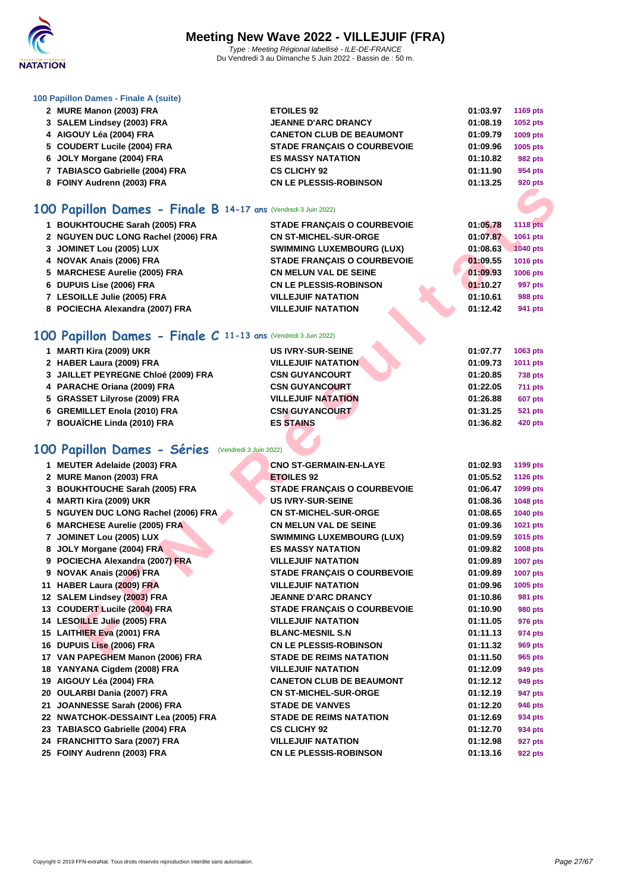

### **[100 Papil](http://www.ffnatation.fr/webffn/index.php)lon Dames - Finale A (suite)**

| 2 MURE Manon (2003) FRA         | <b>ETOILES 92</b>                  | 01:03.97 | <b>1169 pts</b> |
|---------------------------------|------------------------------------|----------|-----------------|
| 3 SALEM Lindsey (2003) FRA      | <b>JEANNE D'ARC DRANCY</b>         | 01:08.19 | 1052 pts        |
| 4 AIGOUY Léa (2004) FRA         | <b>CANETON CLUB DE BEAUMONT</b>    | 01:09.79 | <b>1009 pts</b> |
| 5 COUDERT Lucile (2004) FRA     | <b>STADE FRANCAIS O COURBEVOIE</b> | 01:09.96 | 1005 pts        |
| 6 JOLY Morgane (2004) FRA       | <b>ES MASSY NATATION</b>           | 01:10.82 | 982 pts         |
| 7 TABIASCO Gabrielle (2004) FRA | <b>CS CLICHY 92</b>                | 01:11.90 | 954 pts         |
| 8 FOINY Audrenn (2003) FRA      | <b>CN LE PLESSIS-ROBINSON</b>      | 01:13.25 | 920 pts         |
|                                 |                                    |          |                 |

## **100 Papillon Dames - Finale B 14-17 ans** (Vendredi 3 Juin 2022)

| 1 BOUKHTOUCHE Sarah (2005) FRA      | <b>STADE FRANCAIS O COURBEVOIE</b> | 01:05.78 | <b>1118 pts</b> |
|-------------------------------------|------------------------------------|----------|-----------------|
| 2 NGUYEN DUC LONG Rachel (2006) FRA | <b>CN ST-MICHEL-SUR-ORGE</b>       | 01:07.87 | 1061 pts        |
| 3 JOMINET Lou (2005) LUX            | <b>SWIMMING LUXEMBOURG (LUX)</b>   | 01:08.63 | 1040 pts        |
| 4 NOVAK Anais (2006) FRA            | <b>STADE FRANCAIS O COURBEVOIE</b> | 01:09.55 | 1016 pts        |
| 5 MARCHESE Aurelie (2005) FRA       | <b>CN MELUN VAL DE SEINE</b>       | 01:09.93 | <b>1006 pts</b> |
| 6 DUPUIS Lise (2006) FRA            | <b>CN LE PLESSIS-ROBINSON</b>      | 01:10.27 | 997 pts         |
| 7 LESOILLE Julie (2005) FRA         | <b>VILLEJUIF NATATION</b>          | 01:10.61 | <b>988 pts</b>  |
| 8 POCIECHA Alexandra (2007) FRA     | <b>VILLEJUIF NATATION</b>          | 01:12.42 | 941 pts         |

## **100 Papillon Dames - Finale C 11-13 ans** (Vendredi 3 Juin 2022)

| 1 MARTI Kira (2009) UKR             | <b>US IVRY-SUR-SEINE</b>  | 01:07.77 | 1063 pts       |
|-------------------------------------|---------------------------|----------|----------------|
| 2 HABER Laura (2009) FRA            | <b>VILLEJUIF NATATION</b> | 01:09.73 | 1011 pts       |
| 3 JAILLET PEYREGNE Chloé (2009) FRA | <b>CSN GUYANCOURT</b>     | 01:20.85 | <b>738 pts</b> |
| 4 PARACHE Oriana (2009) FRA         | <b>CSN GUYANCOURT</b>     | 01:22.05 | <b>711 pts</b> |
| 5 GRASSET Lilyrose (2009) FRA       | <b>VILLEJUIF NATATION</b> | 01:26.88 | <b>607 pts</b> |
| 6 GREMILLET Enola (2010) FRA        | <b>CSN GUYANCOURT</b>     | 01:31.25 | <b>521 pts</b> |
| 7 BOUAÏCHE Linda (2010) FRA         | <b>ES STAINS</b>          | 01:36.82 | 420 pts        |

## **100 Papillon Dames - Séries** (Vendredi 3 Juin 2022)

| $0.1$ UINT AUGICIIII (2003) LIVA                              |                                    |          | <i>อ</i> ∠บ µเจ |
|---------------------------------------------------------------|------------------------------------|----------|-----------------|
| 00 Papillon Dames - Finale B 14-17 ans (Vendredi 3 Juin 2022) |                                    |          |                 |
| 1 BOUKHTOUCHE Sarah (2005) FRA                                | STADE FRANÇAIS O COURBEVOIE        | 01:05.78 | <b>1118 pts</b> |
| 2 NGUYEN DUC LONG Rachel (2006) FRA                           | <b>CN ST-MICHEL-SUR-ORGE</b>       | 01:07.87 | 1061 pts        |
| 3 JOMINET Lou (2005) LUX                                      | <b>SWIMMING LUXEMBOURG (LUX)</b>   | 01:08.63 | <b>1040 pts</b> |
| 4 NOVAK Anais (2006) FRA                                      | <b>STADE FRANÇAIS O COURBEVOIE</b> | 01:09.55 | 1016 pts        |
| 5 MARCHESE Aurelie (2005) FRA                                 | <b>CN MELUN VAL DE SEINE</b>       | 01:09.93 | 1006 pts        |
| 6 DUPUIS Lise (2006) FRA                                      | <b>CN LE PLESSIS-ROBINSON</b>      | 01:10.27 | 997 pts         |
| 7 LESOILLE Julie (2005) FRA                                   | <b>VILLEJUIF NATATION</b>          | 01:10.61 | <b>988 pts</b>  |
| 8 POCIECHA Alexandra (2007) FRA                               | <b>VILLEJUIF NATATION</b>          | 01:12.42 | 941 pts         |
|                                                               |                                    |          |                 |
| 00 Papillon Dames - Finale C 11-13 ans (Vendredi 3 Juin 2022) |                                    |          |                 |
| 1 MARTI Kira (2009) UKR                                       | <b>US IVRY-SUR-SEINE</b>           | 01:07.77 | 1063 pts        |
| 2 HABER Laura (2009) FRA                                      | <b>VILLEJUIF NATATION</b>          | 01:09.73 | 1011 pts        |
| 3 JAILLET PEYREGNE Chloé (2009) FRA                           | <b>CSN GUYANCOURT</b>              | 01:20.85 | <b>738 pts</b>  |
| 4 PARACHE Oriana (2009) FRA                                   | <b>CSN GUYANCOURT</b>              | 01:22.05 | <b>711 pts</b>  |
| 5 GRASSET Lilyrose (2009) FRA                                 | <b>VILLEJUIF NATATION</b>          | 01:26.88 | <b>607 pts</b>  |
| 6 GREMILLET Enola (2010) FRA                                  | <b>CSN GUYANCOURT</b>              | 01:31.25 | <b>521 pts</b>  |
| 7 BOUAÏCHE Linda (2010) FRA                                   | <b>ES STAINS</b>                   | 01:36.82 | <b>420 pts</b>  |
|                                                               |                                    |          |                 |
| 00 Papillon Dames - Séries (Vendredi 3 Juin 2022)             |                                    |          |                 |
| 1 MEUTER Adelaide (2003) FRA                                  | <b>CNO ST-GERMAIN-EN-LAYE</b>      | 01:02.93 | 1199 pts        |
| 2 MURE Manon (2003) FRA                                       | <b>ETOILES 92</b>                  | 01:05.52 | <b>1126 pts</b> |
| 3 BOUKHTOUCHE Sarah (2005) FRA                                | STADE FRANÇAIS O COURBEVOIE        | 01:06.47 | 1099 pts        |
| 4 MARTI Kira (2009) UKR                                       | <b>US IVRY-SUR-SEINE</b>           | 01:08.36 | 1048 pts        |
| 5 NGUYEN DUC LONG Rachel (2006) FRA                           | <b>CN ST-MICHEL-SUR-ORGE</b>       | 01:08.65 | 1040 pts        |
| 6 MARCHESE Aurelie (2005) FRA                                 | <b>CN MELUN VAL DE SEINE</b>       | 01:09.36 | 1021 pts        |
| 7 JOMINET Lou (2005) LUX                                      | <b>SWIMMING LUXEMBOURG (LUX)</b>   | 01:09.59 | 1015 pts        |
| 8 JOLY Morgane (2004) FRA                                     | <b>ES MASSY NATATION</b>           | 01:09.82 | 1008 pts        |
| 9 POCIECHA Alexandra (2007) FRA                               | <b>VILLEJUIF NATATION</b>          | 01:09.89 | <b>1007 pts</b> |
| 9 NOVAK Anais (2006) FRA                                      | <b>STADE FRANÇAIS O COURBEVOIE</b> | 01:09.89 | <b>1007 pts</b> |
| 11 HABER Laura (2009) FRA                                     | <b>VILLEJUIF NATATION</b>          | 01:09.96 | 1005 pts        |
| 12 SALEM Lindsey (2003) FRA                                   | <b>JEANNE D'ARC DRANCY</b>         | 01:10.86 | 981 pts         |
| 13 COUDERT Lucile (2004) FRA                                  | <b>STADE FRANÇAIS O COURBEVOIE</b> | 01:10.90 | 980 pts         |
| 14 LESOILLE Julie (2005) FRA                                  | <b>VILLEJUIF NATATION</b>          | 01:11.05 | 976 pts         |
| 15 LAITHIER Eva (2001) FRA                                    | <b>BLANC-MESNIL S.N</b>            | 01:11.13 | 974 pts         |
| 16 DUPUIS Lise (2006) FRA                                     | <b>CN LE PLESSIS-ROBINSON</b>      | 01:11.32 | 969 pts         |
| 17 VAN PAPEGHEM Manon (2006) FRA                              | <b>STADE DE REIMS NATATION</b>     | 01:11.50 | 965 pts         |
| 18 YANYANA Cigdem (2008) FRA                                  | <b>VILLEJUIF NATATION</b>          | 01:12.09 | 949 pts         |
| 19 AIGOUY Léa (2004) FRA                                      | <b>CANETON CLUB DE BEAUMONT</b>    | 01:12.12 | 949 pts         |
| 20 OULARBI Dania (2007) FRA                                   | <b>CN ST-MICHEL-SUR-ORGE</b>       | 01:12.19 | 947 pts         |
| 21 JOANNESSE Sarah (2006) FRA                                 | <b>STADE DE VANVES</b>             | 01:12.20 | 946 pts         |
| 22 NWATCHOK-DESSAINT Lea (2005) FRA                           | <b>STADE DE REIMS NATATION</b>     | 01:12.69 | 934 pts         |
| 23 TABIASCO Gabrielle (2004) FRA                              | <b>CS CLICHY 92</b>                | 01:12.70 | 934 pts         |
| 24 FRANCHITTO Sara (2007) FRA                                 | <b>VILLEJUIF NATATION</b>          | 01:12.98 | 927 pts         |
| 25 FOINY Audrenn (2003) FRA                                   | <b>CN LE PLESSIS-ROBINSON</b>      | 01:13.16 | 922 pts         |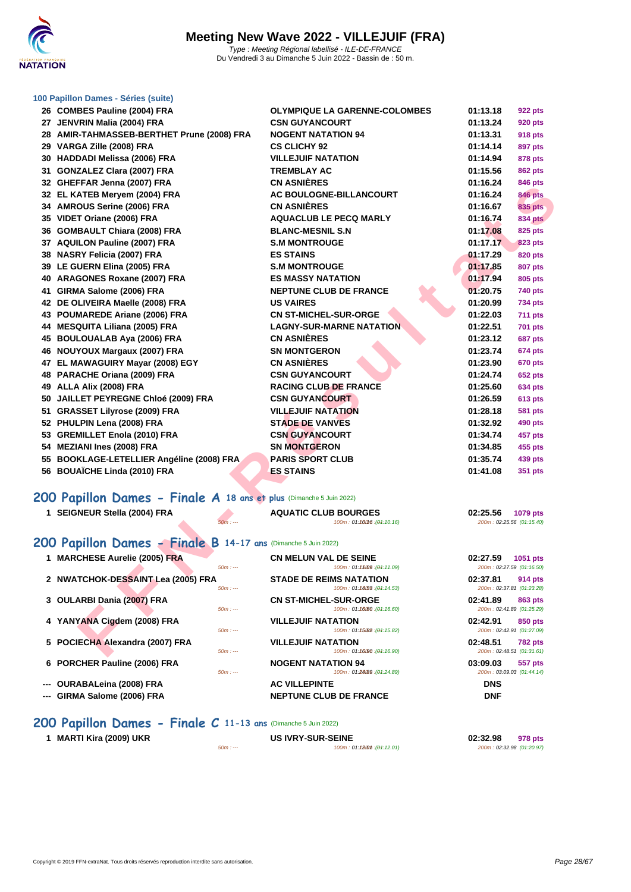

### **[100 Papil](http://www.ffnatation.fr/webffn/index.php)lon Dames - Séries (suite)**

| 26 COMBES Pauline (2004) FRA                                        | <b>OLYMPIQUE LA GARENNE-COLOMBES</b>                          | 01:13.18 | 922 pts                              |
|---------------------------------------------------------------------|---------------------------------------------------------------|----------|--------------------------------------|
| 27 JENVRIN Malia (2004) FRA                                         | <b>CSN GUYANCOURT</b>                                         | 01:13.24 | 920 pts                              |
| 28 AMIR-TAHMASSEB-BERTHET Prune (2008) FRA                          | <b>NOGENT NATATION 94</b>                                     | 01:13.31 | 918 pts                              |
| 29 VARGA Zille (2008) FRA                                           | <b>CS CLICHY 92</b>                                           | 01:14.14 | <b>897 pts</b>                       |
| 30 HADDADI Melissa (2006) FRA                                       | <b>VILLEJUIF NATATION</b>                                     | 01:14.94 | 878 pts                              |
| 31 GONZALEZ Clara (2007) FRA                                        | <b>TREMBLAY AC</b>                                            | 01:15.56 | <b>862 pts</b>                       |
| 32 GHEFFAR Jenna (2007) FRA                                         | <b>CN ASNIÈRES</b>                                            | 01:16.24 | 846 pts                              |
| 32 EL KATEB Meryem (2004) FRA                                       | AC BOULOGNE-BILLANCOURT                                       | 01:16.24 | <b>846 pts</b>                       |
| 34 AMROUS Serine (2006) FRA                                         | <b>CN ASNIÈRES</b>                                            | 01:16.67 | <b>835 pts</b>                       |
| 35 VIDET Oriane (2006) FRA                                          | <b>AQUACLUB LE PECQ MARLY</b>                                 | 01:16.74 | <b>834 pts</b>                       |
| 36 GOMBAULT Chiara (2008) FRA                                       | <b>BLANC-MESNIL S.N</b>                                       | 01:17.08 | 825 pts                              |
| 37 AQUILON Pauline (2007) FRA                                       | <b>S.M MONTROUGE</b>                                          | 01:17.17 | 823 pts                              |
| 38 NASRY Felicia (2007) FRA                                         | <b>ES STAINS</b>                                              | 01:17.29 | 820 pts                              |
| 39 LE GUERN Elina (2005) FRA                                        | <b>S.M MONTROUGE</b>                                          | 01:17.85 | <b>807 pts</b>                       |
| 40 ARAGONES Roxane (2007) FRA                                       | <b>ES MASSY NATATION</b>                                      | 01:17.94 | 805 pts                              |
| 41 GIRMA Salome (2006) FRA                                          | <b>NEPTUNE CLUB DE FRANCE</b>                                 | 01:20.75 | <b>740 pts</b>                       |
| 42 DE OLIVEIRA Maelle (2008) FRA                                    | <b>US VAIRES</b>                                              | 01:20.99 | <b>734 pts</b>                       |
| 43 POUMAREDE Ariane (2006) FRA                                      | <b>CN ST-MICHEL-SUR-ORGE</b>                                  | 01:22.03 | <b>711 pts</b>                       |
| 44 MESQUITA Liliana (2005) FRA                                      | <b>LAGNY-SUR-MARNE NATATION</b>                               | 01:22.51 | <b>701 pts</b>                       |
| 45 BOULOUALAB Aya (2006) FRA                                        | <b>CN ASNIÈRES</b>                                            | 01:23.12 | 687 pts                              |
| 46 NOUYOUX Margaux (2007) FRA                                       | <b>SN MONTGERON</b>                                           | 01:23.74 | 674 pts                              |
| 47 EL MAWAGUIRY Mayar (2008) EGY                                    | <b>CN ASNIÈRES</b>                                            | 01:23.90 | <b>670 pts</b>                       |
| 48 PARACHE Oriana (2009) FRA                                        | <b>CSN GUYANCOURT</b>                                         | 01:24.74 | 652 pts                              |
| 49 ALLA Alix (2008) FRA                                             | <b>RACING CLUB DE FRANCE</b>                                  | 01:25.60 | 634 pts                              |
| 50 JAILLET PEYREGNE Chloé (2009) FRA                                | <b>CSN GUYANCOURT</b>                                         | 01:26.59 | 613 pts                              |
| 51 GRASSET Lilyrose (2009) FRA                                      | <b>VILLEJUIF NATATION</b>                                     | 01:28.18 | 581 pts                              |
| 52 PHULPIN Lena (2008) FRA                                          | <b>STADE DE VANVES</b>                                        | 01:32.92 | 490 pts                              |
| 53 GREMILLET Enola (2010) FRA                                       | <b>CSN GUYANCOURT</b>                                         | 01:34.74 | 457 pts                              |
| 54 MEZIANI Ines (2008) FRA                                          | <b>SN MONTGERON</b>                                           | 01:34.85 | 455 pts                              |
| 55 BOOKLAGE-LETELLIER Angéline (2008) FRA                           | <b>PARIS SPORT CLUB</b>                                       | 01:35.74 | 439 pts                              |
| 56 BOUAÏCHE Linda (2010) FRA                                        | <b>ES STAINS</b>                                              | 01:41.08 | 351 pts                              |
|                                                                     |                                                               |          |                                      |
| 200 Papillon Dames - Finale A 18 ans et plus (Dimanche 5 Juin 2022) |                                                               |          |                                      |
| 1 SEIGNEUR Stella (2004) FRA                                        | <b>AQUATIC CLUB BOURGES</b>                                   | 02:25.56 | 1079 pts                             |
| $50m: -$                                                            | 100m: 01:10016 : (01:10.16)                                   |          | 200m: 02:25.56 (01:15.40)            |
| 200 Papillon Dames - Finale B 14-17 ans (Dimanche 5 Juin 2022)      |                                                               |          |                                      |
| 1 MARCHESE Aurelie (2005) FRA                                       | <b>CN MELUN VAL DE SEINE</b>                                  | 02:27.59 | 1051 pts                             |
| $50m: -$                                                            | 100m: 01:15009 : (01:11.09)                                   |          | 200m: 02:27.59 (01:16.50)            |
| 2 NWATCHOK-DESSAINT Lea (2005) FRA<br>$50m: -$                      | <b>STADE DE REIMS NATATION</b><br>100m: 01:14.53 : (01:14.53) | 02:37.81 | 914 pts<br>200m: 02:37.81 (01:23.28) |
| 3 OULARBI Dania (2007) FRA<br>$50m: -$                              | <b>CN ST-MICHEL-SUR-ORGE</b><br>100m: 01:16080 : (01:16.60)   | 02:41.89 | 863 pts<br>200m: 02:41.89 (01:25.29) |
| 4 YANYANA Cigdem (2008) FRA<br>$50m: -$                             | <b>VILLEJUIF NATATION</b><br>100m: 01:15082 : (01:15.82)      | 02:42.91 | 850 pts<br>200m: 02:42.91 (01:27.09) |
| 5 POCIECHA Alexandra (2007) FRA<br>$50m: -$                         | <b>VILLEJUIF NATATION</b><br>100m: 01:16/90 : (01:16.90)      | 02:48.51 | 782 pts<br>200m: 02:48.51 (01:31.61) |
|                                                                     |                                                               |          |                                      |

## **200 Papillon Dames - Finale A 18 ans et plus** (Dimanche 5 Juin 2022)

| 1 SEIGNEUR Stella (2004) FRA                                   | $50m: -$  | <b>AQUATIC CLUB BOURGES</b><br>100m: 01:160M6:(04:10.16)     | 02:25.56<br><b>1079 pts</b><br>200m: 02:25.56 (01:15.40) |
|----------------------------------------------------------------|-----------|--------------------------------------------------------------|----------------------------------------------------------|
| 200 Papillon Dames - Finale B 14-17 ans (Dimanche 5 Juin 2022) |           |                                                              |                                                          |
| <b>MARCHESE Aurelie (2005) FRA</b>                             | $50m: --$ | <b>CN MELUN VAL DE SEINE</b><br>100m: 01:15009:(04:11.09)    | 02:27.59<br>1051 pts<br>200m: 02:27.59 (01:16.50)        |
| 2 NWATCHOK-DESSAINT Lea (2005) FRA                             | $50m: -$  | <b>STADE DE REIMS NATATION</b><br>100m: 01:14(58: (04:14.53) | 02:37.81<br>914 pts<br>200m: 02:37.81 (01:23.28)         |
| 3 OULARBI Dania (2007) FRA                                     | $50m: -$  | <b>CN ST-MICHEL-SUR-ORGE</b><br>100m: 01:16000:(04:16.60)    | 02:41.89<br>863 pts<br>200m: 02:41.89 (01:25.29)         |
| 4 YANYANA Cigdem (2008) FRA                                    | $50m: -$  | <b>VILLEJUIF NATATION</b><br>100m: 01:15082 : (01:15.82)     | 02:42.91<br>850 pts<br>200m: 02:42.91 (01:27.09)         |
| 5 POCIECHA Alexandra (2007) FRA                                | $50m: -$  | <b>VILLEJUIF NATATION</b><br>100m: 01:16090 : (04:16.90)     | 02:48.51<br><b>782 pts</b><br>200m: 02:48.51 (01:31.61)  |
| 6 PORCHER Pauline (2006) FRA                                   | $50m: -$  | <b>NOGENT NATATION 94</b><br>100m: 01:24089 : (01:24.89)     | 03:09.03<br>557 pts<br>200m: 03:09.03 (01:44.14)         |
| <b>OURABALeina (2008) FRA</b><br>$\hspace{0.05cm} \ldots$      |           | <b>AC VILLEPINTE</b>                                         | <b>DNS</b>                                               |
| GIRMA Salome (2006) FRA<br>$\hspace{0.05cm} \ldots$            |           | <b>NEPTUNE CLUB DE FRANCE</b>                                | <b>DNF</b>                                               |

## **200 Papillon Dames - Finale C 11-13 ans** (Dimanche 5 Juin 2022)

| MARTI Kira (2009) UKR<br>$\mathbf 1$ |  |
|--------------------------------------|--|
|--------------------------------------|--|

 $5 - 11 = -$ <br>100m : 01:**12.01** (01:12.01)

**105 IVRY-SUR-SEINE**<br> **1 1 100m** : **01:12.001 09:12.01 09:12.01 02:32.98 01:20.97 2 200m** : **02:32.98 01:20.97**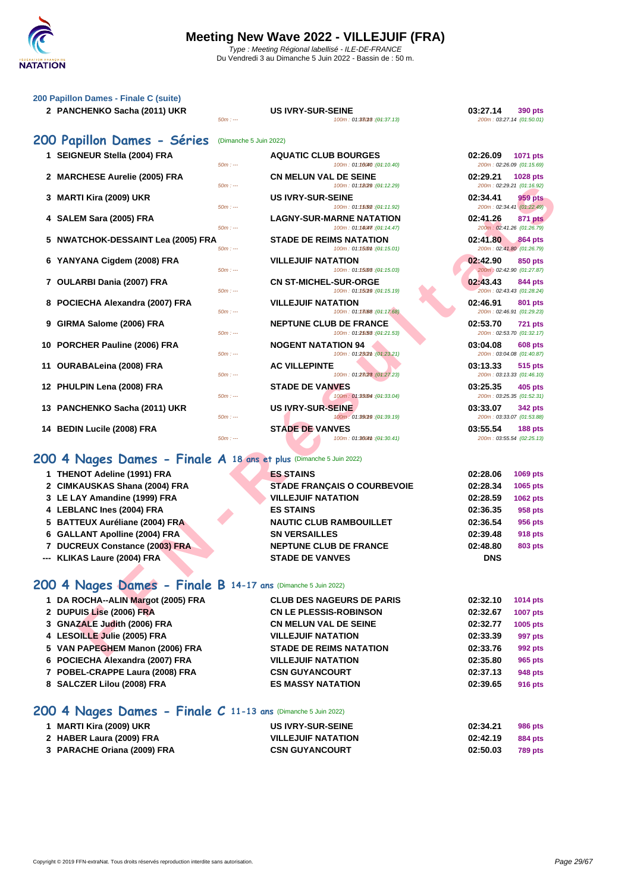

Du Vendredi 3 au Dimanche 5 Juin 2022 - Bassin de : 50 m.

 $100m$  : 01:38018 : (01:37.13)

### **[200 Papil](http://www.ffnatation.fr/webffn/index.php)lon Dames - Finale C (suite)**

**2 PANCHENKO Sacha (2011) UKR US IVRY-SUR-SEINE 03:27.14 03:27.14 03:27.14 090 pts**<br> **100m**: 01:3808 : (91:37.13) **03:27.14 01:50.01** 

|                                                                    | $50m: -$               | 100m: 01:38018 : (01:37.13)                                   | 200m: 03:27.14 (01:50.01)             |                |
|--------------------------------------------------------------------|------------------------|---------------------------------------------------------------|---------------------------------------|----------------|
| 200 Papillon Dames - Séries                                        | (Dimanche 5 Juin 2022) |                                                               |                                       |                |
| 1 SEIGNEUR Stella (2004) FRA                                       | $50m: -$               | <b>AQUATIC CLUB BOURGES</b><br>100m: 01:10040 : (01:10.40)    | 02:26.09<br>200m: 02:26.09 (01:15.69) | 1071 pts       |
| 2 MARCHESE Aurelie (2005) FRA                                      | $50m: -$               | CN MELUN VAL DE SEINE<br>100m: 01:18/29 : (01:12.29)          | 02:29.21<br>200m: 02:29.21 (01:16.92) | 1028 pts       |
| 3 MARTI Kira (2009) UKR                                            | $50m: -$               | <b>US IVRY-SUR-SEINE</b><br>100m: 01:15092 : (01:11.92)       | 02:34.41<br>200m: 02:34.41 (01:22.49) | 959 pts        |
| 4 SALEM Sara (2005) FRA                                            | $50m: -$               | <b>LAGNY-SUR-MARNE NATATION</b><br>100m: 01:14047. (01:14.47) | 02:41.26<br>200m: 02:41.26 (01:26.79) | 871 pts        |
| 5 NWATCHOK-DESSAINT Lea (2005) FRA                                 | $50m: -$               | <b>STADE DE REIMS NATATION</b><br>100m: 01:1500m: (01:15.01)  | 02:41.80<br>200m: 02:41.80 (01:26.79) | <b>864 pts</b> |
| 6 YANYANA Cigdem (2008) FRA                                        | $50m: -$               | <b>VILLEJUIF NATATION</b><br>100m: 01:15008 : (01:15.03)      | 02:42.90<br>200m: 02:42.90 (01:27.87) | 850 pts        |
| 7 OULARBI Dania (2007) FRA                                         | $50m: -$               | <b>CN ST-MICHEL-SUR-ORGE</b><br>100m: 01:15019 : (01:15.19)   | 02:43.43<br>200m: 02:43.43 (01:28.24) | 844 pts        |
| 8 POCIECHA Alexandra (2007) FRA                                    | $50m: -$               | <b>VILLEJUIF NATATION</b><br>100m: 01:13088 : (01:17.68)      | 02:46.91<br>200m: 02:46.91 (01:29.23) | 801 pts        |
| 9 GIRMA Salome (2006) FRA                                          | $50m: -$               | <b>NEPTUNE CLUB DE FRANCE</b><br>100m: 01:25/53 : (01:21.53)  | 02:53.70<br>200m: 02:53.70 (01:32.17) | <b>721 pts</b> |
| 10 PORCHER Pauline (2006) FRA                                      | $50m: -$               | <b>NOGENT NATATION 94</b><br>100m: 01:23/2m: (01:23.21)       | 03:04.08<br>200m: 03:04.08 (01:40.87) | <b>608 pts</b> |
| 11 OURABALeina (2008) FRA                                          | $50m: -$               | <b>AC VILLEPINTE</b><br>100m: 01:23/28 : (01:27.23)           | 03:13.33<br>200m: 03:13.33 (01:46.10) | 515 pts        |
| 12 PHULPIN Lena (2008) FRA                                         | $50m: -$               | <b>STADE DE VANVES</b><br>100m: 01:33004 : (01:33.04)         | 03:25.35<br>200m: 03:25.35 (01:52.31) | 405 pts        |
| 13 PANCHENKO Sacha (2011) UKR                                      | $50m: -$               | <b>US IVRY-SUR-SEINE</b><br>100m: 01:39019 : (01:39.19)       | 03:33.07<br>200m: 03:33.07 (01:53.88) | <b>342 pts</b> |
| 14 BEDIN Lucile (2008) FRA                                         | $50m: -$               | <b>STADE DE VANVES</b><br>100m: 01:300m : (01:30.41)          | 03:55.54<br>200m: 03:55.54 (02:25.13) | <b>188 pts</b> |
| 200 4 Nages Dames - Finale A 18 ans et plus (Dimanche 5 Juin 2022) |                        |                                                               |                                       |                |
| 1 THENOT Adeline (1991) FRA                                        |                        | <b>ES STAINS</b>                                              | 02:28.06                              | 1069 pts       |
| 2 CIMKAUSKAS Shana (2004) FRA                                      |                        | <b>STADE FRANÇAIS O COURBEVOIE</b>                            | 02:28.34                              | 1065 pts       |
| 3 LE LAY Amandine (1999) FRA                                       |                        | <b>VILLEJUIF NATATION</b>                                     | 02:28.59                              | 1062 pts       |
| 4 LEBLANC Ines (2004) FRA                                          |                        | <b>ES STAINS</b>                                              | 02:36.35                              | 958 pts        |
| 5 BATTEUX Auréliane (2004) FRA                                     |                        | <b>NAUTIC CLUB RAMBOUILLET</b>                                | 02:36.54                              | 956 pts        |
| 6 GALLANT Apolline (2004) FRA                                      |                        | <b>SN VERSAILLES</b>                                          | 02:39.48                              | <b>918 pts</b> |
| 7 DUCREUX Constance (2003) FRA                                     |                        | <b>NEPTUNE CLUB DE FRANCE</b>                                 | 02:48.80                              | 803 pts        |
| --- KLIKAS Laure (2004) FRA                                        |                        | <b>STADE DE VANVES</b>                                        | <b>DNS</b>                            |                |
| 200 4 Nages Dames - Finale B 14-17 ans (Dimanche 5 Juin 2022)      |                        |                                                               |                                       |                |
| 1 DA ROCHA--ALIN Margot (2005) FRA                                 |                        | <b>CLUB DES NAGEURS DE PARIS</b>                              | 02:32.10                              | 1014 pts       |
| 2 DUPUIS Lise (2006) FRA                                           |                        | <b>CN LE PLESSIS-ROBINSON</b>                                 | 02:32.67                              | 1007 pts       |
| 3 GNAZALE Judith (2006) FRA                                        |                        | <b>CN MELUN VAL DE SEINE</b>                                  | 02:32.77                              | 1005 pts       |
| 4 LESOILLE Julie (2005) FRA                                        |                        | <b>VILLEJUIF NATATION</b>                                     | 02:33.39                              | 997 pts        |
| 5 VAN PAPEGHEM Manon (2006) FRA                                    |                        | <b>STADE DE REIMS NATATION</b>                                | 02:33.76                              | 992 pts        |
|                                                                    |                        |                                                               |                                       |                |

## **200 4 Nages Dames - Finale A 18 ans et plus** (Dimanche 5 Juin 2022)

| 1 THENOT Adeline (1991) FRA    | <b>ES STAINS</b>                   | 02:28.06   | 1069 pts |
|--------------------------------|------------------------------------|------------|----------|
| 2 CIMKAUSKAS Shana (2004) FRA  | <b>STADE FRANCAIS O COURBEVOIE</b> | 02:28.34   | 1065 pts |
| 3 LE LAY Amandine (1999) FRA   | <b>VILLEJUIF NATATION</b>          | 02:28.59   | 1062 pts |
| 4 LEBLANC Ines (2004) FRA      | <b>ES STAINS</b>                   | 02:36.35   | 958 pts  |
| 5 BATTEUX Auréliane (2004) FRA | <b>NAUTIC CLUB RAMBOUILLET</b>     | 02:36.54   | 956 pts  |
| 6 GALLANT Apolline (2004) FRA  | <b>SN VERSAILLES</b>               | 02:39.48   | 918 pts  |
| 7 DUCREUX Constance (2003) FRA | <b>NEPTUNE CLUB DE FRANCE</b>      | 02:48.80   | 803 pts  |
| --- KLIKAS Laure (2004) FRA    | <b>STADE DE VANVES</b>             | <b>DNS</b> |          |
|                                |                                    |            |          |

## **200 4 Nages Dames - Finale B 14-17 ans** (Dimanche 5 Juin 2022)

| 1 DA ROCHA--ALIN Margot (2005) FRA<br><b>CLUB DES NAGEURS DE PARIS</b><br>02:32.10 |          | 1014 pts        |
|------------------------------------------------------------------------------------|----------|-----------------|
| 2 DUPUIS Lise (2006) FRA<br><b>CN LE PLESSIS-ROBINSON</b>                          | 02:32.67 | <b>1007 pts</b> |
| 3 GNAZALE Judith (2006) FRA<br><b>CN MELUN VAL DE SEINE</b>                        | 02:32.77 | 1005 pts        |
| 4 LESOILLE Julie (2005) FRA<br><b>VILLEJUIF NATATION</b>                           | 02:33.39 | 997 pts         |
| 5 VAN PAPEGHEM Manon (2006) FRA<br><b>STADE DE REIMS NATATION</b>                  | 02:33.76 | 992 pts         |
| 6 POCIECHA Alexandra (2007) FRA<br><b>VILLEJUIF NATATION</b>                       | 02:35.80 | 965 pts         |
| 7 POBEL-CRAPPE Laura (2008) FRA<br><b>CSN GUYANCOURT</b>                           | 02:37.13 | 948 pts         |
| 8 SALCZER Lilou (2008) FRA<br><b>ES MASSY NATATION</b>                             | 02:39.65 | 916 pts         |

### **200 4 Nages Dames - Finale C 11-13 ans** (Dimanche 5 Juin 2022)

| 1 MARTI Kira (2009) UKR     | <b>US IVRY-SUR-SEINE</b>  | 02:34.21 | <b>986 pts</b> |
|-----------------------------|---------------------------|----------|----------------|
| 2 HABER Laura (2009) FRA    | <b>VILLEJUIF NATATION</b> | 02:42.19 | 884 pts        |
| 3 PARACHE Oriana (2009) FRA | <b>CSN GUYANCOURT</b>     | 02:50.03 | <b>789 pts</b> |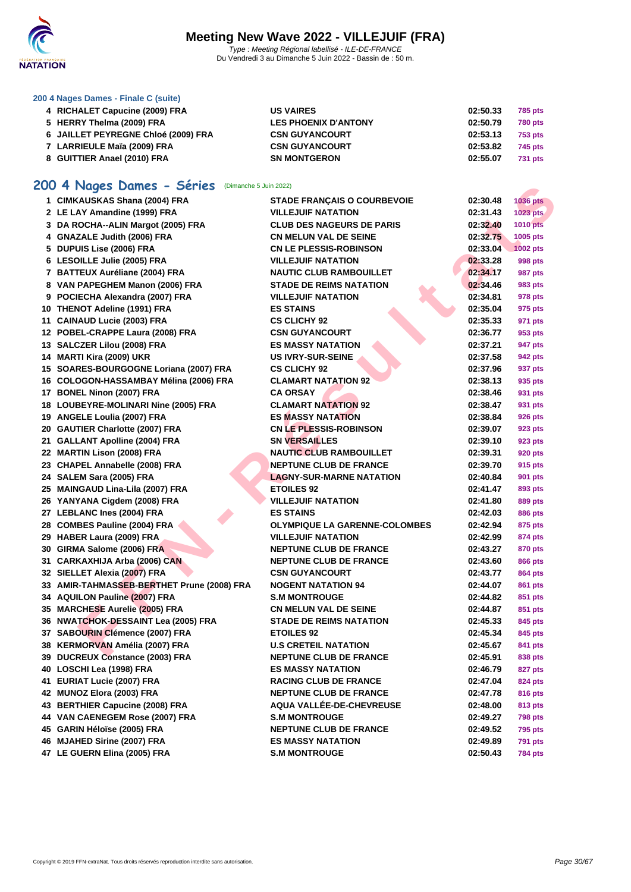

### **[200 4 Nag](http://www.ffnatation.fr/webffn/index.php)es Dames - Finale C (suite)**

| 4 RICHALET Capucine (2009) FRA      | <b>US VAIRES</b>            | 02:50.33 | 785 pts        |
|-------------------------------------|-----------------------------|----------|----------------|
| 5 HERRY Thelma (2009) FRA           | <b>LES PHOENIX D'ANTONY</b> | 02:50.79 | 780 pts        |
| 6 JAILLET PEYREGNE Chloé (2009) FRA | <b>CSN GUYANCOURT</b>       | 02:53.13 | 753 pts        |
| 7 LARRIEULE Maïa (2009) FRA         | <b>CSN GUYANCOURT</b>       | 02:53.82 | 745 pts        |
| 8 GUITTIER Anael (2010) FRA         | <b>SN MONTGERON</b>         | 02:55.07 | <b>731 pts</b> |

## **200 4 Nages Dames - Séries** (Dimanche 5 Juin 2022)

| <b>OU 4 Nages Dames - Series</b> (Dimanche 5 Juin 2022) |                                      |          |                 |
|---------------------------------------------------------|--------------------------------------|----------|-----------------|
| 1 CIMKAUSKAS Shana (2004) FRA                           | <b>STADE FRANÇAIS O COURBEVOIE</b>   | 02:30.48 | <b>1036 pts</b> |
| 2 LE LAY Amandine (1999) FRA                            | <b>VILLEJUIF NATATION</b>            | 02:31.43 | 1023 pts        |
| 3 DA ROCHA--ALIN Margot (2005) FRA                      | <b>CLUB DES NAGEURS DE PARIS</b>     | 02:32.40 | <b>1010 pts</b> |
| 4 GNAZALE Judith (2006) FRA                             | <b>CN MELUN VAL DE SEINE</b>         | 02:32.75 | 1005 pts        |
| 5 DUPUIS Lise (2006) FRA                                | <b>CN LE PLESSIS-ROBINSON</b>        | 02:33.04 | <b>1002 pts</b> |
| 6 LESOILLE Julie (2005) FRA                             | <b>VILLEJUIF NATATION</b>            | 02:33.28 | 998 pts         |
| 7 BATTEUX Auréliane (2004) FRA                          | <b>NAUTIC CLUB RAMBOUILLET</b>       | 02:34.17 | 987 pts         |
| 8 VAN PAPEGHEM Manon (2006) FRA                         | <b>STADE DE REIMS NATATION</b>       | 02:34.46 | 983 pts         |
| 9 POCIECHA Alexandra (2007) FRA                         | <b>VILLEJUIF NATATION</b>            | 02:34.81 | 978 pts         |
| 10 THENOT Adeline (1991) FRA                            | <b>ES STAINS</b>                     | 02:35.04 | 975 pts         |
| 11 CAINAUD Lucie (2003) FRA                             | <b>CS CLICHY 92</b>                  | 02:35.33 | 971 pts         |
| 12 POBEL-CRAPPE Laura (2008) FRA                        | <b>CSN GUYANCOURT</b>                | 02:36.77 | 953 pts         |
| 13 SALCZER Lilou (2008) FRA                             | <b>ES MASSY NATATION</b>             | 02:37.21 | 947 pts         |
| 14 MARTI Kira (2009) UKR                                | <b>US IVRY-SUR-SEINE</b>             | 02:37.58 | 942 pts         |
| 15 SOARES-BOURGOGNE Loriana (2007) FRA                  | <b>CS CLICHY 92</b>                  | 02:37.96 | 937 pts         |
| 16 COLOGON-HASSAMBAY Mélina (2006) FRA                  | <b>CLAMART NATATION 92</b>           | 02:38.13 | 935 pts         |
| 17 BONEL Ninon (2007) FRA                               | <b>CA ORSAY</b>                      | 02:38.46 | 931 pts         |
| 18 LOUBEYRE-MOLINARI Nine (2005) FRA                    | <b>CLAMART NATATION 92</b>           | 02:38.47 | 931 pts         |
| 19 ANGELE Loulia (2007) FRA                             | <b>ES MASSY NATATION</b>             | 02:38.84 | 926 pts         |
| 20 GAUTIER Charlotte (2007) FRA                         | <b>CN LE PLESSIS-ROBINSON</b>        | 02:39.07 | 923 pts         |
| 21 GALLANT Apolline (2004) FRA                          | <b>SN VERSAILLES</b>                 | 02:39.10 | 923 pts         |
| 22 MARTIN Lison (2008) FRA                              | <b>NAUTIC CLUB RAMBOUILLET</b>       | 02:39.31 | 920 pts         |
| 23 CHAPEL Annabelle (2008) FRA                          | <b>NEPTUNE CLUB DE FRANCE</b>        | 02:39.70 | 915 pts         |
| 24 SALEM Sara (2005) FRA                                | <b>LAGNY-SUR-MARNE NATATION</b>      | 02:40.84 | 901 pts         |
| 25 MAINGAUD Lina-Lila (2007) FRA                        | <b>ETOILES 92</b>                    | 02:41.47 | 893 pts         |
| 26 YANYANA Cigdem (2008) FRA                            | <b>VILLEJUIF NATATION</b>            | 02:41.80 | 889 pts         |
| 27 LEBLANC Ines (2004) FRA                              | <b>ES STAINS</b>                     | 02:42.03 | <b>886 pts</b>  |
| 28 COMBES Pauline (2004) FRA                            | <b>OLYMPIQUE LA GARENNE-COLOMBES</b> | 02:42.94 | 875 pts         |
| 29 HABER Laura (2009) FRA                               | <b>VILLEJUIF NATATION</b>            | 02:42.99 | 874 pts         |
| 30 GIRMA Salome (2006) FRA                              | <b>NEPTUNE CLUB DE FRANCE</b>        | 02:43.27 | 870 pts         |
| 31 CARKAXHIJA Arba (2006) CAN                           | <b>NEPTUNE CLUB DE FRANCE</b>        | 02:43.60 | 866 pts         |
| 32 SIELLET Alexia (2007) FRA                            | <b>CSN GUYANCOURT</b>                | 02:43.77 | 864 pts         |
| 33 AMIR-TAHMASSEB-BERTHET Prune (2008) FRA              | <b>NOGENT NATATION 94</b>            | 02:44.07 | 861 pts         |
| 34 AQUILON Pauline (2007) FRA                           | <b>S.M MONTROUGE</b>                 | 02:44.82 | 851 pts         |
| 35 MARCHESE Aurelie (2005) FRA                          | <b>CN MELUN VAL DE SEINE</b>         | 02:44.87 | 851 pts         |
| 36 NWATCHOK-DESSAINT Lea (2005) FRA                     | <b>STADE DE REIMS NATATION</b>       | 02:45.33 |                 |
|                                                         | <b>ETOILES 92</b>                    | 02:45.34 | 845 pts         |
| 37 SABOURIN Clémence (2007) FRA                         | <b>U.S CRETEIL NATATION</b>          |          | 845 pts         |
| 38 KERMORVAN Amélia (2007) FRA                          |                                      | 02:45.67 | <b>841 pts</b>  |
| 39 DUCREUX Constance (2003) FRA                         | <b>NEPTUNE CLUB DE FRANCE</b>        | 02:45.91 | 838 pts         |
| 40 LOSCHI Lea (1998) FRA                                | <b>ES MASSY NATATION</b>             | 02:46.79 | 827 pts         |
| 41 EURIAT Lucie (2007) FRA                              | <b>RACING CLUB DE FRANCE</b>         | 02:47.04 | 824 pts         |
| 42 MUNOZ Elora (2003) FRA                               | <b>NEPTUNE CLUB DE FRANCE</b>        | 02:47.78 | 816 pts         |
| 43 BERTHIER Capucine (2008) FRA                         | <b>AQUA VALLÉE-DE-CHEVREUSE</b>      | 02:48.00 | 813 pts         |
| 44 VAN CAENEGEM Rose (2007) FRA                         | <b>S.M MONTROUGE</b>                 | 02:49.27 | <b>798 pts</b>  |
| 45 GARIN Héloïse (2005) FRA                             | <b>NEPTUNE CLUB DE FRANCE</b>        | 02:49.52 | 795 pts         |
| 46 MJAHED Sirine (2007) FRA                             | <b>ES MASSY NATATION</b>             | 02:49.89 | <b>791 pts</b>  |
| 47 LE GUERN Elina (2005) FRA                            | <b>S.M MONTROUGE</b>                 | 02:50.43 | <b>784 pts</b>  |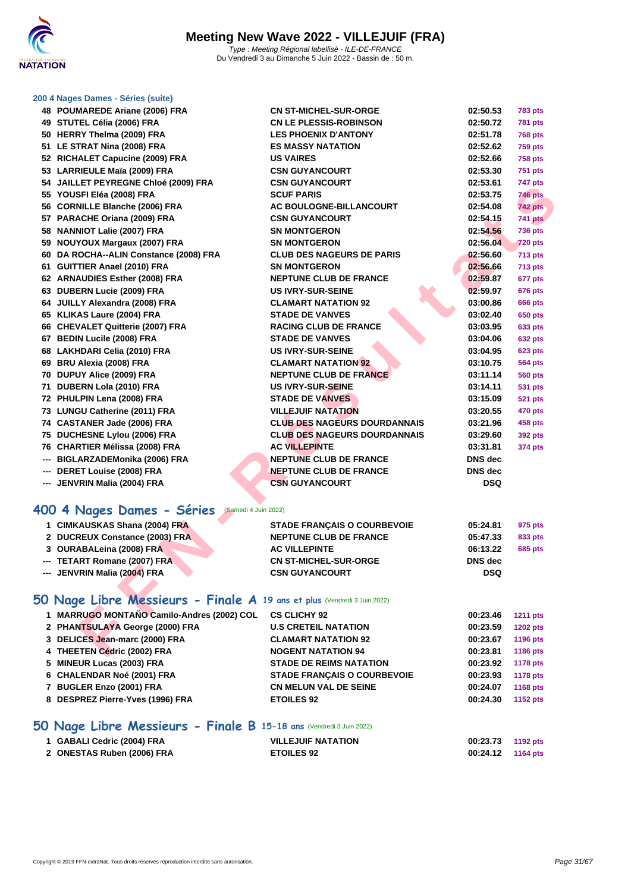

### **[200 4 Nag](http://www.ffnatation.fr/webffn/index.php)es Dames - Séries (suite)**

| 48 POUMAREDE Ariane (2006) FRA                                           | <b>CN ST-MICHEL-SUR-ORGE</b>        | 02:50.53       | <b>783 pts</b>  |
|--------------------------------------------------------------------------|-------------------------------------|----------------|-----------------|
| 49 STUTEL Célia (2006) FRA                                               | <b>CN LE PLESSIS-ROBINSON</b>       | 02:50.72       | <b>781 pts</b>  |
| 50 HERRY Thelma (2009) FRA                                               | <b>LES PHOENIX D'ANTONY</b>         | 02:51.78       | 768 pts         |
| 51 LE STRAT Nina (2008) FRA                                              | <b>ES MASSY NATATION</b>            | 02:52.62       | <b>759 pts</b>  |
| 52 RICHALET Capucine (2009) FRA                                          | <b>US VAIRES</b>                    | 02:52.66       | <b>758 pts</b>  |
| 53 LARRIEULE Maïa (2009) FRA                                             | <b>CSN GUYANCOURT</b>               | 02:53.30       | <b>751 pts</b>  |
| 54 JAILLET PEYREGNE Chloé (2009) FRA                                     | <b>CSN GUYANCOURT</b>               | 02:53.61       | <b>747 pts</b>  |
| 55 YOUSFI Eléa (2008) FRA                                                | <b>SCUF PARIS</b>                   | 02:53.75       | <b>746 pts</b>  |
| 56 CORNILLE Blanche (2006) FRA                                           | <b>AC BOULOGNE-BILLANCOURT</b>      | 02:54.08       | <b>742 pts</b>  |
| 57 PARACHE Oriana (2009) FRA                                             | <b>CSN GUYANCOURT</b>               | 02:54.15       | <b>741 pts</b>  |
| 58 NANNIOT Lalie (2007) FRA                                              | <b>SN MONTGERON</b>                 | 02:54.56       | <b>736 pts</b>  |
| 59 NOUYOUX Margaux (2007) FRA                                            | <b>SN MONTGERON</b>                 | 02:56.04       | <b>720 pts</b>  |
| 60 DA ROCHA--ALIN Constance (2008) FRA                                   | <b>CLUB DES NAGEURS DE PARIS</b>    | 02:56.60       | 713 pts         |
| 61 GUITTIER Anael (2010) FRA                                             | <b>SN MONTGERON</b>                 | 02:56.66       | <b>713 pts</b>  |
| 62 ARNAUDIES Esther (2008) FRA                                           | <b>NEPTUNE CLUB DE FRANCE</b>       | 02:59.87       | 677 pts         |
| 63 DUBERN Lucie (2009) FRA                                               | <b>US IVRY-SUR-SEINE</b>            | 02:59.97       | 676 pts         |
| 64 JUILLY Alexandra (2008) FRA                                           | <b>CLAMART NATATION 92</b>          | 03:00.86       | 666 pts         |
| 65 KLIKAS Laure (2004) FRA                                               | <b>STADE DE VANVES</b>              | 03:02.40       | 650 pts         |
| 66 CHEVALET Quitterie (2007) FRA                                         | <b>RACING CLUB DE FRANCE</b>        | 03:03.95       | 633 pts         |
| 67 BEDIN Lucile (2008) FRA                                               | <b>STADE DE VANVES</b>              | 03:04.06       | 632 pts         |
| 68 LAKHDARI Celia (2010) FRA                                             | <b>US IVRY-SUR-SEINE</b>            | 03:04.95       | 623 pts         |
| 69 BRU Alexia (2008) FRA                                                 | <b>CLAMART NATATION 92</b>          | 03:10.75       | 564 pts         |
| 70 DUPUY Alice (2009) FRA                                                | <b>NEPTUNE CLUB DE FRANCE</b>       | 03:11.14       | 560 pts         |
| 71 DUBERN Lola (2010) FRA                                                | <b>US IVRY-SUR-SEINE</b>            | 03:14.11       | 531 pts         |
| 72 PHULPIN Lena (2008) FRA                                               | <b>STADE DE VANVES</b>              | 03:15.09       | <b>521 pts</b>  |
| 73 LUNGU Catherine (2011) FRA                                            | <b>VILLEJUIF NATATION</b>           | 03:20.55       | 470 pts         |
| 74 CASTANER Jade (2006) FRA                                              | <b>CLUB DES NAGEURS DOURDANNAIS</b> | 03:21.96       | 458 pts         |
| 75 DUCHESNE Lylou (2006) FRA                                             | <b>CLUB DES NAGEURS DOURDANNAIS</b> | 03:29.60       | 392 pts         |
| 76 CHARTIER Mélissa (2008) FRA                                           | <b>AC VILLEPINTE</b>                | 03:31.81       | <b>374 pts</b>  |
| --- BIGLARZADEMonika (2006) FRA                                          | <b>NEPTUNE CLUB DE FRANCE</b>       | DNS dec        |                 |
| --- DERET Louise (2008) FRA                                              | <b>NEPTUNE CLUB DE FRANCE</b>       | <b>DNS</b> dec |                 |
| --- JENVRIN Malia (2004) FRA                                             | <b>CSN GUYANCOURT</b>               | <b>DSQ</b>     |                 |
|                                                                          |                                     |                |                 |
| 100 4 Nages Dames - Séries (Samedi 4 Juin 2022)                          |                                     |                |                 |
| 1 CIMKAUSKAS Shana (2004) FRA                                            | <b>STADE FRANÇAIS O COURBEVOIE</b>  | 05:24.81       | 975 pts         |
| 2 DUCREUX Constance (2003) FRA                                           | <b>NEPTUNE CLUB DE FRANCE</b>       | 05:47.33       | 833 pts         |
| 3 OURABALeina (2008) FRA                                                 | <b>AC VILLEPINTE</b>                | 06:13.22       | <b>685 pts</b>  |
| --- TETART Romane (2007) FRA                                             | <b>CN ST-MICHEL-SUR-ORGE</b>        | DNS dec        |                 |
| --- JENVRIN Malia (2004) FRA                                             | <b>CSN GUYANCOURT</b>               | <b>DSQ</b>     |                 |
|                                                                          |                                     |                |                 |
| 50 Nage Libre Messieurs - Finale A 19 ans et plus (Vendredi 3 Juin 2022) |                                     |                |                 |
| 1 MARRUGO MONTAÑO Camilo-Andres (2002) COL                               | <b>CS CLICHY 92</b>                 | 00:23.46       | <b>1211 pts</b> |
| 2 PHANTSULAYA George (2000) FRA                                          | <b>U.S CRETEIL NATATION</b>         | 00:23.59       | <b>1202 pts</b> |
| 3 DELICES Jean-marc (2000) FRA                                           | <b>CLAMART NATATION 92</b>          | 00:23.67       | 1196 pts        |
| 4 THEETEN Cédric (2002) FRA                                              | <b>NOGENT NATATION 94</b>           | 00:23.81       | 1186 pts        |

## **400 4 Nages Dames - Séries** (Samedi 4 Juin 2022)

| 1 CIMKAUSKAS Shana (2004) FRA  | <b>STADE FRANCAIS O COURBEVOIE</b> | 05:24.81   | 975 pts        |
|--------------------------------|------------------------------------|------------|----------------|
| 2 DUCREUX Constance (2003) FRA | <b>NEPTUNE CLUB DE FRANCE</b>      | 05:47.33   | 833 pts        |
| 3 OURABALeina (2008) FRA       | <b>AC VILLEPINTE</b>               | 06:13.22   | <b>685 pts</b> |
| --- TETART Romane (2007) FRA   | <b>CN ST-MICHEL-SUR-ORGE</b>       | DNS dec    |                |
| --- JENVRIN Malia (2004) FRA   | <b>CSN GUYANCOURT</b>              | <b>DSQ</b> |                |
|                                |                                    |            |                |

## **50 Nage Libre Messieurs - Finale A 19 ans et plus** (Vendredi 3 Juin 2022)

| 1 MARRUGO MONTAÑO Camilo-Andres (2002) COL | <b>CS CLICHY 92</b>                | 00:23.46 | <b>1211 pts</b> |
|--------------------------------------------|------------------------------------|----------|-----------------|
| 2 PHANTSULAYA George (2000) FRA            | <b>U.S CRETEIL NATATION</b>        | 00:23.59 | <b>1202 pts</b> |
| 3 DELICES Jean-marc (2000) FRA             | <b>CLAMART NATATION 92</b>         | 00:23.67 | 1196 pts        |
| 4 THEETEN Cédric (2002) FRA                | <b>NOGENT NATATION 94</b>          | 00:23.81 | 1186 pts        |
| 5 MINEUR Lucas (2003) FRA                  | <b>STADE DE REIMS NATATION</b>     | 00:23.92 | <b>1178 pts</b> |
| 6 CHALENDAR Noé (2001) FRA                 | <b>STADE FRANCAIS O COURBEVOIE</b> | 00:23.93 | 1178 pts        |
| 7 BUGLER Enzo (2001) FRA                   | <b>CN MELUN VAL DE SEINE</b>       | 00:24.07 | 1168 pts        |
| 8 DESPREZ Pierre-Yves (1996) FRA           | <b>ETOILES 92</b>                  | 00:24.30 | 1152 pts        |
|                                            |                                    |          |                 |

## **50 Nage Libre Messieurs - Finale B 15-18 ans** (Vendredi 3 Juin 2022)

| 1 GABALI Cedric (2004) FRA | <b>VILLEJUIF NATATION</b> | 00:23.73 1192 pts |  |
|----------------------------|---------------------------|-------------------|--|
| 2 ONESTAS Ruben (2006) FRA | <b>ETOILES 92</b>         | 00:24.12 1164 pts |  |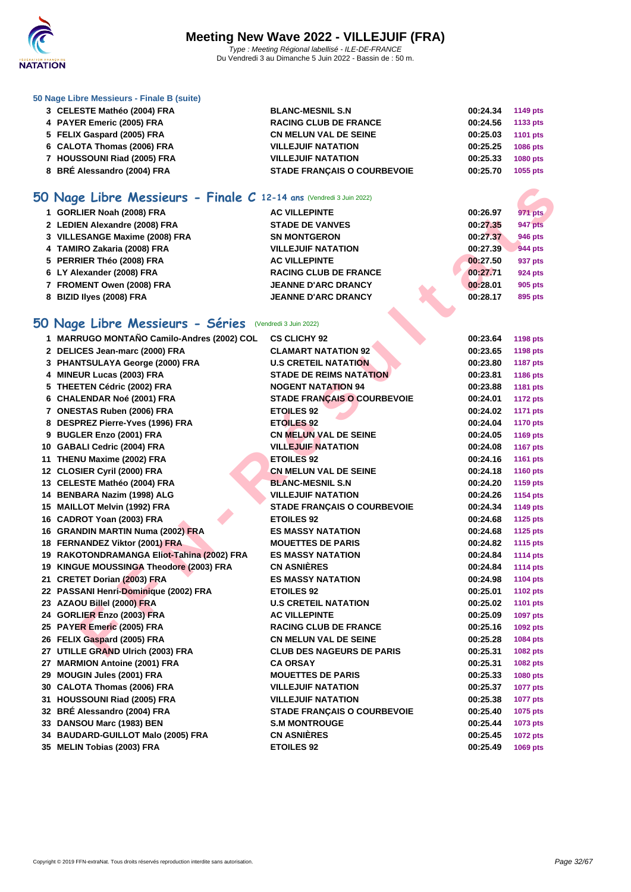

### **[50 Nage L](http://www.ffnatation.fr/webffn/index.php)ibre Messieurs - Finale B (suite)**

| 3 CELESTE Mathéo (2004) FRA | <b>BLANC-MESNIL S.N</b>            | 00:24.34 | 1149 pts        |
|-----------------------------|------------------------------------|----------|-----------------|
| 4 PAYER Emeric (2005) FRA   | <b>RACING CLUB DE FRANCE</b>       | 00:24.56 | 1133 pts        |
| 5 FELIX Gaspard (2005) FRA  | <b>CN MELUN VAL DE SEINE</b>       | 00:25.03 | <b>1101 pts</b> |
| 6 CALOTA Thomas (2006) FRA  | <b>VILLEJUIF NATATION</b>          | 00:25.25 | <b>1086 pts</b> |
| 7 HOUSSOUNI Riad (2005) FRA | <b>VILLEJUIF NATATION</b>          | 00:25.33 | <b>1080 pts</b> |
| 8 BRÉ Alessandro (2004) FRA | <b>STADE FRANÇAIS O COURBEVOIE</b> | 00:25.70 | 1055 pts        |

## **50 Nage Libre Messieurs - Finale C 12-14 ans** (Vendredi 3 Juin 2022)

| 1 GORLIER Noah (2008) FRA      | <b>AC VILLEPINTE</b>         | 00:26.97 | 971 pts        |
|--------------------------------|------------------------------|----------|----------------|
| 2 LEDIEN Alexandre (2008) FRA  | <b>STADE DE VANVES</b>       | 00:27.35 | <b>947 pts</b> |
| 3 VILLESANGE Maxime (2008) FRA | <b>SN MONTGERON</b>          | 00:27.37 | 946 pts        |
| 4 TAMIRO Zakaria (2008) FRA    | <b>VILLEJUIF NATATION</b>    | 00:27.39 | <b>944 pts</b> |
| 5 PERRIER Théo (2008) FRA      | <b>AC VILLEPINTE</b>         | 00:27.50 | 937 pts        |
| 6 LY Alexander (2008) FRA      | <b>RACING CLUB DE FRANCE</b> | 00:27.71 | 924 pts        |
| 7 FROMENT Owen (2008) FRA      | <b>JEANNE D'ARC DRANCY</b>   | 00:28.01 | 905 pts        |
| 8 BIZID lives (2008) FRA       | <b>JEANNE D'ARC DRANCY</b>   | 00:28.17 | 895 pts        |
|                                |                              |          |                |

## **50 Nage Libre Messieurs - Séries** (Vendredi 3 Juin 2022)

| iO Nage Libre Messieurs - Finale C 12-14 ans (Vendredi 3 Juin 2022) |                                    |          |                 |
|---------------------------------------------------------------------|------------------------------------|----------|-----------------|
| 1 GORLIER Noah (2008) FRA                                           | <b>AC VILLEPINTE</b>               | 00:26.97 | <b>971 pts</b>  |
| 2 LEDIEN Alexandre (2008) FRA                                       | <b>STADE DE VANVES</b>             | 00:27.35 | 947 pts         |
| 3 VILLESANGE Maxime (2008) FRA                                      | <b>SN MONTGERON</b>                | 00:27.37 | 946 pts         |
| 4 TAMIRO Zakaria (2008) FRA                                         | <b>VILLEJUIF NATATION</b>          | 00:27.39 | <b>944 pts</b>  |
| 5 PERRIER Théo (2008) FRA                                           | <b>AC VILLEPINTE</b>               | 00:27.50 | 937 pts         |
| 6 LY Alexander (2008) FRA                                           | <b>RACING CLUB DE FRANCE</b>       | 00:27.71 | 924 pts         |
| 7 FROMENT Owen (2008) FRA                                           | <b>JEANNE D'ARC DRANCY</b>         | 00:28.01 | 905 pts         |
| 8 BIZID Ilyes (2008) FRA                                            | <b>JEANNE D'ARC DRANCY</b>         | 00:28.17 | 895 pts         |
|                                                                     |                                    |          |                 |
| iO Nage Libre Messieurs - Séries                                    | (Vendredi 3 Juin 2022)             |          |                 |
| 1 MARRUGO MONTAÑO Camilo-Andres (2002) COL                          | <b>CS CLICHY 92</b>                | 00:23.64 | <b>1198 pts</b> |
| 2 DELICES Jean-marc (2000) FRA                                      | <b>CLAMART NATATION 92</b>         | 00:23.65 | 1198 pts        |
| 3 PHANTSULAYA George (2000) FRA                                     | <b>U.S CRETEIL NATATION</b>        | 00:23.80 | <b>1187 pts</b> |
| 4 MINEUR Lucas (2003) FRA                                           | <b>STADE DE REIMS NATATION</b>     | 00:23.81 | 1186 pts        |
| 5 THEETEN Cédric (2002) FRA                                         | <b>NOGENT NATATION 94</b>          | 00:23.88 | 1181 pts        |
| 6 CHALENDAR Noé (2001) FRA                                          | <b>STADE FRANÇAIS O COURBEVOIE</b> | 00:24.01 | <b>1172 pts</b> |
| 7 ONESTAS Ruben (2006) FRA                                          | <b>ETOILES 92</b>                  | 00:24.02 | <b>1171 pts</b> |
| 8 DESPREZ Pierre-Yves (1996) FRA                                    | <b>ETOILES 92</b>                  | 00:24.04 | <b>1170 pts</b> |
| 9 BUGLER Enzo (2001) FRA                                            | <b>CN MELUN VAL DE SEINE</b>       | 00:24.05 | 1169 pts        |
| 10 GABALI Cedric (2004) FRA                                         | <b>VILLEJUIF NATATION</b>          | 00:24.08 | <b>1167 pts</b> |
| 11 THENU Maxime (2002) FRA                                          | <b>ETOILES 92</b>                  | 00:24.16 | <b>1161 pts</b> |
| 12 CLOSIER Cyril (2000) FRA                                         | <b>CN MELUN VAL DE SEINE</b>       | 00:24.18 | <b>1160 pts</b> |
| 13 CELESTE Mathéo (2004) FRA                                        | <b>BLANC-MESNIL S.N</b>            | 00:24.20 | 1159 pts        |
| 14 BENBARA Nazim (1998) ALG                                         | <b>VILLEJUIF NATATION</b>          | 00:24.26 | 1154 pts        |
| 15 MAILLOT Melvin (1992) FRA                                        | <b>STADE FRANÇAIS O COURBEVOIE</b> | 00:24.34 | 1149 pts        |
| 16 CADROT Yoan (2003) FRA                                           | <b>ETOILES 92</b>                  | 00:24.68 | <b>1125 pts</b> |
| 16 GRANDIN MARTIN Numa (2002) FRA                                   | <b>ES MASSY NATATION</b>           | 00:24.68 | 1125 pts        |
| 18 FERNANDEZ Viktor (2001) FRA                                      | <b>MOUETTES DE PARIS</b>           | 00:24.82 | 1115 pts        |
| 19 RAKOTONDRAMANGA Eliot-Tahina (2002) FRA                          | <b>ES MASSY NATATION</b>           | 00:24.84 | <b>1114 pts</b> |
| 19 KINGUE MOUSSINGA Theodore (2003) FRA                             | <b>CN ASNIÈRES</b>                 | 00:24.84 | <b>1114 pts</b> |
| 21 CRETET Dorian (2003) FRA                                         | <b>ES MASSY NATATION</b>           | 00:24.98 | <b>1104 pts</b> |
| 22 PASSANI Henri-Dominique (2002) FRA                               | <b>ETOILES 92</b>                  | 00:25.01 | <b>1102 pts</b> |
| 23 AZAOU Billel (2000) FRA                                          | <b>U.S CRETEIL NATATION</b>        | 00:25.02 | 1101 pts        |
| 24 GORLIER Enzo (2003) FRA                                          | <b>AC VILLEPINTE</b>               | 00:25.09 | 1097 pts        |
| 25 PAYER Emeric (2005) FRA                                          | <b>RACING CLUB DE FRANCE</b>       | 00:25.16 | 1092 pts        |
| 26 FELIX Gaspard (2005) FRA                                         | <b>CN MELUN VAL DE SEINE</b>       | 00:25.28 | 1084 pts        |
| 27 UTILLE GRAND Ulrich (2003) FRA                                   | <b>CLUB DES NAGEURS DE PARIS</b>   | 00:25.31 | 1082 pts        |
| 27 MARMION Antoine (2001) FRA                                       | <b>CA ORSAY</b>                    | 00:25.31 | 1082 pts        |
| 29 MOUGIN Jules (2001) FRA                                          | <b>MOUETTES DE PARIS</b>           | 00:25.33 | 1080 pts        |
| 30 CALOTA Thomas (2006) FRA                                         | <b>VILLEJUIF NATATION</b>          | 00:25.37 | <b>1077 pts</b> |
| 31 HOUSSOUNI Riad (2005) FRA                                        | <b>VILLEJUIF NATATION</b>          | 00:25.38 | 1077 pts        |
| 32 BRÉ Alessandro (2004) FRA                                        | <b>STADE FRANCAIS O COURBEVOIE</b> | 00:25.40 | 1075 pts        |
| 33 DANSOU Marc (1983) BEN                                           | <b>S.M MONTROUGE</b>               | 00:25.44 | 1073 pts        |
| 34 BAUDARD-GUILLOT Malo (2005) FRA                                  | <b>CN ASNIÈRES</b>                 | 00:25.45 | <b>1072 pts</b> |
| 35 MELIN Tobias (2003) FRA                                          | <b>ETOILES 92</b>                  | 00:25.49 | 1069 pts        |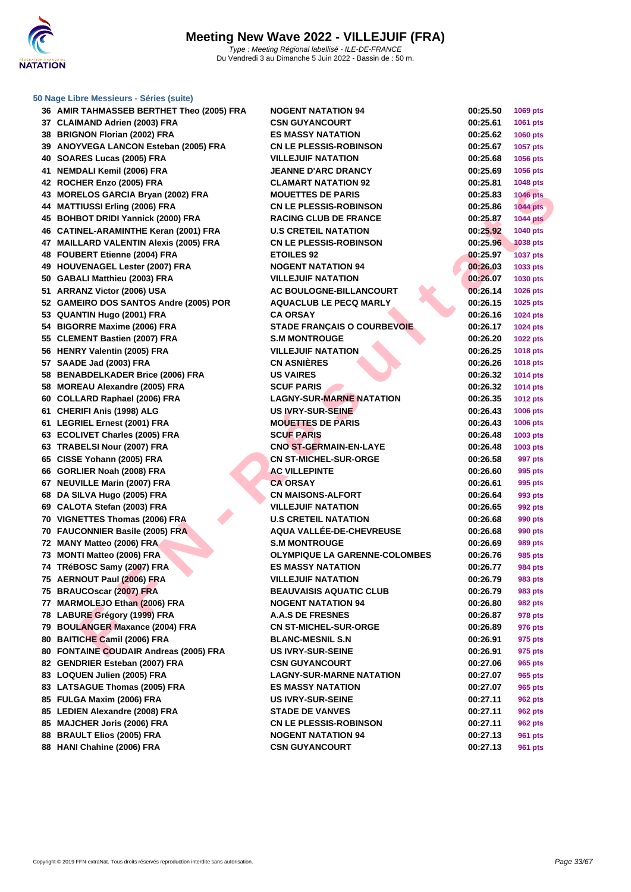

| 36 AMIR TAHMASSEB BERTHET Theo (2005) FRA | <b>NOGENT NATATION 94</b>            | 00:25.50 | 1069 pts        |
|-------------------------------------------|--------------------------------------|----------|-----------------|
| 37 CLAIMAND Adrien (2003) FRA             | <b>CSN GUYANCOURT</b>                | 00:25.61 | 1061 pts        |
| 38 BRIGNON Florian (2002) FRA             | <b>ES MASSY NATATION</b>             | 00:25.62 | <b>1060 pts</b> |
| 39 ANOYVEGA LANCON Esteban (2005) FRA     | <b>CN LE PLESSIS-ROBINSON</b>        | 00:25.67 | 1057 pts        |
| 40 SOARES Lucas (2005) FRA                | <b>VILLEJUIF NATATION</b>            | 00:25.68 | 1056 pts        |
| 41 NEMDALI Kemil (2006) FRA               | <b>JEANNE D'ARC DRANCY</b>           | 00:25.69 | 1056 pts        |
| 42 ROCHER Enzo (2005) FRA                 | <b>CLAMART NATATION 92</b>           | 00:25.81 | 1048 pts        |
| 43 MORELOS GARCIA Bryan (2002) FRA        | <b>MOUETTES DE PARIS</b>             | 00:25.83 | <b>1046 pts</b> |
| 44 MATTIUSSI Erling (2006) FRA            | <b>CN LE PLESSIS-ROBINSON</b>        | 00:25.86 | <b>1044 pts</b> |
| 45 BOHBOT DRIDI Yannick (2000) FRA        | <b>RACING CLUB DE FRANCE</b>         | 00:25.87 | <b>1044 pts</b> |
| 46 CATINEL-ARAMINTHE Keran (2001) FRA     | <b>U.S CRETEIL NATATION</b>          | 00:25.92 | 1040 pts        |
| 47 MAILLARD VALENTIN Alexis (2005) FRA    | <b>CN LE PLESSIS-ROBINSON</b>        | 00:25.96 | <b>1038 pts</b> |
| 48 FOUBERT Etienne (2004) FRA             | <b>ETOILES 92</b>                    | 00:25.97 | <b>1037 pts</b> |
| 49 HOUVENAGEL Lester (2007) FRA           | <b>NOGENT NATATION 94</b>            | 00:26.03 | 1033 pts        |
| 50 GABALI Matthieu (2003) FRA             | <b>VILLEJUIF NATATION</b>            | 00:26.07 | 1030 pts        |
| 51 ARRANZ Victor (2006) USA               | AC BOULOGNE-BILLANCOURT              | 00:26.14 | 1026 pts        |
| 52 GAMEIRO DOS SANTOS Andre (2005) POR    | <b>AQUACLUB LE PECQ MARLY</b>        | 00:26.15 | 1025 pts        |
| 53 QUANTIN Hugo (2001) FRA                | <b>CA ORSAY</b>                      | 00:26.16 | <b>1024 pts</b> |
| 54 BIGORRE Maxime (2006) FRA              | <b>STADE FRANÇAIS O COURBEVOIE</b>   | 00:26.17 | 1024 pts        |
| 55 CLEMENT Bastien (2007) FRA             | <b>S.M MONTROUGE</b>                 | 00:26.20 | <b>1022 pts</b> |
| 56 HENRY Valentin (2005) FRA              | <b>VILLEJUIF NATATION</b>            | 00:26.25 | 1018 pts        |
| 57 SAADE Jad (2003) FRA                   | <b>CN ASNIÈRES</b>                   | 00:26.26 | 1018 pts        |
| 58 BENABDELKADER Brice (2006) FRA         | <b>US VAIRES</b>                     | 00:26.32 | 1014 pts        |
| 58 MOREAU Alexandre (2005) FRA            | <b>SCUF PARIS</b>                    | 00:26.32 | 1014 pts        |
| 60 COLLARD Raphael (2006) FRA             | <b>LAGNY-SUR-MARNE NATATION</b>      | 00:26.35 | <b>1012 pts</b> |
| 61 CHERIFI Anis (1998) ALG                | US IVRY-SUR-SEINE                    | 00:26.43 | 1006 pts        |
| 61 LEGRIEL Ernest (2001) FRA              | <b>MOUETTES DE PARIS</b>             | 00:26.43 | 1006 pts        |
| 63 ECOLIVET Charles (2005) FRA            | <b>SCUF PARIS</b>                    | 00:26.48 | 1003 pts        |
| 63 TRABELSI Nour (2007) FRA               | <b>CNO ST-GERMAIN-EN-LAYE</b>        | 00:26.48 | 1003 pts        |
| 65 CISSE Yohann (2005) FRA                | <b>CN ST-MICHEL-SUR-ORGE</b>         | 00:26.58 | 997 pts         |
| 66 GORLIER Noah (2008) FRA                | <b>AC VILLEPINTE</b>                 | 00:26.60 | 995 pts         |
| 67 NEUVILLE Marin (2007) FRA              | <b>CA ORSAY</b>                      | 00:26.61 | 995 pts         |
| 68 DA SILVA Hugo (2005) FRA               | <b>CN MAISONS-ALFORT</b>             | 00:26.64 | 993 pts         |
| 69 CALOTA Stefan (2003) FRA               | <b>VILLEJUIF NATATION</b>            | 00:26.65 | 992 pts         |
| 70 VIGNETTES Thomas (2006) FRA            | <b>U.S CRETEIL NATATION</b>          | 00:26.68 | 990 pts         |
| 70 FAUCONNIER Basile (2005) FRA           | AQUA VALLÉE-DE-CHEVREUSE             | 00:26.68 | 990 pts         |
| 72 MANY Matteo (2006) FRA                 | <b>S.M MONTROUGE</b>                 | 00:26.69 | 989 pts         |
| 73 MONTI Matteo (2006) FRA                | <b>OLYMPIQUE LA GARENNE-COLOMBES</b> | 00:26.76 | 985 pts         |
| 74 TRéBOSC Samy (2007) FRA                | <b>ES MASSY NATATION</b>             | 00:26.77 | <b>984 pts</b>  |
| 75 AERNOUT Paul (2006) FRA                | <b>VILLEJUIF NATATION</b>            | 00:26.79 | 983 pts         |
| 75 BRAUCOscar (2007) FRA                  | <b>BEAUVAISIS AQUATIC CLUB</b>       | 00:26.79 | 983 pts         |
| 77 MARMOLEJO Ethan (2006) FRA             | <b>NOGENT NATATION 94</b>            | 00:26.80 | 982 pts         |
| 78 LABURE Grégory (1999) FRA              | <b>A.A.S DE FRESNES</b>              | 00:26.87 | 978 pts         |
| 79 BOULANGER Maxance (2004) FRA           | <b>CN ST-MICHEL-SUR-ORGE</b>         | 00:26.89 | 976 pts         |
| 80 BAITICHE Camil (2006) FRA              | <b>BLANC-MESNIL S.N</b>              | 00:26.91 | 975 pts         |
| 80 FONTAINE COUDAIR Andreas (2005) FRA    | <b>US IVRY-SUR-SEINE</b>             | 00:26.91 | 975 pts         |
| 82 GENDRIER Esteban (2007) FRA            | <b>CSN GUYANCOURT</b>                | 00:27.06 | 965 pts         |
| 83 LOQUEN Julien (2005) FRA               | <b>LAGNY-SUR-MARNE NATATION</b>      | 00:27.07 | 965 pts         |
| 83 LATSAGUE Thomas (2005) FRA             | <b>ES MASSY NATATION</b>             | 00:27.07 | 965 pts         |
| 85 FULGA Maxim (2006) FRA                 | <b>US IVRY-SUR-SEINE</b>             | 00:27.11 | 962 pts         |
| 85 LEDIEN Alexandre (2008) FRA            | <b>STADE DE VANVES</b>               | 00:27.11 | 962 pts         |
| 85 MAJCHER Joris (2006) FRA               | <b>CN LE PLESSIS-ROBINSON</b>        | 00:27.11 | <b>962 pts</b>  |
| 88 BRAULT Elios (2005) FRA                | <b>NOGENT NATATION 94</b>            | 00:27.13 | 961 pts         |
| 88 HANI Chahine (2006) FRA                | <b>CSN GUYANCOURT</b>                | 00:27.13 | 961 pts         |
|                                           |                                      |          |                 |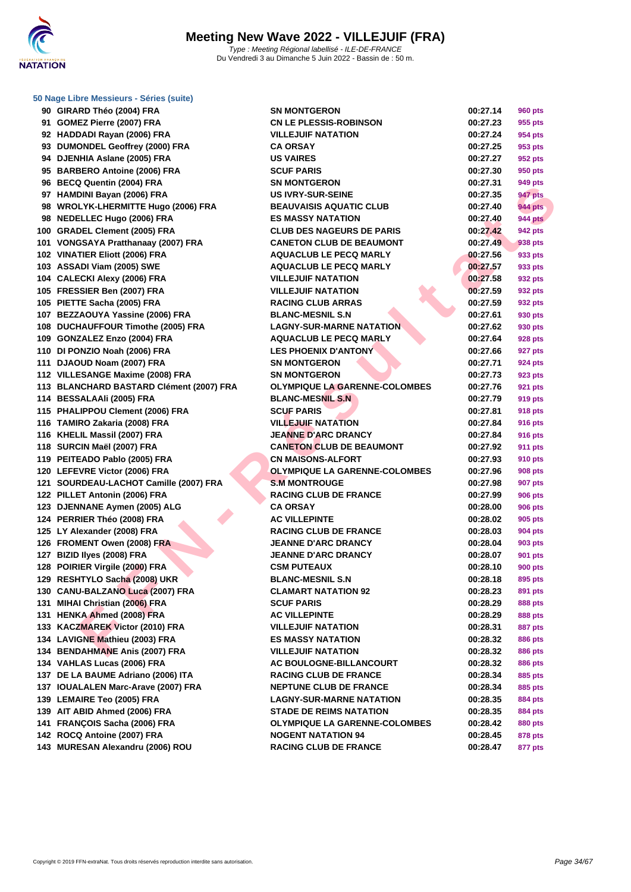

|  | 50 Nage Libre Messieurs - Séries (suite) |  |  |
|--|------------------------------------------|--|--|
|  |                                          |  |  |

|    | 90 GIRARD Théo (2004) FRA                | S٨  |
|----|------------------------------------------|-----|
| 91 | GOMEZ Pierre (2007) FRA                  | C١  |
|    | 92 HADDADI Rayan (2006) FRA              | ۷IJ |
| 93 | <b>DUMONDEL Geoffrey (2000) FRA</b>      | C٨  |
|    | 94 DJENHIA Aslane (2005) FRA             | บร  |
| 95 | <b>BARBERO Antoine (2006) FRA</b>        | sc  |
| 96 | <b>BECQ Quentin (2004) FRA</b>           | S٨  |
| 97 | <b>HAMDINI Bayan (2006) FRA</b>          | บร  |
| 98 | <b>WROLYK-LHERMITTE Hugo (2006) FRA</b>  | ВE  |
| 98 | <b>NEDELLEC Hugo (2006) FRA</b>          | ES  |
|    | 100 GRADEL Clement (2005) FRA            | СL  |
|    | 101 VONGSAYA Pratthanaay (2007) FRA      | СA  |
|    | 102 VINATIER Eliott (2006) FRA           | АG  |
|    | 103 ASSADI Viam (2005) SWE               | AG  |
|    | 104 CALECKI Alexy (2006) FRA             | VII |
|    | 105 FRESSIER Ben (2007) FRA              | VII |
|    | 105 PIETTE Sacha (2005) FRA              | R۸  |
|    | 107 BEZZAOUYA Yassine (2006) FRA         | BL  |
|    | 108 DUCHAUFFOUR Timothe (2005) FRA       | LA  |
|    | 109 GONZALEZ Enzo (2004) FRA             | АG  |
|    | 110 DI PONZIO Noah (2006) FRA            | LE  |
|    | 111 DJAOUD Noam (2007) FRA               | S٨  |
|    | 112 VILLESANGE Maxime (2008) FRA         | S٨  |
|    | 113 BLANCHARD BASTARD Clément (2007) FRA | ΟL  |
|    | 114 BESSALAAIi (2005) FRA                | BL  |
|    | 115 PHALIPPOU Clement (2006) FRA         | sc  |
|    | 116 TAMIRO Zakaria (2008) FRA            | VII |
|    | 116 KHELIL Massil (2007) FRA             | JE  |
|    | 118 SURCIN Maël (2007) FRA               | C٨  |
|    | 119 PEITEADO Pablo (2005) FRA            | C١  |
|    | 120 LEFEVRE Victor (2006) FRA            | ΟL  |
|    | 121 SOURDEAU-LACHOT Camille (2007) FRA   | S I |
|    | 122 PILLET Antonin (2006) FRA            | R۸  |
|    | 123 DJENNANE Aymen (2005) ALG            | C٨  |
|    | 124 PERRIER Théo (2008) FRA              | AC  |
|    | 125 LY Alexander (2008) FRA              | R۸  |
|    | 126 FROMENT Owen (2008) FRA              | JE  |
|    | 127 BIZID Ilyes (2008) FRA               | JE  |
|    | 128 POIRIER Virgile (2000) FRA           | СS  |
|    | 129 RESHTYLO Sacha (2008) UKR            | BL  |
|    | 130 CANU-BALZANO Luca (2007) FRA         | СL  |
|    | 131 MIHAI Christian (2006) FRA           | sc  |
|    | 131 HENKA Ahmed (2008) FRA               | AC  |
|    | 133 KACZMAREK Victor (2010) FRA          | VII |
|    | 134 LAVIGNE Mathieu (2003) FRA           | ES  |
|    | 134 BENDAHMANE Anis (2007) FRA           | ۷IJ |
|    | 134 VAHLAS Lucas (2006) FRA              | AC  |
|    | 137 DE LA BAUME Adriano (2006) ITA       | R۸  |
|    | 137 IOUALALEN Marc-Arave (2007) FRA      | ΝE  |
|    | 139 LEMAIRE Teo (2005) FRA               | LA  |
|    | 139 AIT ABID Ahmed (2006) FRA            | ST  |
|    | 141 FRANÇOIS Sacha (2006) FRA            | ΟL  |
|    | 142 ROCQ Antoine (2007) FRA              | NC  |
|    | 143 MURESAN Alexandru (2006) ROU         | R/  |

| 90 GIRARD Théo (2004) FRA                | <b>SN MONTGERON</b>                  | 00:27.14 | <b>960 pts</b> |
|------------------------------------------|--------------------------------------|----------|----------------|
| 91 GOMEZ Pierre (2007) FRA               | <b>CN LE PLESSIS-ROBINSON</b>        | 00:27.23 | 955 pts        |
| 92 HADDADI Rayan (2006) FRA              | <b>VILLEJUIF NATATION</b>            | 00:27.24 | 954 pts        |
| 93 DUMONDEL Geoffrey (2000) FRA          | <b>CA ORSAY</b>                      | 00:27.25 | 953 pts        |
| 94 DJENHIA Aslane (2005) FRA             | <b>US VAIRES</b>                     | 00:27.27 | 952 pts        |
| 95 BARBERO Antoine (2006) FRA            | <b>SCUF PARIS</b>                    | 00:27.30 | 950 pts        |
| 96 BECQ Quentin (2004) FRA               | <b>SN MONTGERON</b>                  | 00:27.31 | 949 pts        |
| 97 HAMDINI Bayan (2006) FRA              | <b>US IVRY-SUR-SEINE</b>             | 00:27.35 | 947 pts        |
| 98 WROLYK-LHERMITTE Hugo (2006) FRA      | <b>BEAUVAISIS AQUATIC CLUB</b>       | 00:27.40 | <b>944 pts</b> |
| 98 NEDELLEC Hugo (2006) FRA              | <b>ES MASSY NATATION</b>             | 00:27.40 | <b>944 pts</b> |
| 100 GRADEL Clement (2005) FRA            | <b>CLUB DES NAGEURS DE PARIS</b>     | 00:27.42 | <b>942 pts</b> |
| 101 VONGSAYA Pratthanaay (2007) FRA      | <b>CANETON CLUB DE BEAUMONT</b>      | 00:27.49 | 938 pts        |
| 102 VINATIER Eliott (2006) FRA           | <b>AQUACLUB LE PECQ MARLY</b>        | 00:27.56 | 933 pts        |
| 103 ASSADI Viam (2005) SWE               | <b>AQUACLUB LE PECQ MARLY</b>        | 00:27.57 | 933 pts        |
| 104 CALECKI Alexy (2006) FRA             | <b>VILLEJUIF NATATION</b>            | 00:27.58 | 932 pts        |
| 105 FRESSIER Ben (2007) FRA              | <b>VILLEJUIF NATATION</b>            | 00:27.59 | 932 pts        |
| 105 PIETTE Sacha (2005) FRA              | <b>RACING CLUB ARRAS</b>             | 00:27.59 | 932 pts        |
| 107 BEZZAOUYA Yassine (2006) FRA         | <b>BLANC-MESNIL S.N</b>              | 00:27.61 | 930 pts        |
| 108 DUCHAUFFOUR Timothe (2005) FRA       | <b>LAGNY-SUR-MARNE NATATION</b>      | 00:27.62 | 930 pts        |
| 109 GONZALEZ Enzo (2004) FRA             | <b>AQUACLUB LE PECQ MARLY</b>        | 00:27.64 | 928 pts        |
| 110 DI PONZIO Noah (2006) FRA            | <b>LES PHOENIX D'ANTONY</b>          | 00:27.66 | 927 pts        |
| 111 DJAOUD Noam (2007) FRA               | <b>SN MONTGERON</b>                  | 00:27.71 | 924 pts        |
| 112 VILLESANGE Maxime (2008) FRA         | <b>SN MONTGERON</b>                  | 00:27.73 | 923 pts        |
| 113 BLANCHARD BASTARD Clément (2007) FRA | <b>OLYMPIQUE LA GARENNE-COLOMBES</b> | 00:27.76 | 921 pts        |
| 114 BESSALAAIi (2005) FRA                | <b>BLANC-MESNIL S.N</b>              | 00:27.79 | 919 pts        |
| 115 PHALIPPOU Clement (2006) FRA         | <b>SCUF PARIS</b>                    | 00:27.81 | 918 pts        |
| 116 TAMIRO Zakaria (2008) FRA            | <b>VILLEJUIF NATATION</b>            | 00:27.84 | 916 pts        |
| 116 KHELIL Massil (2007) FRA             | <b>JEANNE D'ARC DRANCY</b>           | 00:27.84 | 916 pts        |
| 118 SURCIN Maël (2007) FRA               | <b>CANETON CLUB DE BEAUMONT</b>      | 00:27.92 | <b>911 pts</b> |
| 119 PEITEADO Pablo (2005) FRA            | <b>CN MAISONS-ALFORT</b>             | 00:27.93 | 910 pts        |
| 120 LEFEVRE Victor (2006) FRA            | <b>OLYMPIQUE LA GARENNE-COLOMBES</b> | 00:27.96 | 908 pts        |
| 121 SOURDEAU-LACHOT Camille (2007) FRA   | <b>S.M MONTROUGE</b>                 | 00:27.98 | 907 pts        |
| 122 PILLET Antonin (2006) FRA            | <b>RACING CLUB DE FRANCE</b>         | 00:27.99 | <b>906 pts</b> |
| 123 DJENNANE Aymen (2005) ALG            | <b>CA ORSAY</b>                      | 00:28.00 | 906 pts        |
| 124 PERRIER Théo (2008) FRA              | <b>AC VILLEPINTE</b>                 | 00:28.02 | 905 pts        |
| 125 LY Alexander (2008) FRA              | <b>RACING CLUB DE FRANCE</b>         | 00:28.03 | 904 pts        |
| 126 FROMENT Owen (2008) FRA              | <b>JEANNE D'ARC DRANCY</b>           | 00:28.04 | 903 pts        |
| 127 BIZID Ilyes (2008) FRA               | <b>JEANNE D'ARC DRANCY</b>           | 00:28.07 | 901 pts        |
| 128 POIRIER Virgile (2000) FRA           | <b>CSM PUTEAUX</b>                   | 00:28.10 | <b>900 pts</b> |
| 129 RESHTYLO Sacha (2008) UKR            | <b>BLANC-MESNIL S.N</b>              | 00:28.18 | 895 pts        |
| 130 CANU-BALZANO Luca (2007) FRA         | <b>CLAMART NATATION 92</b>           | 00:28.23 | 891 pts        |
| 131 MIHAI Christian (2006) FRA           | <b>SCUF PARIS</b>                    | 00:28.29 | 888 pts        |
| 131 HENKA Ahmed (2008) FRA               | <b>AC VILLEPINTE</b>                 | 00:28.29 | 888 pts        |
| 133   KACZMAREK Victor (2010) FRA        | <b>VILLEJUIF NATATION</b>            | 00:28.31 | 887 pts        |
| 134 LAVIGNE Mathieu (2003) FRA           | <b>ES MASSY NATATION</b>             | 00:28.32 | 886 pts        |
| 134 BENDAHMANE Anis (2007) FRA           | <b>VILLEJUIF NATATION</b>            | 00:28.32 | 886 pts        |
| 134 VAHLAS Lucas (2006) FRA              | AC BOULOGNE-BILLANCOURT              | 00:28.32 | 886 pts        |
| 137 DE LA BAUME Adriano (2006) ITA       | <b>RACING CLUB DE FRANCE</b>         | 00:28.34 | 885 pts        |
| 137 IOUALALEN Marc-Arave (2007) FRA      | <b>NEPTUNE CLUB DE FRANCE</b>        | 00:28.34 | 885 pts        |
| 139 LEMAIRE Teo (2005) FRA               | <b>LAGNY-SUR-MARNE NATATION</b>      | 00:28.35 | 884 pts        |
| 139 AIT ABID Ahmed (2006) FRA            | <b>STADE DE REIMS NATATION</b>       | 00:28.35 | 884 pts        |
| 141 FRANÇOIS Sacha (2006) FRA            | <b>OLYMPIQUE LA GARENNE-COLOMBES</b> | 00:28.42 | 880 pts        |
| 142 ROCQ Antoine (2007) FRA              | <b>NOGENT NATATION 94</b>            | 00:28.45 | 878 pts        |
| 143 MURESAN Alexandru (2006) ROU         | <b>RACING CLUB DE FRANCE</b>         | 00:28.47 | 877 pts        |
|                                          |                                      |          |                |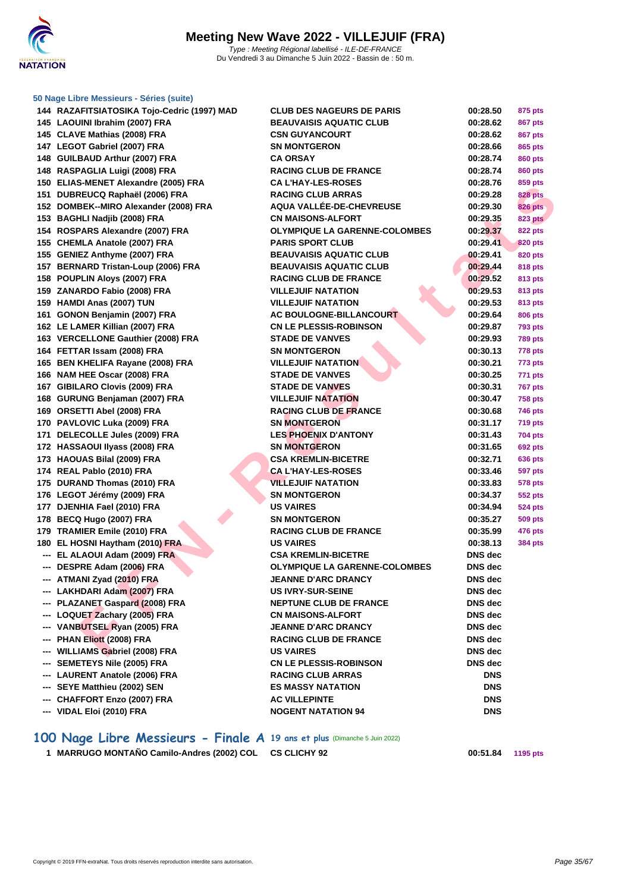

|     | 144 RAZAFITSIATOSIKA Tojo-Cedric (1997) MAD | <b>CLUB DES NAGEURS DE PARIS</b>     | 00:28.50       | 875 pts        |
|-----|---------------------------------------------|--------------------------------------|----------------|----------------|
|     | 145 LAOUINI Ibrahim (2007) FRA              | <b>BEAUVAISIS AQUATIC CLUB</b>       | 00:28.62       | 867 pts        |
|     | 145 CLAVE Mathias (2008) FRA                | <b>CSN GUYANCOURT</b>                | 00:28.62       | <b>867 pts</b> |
|     | 147 LEGOT Gabriel (2007) FRA                | <b>SN MONTGERON</b>                  | 00:28.66       | 865 pts        |
|     | 148 GUILBAUD Arthur (2007) FRA              | <b>CA ORSAY</b>                      | 00:28.74       | <b>860 pts</b> |
|     | 148 RASPAGLIA Luigi (2008) FRA              | <b>RACING CLUB DE FRANCE</b>         | 00:28.74       | <b>860 pts</b> |
|     | 150 ELIAS-MENET Alexandre (2005) FRA        | <b>CA L'HAY-LES-ROSES</b>            | 00:28.76       | 859 pts        |
|     | 151 DUBREUCQ Raphaël (2006) FRA             | <b>RACING CLUB ARRAS</b>             | 00:29.28       | <b>828 pts</b> |
|     | 152 DOMBEK--MIRO Alexander (2008) FRA       | AQUA VALLÉE-DE-CHEVREUSE             | 00:29.30       | <b>826 pts</b> |
|     | 153 BAGHLI Nadjib (2008) FRA                | <b>CN MAISONS-ALFORT</b>             | 00:29.35       | <b>823 pts</b> |
|     | 154 ROSPARS Alexandre (2007) FRA            | <b>OLYMPIQUE LA GARENNE-COLOMBES</b> | 00:29.37       | <b>822 pts</b> |
|     | 155 CHEMLA Anatole (2007) FRA               | <b>PARIS SPORT CLUB</b>              | 00:29.41       | 820 pts        |
|     | 155 GENIEZ Anthyme (2007) FRA               | <b>BEAUVAISIS AQUATIC CLUB</b>       | 00:29.41       | 820 pts        |
|     | 157 BERNARD Tristan-Loup (2006) FRA         | <b>BEAUVAISIS AQUATIC CLUB</b>       | 00:29.44       | <b>818 pts</b> |
|     | 158 POUPLIN Aloys (2007) FRA                | <b>RACING CLUB DE FRANCE</b>         | 00:29.52       | <b>813 pts</b> |
|     | 159 ZANARDO Fabio (2008) FRA                | <b>VILLEJUIF NATATION</b>            | 00:29.53       | <b>813 pts</b> |
|     | 159 HAMDI Anas (2007) TUN                   | <b>VILLEJUIF NATATION</b>            | 00:29.53       | 813 pts        |
|     | 161 GONON Benjamin (2007) FRA               | <b>AC BOULOGNE-BILLANCOURT</b>       | 00:29.64       | <b>806 pts</b> |
|     | 162 LE LAMER Killian (2007) FRA             | <b>CN LE PLESSIS-ROBINSON</b>        | 00:29.87       | <b>793 pts</b> |
|     | 163 VERCELLONE Gauthier (2008) FRA          | <b>STADE DE VANVES</b>               | 00:29.93       | <b>789 pts</b> |
|     | 164 FETTAR Issam (2008) FRA                 | <b>SN MONTGERON</b>                  | 00:30.13       | 778 pts        |
|     | 165 BEN KHELIFA Rayane (2008) FRA           | <b>VILLEJUIF NATATION</b>            | 00:30.21       | 773 pts        |
|     | 166 NAM HEE Oscar (2008) FRA                | <b>STADE DE VANVES</b>               | 00:30.25       | 771 pts        |
|     | 167 GIBILARO Clovis (2009) FRA              | <b>STADE DE VANVES</b>               | 00:30.31       | <b>767 pts</b> |
|     | 168 GURUNG Benjaman (2007) FRA              | <b>VILLEJUIF NATATION</b>            | 00:30.47       | <b>758 pts</b> |
|     | 169 ORSETTI Abel (2008) FRA                 | <b>RACING CLUB DE FRANCE</b>         | 00:30.68       | <b>746 pts</b> |
|     | 170 PAVLOVIC Luka (2009) FRA                | <b>SN MONTGERON</b>                  | 00:31.17       | <b>719 pts</b> |
|     | 171 DELECOLLE Jules (2009) FRA              | <b>LES PHOENIX D'ANTONY</b>          | 00:31.43       | <b>704 pts</b> |
|     | 172 HASSAOUI IIyass (2008) FRA              | <b>SN MONTGERON</b>                  | 00:31.65       | <b>692 pts</b> |
|     | 173 HAOUAS Bilal (2009) FRA                 | <b>CSA KREMLIN-BICETRE</b>           | 00:32.71       | <b>636 pts</b> |
|     | 174 REAL Pablo (2010) FRA                   | <b>CA L'HAY-LES-ROSES</b>            | 00:33.46       | <b>597 pts</b> |
|     | 175 DURAND Thomas (2010) FRA                | <b>VILLEJUIF NATATION</b>            | 00:33.83       | <b>578 pts</b> |
|     | 176 LEGOT Jérémy (2009) FRA                 | <b>SN MONTGERON</b>                  | 00:34.37       | <b>552 pts</b> |
|     | 177 DJENHIA Fael (2010) FRA                 | <b>US VAIRES</b>                     | 00:34.94       | <b>524 pts</b> |
|     | 178 BECQ Hugo (2007) FRA                    | <b>SN MONTGERON</b>                  | 00:35.27       | <b>509 pts</b> |
|     | 179 TRAMIER Emile (2010) FRA                | <b>RACING CLUB DE FRANCE</b>         | 00:35.99       | <b>476 pts</b> |
|     | 180 EL HOSNI Haytham (2010) FRA             | <b>US VAIRES</b>                     | 00:38.13       | <b>384 pts</b> |
|     | --- EL ALAOUI Adam (2009) FRA               | <b>CSA KREMLIN-BICETRE</b>           | <b>DNS</b> dec |                |
|     | --- DESPRE Adam (2006) FRA                  | <b>OLYMPIQUE LA GARENNE-COLOMBES</b> | <b>DNS</b> dec |                |
|     | --- ATMANI Zyad (2010) FRA                  | <b>JEANNE D'ARC DRANCY</b>           | DNS dec        |                |
|     | --- LAKHDARI Adam (2007) FRA                | <b>US IVRY-SUR-SEINE</b>             | <b>DNS</b> dec |                |
|     | --- PLAZANET Gaspard (2008) FRA             | <b>NEPTUNE CLUB DE FRANCE</b>        | <b>DNS</b> dec |                |
|     | --- LOQUET Zachary (2005) FRA               | <b>CN MAISONS-ALFORT</b>             | DNS dec        |                |
|     | --- VANBUTSEL Ryan (2005) FRA               | <b>JEANNE D'ARC DRANCY</b>           | DNS dec        |                |
|     | <b>PHAN Eliott (2008) FRA</b>               | <b>RACING CLUB DE FRANCE</b>         | <b>DNS</b> dec |                |
|     | <b>WILLIAMS Gabriel (2008) FRA</b>          | <b>US VAIRES</b>                     | <b>DNS</b> dec |                |
| --- | <b>SEMETEYS Nile (2005) FRA</b>             | <b>CN LE PLESSIS-ROBINSON</b>        | <b>DNS</b> dec |                |
|     | <b>LAURENT Anatole (2006) FRA</b>           | <b>RACING CLUB ARRAS</b>             | <b>DNS</b>     |                |
|     | --- SEYE Matthieu (2002) SEN                | <b>ES MASSY NATATION</b>             | <b>DNS</b>     |                |
|     | --- CHAFFORT Enzo (2007) FRA                | <b>AC VILLEPINTE</b>                 | <b>DNS</b>     |                |

### **100 Nage Libre Messieurs - Finale A 19 ans et plus** (Dimanche 5 Juin 2022)

**--- VIDAL Eloi (2010) FRA NOGENT NATATION 94 DNS**

**1 MARRUGO MONTAÑO Camilo-Andres (2002) COL CS CLICHY 92 00:51.84 1195 pts**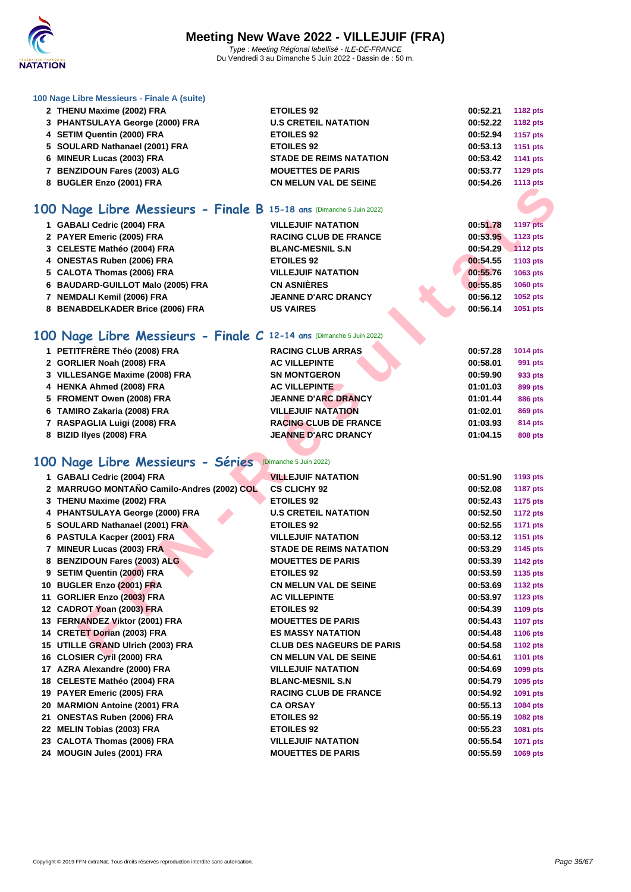

| 100 Nage Libre Messieurs - Finale A (suite) |  |  |
|---------------------------------------------|--|--|
|---------------------------------------------|--|--|

| 100 Nage Libre Messieurs - Finale A (suite)                          |                                  |          |                 |
|----------------------------------------------------------------------|----------------------------------|----------|-----------------|
| 2 THENU Maxime (2002) FRA                                            | <b>ETOILES 92</b>                | 00:52.21 | <b>1182 pts</b> |
| 3 PHANTSULAYA George (2000) FRA                                      | <b>U.S CRETEIL NATATION</b>      | 00:52.22 | <b>1182 pts</b> |
| 4 SETIM Quentin (2000) FRA                                           | <b>ETOILES 92</b>                | 00:52.94 | <b>1157 pts</b> |
| 5 SOULARD Nathanael (2001) FRA                                       | <b>ETOILES 92</b>                | 00:53.13 | 1151 pts        |
| 6 MINEUR Lucas (2003) FRA                                            | <b>STADE DE REIMS NATATION</b>   | 00:53.42 | <b>1141 pts</b> |
| 7 BENZIDOUN Fares (2003) ALG                                         | <b>MOUETTES DE PARIS</b>         | 00:53.77 | <b>1129 pts</b> |
| 8 BUGLER Enzo (2001) FRA                                             | <b>CN MELUN VAL DE SEINE</b>     | 00:54.26 | <b>1113 pts</b> |
|                                                                      |                                  |          |                 |
| 100 Nage Libre Messieurs - Finale B 15-18 ans (Dimanche 5 Juin 2022) |                                  |          |                 |
| 1 GABALI Cedric (2004) FRA                                           | <b>VILLEJUIF NATATION</b>        | 00:51.78 | <b>1197 pts</b> |
| 2 PAYER Emeric (2005) FRA                                            | <b>RACING CLUB DE FRANCE</b>     | 00:53.95 | 1123 pts        |
| 3 CELESTE Mathéo (2004) FRA                                          | <b>BLANC-MESNIL S.N</b>          | 00:54.29 | 1112 pts        |
| 4 ONESTAS Ruben (2006) FRA                                           | <b>ETOILES 92</b>                | 00:54.55 | 1103 pts        |
| 5 CALOTA Thomas (2006) FRA                                           | <b>VILLEJUIF NATATION</b>        | 00:55.76 | 1063 pts        |
| 6 BAUDARD-GUILLOT Malo (2005) FRA                                    | <b>CN ASNIÈRES</b>               | 00:55.85 | <b>1060 pts</b> |
| 7 NEMDALI Kemil (2006) FRA                                           | <b>JEANNE D'ARC DRANCY</b>       | 00:56.12 | 1052 pts        |
| 8 BENABDELKADER Brice (2006) FRA                                     | <b>US VAIRES</b>                 | 00:56.14 | 1051 pts        |
| 100 Nage Libre Messieurs - Finale C 12-14 ans (Dimanche 5 Juin 2022) |                                  |          |                 |
|                                                                      |                                  |          |                 |
| 1 PETITFRÈRE Théo (2008) FRA                                         | <b>RACING CLUB ARRAS</b>         | 00:57.28 | 1014 pts        |
| 2 GORLIER Noah (2008) FRA                                            | <b>AC VILLEPINTE</b>             | 00:58.01 | 991 pts         |
| 3 VILLESANGE Maxime (2008) FRA                                       | <b>SN MONTGERON</b>              | 00:59.90 | 933 pts         |
| 4 HENKA Ahmed (2008) FRA                                             | <b>AC VILLEPINTE</b>             | 01:01.03 | 899 pts         |
| 5 FROMENT Owen (2008) FRA                                            | <b>JEANNE D'ARC DRANCY</b>       | 01:01.44 | <b>886 pts</b>  |
| 6 TAMIRO Zakaria (2008) FRA                                          | <b>VILLEJUIF NATATION</b>        | 01:02.01 | 869 pts         |
| 7 RASPAGLIA Luigi (2008) FRA                                         | <b>RACING CLUB DE FRANCE</b>     | 01:03.93 | 814 pts         |
| 8 BIZID Ilyes (2008) FRA                                             | <b>JEANNE D'ARC DRANCY</b>       | 01:04.15 | <b>808 pts</b>  |
| 100 Nage Libre Messieurs - Séries                                    | (Dimanche 5 Juin 2022)           |          |                 |
|                                                                      |                                  |          |                 |
| 1 GABALI Cedric (2004) FRA                                           | <b>VILLEJUIF NATATION</b>        | 00:51.90 | 1193 pts        |
| 2 MARRUGO MONTAÑO Camilo-Andres (2002) COL                           | <b>CS CLICHY 92</b>              | 00:52.08 | <b>1187 pts</b> |
| 3 THENU Maxime (2002) FRA                                            | <b>ETOILES 92</b>                | 00:52.43 | <b>1175 pts</b> |
| 4 PHANTSULAYA George (2000) FRA                                      | <b>U.S CRETEIL NATATION</b>      | 00:52.50 | <b>1172 pts</b> |
| 5 SOULARD Nathanael (2001) FRA                                       | <b>ETOILES 92</b>                | 00:52.55 | 1171 pts        |
| 6 PASTULA Kacper (2001) FRA                                          | <b>VILLEJUIF NATATION</b>        | 00:53.12 | <b>1151 pts</b> |
| 7 MINEUR Lucas (2003) FRA                                            | <b>STADE DE REIMS NATATION</b>   | 00:53.29 | 1145 pts        |
| 8 BENZIDOUN Fares (2003) ALG                                         | <b>MOUETTES DE PARIS</b>         | 00:53.39 | 1142 pts        |
| 9 SETIM Quentin (2000) FRA                                           | <b>ETOILES 92</b>                | 00:53.59 | 1135 pts        |
| 10 BUGLER Enzo (2001) FRA                                            | <b>CN MELUN VAL DE SEINE</b>     | 00:53.69 | <b>1132 pts</b> |
| 11 GORLIER Enzo (2003) FRA                                           | <b>AC VILLEPINTE</b>             | 00:53.97 | <b>1123 pts</b> |
| 12 CADROT Yoan (2003) FRA                                            | <b>ETOILES 92</b>                | 00:54.39 | <b>1109 pts</b> |
| 13 FERNANDEZ Viktor (2001) FRA                                       | <b>MOUETTES DE PARIS</b>         | 00:54.43 | <b>1107 pts</b> |
| 14 CRETET Dorian (2003) FRA                                          | <b>ES MASSY NATATION</b>         | 00:54.48 | <b>1106 pts</b> |
| 15 UTILLE GRAND Ulrich (2003) FRA                                    | <b>CLUB DES NAGEURS DE PARIS</b> | 00:54.58 | <b>1102 pts</b> |
| OLOGIER O-41 (0000) ERA                                              | CH MELINIVAL DE CEINE            | 00.EA.04 | 4404            |

## **100 Nage Libre Messieurs - Séries** (Dimanche 5 Juin 2022)

| 1 GABALI Cedric (2004) FRA                 | <b>VILLEJUIF NATATION</b>        | 00:51.90 | 1193 pts        |
|--------------------------------------------|----------------------------------|----------|-----------------|
| 2 MARRUGO MONTAÑO Camilo-Andres (2002) COL | <b>CS CLICHY 92</b>              | 00:52.08 | <b>1187 pts</b> |
| 3 THENU Maxime (2002) FRA                  | <b>ETOILES 92</b>                | 00:52.43 | 1175 pts        |
| 4 PHANTSULAYA George (2000) FRA            | <b>U.S CRETEIL NATATION</b>      | 00:52.50 | <b>1172 pts</b> |
| 5 SOULARD Nathanael (2001) FRA             | <b>ETOILES 92</b>                | 00:52.55 | <b>1171 pts</b> |
| 6 PASTULA Kacper (2001) FRA                | <b>VILLEJUIF NATATION</b>        | 00:53.12 | 1151 pts        |
| 7 MINEUR Lucas (2003) FRA                  | <b>STADE DE REIMS NATATION</b>   | 00:53.29 | 1145 pts        |
| 8 BENZIDOUN Fares (2003) ALG               | <b>MOUETTES DE PARIS</b>         | 00:53.39 | <b>1142 pts</b> |
| 9 SETIM Quentin (2000) FRA                 | <b>ETOILES 92</b>                | 00:53.59 | 1135 pts        |
| 10 BUGLER Enzo (2001) FRA                  | <b>CN MELUN VAL DE SEINE</b>     | 00:53.69 | <b>1132 pts</b> |
| 11 GORLIER Enzo (2003) FRA                 | <b>AC VILLEPINTE</b>             | 00:53.97 | 1123 pts        |
| 12 CADROT Yoan (2003) FRA                  | <b>ETOILES 92</b>                | 00:54.39 | 1109 pts        |
| 13 FERNANDEZ Viktor (2001) FRA             | <b>MOUETTES DE PARIS</b>         | 00:54.43 | <b>1107 pts</b> |
| 14 CRETET Dorian (2003) FRA                | <b>ES MASSY NATATION</b>         | 00:54.48 | 1106 pts        |
| 15 UTILLE GRAND Ulrich (2003) FRA          | <b>CLUB DES NAGEURS DE PARIS</b> | 00:54.58 | 1102 pts        |
| 16 CLOSIER Cyril (2000) FRA                | <b>CN MELUN VAL DE SEINE</b>     | 00:54.61 | 1101 pts        |
| 17 AZRA Alexandre (2000) FRA               | <b>VILLEJUIF NATATION</b>        | 00:54.69 | 1099 pts        |
| 18 CELESTE Mathéo (2004) FRA               | <b>BLANC-MESNIL S.N</b>          | 00:54.79 | 1095 pts        |
| 19 PAYER Emeric (2005) FRA                 | <b>RACING CLUB DE FRANCE</b>     | 00:54.92 | 1091 pts        |
| 20 MARMION Antoine (2001) FRA              | <b>CA ORSAY</b>                  | 00:55.13 | 1084 pts        |
| 21 ONESTAS Ruben (2006) FRA                | <b>ETOILES 92</b>                | 00:55.19 | 1082 pts        |
| 22 MELIN Tobias (2003) FRA                 | <b>ETOILES 92</b>                | 00:55.23 | 1081 pts        |
| 23 CALOTA Thomas (2006) FRA                | <b>VILLEJUIF NATATION</b>        | 00:55.54 | 1071 pts        |
| 24 MOUGIN Jules (2001) FRA                 | <b>MOUETTES DE PARIS</b>         | 00:55.59 | 1069 pts        |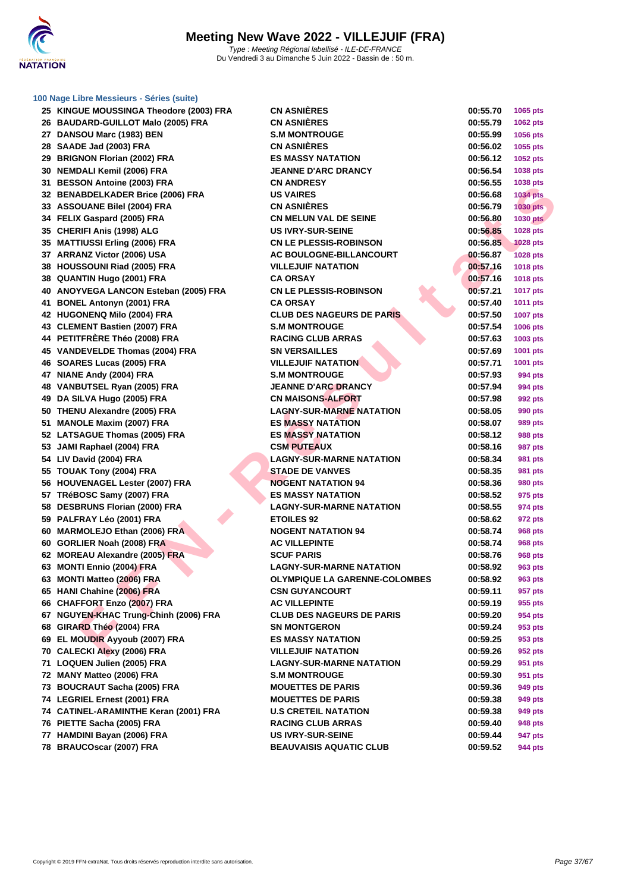

| 25 KINGUE MOUSSINGA Theodore (2003) FRA | <b>CN ASNIÈRES</b>               | 00:55.70 | 1065 pts        |
|-----------------------------------------|----------------------------------|----------|-----------------|
| 26 BAUDARD-GUILLOT Malo (2005) FRA      | <b>CN ASNIÈRES</b>               | 00:55.79 | 1062 pts        |
| 27 DANSOU Marc (1983) BEN               | <b>S.M MONTROUGE</b>             | 00:55.99 | 1056 pts        |
| 28 SAADE Jad (2003) FRA                 | <b>CN ASNIERES</b>               | 00:56.02 | 1055 pts        |
| 29 BRIGNON Florian (2002) FRA           | <b>ES MASSY NATATION</b>         | 00:56.12 | 1052 pts        |
| 30 NEMDALI Kemil (2006) FRA             | JEANNE D'ARC DRANCY              | 00:56.54 | 1038 pts        |
| 31 BESSON Antoine (2003) FRA            | <b>CN ANDRESY</b>                | 00:56.55 | 1038 pts        |
| 32 BENABDELKADER Brice (2006) FRA       | <b>US VAIRES</b>                 | 00:56.68 | <b>1034 pts</b> |
| 33 ASSOUANE Bilel (2004) FRA            | <b>CN ASNIÈRES</b>               | 00:56.79 | <b>1030 pts</b> |
| 34 FELIX Gaspard (2005) FRA             | CN MELUN VAL DE SEINE            | 00:56.80 | <b>1030 pts</b> |
| 35 CHERIFI Anis (1998) ALG              | <b>US IVRY-SUR-SEINE</b>         | 00:56.85 | 1028 pts        |
| 35 MATTIUSSI Erling (2006) FRA          | <b>CN LE PLESSIS-ROBINSON</b>    | 00:56.85 | <b>1028 pts</b> |
| 37 ARRANZ Victor (2006) USA             | <b>AC BOULOGNE-BILLANCOURT</b>   | 00:56.87 | <b>1028 pts</b> |
| 38 HOUSSOUNI Riad (2005) FRA            | <b>VILLEJUIF NATATION</b>        | 00:57.16 | 1018 pts        |
| 38 QUANTIN Hugo (2001) FRA              | CA ORSAY                         | 00:57.16 | 1018 pts        |
| 40 ANOYVEGA LANCON Esteban (2005) FRA   | <b>CN LE PLESSIS-ROBINSON</b>    | 00:57.21 | <b>1017 pts</b> |
| 41 BONEL Antonyn (2001) FRA             | <b>CA ORSAY</b>                  | 00:57.40 | 1011 pts        |
| 42 HUGONENQ Milo (2004) FRA             | <b>CLUB DES NAGEURS DE PARIS</b> | 00:57.50 | <b>1007 pts</b> |
| 43 CLEMENT Bastien (2007) FRA           | <b>S.M MONTROUGE</b>             | 00:57.54 | 1006 pts        |
| 44 PETITFRÈRE Théo (2008) FRA           | <b>RACING CLUB ARRAS</b>         | 00:57.63 | 1003 pts        |
| 45 VANDEVELDE Thomas (2004) FRA         | <b>SN VERSAILLES</b>             | 00:57.69 | 1001 pts        |
| 46 SOARES Lucas (2005) FRA              | <b>VILLEJUIF NATATION</b>        | 00:57.71 | 1001 pts        |
| 47 NIANE Andy (2004) FRA                | <b>S.M MONTROUGE</b>             | 00:57.93 | 994 pts         |
| 48 VANBUTSEL Ryan (2005) FRA            | <b>JEANNE D'ARC DRANCY</b>       | 00:57.94 | 994 pts         |
| 49 DA SILVA Hugo (2005) FRA             | <b>CN MAISONS-ALFORT</b>         | 00:57.98 | 992 pts         |
| 50 THENU Alexandre (2005) FRA           | <b>LAGNY-SUR-MARNE NATATION</b>  | 00:58.05 | 990 pts         |
| 51 MANOLE Maxim (2007) FRA              | <b>ES MASSY NATATION</b>         | 00:58.07 | 989 pts         |
| 52 LATSAGUE Thomas (2005) FRA           | <b>ES MASSY NATATION</b>         | 00:58.12 | 988 pts         |
| 53 JAMI Raphael (2004) FRA              | <b>CSM PUTEAUX</b>               | 00:58.16 | <b>987 pts</b>  |
| 54 LIV David (2004) FRA                 | <b>LAGNY-SUR-MARNE NATATION</b>  | 00:58.34 | 981 pts         |
| 55 TOUAK Tony (2004) FRA                | <b>STADE DE VANVES</b>           | 00:58.35 | 981 pts         |
| 56 HOUVENAGEL Lester (2007) FRA         | <b>NOGENT NATATION 94</b>        | 00:58.36 | 980 pts         |
| 57 TRéBOSC Samy (2007) FRA              | <b>ES MASSY NATATION</b>         | 00:58.52 | 975 pts         |
| 58 DESBRUNS Florian (2000) FRA          | <b>LAGNY-SUR-MARNE NATATION</b>  | 00:58.55 | 974 pts         |
| 59 PALFRAY Léo (2001) FRA               | <b>ETOILES 92</b>                | 00:58.62 | 972 pts         |
| 60 MARMOLEJO Ethan (2006) FRA           | <b>NOGENT NATATION 94</b>        | 00:58.74 | 968 pts         |
| 60 GORLIER Noah (2008) FRA              | <b>AC VILLEPINTE</b>             | 00:58.74 | <b>968 pts</b>  |
| 62 MOREAU Alexandre (2005) FRA          | <b>SCUF PARIS</b>                | 00:58.76 | <b>968 pts</b>  |
| 63 MONTI Ennio (2004) FRA               | <b>LAGNY-SUR-MARNE NATATION</b>  | 00:58.92 | 963 pts         |
| 63 MONTI Matteo (2006) FRA              | OLYMPIQUE LA GARENNE-COLOMBES    | 00:58.92 | <b>963 pts</b>  |
| 65 HANI Chahine (2006) FRA              | <b>CSN GUYANCOURT</b>            | 00:59.11 | 957 pts         |
| 66 CHAFFORT Enzo (2007) FRA             | <b>AC VILLEPINTE</b>             | 00:59.19 | 955 pts         |
| 67 NGUYEN-KHAC Trung-Chinh (2006) FRA   | <b>CLUB DES NAGEURS DE PARIS</b> | 00:59.20 | 954 pts         |
| 68 GIRARD Théo (2004) FRA               | SN MONTGERON                     | 00:59.24 | 953 pts         |
| 69 EL MOUDIR Ayyoub (2007) FRA          | <b>ES MASSY NATATION</b>         | 00:59.25 | 953 pts         |
| 70 CALECKI Alexy (2006) FRA             | <b>VILLEJUIF NATATION</b>        | 00:59.26 | 952 pts         |
| 71 LOQUEN Julien (2005) FRA             | <b>LAGNY-SUR-MARNE NATATION</b>  | 00:59.29 | 951 pts         |
| 72 MANY Matteo (2006) FRA               | <b>S.M MONTROUGE</b>             | 00:59.30 | 951 pts         |
| 73 BOUCRAUT Sacha (2005) FRA            | <b>MOUETTES DE PARIS</b>         | 00:59.36 | 949 pts         |
| 74 LEGRIEL Ernest (2001) FRA            | <b>MOUETTES DE PARIS</b>         | 00:59.38 | 949 pts         |
| 74 CATINEL-ARAMINTHE Keran (2001) FRA   | <b>U.S CRETEIL NATATION</b>      | 00:59.38 | 949 pts         |
| 76 PIETTE Sacha (2005) FRA              | <b>RACING CLUB ARRAS</b>         | 00:59.40 | 948 pts         |
| 77 HAMDINI Bayan (2006) FRA             | <b>US IVRY-SUR-SEINE</b>         | 00:59.44 | 947 pts         |
| 78 BRAUCOscar (2007) FRA                | <b>BEAUVAISIS AQUATIC CLUB</b>   | 00:59.52 | 944 pts         |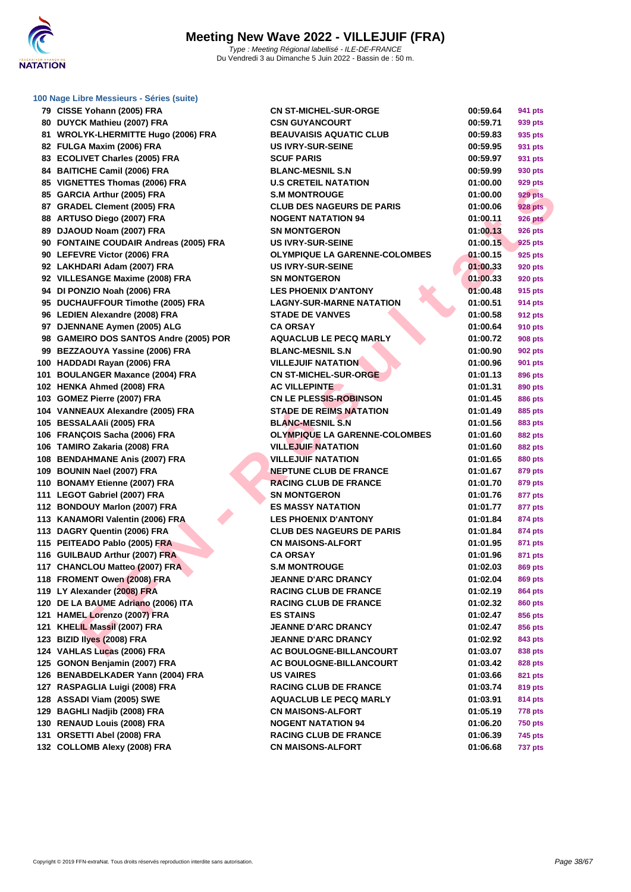

| 100 Nage Libre Messieurs - Séries (suite) |                                      |          |                |  |
|-------------------------------------------|--------------------------------------|----------|----------------|--|
| 79 CISSE Yohann (2005) FRA                | <b>CN ST-MICHEL-SUR-ORGE</b>         | 00:59.64 | 941 pts        |  |
| 80 DUYCK Mathieu (2007) FRA               | <b>CSN GUYANCOURT</b>                | 00:59.71 | 939 pts        |  |
| 81 WROLYK-LHERMITTE Hugo (2006) FRA       | <b>BEAUVAISIS AQUATIC CLUB</b>       | 00:59.83 | 935 pts        |  |
| 82 FULGA Maxim (2006) FRA                 | <b>US IVRY-SUR-SEINE</b>             | 00:59.95 | 931 pts        |  |
| 83 ECOLIVET Charles (2005) FRA            | <b>SCUF PARIS</b>                    | 00:59.97 | 931 pts        |  |
| 84 BAITICHE Camil (2006) FRA              | <b>BLANC-MESNIL S.N</b>              | 00:59.99 | 930 pts        |  |
| 85 VIGNETTES Thomas (2006) FRA            | <b>U.S CRETEIL NATATION</b>          | 01:00.00 | 929 pts        |  |
| 85 GARCIA Arthur (2005) FRA               | <b>S.M MONTROUGE</b>                 | 01:00.00 | 929 pts        |  |
| 87 GRADEL Clement (2005) FRA              | <b>CLUB DES NAGEURS DE PARIS</b>     | 01:00.06 | <b>928 pts</b> |  |
| 88 ARTUSO Diego (2007) FRA                | <b>NOGENT NATATION 94</b>            | 01:00.11 | <b>926 pts</b> |  |
| 89 DJAOUD Noam (2007) FRA                 | <b>SN MONTGERON</b>                  | 01:00.13 | 926 pts        |  |
| 90 FONTAINE COUDAIR Andreas (2005) FRA    | <b>US IVRY-SUR-SEINE</b>             | 01:00.15 | 925 pts        |  |
| 90 LEFEVRE Victor (2006) FRA              | <b>OLYMPIQUE LA GARENNE-COLOMBES</b> | 01:00.15 | 925 pts        |  |
| 92 LAKHDARI Adam (2007) FRA               | <b>US IVRY-SUR-SEINE</b>             | 01:00.33 | 920 pts        |  |
| 92 VILLESANGE Maxime (2008) FRA           | <b>SN MONTGERON</b>                  | 01:00.33 | 920 pts        |  |
| 94 DI PONZIO Noah (2006) FRA              | <b>LES PHOENIX D'ANTONY</b>          | 01:00.48 | 915 pts        |  |
| 95 DUCHAUFFOUR Timothe (2005) FRA         | <b>LAGNY-SUR-MARNE NATATION</b>      | 01:00.51 | 914 pts        |  |
| 96 LEDIEN Alexandre (2008) FRA            | <b>STADE DE VANVES</b>               | 01:00.58 | 912 pts        |  |
| 97 DJENNANE Aymen (2005) ALG              | <b>CA ORSAY</b>                      | 01:00.64 | 910 pts        |  |
| 98 GAMEIRO DOS SANTOS Andre (2005) POR    | <b>AQUACLUB LE PECQ MARLY</b>        | 01:00.72 | 908 pts        |  |
| 99 BEZZAOUYA Yassine (2006) FRA           | <b>BLANC-MESNIL S.N</b>              | 01:00.90 | 902 pts        |  |
| 100 HADDADI Rayan (2006) FRA              | <b>VILLEJUIF NATATION</b>            | 01:00.96 | 901 pts        |  |
| 101 BOULANGER Maxance (2004) FRA          | <b>CN ST-MICHEL-SUR-ORGE</b>         | 01:01.13 | 896 pts        |  |
| 102 HENKA Ahmed (2008) FRA                | <b>AC VILLEPINTE</b>                 | 01:01.31 |                |  |
| 103 GOMEZ Pierre (2007) FRA               | <b>CN LE PLESSIS-ROBINSON</b>        | 01:01.45 | 890 pts        |  |
| 104 VANNEAUX Alexandre (2005) FRA         | <b>STADE DE REIMS NATATION</b>       |          | 886 pts        |  |
|                                           | <b>BLANC-MESNIL S.N</b>              | 01:01.49 | 885 pts        |  |
| 105 BESSALAAIi (2005) FRA                 |                                      | 01:01.56 | 883 pts        |  |
| 106 FRANÇOIS Sacha (2006) FRA             | <b>OLYMPIQUE LA GARENNE-COLOMBES</b> | 01:01.60 | 882 pts        |  |
| 106 TAMIRO Zakaria (2008) FRA             | <b>VILLEJUIF NATATION</b>            | 01:01.60 | 882 pts        |  |
| 108 BENDAHMANE Anis (2007) FRA            | <b>VILLEJUIF NATATION</b>            | 01:01.65 | 880 pts        |  |
| 109 BOUNIN Nael (2007) FRA                | <b>NEPTUNE CLUB DE FRANCE</b>        | 01:01.67 | 879 pts        |  |
| 110 BONAMY Etienne (2007) FRA             | <b>RACING CLUB DE FRANCE</b>         | 01:01.70 | 879 pts        |  |
| 111 LEGOT Gabriel (2007) FRA              | <b>SN MONTGERON</b>                  | 01:01.76 | 877 pts        |  |
| 112 BONDOUY Marlon (2007) FRA             | <b>ES MASSY NATATION</b>             | 01:01.77 | 877 pts        |  |
| 113 KANAMORI Valentin (2006) FRA          | <b>LES PHOENIX D'ANTONY</b>          | 01:01.84 | 874 pts        |  |
| 113 DAGRY Quentin (2006) FRA              | <b>CLUB DES NAGEURS DE PARIS</b>     | 01:01.84 | 874 pts        |  |
| 115 PEITEADO Pablo (2005) FRA             | <b>CN MAISONS-ALFORT</b>             | 01:01.95 | 871 pts        |  |
| 116 GUILBAUD Arthur (2007) FRA            | <b>CA ORSAY</b>                      | 01:01.96 | 871 pts        |  |
| 117 CHANCLOU Matteo (2007) FRA            | <b>S.M MONTROUGE</b>                 | 01:02.03 | 869 pts        |  |
| 118 FROMENT Owen (2008) FRA               | <b>JEANNE D'ARC DRANCY</b>           | 01:02.04 | 869 pts        |  |
| 119 LY Alexander (2008) FRA               | <b>RACING CLUB DE FRANCE</b>         | 01:02.19 | 864 pts        |  |
| 120 DE LA BAUME Adriano (2006) ITA        | <b>RACING CLUB DE FRANCE</b>         | 01:02.32 | 860 pts        |  |
| 121 HAMEL Lorenzo (2007) FRA              | <b>ES STAINS</b>                     | 01:02.47 | 856 pts        |  |
| 121 KHELIL Massil (2007) FRA              | <b>JEANNE D'ARC DRANCY</b>           | 01:02.47 | 856 pts        |  |
| 123 BIZID Ilyes (2008) FRA                | <b>JEANNE D'ARC DRANCY</b>           | 01:02.92 | 843 pts        |  |
| 124 VAHLAS Lucas (2006) FRA               | <b>AC BOULOGNE-BILLANCOURT</b>       | 01:03.07 | 838 pts        |  |
| 125 GONON Benjamin (2007) FRA             | AC BOULOGNE-BILLANCOURT              | 01:03.42 | 828 pts        |  |
| 126 BENABDELKADER Yann (2004) FRA         | <b>US VAIRES</b>                     | 01:03.66 | 821 pts        |  |
| 127 RASPAGLIA Luigi (2008) FRA            | <b>RACING CLUB DE FRANCE</b>         | 01:03.74 | 819 pts        |  |
| 128 ASSADI Viam (2005) SWE                | <b>AQUACLUB LE PECQ MARLY</b>        | 01:03.91 | 814 pts        |  |
| 129 BAGHLI Nadjib (2008) FRA              | <b>CN MAISONS-ALFORT</b>             | 01:05.19 | 778 pts        |  |
| 130 RENAUD Louis (2008) FRA               | <b>NOGENT NATATION 94</b>            | 01:06.20 | <b>750 pts</b> |  |
| 131 ORSETTI Abel (2008) FRA               | <b>RACING CLUB DE FRANCE</b>         | 01:06.39 | 745 pts        |  |
| 132 COLLOMB Alexy (2008) FRA              | <b>CN MAISONS-ALFORT</b>             | 01:06.68 | <b>737 pts</b> |  |
|                                           |                                      |          |                |  |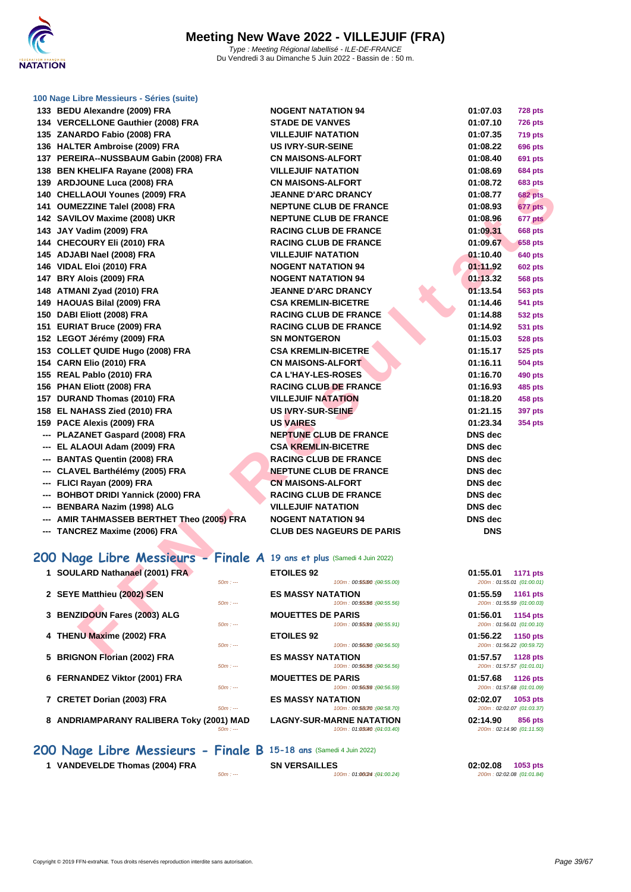

| 133 BEDU Alexandre (2009) FRA                                           | <b>NOGENT NATATION 94</b>                               | 01:07.03<br><b>728 pts</b>                               |
|-------------------------------------------------------------------------|---------------------------------------------------------|----------------------------------------------------------|
| 134 VERCELLONE Gauthier (2008) FRA                                      | <b>STADE DE VANVES</b>                                  | 01:07.10<br><b>726 pts</b>                               |
| 135 ZANARDO Fabio (2008) FRA                                            | <b>VILLEJUIF NATATION</b>                               | 01:07.35<br><b>719 pts</b>                               |
| 136 HALTER Ambroise (2009) FRA                                          | <b>US IVRY-SUR-SEINE</b>                                | 01:08.22<br><b>696 pts</b>                               |
| 137 PEREIRA--NUSSBAUM Gabin (2008) FRA                                  | <b>CN MAISONS-ALFORT</b>                                | 01:08.40<br>691 pts                                      |
| 138 BEN KHELIFA Rayane (2008) FRA                                       | <b>VILLEJUIF NATATION</b>                               | 01:08.69<br><b>684 pts</b>                               |
| 139 ARDJOUNE Luca (2008) FRA                                            | <b>CN MAISONS-ALFORT</b>                                | 01:08.72<br>683 pts                                      |
| 140 CHELLAOUI Younes (2009) FRA                                         | <b>JEANNE D'ARC DRANCY</b>                              | 01:08.77<br><b>682 pts</b>                               |
| 141 OUMEZZINE Talel (2008) FRA                                          | <b>NEPTUNE CLUB DE FRANCE</b>                           | 01:08.93<br>677 pts                                      |
| 142 SAVILOV Maxime (2008) UKR                                           | <b>NEPTUNE CLUB DE FRANCE</b>                           | 677 pts<br>01:08.96                                      |
| 143 JAY Vadim (2009) FRA                                                | <b>RACING CLUB DE FRANCE</b>                            | 01:09.31<br><b>668 pts</b>                               |
| 144 CHECOURY Eli (2010) FRA                                             | <b>RACING CLUB DE FRANCE</b>                            | 01:09.67<br><b>658 pts</b>                               |
| 145 ADJABI Nael (2008) FRA                                              | <b>VILLEJUIF NATATION</b>                               | 01:10.40<br><b>640 pts</b>                               |
| 146 VIDAL Eloi (2010) FRA                                               | <b>NOGENT NATATION 94</b>                               | 01:11.92<br><b>602 pts</b>                               |
| 147 BRY Alois (2009) FRA                                                | <b>NOGENT NATATION 94</b>                               | 01:13.32<br>568 pts                                      |
| 148 ATMANI Zyad (2010) FRA                                              | <b>JEANNE D'ARC DRANCY</b>                              | 01:13.54<br><b>563 pts</b>                               |
| 149 HAOUAS Bilal (2009) FRA                                             | <b>CSA KREMLIN-BICETRE</b>                              | 01:14.46<br><b>541 pts</b>                               |
| 150 DABI Eliott (2008) FRA                                              | <b>RACING CLUB DE FRANCE</b>                            | 01:14.88<br>532 pts                                      |
| 151 EURIAT Bruce (2009) FRA                                             | <b>RACING CLUB DE FRANCE</b>                            | 01:14.92<br>531 pts                                      |
| 152 LEGOT Jérémy (2009) FRA                                             | <b>SN MONTGERON</b>                                     | 01:15.03<br><b>528 pts</b>                               |
| 153 COLLET QUIDE Hugo (2008) FRA                                        | <b>CSA KREMLIN-BICETRE</b>                              | 01:15.17<br><b>525 pts</b>                               |
| 154 CARN Elio (2010) FRA                                                | <b>CN MAISONS-ALFORT</b>                                | 01:16.11<br>504 pts                                      |
| 155 REAL Pablo (2010) FRA                                               | <b>CA L'HAY-LES-ROSES</b>                               | 01:16.70<br><b>490 pts</b>                               |
| 156 PHAN Eliott (2008) FRA                                              | <b>RACING CLUB DE FRANCE</b>                            | 01:16.93<br>485 pts                                      |
| 157 DURAND Thomas (2010) FRA                                            | <b>VILLEJUIF NATATION</b>                               | 01:18.20<br><b>458 pts</b>                               |
| 158 EL NAHASS Zied (2010) FRA                                           | US IVRY-SUR-SEINE                                       | 01:21.15<br><b>397 pts</b>                               |
| 159 PACE Alexis (2009) FRA                                              | <b>US VAIRES</b>                                        | 01:23.34<br><b>354 pts</b>                               |
| --- PLAZANET Gaspard (2008) FRA                                         | <b>NEPTUNE CLUB DE FRANCE</b>                           | <b>DNS</b> dec                                           |
| --- EL ALAOUI Adam (2009) FRA                                           | <b>CSA KREMLIN-BICETRE</b>                              | <b>DNS</b> dec                                           |
| --- BANTAS Quentin (2008) FRA                                           | <b>RACING CLUB DE FRANCE</b>                            | <b>DNS</b> dec                                           |
| --- CLAVEL Barthélémy (2005) FRA                                        | <b>NEPTUNE CLUB DE FRANCE</b>                           | <b>DNS</b> dec                                           |
| --- FLICI Rayan (2009) FRA                                              | <b>CN MAISONS-ALFORT</b>                                | <b>DNS</b> dec                                           |
| --- BOHBOT DRIDI Yannick (2000) FRA                                     | <b>RACING CLUB DE FRANCE</b>                            | <b>DNS</b> dec                                           |
| --- BENBARA Nazim (1998) ALG                                            | <b>VILLEJUIF NATATION</b>                               | <b>DNS</b> dec                                           |
| --- AMIR TAHMASSEB BERTHET Theo (2005) FRA                              | <b>NOGENT NATATION 94</b>                               | <b>DNS</b> dec                                           |
| --- TANCREZ Maxime (2006) FRA                                           | <b>CLUB DES NAGEURS DE PARIS</b>                        | <b>DNS</b>                                               |
|                                                                         |                                                         |                                                          |
| 200 Nage Libre Messieurs - Finale A 19 ans et plus (Samedi 4 Juin 2022) |                                                         |                                                          |
| 1 SOULARD Nathanael (2001) FRA<br>$50m: -$                              | <b>ETOILES 92</b><br>100m: 00:55000 : (00:55.00)        | 01:55.01<br><b>1171 pts</b><br>200m: 01:55.01 (01:00.01) |
| 2 SEYE Matthieu (2002) SEN<br>$50m: -$                                  | <b>ES MASSY NATATION</b><br>100m: 00:55.56 : (00:55.56) | 01:55.59<br>1161 pts<br>200m: 01:55.59 (01:00.03)        |
| 3 BENZIDOUN Fares (2003) ALG<br>$50m: -$                                | <b>MOUETTES DE PARIS</b><br>100m: 00:5509m : (00:55.91) | 01:56.01<br><b>1154 pts</b><br>200m: 01:56.01 (01:00.10) |
| 4 THENU Maxime (2002) FRA<br>$50m: -$                                   | <b>ETOILES 92</b><br>100m: 00:56/50 : (00:56.50)        | 01:56.22<br><b>1150 pts</b><br>200m: 01:56.22 (00:59.72) |
| E. BRIANAN FISSIS (0000) FRA                                            | <b>FO MACOVAIATATION</b>                                | 0.4.57.57<br>$1100 - 1$                                  |

| <b>VILLEJUIF NATATION</b>        |
|----------------------------------|
| <b>CN MAISONS-ALFORT</b>         |
| <b>JEANNE D'ARC DRANCY</b>       |
| <b>NEPTUNE CLUB DE FRANCE</b>    |
| <b>NEPTUNE CLUB DE FRANCE</b>    |
| <b>RACING CLUB DE FRANCE</b>     |
| <b>RACING CLUB DE FRANCE</b>     |
| <b>VILLEJUIF NATATION</b>        |
| <b>NOGENT NATATION 94</b>        |
| <b>NOGENT NATATION 94</b>        |
| <b>JEANNE D'ARC DRANCY</b>       |
| <b>CSA KREMLIN-BICETRE</b>       |
| <b>RACING CLUB DE FRANCE</b>     |
| <b>RACING CLUB DE FRANCE</b>     |
| <b>SN MONTGERON</b>              |
| <b>CSA KREMLIN-BICETRE</b>       |
| <b>CN MAISONS-ALFORT</b>         |
| <b>CAL'HAY-LES-ROSES</b>         |
| <b>RACING CLUB DE FRANCE</b>     |
| <b>VILLEJUIF NATATION</b>        |
| <b>US IVRY-SUR-SEINE</b>         |
| <b>US VAIRES</b>                 |
| <b>NEPTUNE CLUB DE FRANCE</b>    |
| <b>CSA KREMLIN-BICETRE</b>       |
| <b>RACING CLUB DE FRANCE</b>     |
| <b>NEPTUNE CLUB DE FRANCE</b>    |
| <b>CN MAISONS-ALFORT</b>         |
| <b>RACING CLUB DE FRANCE</b>     |
| <b>VILLEJUIF NATATION</b>        |
| <b>NOGENT NATATION 94</b>        |
| <b>CLUB DES NAGEURS DE PARIS</b> |
|                                  |

## **200 Nage Libre Messieurs - Finale A 19 ans et plus** (Samedi 4 Juin 2022)

## **1 SOULARD Nathanael (2001) FRA EXAMPLE 1 EQDILE 2 SEYE Matthieu (2002) SEN**  $\frac{50m}{100}$ **3 BENZIDOUN Fares (2003) ALG 60m 4 THENU Maxime (2002) FRA EXAMPLE 100 pts 5 BRIGNON Florian (2002) FRA**  $\frac{50m}{11}$ **6 FERNANDEZ Viktor (2001) FRA** *SOm***: ---</del> 7 CRETET Dorian (2003) FRA EXECUTE 10 <b>60m** in the same of  $\frac{50m}{2}$ **8 ANDRIAMPARANY RALIBERA Toky (2001) MA**<br> **BOW**:

**200 Nage Libre Messieurs - Finale B 15-18 ans** (Samedi 4 Juin 2022)

**1 VANDEVELDE Thomas (2004) FRA SN VERSAILLES 1053 pts 02:02.08 02:02.08 02:02.08 01:01.84 60m : at 100m c 1053 pts 1053 pts 1053 pts 1053 pts 10:01.84** 

|                     | <b>ETOILES 92</b>                                              | 01:55.01<br><b>1171 pts</b>                              |
|---------------------|----------------------------------------------------------------|----------------------------------------------------------|
| $50m: -$            | 100m: 00:55000 : (00:55.00)                                    | 200m: 01:55.01 (01:00.01)                                |
| $50m: -$            | <b>ES MASSY NATATION</b><br>100m: 00:55.56 : (00:55.56)        | 01:55.59<br>1161 pts<br>200m: 01:55.59 (01:00.03)        |
| $50m: -$            | <b>MOUETTES DE PARIS</b><br>100m: 00:5509m: (00:55.91)         | 01:56.01<br>1154 pts<br>200m: 01:56.01 (01:00.10)        |
| $50m: -$            | <b>ETOILES 92</b><br>100m: 00:56.50 : (00:56.50)               | 01:56.22<br><b>1150 pts</b><br>200m: 01:56.22 (00:59.72) |
| $50m: -$            | <b>ES MASSY NATATION</b><br>100m: 00:56.56 : (00:56.56)        | 01:57.57<br><b>1128 pts</b><br>200m: 01:57.57 (01:01.01) |
| $50m: -$            | <b>MOUETTES DE PARIS</b><br>100m: 00:56.59 : (00:56.59)        | 01:57.68<br><b>1126 pts</b><br>200m: 01:57.68 (01:01.09) |
| $50m: -$            | <b>ES MASSY NATATION</b><br>100m: 00:58070 : (00:58.70)        | 02:02.07<br>1053 pts<br>200m: 02:02.07 (01:03.37)        |
| )1) MAD<br>$50m: -$ | <b>LAGNY-SUR-MARNE NATATION</b><br>100m: 01:03040 : (01:03.40) | 02:14.90<br>856 pts<br>200m: 02:14.90 (01:11.50)         |
|                     |                                                                |                                                          |

 $100m : 01:0024$  : (01:00.24)

| 01:07.10       | <b>726 pts</b> |
|----------------|----------------|
| 01:07.35       | 719 pts        |
| 01:08.22       | 696 pts        |
| 01:08.40       | <b>691 pts</b> |
| 01:08.69       | <b>684 pts</b> |
| 01:08.72       | <b>683 pts</b> |
| 01:08.77       | <b>682 pts</b> |
| 01:08.93       | 677 pts        |
| 01:08.96       | 677 pts        |
| 01:09.31       | 668 pts        |
| 01:09.67       | <b>658 pts</b> |
| 01:10.40       | <b>640 pts</b> |
| 01:11.92       | <b>602 pts</b> |
| 01:13.32       | <b>568 pts</b> |
| 01:13.54       | 563 pts        |
| 01:14.46       | <b>541 pts</b> |
| 01:14.88       | 532 pts        |
| 01:14.92       | <b>531 pts</b> |
| 01:15.03       | 528 pts        |
| 01:15.17       | 525 pts        |
| 01:16.11       | 504 pts        |
| 01:16.70       | <b>490 pts</b> |
| 01:16.93       | <b>485 pts</b> |
| 01:18.20       | <b>458 pts</b> |
| 01:21.15       | 397 pts        |
| 01:23.34       | <b>354 pts</b> |
| DNS dec        |                |
| <b>DNS</b> dec |                |
| DNS dec        |                |
| DNS dec        |                |
| DNS dec        |                |
| DNS dec        |                |
| DNS dec        |                |
| DNS dec        |                |
| <b>DNS</b>     |                |

| 01:55.01 1171 pts | 200m: 01:55.01 (01:00.01)            |
|-------------------|--------------------------------------|
| 01:55.59 1161 pts | 200m: 01:55.59 (01:00.03)            |
| 01:56.01 1154 pts | 200m: 01:56.01 (01:00.10)            |
| 01:56.22 1150 pts | 200m: 01:56.22 (00:59.72)            |
| 01:57.57 1128 pts | 200m: 01:57.57 (01:01.01)            |
| 01:57.68 1126 pts | 200m: 01:57.68 (01:01.09)            |
| 02:02.07 1053 pts | 200m: 02:02.07 (01:03.37)            |
| 02:14.90          | 856 pts<br>200m: 02:14.90 (01:11.50) |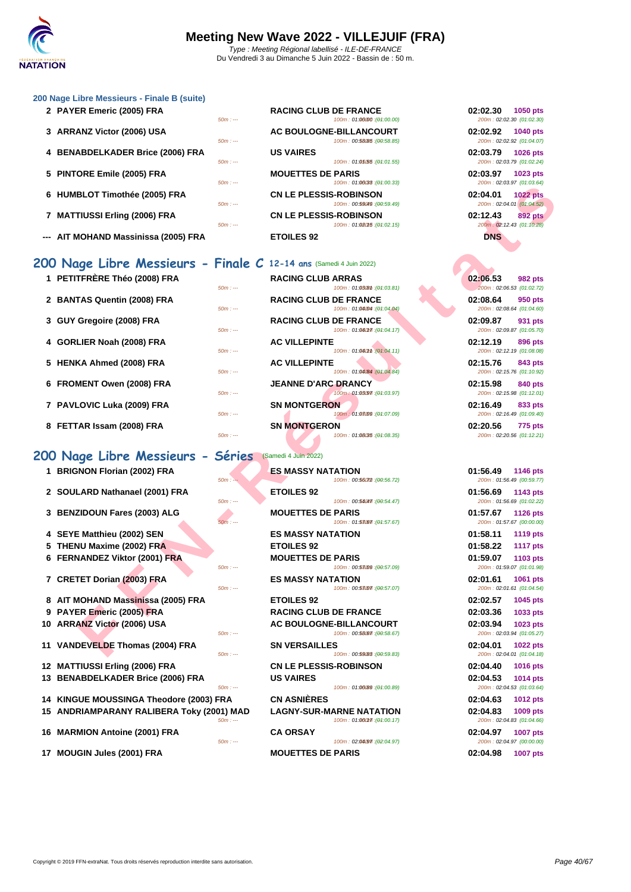

### **[200 Nage](http://www.ffnatation.fr/webffn/index.php) Libre Messieurs - Finale B (suite)**

|  | 2 PAYER Emeric (2005) FRA |  |
|--|---------------------------|--|
|  |                           |  |

- **3 ARRANZ Victor (2006) USA BOULOGNEERING BOULD**
- **4 BENABDELKADER Brice (2006) FRA 50m** in
- **5 PINTORE Emile (2005) FRA**
- **6 HUMBLOT Timothée (2005) FRA**  $\frac{50m}{2}$
- **7 MATTIUSSI Erling (2006) FRA**
- **--- AIT MOHAND Massinissa (2005) FRA ETOILES 92**

### **200 Nage Libre Messieurs - Finale C 12-14 ans** (Samedi 4 Juin 2022)

| 1 PETITFRERE Théo (2008) FRA |           | <b>RACING CLUB ARRAS</b>      | 02:06.53                  | <b>982 pts</b>            |
|------------------------------|-----------|-------------------------------|---------------------------|---------------------------|
|                              | $50m: -$  | 100m: 01:03 (8th : (01:03.81) | 200m: 02:06.53 (01:02.72) |                           |
| 2 BANTAS Quentin (2008) FRA  |           | <b>RACING CLUB DE FRANCE</b>  | 02:08.64                  | 950 pts                   |
|                              | $50m: -$  | 100m: 01:04.04 : (01:04.04)   | 200m: 02:08.64 (01:04.60) |                           |
| 3 GUY Gregoire (2008) FRA    |           | <b>RACING CLUB DE FRANCE</b>  | 02:09.87                  | 931 pts                   |
|                              | $50m: -$  | 100m: 01:040m7: (04:04.17)    |                           | 200m: 02:09.87 (01:05.70) |
| 4 GORLIER Noah (2008) FRA    |           | <b>AC VILLEPINTE</b>          | 02:12.19                  | 896 pts                   |
|                              | $50m: --$ | 100m: 01:040m : (01:04.11)    | 200m: 02:12.19 (01:08.08) |                           |
| 5 HENKA Ahmed (2008) FRA     |           | <b>AC VILLEPINTE</b>          | 02:15.76                  | 843 pts                   |
|                              | $50m: -$  | 100m: 01:04/84 : (01:04.84)   | 200m: 02:15.76 (01:10.92) |                           |
| 6 FROMENT Owen (2008) FRA    |           | <b>JEANNE D'ARC DRANCY</b>    | 02:15.98                  | 840 pts                   |
|                              | $50m: -$  | 100m: 01:03.97: (04:03.97)    | 200m: 02:15.98 (01:12.01) |                           |
| 7 PAVLOVIC Luka (2009) FRA   |           | <b>SN MONTGERON</b>           | 02:16.49                  | 833 pts                   |
|                              | $50m: -$  | 100m: 01:03099 : (01:07.09)   | 200m: 02:16.49 (01:09.40) |                           |

**8 FETTAR Issam (2008) FRA 50m 12:20.56 12:20.56** *50m* **12:30** 

### **200 Nage Libre Messieurs - Séries** (Samedi 4 Juin 2022)

- **1 BRIGNON Florian (2002) FRA**
- **2 SOULARD Nathanael (2001) FRA**
- **3 BENZIDOUN Fares (2003) ALG**
- **4 SEYE Matthieu (2002) SEN ES MASSY NATATION 01:58.11 1119 pts**
- **5 THENU Maxime (2002) FRA**
- **6 FERNANDEZ Viktor (2001) FRA**
- **7 CRETET Dorian (2003) FRA EXECUTE 1001 pts**
- **8** AIT MOHAND Massinissa (2005) FRA **9 PAYER Emeric (2005) FRA RACING CLUB DE FRANCE 02:03.36 1033 pts 10 ARRANZ Victor (2006) USA 11 VANDEVELDE Thomas (2004) FRA 50m**:
- **12 MATTIUSSI Erling (2006) FRA 13 BENABDELKADER Brice (2006) FRA 50m** in
- **14 KINGUE MOUSSINGA Theodore (2003) FRA 15 ANDRIAMPARANY RALIBERA Toky (2001) MAD LAGNY-SUR-MARNE NATATION 02:04.83 1009 pts**
- **16 MARMION Antoine (2001) FRA CA ORSAY**
- 17 **MOUGIN Jules (2001) FRA MOUETTES DE PARIS**

| 2 PAYER Emeric (2005) FRA        | $50m: -$ | <b>RACING CLUB DE FRANCE</b><br>100m: 01:06/00 : (01:00.00)  | 02:02.30<br>1050 pts<br>200m: 02:02.30 (01:02.30)        |
|----------------------------------|----------|--------------------------------------------------------------|----------------------------------------------------------|
| 3 ARRANZ Victor (2006) USA       | $50m: -$ | AC BOULOGNE-BILLANCOURT<br>100m: 00:58085 : (00:58.85)       | 02:02.92<br><b>1040 pts</b><br>200m: 02:02.92 (01:04.07) |
| 4 BENABDELKADER Brice (2006) FRA | $50m: -$ | <b>US VAIRES</b><br>100m: 01:05(55:(04:01.55)                | 02:03.79<br><b>1026 pts</b><br>200m: 02:03.79 (01:02.24) |
| 5 PINTORE Emile (2005) FRA       | $50m: -$ | <b>MOUETTES DE PARIS</b><br>100m: 01:06038 : (01:00.33)      | 02:03.97<br>1023 pts<br>200m: 02:03.97 (01:03.64)        |
| 6 HUMBLOT Timothée (2005) FRA    | $50m: -$ | <b>CN LE PLESSIS-ROBINSON</b><br>100m: 00:59049 : (00:59.49) | 02:04.01<br><b>1022 pts</b><br>200m: 02:04.01 (01:04.52) |
| 7 MATTIUSSI Erling (2006) FRA    | $50m: -$ | <b>CN LE PLESSIS-ROBINSON</b><br>100m: 01:02015 : (01:02.15) | 02:12.43<br>892 pts<br>200m: 02:12.43 (01:10.28)         |

|                                                   | .                                                                        | $LUUIII$ . UZ.UJ.JI $ U1.UJ.UJ.$                         |
|---------------------------------------------------|--------------------------------------------------------------------------|----------------------------------------------------------|
| BLOT Timothée (2005) FRA                          | <b>CN LE PLESSIS-ROBINSON</b><br>$50m: -$<br>100m: 00:59(49 : (00:59.49) | 02:04.01<br><b>1022 pts</b><br>200m: 02:04.01 (01:04.52) |
| TIUSSI Erling (2006) FRA                          | CN LE PLESSIS-ROBINSON<br>$50m: -$<br>100m: 01:080f5 : (01:02.15)        | 02:12.43<br><b>892 pts</b><br>200m: 02:12.43 (01:10.28)  |
| /IOHAND Massinissa (2005) FRA                     | <b>ETOILES 92</b>                                                        | <b>DNS</b>                                               |
|                                                   | 19e Libre Messieurs - Finale C 12-14 ans (Samedi 4 Juin 2022)            |                                                          |
| TFRÈRE Théo (2008) FRA                            | <b>RACING CLUB ARRAS</b><br>100m: 01:03 (01:03.81)<br>$50m: -$           | 02:06.53<br>982 pts<br>200m: 02:06.53 (01:02.72)         |
| TAS Quentin (2008) FRA                            | <b>RACING CLUB DE FRANCE</b><br>100m: 01:04.04 : (01:04.04)<br>$50m: -$  | 02:08.64<br>950 pts<br>200m: 02:08.64 (01:04.60)         |
| Gregoire (2008) FRA                               | <b>RACING CLUB DE FRANCE</b><br>100m: 01:04017 : (01:04.17)<br>$50m: -$  | 02:09.87<br>931 pts<br>200m: 02:09.87 (01:05.70)         |
| LIER Noah (2008) FRA                              | <b>AC VILLEPINTE</b><br>100m: 01:040mm : (01:04.11)<br>$50m: -$          | 02:12.19<br>896 pts<br>200m: 02:12.19 (01:08.08)         |
| KA Ahmed (2008) FRA                               | <b>AC VILLEPINTE</b><br>100m: 01:04/84 : (01:04.84)<br>$50m: -$          | 02:15.76<br>843 pts<br>200m: 02:15.76 (01:10.92)         |
| <b>MENT Owen (2008) FRA</b>                       | <b>JEANNE D'ARC DRANCY</b><br>100m: 01:03097 : (01:03.97)<br>$50m: -$    | 02:15.98<br>840 pts<br>200m: 02:15.98 (01:12.01)         |
| LOVIC Luka (2009) FRA                             | <b>SN MONTGERON</b><br>100m: 01:08:09 : (01:07.09)<br>$50m: -$           | 02:16.49<br>833 pts<br>200m: 02:16.49 (01:09.40)         |
| ʿAR Issam (2008) FRA                              | <b>SN MONTGERON</b><br>$50m: -$<br>100m: 01:08(35 : (01:08.35)           | 02:20.56<br><b>775 pts</b><br>200m: 02:20.56 (01:12.21)  |
| ige Libre Messieurs - Séries                      | (Samedi 4 Juin 2022)                                                     |                                                          |
| NON Florian (2002) FRA                            | <b>ES MASSY NATATION</b><br>$50m: -$<br>100m: 00:56072 : (00:56.72)      | 01:56.49<br><b>1146 pts</b><br>200m: 01:56.49 (00:59.77) |
| LARD Nathanael (2001) FRA                         | <b>ETOILES 92</b><br>$50m: -$<br>100m: 00:54047. (00:54.47)              | 01:56.69<br>1143 pts<br>200m: 01:56.69 (01:02.22)        |
| ZIDOUN Fares (2003) ALG                           | <b>MOUETTES DE PARIS</b><br>$50m: -$<br>100m: 01:58067 : (01:57.67)      | 01:57.67<br>1126 pts<br>200m: 01:57.67 (00:00.00)        |
| E Matthieu (2002) SEN                             | <b>ES MASSY NATATION</b>                                                 | 01:58.11<br>1119 pts                                     |
| <b>NU Maxime (2002) FRA</b>                       | <b>ETOILES 92</b>                                                        | 01:58.22<br><b>1117 pts</b>                              |
| <b>NANDEZ Viktor (2001) FRA</b>                   | <b>MOUETTES DE PARIS</b>                                                 | 01:59.07<br>1103 pts                                     |
|                                                   | $50m: -$<br>100m: 00:58009 : (00:57.09)                                  | 200m: 01:59.07 (01:01.98)                                |
| TET Dorian (2003) FRA                             | <b>ES MASSY NATATION</b><br>100m: 00:58007 : (00:57.07)<br>$50m: -$      | 02:01.61<br>1061 pts<br>200m: 02:01.61 (01:04.54)        |
| <b>//OHAND Mass<mark>in</mark>issa (2005) FRA</b> | <b>ETOILES 92</b>                                                        | 02:02.57<br>1045 pts                                     |
| ER Emeric (2005) FRA                              | <b>RACING CLUB DE FRANCE</b>                                             | 02:03.36<br>1033 pts                                     |
| ANZ Victor (2006) USA                             | AC BOULOGNE-BILLANCOURT<br>$50m: -$<br>100m: 00:58.67 : (00:58.67)       | 02:03.94<br>1023 pts<br>200m: 02:03.94 (01:05.27)        |
| DEVELDE Thomas (2004) FRA                         | <b>SN VERSAILLES</b>                                                     | 02:04.01<br>1022 pts                                     |
|                                                   | 100m: 00:59(88 : (00:59.83)<br>$50m: -$                                  | 200m: 02:04.01 (01:04.18)                                |

|          | <b>ES MASSY NATATION</b>                                | 01:56.49 | <b>1146 pts</b>                              |
|----------|---------------------------------------------------------|----------|----------------------------------------------|
| $50m: -$ | 100m: 00:56072 : (00:56.72)                             |          | 200m: 01:56.49 (00:59.77)                    |
| $50m: -$ | <b>ETOILES 92</b><br>100m: 00:54047 : (00:54.47)        | 01:56.69 | 1143 pts<br>200m: 01:56.69 (01:02.22)        |
|          | <b>MOUETTES DE PARIS</b>                                | 01:57.67 | <b>1126 pts</b>                              |
| $50m: -$ | 100m: 01:53067 : (04:57.67)                             |          | 200m: 01:57.67 (00:00.00)                    |
|          | <b>ES MASSY NATATION</b>                                | 01:58.11 | <b>1119 pts</b>                              |
|          | <b>ETOILES 92</b>                                       | 01:58.22 | <b>1117 pts</b>                              |
|          | <b>MOUETTES DE PARIS</b>                                | 01:59.07 | 1103 pts                                     |
| $50m: -$ | 100m: 00:53099 : (00:57.09)                             |          | 200m: 01:59.07 (01:01.98)                    |
| $50m: -$ | <b>ES MASSY NATATION</b><br>100m: 00:53007 : (00:57.07) | 02:01.61 | <b>1061 pts</b><br>200m: 02:01.61 (01:04.54) |
|          | <b>ETOILES 92</b>                                       | 02:02.57 | 1045 pts                                     |
|          | <b>RACING CLUB DE FRANCE</b>                            | 02:03.36 | 1033 pts                                     |
|          | AC BOULOGNE-BILLANCOURT                                 | 02:03.94 | 1023 pts                                     |
| $50m: -$ | 100m: 00:58.67 : (00:58.67)                             |          | 200m: 02:03.94 (01:05.27)                    |
|          | <b>SN VERSAILLES</b>                                    | 02:04.01 | <b>1022 pts</b>                              |
| $50m: -$ | 100m: 00:59(88 : (00:59.83)                             |          | 200m: 02:04.01 (01:04.18)                    |
|          | <b>CN LE PLESSIS-ROBINSON</b>                           | 02:04.40 | <b>1016 pts</b>                              |
|          | <b>US VAIRES</b>                                        | 02:04.53 | <b>1014 pts</b>                              |
| $50m: -$ | 100m: 01:06/89 : (01:00.89)                             |          | 200m: 02:04.53 (01:03.64)                    |
| FR A     | <b>CN ASNIÈRES</b>                                      | 02:04.63 | <b>1012 pts</b>                              |
| 01) MAD  | <b>LAGNY-SUR-MARNE NATATION</b>                         | 02:04.83 | 1009 pts                                     |
| $50m: -$ | 100m: 01:060fff: (04:00.17)                             |          | 200m: 02:04.83 (01:04.66)                    |

100m : 02:0407 1602:04.97)

| 02:02.30 1050 pts | 200m: 02:02.30 (01:02.30)                   |
|-------------------|---------------------------------------------|
| 02:02.92 1040 pts | 200m: 02:02.92 (01:04.07)                   |
| 02:03.79 1026 pts | 200m: 02:03.79 (01:02.24)                   |
| 02:03.97 1023 pts | 200m: 02:03.97 (01:03.64)                   |
| 02:04.01 1022 pts | 200m: 02:04.01 (01:04.52)                   |
| 02:12.43          | <b>892 pts</b><br>200m: 02:12.43 (01:10.28) |
| DNS               |                                             |

| 02:06.53 982 pts                              |  |
|-----------------------------------------------|--|
| 200m: 02:06.53 (01:02.72)<br>02:08.64 950 pts |  |
| 200m: 02:08.64 (01:04.60)                     |  |
| 02:09.87 931 pts<br>200m: 02:09.87 (01:05.70) |  |
| 02:12.19 896 pts                              |  |
| 200m: 02:12.19 (01:08.08)                     |  |
| 02:15.76 843 pts                              |  |
| 200m: 02:15.76 (01:10.92)                     |  |
| 02:15.98 840 pts<br>200m: 02:15.98 (01:12.01) |  |
| 02:16.49 833 pts<br>200m: 02:16.49 (01:09.40) |  |

| 01:56.49 1146 pts |                           |
|-------------------|---------------------------|
|                   | 200m: 01:56.49 (00:59.77) |
| 01:56.69 1143 pts | 200m: 01:56.69 (01:02.22) |
| 01:57.67 1126 pts |                           |
|                   | 200m: 01:57.67 (00:00.00) |
| 01:58.11          | <b>1119 pts</b>           |
| 01:58.22 1117 pts |                           |
| 01:59.07 1103 pts |                           |
|                   | 200m: 01:59.07 (01:01.98) |
| 02:01.61 1061 pts |                           |
|                   | 200m: 02:01.61 (01:04.54) |
| 02:02.57 1045 pts |                           |
| 02:03.36 1033 pts |                           |
| 02:03.94 1023 pts |                           |
|                   | 200m: 02:03.94 (01:05.27) |
| 02:04.01 1022 pts |                           |
|                   | 200m: 02:04.01 (01:04.18) |
| 02:04.40 1016 pts |                           |
| 02:04.53 1014 pts |                           |
|                   | 200m: 02:04.53 (01:03.64) |
| 02:04.63 1012 pts |                           |
| 02:04.83 1009 pts |                           |
|                   | 200m: 02:04.83 (01:04.66) |
| 02:04.97 1007 pts |                           |
|                   | 200m: 02:04.97 (00:00.00) |
| 02:04.98          | <b>1007 pts</b>           |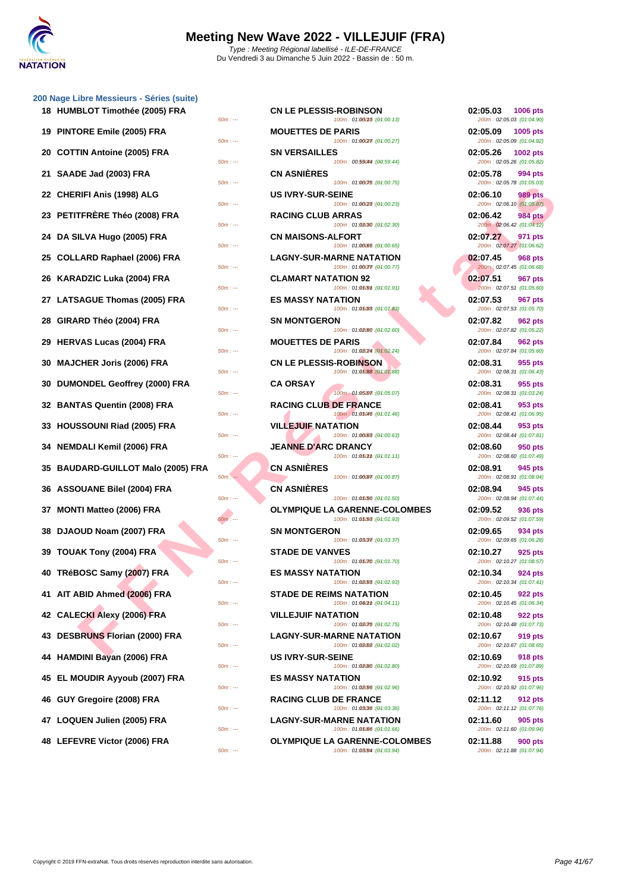| 19 | PINTORE Emile (2005) FRA              |
|----|---------------------------------------|
| 20 | <b>COTTIN Antoine (2005) FRA</b>      |
| 21 | SAADE Jad (2003) FRA                  |
| 22 | <b>CHERIFI Anis (1998) ALG</b>        |
| 23 | <b>PETITFRÈRE Théo (2008) FRA</b>     |
| 24 | DA SILVA Hugo (2005) FRA              |
| 25 | <b>COLLARD Raphael (2006) FRA</b>     |
| 26 | KARADZIC Luka (2004) FRA              |
| 27 | <b>LATSAGUE Thomas (2005) FRA</b>     |
| 28 | GIRARD Théo (2004) FRA                |
| 29 | <b>HERVAS Lucas (2004) FRA</b>        |
| 30 | <b>MAJCHER Joris (2006) FRA</b>       |
| 30 | DUMONDEL Geoffrey (2000) FRA          |
| 32 | <b>BANTAS Quentin (2008) FRA</b>      |
| 33 | HOUSSOUNI Riad (2005) FRA             |
| 34 | <b>NEMDALI Kemil (2006) FRA</b>       |
| 35 | <b>BAUDARD-GUILLOT Malo (2005) FI</b> |
| 36 | <b>ASSOUANE Bilel (2004) FRA</b>      |
| 37 | MONTI Matteo (2006) FRA               |
| 38 | DJAOUD Noam (2007) FRA                |
| 39 | TOUAK Tony (2004) FRA                 |
| 40 | TRéBOSC Samy (2007) FRA               |
| 41 | AIT ABID Ahmed (2006) FRA             |
|    | 42 CALECKI Alexy (2006) FRA           |
|    | 43 DESBRUNS Florian (2000) FRA        |
| 44 | <b>HAMDINI Bayan (2006) FRA</b>       |
|    | 45 EL MOUDIR Ayyoub (2007) FRA        |
|    | 46 GUY Gregoire (2008) FRA            |
|    | 47 LOQUEN Julien (2005) FRA           |
|    | 48 LEFEVRE Victor (2006) FRA          |

| 18 HUMBLOT Timothée (2005) FRA     | $50m: -$ | <b>CN LE PLESSIS-ROBINSON</b>  | 100m: 01:06013 : (01:00.13)                                    | 02:05.03<br><b>1006 pts</b><br>200m: 02:05.03 (01:04.90) |  |
|------------------------------------|----------|--------------------------------|----------------------------------------------------------------|----------------------------------------------------------|--|
| 19 PINTORE Emile (2005) FRA        | $50m: -$ | <b>MOUETTES DE PARIS</b>       | 100m: 01:06(27): (01:00.27)                                    | 02:05.09<br>1005 pts<br>200m: 02:05.09 (01:04.82)        |  |
| 20 COTTIN Antoine (2005) FRA       | $50m: -$ | <b>SN VERSAILLES</b>           | 100m: 00:59044 : (00:59.44)                                    | 02:05.26<br>1002 pts<br>200m: 02:05.26 (01:05.82)        |  |
| 21 SAADE Jad (2003) FRA            | $50m: -$ | <b>CN ASNIÈRES</b>             | 100m: 01:06075 : (01:00.75)                                    | 02:05.78<br>994 pts<br>200m: 02:05.78 (01:05.03)         |  |
| 22 CHERIFI Anis (1998) ALG         | $50m: -$ | <b>US IVRY-SUR-SEINE</b>       | 100m: 01:06/28 : (01:00.23)                                    | 02:06.10<br><b>989 pts</b><br>200m: 02:06.10 (01:05.87)  |  |
| 23   PETITFRÈRE Théo (2008) FRA    | $50m: -$ | <b>RACING CLUB ARRAS</b>       | 100m: 01:02.30 : (01:02.30)                                    | 02:06.42<br><b>984 pts</b><br>200m: 02:06.42 (01:04.12)  |  |
| 24 DA SILVA Hugo (2005) FRA        |          | <b>CN MAISONS-ALFORT</b>       |                                                                | 02:07.27<br>971 pts                                      |  |
| 25 COLLARD Raphael (2006) FRA      | $50m: -$ |                                | 100m: 01:00065 : (01:00.65)<br><b>LAGNY-SUR-MARNE NATATION</b> | 200m: 02:07.27 (01:06.62)<br>02:07.45<br><b>968 pts</b>  |  |
| 26 KARADZIC Luka (2004) FRA        | $50m: -$ | <b>CLAMART NATATION 92</b>     | 100m: 01:06077. (01:00.77)                                     | 200m: 02:07.45 (01:06.68)<br>02:07.51<br>967 pts         |  |
| 27 LATSAGUE Thomas (2005) FRA      | $50m: -$ | <b>ES MASSY NATATION</b>       | 100m: 01:05@m : (01:01.91)                                     | 200m: 02:07.51 (01:05.60)<br>02:07.53<br>967 pts         |  |
| 28 GIRARD Théo (2004) FRA          | $50m: -$ | <b>SN MONTGERON</b>            | 100m: 01:05/83 : (01:01.83)                                    | 200m: 02:07.53 (01:05.70)<br>02:07.82<br>962 pts         |  |
| 29  HERVAS Lucas (2004) FRA        | $50m: -$ | <b>MOUETTES DE PARIS</b>       | 100m: 01:02.60 : (01:02.60)                                    | 200m: 02:07.82 (01:05.22)<br>02:07.84<br>962 pts         |  |
| 30 MAJCHER Joris (2006) FRA        | $50m: -$ | <b>CN LE PLESSIS-ROBINSON</b>  | 100m: 01:08/24 : (01:02.24)                                    | 200m: 02:07.84 (01:05.60)<br>02:08.31<br>955 pts         |  |
| 30 DUMONDEL Geoffrey (2000) FRA    | $50m: -$ | <b>CA ORSAY</b>                | 100m: 01:05/88 : (01:01.88)                                    | 200m: 02:08.31 (01:06.43)<br>02:08.31<br>955 pts         |  |
| 32 BANTAS Quentin (2008) FRA       | $50m: -$ | <b>RACING CLUB DE FRANCE</b>   | 100m: 01:05007 : (01:05.07)                                    | 200m: 02:08.31 (01:03.24)<br>02:08.41<br>953 pts         |  |
|                                    | $50m: -$ |                                | (04:01.46): 01:05046                                           | 200m: 02:08.41 (01:06.95)                                |  |
| 33 HOUSSOUNI Riad (2005) FRA       | $50m: -$ | <b>VILLEJUIF NATATION</b>      | 100m: 01:00083 : (01:00.63)                                    | 02:08.44<br>953 pts<br>200m: 02:08.44 (01:07.81)         |  |
| 34   NEMDALI Kemil (2006) FRA      | $50m: -$ | <b>JEANNE D'ARC DRANCY</b>     | 100m: 01:050mm : (01:01.11)                                    | 02:08.60<br>950 pts<br>200m: 02:08.60 (01:07.49)         |  |
| 35 BAUDARD-GUILLOT Malo (2005) FRA | $50m: -$ | <b>CN ASNIERES</b>             | 100m: 01:00087 : (01:00.87)                                    | 02:08.91<br>945 pts<br>200m: 02:08.91 (01:08.04)         |  |
| 36 ASSOUANE Bilel (2004) FRA       | $50m: -$ | <b>CN ASNIÈRES</b>             | 100m: 01:05/50 : (01:01.50)                                    | 02:08.94<br>945 pts<br>200m: 02:08.94 (01:07.44)         |  |
| 37 MONTI Matteo (2006) FRA         |          |                                | <b>OLYMPIQUE LA GARENNE-COLOMBES</b>                           | 02:09.52<br>936 pts                                      |  |
| 38 DJAOUD Noam (2007) FRA          | $50m: -$ | <b>SN MONTGERON</b>            | 100m: 01:05/98 : (01:01.93)                                    | 200m: 02:09.52 (01:07.59)<br>02:09.65<br>934 pts         |  |
| 39 TOUAK Tony (2004) FRA           | $50m: -$ | <b>STADE DE VANVES</b>         | 100m: 01:03/37 : (01:03.37)                                    | 200m: 02:09.65 (01:06.28)<br>02:10.27<br>925 pts         |  |
| 40 TRéBOSC Samy (2007) FRA         | $50m: -$ | <b>ES MASSY NATATION</b>       | 100m: 01:05070 : (01:01.70)                                    | 200m: 02:10.27 (01:08.57)<br>02:10.34<br>924 pts         |  |
| 41 AIT ABID Ahmed (2006) FRA       | $50m: -$ | <b>STADE DE REIMS NATATION</b> | 100m: 01:02.93 : (01:02.93)                                    | 200m: 02:10.34 (01:07.41)<br>02:10.45<br>922 pts         |  |
| 42 CALECKI Alexy (2006) FRA        | $50m: -$ | <b>VILLEJUIF NATATION</b>      | 100m: 01:040mm : (01:04.11)                                    | 200m: 02:10.45 (01:06.34)<br>02:10.48<br>922 pts         |  |
| 43 DESBRUNS Florian (2000) FRA     | $50m: -$ |                                | 100m: 01:02075 : (01:02.75)<br><b>LAGNY-SUR-MARNE NATATION</b> | 200m: 02:10.48 (01:07.73)<br>02:10.67<br>919 pts         |  |
| 44 HAMDINI Bayan (2006) FRA        | $50m: -$ | <b>US IVRY-SUR-SEINE</b>       | 100m: 01:08.02 : (01:02.02)                                    | 200m: 02:10.67 (01:08.65)<br>02:10.69<br>918 pts         |  |
|                                    | $50m: -$ |                                | 100m: 01:02(80 : (01:02.80)                                    | 200m: 02:10.69 (01:07.89)                                |  |
| 45 EL MOUDIR Ayyoub (2007) FRA     | $50m: -$ | <b>ES MASSY NATATION</b>       | 100m: 01:02.96 : (01:02.96)                                    | 02:10.92<br>915 pts<br>200m: 02:10.92 (01:07.96)         |  |
| 46 GUY Gregoire (2008) FRA         | $50m: -$ | <b>RACING CLUB DE FRANCE</b>   | 100m: 01:03/36 : (01:03.36)                                    | 02:11.12<br>912 pts<br>200m: 02:11.12 (01:07.76)         |  |
| 47 LOQUEN Julien (2005) FRA        | $50m: -$ |                                | <b>LAGNY-SUR-MARNE NATATION</b><br>100m: 01:05/06 : (01:01.66) | 02:11.60<br>905 pts<br>200m: 02:11.60 (01:09.94)         |  |
| 48 LEFEVRE Victor (2006) FRA       |          |                                | <b>OLYMPIQUE LA GARENNE-COLOMBES</b>                           | 02:11.88<br><b>900 pts</b>                               |  |
|                                    | $50m: -$ |                                | 100m: 01:03/94 : (01:03.94)                                    | 200m: 02:11.88 (01:07.94)                                |  |

| 02:05.03<br>1006 pts<br>200m: 02:05.03 (01:04.90)       |
|---------------------------------------------------------|
| 02:05.09<br>1005 pts<br>200m: 02:05.09 (01:04.82)       |
| 02:05.26<br>1002 pts<br>200m: 02:05.26 (01:05.82)       |
| 02:05.78<br>994 pts<br>200m: 02:05.78 (01:05.03)        |
| 02:06.10<br><b>989 pts</b><br>200m: 02:06.10 (01:05.87) |
| 02:06.42<br>984 pts<br>200m: 02:06.42 (01:04.12)        |
| 02:07.27<br>971 pts<br>200m: 02:07.27 (01:06.62)        |
| 02:07.45<br>968 pts<br>200m: 02:07.45 (01:06.68)        |
| 02:07.51<br>967 pts<br>200m: 02:07.51 (01:05.60)        |
| 02:07.53<br>967 pts<br>200m: 02:07.53 (01:05.70)        |
| 02:07.82<br>962 pts<br>200m: 02:07.82 (01:05.22)        |
| 02:07.84<br>962 pts<br>200m: 02:07.84 (01:05.60)        |
| 02:08.31<br>955 pts<br>200m: 02:08.31 (01:06.43)        |
| 02:08.31<br>955 pts<br>200m: 02:08.31 (01:03.24)        |
| 02:08.41<br>953 pts<br>200m: 02:08.41 (01:06.95)        |
| 02:08.44<br>953 pts<br>200m: 02:08.44 (01:07.81)        |
| 950 pts<br>02:08.60<br>200m: 02:08.60 (01:07.49)        |
| 02:08.91<br>945 pts<br>200m: 02:08.91 (01:08.04)        |
| 02:08.94<br>945 pts<br>200m: 02:08.94 (01:07.44)        |
| 02:09.52<br>936 pts<br>200m: 02:09.52 (01:07.59)        |
| 02:09.65<br>934 pts<br>200m: 02:09.65 (01:06.28)        |
| 02:10.27<br>925 pts<br>200m: 02:10.27 (01:08.57)        |
| 02:10.34<br>924 pts<br>200m: 02:10.34 (01:07.41)        |
| 02:10.45<br>922 pts<br>200m: 02:10.45 (01:06.34)        |
| 02:10.48<br>922 pts<br>200m: 02:10.48 (01:07.73)        |
| 02:10.67<br>919 pts<br>200m: 02:10.67 (01:08.65)        |
| 02:10.69<br>918 pts<br>200m: 02:10.69 (01:07.89)        |
| 02:10.92<br><b>915 pts</b><br>200m: 02:10.92 (01:07.96) |
| 02:11.12<br>912 pts<br>200m: 02:11.12 (01:07.76)        |
| 02:11.60<br>905 pts<br>200m: 02:11.60 (01:09.94)        |
| 02:11.88<br>900 pts<br>200m: 02:11.88 (01:07.94)        |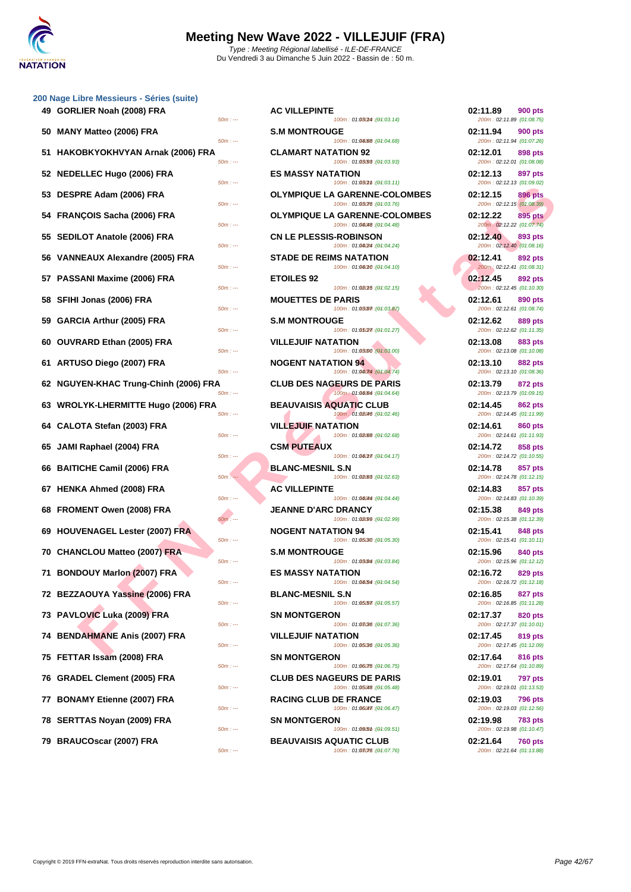|  | 200 Nage Libre Messieurs - Séries (suite) |  |  |
|--|-------------------------------------------|--|--|
|  |                                           |  |  |

| 49 GORLIER Noah (2008) FRA<br>50m : ---           | <b>AC VILLEPINTE</b><br>100m: 01:030M : (01:03.14)                      | 02:11.89<br>200m: 02:11.89 (01:08.75)              | <b>900 pts</b> |
|---------------------------------------------------|-------------------------------------------------------------------------|----------------------------------------------------|----------------|
| 50 MANY Matteo (2006) FRA<br>$50m: -$             | <b>S.M MONTROUGE</b><br>100m: 01:04/68 : (01:04.68)                     | 02:11.94<br>200m: 02:11.94 (01:07.26)              | 900 pts        |
| 51 HAKOBKYOKHVYAN Arnak (2006) FRA<br>$50m: -$    | <b>CLAMART NATATION 92</b><br>100m: 01:03/98 : (01:03.93)               | 02:12.01<br>200m: 02:12.01 (01:08.08)              | 898 pts        |
| 52 NEDELLEC Hugo (2006) FRA<br>$50m: -$           | <b>ES MASSY NATATION</b><br>100m: 01:030mm : (01:03.11)                 | 02:12.13<br>200m: 02:12.13 (01:09.02)              | 897 pts        |
| 53 DESPRE Adam (2006) FRA<br>$50m: -$             | <b>OLYMPIQUE LA GARENNE-COLOMBES</b><br>100m: 01:03076 : (01:03.76)     | 02:12.15<br>200m: 02:12.15 (01:08.39)              | 896 pts        |
| 54 FRANÇOIS Sacha (2006) FRA<br>$50m: -$          | <b>OLYMPIQUE LA GARENNE-COLOMBES</b><br>100m: 01:04048 : (01:04.48)     | 02:12.22<br>200m: 02:12.22 (01:07.74)              | 895 pts        |
| 55 SEDILOT Anatole (2006) FRA<br>$50m: -$         | <b>CN LE PLESSIS-ROBINSON</b><br>100m: 01:04/24 : (01:04.24)            | 02:12.40<br>200m: 02:12.40 (01:08.16)              | 893 pts        |
| 56 VANNEAUX Alexandre (2005) FRA<br>$50m: -$      | <b>STADE DE REIMS NATATION</b><br>100m: 01:08010 : (01:04.10)           | 02:12.41<br>200m: 02:12.41 (01:08.31)              | 892 pts        |
| 57 PASSANI Maxime (2006) FRA<br>$50m: -$          | <b>ETOILES 92</b><br>100m: 01:02015 : (01:02.15)                        | 02:12.45<br>200m: 02:12.45 (01:10.30)              | 892 pts        |
| 58 SFIHI Jonas (2006) FRA<br>$50m: -$             | <b>MOUETTES DE PARIS</b><br>100m: 01:03.87 : (01:03.87)                 | 02:12.61<br>200m: 02:12.61 (01:08.74)              | 890 pts        |
| 59 GARCIA Arthur (2005) FRA<br>$50m: -$           | <b>S.M MONTROUGE</b><br>100m: 01:05/27. (01:01.27)                      | 02:12.62<br>200m: 02:12.62 (01:11.35)              | 889 pts        |
| 60 OUVRARD Ethan (2005) FRA<br>$50m: -$           | <b>VILLEJUIF NATATION</b><br>100m: 01:03/00 : (01:03.00)                | 02:13.08<br>200m: 02:13.08 (01:10.08)              | 883 pts        |
| 61 ARTUSO Diego (2007) FRA<br>$50m: -$            | <b>NOGENT NATATION 94</b><br>100m: 01:04074 : (01:04.74)                | 02:13.10<br>200m: 02:13.10 (01:08.36)              | 882 pts        |
| 62 NGUYEN-KHAC Trung-Chinh (2006) FRA<br>$50m: -$ | <b>CLUB DES NAGEURS DE PARIS</b><br>100m: 01:04.64 : (01:04.64)         | 02:13.79<br>200m: 02:13.79 (01:09.15)              | 872 pts        |
| 63 WROLYK-LHERMITTE Hugo (2006) FRA<br>$50m: -$   | <b>BEAUVAISIS AQUATIC CLUB</b><br>100m: 01:02046 : (01:02.46)           | 02:14.45<br>200m: 02:14.45 (01:11.99)              | <b>862 pts</b> |
| 64 CALOTA Stefan (2003) FRA<br>$50m: -$           | <b>VILLEJUIF NATATION</b><br>100m: 01:02.68): (04:02.68)                | 02:14.61<br>200m: 02:14.61 (01:11.93)              | 860 pts        |
| 65 JAMI Raphael (2004) FRA<br>$50m: -$            | <b>CSM PUTEAUX</b><br>100m: 01:04017. (01:04.17)                        | 02:14.72<br>200m: 02:14.72 (01:10.55)              | 858 pts        |
| 66 BAITICHE Camil (2006) FRA<br>$50m: -$          | <b>BLANC-MESNIL S.N</b><br>100m: 01:02.63 : (01:02.63)                  | 02:14.78<br>200m: 02:14.78 (01:12.15)              | 857 pts        |
| 67 HENKA Ahmed (2008) FRA<br>$50m: -$             | <b>AC VILLEPINTE</b><br>100m: 01:04044 : (01:04.44)                     | 02:14.83<br>200m: 02:14.83 (01:10.39)              | 857 pts        |
| 68 FROMENT Owen (2008) FRA<br>$50m: -$            | <b>JEANNE D'ARC DRANCY</b><br>100m: 01:08/99 : (01:02.99)               | 02:15.38<br>200m: 02:15.38 (01:12.39)              | 849 pts        |
| 69 HOUVENAGEL Lester (2007) FRA<br>$50m: -$       | <b>NOGENT NATATION 94</b><br>100m: 01:05/30 : (01:05.30)                | 02:15.41<br>200m: 02:15.41 (01:10.11)              | 848 pts        |
| 70 CHANCLOU Matteo (2007) FRA<br>$50m: -$         | <b>S.M MONTROUGE</b><br>100m: 01:03.84 : (01:03.84)                     | 02:15.96<br>200m: 02:15.96 (01:12.12,              | 840 pts        |
| 71 BONDOUY Marlon (2007) FRA<br>50m : ---         | <b>ES MASSY NATATION</b><br>100m: 01:04.54 : (01:04.54)                 | 02:16.72<br>200m : 02:16.72 (01:12.18 <sub>)</sub> | 829 pts        |
| 72 BEZZAOUYA Yassine (2006) FRA<br>$50m: -$       | <b>BLANC-MESNIL S.N</b><br>100m: 01:05.57 : (01:05.57)                  | 02:16.85<br>200m: 02:16.85 (01:11.28)              | 827 pts        |
| 73 PAVLOVIC Luka (2009) FRA<br>$50m: -$           | <b>SN MONTGERON</b><br>100m: 01:08086 : (01:07.36)                      | 02:17.37<br>200m: 02:17.37 (01:10.01)              | 820 pts        |
| 74 BENDAHMANE Anis (2007) FRA<br>$50m: -$         | <b>VILLEJUIF NATATION</b><br>100m: 01:05/36 : (01:05.36)                | 02:17.45<br>200m: 02:17.45 (01:12.09)              | 819 pts        |
| 75 FETTAR Issam (2008) FRA<br>$50m: -$            | <b>SN MONTGERON</b><br>100m: 01:06075 : (01:06.75)                      | 02:17.64<br>200m: 02:17.64 (01:10.89)              | 816 pts        |
| 76 GRADEL Clement (2005) FRA<br>$50m: -$          | <b>CLUB DES NAGEURS DE PARIS</b><br>100m: 01:05048 : (01:05.48)         | 02:19.01<br>200m: 02:19.01 (01:13.53)              | 797 pts        |
| 77 BONAMY Etienne (2007) FRA<br>$50m: -$          | <b>RACING CLUB DE FRANCE</b><br>100m: 01:06047. (01:06.47)              | 02:19.03<br>200m: 02:19.03 (01:12.56)              | <b>796 pts</b> |
| 78 SERTTAS Noyan (2009) FRA<br>$50m: -$           | <b>SN MONTGERON</b><br>100m: 01:09 (91:09.51)                           | 02:19.98<br>200m: 02:19.98 (01:10.47)              | 783 pts        |
| 79 BRAUCOscar (2007) FRA<br>50m · --              | <b>BEAUVAISIS AQUATIC CLUB</b><br>$100m \cdot 01.08088 \cdot (91.0776)$ | 02:21.64<br>$200m \cdot 02.2164$ (01:13.88)        | <b>760 pts</b> |

| libre messieurs - Series (Suite).                 |                                                                     |                                                         |
|---------------------------------------------------|---------------------------------------------------------------------|---------------------------------------------------------|
| LIER Noah (2008) FRA<br>$50m: -$                  | <b>AC VILLEPINTE</b><br>100m: 01:030M : (01:03.14)                  | 02:11.89<br><b>900 pts</b><br>200m: 02:11.89 (01:08.75) |
| Y Matteo (2006) FRA<br>$50m: -$                   | <b>S.M MONTROUGE</b><br>100m: 01:04/68 : (01:04.68)                 | 02:11.94<br><b>900 pts</b><br>200m: 02:11.94 (01:07.26) |
| OBKYOKHVYAN Arnak (2006) FRA<br>$50m: -$          | <b>CLAMART NATATION 92</b><br>100m: 01:03.93 : (01:03.93)           | 02:12.01<br>898 pts<br>200m: 02:12.01 (01:08.08)        |
| ELLEC Hugo (2006) FRA<br>$50m: -$                 | <b>ES MASSY NATATION</b><br>100m: 01:030mm : (01:03.11)             | 02:12.13<br>897 pts<br>200m: 02:12.13 (01:09.02)        |
| PRE Adam (2006) FRA<br>$50m: -$                   | <b>OLYMPIQUE LA GARENNE-COLOMBES</b><br>100m: 01:03076 : (01:03.76) | 02:12.15<br><b>896 pts</b><br>200m: 02:12.15 (01:08.39) |
| NÇOIS Sacha (2006) FRA<br>$50m: -$                | <b>OLYMPIQUE LA GARENNE-COLOMBES</b><br>100m: 01:04048 : (01:04.48) | 895 pts<br>02:12.22<br>200m: 02:12.22 (01:07.74)        |
| LOT Anatole (2006) FRA<br>$50m: -$                | <b>CN LE PLESSIS-ROBINSON</b><br>100m: 01:04/24 : (01:04.24)        | 02:12.40<br>893 pts<br>200m: 02:12.40 (01:08.16)        |
| NEAUX Alexandre (2005) FRA<br>$50m: -$            | <b>STADE DE REIMS NATATION</b><br>100m: 01:04010 : (01:04.10)       | 02:12.41<br>892 pts<br>200m: 02:12.41 (01:08.31)        |
| SANI Maxime (2006) FRA<br>$50m: -$                | <b>ETOILES 92</b><br>100m: 01:02015 : (01:02.15)                    | 02:12.45<br>892 pts<br>200m: 02:12.45 (01:10.30)        |
| I Jonas (2006) FRA<br>$50m: -$                    | <b>MOUETTES DE PARIS</b><br>100m: 01:03/87 : (01:03.87)             | 02:12.61<br>890 pts<br>200m: 02:12.61 (01:08.74)        |
| CIA Arthur (2005) FRA<br>$50m: -$                 | <b>S.M MONTROUGE</b><br>100m: 01:05/27 : (01:01.27)                 | 02:12.62<br>889 pts<br>200m: 02:12.62 (01:11.35)        |
| RARD Ethan (2005) FRA<br>$50m: -$                 | <b>VILLEJUIF NATATION</b><br>100m: 01:03/00 : (01:03.00)            | 02:13.08<br>883 pts<br>200m: 02:13.08 (01:10.08)        |
| JSO Diego (2007) FRA<br>$50m: -$                  | <b>NOGENT NATATION 94</b><br>100m: 01:04074 : (01:04.74)            | 02:13.10<br><b>882 pts</b><br>200m: 02:13.10 (01:08.36) |
| YEN-KHAC Trung-Chinh (2006) FRA<br>$50m: -$       | <b>CLUB DES NAGEURS DE PARIS</b><br>100m: 01:04.64 : (01:04.64)     | 02:13.79<br>872 pts<br>200m: 02:13.79 (01:09.15)        |
| <b>ILYK-LHERMITTE Hugo (2006) FRA</b><br>$50m: -$ | <b>BEAUVAISIS AQUATIC CLUB</b><br>100m: 01:02046 : (01:02.46)       | 02:14.45<br><b>862 pts</b><br>200m: 02:14.45 (01:11.99) |
| OTA Stefan (2003) FRA<br>$50m: -$                 | <b>VILLEJUIF NATATION</b><br>100m: 01:02.68): (01:02.68)            | 02:14.61<br><b>860 pts</b><br>200m: 02:14.61 (01:11.93) |
| Raphael (2004) FRA<br>$50m: -$                    | <b>CSM PUTEAUX</b><br>100m: 01:04017. (04:04.17)                    | 02:14.72<br>858 pts<br>200m: 02:14.72 (01:10.55)        |
| <b>ICHE Camil (2006) FRA</b><br>$50m: -$          | <b>BLANC-MESNIL S.N</b><br>100m: 01:02.63): (01:02.63)              | 02:14.78<br>857 pts<br>200m: 02:14.78 (01:12.15)        |
| KA Ahmed (2008) FRA<br>$50m: -$                   | <b>AC VILLEPINTE</b><br>100m: 01:08044 : (01:04.44)                 | 02:14.83<br>857 pts<br>200m: 02:14.83 (01:10.39)        |
| <b>MENT Owen (2008) FRA</b><br>$50m: -$           | <b>JEANNE D'ARC DRANCY</b><br>100m: 01:02.99 : (01:02.99)           | 02:15.38<br>849 pts<br>200m: 02:15.38 (01:12.39)        |
| <b>VENAGEL Lester (2007) FRA</b><br>$50m: -$      | <b>NOGENT NATATION 94</b><br>100m: 01:05/30 : (01:05.30)            | 02:15.41<br>848 pts<br>200m: 02:15.41 (01:10.11)        |
| NCLOU Matteo (2007) FRA<br>$50m: -$               | <b>S.M MONTROUGE</b><br>100m: 01:03/84 : (01:03.84)                 | 02:15.96<br>840 pts<br>200m: 02:15.96 (01:12.12)        |
| DOUY Marlon (2007) FRA<br>$50m: -$                | <b>ES MASSY NATATION</b><br>100m: 01:04/54 : (01:04.54)             | 02:16.72<br>829 pts<br>200m: 02:16.72 (01:12.18)        |
| ZAOUYA Yassine (2006) FRA<br>$50m: -$             | <b>BLANC-MESNIL S.N</b><br>100m: 01:05.57 : (01:05.57)              | 02:16.85<br><b>827 pts</b><br>200m: 02:16.85 (01:11.28) |
| LOVIC Luka (2009) FRA<br>$50m: -$                 | <b>SN MONTGERON</b><br>100m: 01:08(36 : (01:07.36)                  | 02:17.37<br>820 pts<br>200m: 02:17.37 (01:10.01)        |
| DAHMANE Anis (2007) FRA<br>$50m: -$               | <b>VILLEJUIF NATATION</b><br>100m: 01:05/36 : (01:05.36)            | 02:17.45<br>819 pts<br>200m: 02:17.45 (01:12.09)        |
| ʿAR Issam (2008) FRA<br>$50m: -$                  | <b>SN MONTGERON</b><br>100m: 01:06075: (04:06.75)                   | 02:17.64<br>816 pts<br>200m: 02:17.64 (01:10.89)        |
| <b>DEL Clement (2005) FRA</b><br>$50m: -$         | <b>CLUB DES NAGEURS DE PARIS</b><br>100m: 01:05048 : (01:05.48)     | 02:19.01<br><b>797 pts</b><br>200m: 02:19.01 (01:13.53) |
| AMY Etienne (2007) FRA<br>$50m: -$                | <b>RACING CLUB DE FRANCE</b><br>100m: 01:060477: (01:06.47)         | 02:19.03<br><b>796 pts</b><br>200m: 02:19.03 (01:12.56) |
| FTAS Noyan (2009) FRA<br>$50m: -$                 | <b>SN MONTGERON</b><br>100m: 01:09.51): (04:09.51)                  | 02:19.98<br><b>783 pts</b><br>200m: 02:19.98 (01:10.47) |
| UCOscar (2007) FRA<br>$50m: -$                    | <b>BEAUVAISIS AQUATIC CLUB</b><br>100m: 01:08076 : (01:07.76)       | 02:21.64<br><b>760 pts</b><br>200m: 02:21.64 (01:13.88) |
|                                                   |                                                                     |                                                         |

|   | 02:11.89<br>200m: 02:11.89 (01:08.75)         | <b>900 pts</b> |
|---|-----------------------------------------------|----------------|
|   | 02:11.94<br>200m: 02:11.94 (01:07.26)         | <b>900 pts</b> |
|   | 02:12.01<br>200m: 02:12.01 (01:08.08)         | 898 pts        |
|   | 02:12.13<br>200m: 02:12.13 (01:09.02)         | 897 pts        |
|   | 02:12.15<br>200m: 02:12.15 (01:08.39)         | <b>896 pts</b> |
|   | 02:12.22<br>200m: 02:12.22 (01:07.74)         | 895 pts        |
|   | 02:12.40<br>200m: 02:12.40 (01:08.16)         | 893 pts        |
|   | 02:12.41<br>200m: 02:12.41 (01:08.31)         | 892 pts        |
|   | 02:12.45<br>200m: 02:12.45 (01:10.30)         | 892 pts        |
| l | 02:12.61<br>200m: 02:12.61 (01:08.74)         | 890 pts        |
|   | 02:12.62<br>200m: 02:12.62 (01:11.35)         | 889 pts        |
|   | 02:13.08<br>200m: 02:13.08 (01:10.08)         | 883 pts        |
|   | 02:13.10<br>200m: 02:13.10 (01:08.36)         | 882 pts        |
|   | 02:13.79<br>200m: 02:13.79 (01:09.15)         | <b>872 pts</b> |
|   | 02:14.45<br>200m: 02:14.45 (01:11.99)         | 862 pts        |
|   | 02:14.61<br>200m: 02:14.61 (01:11.93)         | <b>860 pts</b> |
|   | 02:14.72<br>200m: 02:14.72 (01:10.55)         | 858 pts        |
|   | 02:14.78<br>200m: 02:14.78 (01:12.15)         | 857 pts        |
|   | 02:14.83<br>200m: 02:14.83 (01:10.39)         | 857 pts        |
|   | 02:15.38<br>200m: 02:15.38 (01:12.39)         | 849 pts        |
|   | 02:15.41<br>200m: 02:15.41 (01:10.11)         | 848 pts        |
|   | 02:15.96<br>200m: 02:15.96 (01:12.12)         | 840 pts        |
|   | 02:16.72 829 pts<br>200m: 02:16.72 (01:12.18) |                |
|   | 02:16.85<br>200m: 02:16.85 (01:11.28)         | 827 pts        |
|   | 02:17.37<br>200m: 02:17.37 (01:10.01)         | 820 pts        |
|   | 02:17.45<br>200m: 02:17.45 (01:12.09)         | <b>819 pts</b> |
|   | 02:17.64<br>200m: 02:17.64 (01:10.89)         | 816 pts        |
|   | 02:19.01<br>200m: 02:19.01 (01:13.53)         | 797 pts        |
|   | 02:19.03<br>200m: 02:19.03 (01:12.56)         | <b>796 pts</b> |
|   | 02:19.98<br>200m: 02:19.98 (01:10.47)         | 783 pts        |
|   | 02:21.64<br>200m: 02:21.64 (01:13.88)         | 760 pts        |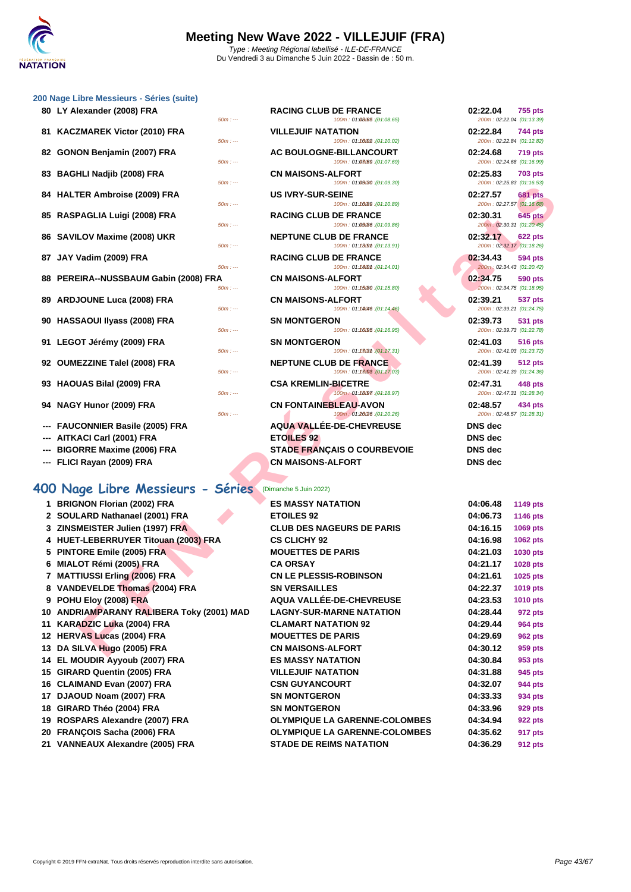

| 80 LY Alexander (2008) FRA            | $50m: -$  | <b>RACING CLUB DE FRANCE</b><br>100m: 01:08.65 : (01:08.65)  | 02:22.04<br>755 pts<br>200m: 02:22.04 (01:13.39)        |
|---------------------------------------|-----------|--------------------------------------------------------------|---------------------------------------------------------|
| 81 KACZMAREK Victor (2010) FRA        | $50m: -$  | <b>VILLEJUIF NATATION</b><br>100m: 01:16002 : (04:10.02)     | 02:22.84<br><b>744 pts</b><br>200m: 02:22.84 (01:12.82) |
| 82 GONON Benjamin (2007) FRA          | $50m: -$  | AC BOULOGNE-BILLANCOURT<br>100m: 01:08.09 : (01:07.69)       | 02:24.68<br><b>719 pts</b><br>200m: 02:24.68 (01:16.99) |
| 83 BAGHLI Nadjib (2008) FRA           | $50m: -$  | <b>CN MAISONS-ALFORT</b><br>100m: 01:09030 : (01:09.30)      | 02:25.83<br><b>703 pts</b><br>200m: 02:25.83 (01:16.53) |
| 84 HALTER Ambroise (2009) FRA         | $50m: -$  | <b>US IVRY-SUR-SEINE</b><br>100m: 01:10089 : (01:10.89)      | 02:27.57<br><b>681 pts</b><br>200m: 02:27.57 (01:16.68) |
| 85 RASPAGLIA Luigi (2008) FRA         | $50m: -$  | <b>RACING CLUB DE FRANCE</b><br>100m: 01:09/86 : (01:09.86)  | 02:30.31<br><b>645 pts</b><br>200m: 02:30.31 (01:20.45) |
| 86 SAVILOV Maxime (2008) UKR          | $50m: -$  | <b>NEPTUNE CLUB DE FRANCE</b><br>100m: 01:13.99n:(04:13.91)  | 02:32.17<br>622 pts<br>200m: 02:32.17 (01:18.26)        |
| 87 JAY Vadim (2009) FRA               | $50m: -$  | <b>RACING CLUB DE FRANCE</b><br>100m: 01:140m:(04:14.01)     | 02:34.43<br><b>594 pts</b><br>200m: 02:34.43 (01:20.42) |
| 88 PEREIRA--NUSSBAUM Gabin (2008) FRA | $50m: --$ | <b>CN MAISONS-ALFORT</b><br>100m: 01:15080 : (04:15.80)      | 02:34.75<br>590 pts<br>200m: 02:34.75 (01:18.95)        |
| 89 ARDJOUNE Luca (2008) FRA           | $50m: -$  | <b>CN MAISONS-ALFORT</b><br>100m: 01:14046 : (01:14.46)      | 02:39.21<br>537 pts<br>200m: 02:39.21 (01:24.75)        |
| 90 HASSAOUI IIvass (2008) FRA         | $50m: --$ | <b>SN MONTGERON</b><br>100m: 01:16095:(04:16.95)             | 02:39.73<br>531 pts<br>200m: 02:39.73 (01:22.78)        |
| 91 LEGOT Jérémy (2009) FRA            | $50m: -$  | <b>SN MONTGERON</b><br>100m: 01:13031 : (01:17.31)           | 02:41.03<br><b>516 pts</b><br>200m: 02:41.03 (01:23.72) |
| 92 OUMEZZINE Talel (2008) FRA         | $50m: -$  | <b>NEPTUNE CLUB DE FRANCE</b><br>100m: 01:18008 : (01:17.03) | 02:41.39<br>512 pts<br>200m: 02:41.39 (01:24.36)        |
| 93 HAOUAS Bilal (2009) FRA            | $50m: -$  | <b>CSA KREMLIN-BICETRE</b><br>100m: 01:18097 : (01:18.97)    | 02:47.31<br>448 pts<br>200m: 02:47.31 (01:28.34)        |
| 94 NAGY Hunor (2009) FRA              | $50m: -$  | <b>CN FONTAINEBLEAU-AVON</b><br>100m: 01:20(26 : (01:20.26)  | 02:48.57<br>434 pts<br>200m: 02:48.57 (01:28.31)        |

- **--- FAUCONNIER Basile (2005) FRA**
- **--- AITKACI Carl (2001) FRA**
- **---** BIGORRE Maxime (2006) FRA
- **--- FLICI Rayan (2009) FRA**

## **400 Nage Libre Messieurs - Séries** (Dimanche 5 Juin 2022)

| 80 LY Alexander (2008) FRA<br>$50m: -$            | <b>RACING CLUB DE FRANCE</b><br>100m: 01:08.65 : (04:08.65)  | 02:22.04<br><b>755 pts</b><br>200m: 02:22.04 (01:13.39) |
|---------------------------------------------------|--------------------------------------------------------------|---------------------------------------------------------|
| 81 KACZMAREK Victor (2010) FRA<br>$50m: -$        | <b>VILLEJUIF NATATION</b><br>100m: 01:10002 : (01:10.02)     | 02:22.84<br><b>744 pts</b><br>200m: 02:22.84 (01:12.82) |
| 82 GONON Benjamin (2007) FRA<br>$50m: -$          | AC BOULOGNE-BILLANCOURT<br>100m: 01:08/09 : (01:07.69)       | 02:24.68<br><b>719 pts</b><br>200m: 02:24.68 (01:16.99) |
| 83 BAGHLI Nadjib (2008) FRA<br>$50m: -$           | <b>CN MAISONS-ALFORT</b><br>100m: 01:09(30 : (01:09.30)      | 02:25.83<br><b>703 pts</b><br>200m: 02:25.83 (01:16.53) |
| 84 HALTER Ambroise (2009) FRA<br>$50m: -$         | <b>US IVRY-SUR-SEINE</b><br>100m: 01:10089 : (01:10.89)      | 02:27.57<br><b>681 pts</b><br>200m: 02:27.57 (01:16.68) |
| 85 RASPAGLIA Luigi (2008) FRA<br>$50m: -$         | <b>RACING CLUB DE FRANCE</b><br>100m: 01:09/86 : (01:09.86)  | 02:30.31<br><b>645 pts</b><br>200m: 02:30.31 (01:20.45) |
| 86 SAVILOV Maxime (2008) UKR<br>$50m: -$          | <b>NEPTUNE CLUB DE FRANCE</b><br>100m: 01:1309m: (01:13.91)  | 02:32.17<br><b>622 pts</b><br>200m: 02:32.17 (01:18.26) |
| 87 JAY Vadim (2009) FRA<br>$50m: -$               | <b>RACING CLUB DE FRANCE</b><br>100m: 01:140m : (01:14.01)   | 02:34.43<br><b>594 pts</b><br>200m: 02:34.43 (01:20.42) |
| 88 PEREIRA--NUSSBAUM Gabin (2008) FRA<br>$50m: -$ | <b>CN MAISONS-ALFORT</b><br>100m: 01:15/80 : (01:15.80)      | 02:34.75<br><b>590 pts</b><br>200m: 02:34.75 (01:18.95) |
| 89 ARDJOUNE Luca (2008) FRA<br>$50m: -$           | <b>CN MAISONS-ALFORT</b><br>100m: 01:18046 : (01:14.46)      | 02:39.21<br><b>537 pts</b><br>200m: 02:39.21 (01:24.75) |
| 90 HASSAOUI IIyass (2008) FRA<br>$50m: -$         | <b>SN MONTGERON</b><br>100m: 01:16095 : (01:16.95)           | 02:39.73<br><b>531 pts</b><br>200m: 02:39.73 (01:22.78) |
| 91 LEGOT Jérémy (2009) FRA<br>$50m: -$            | <b>SN MONTGERON</b><br>100m: 01:13031 : (01:17.31)           | 02:41.03<br><b>516 pts</b><br>200m: 02:41.03 (01:23.72) |
| 92 OUMEZZINE Talel (2008) FRA<br>$50m: -$         | <b>NEPTUNE CLUB DE FRANCE</b><br>100m: 01:18008 : (01:17.03) | 02:41.39<br><b>512 pts</b><br>200m: 02:41.39 (01:24.36) |
| 93 HAOUAS Bilal (2009) FRA<br>$50m: -$            | <b>CSA KREMLIN-BICETRE</b><br>100m: 01:18097 : (01:18.97)    | 02:47.31<br><b>448 pts</b><br>200m: 02:47.31 (01:28.34) |
| 94 NAGY Hunor (2009) FRA<br>$50m: -$              | <b>CN FONTAINEBLEAU-AVON</b><br>100m: 01:2020 : (01:20.26)   | 02:48.57<br>434 pts<br>200m: 02:48.57 (01:28.31)        |
| <b>FAUCONNIER Basile (2005) FRA</b>               | <b>AQUA VALLÉE-DE-CHEVREUSE</b>                              | <b>DNS</b> dec                                          |
| --- AITKACI Carl (2001) FRA                       | <b>ETOILES 92</b>                                            | <b>DNS</b> dec                                          |
| <b>BIGORRE Maxime (2006) FRA</b>                  | <b>STADE FRANÇAIS O COURBEVOIE</b>                           | <b>DNS</b> dec                                          |
| FLICI Rayan (2009) FRA                            | <b>CN MAISONS-ALFORT</b>                                     | <b>DNS</b> dec                                          |

|                                           | 10011.00000.000                                             | 20011.02.20.03 (01.10.00)             |                                             |
|-------------------------------------------|-------------------------------------------------------------|---------------------------------------|---------------------------------------------|
| 84 HALTER Ambroise (2009) FRA<br>$50m: -$ | <b>US IVRY-SUR-SEINE</b>                                    | 02:27.57                              | <b>681 pts</b>                              |
| 85 RASPAGLIA Luigi (2008) FRA             | 100m: 01:10089 : (01:10.89)<br><b>RACING CLUB DE FRANCE</b> | 02:30.31                              | 200m: 02:27.57 (01:16.68)<br><b>645 pts</b> |
| $50m: -$                                  | 100m: 01:09/86 : (01:09.86)                                 | 200m: 02:30.31 (01:20.45)             |                                             |
| 86 SAVILOV Maxime (2008) UKR<br>$50m: -$  | <b>NEPTUNE CLUB DE FRANCE</b><br>100m: 01:1309m: (04:13.91) | 02:32.17<br>200m: 02:32.17 (01:18.26) | <b>622 pts</b>                              |
| 87 JAY Vadim (2009) FRA<br>$50m: -$       | <b>RACING CLUB DE FRANCE</b><br>100m: 01:180m : (01:14.01)  | 02:34.43<br>200m: 02:34.43 (01:20.42) | 594 pts                                     |
| 88 PEREIRA--NUSSBAUM Gabin (2008) FRA     | <b>CN MAISONS-ALFORT</b>                                    | 02:34.75                              | 590 pts                                     |
| $50m: -$                                  | 100m: 01:15080 : (01:15.80)                                 | 200m: 02:34.75 (01:18.95)             |                                             |
| 89 ARDJOUNE Luca (2008) FRA               | <b>CN MAISONS-ALFORT</b>                                    | 02:39.21                              | <b>537 pts</b>                              |
| $50m: -$                                  | 100m: 01:18046 : (01:14.46)                                 | 200m: 02:39.21 (01:24.75)             |                                             |
| 90 HASSAOUI Ilyass (2008) FRA<br>$50m: -$ | <b>SN MONTGERON</b><br>100m: 01:16095 : (04:16.95)          | 02:39.73<br>200m: 02:39.73 (01:22.78) | 531 pts                                     |
| 91 LEGOT Jérémy (2009) FRA<br>$50m: -$    | <b>SN MONTGERON</b><br>100m: 01:1303m: (01:17.31)           | 02:41.03<br>200m: 02:41.03 (01:23.72) | 516 pts                                     |
| 92 OUMEZZINE Talel (2008) FRA             | <b>NEPTUNE CLUB DE FRANCE</b>                               | 02:41.39                              | <b>512 pts</b>                              |
| $50m: -$                                  | 100m: 01:18:03 : (01:17.03)                                 | 200m: 02:41.39 (01:24.36)             |                                             |
| 93   HAOUAS Bilal (2009) FRA              | <b>CSA KREMLIN-BICETRE</b>                                  | 02:47.31                              | 448 pts                                     |
| $50m: -$                                  | 100m: 01:18097 : (01:18.97)                                 | 200m: 02:47.31 (01:28.34)             |                                             |
| 94 NAGY Hunor (2009) FRA<br>$50m: -$      | <b>CN FONTAINEBLEAU-AVON</b><br>(04:20.26): 01:26/26        | 02:48.57<br>200m: 02:48.57 (01:28.31) | 434 pts                                     |
| --- FAUCONNIER Basile (2005) FRA          | <b>AQUA VALLEE-DE-CHEVREUSE</b>                             | <b>DNS</b> dec                        |                                             |
| --- AITKACI Carl (2001) FRA               | <b>ETOILES 92</b>                                           | <b>DNS</b> dec                        |                                             |
| --- BIGORRE Maxime (2006) FRA             | <b>STADE FRANÇAIS O COURBEVOIE</b>                          | <b>DNS</b> dec                        |                                             |
| --- FLICI Rayan (2009) FRA                | <b>CN MAISONS-ALFORT</b>                                    | <b>DNS</b> dec                        |                                             |
| 00 Nage Libre Messieurs - Séries          | (Dimanche 5 Juin 2022)                                      |                                       |                                             |
| 1 BRIGNON Florian (2002) FRA              | <b>ES MASSY NATATION</b>                                    |                                       |                                             |
| 2 SOULARD Nathanael (2001) FRA            | <b>ETOILES 92</b>                                           | 04:06.48<br>04:06.73                  | <b>1149 pts</b>                             |
| 3 ZINSMEISTER Julien (1997) FRA           | <b>CLUB DES NAGEURS DE PARIS</b>                            | 04:16.15                              | <b>1146 pts</b><br>1069 pts                 |
| 4 HUET-LEBERRUYER Titouan (2003) FRA      | <b>CS CLICHY 92</b>                                         | 04:16.98                              | 1062 pts                                    |
| 5 PINTORE Emile (2005) FRA                | <b>MOUETTES DE PARIS</b>                                    | 04:21.03                              | <b>1030 pts</b>                             |
| 6 MIALOT Rémi (2005) FRA                  | <b>CA ORSAY</b>                                             | 04:21.17                              | 1028 pts                                    |
| 7 MATTIUSSI Erling (2006) FRA             | <b>CN LE PLESSIS-ROBINSON</b>                               | 04:21.61                              | 1025 pts                                    |
| 8 VANDEVELDE Thomas (2004) FRA            | <b>SN VERSAILLES</b>                                        | 04:22.37                              | 1019 pts                                    |
| 9 POHU Eloy (2008) FRA                    | <b>AQUA VALLÉE-DE-CHEVREUSE</b>                             | 04:23.53                              | 1010 pts                                    |
| 10 ANDRIAMPARANY RALIBERA Toky (2001) MAD | <b>LAGNY-SUR-MARNE NATATION</b>                             | 04:28.44                              | 972 pts                                     |
| 11 KARADZIC Luka (2004) FRA               | <b>CLAMART NATATION 92</b>                                  | 04:29.44                              | <b>964 pts</b>                              |
| 12 HERVAS Lucas (2004) FRA                | <b>MOUETTES DE PARIS</b>                                    | 04:29.69                              | <b>962 pts</b>                              |
| 13 DA SILVA Hugo (2005) FRA               | <b>CN MAISONS-ALFORT</b>                                    | 04:30.12                              | 959 pts                                     |
| 14 EL MOUDIR Ayyoub (2007) FRA            | <b>ES MASSY NATATION</b>                                    | 04:30.84                              | 953 pts                                     |
| 15 GIRARD Quentin (2005) FRA              | <b>VILLEJUIF NATATION</b>                                   | 04:31.88                              | 945 pts                                     |
| 16 CLAIMAND Evan (2007) FRA               | <b>CSN GUYANCOURT</b>                                       | 04:32.07                              | 944 pts                                     |
| 17 DJAOUD Noam (2007) FRA                 | <b>SN MONTGERON</b>                                         | 04:33.33                              | 934 pts                                     |
| 18 GIRARD Théo (2004) FRA                 | <b>SN MONTGERON</b>                                         | 04:33.96                              | 929 pts                                     |
| 19 ROSPARS Alexandre (2007) FRA           | <b>OLYMPIQUE LA GARENNE-COLOMBES</b>                        | 04:34.94                              | 922 pts                                     |
| 20 FRANÇOIS Sacha (2006) FRA              | <b>OLYMPIQUE LA GARENNE-COLOMBES</b>                        | 04:35.62                              | 917 pts                                     |
| 21 VANNEAUX Alexandre (2005) FRA          | <b>STADE DE REIMS NATATION</b>                              | 04:36.29                              |                                             |
|                                           |                                                             |                                       | <b>912 pts</b>                              |

| 02:22.84 744 pts<br>200m: 02:22.84 (01:12.82) |                           |
|-----------------------------------------------|---------------------------|
|                                               |                           |
| 02:24.68 719 pts<br>200m: 02:24.68 (01:16.99) |                           |
|                                               |                           |
| 02:25.83 703 pts<br>200m: 02:25.83 (01:16.53) |                           |
|                                               |                           |
| 02:27.57 681 pts                              |                           |
|                                               | 200m: 02:27.57 (01:16.68) |
| 02:30.31 645 pts                              |                           |
|                                               |                           |
| 200m: 02:30.31 (01:20.45)                     |                           |
| 02:32.17 622 pts                              |                           |
| 200m: 02:32.17 (01:18.26)                     |                           |
|                                               |                           |
| 02:34.43 594 pts                              |                           |
| 200m: 02:34.43 (01:20.42)                     |                           |
|                                               |                           |
| 02:34.75                                      | <b>590 pts</b>            |
| 200m: 02:34.75 (01:18.95)                     |                           |
| 02:39.21                                      | <b>537 pts</b>            |
|                                               | 200m: 02:39.21 (01:24.75) |
|                                               |                           |
|                                               |                           |
| 02:39.73 531 pts                              |                           |
| 200m: 02:39.73 (01:22.78)                     |                           |
|                                               |                           |
| 02:41.03 516 pts                              |                           |
| 200m: 02:41.03 (01:23.72)                     |                           |
| 02:41.39                                      | <b>512 pts</b>            |
| 200m: 02:41.39 (01:24.36)                     |                           |
|                                               |                           |
| 02:47.31 448 pts                              |                           |
| 200m: 02:47.31 (01:28.34)                     |                           |
|                                               |                           |
| 02:48.57 434 pts                              |                           |
| 200m: 02:48.57 (01:28.31)                     |                           |
| <b>DNS</b> dec                                |                           |
| <b>DNS</b> dec                                |                           |
| DNS dec                                       |                           |
| <b>DNS</b> dec                                |                           |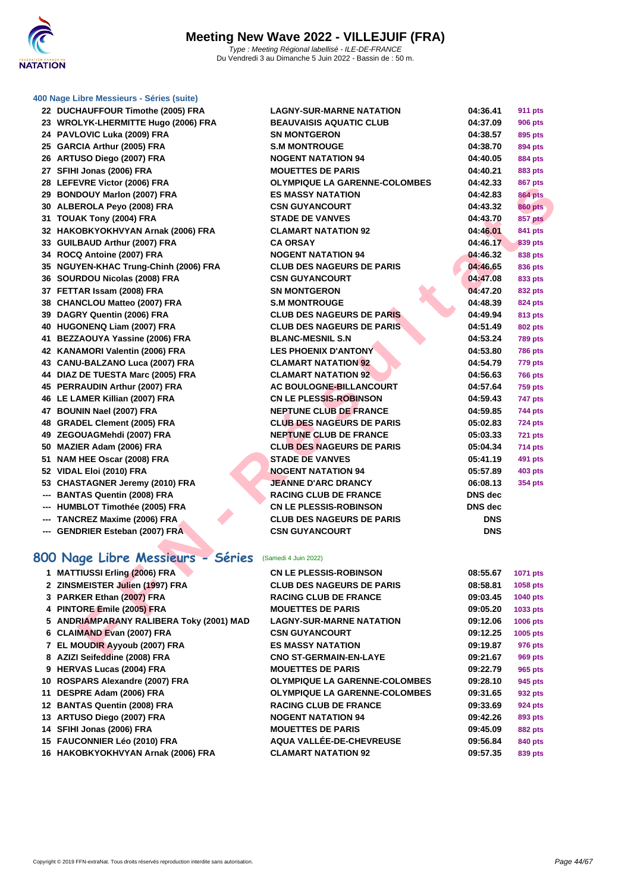

| LL | <b>DOCHAUFFOUR TIMODIE (2003) FRA</b>     |
|----|-------------------------------------------|
|    | 23 WROLYK-LHERMITTE Hugo (2006) FRA       |
| 24 | <b>PAVLOVIC Luka (2009) FRA</b>           |
|    | 25 GARCIA Arthur (2005) FRA               |
| 26 | ARTUSO Diego (2007) FRA                   |
| 27 | SFIHI Jonas (2006) FRA                    |
| 28 | LEFEVRE Victor (2006) FRA                 |
| 29 | <b>BONDOUY Marlon (2007) FRA</b>          |
| 30 | ALBEROLA Peyo (2008) FRA                  |
| 31 | TOUAK Tony (2004) FRA                     |
| 32 | HAKOBKYOKHVYAN Arnak (2006) FRA           |
| 33 | <b>GUILBAUD Arthur (2007) FRA</b>         |
| 34 | ROCQ Antoine (2007) FRA                   |
| 35 | <b>NGUYEN-KHAC Trung-Chinh (2006) FRA</b> |
| 36 | SOURDOU Nicolas (2008) FRA                |
| 37 | FETTAR Issam (2008) FRA                   |
| 38 | <b>CHANCLOU Matteo (2007) FRA</b>         |
| 39 | DAGRY Quentin (2006) FRA                  |
| 40 | HUGONENQ Liam (2007) FRA                  |
| 41 | BEZZAOUYA Yassine (2006) FRA              |
| 42 | KANAMORI Valentin (2006) FRA              |
| 43 | CANU-BALZANO Luca (2007) FRA              |
| 44 | DIAZ DE TUESTA Marc (2005) FRA            |
| 45 | PERRAUDIN Arthur (2007) FRA               |
| 46 | LE LAMER Killian (2007) FRA               |
| 47 | BOUNIN Nael (2007) FRA                    |
| 48 | <b>GRADEL Clement (2005) FRA</b>          |
| 49 | ZEGOUAGMehdi (2007) FRA                   |
| 50 | MAZIER Adam (2006) FRA                    |
| 51 | NAM HEE Oscar (2008) FRA                  |
| 52 | VIDAL Eloi (2010) FRA                     |
|    | 53 CHASTAGNER Jeremy (2010) FRA           |
|    | --- BANTAS Quentin (2008) FRA             |
|    | --- HUMBLOT Timothée (2005) FRA           |
|    | --- TANCREZ Maxime (2006) FRA             |
|    | --- GENDRIER Esteban (2007) FRA           |

| 22 DUCHAUFFOUR Timothe (2005) FRA                     | <b>LAGNY-SUR-MARNE NATATION</b>      | 04:36.41       | <b>911 pts</b> |  |
|-------------------------------------------------------|--------------------------------------|----------------|----------------|--|
| 23 WROLYK-LHERMITTE Hugo (2006) FRA                   | <b>BEAUVAISIS AQUATIC CLUB</b>       | 04:37.09       | <b>906 pts</b> |  |
| 24 PAVLOVIC Luka (2009) FRA                           | <b>SN MONTGERON</b>                  | 04:38.57       | 895 pts        |  |
| 25 GARCIA Arthur (2005) FRA                           | <b>S.M MONTROUGE</b>                 | 04:38.70       | 894 pts        |  |
| 26 ARTUSO Diego (2007) FRA                            | <b>NOGENT NATATION 94</b>            | 04:40.05       | <b>884 pts</b> |  |
| 27 SFIHI Jonas (2006) FRA                             | <b>MOUETTES DE PARIS</b>             | 04:40.21       | 883 pts        |  |
| 28 LEFEVRE Victor (2006) FRA                          | <b>OLYMPIQUE LA GARENNE-COLOMBES</b> | 04:42.33       | <b>867 pts</b> |  |
| 29 BONDOUY Marlon (2007) FRA                          | <b>ES MASSY NATATION</b>             | 04:42.83       | <b>864 pts</b> |  |
| 30 ALBEROLA Peyo (2008) FRA                           | <b>CSN GUYANCOURT</b>                | 04:43.32       | <b>860 pts</b> |  |
| 31 TOUAK Tony (2004) FRA                              | <b>STADE DE VANVES</b>               | 04:43.70       | <b>857 pts</b> |  |
| 32 HAKOBKYOKHVYAN Arnak (2006) FRA                    | <b>CLAMART NATATION 92</b>           | 04:46.01       | 841 pts        |  |
| 33 GUILBAUD Arthur (2007) FRA                         | <b>CA ORSAY</b>                      | 04:46.17       | 839 pts        |  |
| 34 ROCQ Antoine (2007) FRA                            | <b>NOGENT NATATION 94</b>            | 04:46.32       | 838 pts        |  |
| 35 NGUYEN-KHAC Trung-Chinh (2006) FRA                 | <b>CLUB DES NAGEURS DE PARIS</b>     | 04:46.65       | 836 pts        |  |
| 36 SOURDOU Nicolas (2008) FRA                         | <b>CSN GUYANCOURT</b>                | 04:47.08       | 833 pts        |  |
| 37 FETTAR Issam (2008) FRA                            | <b>SN MONTGERON</b>                  | 04:47.20       | 832 pts        |  |
| 38 CHANCLOU Matteo (2007) FRA                         | <b>S.M MONTROUGE</b>                 | 04:48.39       | 824 pts        |  |
| 39 DAGRY Quentin (2006) FRA                           | <b>CLUB DES NAGEURS DE PARIS</b>     | 04:49.94       | 813 pts        |  |
| 40 HUGONENQ Liam (2007) FRA                           | <b>CLUB DES NAGEURS DE PARIS</b>     | 04:51.49       | <b>802 pts</b> |  |
| 41 BEZZAOUYA Yassine (2006) FRA                       | <b>BLANC-MESNIL S.N</b>              | 04:53.24       | <b>789 pts</b> |  |
| 42 KANAMORI Valentin (2006) FRA                       | <b>LES PHOENIX D'ANTONY</b>          | 04:53.80       | <b>786 pts</b> |  |
| 43 CANU-BALZANO Luca (2007) FRA                       | <b>CLAMART NATATION 92</b>           | 04:54.79       | <b>779 pts</b> |  |
| 44 DIAZ DE TUESTA Marc (2005) FRA                     | <b>CLAMART NATATION 92</b>           | 04:56.63       | <b>766 pts</b> |  |
| 45 PERRAUDIN Arthur (2007) FRA                        | AC BOULOGNE-BILLANCOURT              | 04:57.64       | <b>759 pts</b> |  |
| 46 LE LAMER Killian (2007) FRA                        | <b>CN LE PLESSIS-ROBINSON</b>        | 04:59.43       | <b>747 pts</b> |  |
| 47 BOUNIN Nael (2007) FRA                             | <b>NEPTUNE CLUB DE FRANCE</b>        | 04:59.85       | 744 pts        |  |
| 48 GRADEL Clement (2005) FRA                          | <b>CLUB DES NAGEURS DE PARIS</b>     | 05:02.83       | <b>724 pts</b> |  |
| 49 ZEGOUAGMehdi (2007) FRA                            | <b>NEPTUNE CLUB DE FRANCE</b>        | 05:03.33       | 721 pts        |  |
| 50 MAZIER Adam (2006) FRA                             | <b>CLUB DES NAGEURS DE PARIS</b>     | 05:04.34       | <b>714 pts</b> |  |
| 51 NAM HEE Oscar (2008) FRA                           | <b>STADE DE VANVES</b>               | 05:41.19       | 491 pts        |  |
| 52 VIDAL Eloi (2010) FRA                              | <b>NOGENT NATATION 94</b>            | 05:57.89       | <b>403 pts</b> |  |
| 53 CHASTAGNER Jeremy (2010) FRA                       | <b>JEANNE D'ARC DRANCY</b>           | 06:08.13       | <b>354 pts</b> |  |
| --- BANTAS Quentin (2008) FRA                         | <b>RACING CLUB DE FRANCE</b>         | <b>DNS</b> dec |                |  |
| --- HUMBLOT Timothée (2005) FRA                       | <b>CN LE PLESSIS-ROBINSON</b>        | <b>DNS</b> dec |                |  |
| --- TANCREZ Maxime (2006) FRA                         | <b>CLUB DES NAGEURS DE PARIS</b>     | <b>DNS</b>     |                |  |
| --- GENDRIER Esteban (2007) FRA                       | <b>CSN GUYANCOURT</b>                | <b>DNS</b>     |                |  |
|                                                       |                                      |                |                |  |
| 00 Nage Libre Messieurs - Séries (Samedi 4 Juin 2022) |                                      |                |                |  |
| 1 MATTIUSSI Erling (2006) FRA                         | <b>CN LE PLESSIS-ROBINSON</b>        | 08:55.67       | 1071 pts       |  |
| 2 ZINSMEISTER Julien (1997) FRA                       | <b>CLUB DES NAGEURS DE PARIS</b>     | 08:58.81       | 1058 pts       |  |
| 3 PARKER Ethan (2007) FRA                             | <b>RACING CLUB DE FRANCE</b>         | 09:03.45       | 1040 pts       |  |
| 4 PINTORE Emile (2005) FRA                            | <b>MOUETTES DE PARIS</b>             | 09:05.20       | 1033 pts       |  |
| 5 ANDRIAMPARANY RALIBERA Toky (2001) MAD              | <b>LAGNY-SUR-MARNE NATATION</b>      | 09:12.06       | 1006 pts       |  |
| 6 CLAIMAND Evan (2007) FRA                            | <b>CSN GUYANCOURT</b>                | 09:12.25       | 1005 pts       |  |
| 7 EL MOUDIR Ayyoub (2007) FRA                         | <b>ES MASSY NATATION</b>             | 09:19.87       | 976 pts        |  |
| $A$ zizi California (0000) ED A                       | CHO CT OF DIAIN FH                   | 00.04.07       | $\sim$         |  |

## **800 Nage Libre Messieurs - Séries** (Samedi 4 Juin 2022)

| 1 MATTIUSSI Erling (2006) FRA            | <b>CN LE PLESSIS-ROBINSON</b>        | 08:55.67 | <b>1071 pts</b> |
|------------------------------------------|--------------------------------------|----------|-----------------|
| 2 ZINSMEISTER Julien (1997) FRA          | <b>CLUB DES NAGEURS DE PARIS</b>     | 08:58.81 | 1058 pts        |
| 3 PARKER Ethan (2007) FRA                | <b>RACING CLUB DE FRANCE</b>         | 09:03.45 | <b>1040 pts</b> |
| 4 PINTORE Emile (2005) FRA               | <b>MOUETTES DE PARIS</b>             | 09:05.20 | 1033 pts        |
| 5 ANDRIAMPARANY RALIBERA Toky (2001) MAD | <b>LAGNY-SUR-MARNE NATATION</b>      | 09:12.06 | <b>1006 pts</b> |
| 6 CLAIMAND Evan (2007) FRA               | <b>CSN GUYANCOURT</b>                | 09:12.25 | 1005 pts        |
| 7 EL MOUDIR Ayyoub (2007) FRA            | <b>ES MASSY NATATION</b>             | 09:19.87 | 976 pts         |
| 8 AZIZI Seifeddine (2008) FRA            | <b>CNO ST-GERMAIN-EN-LAYE</b>        | 09:21.67 | 969 pts         |
| 9 HERVAS Lucas (2004) FRA                | <b>MOUETTES DE PARIS</b>             | 09:22.79 | 965 pts         |
| 10 ROSPARS Alexandre (2007) FRA          | <b>OLYMPIQUE LA GARENNE-COLOMBES</b> | 09:28.10 | 945 pts         |
| 11 DESPRE Adam (2006) FRA                | <b>OLYMPIQUE LA GARENNE-COLOMBES</b> | 09:31.65 | 932 pts         |
| 12 BANTAS Quentin (2008) FRA             | <b>RACING CLUB DE FRANCE</b>         | 09:33.69 | 924 pts         |
| 13 ARTUSO Diego (2007) FRA               | <b>NOGENT NATATION 94</b>            | 09:42.26 | 893 pts         |
| 14 SFIHI Jonas (2006) FRA                | <b>MOUETTES DE PARIS</b>             | 09:45.09 | <b>882 pts</b>  |
| 15 FAUCONNIER Léo (2010) FRA             | AQUA VALLÉE-DE-CHEVREUSE             | 09:56.84 | 840 pts         |
| 16 HAKOBKYOKHVYAN Arnak (2006) FRA       | <b>CLAMART NATATION 92</b>           | 09:57.35 | 839 pts         |
|                                          |                                      |          |                 |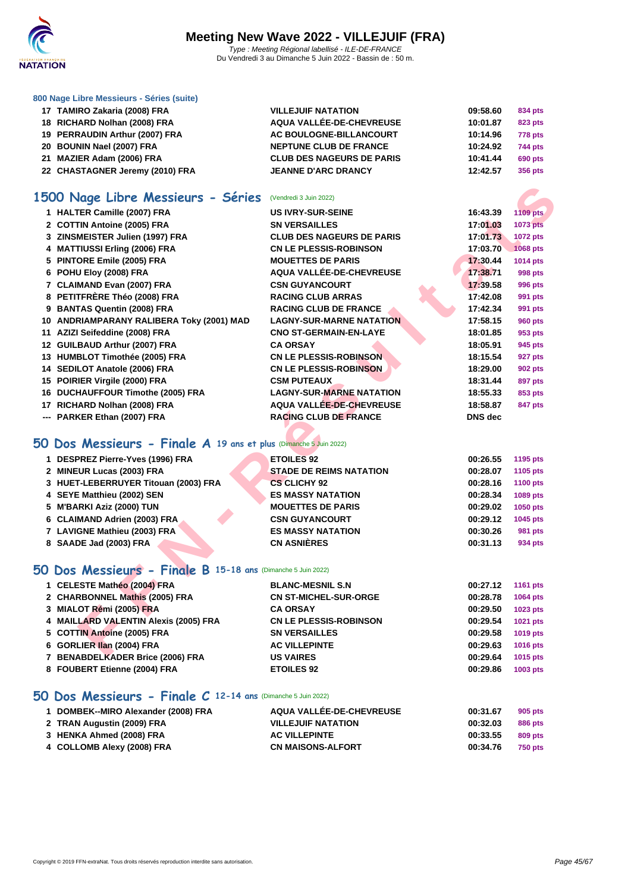

| 17 TAMIRO Zakaria (2008) FRA<br><b>VILLEJUIF NATATION</b>     | 09:58.60 | 834 pts        |
|---------------------------------------------------------------|----------|----------------|
| AQUA VALLÉE-DE-CHEVREUSE<br>18 RICHARD Nolhan (2008) FRA      | 10:01.87 | 823 pts        |
| 19 PERRAUDIN Arthur (2007) FRA<br>AC BOULOGNE-BILLANCOURT     | 10:14.96 | <b>778 pts</b> |
| 20 BOUNIN Nael (2007) FRA<br><b>NEPTUNE CLUB DE FRANCE</b>    | 10:24.92 | <b>744 pts</b> |
| 21 MAZIER Adam (2006) FRA<br><b>CLUB DES NAGEURS DE PARIS</b> | 10:41.44 | 690 pts        |
| 22 CHASTAGNER Jeremy (2010) FRA<br><b>JEANNE D'ARC DRANCY</b> | 12:42.57 | 356 pts        |

## **1500 Nage Libre Messieurs - Séries** (Vendredi 3 Juin 2022)

| 500 Nage Libre Messieurs - Séries (Vendredi 3 Juin 2022)          |                                  |                |                 |
|-------------------------------------------------------------------|----------------------------------|----------------|-----------------|
| 1 HALTER Camille (2007) FRA                                       | <b>US IVRY-SUR-SEINE</b>         | 16:43.39       | <b>1109 pts</b> |
| 2 COTTIN Antoine (2005) FRA                                       | <b>SN VERSAILLES</b>             | 17:01.03       | <b>1073 pts</b> |
| 3 ZINSMEISTER Julien (1997) FRA                                   | <b>CLUB DES NAGEURS DE PARIS</b> | 17:01.73       | 1072 pts        |
| 4 MATTIUSSI Erling (2006) FRA                                     | <b>CN LE PLESSIS-ROBINSON</b>    | 17:03.70       | <b>1068 pts</b> |
| 5 PINTORE Emile (2005) FRA                                        | <b>MOUETTES DE PARIS</b>         | 17:30.44       | 1014 pts        |
| 6 POHU Eloy (2008) FRA                                            | AQUA VALLÉE-DE-CHEVREUSE         | 17:38.71       | <b>998 pts</b>  |
| 7 CLAIMAND Evan (2007) FRA                                        | <b>CSN GUYANCOURT</b>            | 17:39.58       | <b>996 pts</b>  |
| 8 PETITFRÈRE Théo (2008) FRA                                      | <b>RACING CLUB ARRAS</b>         | 17:42.08       | 991 pts         |
| 9 BANTAS Quentin (2008) FRA                                       | <b>RACING CLUB DE FRANCE</b>     | 17:42.34       | 991 pts         |
| 10 ANDRIAMPARANY RALIBERA Toky (2001) MAD                         | <b>LAGNY-SUR-MARNE NATATION</b>  | 17:58.15       | <b>960 pts</b>  |
| 11 AZIZI Seifeddine (2008) FRA                                    | <b>CNO ST-GERMAIN-EN-LAYE</b>    | 18:01.85       | 953 pts         |
| 12 GUILBAUD Arthur (2007) FRA                                     | <b>CA ORSAY</b>                  | 18:05.91       | 945 pts         |
| 13 HUMBLOT Timothée (2005) FRA                                    | <b>CN LE PLESSIS-ROBINSON</b>    | 18:15.54       | 927 pts         |
| 14 SEDILOT Anatole (2006) FRA                                     | <b>CN LE PLESSIS-ROBINSON</b>    | 18:29.00       | <b>902 pts</b>  |
| 15 POIRIER Virgile (2000) FRA                                     | <b>CSM PUTEAUX</b>               | 18:31.44       | 897 pts         |
| 16 DUCHAUFFOUR Timothe (2005) FRA                                 | <b>LAGNY-SUR-MARNE NATATION</b>  | 18:55.33       | 853 pts         |
| 17 RICHARD Nolhan (2008) FRA                                      | <b>AQUA VALLÉE-DE-CHEVREUSE</b>  | 18:58.87       | 847 pts         |
| --- PARKER Ethan (2007) FRA                                       | <b>RACING CLUB DE FRANCE</b>     | <b>DNS</b> dec |                 |
| iO Dos Messieurs - Finale A 19 ans et plus (Dimanche 5 Juin 2022) |                                  |                |                 |
| 1 DESPREZ Pierre-Yves (1996) FRA                                  | <b>ETOILES 92</b>                | 00:26.55       | 1195 pts        |
| 2 MINEUR Lucas (2003) FRA                                         | <b>STADE DE REIMS NATATION</b>   | 00:28.07       | 1105 pts        |
| 3 HUET-LEBERRUYER Titouan (2003) FRA                              | <b>CS CLICHY 92</b>              | 00:28.16       | <b>1100 pts</b> |
| 4 SEYE Matthieu (2002) SEN                                        | <b>ES MASSY NATATION</b>         | 00:28.34       | 1089 pts        |
| 5 M'BARKI Aziz (2000) TUN                                         | <b>MOUETTES DE PARIS</b>         | 00:29.02       | 1050 pts        |
| 6 CLAIMAND Adrien (2003) FRA                                      | <b>CSN GUYANCOURT</b>            | 00:29.12       | 1045 pts        |
| 7 LAVIGNE Mathieu (2003) FRA                                      | <b>ES MASSY NATATION</b>         | 00:30.26       | <b>981 pts</b>  |
| 8 SAADE Jad (2003) FRA                                            | <b>CN ASNIÈRES</b>               | 00:31.13       | 934 pts         |
| O Dos Messieurs - Finale B 15-18 ans (Dimanche 5 Juin 2022)       |                                  |                |                 |
| 1 CELESTE Mathéo (2004) FRA                                       | <b>BLANC-MESNIL S.N</b>          | 00:27.12       | 1161 pts        |
| 2 CHARBONNEL Mathis (2005) FRA                                    | <b>CN ST-MICHEL-SUR-ORGE</b>     | 00:28.78       | 1064 pts        |
| 3 MIALOT Rémi (2005) FRA                                          | <b>CA ORSAY</b>                  | 00:29.50       | 1023 pts        |
| 4 MAILLARD VALENTIN Alexis (2005) FRA                             | <b>CN LE PLESSIS-ROBINSON</b>    | 00:29.54       | 1021 pts        |
| 5 COTTIN Antoine (2005) FRA                                       | <b>SN VERSAILLES</b>             | 00:29.58       | 1019 pts        |
| 6 GORLIER Ilan (2004) FRA                                         | <b>AC VILLEPINTE</b>             | 00:29.63       | <b>1016 pts</b> |
| <b>7 DEMADDEL VADED Bries (2006) EDA</b>                          | <b>He WAIDES</b>                 | 00.206A        | $A O A E = 44$  |

## **50 Dos Messieurs - Finale A 19 ans et plus** (Dimanche 5 Juin 2022)

| 1 DESPREZ Pierre-Yves (1996) FRA     | <b>ETOILES 92</b>              | 00:26.55 | 1195 pts        |
|--------------------------------------|--------------------------------|----------|-----------------|
| 2 MINEUR Lucas (2003) FRA            | <b>STADE DE REIMS NATATION</b> | 00:28.07 | 1105 pts        |
| 3 HUET-LEBERRUYER Titouan (2003) FRA | <b>CS CLICHY 92</b>            | 00:28.16 | <b>1100 pts</b> |
| 4 SEYE Matthieu (2002) SEN           | <b>ES MASSY NATATION</b>       | 00:28.34 | 1089 pts        |
| 5 M'BARKI Aziz (2000) TUN            | <b>MOUETTES DE PARIS</b>       | 00:29.02 | 1050 pts        |
| 6 CLAIMAND Adrien (2003) FRA         | <b>CSN GUYANCOURT</b>          | 00:29.12 | 1045 pts        |
| 7 LAVIGNE Mathieu (2003) FRA         | <b>ES MASSY NATATION</b>       | 00:30.26 | 981 pts         |
| 8 SAADE Jad (2003) FRA               | <b>CN ASNIÈRES</b>             | 00:31.13 | 934 pts         |

## **50 Dos Messieurs - Finale B 15-18 ans** (Dimanche 5 Juin 2022)

| 1 CELESTE Mathéo (2004) FRA           | <b>BLANC-MESNIL S.N</b>       | 00:27.12 | 1161 pts        |
|---------------------------------------|-------------------------------|----------|-----------------|
| 2 CHARBONNEL Mathis (2005) FRA        | <b>CN ST-MICHEL-SUR-ORGE</b>  | 00:28.78 | <b>1064 pts</b> |
| 3 MIALOT Rémi (2005) FRA              | <b>CA ORSAY</b>               | 00:29.50 | 1023 pts        |
| 4 MAILLARD VALENTIN Alexis (2005) FRA | <b>CN LE PLESSIS-ROBINSON</b> | 00:29.54 | 1021 pts        |
| 5 COTTIN Antoine (2005) FRA           | <b>SN VERSAILLES</b>          | 00:29.58 | <b>1019 pts</b> |
| 6 GORLIER IIan (2004) FRA             | <b>AC VILLEPINTE</b>          | 00:29.63 | <b>1016 pts</b> |
| 7 BENABDELKADER Brice (2006) FRA      | <b>US VAIRES</b>              | 00:29.64 | 1015 pts        |
| 8 FOUBERT Etienne (2004) FRA          | <b>ETOILES 92</b>             | 00:29.86 | 1003 pts        |

## **50 Dos Messieurs - Finale C 12-14 ans** (Dimanche 5 Juin 2022)

| 1 DOMBEK--MIRO Alexander (2008) FRA | AQUA VALLÉE-DE-CHEVREUSE  | 00:31.67 | 905 pts        |
|-------------------------------------|---------------------------|----------|----------------|
| 2 TRAN Augustin (2009) FRA          | <b>VILLEJUIF NATATION</b> | 00:32.03 | 886 pts        |
| 3 HENKA Ahmed (2008) FRA            | <b>AC VILLEPINTE</b>      | 00:33.55 | 809 pts        |
| 4 COLLOMB Alexy (2008) FRA          | <b>CN MAISONS-ALFORT</b>  | 00:34.76 | <b>750 pts</b> |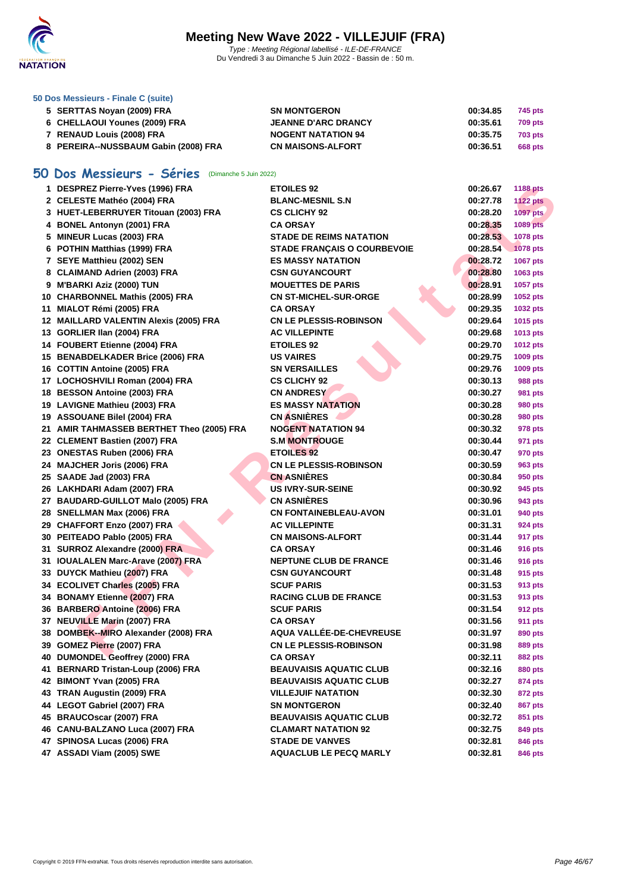

| 50 Dos Messieurs - Finale C (suite) |  |  |  |  |  |  |  |
|-------------------------------------|--|--|--|--|--|--|--|
|-------------------------------------|--|--|--|--|--|--|--|

| 5 SERTTAS Novan (2009) FRA           | <b>SN MONTGERON</b>        | 00:34.85<br>745 pts        |
|--------------------------------------|----------------------------|----------------------------|
| 6 CHELLAOUI Younes (2009) FRA        | <b>JEANNE D'ARC DRANCY</b> | 00:35.61<br>709 pts        |
| 7 RENAUD Louis (2008) FRA            | <b>NOGENT NATATION 94</b>  | 00:35.75<br><b>703 pts</b> |
| 8 PEREIRA--NUSSBAUM Gabin (2008) FRA | <b>CN MAISONS-ALFORT</b>   | 00:36.51<br>668 pts        |

## **50 Dos Messieurs - Séries** (Dimanche 5 Juin 2022)

| 1 DESPREZ Pierre-Yves (1996) FRA          | <b>ETOILES 92</b>                  | 00:26.67 | <b>1188 pts</b> |
|-------------------------------------------|------------------------------------|----------|-----------------|
| 2 CELESTE Mathéo (2004) FRA               | <b>BLANC-MESNIL S.N</b>            | 00:27.78 | <b>1122 pts</b> |
| 3 HUET-LEBERRUYER Titouan (2003) FRA      | <b>CS CLICHY 92</b>                | 00:28.20 | 1097 pts        |
| 4 BONEL Antonyn (2001) FRA                | <b>CA ORSAY</b>                    | 00:28.35 | 1089 pts        |
| 5 MINEUR Lucas (2003) FRA                 | <b>STADE DE REIMS NATATION</b>     | 00:28.53 | 1078 pts        |
| 6 POTHIN Matthias (1999) FRA              | <b>STADE FRANÇAIS O COURBEVOIE</b> | 00:28.54 | <b>1078 pts</b> |
| 7 SEYE Matthieu (2002) SEN                | <b>ES MASSY NATATION</b>           | 00:28.72 | 1067 pts        |
| 8 CLAIMAND Adrien (2003) FRA              | <b>CSN GUYANCOURT</b>              | 00:28.80 | 1063 pts        |
| 9 M'BARKI Aziz (2000) TUN                 | <b>MOUETTES DE PARIS</b>           | 00:28.91 | 1057 pts        |
| 10 CHARBONNEL Mathis (2005) FRA           | <b>CN ST-MICHEL-SUR-ORGE</b>       | 00:28.99 | 1052 pts        |
| 11 MIALOT Rémi (2005) FRA                 | <b>CA ORSAY</b>                    | 00:29.35 | 1032 pts        |
| 12 MAILLARD VALENTIN Alexis (2005) FRA    | <b>CN LE PLESSIS-ROBINSON</b>      | 00:29.64 | 1015 pts        |
| 13 GORLIER IIan (2004) FRA                | <b>AC VILLEPINTE</b>               | 00:29.68 | 1013 pts        |
| 14 FOUBERT Etienne (2004) FRA             | <b>ETOILES 92</b>                  | 00:29.70 | <b>1012 pts</b> |
| 15 BENABDELKADER Brice (2006) FRA         | <b>US VAIRES</b>                   | 00:29.75 | 1009 pts        |
| 16 COTTIN Antoine (2005) FRA              | <b>SN VERSAILLES</b>               | 00:29.76 | 1009 pts        |
| 17 LOCHOSHVILI Roman (2004) FRA           | <b>CS CLICHY 92</b>                | 00:30.13 | 988 pts         |
| 18 BESSON Antoine (2003) FRA              | <b>CN ANDRESY</b>                  | 00:30.27 | 981 pts         |
| 19 LAVIGNE Mathieu (2003) FRA             | <b>ES MASSY NATATION</b>           | 00:30.28 | 980 pts         |
| 19 ASSOUANE Bilel (2004) FRA              | <b>CN ASNIÈRES</b>                 | 00:30.28 | 980 pts         |
| 21 AMIR TAHMASSEB BERTHET Theo (2005) FRA | <b>NOGENT NATATION 94</b>          | 00:30.32 | 978 pts         |
| 22 CLEMENT Bastien (2007) FRA             | <b>S.M MONTROUGE</b>               | 00:30.44 | 971 pts         |
| 23 ONESTAS Ruben (2006) FRA               | <b>ETOILES 92</b>                  | 00:30.47 | 970 pts         |
| 24 MAJCHER Joris (2006) FRA               | <b>CN LE PLESSIS-ROBINSON</b>      | 00:30.59 | 963 pts         |
| 25 SAADE Jad (2003) FRA                   | <b>CN ASNIÈRES</b>                 | 00:30.84 | 950 pts         |
| 26 LAKHDARI Adam (2007) FRA               | <b>US IVRY-SUR-SEINE</b>           | 00:30.92 | 945 pts         |
| 27 BAUDARD-GUILLOT Malo (2005) FRA        | <b>CN ASNIÈRES</b>                 | 00:30.96 | 943 pts         |
| 28 SNELLMAN Max (2006) FRA                | <b>CN FONTAINEBLEAU-AVON</b>       | 00:31.01 | 940 pts         |
| 29 CHAFFORT Enzo (2007) FRA               | <b>AC VILLEPINTE</b>               | 00:31.31 | 924 pts         |
| 30 PEITEADO Pablo (2005) FRA              | <b>CN MAISONS-ALFORT</b>           | 00:31.44 | 917 pts         |
| 31 SURROZ Alexandre (2000) FRA            | <b>CA ORSAY</b>                    | 00:31.46 | 916 pts         |
| 31 IOUALALEN Marc-Arave (2007) FRA        | <b>NEPTUNE CLUB DE FRANCE</b>      | 00:31.46 | 916 pts         |
| 33 DUYCK Mathieu (2007) FRA               | <b>CSN GUYANCOURT</b>              | 00:31.48 | 915 pts         |
| 34 ECOLIVET Charles (2005) FRA            | <b>SCUF PARIS</b>                  | 00:31.53 | 913 pts         |
| 34 BONAMY Etienne (2007) FRA              | <b>RACING CLUB DE FRANCE</b>       | 00:31.53 | 913 pts         |
| 36 BARBERO Antoine (2006) FRA             | <b>SCUF PARIS</b>                  | 00:31.54 | 912 pts         |
| 37 NEUVILLE Marin (2007) FRA              | <b>CA ORSAY</b>                    | 00:31.56 | 911 pts         |
| 38 DOMBEK--MIRO Alexander (2008) FRA      | AQUA VALLÉE-DE-CHEVREUSE           | 00:31.97 | 890 pts         |
| 39 GOMEZ Pierre (2007) FRA                | <b>CN LE PLESSIS-ROBINSON</b>      | 00:31.98 | 889 pts         |
| 40 DUMONDEL Geoffrey (2000) FRA           | <b>CA ORSAY</b>                    | 00:32.11 | <b>882 pts</b>  |
| 41 BERNARD Tristan-Loup (2006) FRA        | BEAUVAISIS AQUATIC CLUB            | 00:32.16 | 880 pts         |
| 42 BIMONT Yvan (2005) FRA                 | <b>BEAUVAISIS AQUATIC CLUB</b>     | 00:32.27 | 874 pts         |
| 43 TRAN Augustin (2009) FRA               | <b>VILLEJUIF NATATION</b>          | 00:32.30 | 872 pts         |
| 44 LEGOT Gabriel (2007) FRA               | <b>SN MONTGERON</b>                | 00:32.40 | 867 pts         |
| 45 BRAUCOscar (2007) FRA                  | <b>BEAUVAISIS AQUATIC CLUB</b>     | 00:32.72 | 851 pts         |
| 46 CANU-BALZANO Luca (2007) FRA           | <b>CLAMART NATATION 92</b>         | 00:32.75 | 849 pts         |
| 47 SPINOSA Lucas (2006) FRA               | <b>STADE DE VANVES</b>             | 00:32.81 | 846 pts         |
| 47 ASSADI Viam (2005) SWE                 | <b>AQUACLUB LE PECQ MARLY</b>      | 00:32.81 | 846 pts         |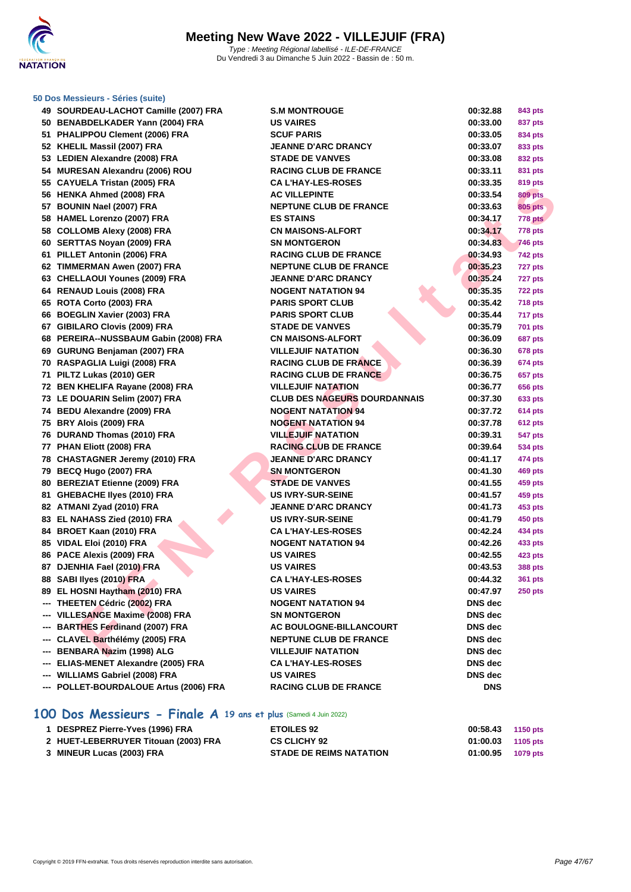

### **[50 Dos M](http://www.ffnatation.fr/webffn/index.php)essieurs - Séries (suite)**

|     | 49 SOURDEAU-LACHOT Camille (2007) FRA  | <b>S.M MONTROUGE</b>                | 00:32.88       | 843 pts        |
|-----|----------------------------------------|-------------------------------------|----------------|----------------|
|     | 50 BENABDELKADER Yann (2004) FRA       | <b>US VAIRES</b>                    | 00:33.00       | 837 pts        |
|     | 51 PHALIPPOU Clement (2006) FRA        | <b>SCUF PARIS</b>                   | 00:33.05       | 834 pts        |
|     | 52 KHELIL Massil (2007) FRA            | <b>JEANNE D'ARC DRANCY</b>          | 00:33.07       | 833 pts        |
|     | 53 LEDIEN Alexandre (2008) FRA         | <b>STADE DE VANVES</b>              | 00:33.08       | 832 pts        |
|     | 54 MURESAN Alexandru (2006) ROU        | <b>RACING CLUB DE FRANCE</b>        | 00:33.11       | 831 pts        |
|     | 55 CAYUELA Tristan (2005) FRA          | <b>CA L'HAY-LES-ROSES</b>           | 00:33.35       | 819 pts        |
|     | 56 HENKA Ahmed (2008) FRA              | <b>AC VILLEPINTE</b>                | 00:33.54       | <b>809 pts</b> |
|     | 57 BOUNIN Nael (2007) FRA              | <b>NEPTUNE CLUB DE FRANCE</b>       | 00:33.63       | <b>805 pts</b> |
|     | 58 HAMEL Lorenzo (2007) FRA            | <b>ES STAINS</b>                    | 00:34.17       | 778 pts        |
|     | 58 COLLOMB Alexy (2008) FRA            | <b>CN MAISONS-ALFORT</b>            | 00:34.17       | 778 pts        |
|     | 60 SERTTAS Noyan (2009) FRA            | <b>SN MONTGERON</b>                 | 00:34.83       | <b>746 pts</b> |
|     | 61 PILLET Antonin (2006) FRA           | <b>RACING CLUB DE FRANCE</b>        | 00:34.93       | 742 pts        |
|     | 62 TIMMERMAN Awen (2007) FRA           | <b>NEPTUNE CLUB DE FRANCE</b>       | 00:35.23       | 727 pts        |
|     | 63 CHELLAOUI Younes (2009) FRA         | <b>JEANNE D'ARC DRANCY</b>          | 00:35.24       | 727 pts        |
|     | 64 RENAUD Louis (2008) FRA             | <b>NOGENT NATATION 94</b>           | 00:35.35       | <b>722 pts</b> |
|     | 65 ROTA Corto (2003) FRA               | <b>PARIS SPORT CLUB</b>             | 00:35.42       | <b>718 pts</b> |
|     | 66 BOEGLIN Xavier (2003) FRA           | <b>PARIS SPORT CLUB</b>             | 00:35.44       | 717 pts        |
|     | 67 GIBILARO Clovis (2009) FRA          | <b>STADE DE VANVES</b>              | 00:35.79       | 701 pts        |
|     | 68 PEREIRA--NUSSBAUM Gabin (2008) FRA  | <b>CN MAISONS-ALFORT</b>            | 00:36.09       | <b>687 pts</b> |
|     | 69 GURUNG Benjaman (2007) FRA          | <b>VILLEJUIF NATATION</b>           | 00:36.30       | <b>678 pts</b> |
|     | 70 RASPAGLIA Luigi (2008) FRA          | <b>RACING CLUB DE FRANCE</b>        | 00:36.39       | 674 pts        |
|     | 71 PILTZ Lukas (2010) GER              | <b>RACING CLUB DE FRANCE</b>        | 00:36.75       | 657 pts        |
|     | 72 BEN KHELIFA Rayane (2008) FRA       | <b>VILLEJUIF NATATION</b>           | 00:36.77       | 656 pts        |
|     | 73 LE DOUARIN Selim (2007) FRA         | <b>CLUB DES NAGEURS DOURDANNAIS</b> | 00:37.30       | 633 pts        |
|     | 74 BEDU Alexandre (2009) FRA           | <b>NOGENT NATATION 94</b>           | 00:37.72       | 614 pts        |
|     | 75 BRY Alois (2009) FRA                | <b>NOGENT NATATION 94</b>           | 00:37.78       | <b>612 pts</b> |
|     | 76 DURAND Thomas (2010) FRA            | <b>VILLEJUIF NATATION</b>           | 00:39.31       | 547 pts        |
|     | 77 PHAN Eliott (2008) FRA              | <b>RACING CLUB DE FRANCE</b>        | 00:39.64       | 534 pts        |
|     | 78 CHASTAGNER Jeremy (2010) FRA        | <b>JEANNE D'ARC DRANCY</b>          | 00:41.17       | 474 pts        |
|     | 79 BECQ Hugo (2007) FRA                | <b>SN MONTGERON</b>                 | 00:41.30       | 469 pts        |
|     | 80 BEREZIAT Etienne (2009) FRA         | <b>STADE DE VANVES</b>              | 00:41.55       | 459 pts        |
|     | 81 GHEBACHE Ilyes (2010) FRA           | <b>US IVRY-SUR-SEINE</b>            | 00:41.57       | 459 pts        |
|     | 82 ATMANI Zyad (2010) FRA              | <b>JEANNE D'ARC DRANCY</b>          | 00:41.73       | 453 pts        |
|     | 83 EL NAHASS Zied (2010) FRA           | <b>US IVRY-SUR-SEINE</b>            | 00:41.79       | 450 pts        |
|     | 84 BROET Kaan (2010) FRA               | <b>CA L'HAY-LES-ROSES</b>           | 00:42.24       | 434 pts        |
|     | 85 VIDAL Eloi (2010) FRA               | <b>NOGENT NATATION 94</b>           | 00:42.26       | 433 pts        |
|     | 86 PACE Alexis (2009) FRA              | <b>US VAIRES</b>                    | 00:42.55       | 423 pts        |
|     | 87 DJENHIA Fael (2010) FRA             | <b>US VAIRES</b>                    | 00:43.53       | 388 pts        |
|     | 88 SABI Ilyes (2010) FRA               | <b>CA L'HAY-LES-ROSES</b>           | 00:44.32       | 361 pts        |
|     | 89 EL HOSNI Haytham (2010) FRA         | <b>US VAIRES</b>                    | 00:47.97       | <b>250 pts</b> |
|     | --- THEETEN Cédric (2002) FRA          | <b>NOGENT NATATION 94</b>           | DNS dec        |                |
|     | --- VILLESANGE Maxime (2008) FRA       | <b>SN MONTGERON</b>                 | DNS dec        |                |
|     | <b>BARTHES Ferdinand (2007) FRA</b>    | <b>AC BOULOGNE-BILLANCOURT</b>      | DNS dec        |                |
| --- | CLAVEL Barthélémy (2005) FRA           | <b>NEPTUNE CLUB DE FRANCE</b>       | DNS dec        |                |
| --- | <b>BENBARA Nazim (1998) ALG</b>        | <b>VILLEJUIF NATATION</b>           | <b>DNS</b> dec |                |
| --- | ELIAS-MENET Alexandre (2005) FRA       | <b>CA L'HAY-LES-ROSES</b>           | DNS dec        |                |
| --- | <b>WILLIAMS Gabriel (2008) FRA</b>     | <b>US VAIRES</b>                    | DNS dec        |                |
|     | --- POLLET-BOURDALOUE Artus (2006) FRA | <b>RACING CLUB DE FRANCE</b>        | <b>DNS</b>     |                |
|     |                                        |                                     |                |                |

## **100 Dos Messieurs - Finale A 19 ans et plus** (Samedi 4 Juin 2022)

| 1 DESPREZ Pierre-Yves (1996) FRA     | <b>ETOILES 92</b>              | 00:58.43 1150 pts   |  |
|--------------------------------------|--------------------------------|---------------------|--|
| 2 HUET-LEBERRUYER Titouan (2003) FRA | <b>CS CLICHY 92</b>            | $01:00.03$ 1105 pts |  |
| 3 MINEUR Lucas (2003) FRA            | <b>STADE DE REIMS NATATION</b> | 01:00.95 1079 pts   |  |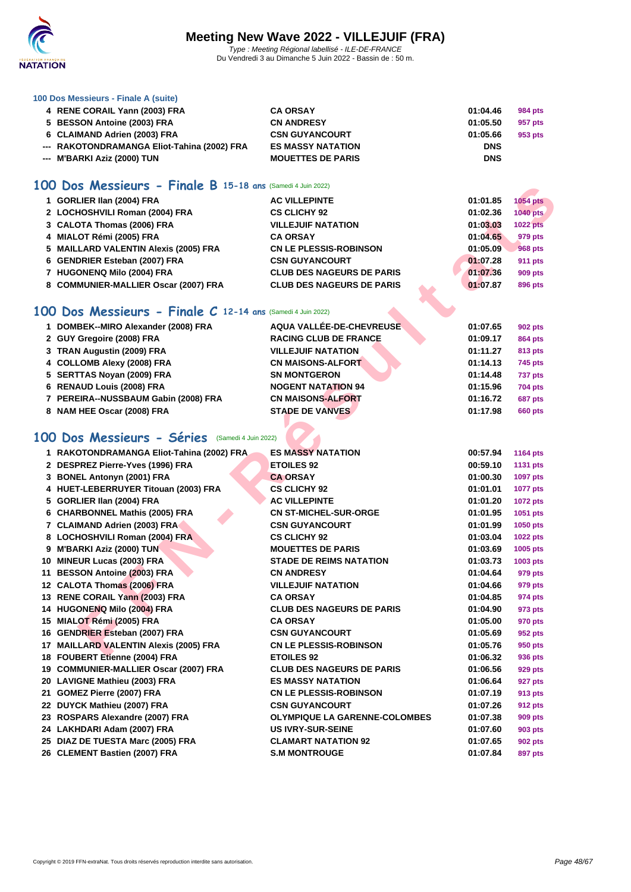

### **[100 Dos M](http://www.ffnatation.fr/webffn/index.php)essieurs - Finale A (suite)**

| 4 RENE CORAIL Yann (2003) FRA               | <b>CA ORSAY</b>          | 01:04.46   | 984 pts |
|---------------------------------------------|--------------------------|------------|---------|
| 5 BESSON Antoine (2003) FRA                 | <b>CN ANDRESY</b>        | 01:05.50   | 957 pts |
| 6 CLAIMAND Adrien (2003) FRA                | <b>CSN GUYANCOURT</b>    | 01:05.66   | 953 pts |
| --- RAKOTONDRAMANGA Eliot-Tahina (2002) FRA | <b>ES MASSY NATATION</b> | <b>DNS</b> |         |
| --- M'BARKI Aziz (2000) TUN                 | <b>MOUETTES DE PARIS</b> | <b>DNS</b> |         |

### **100 Dos Messieurs - Finale B 15-18 ans** (Samedi 4 Juin 2022)

| 1 GORLIER IIan (2004) FRA             | <b>AC VILLEPINTE</b>             | 01:01.85 | <b>1054 pts</b> |
|---------------------------------------|----------------------------------|----------|-----------------|
| 2 LOCHOSHVILI Roman (2004) FRA        | <b>CS CLICHY 92</b>              | 01:02.36 | 1040 pts        |
| 3 CALOTA Thomas (2006) FRA            | <b>VILLEJUIF NATATION</b>        | 01:03.03 | <b>1022 pts</b> |
| 4 MIALOT Rémi (2005) FRA              | <b>CA ORSAY</b>                  | 01:04.65 | 979 pts         |
| 5 MAILLARD VALENTIN Alexis (2005) FRA | <b>CN LE PLESSIS-ROBINSON</b>    | 01:05.09 | <b>968 pts</b>  |
| 6 GENDRIER Esteban (2007) FRA         | <b>CSN GUYANCOURT</b>            | 01:07.28 | 911 pts         |
| 7 HUGONENQ Milo (2004) FRA            | <b>CLUB DES NAGEURS DE PARIS</b> | 01:07.36 | <b>909 pts</b>  |
| 8 COMMUNIER-MALLIER Oscar (2007) FRA  | <b>CLUB DES NAGEURS DE PARIS</b> | 01:07.87 | 896 pts         |

## **100 Dos Messieurs - Finale C 12-14 ans** (Samedi 4 Juin 2022)

|                                                                                                                                                                                                                                                               | 01:07.65                 | 902 pts        |
|---------------------------------------------------------------------------------------------------------------------------------------------------------------------------------------------------------------------------------------------------------------|--------------------------|----------------|
| <b>RACING CLUB DE FRANCE</b>                                                                                                                                                                                                                                  | 01:09.17                 | <b>864 pts</b> |
| <b>VILLEJUIF NATATION</b>                                                                                                                                                                                                                                     | 01:11.27                 | 813 pts        |
| <b>CN MAISONS-ALFORT</b>                                                                                                                                                                                                                                      | 01:14.13                 | 745 pts        |
| <b>SN MONTGERON</b>                                                                                                                                                                                                                                           | 01:14.48                 | 737 pts        |
| <b>NOGENT NATATION 94</b>                                                                                                                                                                                                                                     | 01:15.96                 | <b>704 pts</b> |
| <b>CN MAISONS-ALFORT</b>                                                                                                                                                                                                                                      | 01:16.72                 | 687 pts        |
| <b>STADE DE VANVES</b>                                                                                                                                                                                                                                        | 01:17.98                 | <b>660 pts</b> |
| 1 DOMBEK--MIRO Alexander (2008) FRA<br>2 GUY Gregoire (2008) FRA<br>3 TRAN Augustin (2009) FRA<br>4 COLLOMB Alexy (2008) FRA<br>5 SERTTAS Noyan (2009) FRA<br>6 RENAUD Louis (2008) FRA<br>7 PEREIRA--NUSSBAUM Gabin (2008) FRA<br>8 NAM HEE Oscar (2008) FRA | AQUA VALLÉE-DE-CHEVREUSE |                |

| <b>IUU DOS MESSIEUMS - MINGLE B 15-18 ans (Samedi 4 Juin 2022)</b> |                                      |          |                 |
|--------------------------------------------------------------------|--------------------------------------|----------|-----------------|
| 1 GORLIER IIan (2004) FRA                                          | <b>AC VILLEPINTE</b>                 | 01:01.85 | <b>1054 pts</b> |
| 2 LOCHOSHVILI Roman (2004) FRA                                     | <b>CS CLICHY 92</b>                  | 01:02.36 | <b>1040 pts</b> |
| 3 CALOTA Thomas (2006) FRA                                         | <b>VILLEJUIF NATATION</b>            | 01:03.03 | <b>1022 pts</b> |
| 4 MIALOT Rémi (2005) FRA                                           | <b>CA ORSAY</b>                      | 01:04.65 | 979 pts         |
| 5 MAILLARD VALENTIN Alexis (2005) FRA                              | <b>CN LE PLESSIS-ROBINSON</b>        | 01:05.09 | <b>968 pts</b>  |
| 6 GENDRIER Esteban (2007) FRA                                      | <b>CSN GUYANCOURT</b>                | 01:07.28 | 911 pts         |
| 7 HUGONENQ Milo (2004) FRA                                         | <b>CLUB DES NAGEURS DE PARIS</b>     | 01:07.36 | 909 pts         |
| 8 COMMUNIER-MALLIER Oscar (2007) FRA                               | <b>CLUB DES NAGEURS DE PARIS</b>     | 01:07.87 | 896 pts         |
| 100 Dos Messieurs - Finale C 12-14 ans (Samedi 4 Juin 2022)        |                                      |          |                 |
| 1 DOMBEK--MIRO Alexander (2008) FRA                                | AQUA VALLÉE-DE-CHEVREUSE             | 01:07.65 | <b>902 pts</b>  |
| 2 GUY Gregoire (2008) FRA                                          | <b>RACING CLUB DE FRANCE</b>         | 01:09.17 | 864 pts         |
| 3 TRAN Augustin (2009) FRA                                         | <b>VILLEJUIF NATATION</b>            | 01:11.27 | 813 pts         |
| 4 COLLOMB Alexy (2008) FRA                                         | <b>CN MAISONS-ALFORT</b>             | 01:14.13 | 745 pts         |
| 5 SERTTAS Noyan (2009) FRA                                         | <b>SN MONTGERON</b>                  | 01:14.48 | <b>737 pts</b>  |
| 6 RENAUD Louis (2008) FRA                                          | <b>NOGENT NATATION 94</b>            | 01:15.96 | <b>704 pts</b>  |
| 7 PEREIRA--NUSSBAUM Gabin (2008) FRA                               | <b>CN MAISONS-ALFORT</b>             | 01:16.72 | 687 pts         |
| 8 NAM HEE Oscar (2008) FRA                                         | <b>STADE DE VANVES</b>               | 01:17.98 | <b>660 pts</b>  |
|                                                                    |                                      |          |                 |
| 100 Dos Messieurs - Séries (Samedi 4 Juin 2022)                    |                                      |          |                 |
| 1 RAKOTONDRAMANGA Eliot-Tahina (2002) FRA                          | <b>ES MASSY NATATION</b>             | 00:57.94 | <b>1164 pts</b> |
| 2 DESPREZ Pierre-Yves (1996) FRA                                   | <b>ETOILES 92</b>                    | 00:59.10 | <b>1131 pts</b> |
| 3 BONEL Antonyn (2001) FRA                                         | <b>CA ORSAY</b>                      | 01:00.30 | 1097 pts        |
| 4 HUET-LEBERRUYER Titouan (2003) FRA                               | <b>CS CLICHY 92</b>                  | 01:01.01 | <b>1077 pts</b> |
| 5 GORLIER IIan (2004) FRA                                          | <b>AC VILLEPINTE</b>                 | 01:01.20 | <b>1072 pts</b> |
| 6 CHARBONNEL Mathis (2005) FRA                                     | <b>CN ST-MICHEL-SUR-ORGE</b>         | 01:01.95 | 1051 pts        |
| 7 CLAIMAND Adrien (2003) FRA                                       | <b>CSN GUYANCOURT</b>                | 01:01.99 | 1050 pts        |
| 8 LOCHOSHVILI Roman (2004) FRA                                     | <b>CS CLICHY 92</b>                  | 01:03.04 | <b>1022 pts</b> |
| 9 M'BARKI Aziz (2000) TUN                                          | <b>MOUETTES DE PARIS</b>             | 01:03.69 | 1005 pts        |
| 10 MINEUR Lucas (2003) FRA                                         | <b>STADE DE REIMS NATATION</b>       | 01:03.73 | 1003 pts        |
| 11 BESSON Antoine (2003) FRA                                       | <b>CN ANDRESY</b>                    | 01:04.64 | 979 pts         |
| 12 CALOTA Thomas (2006) FRA                                        | <b>VILLEJUIF NATATION</b>            | 01:04.66 | 979 pts         |
| 13 RENE CORAIL Yann (2003) FRA                                     | <b>CA ORSAY</b>                      | 01:04.85 | 974 pts         |
| 14 HUGONENQ Milo (2004) FRA                                        | <b>CLUB DES NAGEURS DE PARIS</b>     | 01:04.90 | 973 pts         |
| 15 MIALOT Rémi (2005) FRA                                          | <b>CA ORSAY</b>                      | 01:05.00 | 970 pts         |
| 16 GENDRIER Esteban (2007) FRA                                     | <b>CSN GUYANCOURT</b>                | 01:05.69 | 952 pts         |
| 17 MAILLARD VALENTIN Alexis (2005) FRA                             | <b>CN LE PLESSIS-ROBINSON</b>        | 01:05.76 | 950 pts         |
| 18 FOUBERT Etienne (2004) FRA                                      | <b>ETOILES 92</b>                    | 01:06.32 | 936 pts         |
| 19 COMMUNIER-MALLIER Oscar (2007) FRA                              | <b>CLUB DES NAGEURS DE PARIS</b>     | 01:06.56 | 929 pts         |
| 20 LAVIGNE Mathieu (2003) FRA                                      | <b>ES MASSY NATATION</b>             | 01:06.64 | 927 pts         |
| 21 GOMEZ Pierre (2007) FRA                                         | <b>CN LE PLESSIS-ROBINSON</b>        | 01:07.19 | 913 pts         |
| 22 DUYCK Mathieu (2007) FRA                                        | <b>CSN GUYANCOURT</b>                | 01:07.26 | 912 pts         |
| 23 ROSPARS Alexandre (2007) FRA                                    | <b>OLYMPIQUE LA GARENNE-COLOMBES</b> | 01:07.38 | 909 pts         |
| 24 LAKHDARI Adam (2007) FRA                                        | <b>US IVRY-SUR-SEINE</b>             | 01:07.60 | 903 pts         |
| 25 DIAZ DE TUESTA Marc (2005) FRA                                  | <b>CLAMART NATATION 92</b>           | 01:07.65 | 902 pts         |
| 26 CLEMENT Bastien (2007) FRA                                      | <b>S.M MONTROUGE</b>                 | 01:07.84 | 897 pts         |
|                                                                    |                                      |          |                 |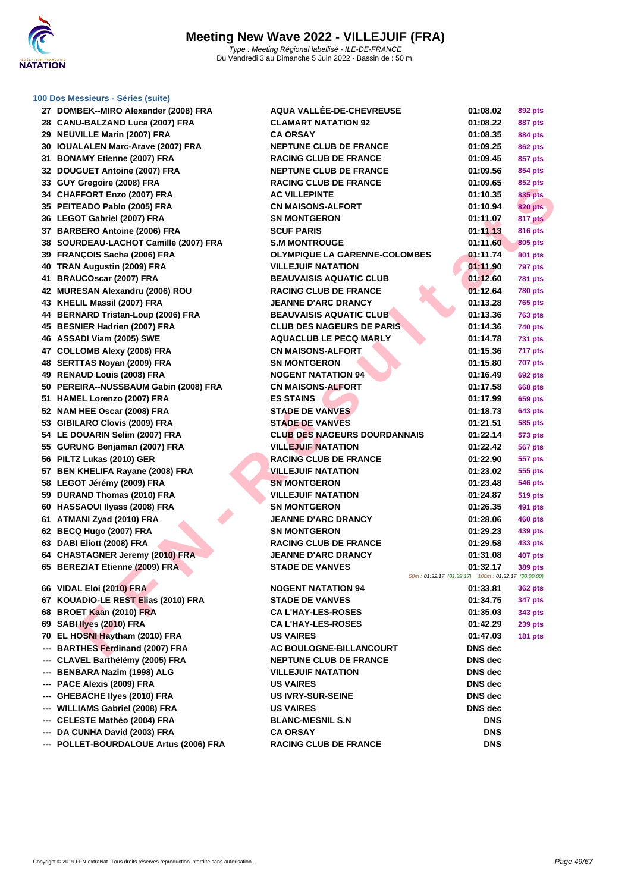

### **[100 Dos M](http://www.ffnatation.fr/webffn/index.php)essieurs - Séries (suite)**

|     | 00 DOS MUSSICUIS - OUTIUS (SUITU)      |                                                    |                |                |
|-----|----------------------------------------|----------------------------------------------------|----------------|----------------|
|     | 27 DOMBEK--MIRO Alexander (2008) FRA   | AQUA VALLÉE-DE-CHEVREUSE                           | 01:08.02       | 892 pts        |
|     | 28 CANU-BALZANO Luca (2007) FRA        | <b>CLAMART NATATION 92</b>                         | 01:08.22       | 887 pts        |
|     | 29 NEUVILLE Marin (2007) FRA           | <b>CA ORSAY</b>                                    | 01:08.35       | <b>884 pts</b> |
|     | 30 IOUALALEN Marc-Arave (2007) FRA     | <b>NEPTUNE CLUB DE FRANCE</b>                      | 01:09.25       | 862 pts        |
|     | 31 BONAMY Etienne (2007) FRA           | <b>RACING CLUB DE FRANCE</b>                       | 01:09.45       | 857 pts        |
|     | 32 DOUGUET Antoine (2007) FRA          | <b>NEPTUNE CLUB DE FRANCE</b>                      | 01:09.56       | 854 pts        |
|     | 33 GUY Gregoire (2008) FRA             | <b>RACING CLUB DE FRANCE</b>                       | 01:09.65       | 852 pts        |
|     | 34 CHAFFORT Enzo (2007) FRA            | <b>AC VILLEPINTE</b>                               | 01:10.35       | <b>835 pts</b> |
|     | 35 PEITEADO Pablo (2005) FRA           | <b>CN MAISONS-ALFORT</b>                           | 01:10.94       | <b>820 pts</b> |
|     | 36 LEGOT Gabriel (2007) FRA            | <b>SN MONTGERON</b>                                | 01:11.07       | 817 pts        |
|     | 37 BARBERO Antoine (2006) FRA          | <b>SCUF PARIS</b>                                  | 01:11.13       | <b>816 pts</b> |
|     | 38 SOURDEAU-LACHOT Camille (2007) FRA  | <b>S.M MONTROUGE</b>                               | 01:11.60       | 805 pts        |
|     | 39 FRANCOIS Sacha (2006) FRA           | <b>OLYMPIQUE LA GARENNE-COLOMBES</b>               | 01:11.74       | 801 pts        |
|     | 40 TRAN Augustin (2009) FRA            | <b>VILLEJUIF NATATION</b>                          | 01:11.90       | <b>797 pts</b> |
|     | 41 BRAUCOscar (2007) FRA               | <b>BEAUVAISIS AQUATIC CLUB</b>                     | 01:12.60       | <b>781 pts</b> |
|     | 42 MURESAN Alexandru (2006) ROU        | <b>RACING CLUB DE FRANCE</b>                       | 01:12.64       | <b>780 pts</b> |
|     | 43 KHELIL Massil (2007) FRA            | <b>JEANNE D'ARC DRANCY</b>                         | 01:13.28       | 765 pts        |
|     | 44 BERNARD Tristan-Loup (2006) FRA     | <b>BEAUVAISIS AQUATIC CLUB</b>                     | 01:13.36       | <b>763 pts</b> |
|     | 45 BESNIER Hadrien (2007) FRA          | <b>CLUB DES NAGEURS DE PARIS</b>                   | 01:14.36       | 740 pts        |
|     | 46 ASSADI Viam (2005) SWE              | <b>AQUACLUB LE PECQ MARLY</b>                      | 01:14.78       | <b>731 pts</b> |
|     | 47 COLLOMB Alexy (2008) FRA            | <b>CN MAISONS-ALFORT</b>                           | 01:15.36       | 717 pts        |
|     | 48 SERTTAS Noyan (2009) FRA            | <b>SN MONTGERON</b>                                | 01:15.80       | <b>707 pts</b> |
|     | 49 RENAUD Louis (2008) FRA             | <b>NOGENT NATATION 94</b>                          | 01:16.49       | <b>692 pts</b> |
|     | 50 PEREIRA--NUSSBAUM Gabin (2008) FRA  | <b>CN MAISONS-ALFORT</b>                           | 01:17.58       | <b>668 pts</b> |
|     | 51 HAMEL Lorenzo (2007) FRA            | <b>ES STAINS</b>                                   | 01:17.99       | 659 pts        |
|     | 52 NAM HEE Oscar (2008) FRA            | <b>STADE DE VANVES</b>                             | 01:18.73       | 643 pts        |
|     | 53 GIBILARO Clovis (2009) FRA          | <b>STADE DE VANVES</b>                             | 01:21.51       | 585 pts        |
|     | 54 LE DOUARIN Selim (2007) FRA         | <b>CLUB DES NAGEURS DOURDANNAIS</b>                | 01:22.14       | 573 pts        |
|     | 55 GURUNG Benjaman (2007) FRA          | <b>VILLEJUIF NATATION</b>                          | 01:22.42       | <b>567 pts</b> |
|     | 56 PILTZ Lukas (2010) GER              | <b>RACING CLUB DE FRANCE</b>                       | 01:22.90       | 557 pts        |
|     | 57 BEN KHELIFA Rayane (2008) FRA       | <b>VILLEJUIF NATATION</b>                          | 01:23.02       | 555 pts        |
|     | 58 LEGOT Jérémy (2009) FRA             | <b>SN MONTGERON</b>                                | 01:23.48       | 546 pts        |
|     | 59 DURAND Thomas (2010) FRA            | <b>VILLEJUIF NATATION</b>                          | 01:24.87       | 519 pts        |
|     | 60 HASSAOUI IIyass (2008) FRA          | <b>SN MONTGERON</b>                                | 01:26.35       | 491 pts        |
|     | 61 ATMANI Zyad (2010) FRA              | <b>JEANNE D'ARC DRANCY</b>                         | 01:28.06       | 460 pts        |
|     | 62 BECQ Hugo (2007) FRA                | <b>SN MONTGERON</b>                                | 01:29.23       | 439 pts        |
|     | 63 DABI Eliott (2008) FRA              | <b>RACING CLUB DE FRANCE</b>                       | 01:29.58       | 433 pts        |
|     | 64 CHASTAGNER Jeremy (2010) FRA        | <b>JEANNE D'ARC DRANCY</b>                         | 01:31.08       | <b>407 pts</b> |
|     | 65 BEREZIAT Etienne (2009) FRA         | <b>STADE DE VANVES</b>                             | 01:32.17       | 389 pts        |
|     |                                        | 50m: 01:32.17 (01:32.17) 100m: 01:32.17 (00:00.00) |                |                |
|     | 66 VIDAL Eloi (2010) FRA               | <b>NOGENT NATATION 94</b>                          | 01:33.81       | <b>362 pts</b> |
|     | 67 KOUADIO-LE REST Elias (2010) FRA    | <b>STADE DE VANVES</b>                             | 01:34.75       | 347 pts        |
|     | 68 BROET Kaan (2010) FRA               | <b>CA L'HAY-LES-ROSES</b>                          | 01:35.03       | 343 pts        |
|     | 69 SABI Ilyes (2010) FRA               | <b>CA L'HAY-LES-ROSES</b>                          | 01:42.29       | <b>239 pts</b> |
|     | 70 EL HOSNI Haytham (2010) FRA         | <b>US VAIRES</b>                                   | 01:47.03       | <b>181 pts</b> |
|     | --- BARTHES Ferdinand (2007) FRA       | AC BOULOGNE-BILLANCOURT                            | <b>DNS</b> dec |                |
|     | CLAVEL Barthélémy (2005) FRA           | <b>NEPTUNE CLUB DE FRANCE</b>                      | DNS dec        |                |
|     | <b>BENBARA Nazim (1998) ALG</b>        | <b>VILLEJUIF NATATION</b>                          | DNS dec        |                |
| --- | <b>PACE Alexis (2009) FRA</b>          | <b>US VAIRES</b>                                   | <b>DNS</b> dec |                |
|     | <b>GHEBACHE Ilyes (2010) FRA</b>       | <b>US IVRY-SUR-SEINE</b>                           | DNS dec        |                |
|     | <b>WILLIAMS Gabriel (2008) FRA</b>     | <b>US VAIRES</b>                                   | DNS dec        |                |
|     | --- CELESTE Mathéo (2004) FRA          | <b>BLANC-MESNIL S.N</b>                            | <b>DNS</b>     |                |
|     | --- DA CUNHA David (2003) FRA          | <b>CA ORSAY</b>                                    | <b>DNS</b>     |                |
|     | --- POLLET-BOURDALOUE Artus (2006) FRA | <b>RACING CLUB DE FRANCE</b>                       | <b>DNS</b>     |                |
|     |                                        |                                                    |                |                |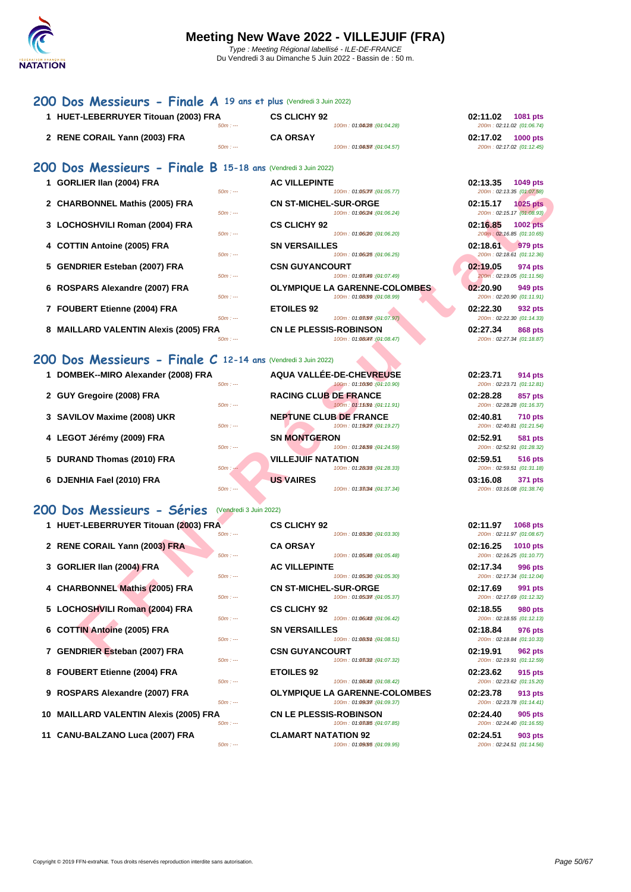### **[200 D](http://www.ffnatation.fr/webffn/index.php)os Messieurs - Finale A 19 ans et plus** (Vendredi 3 Juin 2022)

| 1 HUET-LEBERRUYER Titouan (2003) FRA |           | <b>CS CLICHY 92</b> |                             | 02:11.02 | 1081 pts                  |
|--------------------------------------|-----------|---------------------|-----------------------------|----------|---------------------------|
|                                      | $50m: -$  |                     | 100m: 01:04/28: (01:04.28)  |          | 200m: 02:11.02 (01:06.74) |
| 2 RENE CORAIL Yann (2003) FRA        |           | <b>CA ORSAY</b>     |                             | 02:17.02 | <b>1000 pts</b>           |
|                                      | $50m: --$ |                     | 100m: 01:04.57 : (01:04.57) |          | 200m: 02:17.02 (01:12.45) |

### **200 Dos Messieurs - Finale B 15-18 ans** (Vendredi 3 Juin 2022)

| 1 GORLIER IIan (2004) FRA<br>$50m: -$                        | <b>AC VILLEPINTE</b><br>100m: 01:05077. (04:05.77)                                          | 02:13.35<br>1049 pts<br>200m: 02:13.35 (01:07.58)                             |
|--------------------------------------------------------------|---------------------------------------------------------------------------------------------|-------------------------------------------------------------------------------|
| 2 CHARBONNEL Mathis (2005) FRA<br>$50m: -$                   | <b>CN ST-MICHEL-SUR-ORGE</b>                                                                | 02:15.17<br><b>1025 pts</b>                                                   |
| 3 LOCHOSHVILI Roman (2004) FRA                               | 100m: 01:06/24 : (01:06.24)<br><b>CS CLICHY 92</b>                                          | 200m: 02:15.17 (01:08.93)<br>02:16.85<br><b>1002 pts</b>                      |
| $50m: -$<br>4 COTTIN Antoine (2005) FRA<br>$50m: -$          | 100m: 01:06/20 : (01:06.20)<br><b>SN VERSAILLES</b>                                         | 200m: 02:16.85 (01:10.65)<br>02:18.61<br>979 pts<br>200m: 02:18.61 (01:12.36) |
| 5 GENDRIER Esteban (2007) FRA<br>$50m: -$                    | 100m: 01:06/25 : (01:06.25)<br><b>CSN GUYANCOURT</b><br>100m: 01:08049 : (01:07.49)         | 02:19.05<br>974 pts                                                           |
| 6 ROSPARS Alexandre (2007) FRA                               | <b>OLYMPIQUE LA GARENNE-COLOMBES</b>                                                        | 200m: 02:19.05 (01:11.56)<br>02:20.90<br>949 pts                              |
| $50m: -$<br>7 FOUBERT Etienne (2004) FRA<br>$50m: -$         | 100m: 01:08/99 : (01:08.99)<br><b>ETOILES 92</b>                                            | 200m: 02:20.90 (01:11.91)<br>02:22.30<br>932 pts<br>200m: 02:22.30 (01:14.33) |
| 8 MAILLARD VALENTIN Alexis (2005) FRA<br>$50m: -$            | 100m: 01:08/97 : (01:07.97)<br><b>CN LE PLESSIS-ROBINSON</b><br>100m: 01:08047 : (01:08.47) | 02:27.34<br>868 pts<br>200m: 02:27.34 (01:18.87)                              |
| OO Dos Messieurs - Finale C 12-14 ans (Vendredi 3 Juin 2022) |                                                                                             |                                                                               |
| 1 DOMBEK--MIRO Alexander (2008) FRA<br>$50m: -$              | <b>AQUA VALLÉE-DE-CHEVREUSE</b><br>100m: 01:10090 : (01:10.90)                              | 02:23.71<br>914 pts<br>200m: 02:23.71 (01:12.81)                              |
| 2 GUY Gregoire (2008) FRA<br>$50m: -$                        | <b>RACING CLUB DE FRANCE</b><br>100m: 01:1509m: (01:11.91)                                  | 02:28.28<br>857 pts<br>200m: 02:28.28 (01:16.37)                              |
| 3 SAVILOV Maxime (2008) UKR<br>$50m: -$                      | <b>NEPTUNE CLUB DE FRANCE</b><br>100m: 01:19277: (01:19.27)                                 | 02:40.81<br><b>710 pts</b><br>200m: 02:40.81 (01:21.54)                       |
| 4 LEGOT Jérémy (2009) FRA<br>$50m: -$                        | <b>SN MONTGERON</b><br>100m: 01:24/59 : (01:24.59)                                          | 02:52.91<br><b>581 pts</b><br>200m: 02:52.91 (01:28.32)                       |
| 5 DURAND Thomas (2010) FRA<br>$50m: -$                       | <b>VILLEJUIF NATATION</b><br>100m: 01:28033: (01:28.33)                                     | 02:59.51<br><b>516 pts</b><br>200m: 02:59.51 (01:31.18)                       |
| 6 DJENHIA Fael (2010) FRA<br>$50m: -$                        | <b>US VAIRES</b><br>100m: 01:33034 : (01:37.34)                                             | 03:16.08<br>371 pts<br>200m: 03:16.08 (01:38.74)                              |
| 00 Dos Messieurs - Séries                                    | (Vendredi 3 Juin 2022)                                                                      |                                                                               |
| 1 HUET-LEBERRUYER Titouan (2003) FRA<br>$50m: -$             | <b>CS CLICHY 92</b><br>100m: 01:03/30 : (01:03.30)                                          | 02:11.97<br>1068 pts<br>200m: 02:11.97 (01:08.67)                             |
| 2 RENE CORAIL Yann (2003) FRA<br>$50m: -$                    | <b>CA ORSAY</b><br>100m: 01:05048 : (01:05.48)                                              | 02:16.25<br><b>1010 pts</b><br>200m: 02:16.25 (01:10.77)                      |
| 3 GORLIER IIan (2004) FRA<br>$50m: -$                        | <b>AC VILLEPINTE</b><br>100m: 01:05/30 : (01:05.30)                                         | 02:17.34<br>996 pts<br>200m: 02:17.34 (01:12.04)                              |
| 4 CHARBONNEL Mathis (2005) FRA<br>$50m: -$                   | <b>CN ST-MICHEL-SUR-ORGE</b><br>100m: 01:05/37 : (01:05.37)                                 | 02:17.69<br>991 pts<br>200m: 02:17.69 (01:12.32)                              |
| 5 LOCHOSHVILI Roman (2004) FRA<br>$50m: -$                   | <b>CS CLICHY 92</b><br>100m: 01:06042 : (01:06.42)                                          | 02:18.55<br><b>980 pts</b><br>200m: 02:18.55 (01:12.13)                       |
| 6 COTTIN Antoine (2005) FRA<br>$50m: -$                      | <b>SN VERSAILLES</b><br>100m: 01:08(5th: (01:08.51)                                         | 02:18.84<br>976 pts<br>200m: 02:18.84 (01:10.33)                              |
| 7 GENDRIER Esteban (2007) FRA                                | <b>CSN GUYANCOURT</b>                                                                       | 02:19.91<br><b>962 pts</b>                                                    |

### **200 Dos Messieurs - Finale C 12-14 ans** (Vendredi 3 Juin 2022)

- 
- 
- 
- 
- **5 DURAND Thomas (2010) FRA VILLEJUIF NATATION**
- **6 DJENHIA Fael (2010) FRA US VAIRES**

### **200 Dos Messieurs - Séries** (Vendredi 3 Juin 2022)

- **1 HUET-LEBERRUYER Titouan (2003) FRA CS CLICHY 92**
- **2 RENE CORAIL Yann (2003) FRA**
- **3 GORLIER IIan (2004) FRA BOOTLIEPINTER ACCORDING PINTER**
- **4 CHARBONNEL Mathis (2005) FRA**
- **5 LOCHOSHVILI Roman (2004) FRA**  $\frac{50m}{100}$
- **6 COTTIN Antoine (2005) FRA 50m 11**
- **7 GENDRIER Esteban (2007) FRA**
- **8 FOUBERT Etienne (2004) FRA**
- 
- **10 MAILLARD VALENTIN Alexis (2005) FRA**
- **11 CANU-BALZANO Luca (2007) FRA**  $\frac{50m}{100}$

| 1 HUEI-LEBERRUTER TItouan (2003) FRA  |           | <b>US CLICHT 92</b>                  | <b>02:11.97</b> 1068 pts  |                 |
|---------------------------------------|-----------|--------------------------------------|---------------------------|-----------------|
|                                       | $50m: --$ | 100m: 01:03030 : (01:03.30)          | 200m: 02:11.97 (01:08.67) |                 |
| 2 RENE CORAIL Yann (2003) FRA         |           | <b>CA ORSAY</b>                      | 02:16.25                  | <b>1010 pts</b> |
|                                       | $50m: -$  | 100m: 01:05048 : (01:05.48)          | 200m: 02:16.25 (01:10.77) |                 |
| 3 GORLIER IIan (2004) FRA             |           | <b>AC VILLEPINTE</b>                 | 02:17.34                  | 996 pts         |
|                                       | $50m: -$  | 100m: 01:05080 : (04:05.30)          | 200m: 02:17.34 (01:12.04) |                 |
| 4 CHARBONNEL Mathis (2005) FRA        |           | <b>CN ST-MICHEL-SUR-ORGE</b>         | 02:17.69                  | 991 pts         |
|                                       | $50m: -$  | 100m: 01:05037 : (04:05.37)          | 200m: 02:17.69 (01:12.32) |                 |
| 5 LOCHOSHVILI Roman (2004) FRA        |           | <b>CS CLICHY 92</b>                  | 02:18.55                  | 980 pts         |
|                                       | $50m: -$  | 100m: 01:06042 : (04:06.42)          | 200m: 02:18.55 (01:12.13) |                 |
| 6 COTTIN Antoine (2005) FRA           |           | <b>SN VERSAILLES</b>                 | 02:18.84                  | 976 pts         |
|                                       | $50m: -$  | 100m: 01:08.51 : (01:08.51)          | 200m: 02:18.84 (01:10.33) |                 |
| 7 GENDRIER Esteban (2007) FRA         |           | <b>CSN GUYANCOURT</b>                | 02:19.91                  | 962 pts         |
|                                       | $50m: --$ | 100m: 01:08082 : (04:07.32)          | 200m: 02:19.91 (01:12.59) |                 |
| 8 FOUBERT Etienne (2004) FRA          |           | <b>ETOILES 92</b>                    | 02:23.62                  | 915 pts         |
|                                       | $50m: -$  | 100m: 01:08042 : (01:08.42)          | 200m: 02:23.62 (01:15.20) |                 |
| 9 ROSPARS Alexandre (2007) FRA        |           | <b>OLYMPIQUE LA GARENNE-COLOMBES</b> | 02:23.78                  | 913 pts         |
|                                       | $50m: --$ | 100m: 01:09(37): (04:09.37)          | 200m: 02:23.78 (01:14.41) |                 |
| 0 MAILLARD VALENTIN Alexis (2005) FRA |           | <b>CN LE PLESSIS-ROBINSON</b>        | 02:24.40                  | 905 pts         |
|                                       | $50m: -$  | 100m: 01:08085 : (01:07.85)          | 200m: 02:24.40 (01:16.55) |                 |
| 1 CANU-BALZANO Luca (2007) FRA        |           | <b>CLAMART NATATION 92</b>           | 02:24.51                  | 903 pts         |
|                                       | $50m: --$ | 100m: 01:09:05 : (01:09.95)          | 200m: 02:24.51 (01:14.56) |                 |

| 02:11.02 | 1081 pts                  |
|----------|---------------------------|
|          | 200m: 02:11.02 (01:06.74) |
| 02:17.02 | <b>1000 pts</b>           |
|          | 200m: 02:17.02 (01:12.45) |
|          |                           |

| 02:13.35 1049 pts | 200m: 02:13.35 (01:07.58)                              |
|-------------------|--------------------------------------------------------|
| 02:15.17 1025 pts |                                                        |
| 02:16.85 1002 pts | 200m: 02:15.17 (01:08.93)<br>200m: 02:16.85 (01:10.65) |
| 02:18.61 979 pts  | 200m: 02:18.61 (01:12.36)                              |
| 02:19.05 974 pts  | 200m: 02:19.05 (01:11.56)                              |
| 02:20.90 949 pts  | 200m: 02:20.90 (01:11.91)                              |
| 02:22.30 932 pts  | 200m: 02:22.30 (01:14.33)                              |
| 02:27.34 868 pts  | 200m: 02:27.34 (01:18.87)                              |

| <b>DE-CHEVREUSE</b><br>100m: 01:16090:(04:10.90)  | 02:23.71<br>914 pts<br>200m: 02:23.71 (01:12.81)        |
|---------------------------------------------------|---------------------------------------------------------|
| <b>DE FRANCE</b><br>100m: 01:1509m: (04:11.91)    | 02:28.28<br>857 pts<br>200m: 02:28.28 (01:16.37)        |
| <b>B DE FRANCE</b><br>100m: 01:19(27): (04:19.27) | 02:40.81<br><b>710 pts</b><br>200m: 02:40.81 (01:21.54) |
| ۱N<br>100m: 01:24/59: (01:24.59)                  | 02:52.91<br>581 pts<br>200m: 02:52.91 (01:28.32)        |
| ATION<br>100m: 01:28033 : (01:28.33)              | 02:59.51<br>516 pts<br>200m: 02:59.51 (01:31.18)        |
| 100m: 01:33034 : (01:37.34)                       | 03:16.08<br>371 pts<br>200m: 03:16.08 (01:38.74)        |

| 200m: 02:11.97 (01:08.67)<br>02:16.25 1010 pts<br>200m: 02:16.25 (01:10.77)<br>02:17.34 996 pts<br>200m: 02:17.34 (01:12.04)<br>02:17.69 991 pts<br>200m: 02:17.69 (01:12.32)<br>02:18.55 980 pts<br>200m: 02:18.55 (01:12.13)<br>02:18.84 976 pts<br>200m: 02:18.84 (01:10.33)<br>02:19.91 962 pts<br>200m: 02:19.91 (01:12.59)<br>02:23.62 915 pts<br>200m: 02:23.62 (01:15.20)<br>02:23.78 913 pts<br>200m: 02:23.78 (01:14.41)<br>02:24.40 905 pts<br>200m: 02:24.40 (01:16.55)<br>02:24.51 903 pts | 02:11.97 1068 pts |
|---------------------------------------------------------------------------------------------------------------------------------------------------------------------------------------------------------------------------------------------------------------------------------------------------------------------------------------------------------------------------------------------------------------------------------------------------------------------------------------------------------|-------------------|
|                                                                                                                                                                                                                                                                                                                                                                                                                                                                                                         |                   |
|                                                                                                                                                                                                                                                                                                                                                                                                                                                                                                         |                   |
|                                                                                                                                                                                                                                                                                                                                                                                                                                                                                                         |                   |
|                                                                                                                                                                                                                                                                                                                                                                                                                                                                                                         |                   |
|                                                                                                                                                                                                                                                                                                                                                                                                                                                                                                         |                   |
|                                                                                                                                                                                                                                                                                                                                                                                                                                                                                                         |                   |
|                                                                                                                                                                                                                                                                                                                                                                                                                                                                                                         |                   |
|                                                                                                                                                                                                                                                                                                                                                                                                                                                                                                         |                   |
|                                                                                                                                                                                                                                                                                                                                                                                                                                                                                                         |                   |
|                                                                                                                                                                                                                                                                                                                                                                                                                                                                                                         |                   |
|                                                                                                                                                                                                                                                                                                                                                                                                                                                                                                         |                   |
|                                                                                                                                                                                                                                                                                                                                                                                                                                                                                                         |                   |
|                                                                                                                                                                                                                                                                                                                                                                                                                                                                                                         |                   |
|                                                                                                                                                                                                                                                                                                                                                                                                                                                                                                         |                   |
|                                                                                                                                                                                                                                                                                                                                                                                                                                                                                                         |                   |
|                                                                                                                                                                                                                                                                                                                                                                                                                                                                                                         |                   |
|                                                                                                                                                                                                                                                                                                                                                                                                                                                                                                         |                   |
|                                                                                                                                                                                                                                                                                                                                                                                                                                                                                                         |                   |
|                                                                                                                                                                                                                                                                                                                                                                                                                                                                                                         |                   |
| 200m: 02:24.51 (01:14.56)                                                                                                                                                                                                                                                                                                                                                                                                                                                                               |                   |
|                                                                                                                                                                                                                                                                                                                                                                                                                                                                                                         |                   |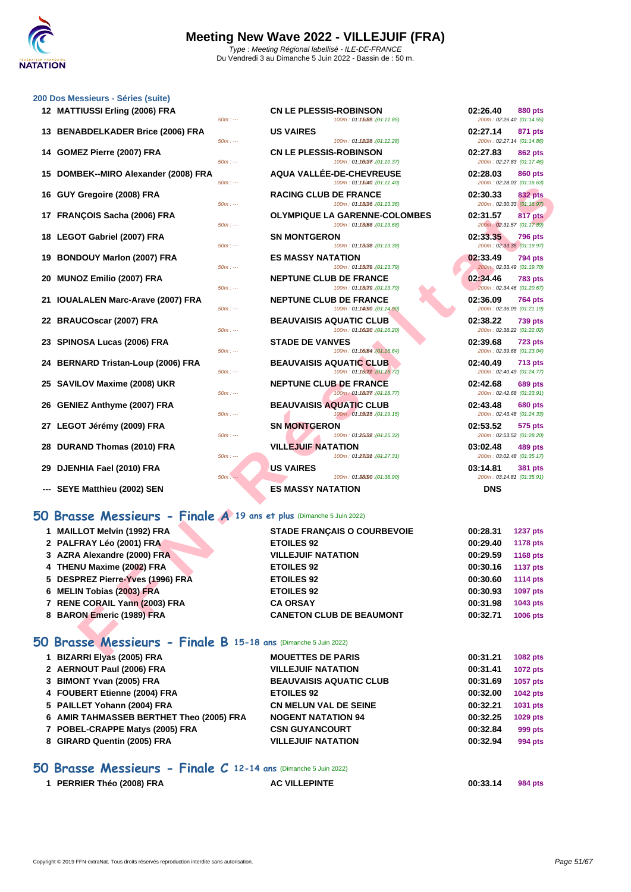

**12 CN LE PLESSIS-ROBINSON 02:26.40 880 pts**<br> **100m**: **01:1585 igh:11.85 com 02:26.40** *01:14.55* 

**13 US VAIRES 100m:** 01:1808 **19:12.28 10:14.28 02:27.14 871 pts** 

### **[200 Dos M](http://www.ffnatation.fr/webffn/index.php)essieurs - Séries (suite)**

| 00 Dos Messieurs - Séries (suite)    |           |                                                                     |                       |
|--------------------------------------|-----------|---------------------------------------------------------------------|-----------------------|
| 12 MATTIUSSI Erling (2006) FRA       | $50m: -$  | <b>CN LE PLESSIS-ROBINSON</b><br>100m: 01:15085 : (01:11.85)        | 02:26.40<br>200m:02   |
| 13 BENABDELKADER Brice (2006) FRA    | $50m: --$ | <b>US VAIRES</b><br>100m: 01:18028 : (01:12.28)                     | 02:27.14<br>200m:02   |
| 14 GOMEZ Pierre (2007) FRA           | $50m: -$  | <b>CN LE PLESSIS-ROBINSON</b><br>100m: 01:10037 : (01:10.37)        | 02:27.83<br>200m: 02. |
| 15 DOMBEK--MIRO Alexander (2008) FRA | $50m: -$  | AQUA VALLÉE-DE-CHEVREUSE<br>100m: 01:15040 : (04:11.40)             | 02:28.03<br>200m:02   |
| 16 GUY Gregoire (2008) FRA           | $50m: -$  | <b>RACING CLUB DE FRANCE</b><br>100m: 01:13036 : (01:13.36)         | 02:30.33<br>200m: 02. |
| 17 FRANÇOIS Sacha (2006) FRA         | $50m: -$  | <b>OLYMPIQUE LA GARENNE-COLOMBES</b><br>100m: 01:13.68 : (01:13.68) | 02:31.57<br>200m:02   |
| 18 LEGOT Gabriel (2007) FRA          | $50m: -$  | <b>SN MONTGERON</b><br>100m: 01:13088 : (01:13.38)                  | 02:33.35<br>200m: 02. |
| 19 BONDOUY Marlon (2007) FRA         | $50m: -$  | <b>ES MASSY NATATION</b><br>100m: 01:13079 : (01:13.79)             | 02:33.49<br>200m: 02. |
| 20 MUNOZ Emilio (2007) FRA           | $50m: -$  | <b>NEPTUNE CLUB DE FRANCE</b><br>100m: 01:13079 : (01:13.79)        | 02:34.46<br>200m:02   |
| 21 IOUALALEN Marc-Arave (2007) FRA   | $50m: -$  | <b>NEPTUNE CLUB DE FRANCE</b><br>100m: 01:14090 : (01:14.90)        | 02:36.09<br>200m: 02. |
| 22 BRAUCOscar (2007) FRA             | $50m: -$  | <b>BEAUVAISIS AQUATIC CLUB</b><br>100m: 01:16/20 : (01:16.20)       | 02:38.22<br>200m: 02. |
| 23 SPINOSA Lucas (2006) FRA          | $50m: -$  | <b>STADE DE VANVES</b><br>100m: 01:16084 : (01:16.64)               | 02:39.68<br>200m:02   |
| 24 BERNARD Tristan-Loup (2006) FRA   | $50m: --$ | <b>BEAUVAISIS AQUATIC CLUB</b><br>100m: 01:15072 : (01:15.72)       | 02:40.49<br>200m:02   |
| 25 SAVILOV Maxime (2008) UKR         | $50m: -$  | <b>NEPTUNE CLUB DE FRANCE</b><br>100m: 01:18077 : (01:18.77)        | 02:42.68<br>200m:02   |
| 26 GENIEZ Anthyme (2007) FRA         | $50m: -$  | <b>BEAUVAISIS AQUATIC CLUB</b><br>100m: 01:190f5 : (01:19.15)       | 02:43.48<br>200m:02   |
| 27 LEGOT Jérémy (2009) FRA           | $50m: -$  | <b>SN MONTGERON</b><br>100m: 01:25032 : (01:25.32)                  | 02:53.52<br>200m: 02. |
| 28 DURAND Thomas (2010) FRA          | $50m: -$  | <b>VILLEJUIF NATATION</b><br>100m: 01:28(3th: (01:27.31)            | 03:02.48<br>200m: 03. |
| 29 DJENHIA Fael (2010) FRA           | $50m: -$  | <b>US VAIRES</b><br>100m: 01:38090 : (01:38.90)                     | 03:14.81<br>200m: 03. |
| --- SEYE Matthieu (2002) SEN         |           | <b>ES MASSY NATATION</b>                                            | <b>DNS</b>            |

## **50 Brasse Messieurs - Finale A 19 ans et plus** (Dimanche 5 Juin 2022)

| <b>CN LE PLESSIS-ROBINSON</b><br>100m: 01:16037: (04:10.37)         | 02:27.83<br>200m: 02:27.83 (01:17.46) | 862 pts        |
|---------------------------------------------------------------------|---------------------------------------|----------------|
| <b>AQUA VALLÉE-DE-CHEVREUSE</b><br>100m: 01:15040 : (01:11.40)      | 02:28.03<br>200m: 02:28.03 (01:16.63) | <b>860 pts</b> |
| <b>RACING CLUB DE FRANCE</b><br>100m: 01:13036 : (04:13.36)         | 02:30.33<br>200m: 02:30.33 (01:16.97) | <b>832 pts</b> |
| <b>OLYMPIQUE LA GARENNE-COLOMBES</b><br>100m: 01:13.68 : (01:13.68) | 02:31.57<br>200m: 02:31.57 (01:17.89) | <b>817 pts</b> |
| <b>SN MONTGERON</b><br>100m: 01:13038 : (01:13.38)                  | 02:33.35<br>200m: 02:33.35 (01:19.97) | <b>796 pts</b> |
| <b>ES MASSY NATATION</b><br>100m: 01:13079 : (01:13.79)             | 02:33.49<br>200m: 02:33.49 (01:19.70) | <b>794 pts</b> |
| <b>NEPTUNE CLUB DE FRANCE</b><br>100m: 01:13079 : (04:13.79)        | 02:34.46<br>200m: 02:34.46 (01:20.67) | <b>783 pts</b> |
| <b>NEPTUNE CLUB DE FRANCE</b><br>100m: 01:14090 : (04:14.90)        | 02:36.09<br>200m: 02:36.09 (01:21.19) | <b>764 pts</b> |
| <b>BEAUVAISIS AQUATIC CLUB</b><br>100m: 01:16/20 : (01:16.20)       | 02:38.22<br>200m: 02:38.22 (01:22.02) | <b>739 pts</b> |
| <b>STADE DE VANVES</b><br>100m: 01:16064 : (01:16.64)               | 02:39.68<br>200m: 02:39.68 (01:23.04) | <b>723 pts</b> |
| <b>BEAUVAISIS AQUATIC CLUB</b><br>100m: 01:15072 : (01:15.72)       | 02:40.49<br>200m: 02:40.49 (01:24.77) | <b>713 pts</b> |
| <b>NEPTUNE CLUB DE FRANCE</b><br>100m: 01:18077 : (01:18.77)        | 02:42.68<br>200m: 02:42.68 (01:23.91) | <b>689 pts</b> |
| <b>BEAUVAISIS AQUATIC CLUB</b><br>100m: 01:190f5 : (01:19.15)       | 02:43.48<br>200m: 02:43.48 (01:24.33) | <b>680 pts</b> |
| <b>SN MONTGERON</b><br>100m: 01:25.32 : (01:25.32)                  | 02:53.52<br>200m: 02:53.52 (01:28.20) | 575 pts        |
| <b>VILLEJUIF NATATION</b><br>100m: 01:2303th: (01:27.31)            | 03:02.48<br>200m: 03:02.48 (01:35.17) | <b>489 pts</b> |
| <b>US VAIRES</b>                                                    | 03:14.81                              | <b>381 pts</b> |

-<br>200m : 02:27.83 (01:17.46) **15 DOMBEK--MIRO Alexander (2008) FRA AQUA VALLÉE-DE-CHEVREUSE 02:28.03 860 pts 16 GUY Gregoire (2008) FRA RACING CLUB DE FRANCE 02:30.33 832 pts** 200m : 02:30.33 (01:16.97) **17 FRANÇOIS Sacha (2006) FRA OLYMPIQUE LA GARENNE-COLOMBES 02:31.57 817 pts 18 LEGOT Gabriel (2007) FRA SN MONTGERON 02:33.35 796 pts** 200m : 02:33.35 (01:19.97) **19 BONDOUY Marlon (2007) FRA ES MASSY NATATION 02:33.49 794 pts** 200m : 02:33.49 (01:19.70) **20 MUNOZ Emilio (2007) FRA NEPTUNE CLUB DE FRANCE 02:34.46 783 pts** -<br>200m : 02:34.46 (01:20.67) **21 IOUALALEN Marc-Arave (2007) FRA NEPTUNE CLUB DE FRANCE 02:36.09 764 pts** 200m : 02:36.09 (01:21.19) **22 BRAUCOscar (2007) FRA BEAUVAISIS AQUATIC CLUB 02:38.22 739 pts** 200m : 02:38.22 (01:22.02) **23 SPINOSA Lucas (2006) FRA STADE DE VANVES 02:39.68 723 pts** 200m : 02:39.68 (01:23.04) **24 BERNARD Tristan-Loup (2006) FRA BEAUVAISIS AQUATIC CLUB 02:40.49 713 pts** 200m : 02:40.49 (01:24.77) **25 SAVILOV Maxime (2008) UKR NEPTUNE CLUB DE FRANCE 02:42.68 689 pts** 200m : 02:42.68 (01:23.91) **26 GENIEZ Anthyme (2007) FRA BEAUVAISIS AQUATIC CLUB 02:43.48 680 pts** 200m : 02:43.48 (01:24.33) **27 LEGOT Jérémy (2009) FRA SN MONTGERON 02:53.52 575 pts** 200m : 02:53.52 (01:28.20) **28 DURAND Thomas (2010) FRA VILLEJUIF NATATION 03:02.48 489 pts** -<br>200m : 03:02.48 (01:35.17) **29 100 D3:14.81 D3:14.81 D3:14.81 D5:591 D3:14.81 D5:591 D6:591 D6:591 D7:35.91 D6:591 D7:35.91 D5:35.91 D7:35.91 D5:35.91 D7:35.91 D7:35.91 D7:35.91 D7:35.91 D7:35.91 D7:35.91 D7** -<br>200m : 03:14.81 (01:35.91)

200m : 02:26.40 (01:14.55)

 $-$  200m : 02:27.14 (01:14.86)

| $\cup$ uni . $-$                                                  | 100111.01.19010.101.11.401                                          | $LUUIII$ . UZ.ZU.UJ [UT.TU.UJ]                          |
|-------------------------------------------------------------------|---------------------------------------------------------------------|---------------------------------------------------------|
| 6 GUY Gregoire (2008) FRA<br>$50m: -$                             | <b>RACING CLUB DE FRANCE</b><br>100m: 01:13036 : (04:13.36)         | 02:30.33<br><b>832 pts</b><br>200m: 02:30.33 (01:16.97) |
| 7 FRANÇOIS Sacha (2006) FRA<br>$50m: -$                           | <b>OLYMPIQUE LA GARENNE-COLOMBES</b><br>100m: 01:13.68): (01:13.68) | 02:31.57<br>817 pts<br>200m: 02:31.57 (01:17.89)        |
| 8 LEGOT Gabriel (2007) FRA                                        | <b>SN MONTGERON</b>                                                 | 02:33.35<br>796 pts                                     |
| $50m: -$<br>9 BONDOUY Marlon (2007) FRA                           | 100m: 01:13038 : (01:13.38)<br><b>ES MASSY NATATION</b>             | 200m: 02:33.35 (01:19.97)<br>02:33.49<br><b>794 pts</b> |
| $50m: -$<br>0 MUNOZ Emilio (2007) FRA                             | 100m: 01:13079 : (01:13.79)<br><b>NEPTUNE CLUB DE FRANCE</b>        | 200m: 02:33.49 (01:19.70)<br>02:34.46<br><b>783 pts</b> |
| $50m: -$                                                          | 100m: 01:13079 : (01:13.79)                                         | 200m: 02:34.46 (01:20.67)                               |
| 1 IOUALALEN Marc-Arave (2007) FRA<br>$50m: -$                     | <b>NEPTUNE CLUB DE FRANCE</b><br>100m: 01:14090 : (01:14.90)        | 02:36.09<br>764 pts<br>200m: 02:36.09 (01:21.19)        |
| 2 BRAUCOscar (2007) FRA                                           | <b>BEAUVAISIS AQUATIC CLUB</b>                                      | 02:38.22<br><b>739 pts</b>                              |
| $50m: -$<br>3 SPINOSA Lucas (2006) FRA                            | 100m: 01:16/20 : (01:16.20)<br><b>STADE DE VANVES</b>               | 200m: 02:38.22 (01:22.02)<br>02:39.68<br><b>723 pts</b> |
| $50m: -$                                                          | 100m: 01:16064 : (01:16.64)                                         | 200m: 02:39.68 (01:23.04)                               |
| 4 BERNARD Tristan-Loup (2006) FRA<br>$50m: -$                     | <b>BEAUVAISIS AQUATIC CLUB</b><br>100m: 01:15072 : (01:15.72)       | 02:40.49<br><b>713 pts</b><br>200m: 02:40.49 (01:24.77) |
| 5 SAVILOV Maxime (2008) UKR<br>$50m: -$                           | <b>NEPTUNE CLUB DE FRANCE</b><br>100m: 01:18077 : (01:18.77)        | 02:42.68<br>689 pts<br>200m: 02:42.68 (01:23.91)        |
| 6 GENIEZ Anthyme (2007) FRA<br>$50m: -$                           | <b>BEAUVAISIS AQUATIC CLUB</b><br>100m: 01:190f5 : (01:19.15)       | 02:43.48<br><b>680 pts</b><br>200m: 02:43.48 (01:24.33) |
| 7 LEGOT Jérémy (2009) FRA<br>$50m: -$                             | <b>SN MONTGERON</b><br>100m: 01:25032 : (01:25.32)                  | 02:53.52<br>575 pts<br>200m: 02:53.52 (01:28.20)        |
| 8 DURAND Thomas (2010) FRA                                        | <b>VILLEJUIF NATATION</b>                                           | 03:02.48<br>489 pts                                     |
| $50m: -$<br>9 DJENHIA Fael (2010) FRA                             | 100m: 01:2303th: (01:27.31)<br><b>US VAIRES</b>                     | 200m: 03:02.48 (01:35.17)<br>03:14.81<br><b>381 pts</b> |
| $50m: -$                                                          | 100m: 01:38/90 : (01:38.90)                                         | 200m: 03:14.81 (01:35.91)                               |
| -- SEYE Matthieu (2002) SEN                                       | <b>ES MASSY NATATION</b>                                            | <b>DNS</b>                                              |
| Brasse Messieurs - Finale A 19 ans et plus (Dimanche 5 Juin 2022) |                                                                     |                                                         |
| 1 MAILLOT Melvin (1992) FRA                                       | <b>STADE FRANÇAIS O COURBEVOIE</b>                                  | 00:28.31<br><b>1237 pts</b>                             |
| 2 PALFRAY Léo (2001) FRA                                          | <b>ETOILES 92</b>                                                   | 00:29.40<br><b>1178 pts</b>                             |
| 3 AZRA Alexandre (2000) FRA                                       | <b>VILLEJUIF NATATION</b>                                           | 00:29.59<br><b>1168 pts</b>                             |
| 4 THENU Maxime (2002) FRA                                         | <b>ETOILES 92</b>                                                   | 00:30.16<br><b>1137 pts</b>                             |
| 5 DESPREZ Pierre-Yves (1996) FRA                                  | <b>ETOILES 92</b>                                                   | 00:30.60<br><b>1114 pts</b>                             |
| 6 MELIN Tobias (2003) FRA                                         | <b>ETOILES 92</b>                                                   | 00:30.93<br>1097 pts                                    |
| 7 RENE CORAIL Yann (2003) FRA                                     | <b>CA ORSAY</b>                                                     | 00:31.98<br>1043 pts                                    |
| 8 BARON Emeric (1989) FRA                                         | <b>CANETON CLUB DE BEAUMONT</b>                                     | 00:32.71<br>1006 pts                                    |
| Brasse Messieurs - Finale B 15-18 ans (Dimanche 5 Juin 2022)      |                                                                     |                                                         |
| $\overline{A}$ DIZADDI Elias (2005) EDA                           | <b>MOUETTEC DE DADIC</b>                                            | 00-24.24<br>$ADOO = 4$                                  |
|                                                                   |                                                                     |                                                         |

## **50 Brasse Messieurs - Finale B 15-18 ans** (Dimanche 5 Juin 2022)

| 1 BIZARRI Elyas (2005) FRA               | <b>MOUETTES DE PARIS</b>       | 00:31.21 | <b>1082 pts</b> |
|------------------------------------------|--------------------------------|----------|-----------------|
| 2 AERNOUT Paul (2006) FRA                | <b>VILLEJUIF NATATION</b>      | 00:31.41 | <b>1072 pts</b> |
| 3 BIMONT Yvan (2005) FRA                 | <b>BEAUVAISIS AQUATIC CLUB</b> | 00:31.69 | <b>1057 pts</b> |
| 4 FOUBERT Etienne (2004) FRA             | <b>ETOILES 92</b>              | 00:32.00 | <b>1042 pts</b> |
| 5 PAILLET Yohann (2004) FRA              | <b>CN MELUN VAL DE SEINE</b>   | 00:32.21 | 1031 pts        |
| 6 AMIR TAHMASSEB BERTHET Theo (2005) FRA | <b>NOGENT NATATION 94</b>      | 00:32.25 | 1029 pts        |
| 7 POBEL-CRAPPE Matys (2005) FRA          | <b>CSN GUYANCOURT</b>          | 00:32.84 | 999 pts         |
| 8 GIRARD Quentin (2005) FRA              | <b>VILLEJUIF NATATION</b>      | 00:32.94 | 994 pts         |
|                                          |                                |          |                 |

### **50 Brasse Messieurs - Finale C 12-14 ans** (Dimanche 5 Juin 2022)

| 1 PERRIER Théo (2008) FRA | <b>AC VILLEPINTE</b> | 00:33.14 | 984 pts |
|---------------------------|----------------------|----------|---------|
|                           |                      |          |         |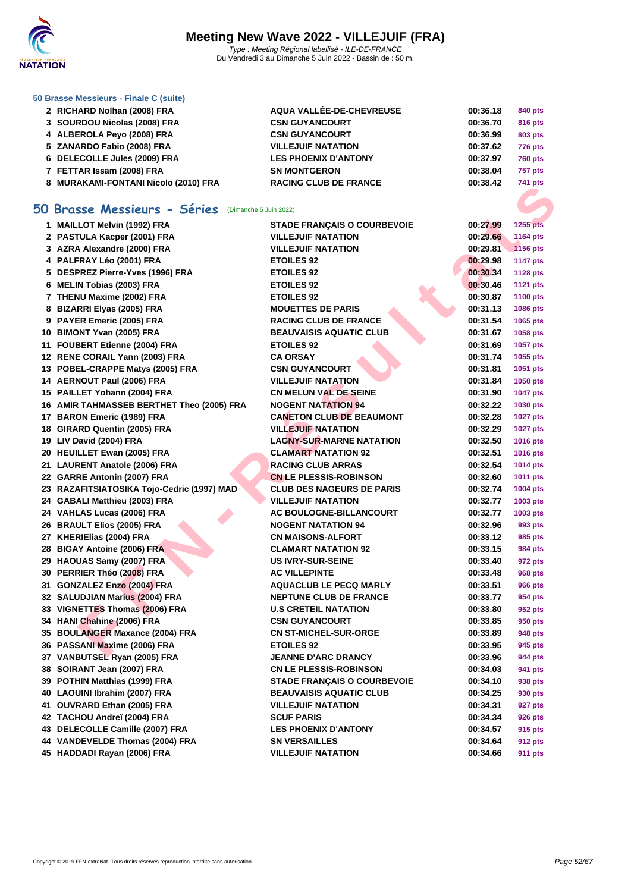

### **[50 Brasse](http://www.ffnatation.fr/webffn/index.php) Messieurs - Finale C (suite)**

| 2 RICHARD Nolhan (2008) FRA          | <b>AQUA VALLÉE-DE-CHEVREUSE</b> | 00:36.18 | 840 pts        |
|--------------------------------------|---------------------------------|----------|----------------|
| 3 SOURDOU Nicolas (2008) FRA         | <b>CSN GUYANCOURT</b>           | 00:36.70 | <b>816 pts</b> |
| 4 ALBEROLA Peyo (2008) FRA           | <b>CSN GUYANCOURT</b>           | 00:36.99 | 803 pts        |
| 5 ZANARDO Fabio (2008) FRA           | <b>VILLEJUIF NATATION</b>       | 00:37.62 | <b>776 pts</b> |
| 6 DELECOLLE Jules (2009) FRA         | <b>LES PHOENIX D'ANTONY</b>     | 00:37.97 | <b>760 pts</b> |
| 7 FETTAR Issam (2008) FRA            | <b>SN MONTGERON</b>             | 00:38.04 | 757 pts        |
| 8 MURAKAMI-FONTANI Nicolo (2010) FRA | <b>RACING CLUB DE FRANCE</b>    | 00:38.42 | <b>741 pts</b> |
|                                      |                                 |          |                |

## **50 Brasse Messieurs - Séries** (Dimanche 5 Juin 2022)

| <b><i>U MUNARAMEL UNTAIN NICOLO (2010) LIVA</i></b>      |                                                             |                      | 741 pis             |
|----------------------------------------------------------|-------------------------------------------------------------|----------------------|---------------------|
| i0 Brasse Messieurs - Séries<br>(Dimanche 5 Juin 2022)   |                                                             |                      |                     |
| 1 MAILLOT Melvin (1992) FRA                              | <b>STADE FRANÇAIS O COURBEVOIE</b>                          | 00:27.99             | 1255 pts            |
| 2 PASTULA Kacper (2001) FRA                              | <b>VILLEJUIF NATATION</b>                                   | 00:29.66             | 1164 pts            |
| 3 AZRA Alexandre (2000) FRA                              | <b>VILLEJUIF NATATION</b>                                   | 00:29.81             | 1156 pts            |
| 4 PALFRAY Léo (2001) FRA                                 | <b>ETOILES 92</b>                                           | 00:29.98             | <b>1147 pts</b>     |
| 5 DESPREZ Pierre-Yves (1996) FRA                         | <b>ETOILES 92</b>                                           | 00:30.34             | <b>1128 pts</b>     |
| 6 MELIN Tobias (2003) FRA                                | <b>ETOILES 92</b>                                           | 00:30.46             | <b>1121 pts</b>     |
| 7 THENU Maxime (2002) FRA                                | <b>ETOILES 92</b>                                           | 00:30.87             | <b>1100 pts</b>     |
| 8 BIZARRI Elyas (2005) FRA                               | <b>MOUETTES DE PARIS</b>                                    | 00:31.13             | 1086 pts            |
| 9 PAYER Emeric (2005) FRA                                | <b>RACING CLUB DE FRANCE</b>                                | 00:31.54             | 1065 pts            |
| 10 BIMONT Yvan (2005) FRA                                | <b>BEAUVAISIS AQUATIC CLUB</b>                              | 00:31.67             | 1058 pts            |
| 11 FOUBERT Etienne (2004) FRA                            | <b>ETOILES 92</b>                                           | 00:31.69             | 1057 pts            |
| 12 RENE CORAIL Yann (2003) FRA                           | <b>CA ORSAY</b>                                             | 00:31.74             | 1055 pts            |
| 13 POBEL-CRAPPE Matys (2005) FRA                         | <b>CSN GUYANCOURT</b>                                       | 00:31.81             | 1051 pts            |
| 14 AERNOUT Paul (2006) FRA                               | <b>VILLEJUIF NATATION</b>                                   | 00:31.84             | 1050 pts            |
| 15 PAILLET Yohann (2004) FRA                             | <b>CN MELUN VAL DE SEINE</b>                                | 00:31.90             | <b>1047 pts</b>     |
| 16 AMIR TAHMASSEB BERTHET Theo (2005) FRA                | <b>NOGENT NATATION 94</b>                                   | 00:32.22             | 1030 pts            |
| 17 BARON Emeric (1989) FRA                               | <b>CANETON CLUB DE BEAUMONT</b>                             | 00:32.28             | <b>1027 pts</b>     |
| 18 GIRARD Quentin (2005) FRA                             | <b>VILLEJUIF NATATION</b>                                   | 00:32.29             | <b>1027 pts</b>     |
| 19 LIV David (2004) FRA                                  | <b>LAGNY-SUR-MARNE NATATION</b>                             | 00:32.50             | 1016 pts            |
| 20 HEUILLET Ewan (2005) FRA                              | <b>CLAMART NATATION 92</b>                                  | 00:32.51             | 1016 pts            |
| 21 LAURENT Anatole (2006) FRA                            | <b>RACING CLUB ARRAS</b>                                    | 00:32.54             | 1014 pts            |
| 22 GARRE Antonin (2007) FRA                              | <b>CN LE PLESSIS-ROBINSON</b>                               | 00:32.60             | 1011 pts            |
| 23 RAZAFITSIATOSIKA Tojo-Cedric (1997) MAD               | <b>CLUB DES NAGEURS DE PARIS</b>                            | 00:32.74             | 1004 pts            |
| 24 GABALI Matthieu (2003) FRA                            | <b>VILLEJUIF NATATION</b>                                   | 00:32.77             | 1003 pts            |
| 24 VAHLAS Lucas (2006) FRA<br>26 BRAULT Elios (2005) FRA | <b>AC BOULOGNE-BILLANCOURT</b><br><b>NOGENT NATATION 94</b> | 00:32.77<br>00:32.96 | 1003 pts<br>993 pts |
| 27 KHERIElias (2004) FRA                                 | <b>CN MAISONS-ALFORT</b>                                    | 00:33.12             | 985 pts             |
| 28 BIGAY Antoine (2006) FRA                              | <b>CLAMART NATATION 92</b>                                  | 00:33.15             | 984 pts             |
| 29 HAOUAS Samy (2007) FRA                                | <b>US IVRY-SUR-SEINE</b>                                    | 00:33.40             | 972 pts             |
| 30 PERRIER Théo (2008) FRA                               | <b>AC VILLEPINTE</b>                                        | 00:33.48             | 968 pts             |
| 31 GONZALEZ Enzo (2004) FRA                              | <b>AQUACLUB LE PECQ MARLY</b>                               | 00:33.51             | <b>966 pts</b>      |
| 32 SALUDJIAN Marius (2004) FRA                           | <b>NEPTUNE CLUB DE FRANCE</b>                               | 00:33.77             | 954 pts             |
| 33 VIGNETTES Thomas (2006) FRA                           | <b>U.S CRETEIL NATATION</b>                                 | 00:33.80             | 952 pts             |
| 34 HANI Chahine (2006) FRA                               | <b>CSN GUYANCOURT</b>                                       | 00:33.85             | 950 pts             |
| 35 BOULANGER Maxance (2004) FRA                          | <b>CN ST-MICHEL-SUR-ORGE</b>                                | 00:33.89             | 948 pts             |
| 36 PASSANI Maxime (2006) FRA                             | <b>ETOILES 92</b>                                           | 00:33.95             | 945 pts             |
| 37 VANBUTSEL Ryan (2005) FRA                             | JEANNE D'ARC DRANCY                                         | 00:33.96             | 944 pts             |
| 38 SOIRANT Jean (2007) FRA                               | <b>CN LE PLESSIS-ROBINSON</b>                               | 00:34.03             | 941 pts             |
| 39 POTHIN Matthias (1999) FRA                            | <b>STADE FRANÇAIS O COURBEVOIE</b>                          | 00:34.10             | 938 pts             |
| 40 LAOUINI Ibrahim (2007) FRA                            | <b>BEAUVAISIS AQUATIC CLUB</b>                              | 00:34.25             | 930 pts             |
| 41 OUVRARD Ethan (2005) FRA                              | <b>VILLEJUIF NATATION</b>                                   | 00:34.31             | <b>927 pts</b>      |
| 42 TACHOU Andreï (2004) FRA                              | <b>SCUF PARIS</b>                                           | 00:34.34             | 926 pts             |
| 43 DELECOLLE Camille (2007) FRA                          | <b>LES PHOENIX D'ANTONY</b>                                 | 00:34.57             | 915 pts             |
| 44 VANDEVELDE Thomas (2004) FRA                          | <b>SN VERSAILLES</b>                                        | 00:34.64             | 912 pts             |
| 45 HADDADI Rayan (2006) FRA                              | <b>VILLEJUIF NATATION</b>                                   | 00:34.66             | 911 pts             |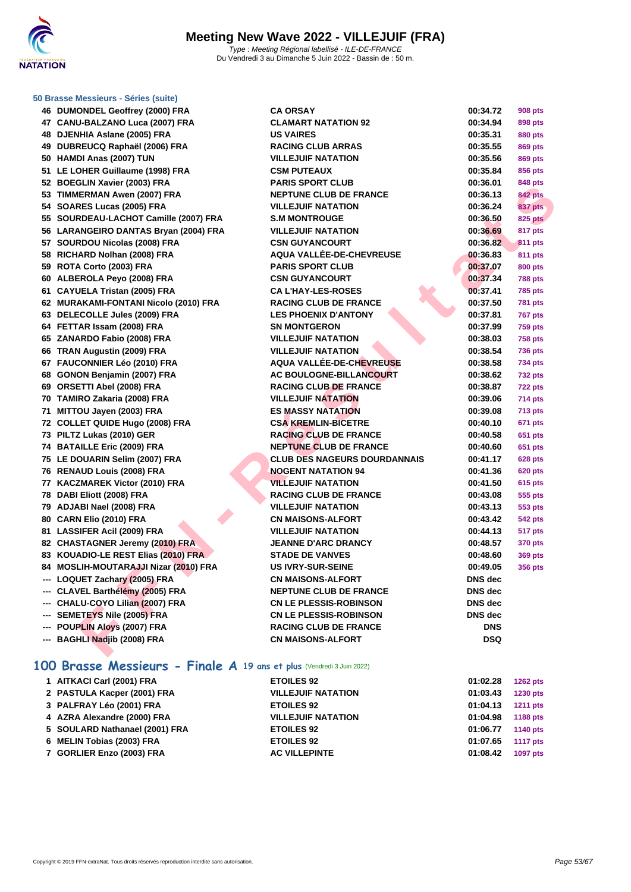

### **[50 Brasse](http://www.ffnatation.fr/webffn/index.php) Messieurs - Séries (suite)**

| 46 DUMONDEL Geoffrey (2000) FRA       | <b>CA ORSAY</b>                     | 00:34.72       | <b>908 pts</b> |
|---------------------------------------|-------------------------------------|----------------|----------------|
| 47 CANU-BALZANO Luca (2007) FRA       | <b>CLAMART NATATION 92</b>          | 00:34.94       | 898 pts        |
| 48 DJENHIA Aslane (2005) FRA          | <b>US VAIRES</b>                    | 00:35.31       | 880 pts        |
| 49 DUBREUCQ Raphaël (2006) FRA        | <b>RACING CLUB ARRAS</b>            | 00:35.55       | 869 pts        |
| 50 HAMDI Anas (2007) TUN              | <b>VILLEJUIF NATATION</b>           | 00:35.56       | 869 pts        |
| 51 LE LOHER Guillaume (1998) FRA      | <b>CSM PUTEAUX</b>                  | 00:35.84       | 856 pts        |
| 52 BOEGLIN Xavier (2003) FRA          | <b>PARIS SPORT CLUB</b>             | 00:36.01       | 848 pts        |
| 53 TIMMERMAN Awen (2007) FRA          | <b>NEPTUNE CLUB DE FRANCE</b>       | 00:36.13       | <b>842 pts</b> |
| 54 SOARES Lucas (2005) FRA            | <b>VILLEJUIF NATATION</b>           | 00:36.24       | <b>837 pts</b> |
| 55 SOURDEAU-LACHOT Camille (2007) FRA | <b>S.M MONTROUGE</b>                | 00:36.50       | <b>825 pts</b> |
| 56 LARANGEIRO DANTAS Bryan (2004) FRA | <b>VILLEJUIF NATATION</b>           | 00:36.69       | 817 pts        |
| 57 SOURDOU Nicolas (2008) FRA         | <b>CSN GUYANCOURT</b>               | 00:36.82       | <b>811 pts</b> |
| 58 RICHARD Nolhan (2008) FRA          | <b>AQUA VALLÉE-DE-CHEVREUSE</b>     | 00:36.83       | 811 pts        |
| 59 ROTA Corto (2003) FRA              | <b>PARIS SPORT CLUB</b>             | 00:37.07       | <b>800 pts</b> |
| 60 ALBEROLA Peyo (2008) FRA           | <b>CSN GUYANCOURT</b>               | 00:37.34       | <b>788 pts</b> |
| 61 CAYUELA Tristan (2005) FRA         | <b>CA L'HAY-LES-ROSES</b>           | 00:37.41       | <b>785 pts</b> |
| 62 MURAKAMI-FONTANI Nicolo (2010) FRA | <b>RACING CLUB DE FRANCE</b>        | 00:37.50       | <b>781 pts</b> |
| 63 DELECOLLE Jules (2009) FRA         | <b>LES PHOENIX D'ANTONY</b>         | 00:37.81       | <b>767 pts</b> |
| 64 FETTAR Issam (2008) FRA            | <b>SN MONTGERON</b>                 | 00:37.99       | <b>759 pts</b> |
| 65 ZANARDO Fabio (2008) FRA           | <b>VILLEJUIF NATATION</b>           | 00:38.03       | <b>758 pts</b> |
| 66 TRAN Augustin (2009) FRA           | <b>VILLEJUIF NATATION</b>           | 00:38.54       | <b>736 pts</b> |
| 67 FAUCONNIER Léo (2010) FRA          | AQUA VALLÉE-DE-CHEVREUSE            | 00:38.58       | <b>734 pts</b> |
| 68 GONON Benjamin (2007) FRA          | AC BOULOGNE-BILLANCOURT             | 00:38.62       | <b>732 pts</b> |
| 69 ORSETTI Abel (2008) FRA            | <b>RACING CLUB DE FRANCE</b>        | 00:38.87       | <b>722 pts</b> |
| 70 TAMIRO Zakaria (2008) FRA          | <b>VILLEJUIF NATATION</b>           | 00:39.06       | <b>714 pts</b> |
| 71 MITTOU Jayen (2003) FRA            | <b>ES MASSY NATATION</b>            | 00:39.08       | <b>713 pts</b> |
| 72 COLLET QUIDE Hugo (2008) FRA       | <b>CSA KREMLIN-BICETRE</b>          | 00:40.10       | 671 pts        |
| 73 PILTZ Lukas (2010) GER             | <b>RACING CLUB DE FRANCE</b>        | 00:40.58       | <b>651 pts</b> |
| 74 BATAILLE Eric (2009) FRA           | <b>NEPTUNE CLUB DE FRANCE</b>       | 00:40.60       | 651 pts        |
| 75 LE DOUARIN Selim (2007) FRA        | <b>CLUB DES NAGEURS DOURDANNAIS</b> | 00:41.17       | <b>628 pts</b> |
| 76 RENAUD Louis (2008) FRA            | <b>NOGENT NATATION 94</b>           | 00:41.36       | <b>620 pts</b> |
| 77 KACZMAREK Victor (2010) FRA        | <b>VILLEJUIF NATATION</b>           | 00:41.50       | <b>615 pts</b> |
| 78 DABI Eliott (2008) FRA             | <b>RACING CLUB DE FRANCE</b>        | 00:43.08       | 555 pts        |
| 79 ADJABI Nael (2008) FRA             | <b>VILLEJUIF NATATION</b>           | 00:43.13       | 553 pts        |
| 80 CARN Elio (2010) FRA               | <b>CN MAISONS-ALFORT</b>            | 00:43.42       | 542 pts        |
| 81 LASSIFER Acil (2009) FRA           | <b>VILLEJUIF NATATION</b>           | 00:44.13       | 517 pts        |
| 82 CHASTAGNER Jeremy (2010) FRA       | <b>JEANNE D'ARC DRANCY</b>          | 00:48.57       | <b>370 pts</b> |
| 83 KOUADIO-LE REST Elias (2010) FRA   | <b>STADE DE VANVES</b>              | 00:48.60       | <b>369 pts</b> |
| 84 MOSLIH-MOUTARAJJI Nizar (2010) FRA | <b>US IVRY-SUR-SEINE</b>            | 00:49.05       | 356 pts        |
| --- LOQUET Zachary (2005) FRA         | <b>CN MAISONS-ALFORT</b>            | DNS dec        |                |
| --- CLAVEL Barthélémy (2005) FRA      | <b>NEPTUNE CLUB DE FRANCE</b>       | DNS dec        |                |
| --- CHALU-COYO Lilian (2007) FRA      | <b>CN LE PLESSIS-ROBINSON</b>       | DNS dec        |                |
| --- SEMETEYS Nile (2005) FRA          | <b>CN LE PLESSIS-ROBINSON</b>       | <b>DNS</b> dec |                |
| --- POUPLIN Aloys (2007) FRA          | <b>RACING CLUB DE FRANCE</b>        | <b>DNS</b>     |                |
|                                       |                                     |                |                |

## **100 Brasse Messieurs - Finale A 19 ans et plus** (Vendredi 3 Juin 2022)

| 1 AITKACI Carl (2001) FRA      | <b>ETOILES 92</b>         | 01:02.28<br><b>1262 pts</b> |
|--------------------------------|---------------------------|-----------------------------|
| 2 PASTULA Kacper (2001) FRA    | <b>VILLEJUIF NATATION</b> | 01:03.43<br><b>1230 pts</b> |
| 3 PALFRAY Léo (2001) FRA       | <b>ETOILES 92</b>         | 01:04.13<br><b>1211 pts</b> |
| 4 AZRA Alexandre (2000) FRA    | <b>VILLEJUIF NATATION</b> | 01:04.98<br>1188 pts        |
| 5 SOULARD Nathanael (2001) FRA | <b>ETOILES 92</b>         | 01:06.77<br>1140 pts        |
| 6 MELIN Tobias (2003) FRA      | <b>ETOILES 92</b>         | 01:07.65<br><b>1117 pts</b> |
| 7 GORLIER Enzo (2003) FRA      | <b>AC VILLEPINTE</b>      | <b>1097 pts</b><br>01:08.42 |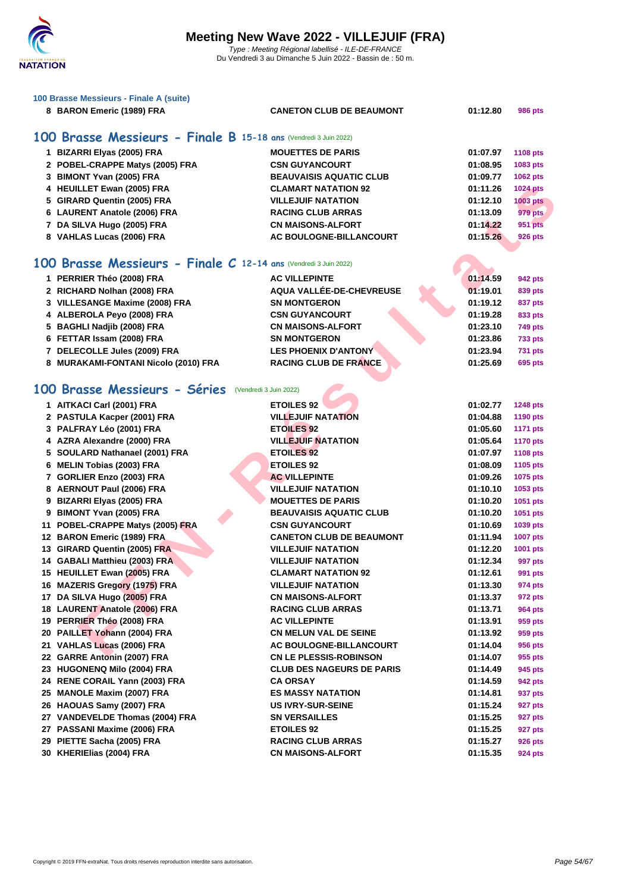

| 100 Brasse Messieurs - Finale A (suite)                          |                                  |                      |                             |
|------------------------------------------------------------------|----------------------------------|----------------------|-----------------------------|
| 8 BARON Emeric (1989) FRA                                        | <b>CANETON CLUB DE BEAUMONT</b>  | 01:12.80             | <b>986 pts</b>              |
| 100 Brasse Messieurs - Finale B 15-18 ans (Vendredi 3 Juin 2022) |                                  |                      |                             |
| 1 BIZARRI Elyas (2005) FRA                                       | <b>MOUETTES DE PARIS</b>         |                      |                             |
|                                                                  | <b>CSN GUYANCOURT</b>            | 01:07.97<br>01:08.95 | <b>1108 pts</b>             |
| 2 POBEL-CRAPPE Matys (2005) FRA<br>3 BIMONT Yvan (2005) FRA      | <b>BEAUVAISIS AQUATIC CLUB</b>   | 01:09.77             | 1083 pts                    |
| 4 HEUILLET Ewan (2005) FRA                                       | <b>CLAMART NATATION 92</b>       | 01:11.26             | 1062 pts                    |
| 5 GIRARD Quentin (2005) FRA                                      | <b>VILLEJUIF NATATION</b>        | 01:12.10             | 1024 pts<br><b>1003 pts</b> |
|                                                                  | <b>RACING CLUB ARRAS</b>         | 01:13.09             | <b>979 pts</b>              |
| 6 LAURENT Anatole (2006) FRA                                     | <b>CN MAISONS-ALFORT</b>         | 01:14.22             | <b>951 pts</b>              |
| 7 DA SILVA Hugo (2005) FRA                                       | AC BOULOGNE-BILLANCOURT          | 01:15.26             |                             |
| 8 VAHLAS Lucas (2006) FRA                                        |                                  |                      | <b>926 pts</b>              |
| 100 Brasse Messieurs - Finale C 12-14 ans (Vendredi 3 Juin 2022) |                                  |                      |                             |
| 1 PERRIER Théo (2008) FRA                                        | <b>AC VILLEPINTE</b>             | 01:14.59             | 942 pts                     |
| 2 RICHARD Nolhan (2008) FRA                                      | AQUA VALLÉE-DE-CHEVREUSE         | 01:19.01             | 839 pts                     |
| 3 VILLESANGE Maxime (2008) FRA                                   | <b>SN MONTGERON</b>              | 01:19.12             | 837 pts                     |
| 4 ALBEROLA Peyo (2008) FRA                                       | <b>CSN GUYANCOURT</b>            | 01:19.28             | 833 pts                     |
| 5 BAGHLI Nadjib (2008) FRA                                       | <b>CN MAISONS-ALFORT</b>         | 01:23.10             | <b>749 pts</b>              |
| 6 FETTAR Issam (2008) FRA                                        | <b>SN MONTGERON</b>              | 01:23.86             | <b>733 pts</b>              |
| 7 DELECOLLE Jules (2009) FRA                                     | <b>LES PHOENIX D'ANTONY</b>      | 01:23.94             | <b>731 pts</b>              |
| 8 MURAKAMI-FONTANI Nicolo (2010) FRA                             | <b>RACING CLUB DE FRANCE</b>     | 01:25.69             | 695 pts                     |
|                                                                  |                                  |                      |                             |
| 100 Brasse Messieurs - Séries<br>(Vendredi 3 Juin 2022)          |                                  |                      |                             |
| 1 AITKACI Carl (2001) FRA                                        | <b>ETOILES 92</b>                | 01:02.77             | <b>1248 pts</b>             |
| 2 PASTULA Kacper (2001) FRA                                      | <b>VILLEJUIF NATATION</b>        | 01:04.88             | <b>1190 pts</b>             |
| 3 PALFRAY Léo (2001) FRA                                         | <b>ETOILES 92</b>                | 01:05.60             | <b>1171 pts</b>             |
| 4 AZRA Alexandre (2000) FRA                                      | <b>VILLEJUIF NATATION</b>        | 01:05.64             | <b>1170 pts</b>             |
| 5 SOULARD Nathanael (2001) FRA                                   | <b>ETOILES 92</b>                | 01:07.97             | <b>1108 pts</b>             |
| 6 MELIN Tobias (2003) FRA                                        | <b>ETOILES 92</b>                | 01:08.09             | 1105 pts                    |
| 7 GORLIER Enzo (2003) FRA                                        | <b>AC VILLEPINTE</b>             | 01:09.26             | 1075 pts                    |
| 8 AERNOUT Paul (2006) FRA                                        | <b>VILLEJUIF NATATION</b>        | 01:10.10             | 1053 pts                    |
| 9 BIZARRI Elyas (2005) FRA                                       | <b>MOUETTES DE PARIS</b>         | 01:10.20             | 1051 pts                    |
| 9 BIMONT Yvan (2005) FRA                                         | <b>BEAUVAISIS AQUATIC CLUB</b>   | 01:10.20             | 1051 pts                    |
| 11 POBEL-CRAPPE Matys (2005) FRA                                 | <b>CSN GUYANCOURT</b>            | 01:10.69             | 1039 pts                    |
| 12 BARON Emeric (1989) FRA                                       | <b>CANETON CLUB DE BEAUMONT</b>  | 01:11.94             | 1007 pts                    |
| 13 GIRARD Quentin (2005) FRA                                     | <b>VILLEJUIF NATATION</b>        | 01:12.20             | 1001 pts                    |
| 14 GABALI Matthieu (2003) FRA                                    | <b>VILLEJUIF NATATION</b>        | 01:12.34             | 997 pts                     |
| 15 HEUILLET Ewan (2005) FRA                                      | <b>CLAMART NATATION 92</b>       | 01:12.61             | 991 pts                     |
| 16 MAZERIS Gregory (1975) FRA                                    | <b>VILLEJUIF NATATION</b>        | 01:13.30             | 974 pts                     |
| 17 DA SILVA Hugo (2005) FRA                                      | <b>CN MAISONS-ALFORT</b>         | 01:13.37             | 972 pts                     |
| 18 LAURENT Anatole (2006) FRA                                    | <b>RACING CLUB ARRAS</b>         | 01:13.71             | 964 pts                     |
| 19 PERRIER Théo (2008) FRA                                       | <b>AC VILLEPINTE</b>             | 01:13.91             | 959 pts                     |
| 20 PAILLET Yohann (2004) FRA                                     | <b>CN MELUN VAL DE SEINE</b>     | 01:13.92             | 959 pts                     |
| 21 VAHLAS Lucas (2006) FRA                                       | <b>AC BOULOGNE-BILLANCOURT</b>   | 01:14.04             | 956 pts                     |
| 22 GARRE Antonin (2007) FRA                                      | <b>CN LE PLESSIS-ROBINSON</b>    | 01:14.07             | 955 pts                     |
| 23 HUGONENQ Milo (2004) FRA                                      | <b>CLUB DES NAGEURS DE PARIS</b> | 01:14.49             | 945 pts                     |
| 24 RENE CORAIL Yann (2003) FRA                                   | <b>CA ORSAY</b>                  | 01:14.59             | 942 pts                     |
| 25 MANOLE Maxim (2007) FRA                                       | <b>ES MASSY NATATION</b>         | 01:14.81             | 937 pts                     |
| 26 HAOUAS Samy (2007) FRA                                        | <b>US IVRY-SUR-SEINE</b>         | 01:15.24             | 927 pts                     |
| 27 VANDEVELDE Thomas (2004) FRA                                  | <b>SN VERSAILLES</b>             | 01:15.25             | 927 pts                     |
| 27 PASSANI Maxime (2006) FRA                                     | <b>ETOILES 92</b>                | 01:15.25             | 927 pts                     |
| 29 PIETTE Sacha (2005) FRA                                       | <b>RACING CLUB ARRAS</b>         | 01:15.27             | 926 pts                     |

**KHERIElias (2004) FRA CN MAISONS-ALFORT 01:15.35 924 pts**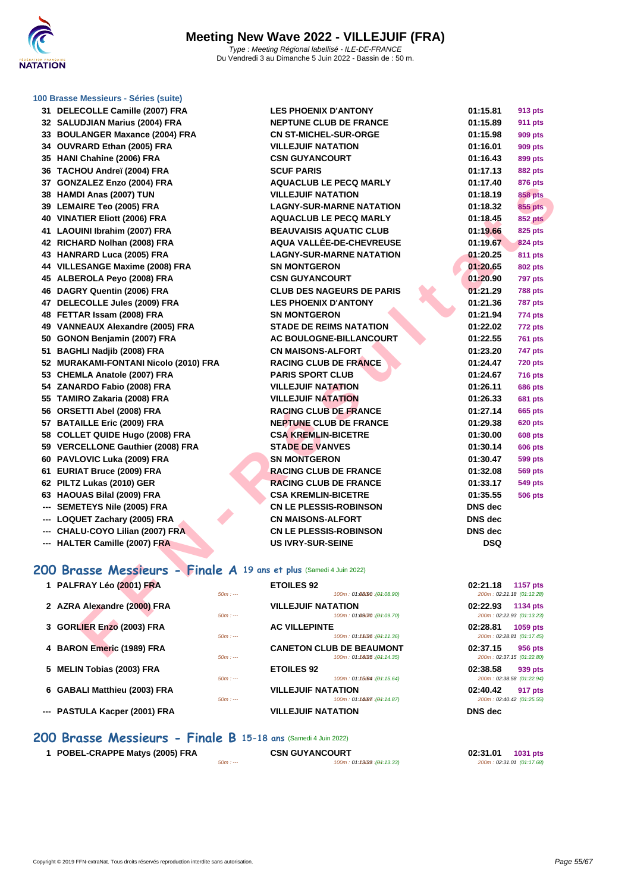

### **[100 Brass](http://www.ffnatation.fr/webffn/index.php)e Messieurs - Séries (suite)**

| 32   | <b>SALUDJIAN Marius (2004) FRA</b>        |
|------|-------------------------------------------|
| 33   | <b>BOULANGER Maxance (2004) FRA</b>       |
|      | 34 OUVRARD Ethan (2005) FRA               |
|      | 35 HANI Chahine (2006) FRA                |
|      | 36 TACHOU Andreï (2004) FRA               |
| 37   | GONZALEZ Enzo (2004) FRA                  |
| 38   | HAMDI Anas (2007) TUN                     |
| 39   | <b>LEMAIRE Teo (2005) FRA</b>             |
| 40   | <b>VINATIER Eliott (2006) FRA</b>         |
| 41   | <b>LAOUINI Ibrahim (2007) FRA</b>         |
| 42   | RICHARD Nolhan (2008) FRA                 |
| 43   | <b>HANRARD Luca (2005) FRA</b>            |
| 44   | <b>VILLESANGE Maxime (2008) FRA</b>       |
| 45   | ALBEROLA Peyo (2008) FRA                  |
| 46   | DAGRY Quentin (2006) FRA                  |
| 47   | DELECOLLE Jules (2009) FRA                |
| 48   | FETTAR Issam (2008) FRA                   |
| 49   | <b>VANNEAUX Alexandre (2005) FRA</b>      |
| 50   | GONON Benjamin (2007) FRA                 |
| 51   | <b>BAGHLI Nadjib (2008) FRA</b>           |
| 52   | <b>MURAKAMI-FONTANI Nicolo (2010) FRA</b> |
|      | 53 CHEMLA Anatole (2007) FRA              |
|      | 54 ZANARDO Fabio (2008) FRA               |
|      | 55 TAMIRO Zakaria (2008) FRA              |
| 56   | ORSETTI Abel (2008) FRA                   |
| 57   | <b>BATAILLE Eric (2009) FRA</b>           |
| 58   | <b>COLLET QUIDE Hugo (2008) FRA</b>       |
| 59   | <b>VERCELLONE Gauthier (2008) FRA</b>     |
| 60   | PAVLOVIC Luka (2009) FRA                  |
| 61   | <b>EURIAT Bruce (2009) FRA</b>            |
| 62   | PILTZ Lukas (2010) GER                    |
| 63 - | <b>HAOUAS Bilal (2009) FRA</b>            |
| ---  | <b>SEMETEYS Nile (2005) FRA</b>           |
| ---  | <b>LOQUET Zachary (2005) FRA</b>          |
| ---  | CHALU-COYO Lilian (2007) FRA              |
|      |                                           |

| 31 DELECOLLE Camille (2007) FRA                                    | <b>LES PHOENIX D'ANTONY</b>                         | 01:15.81       | 913 pts                               |
|--------------------------------------------------------------------|-----------------------------------------------------|----------------|---------------------------------------|
| 32 SALUDJIAN Marius (2004) FRA                                     | <b>NEPTUNE CLUB DE FRANCE</b>                       | 01:15.89       | <b>911 pts</b>                        |
| 33 BOULANGER Maxance (2004) FRA                                    | <b>CN ST-MICHEL-SUR-ORGE</b>                        | 01:15.98       | <b>909 pts</b>                        |
| 34 OUVRARD Ethan (2005) FRA                                        | <b>VILLEJUIF NATATION</b>                           | 01:16.01       | <b>909 pts</b>                        |
| 35 HANI Chahine (2006) FRA                                         | <b>CSN GUYANCOURT</b>                               | 01:16.43       | 899 pts                               |
| 36 TACHOU Andreï (2004) FRA                                        | <b>SCUF PARIS</b>                                   | 01:17.13       | <b>882 pts</b>                        |
| 37 GONZALEZ Enzo (2004) FRA                                        | <b>AQUACLUB LE PECQ MARLY</b>                       | 01:17.40       | 876 pts                               |
| 38 HAMDI Anas (2007) TUN                                           | <b>VILLEJUIF NATATION</b>                           | 01:18.19       | <b>858 pts</b>                        |
| 39 LEMAIRE Teo (2005) FRA                                          | <b>LAGNY-SUR-MARNE NATATION</b>                     | 01:18.32       | 855 pts                               |
| 40 VINATIER Eliott (2006) FRA                                      | <b>AQUACLUB LE PECQ MARLY</b>                       | 01:18.45       | <b>852 pts</b>                        |
| 41 LAOUINI Ibrahim (2007) FRA                                      | <b>BEAUVAISIS AQUATIC CLUB</b>                      | 01:19.66       | 825 pts                               |
| 42 RICHARD Nolhan (2008) FRA                                       | AQUA VALLÉE-DE-CHEVREUSE                            | 01:19.67       | <b>824 pts</b>                        |
| 43 HANRARD Luca (2005) FRA                                         | <b>LAGNY-SUR-MARNE NATATION</b>                     | 01:20.25       | <b>811 pts</b>                        |
| 44 VILLESANGE Maxime (2008) FRA                                    | <b>SN MONTGERON</b>                                 | 01:20.65       | <b>802 pts</b>                        |
| 45 ALBEROLA Peyo (2008) FRA                                        | <b>CSN GUYANCOURT</b>                               | 01:20.90       | <b>797 pts</b>                        |
| 46 DAGRY Quentin (2006) FRA                                        | <b>CLUB DES NAGEURS DE PARIS</b>                    | 01:21.29       | <b>788 pts</b>                        |
| 47 DELECOLLE Jules (2009) FRA                                      | <b>LES PHOENIX D'ANTONY</b>                         | 01:21.36       | 787 pts                               |
| 48 FETTAR Issam (2008) FRA                                         | <b>SN MONTGERON</b>                                 | 01:21.94       | 774 pts                               |
| 49 VANNEAUX Alexandre (2005) FRA                                   | <b>STADE DE REIMS NATATION</b>                      | 01:22.02       | 772 pts                               |
| 50 GONON Benjamin (2007) FRA                                       | AC BOULOGNE-BILLANCOURT                             | 01:22.55       | <b>761 pts</b>                        |
| 51 BAGHLI Nadjib (2008) FRA                                        | <b>CN MAISONS-ALFORT</b>                            | 01:23.20       | <b>747 pts</b>                        |
| 52 MURAKAMI-FONTANI Nicolo (2010) FRA                              | <b>RACING CLUB DE FRANCE</b>                        | 01:24.47       | <b>720 pts</b>                        |
| 53 CHEMLA Anatole (2007) FRA                                       | <b>PARIS SPORT CLUB</b>                             | 01:24.67       | <b>716 pts</b>                        |
| 54 ZANARDO Fabio (2008) FRA                                        | <b>VILLEJUIF NATATION</b>                           | 01:26.11       | <b>686 pts</b>                        |
| 55 TAMIRO Zakaria (2008) FRA                                       | <b>VILLEJUIF NATATION</b>                           | 01:26.33       | <b>681 pts</b>                        |
| 56 ORSETTI Abel (2008) FRA                                         | <b>RACING CLUB DE FRANCE</b>                        | 01:27.14       | <b>665 pts</b>                        |
| 57 BATAILLE Eric (2009) FRA                                        | <b>NEPTUNE CLUB DE FRANCE</b>                       | 01:29.38       | <b>620 pts</b>                        |
| 58 COLLET QUIDE Hugo (2008) FRA                                    | <b>CSA KREMLIN-BICETRE</b>                          | 01:30.00       | <b>608 pts</b>                        |
| 59 VERCELLONE Gauthier (2008) FRA                                  | <b>STADE DE VANVES</b>                              | 01:30.14       | <b>606 pts</b>                        |
| 60 PAVLOVIC Luka (2009) FRA                                        | <b>SN MONTGERON</b>                                 | 01:30.47       | <b>599 pts</b>                        |
| 61 EURIAT Bruce (2009) FRA                                         | <b>RACING CLUB DE FRANCE</b>                        | 01:32.08       | <b>569 pts</b>                        |
| 62 PILTZ Lukas (2010) GER                                          | <b>RACING CLUB DE FRANCE</b>                        | 01:33.17       | <b>549 pts</b>                        |
| 63 HAOUAS Bilal (2009) FRA                                         | <b>CSA KREMLIN-BICETRE</b>                          | 01:35.55       | <b>506 pts</b>                        |
| --- SEMETEYS Nile (2005) FRA                                       | <b>CN LE PLESSIS-ROBINSON</b>                       | <b>DNS</b> dec |                                       |
| --- LOQUET Zachary (2005) FRA                                      | <b>CN MAISONS-ALFORT</b>                            | <b>DNS</b> dec |                                       |
| --- CHALU-COYO Lilian (2007) FRA                                   | <b>CN LE PLESSIS-ROBINSON</b>                       | <b>DNS</b> dec |                                       |
| --- HALTER Camille (2007) FRA                                      | <b>US IVRY-SUR-SEINE</b>                            | <b>DSQ</b>     |                                       |
|                                                                    |                                                     |                |                                       |
| 00 Brasse Messieurs - Finale A 19 ans et plus (Samedi 4 Juin 2022) |                                                     |                |                                       |
| 1 PALFRAY Léo (2001) FRA                                           | <b>ETOILES 92</b>                                   | 02:21.18       | <b>1157 pts</b>                       |
| $50m: -$                                                           | 100m: 01:08/90 : (01:08.90)                         |                | 200m: 02:21.18 (01:12.28)             |
| 2 AZRA Alexandre (2000) FRA                                        | <b>VILLEJUIF NATATION</b>                           | 02:22.93       | 1134 pts                              |
| $50m: -$                                                           | 100m: 01:09070 : (01:09.70)                         |                | 200m: 02:22.93 (01:13.23)             |
| 3 GORLIER Enzo (2003) FRA<br>$50m: -$                              | <b>AC VILLEPINTE</b><br>100m: 01:15036 : (01:11.36) | 02:28.81       | 1059 pts<br>200m: 02:28.81 (01:17.45) |
| 4 BARON Emeric (1989) FRA                                          | <b>CANETON CLUB DE BEAUMONT</b>                     | 02:37.15       | 956 pts                               |
|                                                                    |                                                     |                |                                       |

## **200 Brasse Messieurs - Finale A 19 ans et plus** (Samedi 4 Juin 2022)

| 1 PALFRAY Léo (2001) FRA      |          | <b>ETOILES 92</b>               | 02:21.18<br><b>1157 pts</b> |
|-------------------------------|----------|---------------------------------|-----------------------------|
|                               | $50m: -$ | 100m: 01:08090 : (01:08.90)     | 200m: 02:21.18 (01:12.28)   |
| 2 AZRA Alexandre (2000) FRA   |          | <b>VILLEJUIF NATATION</b>       | 02:22.93<br><b>1134 pts</b> |
|                               | $50m: -$ | 100m: 01:09.70 : (01:09.70)     | 200m: 02:22.93 (01:13.23)   |
| 3 GORLIER Enzo (2003) FRA     |          | <b>AC VILLEPINTE</b>            | 02:28.81<br>1059 pts        |
|                               | $50m: -$ | 100m: 01:15036:(04:11.36)       | 200m: 02:28.81 (01:17.45)   |
| 4 BARON Emeric (1989) FRA     |          | <b>CANETON CLUB DE BEAUMONT</b> | 02:37.15<br>956 pts         |
|                               | $50m: -$ | 100m: 01:14035 : (01:14.35)     | 200m: 02:37.15 (01:22.80)   |
| 5 MELIN Tobias (2003) FRA     |          | <b>ETOILES 92</b>               | 02:38.58<br>939 pts         |
|                               | $50m: -$ | 100m: 01:15064 : (01:15.64)     | 200m: 02:38.58 (01:22.94)   |
| 6 GABALI Matthieu (2003) FRA  |          | <b>VILLEJUIF NATATION</b>       | 02:40.42<br>917 pts         |
|                               | $50m: -$ | 100m: 01:140B7: (04:14.87)      | 200m: 02:40.42 (01:25.55)   |
| --- PASTULA Kacper (2001) FRA |          | <b>VILLEJUIF NATATION</b>       | <b>DNS</b> dec              |

### **200 Brasse Messieurs - Finale B 15-18 ans** (Samedi 4 Juin 2022)

**1 POBEL-CRAPPE Matys (2005) FRA CSN GUYANCOURT 1031 pts 02:31.01 02:31.01 0331 pts 02:31.01 01:17.68** 

 $100m$  : 01:13.33.(04:13.33)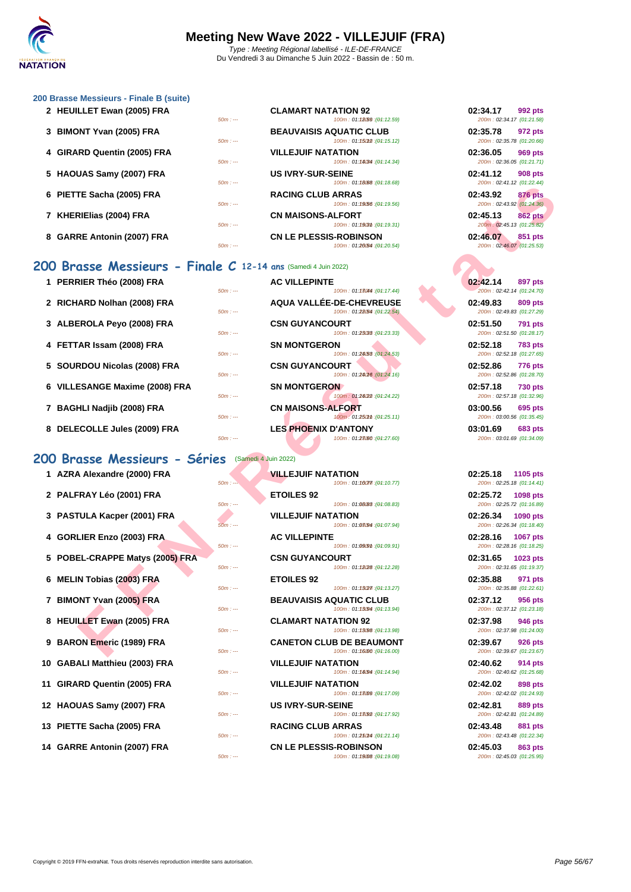### **[200 Brass](http://www.ffnatation.fr/webffn/index.php)e Messieurs - Finale B (suite)**

| 2 HEUILLET Ewan (2005) FRA  | $50m: -$  | <b>CLAMART NATATION 92</b><br>100m: 01:12.59:(04:12.59)       | 02:34.17<br>992 pts<br>200m: 02:34.17 (01:21.58)        |
|-----------------------------|-----------|---------------------------------------------------------------|---------------------------------------------------------|
| 3 BIMONT Yvan (2005) FRA    | $50m: -$  | <b>BEAUVAISIS AQUATIC CLUB</b><br>100m: 01:15012 : (01:15.12) | 02:35.78<br>972 pts<br>200m: 02:35.78 (01:20.66)        |
| 4 GIRARD Quentin (2005) FRA | $50m: -$  | <b>VILLEJUIF NATATION</b><br>100m: 01:14034 : (01:14.34)      | 02:36.05<br><b>969 pts</b><br>200m: 02:36.05 (01:21.71) |
| 5 HAOUAS Samy (2007) FRA    | $50m: -$  | <b>US IVRY-SUR-SEINE</b><br>100m: 01:18008:(04:18.68)         | 02:41.12<br>908 pts<br>200m: 02:41.12 (01:22.44)        |
| 6 PIETTE Sacha (2005) FRA   | $50m: -$  | <b>RACING CLUB ARRAS</b><br>100m: 01:19.56:(04:19.56)         | 02:43.92<br><b>876 pts</b><br>200m: 02:43.92 (01:24.36) |
| 7 KHERIEIias (2004) FRA     | $50m: --$ | <b>CN MAISONS-ALFORT</b><br>100m: 01:1903m: (01:19.31)        | 02:45.13<br><b>862 pts</b><br>200m: 02:45.13 (01:25.82) |
| 8 GARRE Antonin (2007) FRA  | $50m: -$  | <b>CN LE PLESSIS-ROBINSON</b><br>100m: 01:26.54 : (01:20.54)  | 02:46.07<br>851 pts<br>200m: 02:46.07 (01:25.53)        |

## **200 Brasse Messieurs - Finale C 12-14 ans** (Samedi 4 Juin 2022)

|                                                               | $-$<br><u>, סט.סז. רסן. וטגוטו. דט.</u>                                    | LUUIII. UCL. 71.12 [U1.22. 77]                           |
|---------------------------------------------------------------|----------------------------------------------------------------------------|----------------------------------------------------------|
| 6 PIETTE Sacha (2005) FRA                                     | <b>RACING CLUB ARRAS</b><br>100m: 01:19/56 : (01:19.56)<br>$50m: -$        | 02:43.92<br><b>876 pts</b><br>200m: 02:43.92 (01:24.36)  |
| 7 KHERIEIias (2004) FRA                                       | <b>CN MAISONS-ALFORT</b><br>$50m: -$<br>100m: 01:19(3th : (01:19.31)       | 02:45.13<br><b>862 pts</b><br>200m: 02:45.13 (01:25.82)  |
| 8 GARRE Antonin (2007) FRA                                    | <b>CN LE PLESSIS-ROBINSON</b><br>100m: 01:20.54 : (01:20.54)<br>$50m: -$   | 02:46.07<br>851 pts<br>200m: 02:46.07 (01:25.53)         |
| 00 Brasse Messieurs - Finale C 12-14 ans (Samedi 4 Juin 2022) |                                                                            |                                                          |
| 1 PERRIER Théo (2008) FRA                                     | <b>AC VILLEPINTE</b><br>100m: 01:13044 : (01:17.44)<br>$50m: -$            | 02:42.14<br><b>897 pts</b><br>200m: 02:42.14 (01:24.70)  |
| 2 RICHARD Nolhan (2008) FRA                                   | <b>AQUA VALLÉE-DE-CHEVREUSE</b><br>100m: 01:28/54 : (01:22.54)<br>$50m: -$ | 02:49.83<br>809 pts<br>200m: 02:49.83 (01:27.29)         |
| 3 ALBEROLA Peyo (2008) FRA                                    | <b>CSN GUYANCOURT</b><br>100m: 01:23033 : (04:23.33)<br>$50m: -$           | 02:51.50<br><b>791 pts</b><br>200m: 02:51.50 (01:28.17)  |
| 4 FETTAR Issam (2008) FRA                                     | <b>SN MONTGERON</b><br>100m: 01:24/53 : (01:24.53)<br>$50m: -$             | 02:52.18<br><b>783 pts</b><br>200m: 02:52.18 (01:27.65)  |
| 5 SOURDOU Nicolas (2008) FRA                                  | <b>CSN GUYANCOURT</b><br>100m: 01:24016 : (01:24.16)<br>$50m: -$           | 02:52.86<br><b>776 pts</b><br>200m: 02:52.86 (01:28.70)  |
| 6 VILLESANGE Maxime (2008) FRA                                | <b>SN MONTGERON</b><br>100m: 01:24(22): (01:24.22)<br>$50m: -$             | 02:57.18<br><b>730 pts</b><br>200m: 02:57.18 (01:32.96)  |
| 7 BAGHLI Nadjib (2008) FRA                                    | <b>CN MAISONS-ALFORT</b><br>100m: 01:250mm : (01:25.11)<br>$50m: -$        | 03:00.56<br>695 pts<br>200m: 03:00.56 (01:35.45)         |
| 8 DELECOLLE Jules (2009) FRA                                  | <b>LES PHOENIX D'ANTONY</b><br>$50m: -$<br>100m: 01:28080 : (01:27.60)     | 03:01.69<br><b>683 pts</b><br>200m: 03:01.69 (01:34.09)  |
| 00 Brasse Messieurs - Séries                                  | (Samedi 4 Juin 2022)                                                       |                                                          |
| 1 AZRA Alexandre (2000) FRA                                   | <b>VILLEJUIF NATATION</b><br>$50m: -$<br>100m: 01:10077. (01:10.77)        | 02:25.18<br>1105 pts<br>200m: 02:25.18 (01:14.41)        |
| 2 PALFRAY Léo (2001) FRA                                      | <b>ETOILES 92</b><br>$50m: -$<br>100m: 01:08/83 : (01:08.83)               | 02:25.72<br>1098 pts<br>200m: 02:25.72 (01:16.89)        |
| 3 PASTULA Kacper (2001) FRA                                   | <b>VILLEJUIF NATATION</b><br>100m: 01:08094 : (01:07.94)<br>$50m: -$       | 02:26.34<br>1090 pts<br>200m: 02:26.34 (01:18.40)        |
| 4 GORLIER Enzo (2003) FRA                                     | <b>AC VILLEPINTE</b><br>$50m: -$<br>100m: 01:09.9m : (01:09.91)            | 02:28.16<br><b>1067 pts</b><br>200m: 02:28.16 (01:18.25) |
| 5 POBEL-CRAPPE Matys (2005) FRA                               | <b>CSN GUYANCOURT</b><br>$50m: -$<br>100m: 01:18028 : (01:12.28)           | 02:31.65<br>1023 pts<br>200m: 02:31.65 (01:19.37)        |
| 6 MELIN Tobias (2003) FRA                                     | <b>ETOILES 92</b><br>$50m: -$<br>100m: 01:13027 : (04:13.27)               | 02:35.88<br>971 pts<br>200m: 02:35.88 (01:22.61)         |
| 7 BIMONT Yvan (2005) FRA                                      | <b>BEAUVAISIS AQUATIC CLUB</b><br>100m: 01:13094 : (01:13.94)<br>$50m: -$  | 02:37.12<br>956 pts<br>200m: 02:37.12 (01:23.18)         |
| 8 HEUILLET Ewan (2005) FRA                                    | <b>CLAMART NATATION 92</b><br>$50m: -$<br>100m: 01:13.98 : (01:13.98)      | 02:37.98<br>946 pts<br>200m: 02:37.98 (01:24.00)         |
| 9 BARON Emeric (1989) FRA                                     | <b>CANETON CLUB DE BEAUMONT</b><br>$50m: -$<br>100m: 01:16000 : (01:16.00) | 02:39.67<br><b>926 pts</b><br>200m: 02:39.67 (01:23.67)  |
|                                                               |                                                                            |                                                          |

## 200 Brasse Messieurs - Séries **(Samedi 4**

| 1 AZRA Alexandre (2000) FRA     | $50m: -$  | <b>VILLEJUIF NATATION</b><br>$100m: 01:100m$ : (04:10.77)     | 02:25.18<br>1105 pts<br>200m: 02:25.18 (01:14.41) |
|---------------------------------|-----------|---------------------------------------------------------------|---------------------------------------------------|
| 2 PALFRAY Léo (2001) FRA        |           | <b>ETOILES 92</b>                                             | 02:25.72 1098 pts                                 |
|                                 | $50m: -$  | 100m: 01:08883: (01:08.83)                                    | 200m: 02:25.72 (01:16.89)                         |
| 3 PASTULA Kacper (2001) FRA     | 50m : --- | <b>VILLEJUIF NATATION</b><br>100m: 01:08094 : (01:07.94)      | 02:26.34 1090 pts<br>200m: 02:26.34 (01:18.40)    |
| 4 GORLIER Enzo (2003) FRA       |           | <b>AC VILLEPINTE</b>                                          | 02:28.16 1067 pts                                 |
|                                 | $50m: -$  | 100m: 01:0909m: (01:09.91)                                    | 200m: 02:28.16 (01:18.25)                         |
| 5 POBEL-CRAPPE Matys (2005) FRA | $50m: -$  | <b>CSN GUYANCOURT</b><br>100m: 01:18028 : (01:12.28)          | 02:31.65 1023 pts<br>200m: 02:31.65 (01:19.37)    |
| 6 MELIN Tobias (2003) FRA       |           | <b>ETOILES 92</b>                                             | 02:35.88<br>971 pts                               |
|                                 | $50m: --$ | 100m: 01:13027 : (01:13.27)                                   | 200m: 02:35.88 (01:22.61)                         |
| 7 BIMONT Yvan (2005) FRA        | $50m: --$ | <b>BEAUVAISIS AQUATIC CLUB</b><br>100m: 01:13094 : (01:13.94) | 02:37.12<br>956 pts<br>200m: 02:37.12 (01:23.18)  |
| 8 HEUILLET Ewan (2005) FRA      |           | <b>CLAMART NATATION 92</b>                                    | 02:37.98<br><b>946 pts</b>                        |
|                                 | $50m: --$ | 100m: 01:13098 : (04:13.98)                                   | 200m: 02:37.98 (01:24.00)                         |
| 9 BARON Emeric (1989) FRA       | $50m: --$ | <b>CANETON CLUB DE BEAUMONT</b><br>100m: 01:16000:(04:16.00)  | 02:39.67<br>926 pts<br>200m: 02:39.67 (01:23.67)  |
| 10 GABALI Matthieu (2003) FRA   |           | <b>VILLEJUIF NATATION</b>                                     | 02:40.62<br>914 pts                               |
|                                 | $50m: -$  | 100m: 01:14.94:(04:14.94)                                     | 200m: 02:40.62 (01:25.68)                         |
| 11 GIRARD Quentin (2005) FRA    |           | <b>VILLEJUIF NATATION</b>                                     | 02:42.02<br>898 pts                               |
|                                 | $50m: --$ | 100m: 01:13099: (04:17.09)                                    | 200m: 02:42.02 (01:24.93)                         |
| 12 HAOUAS Samy (2007) FRA       | $50m: --$ | <b>US IVRY-SUR-SEINE</b><br>100m: 01:13092 : (04:17.92)       | 02:42.81<br>889 pts<br>200m: 02:42.81 (01:24.89)  |
| 13 PIETTE Sacha (2005) FRA      |           | <b>RACING CLUB ARRAS</b>                                      | 02:43.48<br>881 pts                               |
|                                 | $50m: --$ | $100m: 01:250M$ : $(01:21.14)$                                | 200m: 02:43.48 (01:22.34)                         |
| 14 GARRE Antonin (2007) FRA     |           | <b>CN LE PLESSIS-ROBINSON</b>                                 | 02:45.03<br>863 pts                               |

| $50m: -$  | 100m: 01:23080 : (04:27.60)                                   | 200m: 03:01.69 (01:34.09)                               |
|-----------|---------------------------------------------------------------|---------------------------------------------------------|
|           | S (Samedi 4 Juin 2022)                                        |                                                         |
|           | <b>VILLEJUIF NATATION</b>                                     | 02:25.18 1105 pts                                       |
| $50m: -$  | 100m: 01:16077 : (04:10.77)                                   | 200m: 02:25.18 (01:14.41)                               |
|           | <b>ETOILES 92</b>                                             | 02:25.72<br>1098 pts                                    |
| $50m: -$  | 100m: 01:08/83 : (01:08.83)                                   | 200m: 02:25.72 (01:16.89)                               |
|           | <b>VILLEJUIF NATATION</b>                                     | 02:26.34<br><b>1090 pts</b>                             |
| 50m : --- | 100m: 01:08094 : (01:07.94)                                   | 200m: 02:26.34 (01:18.40)                               |
|           | <b>AC VILLEPINTE</b>                                          | 02:28.16<br><b>1067 pts</b>                             |
| $50m: -$  | 100m: 01:09.91 : (01:09.91)                                   | 200m: 02:28.16 (01:18.25)                               |
|           | <b>CSN GUYANCOURT</b>                                         | 02:31.65<br>1023 pts                                    |
| $50m: -$  | 100m: 01:18028 : (04:12.28)                                   | 200m: 02:31.65 (01:19.37)                               |
|           | <b>ETOILES 92</b>                                             | 02:35.88<br>971 pts                                     |
| $50m: -$  | 100m: 01:13027 : (01:13.27)                                   | 200m: 02:35.88 (01:22.61)                               |
| $50m: -$  | <b>BEAUVAISIS AQUATIC CLUB</b><br>100m: 01:13094 : (01:13.94) | 02:37.12<br><b>956 pts</b><br>200m: 02:37.12 (01:23.18) |
|           | <b>CLAMART NATATION 92</b>                                    |                                                         |
| $50m: -$  | 100m: 01:13098 : (01:13.98)                                   | 02:37.98<br>946 pts<br>200m: 02:37.98 (01:24.00)        |
|           | <b>CANETON CLUB DE BEAUMONT</b>                               | 02:39.67<br><b>926 pts</b>                              |
| $50m: -$  | 100m: 01:16000 : (01:16.00)                                   | 200m: 02:39.67 (01:23.67)                               |
|           | <b>VILLEJUIF NATATION</b>                                     | 02:40.62<br>914 pts                                     |
| $50m: -$  | 100m: 01:14094 : (01:14.94)                                   | 200m: 02:40.62 (01:25.68)                               |
|           | <b>VILLEJUIF NATATION</b>                                     | 02:42.02<br>898 pts                                     |
| $50m: -$  | 100m: 01:13099 : (01:17.09)                                   | 200m: 02:42.02 (01:24.93)                               |
|           | <b>US IVRY-SUR-SEINE</b>                                      | 02:42.81<br>889 pts                                     |
| $50m: -$  | 100m: 01:13092 : (04:17.92)                                   | 200m: 02:42.81 (01:24.89)                               |
|           | <b>RACING CLUB ARRAS</b>                                      | 02:43.48<br>881 pts                                     |
| $50m: -$  | 100m: 01:250m4 : (01:21.14)                                   | 200m: 02:43.48 (01:22.34)                               |
|           | CN LE PLESSIS ROBINSON                                        | $02.45.03$ 863 nts                                      |

**14 GARRE Antonin (2007) FRA CN LE PLESSIS-ROBINSON 02:45.03 863 pts** 50m : --- 100m : 01:19.0850m : --- (01:19.08) 200m : 02:45.03 (01:25.95)

| 02:34.17                       | <b>992 pts</b> |
|--------------------------------|----------------|
| 200m: 02:34.17 (01:21.58)      |                |
| 02:35.78 972 pts               |                |
| 200m: 02:35.78 (01:20.66)      |                |
| 02:36.05                       | <b>969 pts</b> |
| 200m: 02:36.05 (01:21.71)      |                |
| 02:41.12 908 pts               |                |
| 200m: 02:41.12 (01:22.44)      |                |
| 02:43.92                       | <b>876 pts</b> |
| 200m: 02:43.92 (01:24.36)      |                |
| 02:45.13 862 pts               |                |
| 200m: 02:45.13 (01:25.82)      |                |
| 02:46.07<br><b>Since</b>       | 851 pts        |
| $200m \cdot 02.4607 (01.2553)$ |                |

| 02:42.14 897 pts<br>200m: 02:42.14 (01:24.70) |  |
|-----------------------------------------------|--|
| 02:49.83 809 pts<br>200m: 02:49.83 (01:27.29) |  |
| 02:51.50 791 pts<br>200m: 02:51.50 (01:28.17) |  |
| 02:52.18 783 pts<br>200m: 02:52.18 (01:27.65) |  |
|                                               |  |
| 02:52.86 776 pts<br>200m: 02:52.86 (01:28.70) |  |
| 02:57.18 730 pts<br>200m: 02:57.18 (01:32.96) |  |
| 03:00.56 695 pts<br>200m: 03:00.56 (01:35.45) |  |

| 02:25.18 1105 pts                             |
|-----------------------------------------------|
| 200m: 02:25.18 (01:14.41)                     |
| 02:25.72 1098 pts                             |
| 200m: 02:25.72 (01:16.89)                     |
| 02:26.34 1090 pts                             |
| 200m: 02:26.34 (01:18.40)                     |
| 02:28.16 1067 pts                             |
| 200m: 02:28.16 (01:18.25)                     |
| 02:31.65 1023 pts                             |
| 200m: 02:31.65 (01:19.37)                     |
| 02:35.88 971 pts                              |
| 200m: 02:35.88 (01:22.61)                     |
| 02:37.12 956 pts                              |
| 200m: 02:37.12 (01:23.18)                     |
|                                               |
|                                               |
| 02:37.98 946 pts                              |
| 200m: 02:37.98 (01:24.00)                     |
| 02:39.67<br><b>926 pts</b>                    |
| 200m: 02:39.67 (01:23.67)                     |
| 02:40.62 914 pts                              |
| 200m: 02:40.62 (01:25.68)                     |
| 02:42.02 898 pts                              |
| 200m: 02:42.02 (01:24.93)                     |
| 02:42.81 889 pts                              |
| 200m: 02:42.81 (01:24.89)                     |
| 02:43.48 881 pts                              |
| 200m: 02:43.48 (01:22.34)                     |
| 02:45.03 863 pts<br>200m: 02:45.03 (01:25.95) |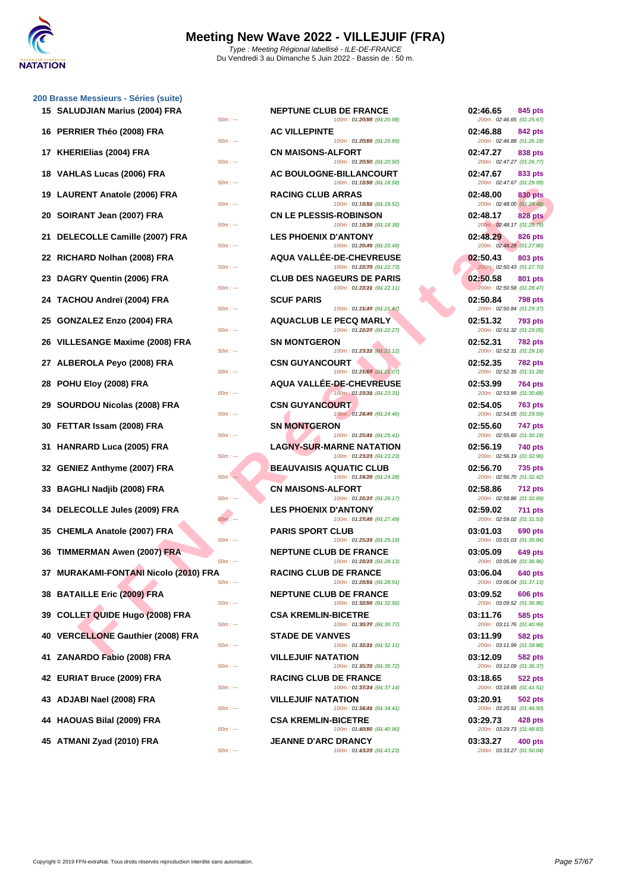

### **[200 Brass](http://www.ffnatation.fr/webffn/index.php)e Messieurs - Séries (suite)**

| 15 SALUDJIAN Marius (2004) FRA        | <b>NEPTUNE CLUB DE FRANCE</b><br>100m: 01:20098 : (01:20.98)<br>$50m: -$    | 02:46.65<br>845 pts<br>200m: 02:46.65 (01:25.67)        |
|---------------------------------------|-----------------------------------------------------------------------------|---------------------------------------------------------|
| 16 PERRIER Théo (2008) FRA            | <b>AC VILLEPINTE</b><br>100m: 01:20089: (01:20.69)<br>$50m: -$              | 02:46.88<br>842 pts<br>200m: 02:46.88 (01:26.19)        |
| 17 KHERIEIias (2004) FRA              | <b>CN MAISONS-ALFORT</b><br>100m: 01:2050 : (01:20.50)<br>$50m: -$          | 02:47.27<br>838 pts<br>200m: 02:47.27 (01:26.77)        |
| 18 VAHLAS Lucas (2006) FRA            | <b>AC BOULOGNE-BILLANCOURT</b><br>100m: 01:18/58 : (01:18.58)<br>$50m: -$   | 02:47.67<br>833 pts<br>200m: 02:47.67 (01:29.09)        |
| 19 LAURENT Anatole (2006) FRA         | <b>RACING CLUB ARRAS</b><br>100m: 01:18.52 : (01:18.52)<br>$50m: -$         | 02:48.00<br>830 pts<br>200m: 02:48.00 (01:29.48)        |
| 20 SOIRANT Jean (2007) FRA            | <b>CN LE PLESSIS-ROBINSON</b><br>100m: 01:18038 : (01:18.38)<br>$50m: -$    | 02:48.17<br><b>828 pts</b><br>200m: 02:48.17 (01:29.79) |
| 21 DELECOLLE Camille (2007) FRA       | <b>LES PHOENIX D'ANTONY</b><br>100m: 01:26049 : (01:20.49)                  | 02:48.29<br>826 pts<br>200m: 02:48.29 (01:27.80)        |
| 22 RICHARD Nolhan (2008) FRA          | $50m: -$<br><b>AQUA VALLÉE-DE-CHEVREUSE</b><br>100m: 01:28078 : (01:22.73)  | 02:50.43<br>803 pts<br>200m: 02:50.43 (01:27.70)        |
| 23 DAGRY Quentin (2006) FRA           | $50m: -$<br><b>CLUB DES NAGEURS DE PARIS</b>                                | 02:50.58<br>801 pts                                     |
| 24 TACHOU Andreï (2004) FRA           | 100m: 01:280mm : (01:22.11)<br>$50m: -$<br><b>SCUF PARIS</b>                | 200m: 02:50.58 (01:28.47)<br>02:50.84<br><b>798 pts</b> |
| 25 GONZALEZ Enzo (2004) FRA           | 100m: 01:25047. (01:21.47)<br>$50m: -$<br><b>AQUACLUB LE PECQ MARLY</b>     | 200m: 02:50.84 (01:29.37)<br>02:51.32<br><b>793 pts</b> |
| 26 VILLESANGE Maxime (2008) FRA       | 100m: 01:28/27 : (01:22.27)<br>$50m: -$<br><b>SN MONTGERON</b>              | 200m: 02:51.32 (01:29.05)<br>02:52.31<br><b>782 pts</b> |
| 27 ALBEROLA Peyo (2008) FRA           | 100m: 01:23012 : (01:23.12)<br>$50m: -$<br><b>CSN GUYANCOURT</b>            | 200m: 02:52.31 (01:29.19)<br>02:52.35<br><b>782 pts</b> |
| 28 POHU Eloy (2008) FRA               | 100m: 01:25007 : (01:21.07)<br>$50m: -$<br><b>AQUA VALLEE-DE-CHEVREUSE</b>  | 200m: 02:52.35 (01:31.28)<br>02:53.99<br><b>764 pts</b> |
| 29 SOURDOU Nicolas (2008) FRA         | 100m: 01:2303th: (01:23.31)<br>$50m: -$<br><b>CSN GUYANCOURT</b>            | 200m: 02:53.99 (01:30.68)<br>02:54.05<br>763 pts        |
| 30 FETTAR Issam (2008) FRA            | 100m: 01:24046 : (01:24.46)<br>$50m: -$<br><b>SN MONTGERON</b>              | 200m: 02:54.05 (01:29.59)<br>02:55.60<br>747 pts        |
| 31 HANRARD Luca (2005) FRA            | 100m: 01:2504th : (01:25.41)<br>$50m: -$<br><b>LAGNY-SUR-MARNE NATATION</b> | 200m: 02:55.60 (01:30.19)<br>02:56.19<br>740 pts        |
| 32 GENIEZ Anthyme (2007) FRA          | $50m: -$<br>100m: 01:23/28 : (01:23.23)<br><b>BEAUVAISIS AQUATIC CLUB</b>   | 200m: 02:56.19 (01:32.96)<br>02:56.70<br>735 pts        |
| 33 BAGHLI Nadjib (2008) FRA           | 100m: 01:24/28 : (01:24.28)<br>$50m: -$<br><b>CN MAISONS-ALFORT</b>         | 200m: 02:56.70 (01:32.42)<br>02:58.86<br><b>712 pts</b> |
| 34 DELECOLLE Jules (2009) FRA         | $50m: -$<br>100m: 01:260m7: (01:26.17)<br><b>LES PHOENIX D'ANTONY</b>       | 200m: 02:58.86 (01:32.69)<br>02:59.02<br>711 pts        |
| 35 CHEMLA Anatole (2007) FRA          | 100m: 01:23049 : (01:27.49)<br>$50m: -$<br><b>PARIS SPORT CLUB</b>          | 200m: 02:59.02 (01:31.53)<br>03:01.03<br>690 pts        |
| 36 TIMMERMAN Awen (2007) FRA          | 100m: 01:250f9 : (01:25.19)<br>$50m: -$<br><b>NEPTUNE CLUB DE FRANCE</b>    | 200m: 03:01.03 (01:35.84)<br>03:05.09<br>649 pts        |
| 37 MURAKAMI-FONTANI Nicolo (2010) FRA | 100m: 01:280f8 : (01:28.13)<br>$50m: -$<br><b>RACING CLUB DE FRANCE</b>     | 200m: 03:05.09 (01:36.96)<br>03:06.04<br>640 pts        |
| 38 BATAILLE Eric (2009) FRA           | $50m: -$<br>100m: 01:2809th: (01:28.91)<br><b>NEPTUNE CLUB DE FRANCE</b>    | 200m: 03:06.04 (01:37.13)<br>03:09.52<br>606 pts        |
| 39 COLLET QUIDE Hugo (2008) FRA       | 100m: 01:32.56 : (01:32.56)<br>$50m: -$<br><b>CSA KREMLIN-BICETRE</b>       | 200m: 03:09.52 (01:36.96)<br>03:11.76<br>585 pts        |
| 40 VERCELLONE Gauthier (2008) FRA     | 100m: 01:36077. (04:30.77)<br>$50m: -$<br><b>STADE DE VANVES</b>            | 200m: 03:11.76 (01:40.99)<br>03:11.99<br>582 pts        |
| 41 ZANARDO Fabio (2008) FRA           | 100m: 01:320mm : (01:32.11)<br>$50m: -$<br><b>VILLEJUIF NATATION</b>        | 200m: 03:11.99 (01:39.88)<br>03:12.09<br>582 pts        |
| 42 EURIAT Bruce (2009) FRA            | 100m: 01:35072 : (01:35.72)<br>$50m: -$<br><b>RACING CLUB DE FRANCE</b>     | 200m: 03:12.09 (01:36.37)<br>03:18.65<br>522 pts        |
| 43 ADJABI Nael (2008) FRA             | 100m: 01:380M : (01:37.14)<br>$50m: -$<br><b>VILLEJUIF NATATION</b>         | 200m: 03:18.65 (01:41.51)<br>03:20.91<br><b>502 pts</b> |
| 44 HAOUAS Bilal (2009) FRA            | 100m: 01:3404th: (01:34.41)<br>$50m: -$<br><b>CSA KREMLIN-BICETRE</b>       | 200m: 03:20.91 (01:46.50)<br>03:29.73<br>428 pts        |
| 45 ATMANI Zyad (2010) FRA             | 100m: 01:46(90 : (01:40.90)<br>$50m: -$<br><b>JEANNE D'ARC DRANCY</b>       | 200m: 03:29.73 (01:48.83)<br>03:33.27<br>400 pts        |
|                                       | 100m: 01:43028 : (04:43.23)<br>$50m: --$                                    | 200m: 03:33.27 (01:50.04)                               |

| JDJIAN Marius (2004) FRA<br>$50m: -$           | <b>NEPTUNE CLUB DE FRANCE</b><br>100m: 01:20098 : (01:20.98)    | 02:46.65<br>845 pts<br>200m: 02:46.65 (01:25.67)        |
|------------------------------------------------|-----------------------------------------------------------------|---------------------------------------------------------|
| RIER Théo (2008) FRA<br>$50m: -$               | <b>AC VILLEPINTE</b><br>100m: 01:2009 : (01:20.69)              | 02:46.88<br>842 pts<br>200m: 02:46.88 (01:26.19)        |
| RIElias (2004) FRA<br>$50m: -$                 | <b>CN MAISONS-ALFORT</b><br>100m: 01:20/50 : (01:20.50)         | 02:47.27<br>838 pts<br>200m: 02:47.27 (01:26.77)        |
| LAS Lucas (2006) FRA<br>$50m: -$               | <b>AC BOULOGNE-BILLANCOURT</b><br>100m: 01:18.58 : (01:18.58)   | 02:47.67<br>833 pts<br>200m: 02:47.67 (01:29.09)        |
| RENT Anatole (2006) FRA<br>$50m: -$            | <b>RACING CLUB ARRAS</b><br>100m: 01:18.52 : (01:18.52)         | 02:48.00<br>830 pts<br>200m: 02:48.00 (01:29.48)        |
| :ANT Jean (2007) FRA<br>$50m: -$               | <b>CN LE PLESSIS-ROBINSON</b><br>100m: 01:18038 : (01:18.38)    | 02:48.17<br><b>828 pts</b><br>200m: 02:48.17 (01:29.79) |
| ECOLLE Camille (2007) FRA<br>$50m: -$          | <b>LES PHOENIX D'ANTONY</b><br>100m: 01:26049 : (01:20.49)      | 02:48.29<br>826 pts<br>200m: 02:48.29 (01:27.80)        |
| IARD Nolhan (2008) FRA<br>$50m: -$             | <b>AQUA VALLEE-DE-CHEVREUSE</b><br>100m: 01:28078 : (01:22.73)  | 02:50.43<br>803 pts<br>200m: 02:50.43 (01:27.70)        |
| RY Quentin (2006) FRA<br>$50m: -$              | <b>CLUB DES NAGEURS DE PARIS</b><br>100m: 01:280mm : (01:22.11) | 02:50.58<br>801 pts<br>200m: 02:50.58 (01:28.47)        |
| HOU Andreï (2004) FRA<br>$50m: -$              | <b>SCUF PARIS</b><br>100m: 01:250477: (01:21.47)                | 02:50.84<br><b>798 pts</b><br>200m: 02:50.84 (01:29.37) |
| ZALEZ Enzo (2004) FRA<br>$50m: -$              | <b>AQUACLUB LE PECQ MARLY</b><br>100m: 01:28/27 : (01:22.27)    | 02:51.32<br><b>793 pts</b><br>200m: 02:51.32 (01:29.05) |
| ESANGE Maxime (2008) FRA<br>$50m: -$           | <b>SN MONTGERON</b><br>100m: 01:23012 : (01:23.12)              | 02:52.31<br><b>782 pts</b><br>200m: 02:52.31 (01:29.19) |
| EROLA Peyo (2008) FRA<br>$50m: -$              | <b>CSN GUYANCOURT</b><br>100m: 01:25007 : (01:21.07)            | 02:52.35<br><b>782 pts</b><br>200m: 02:52.35 (01:31.28) |
| <b>U Eloy (2008) FRA</b><br>$50m: -$           | <b>AQUA VALLEE-DE-CHEVREUSE</b><br>100m: 01:2303th: (04:23.31)  | 02:53.99<br>764 pts<br>200m: 02:53.99 (01:30.68)        |
| RDOU Nicolas (2008) FRA<br>$50m: -$            | <b>CSN GUYANCOURT</b><br>100m: 01:24046 : (01:24.46)            | 02:54.05<br><b>763 pts</b><br>200m: 02:54.05 (01:29.59) |
| ʿAR Issam (2008) FRA<br>$50m: -$               | <b>SN MONTGERON</b><br>100m: 01:2504th : (01:25.41)             | 02:55.60<br><b>747 pts</b><br>200m: 02:55.60 (01:30.19) |
| RARD Luca (2005) FRA<br>$50m: -$               | <b>LAGNY-SUR-MARNE NATATION</b><br>100m: 01:23028 : (01:23.23)  | 02:56.19<br>740 pts<br>200m: 02:56.19 (01:32.96)        |
| <b>IEZ Anthyme (2007) FRA</b><br>$50m: -$      | <b>BEAUVAISIS AQUATIC CLUB</b><br>100m: 01:24/28 : (01:24.28)   | 02:56.70<br>735 pts<br>200m: 02:56.70 (01:32.42)        |
| HLI Nadjib (2008) FRA<br>$50m: -$              | <b>CN MAISONS-ALFORT</b><br>100m: 01:260m7: (01:26.17)          | 02:58.86<br><b>712 pts</b><br>200m: 02:58.86 (01:32.69) |
| ECOLLE Jules (2009) FRA<br>$50m: -$            | <b>LES PHOENIX D'ANTONY</b><br>100m: 01:23049 : (01:27.49)      | 02:59.02<br><b>711 pts</b><br>200m: 02:59.02 (01:31.53) |
| MLA Anatole (2007) FRA<br>$50m: -$             | <b>PARIS SPORT CLUB</b><br>100m: 01:25019 : (01:25.19)          | 03:01.03<br>690 pts<br>200m: 03:01.03 (01:35.84)        |
| <b>IERMAN Awen (2007) FRA</b><br>$50m: -$      | <b>NEPTUNE CLUB DE FRANCE</b><br>100m: 01:28018 : (01:28.13)    | 03:05.09<br><b>649 pts</b><br>200m: 03:05.09 (01:36.96) |
| AKAMI-FONTANI Nicolo (2010) FRA<br>50m : ---   | <b>RACING CLUB DE FRANCE</b><br>100m: 01:2809m: (01:28.91)      | 03:06.04<br><b>640 pts</b><br>200m: 03:06.04 (01:37.13) |
| AILLE Eric (2009) FRA<br>$50m: -$              | <b>NEPTUNE CLUB DE FRANCE</b><br>100m: 01:32.56 : (04:32.56)    | 03:09.52<br><b>606 pts</b><br>200m: 03:09.52 (01:36.96) |
| LET QUIDE Hugo (2008) FRA<br>$50m: -$          | <b>CSA KREMLIN-BICETRE</b><br>100m: 01:36077. (01:30.77)        | 03:11.76<br>585 pts<br>200m: 03:11.76 (01:40.99)        |
| <b>CELLONE Gauthier (2008) FRA</b><br>$50m: -$ | <b>STADE DE VANVES</b><br>100m: 01:320mm : (01:32.11)           | 03:11.99<br><b>582 pts</b><br>200m: 03:11.99 (01:39.88) |
| ARDO Fabio (2008) FRA<br>$50m: -$              | <b>VILLEJUIF NATATION</b><br>100m: 01:35072 : (01:35.72)        | 03:12.09<br>582 pts<br>200m: 03:12.09 (01:36.37)        |
| <b>AT Bruce (2009) FRA</b><br>$50m: -$         | <b>RACING CLUB DE FRANCE</b><br>100m: 01:380M : (01:37.14)      | 03:18.65<br><b>522 pts</b><br>200m: 03:18.65 (01:41.51) |
| <b>ABI Nael (2008) FRA</b><br>$50m: -$         | <b>VILLEJUIF NATATION</b><br>100m: 01:3804th : (01:34.41)       | 03:20.91<br><b>502 pts</b><br>200m: 03:20.91 (01:46.50) |
| UAS Bilal (2009) FRA<br>$50m: -$               | <b>CSA KREMLIN-BICETRE</b><br>100m: 01:40090 : (01:40.90)       | 03:29.73<br>428 pts<br>200m: 03:29.73 (01:48.83)        |
| ANI Zyad (2010) FRA<br>$50m: -$                | <b>JEANNE D'ARC DRANCY</b><br>100m: 01:43(28 : (01:43.23)       | 03:33.27<br>400 pts<br>200m: 03:33.27 (01:50.04)        |
|                                                |                                                                 |                                                         |

| 02:46.65<br>200m: 02:46.65 (01:25.67)                              | 845 pts        |
|--------------------------------------------------------------------|----------------|
| 02:46.88<br>200m: 02:46.88 (01:26.19)                              | 842 pts        |
| 02:47.27<br>200m: 02:47.27 (01:26.77)                              | 838 pts        |
| 02:47.67<br>200m: 02:47.67 (01:29.09)                              | 833 pts        |
| 02:48.00<br>200m: 02:48.00 (01:29.48)                              | 830 pts        |
| 02:48.17<br>200m: 02:48.17 (01:29.79)                              | <b>828 pts</b> |
| 02:48.29<br>200m: 02:48.29 (01:27.80)                              | <b>826 pts</b> |
| 02:50.43<br>200m: 02:50.43 (01:27.70)                              | 803 pts        |
| 02:50.58<br>200m: 02:50.58 (01:28.47)                              | 801 pts        |
| 02:50.84<br>200m: 02:50.84 (01:29.37)                              | 798 pts        |
| 02:51.32<br>200m: 02:51.32 (01:29.05)                              | <b>793 pts</b> |
| 02:52.31<br>200m: 02:52.31 (01:29.19)                              | <b>782 pts</b> |
| 02:52.35<br>200m: 02:52.35 (01:31.28)                              | <b>782 pts</b> |
| 02:53.99<br>200m: 02:53.99 (01:30.68)                              | 764 pts        |
| 02:54.05<br>200m: 02:54.05 (01:29.59)                              | <b>763 pts</b> |
| 02:55.60<br>200m: 02:55.60 (01:30.19)                              | 747 pts        |
| 02:56.19<br>200m: 02:56.19 (01:32.96)                              | <b>740 pts</b> |
| 02:56.70<br>200m: 02:56.70 (01:32.42)                              | 735 pts        |
| 02:58.86<br>200m: 02:58.86 (01:32.69)                              | 712 pts        |
| 02:59.02<br>200m: 02:59.02 (01:31.53)                              | 711 pts        |
| 03:01.03                                                           | 690 pts        |
| 200m: 03:01.03 (01:35.84)<br>03:05.09                              | <b>649 pts</b> |
| 200m: 03:05.09 (01:36.96)<br>03:06.04<br>200m: 03:06.04 (01:37.13) | <b>640 pts</b> |
| 03:09.52<br>200m: 03:09.52 (01:36.96)                              | <b>606 pts</b> |
| 03:11.76<br>200m: 03:11.76 (01:40.99)                              | 585 pts        |
| 03:11.99<br>200m: 03:11.99 (01:39.88)                              | 582 pts        |
| 03:12.09<br>200m: 03:12.09 (01:36.37)                              | 582 pts        |
| 03:18.65<br>200m: 03:18.65 (01:41.51)                              | 522 pts        |
| 03:20.91<br>200m: 03:20.91 (01:46.50)                              | 502 pts        |
| 03:29.73<br>200m: 03:29.73 (01:48.83)                              | 428 pts        |
| 03:33.27<br>200m: 03:33.27 (01:50.04)                              | <b>400 pts</b> |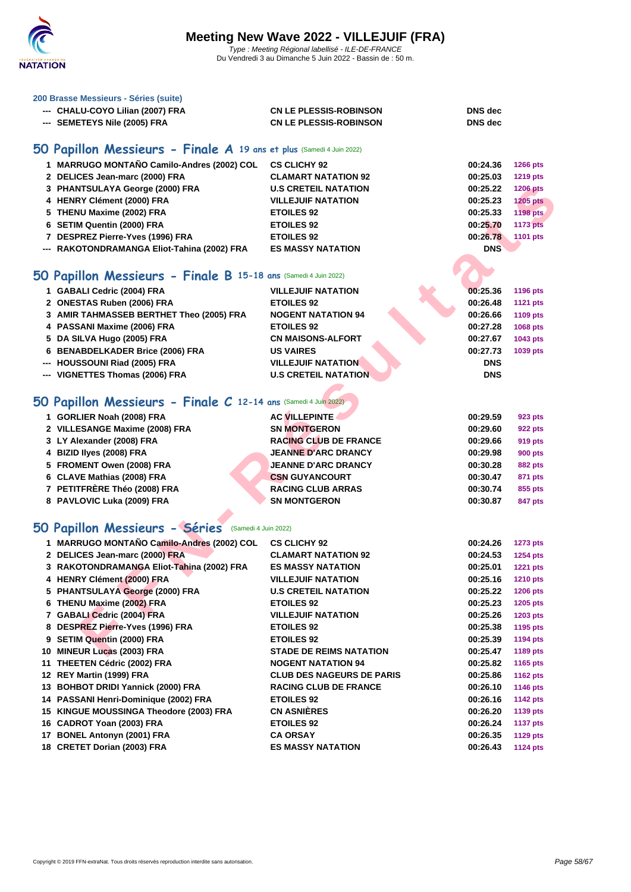

### **[200 Brass](http://www.ffnatation.fr/webffn/index.php)e Messieurs - Séries (suite)**

| --- CHALU-COYO Lilian (2007) FRA | <b>CN LE PLESSIS-ROBINSON</b> | <b>DNS</b> dec |
|----------------------------------|-------------------------------|----------------|
| --- SEMETEYS Nile (2005) FRA     | <b>CN LE PLESSIS-ROBINSON</b> | <b>DNS</b> dec |

## **50 Papillon Messieurs - Finale A 19 ans et plus** (Samedi 4 Juin 2022)

| 1 MARRUGO MONTAÑO Camilo-Andres (2002) COL  | <b>CS CLICHY 92</b>         | 00:24.36   | <b>1266 pts</b> |
|---------------------------------------------|-----------------------------|------------|-----------------|
| 2 DELICES Jean-marc (2000) FRA              | <b>CLAMART NATATION 92</b>  | 00:25.03   | <b>1219 pts</b> |
| 3 PHANTSULAYA George (2000) FRA             | <b>U.S CRETEIL NATATION</b> | 00:25.22   | <b>1206 pts</b> |
| 4 HENRY Clément (2000) FRA                  | <b>VILLEJUIF NATATION</b>   | 00:25.23   | <b>1205 pts</b> |
| 5 THENU Maxime (2002) FRA                   | <b>ETOILES 92</b>           | 00:25.33   | 1198 pts        |
| 6 SETIM Quentin (2000) FRA                  | <b>ETOILES 92</b>           | 00:25.70   | <b>1173 pts</b> |
| 7 DESPREZ Pierre-Yves (1996) FRA            | <b>ETOILES 92</b>           | 00:26.78   | 1101 pts        |
| --- RAKOTONDRAMANGA Eliot-Tahina (2002) FRA | <b>ES MASSY NATATION</b>    | <b>DNS</b> |                 |

## **50 Papillon Messieurs - Finale B 15-18 ans** (Samedi 4 Juin 2022)

| 1 GABALI Cedric (2004) FRA               | <b>VILLEJUIF NATATION</b>   | 00:25.36   | 1196 pts        |
|------------------------------------------|-----------------------------|------------|-----------------|
| 2 ONESTAS Ruben (2006) FRA               | <b>ETOILES 92</b>           | 00:26.48   | <b>1121 pts</b> |
| 3 AMIR TAHMASSEB BERTHET Theo (2005) FRA | <b>NOGENT NATATION 94</b>   | 00:26.66   | 1109 pts        |
| 4 PASSANI Maxime (2006) FRA              | <b>ETOILES 92</b>           | 00:27.28   | 1068 pts        |
| 5 DA SILVA Hugo (2005) FRA               | <b>CN MAISONS-ALFORT</b>    | 00:27.67   | 1043 pts        |
| 6 BENABDELKADER Brice (2006) FRA         | <b>US VAIRES</b>            | 00:27.73   | 1039 pts        |
| --- HOUSSOUNI Riad (2005) FRA            | <b>VILLEJUIF NATATION</b>   | <b>DNS</b> |                 |
| --- VIGNETTES Thomas (2006) FRA          | <b>U.S CRETEIL NATATION</b> | <b>DNS</b> |                 |
|                                          |                             |            |                 |

## **50 Papillon Messieurs - Finale C 12-14 ans** (Samedi 4 Juin 2022)

| 1 GORLIER Noah (2008) FRA      | <b>AC VILLEPINTE</b>         | 00:29.59 | 923 pts        |
|--------------------------------|------------------------------|----------|----------------|
| 2 VILLESANGE Maxime (2008) FRA | <b>SN MONTGERON</b>          | 00:29.60 | 922 pts        |
| 3 LY Alexander (2008) FRA      | <b>RACING CLUB DE FRANCE</b> | 00:29.66 | 919 pts        |
| 4 BIZID Ilyes (2008) FRA       | <b>JEANNE D'ARC DRANCY</b>   | 00:29.98 | 900 pts        |
| 5 FROMENT Owen (2008) FRA      | <b>JEANNE D'ARC DRANCY</b>   | 00:30.28 | <b>882 pts</b> |
| 6 CLAVE Mathias (2008) FRA     | <b>CSN GUYANCOURT</b>        | 00:30.47 | 871 pts        |
| 7 PETITFRÈRE Théo (2008) FRA   | <b>RACING CLUB ARRAS</b>     | 00:30.74 | 855 pts        |
| 8 PAVLOVIC Luka (2009) FRA     | <b>SN MONTGERON</b>          | 00:30.87 | 847 pts        |

## **50 Papillon Messieurs - Séries** (Samedi 4 Juin 2022)

| 3 PHANTSULAYA George (2000) FRA                                | <b>U.S CRETEIL NATATION</b>      | 00:25.22   | <b>1206 pts</b> |
|----------------------------------------------------------------|----------------------------------|------------|-----------------|
| 4 HENRY Clément (2000) FRA                                     | <b>VILLEJUIF NATATION</b>        | 00:25.23   | <b>1205 pts</b> |
| 5 THENU Maxime (2002) FRA                                      | <b>ETOILES 92</b>                | 00:25.33   | <b>1198 pts</b> |
| 6 SETIM Quentin (2000) FRA                                     | <b>ETOILES 92</b>                | 00:25.70   | <b>1173 pts</b> |
| 7 DESPREZ Pierre-Yves (1996) FRA                               | <b>ETOILES 92</b>                | 00:26.78   | 1101 pts        |
| --- RAKOTONDRAMANGA Eliot-Tahina (2002) FRA                    | <b>ES MASSY NATATION</b>         | <b>DNS</b> |                 |
|                                                                |                                  |            |                 |
| O Papillon Messieurs - Finale B 15-18 ans (Samedi 4 Juin 2022) |                                  |            |                 |
| 1 GABALI Cedric (2004) FRA                                     | <b>VILLEJUIF NATATION</b>        | 00:25.36   | 1196 pts        |
| 2 ONESTAS Ruben (2006) FRA                                     | <b>ETOILES 92</b>                | 00:26.48   | 1121 pts        |
| 3 AMIR TAHMASSEB BERTHET Theo (2005) FRA                       | <b>NOGENT NATATION 94</b>        | 00:26.66   | 1109 pts        |
| 4 PASSANI Maxime (2006) FRA                                    | <b>ETOILES 92</b>                | 00:27.28   | 1068 pts        |
| 5 DA SILVA Hugo (2005) FRA                                     | <b>CN MAISONS-ALFORT</b>         | 00:27.67   | 1043 pts        |
| 6 BENABDELKADER Brice (2006) FRA                               | <b>US VAIRES</b>                 | 00:27.73   | 1039 pts        |
| --- HOUSSOUNI Riad (2005) FRA                                  | <b>VILLEJUIF NATATION</b>        | <b>DNS</b> |                 |
| --- VIGNETTES Thomas (2006) FRA                                | <b>U.S CRETEIL NATATION</b>      | <b>DNS</b> |                 |
|                                                                |                                  |            |                 |
| O Papillon Messieurs - Finale C 12-14 ans (Samedi 4 Juin 2022) |                                  |            |                 |
| 1 GORLIER Noah (2008) FRA                                      | <b>AC VILLEPINTE</b>             | 00:29.59   | 923 pts         |
| 2 VILLESANGE Maxime (2008) FRA                                 | <b>SN MONTGERON</b>              | 00:29.60   | <b>922 pts</b>  |
| 3 LY Alexander (2008) FRA                                      | <b>RACING CLUB DE FRANCE</b>     | 00:29.66   | 919 pts         |
| 4 BIZID liyes (2008) FRA                                       | <b>JEANNE D'ARC DRANCY</b>       | 00:29.98   | <b>900 pts</b>  |
| 5 FROMENT Owen (2008) FRA                                      | <b>JEANNE D'ARC DRANCY</b>       | 00:30.28   | <b>882 pts</b>  |
| 6 CLAVE Mathias (2008) FRA                                     | <b>CSN GUYANCOURT</b>            | 00:30.47   | 871 pts         |
| 7 PETITFRÉRE Théo (2008) FRA                                   | <b>RACING CLUB ARRAS</b>         | 00:30.74   | 855 pts         |
| 8 PAVLOVIC Luka (2009) FRA                                     | <b>SN MONTGERON</b>              | 00:30.87   | 847 pts         |
|                                                                |                                  |            |                 |
| O Papillon Messieurs - Séries (Samedi 4 Juin 2022)             |                                  |            |                 |
| 1 MARRUGO MONTAÑO Camilo-Andres (2002) COL                     | <b>CS CLICHY 92</b>              | 00:24.26   | <b>1273 pts</b> |
| 2 DELICES Jean-marc (2000) FRA                                 | <b>CLAMART NATATION 92</b>       | 00:24.53   | 1254 pts        |
| 3 RAKOTONDRAMANGA Eliot-Tahina (2002) FRA                      | <b>ES MASSY NATATION</b>         | 00:25.01   | <b>1221 pts</b> |
| 4 HENRY Clément (2000) FRA                                     | <b>VILLEJUIF NATATION</b>        | 00:25.16   | <b>1210 pts</b> |
| 5 PHANTSULAYA George (2000) FRA                                | <b>U.S CRETEIL NATATION</b>      | 00:25.22   | <b>1206 pts</b> |
| 6 THENU Maxime (2002) FRA                                      | <b>ETOILES 92</b>                | 00:25.23   | 1205 pts        |
| 7 GABALI Cedric (2004) FRA                                     | <b>VILLEJUIF NATATION</b>        | 00:25.26   | 1203 pts        |
| 8 DESPREZ Pierre-Yves (1996) FRA                               | <b>ETOILES 92</b>                | 00:25.38   | 1195 pts        |
| 9 SETIM Quentin (2000) FRA                                     | <b>ETOILES 92</b>                | 00:25.39   | <b>1194 pts</b> |
| 10 MINEUR Lucas (2003) FRA                                     | <b>STADE DE REIMS NATATION</b>   | 00:25.47   | 1189 pts        |
| 11 THEETEN Cédric (2002) FRA                                   | <b>NOGENT NATATION 94</b>        | 00:25.82   | 1165 pts        |
| 12 REY Martin (1999) FRA                                       | <b>CLUB DES NAGEURS DE PARIS</b> | 00:25.86   | 1162 pts        |
| 13 BOHBOT DRIDI Yannick (2000) FRA                             | <b>RACING CLUB DE FRANCE</b>     | 00:26.10   | <b>1146 pts</b> |
| 14 PASSANI Henri-Dominique (2002) FRA                          | <b>ETOILES 92</b>                | 00:26.16   | <b>1142 pts</b> |
| 15 KINGUE MOUSSINGA Theodore (2003) FRA                        | <b>CN ASNIERES</b>               | 00:26.20   | 1139 pts        |
| 16 CADROT Yoan (2003) FRA                                      | <b>ETOILES 92</b>                | 00:26.24   | <b>1137 pts</b> |
| 17 BONEL Antonyn (2001) FRA                                    | <b>CA ORSAY</b>                  | 00:26.35   | <b>1129 pts</b> |
| 18 CRETET Dorian (2003) FRA                                    | <b>ES MASSY NATATION</b>         | 00:26.43   | <b>1124 pts</b> |
|                                                                |                                  |            |                 |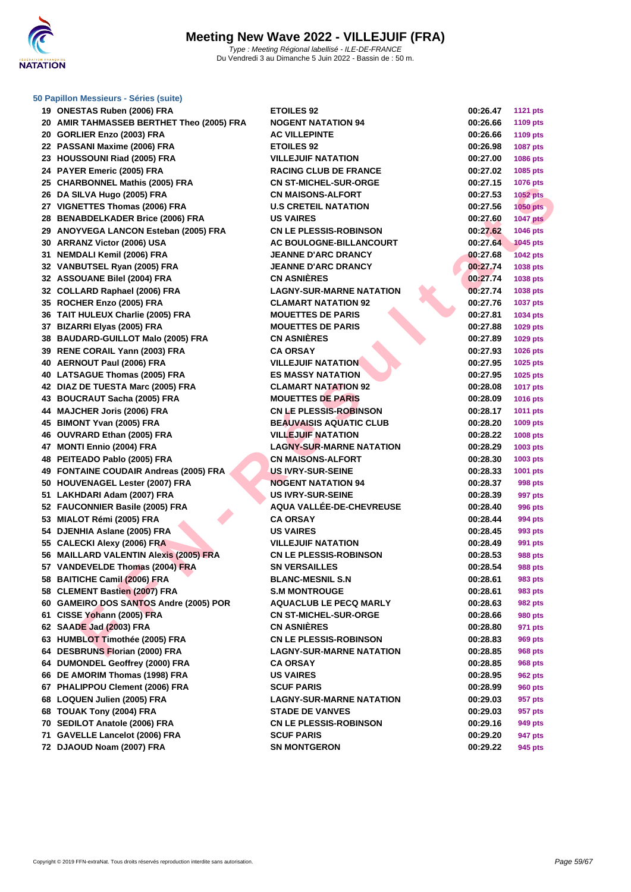

| <b>IS ONLUTAS INDUCTIVE ON THE</b>        |                                 | 00.ZU.TI | $1121$ pm       |
|-------------------------------------------|---------------------------------|----------|-----------------|
| 20 AMIR TAHMASSEB BERTHET Theo (2005) FRA | <b>NOGENT NATATION 94</b>       | 00:26.66 | <b>1109 pts</b> |
| 20 GORLIER Enzo (2003) FRA                | <b>AC VILLEPINTE</b>            | 00:26.66 | 1109 pts        |
| 22 PASSANI Maxime (2006) FRA              | <b>ETOILES 92</b>               | 00:26.98 | 1087 pts        |
| 23 HOUSSOUNI Riad (2005) FRA              | <b>VILLEJUIF NATATION</b>       | 00:27.00 | 1086 pts        |
| 24 PAYER Emeric (2005) FRA                | <b>RACING CLUB DE FRANCE</b>    | 00:27.02 | 1085 pts        |
| 25 CHARBONNEL Mathis (2005) FRA           | <b>CN ST-MICHEL-SUR-ORGE</b>    | 00:27.15 | 1076 pts        |
| 26 DA SILVA Hugo (2005) FRA               | <b>CN MAISONS-ALFORT</b>        | 00:27.53 | <b>1052 pts</b> |
| 27 VIGNETTES Thomas (2006) FRA            | <b>U.S CRETEIL NATATION</b>     | 00:27.56 | $1050$ pts      |
| 28 BENABDELKADER Brice (2006) FRA         | <b>US VAIRES</b>                | 00:27.60 | <b>1047 pts</b> |
| 29 ANOYVEGA LANCON Esteban (2005) FRA     | <b>CN LE PLESSIS-ROBINSON</b>   | 00:27.62 | 1046 pts        |
| 30 ARRANZ Victor (2006) USA               | AC BOULOGNE-BILLANCOURT         | 00:27.64 | <b>1045 pts</b> |
| 31 NEMDALI Kemil (2006) FRA               | <b>JEANNE D'ARC DRANCY</b>      | 00:27.68 | <b>1042 pts</b> |
| 32 VANBUTSEL Ryan (2005) FRA              | <b>JEANNE D'ARC DRANCY</b>      | 00:27.74 | 1038 pts        |
| 32 ASSOUANE Bilel (2004) FRA              | <b>CN ASNIERES</b>              | 00:27.74 | 1038 pts        |
| 32 COLLARD Raphael (2006) FRA             | <b>LAGNY-SUR-MARNE NATATION</b> | 00:27.74 | 1038 pts        |
| 35 ROCHER Enzo (2005) FRA                 | <b>CLAMART NATATION 92</b>      | 00:27.76 | <b>1037 pts</b> |
| 36 TAIT HULEUX Charlie (2005) FRA         | <b>MOUETTES DE PARIS</b>        | 00:27.81 | 1034 pts        |
| 37 BIZARRI Elyas (2005) FRA               | <b>MOUETTES DE PARIS</b>        | 00:27.88 | 1029 pts        |
| 38 BAUDARD-GUILLOT Malo (2005) FRA        | <b>CN ASNIERES</b>              | 00:27.89 | 1029 pts        |
| 39 RENE CORAIL Yann (2003) FRA            | <b>CA ORSAY</b>                 | 00:27.93 | <b>1026 pts</b> |
| 40 AERNOUT Paul (2006) FRA                | <b>VILLEJUIF NATATION</b>       | 00:27.95 | 1025 pts        |
| 40 LATSAGUE Thomas (2005) FRA             | <b>ES MASSY NATATION</b>        | 00:27.95 | 1025 pts        |
| 42 DIAZ DE TUESTA Marc (2005) FRA         | <b>CLAMART NATATION 92</b>      | 00:28.08 | <b>1017 pts</b> |
| 43 BOUCRAUT Sacha (2005) FRA              | <b>MOUETTES DE PARIS</b>        | 00:28.09 | 1016 pts        |
| 44 MAJCHER Joris (2006) FRA               | <b>CN LE PLESSIS-ROBINSON</b>   | 00:28.17 | 1011 pts        |
| 45 BIMONT Yvan (2005) FRA                 | <b>BEAUVAISIS AQUATIC CLUB</b>  | 00:28.20 | 1009 pts        |
| 46 OUVRARD Ethan (2005) FRA               | <b>VILLEJUIF NATATION</b>       | 00:28.22 | 1008 pts        |
| 47 MONTI Ennio (2004) FRA                 | <b>LAGNY-SUR-MARNE NATATION</b> | 00:28.29 | 1003 pts        |
| 48 PEITEADO Pablo (2005) FRA              | <b>CN MAISONS-ALFORT</b>        | 00:28.30 | 1003 pts        |
| 49 FONTAINE COUDAIR Andreas (2005) FRA    | US IVRY-SUR-SEINE               | 00:28.33 | 1001 pts        |
| 50 HOUVENAGEL Lester (2007) FRA           | <b>NOGENT NATATION 94</b>       | 00:28.37 | 998 pts         |
| 51 LAKHDARI Adam (2007) FRA               | <b>US IVRY-SUR-SEINE</b>        | 00:28.39 | 997 pts         |
| 52 FAUCONNIER Basile (2005) FRA           | AQUA VALLÉE-DE-CHEVREUSE        | 00:28.40 | 996 pts         |
| 53 MIALOT Rémi (2005) FRA                 | <b>CA ORSAY</b>                 | 00:28.44 | 994 pts         |
| 54 DJENHIA Aslane (2005) FRA              | <b>US VAIRES</b>                | 00:28.45 | 993 pts         |
| 55 CALECKI Alexy (2006) FRA               | <b>VILLEJUIF NATATION</b>       | 00:28.49 | 991 pts         |
| 56 MAILLARD VALENTIN Alexis (2005) FRA    | <b>CN LE PLESSIS-ROBINSON</b>   | 00:28.53 | 988 pts         |
| 57 VANDEVELDE Thomas (2004) FRA           | <b>SN VERSAILLES</b>            | 00:28.54 | 988 pts         |
| 58 BAITICHE Camil (2006) FRA              | <b>BLANC-MESNIL S.N</b>         | 00:28.61 | 983 pts         |
| 58 CLEMENT Bastien (2007) FRA             | S.M MONTROUGE                   | 00:28.61 | 983 pts         |
| 60 GAMEIRO DOS SANTOS Andre (2005) POR    | <b>AQUACLUB LE PECQ MARLY</b>   | 00:28.63 | 982 pts         |
| 61 CISSE Yohann (2005) FRA                | <b>CN ST-MICHEL-SUR-ORGE</b>    | 00:28.66 | <b>980 pts</b>  |
| 62 SAADE Jad (2003) FRA                   | <b>CN ASNIERES</b>              | 00:28.80 | 971 pts         |
| 63 HUMBLOT Timothée (2005) FRA            | <b>CN LE PLESSIS-ROBINSON</b>   | 00:28.83 | 969 pts         |
| 64 DESBRUNS Florian (2000) FRA            | <b>LAGNY-SUR-MARNE NATATION</b> | 00:28.85 | 968 pts         |
| 64 DUMONDEL Geoffrey (2000) FRA           | <b>CA ORSAY</b>                 | 00:28.85 | 968 pts         |
| 66 DE AMORIM Thomas (1998) FRA            | <b>US VAIRES</b>                | 00:28.95 | 962 pts         |
| 67 PHALIPPOU Clement (2006) FRA           | <b>SCUF PARIS</b>               | 00:28.99 | <b>960 pts</b>  |
| 68 LOQUEN Julien (2005) FRA               | <b>LAGNY-SUR-MARNE NATATION</b> | 00:29.03 | 957 pts         |
| 68 TOUAK Tony (2004) FRA                  | <b>STADE DE VANVES</b>          | 00:29.03 | 957 pts         |
| 70 SEDILOT Anatole (2006) FRA             | <b>CN LE PLESSIS-ROBINSON</b>   | 00:29.16 | 949 pts         |
| 71 GAVELLE Lancelot (2006) FRA            | <b>SCUF PARIS</b>               | 00:29.20 | 947 pts         |
| <b>70 BIAOUB Neem (0007) EBA</b>          | CH MONITOEDON                   | 00.20.22 | OAP             |

| 19 ONESTAS Ruben (2006) FRA               | <b>ETOILES 92</b>               | 00:26.47 | <b>1121 pts</b>             |
|-------------------------------------------|---------------------------------|----------|-----------------------------|
| 20 AMIR TAHMASSEB BERTHET Theo (2005) FRA | <b>NOGENT NATATION 94</b>       | 00:26.66 | 1109 pts                    |
| 20 GORLIER Enzo (2003) FRA                | <b>AC VILLEPINTE</b>            | 00:26.66 | 1109 pts                    |
| 22 PASSANI Maxime (2006) FRA              | <b>ETOILES 92</b>               | 00:26.98 | 1087 pts                    |
| 23 HOUSSOUNI Riad (2005) FRA              | <b>VILLEJUIF NATATION</b>       | 00:27.00 | 1086 pts                    |
| 24 PAYER Emeric (2005) FRA                | <b>RACING CLUB DE FRANCE</b>    | 00:27.02 | 1085 pts                    |
| 25 CHARBONNEL Mathis (2005) FRA           | <b>CN ST-MICHEL-SUR-ORGE</b>    | 00:27.15 | <b>1076 pts</b>             |
| 26 DA SILVA Hugo (2005) FRA               | <b>CN MAISONS-ALFORT</b>        | 00:27.53 | <b>1052 pts</b>             |
| 27 VIGNETTES Thomas (2006) FRA            | <b>U.S CRETEIL NATATION</b>     | 00:27.56 | <b>1050 pts</b>             |
| 28 BENABDELKADER Brice (2006) FRA         | <b>US VAIRES</b>                | 00:27.60 | <b>1047 pts</b>             |
| 29 ANOYVEGA LANCON Esteban (2005) FRA     | <b>CN LE PLESSIS-ROBINSON</b>   | 00:27.62 | <b>1046 pts</b>             |
| 30 ARRANZ Victor (2006) USA               | AC BOULOGNE-BILLANCOURT         | 00:27.64 | <b>1045 pts</b>             |
| 31 NEMDALI Kemil (2006) FRA               | <b>JEANNE D'ARC DRANCY</b>      | 00:27.68 | 1042 pts                    |
| 32 VANBUTSEL Ryan (2005) FRA              | <b>JEANNE D'ARC DRANCY</b>      | 00:27.74 | 1038 pts                    |
| 32 ASSOUANE Bilel (2004) FRA              | <b>CN ASNIÈRES</b>              | 00:27.74 | 1038 pts                    |
| 32 COLLARD Raphael (2006) FRA             | <b>LAGNY-SUR-MARNE NATATION</b> | 00:27.74 | 1038 pts                    |
| 35 ROCHER Enzo (2005) FRA                 | <b>CLAMART NATATION 92</b>      | 00:27.76 | <b>1037 pts</b>             |
| 36 TAIT HULEUX Charlie (2005) FRA         | <b>MOUETTES DE PARIS</b>        | 00:27.81 | <b>1034 pts</b>             |
| 37 BIZARRI Elyas (2005) FRA               | <b>MOUETTES DE PARIS</b>        | 00:27.88 | <b>1029 pts</b>             |
| 38 BAUDARD-GUILLOT Malo (2005) FRA        | <b>CN ASNIÈRES</b>              | 00:27.89 | 1029 pts                    |
| 39 RENE CORAIL Yann (2003) FRA            | <b>CA ORSAY</b>                 | 00:27.93 | <b>1026 pts</b>             |
| 40 AERNOUT Paul (2006) FRA                | <b>VILLEJUIF NATATION</b>       | 00:27.95 | 1025 pts                    |
| 40 LATSAGUE Thomas (2005) FRA             | <b>ES MASSY NATATION</b>        | 00:27.95 | 1025 pts                    |
| 42 DIAZ DE TUESTA Marc (2005) FRA         | <b>CLAMART NATATION 92</b>      | 00:28.08 |                             |
|                                           | <b>MOUETTES DE PARIS</b>        | 00:28.09 | <b>1017 pts</b><br>1016 pts |
| 43 BOUCRAUT Sacha (2005) FRA              |                                 |          |                             |
| 44 MAJCHER Joris (2006) FRA               | <b>CN LE PLESSIS-ROBINSON</b>   | 00:28.17 | <b>1011 pts</b>             |
| 45 BIMONT Yvan (2005) FRA                 | <b>BEAUVAISIS AQUATIC CLUB</b>  | 00:28.20 | 1009 pts                    |
| 46 OUVRARD Ethan (2005) FRA               | <b>VILLEJUIF NATATION</b>       | 00:28.22 | <b>1008 pts</b>             |
| 47 MONTI Ennio (2004) FRA                 | <b>LAGNY-SUR-MARNE NATATION</b> | 00:28.29 | 1003 pts                    |
| 48 PEITEADO Pablo (2005) FRA              | <b>CN MAISONS-ALFORT</b>        | 00:28.30 | 1003 pts                    |
| 49 FONTAINE COUDAIR Andreas (2005) FRA    | US IVRY-SUR-SEINE               | 00:28.33 | 1001 pts                    |
| 50 HOUVENAGEL Lester (2007) FRA           | <b>NOGENT NATATION 94</b>       | 00:28.37 | 998 pts                     |
| 51 LAKHDARI Adam (2007) FRA               | <b>US IVRY-SUR-SEINE</b>        | 00:28.39 | 997 pts                     |
| 52 FAUCONNIER Basile (2005) FRA           | AQUA VALLÉE-DE-CHEVREUSE        | 00:28.40 | <b>996 pts</b>              |
| 53 MIALOT Rémi (2005) FRA                 | <b>CA ORSAY</b>                 | 00:28.44 | 994 pts                     |
| 54 DJENHIA Aslane (2005) FRA              | <b>US VAIRES</b>                | 00:28.45 | 993 pts                     |
| 55 CALECKI Alexy (2006) FRA               | <b>VILLEJUIF NATATION</b>       | 00:28.49 | 991 pts                     |
| 56 MAILLARD VALENTIN Alexis (2005) FRA    | <b>CN LE PLESSIS-ROBINSON</b>   | 00:28.53 | <b>988 pts</b>              |
| 57 VANDEVELDE Thomas (2004) FRA           | <b>SN VERSAILLES</b>            | 00:28.54 | <b>988 pts</b>              |
| 58 BAITICHE Camil (2006) FRA              | <b>BLANC-MESNIL S.N</b>         | 00:28.61 | 983 pts                     |
| 58 CLEMENT Bastien (2007) FRA             | <b>S.M MONTROUGE</b>            | 00:28.61 | 983 pts                     |
| 60 GAMEIRO DOS SANTOS Andre (2005) POR    | <b>AQUACLUB LE PECQ MARLY</b>   | 00:28.63 | <b>982 pts</b>              |
| 61 CISSE Yohann (2005) FRA                | <b>CN ST-MICHEL-SUR-ORGE</b>    | 00:28.66 | <b>980 pts</b>              |
| 62 SAADE Jad (2003) FRA                   | <b>CN ASNIERES</b>              | 00:28.80 | 971 pts                     |
| 63 HUMBLOT Timothée (2005) FRA            | <b>CN LE PLESSIS-ROBINSON</b>   | 00:28.83 | <b>969 pts</b>              |
| 64 DESBRUNS Florian (2000) FRA            | <b>LAGNY-SUR-MARNE NATATION</b> | 00:28.85 | <b>968 pts</b>              |
| 64 DUMONDEL Geoffrey (2000) FRA           | <b>CA ORSAY</b>                 | 00:28.85 | <b>968 pts</b>              |
| 66 DE AMORIM Thomas (1998) FRA            | <b>US VAIRES</b>                | 00:28.95 | <b>962 pts</b>              |
| 67 PHALIPPOU Clement (2006) FRA           | <b>SCUF PARIS</b>               | 00:28.99 | <b>960 pts</b>              |
| 68 LOQUEN Julien (2005) FRA               | <b>LAGNY-SUR-MARNE NATATION</b> | 00:29.03 | 957 pts                     |
| 68 TOUAK Tony (2004) FRA                  | <b>STADE DE VANVES</b>          | 00:29.03 | 957 pts                     |
| 70 SEDILOT Anatole (2006) FRA             | <b>CN LE PLESSIS-ROBINSON</b>   | 00:29.16 | 949 pts                     |
| 71 GAVELLE Lancelot (2006) FRA            | <b>SCUF PARIS</b>               | 00:29.20 | 947 pts                     |
| 72 DJAOUD Noam (2007) FRA                 | <b>SN MONTGERON</b>             | 00:29.22 | 945 pts                     |
|                                           |                                 |          |                             |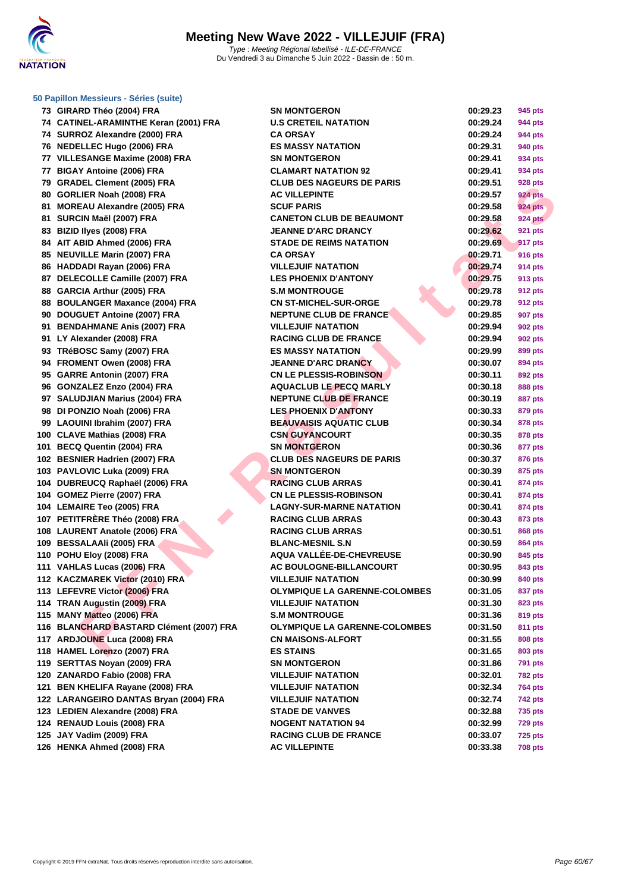

| 73. | GIRARD Thèo (2004) FRA                   |
|-----|------------------------------------------|
|     | 74 CATINEL-ARAMINTHE Keran (2001) FRA    |
|     | 74 SURROZ Alexandre (2000) FRA           |
|     | 76 NEDELLEC Hugo (2006) FRA              |
|     | 77 VILLESANGE Maxime (2008) FRA          |
|     | 77 BIGAY Antoine (2006) FRA              |
|     | 79 GRADEL Clement (2005) FRA             |
|     | 80 GORLIER Noah (2008) FRA               |
|     | 81 MOREAU Alexandre (2005) FRA           |
| 81  | SURCIN Maël (2007) FRA                   |
|     | 83 BIZID Ilyes (2008) FRA                |
|     | 84 AIT ABID Ahmed (2006) FRA             |
|     | 85 NEUVILLE Marin (2007) FRA             |
| 86  | HADDADI Rayan (2006) FRA                 |
|     | 87 DELECOLLE Camille (2007) FRA          |
|     | 88 GARCIA Arthur (2005) FRA              |
| 88  | <b>BOULANGER Maxance (2004) FRA</b>      |
|     | 90 DOUGUET Antoine (2007) FRA            |
|     | 91 BENDAHMANE Anis (2007) FRA            |
|     | 91 LY Alexander (2008) FRA               |
|     | 93 TRéBOSC Samy (2007) FRA               |
|     | 94 FROMENT Owen (2008) FRA               |
|     | 95 GARRE Antonin (2007) FRA              |
|     | 96 GONZALEZ Enzo (2004) FRA              |
|     | 97 SALUDJIAN Marius (2004) FRA           |
|     | 98 DI PONZIO Noah (2006) FRA             |
|     | 99 LAOUINI Ibrahim (2007) FRA            |
|     | 100 CLAVE Mathias (2008) FRA             |
|     | 101 BECQ Quentin (2004) FRA              |
|     | 102 BESNIER Hadrien (2007) FRA           |
|     | 103 PAVLOVIC Luka (2009) FRA             |
|     | 104 DUBREUCQ Raphaël (2006) FRA          |
| 104 | GOMEZ Pierre (2007) FRA                  |
|     | 104 LEMAIRE Teo (2005) FRA               |
|     | 107 PETITFRÈRE Théo (2008) FRA           |
|     | 108 LAURENT Anatole (2006) FRA           |
|     | 109 BESSALAAIi (2005) FRA                |
|     | 110 POHU Eloy (2008) FRA                 |
|     | 111 VAHLAS Lucas (2006) FRA              |
| 112 | KACZMAREK Victor (2010) FRA              |
|     | 113 LEFEVRE Victor (2006) FRA            |
| 114 | TRAN Augustin (2009) FRA                 |
| 115 | <b>MANY Matteo (2006) FRA</b>            |
|     | 116 BLANCHARD BASTARD Clément (2007) FRA |
|     | 117 ARDJOUNE Luca (2008) FRA             |
|     | 118 HAMEL Lorenzo (2007) FRA             |
|     | 119 SERTTAS Noyan (2009) FRA             |
|     | 120 ZANARDO Fabio (2008) FRA             |
|     | 121 BEN KHELIFA Rayane (2008) FRA        |
|     | 122 LARANGEIRO DANTAS Bryan (2004) FRA   |
|     | 123 LEDIEN Alexandre (2008) FRA          |
|     | 124 RENAUD Louis (2008) FRA              |
|     | 125 JAY Vadim (2009) FRA                 |
|     | 126 HENKA Ahmed (2008) FRA               |

| 73 GIRARD Théo (2004) FRA                | <b>SN MONTGERON</b>                  | 00:29.23 | 945 pts        |
|------------------------------------------|--------------------------------------|----------|----------------|
| 74 CATINEL-ARAMINTHE Keran (2001) FRA    | <b>U.S CRETEIL NATATION</b>          | 00:29.24 | 944 pts        |
| 74 SURROZ Alexandre (2000) FRA           | <b>CA ORSAY</b>                      | 00:29.24 | 944 pts        |
| 76 NEDELLEC Hugo (2006) FRA              | <b>ES MASSY NATATION</b>             | 00:29.31 | 940 pts        |
| 77 VILLESANGE Maxime (2008) FRA          | <b>SN MONTGERON</b>                  | 00:29.41 | 934 pts        |
| 77 BIGAY Antoine (2006) FRA              | <b>CLAMART NATATION 92</b>           | 00:29.41 | 934 pts        |
| 79 GRADEL Clement (2005) FRA             | <b>CLUB DES NAGEURS DE PARIS</b>     | 00:29.51 | 928 pts        |
| 80 GORLIER Noah (2008) FRA               | <b>AC VILLEPINTE</b>                 | 00:29.57 | 924 pts        |
| 81 MOREAU Alexandre (2005) FRA           | <b>SCUF PARIS</b>                    | 00:29.58 | <b>924 pts</b> |
| 81 SURCIN Maël (2007) FRA                | <b>CANETON CLUB DE BEAUMONT</b>      | 00:29.58 | <b>924 pts</b> |
| 83 BIZID Ilyes (2008) FRA                | <b>JEANNE D'ARC DRANCY</b>           | 00:29.62 | 921 pts        |
| 84 AIT ABID Ahmed (2006) FRA             | <b>STADE DE REIMS NATATION</b>       | 00:29.69 | <b>917 pts</b> |
| 85 NEUVILLE Marin (2007) FRA             | <b>CA ORSAY</b>                      | 00:29.71 | 916 pts        |
| 86 HADDADI Rayan (2006) FRA              | <b>VILLEJUIF NATATION</b>            | 00:29.74 | 914 pts        |
| 87 DELECOLLE Camille (2007) FRA          | <b>LES PHOENIX D'ANTONY</b>          | 00:29.75 |                |
| 88 GARCIA Arthur (2005) FRA              | <b>S.M MONTROUGE</b>                 | 00:29.78 | 913 pts        |
| 88 BOULANGER Maxance (2004) FRA          | <b>CN ST-MICHEL-SUR-ORGE</b>         |          | 912 pts        |
| 90 DOUGUET Antoine (2007) FRA            | <b>NEPTUNE CLUB DE FRANCE</b>        | 00:29.78 | 912 pts        |
|                                          |                                      | 00:29.85 | 907 pts        |
| 91 BENDAHMANE Anis (2007) FRA            | <b>VILLEJUIF NATATION</b>            | 00:29.94 | 902 pts        |
| 91 LY Alexander (2008) FRA               | <b>RACING CLUB DE FRANCE</b>         | 00:29.94 | 902 pts        |
| 93 TRéBOSC Samy (2007) FRA               | <b>ES MASSY NATATION</b>             | 00:29.99 | 899 pts        |
| 94 FROMENT Owen (2008) FRA               | <b>JEANNE D'ARC DRANCY</b>           | 00:30.07 | 894 pts        |
| 95 GARRE Antonin (2007) FRA              | <b>CN LE PLESSIS-ROBINSON</b>        | 00:30.11 | 892 pts        |
| 96 GONZALEZ Enzo (2004) FRA              | <b>AQUACLUB LE PECQ MARLY</b>        | 00:30.18 | 888 pts        |
| 97 SALUDJIAN Marius (2004) FRA           | <b>NEPTUNE CLUB DE FRANCE</b>        | 00:30.19 | 887 pts        |
| 98 DI PONZIO Noah (2006) FRA             | <b>LES PHOENIX D'ANTONY</b>          | 00:30.33 | 879 pts        |
| 99 LAOUINI Ibrahim (2007) FRA            | <b>BEAUVAISIS AQUATIC CLUB</b>       | 00:30.34 | 878 pts        |
| 100 CLAVE Mathias (2008) FRA             | <b>CSN GUYANCOURT</b>                | 00:30.35 | 878 pts        |
| 101 BECQ Quentin (2004) FRA              | <b>SN MONTGERON</b>                  | 00:30.36 | 877 pts        |
| 102 BESNIER Hadrien (2007) FRA           | <b>CLUB DES NAGEURS DE PARIS</b>     | 00:30.37 | 876 pts        |
| 103 PAVLOVIC Luka (2009) FRA             | <b>SN MONTGERON</b>                  | 00:30.39 | 875 pts        |
| 104 DUBREUCQ Raphaël (2006) FRA          | <b>RACING CLUB ARRAS</b>             | 00:30.41 | 874 pts        |
| 104 GOMEZ Pierre (2007) FRA              | <b>CN LE PLESSIS-ROBINSON</b>        | 00:30.41 | 874 pts        |
| 104 LEMAIRE Teo (2005) FRA               | <b>LAGNY-SUR-MARNE NATATION</b>      | 00:30.41 | 874 pts        |
| 107 PETITFRÈRE Théo (2008) FRA           | <b>RACING CLUB ARRAS</b>             | 00:30.43 | 873 pts        |
| 108 LAURENT Anatole (2006) FRA           | <b>RACING CLUB ARRAS</b>             | 00:30.51 | 868 pts        |
| 109 BESSALAAIi (2005) FRA                | <b>BLANC-MESNIL S.N.</b>             | 00:30.59 | 864 pts        |
| 110 POHU Eloy (2008) FRA                 | AQUA VALLÉE-DE-CHEVREUSE             | 00:30.90 | 845 pts        |
| 111 VAHLAS Lucas (2006) FRA              | <b>AC BOULOGNE-BILLANCOURT</b>       | 00:30.95 | 843 pts        |
| 112 KACZMAREK Victor (2010) FRA          | <b>VILLEJUIF NATATION</b>            | 00:30.99 | <b>840 pts</b> |
| 113 LEFEVRE Victor (2006) FRA            | <b>OLYMPIQUE LA GARENNE-COLOMBES</b> | 00:31.05 | 837 pts        |
| 114 TRAN Augustin (2009) FRA             | <b>VILLEJUIF NATATION</b>            | 00:31.30 | 823 pts        |
| 115 MANY Matteo (2006) FRA               | <b>S.M MONTROUGE</b>                 | 00:31.36 | 819 pts        |
| 116 BLANCHARD BASTARD Clément (2007) FRA | <b>OLYMPIQUE LA GARENNE-COLOMBES</b> | 00:31.50 | 811 pts        |
| 117 ARDJOUNE Luca (2008) FRA             | <b>CN MAISONS-ALFORT</b>             | 00:31.55 | 808 pts        |
| 118 HAMEL Lorenzo (2007) FRA             | <b>ES STAINS</b>                     | 00:31.65 | 803 pts        |
| 119 SERTTAS Noyan (2009) FRA             | <b>SN MONTGERON</b>                  | 00:31.86 | <b>791 pts</b> |
| 120 ZANARDO Fabio (2008) FRA             | <b>VILLEJUIF NATATION</b>            | 00:32.01 | <b>782 pts</b> |
| 121 BEN KHELIFA Rayane (2008) FRA        | <b>VILLEJUIF NATATION</b>            | 00:32.34 | <b>764 pts</b> |
| 122 LARANGEIRO DANTAS Bryan (2004) FRA   | <b>VILLEJUIF NATATION</b>            | 00:32.74 | <b>742 pts</b> |
| 123 LEDIEN Alexandre (2008) FRA          | <b>STADE DE VANVES</b>               | 00:32.88 | <b>735 pts</b> |
| 124 RENAUD Louis (2008) FRA              | <b>NOGENT NATATION 94</b>            | 00:32.99 | <b>729 pts</b> |
| 125 JAY Vadim (2009) FRA                 | <b>RACING CLUB DE FRANCE</b>         | 00:33.07 | <b>725 pts</b> |
| 126 HENKA Ahmed (2008) FRA               | <b>AC VILLEPINTE</b>                 | 00:33.38 | <b>708 pts</b> |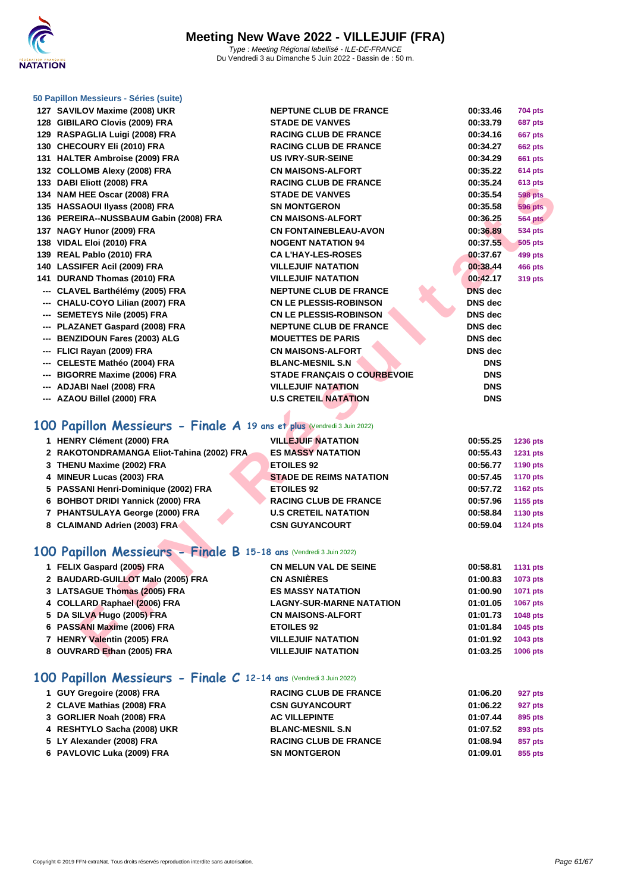

 **SAVILOV Maxime (2008) UKR NEPTUNE CLUB DE FRANCE 00:33.46 704 pts GIBILARO Clovis (2009) FRA STADE DE VANVES 00:33.79 687 pts RASPAGLIA Luigi (2008) FRA RACING CLUB DE FRANCE 00:34.16 667 pts CHECOURY Eli (2010) FRA RACING CLUB DE FRANCE 00:34.27 662 pts HALTER Ambroise (2009) FRA US IVRY-SUR-SEINE 00:34.29 661 pts COLLOMB Alexy (2008) FRA CN MAISONS-ALFORT 00:35.22 614 pts DABI Eliott (2008) FRA RACING CLUB DE FRANCE 00:35.24 613 pts NAM HEE Oscar (2008) FRA STADE DE VANVES 00:35.54 598 pts HASSAOUI Ilyass (2008) FRA SN MONTGERON 00:35.58 596 pts PEREIRA--NUSSBAUM Gabin (2008) FRA CN MAISONS-ALFORT 00:36.25 564 pts NAGY Hunor (2009) FRA CN FONTAINEBLEAU-AVON 00:36.89 534 pts VIDAL Eloi (2010) FRA NOGENT NATATION 94 00:37.55 505 pts REAL Pablo (2010) FRA CA L'HAY-LES-ROSES 00:37.67 499 pts LASSIFER Acil (2009) FRA VILLEJUIF NATATION 00:38.44 466 pts DURAND Thomas (2010) FRA VILLEJUIF NATATION 00:42.17 319 pts --- CLAVEL Barthélémy (2005) FRA NEPTUNE CLUB DE FRANCE DNS dec --- CHALU-COYO Lilian (2007) FRA CN LE PLESSIS-ROBINSON DNS dec --- SEMETEYS Nile (2005) FRA CN LE PLESSIS-ROBINSON DNS dec --- PLAZANET Gaspard (2008) FRA NEPTUNE CLUB DE FRANCE DNS dec --- BENZIDOUN Fares (2003) ALG MOUETTES DE PARIS DNS dec --- FLICI Rayan (2009) FRA CN MAISONS-ALFORT DNS dec --- CELESTE Mathéo (2004) FRA BLANC-MESNIL S.N DNS --- BIGORRE Maxime (2006) FRA STADE FRANÇAIS O COURBEVOIE DNS --- ADJABI Nael (2008) FRA VILLEJUIF NATATION DNS --- AZAOU Billel (2000) FRA U.S CRETEIL NATATION DNS**

### **100 Papillon Messieurs - Finale A 19 ans et plus** (Vendredi 3 Juin 2022)

| 1 HENRY Clément (2000) FRA                | <b>VILLEJUIF NATATION</b>      | 00:55.25 | <b>1236 pts</b> |
|-------------------------------------------|--------------------------------|----------|-----------------|
| 2 RAKOTONDRAMANGA Eliot-Tahina (2002) FRA | <b>ES MASSY NATATION</b>       | 00:55.43 | 1231 pts        |
| 3 THENU Maxime (2002) FRA                 | <b>ETOILES 92</b>              | 00:56.77 | 1190 pts        |
| 4 MINEUR Lucas (2003) FRA                 | <b>STADE DE REIMS NATATION</b> | 00:57.45 | <b>1170 pts</b> |
| 5 PASSANI Henri-Dominique (2002) FRA      | <b>ETOILES 92</b>              | 00:57.72 | 1162 pts        |
| 6 BOHBOT DRIDI Yannick (2000) FRA         | <b>RACING CLUB DE FRANCE</b>   | 00:57.96 | 1155 pts        |
| 7 PHANTSULAYA George (2000) FRA           | <b>U.S CRETEIL NATATION</b>    | 00:58.84 | 1130 pts        |
| 8 CLAIMAND Adrien (2003) FRA              | <b>CSN GUYANCOURT</b>          | 00:59.04 | <b>1124 pts</b> |

### **100 Papillon Messieurs - Finale B 15-18 ans** (Vendredi 3 Juin 2022)

| $33$ DADI LIIVII (2000) LIVA                                           | 11001119 0LUD DL I INOITOL         |                | u id hrs        |
|------------------------------------------------------------------------|------------------------------------|----------------|-----------------|
| 34 NAM HEE Oscar (2008) FRA                                            | <b>STADE DE VANVES</b>             | 00:35.54       | <b>598 pts</b>  |
| 35 HASSAOUI IIyass (2008) FRA                                          | <b>SN MONTGERON</b>                | 00:35.58       | <b>596 pts</b>  |
| 36 PEREIRA--NUSSBAUM Gabin (2008) FRA                                  | <b>CN MAISONS-ALFORT</b>           | 00:36.25       | <b>564 pts</b>  |
| 37 NAGY Hunor (2009) FRA                                               | <b>CN FONTAINEBLEAU-AVON</b>       | 00:36.89       | <b>534 pts</b>  |
| 38 VIDAL Eloi (2010) FRA                                               | <b>NOGENT NATATION 94</b>          | 00:37.55       | <b>505 pts</b>  |
| 39 REAL Pablo (2010) FRA                                               | <b>CAL'HAY-LES-ROSES</b>           | 00:37.67       | 499 pts         |
| 40 LASSIFER Acil (2009) FRA                                            | <b>VILLEJUIF NATATION</b>          | 00:38.44       | <b>466 pts</b>  |
| 41 DURAND Thomas (2010) FRA                                            | <b>VILLEJUIF NATATION</b>          | 00:42.17       | 319 pts         |
| --- CLAVEL Barthélémy (2005) FRA                                       | <b>NEPTUNE CLUB DE FRANCE</b>      | <b>DNS</b> dec |                 |
| --- CHALU-COYO Lilian (2007) FRA                                       | <b>CN LE PLESSIS-ROBINSON</b>      | <b>DNS</b> dec |                 |
| --- SEMETEYS Nile (2005) FRA                                           | <b>CN LE PLESSIS-ROBINSON</b>      | DNS dec        |                 |
| --- PLAZANET Gaspard (2008) FRA                                        | <b>NEPTUNE CLUB DE FRANCE</b>      | <b>DNS</b> dec |                 |
| --- BENZIDOUN Fares (2003) ALG                                         | <b>MOUETTES DE PARIS</b>           | <b>DNS</b> dec |                 |
| --- FLICI Rayan (2009) FRA                                             | <b>CN MAISONS-ALFORT</b>           | <b>DNS</b> dec |                 |
| --- CELESTE Mathéo (2004) FRA                                          | <b>BLANC-MESNIL S.N</b>            | <b>DNS</b>     |                 |
| --- BIGORRE Maxime (2006) FRA                                          | <b>STADE FRANÇAIS O COURBEVOIE</b> | <b>DNS</b>     |                 |
| --- ADJABI Nael (2008) FRA                                             | <b>VILLEJUIF NATATION</b>          | <b>DNS</b>     |                 |
| --- AZAOU Billel (2000) FRA                                            | <b>U.S CRETEIL NATATION</b>        | <b>DNS</b>     |                 |
|                                                                        |                                    |                |                 |
| 00 Papillon Messieurs - Finale A 19 ans et plus (Vendredi 3 Juin 2022) |                                    |                |                 |
| 1 HENRY Clément (2000) FRA                                             | <b>VILLEJUIF NATATION</b>          | 00:55.25       | 1236 pts        |
| 2 RAKOTONDRAMANGA Eliot-Tahina (2002) FRA                              | <b>ES MASSY NATATION</b>           | 00:55.43       | <b>1231 pts</b> |
| 3 THENU Maxime (2002) FRA                                              | <b>ETOILES 92</b>                  | 00:56.77       | 1190 pts        |
| 4 MINEUR Lucas (2003) FRA                                              | <b>STADE DE REIMS NATATION</b>     | 00:57.45       | <b>1170 pts</b> |
| 5 PASSANI Henri-Dominique (2002) FRA                                   | <b>ETOILES 92</b>                  | 00:57.72       | 1162 pts        |
| 6 BOHBOT DRIDI Yannick (2000) FRA                                      | <b>RACING CLUB DE FRANCE</b>       | 00:57.96       | 1155 pts        |
| 7 PHANTSULAYA George (2000) FRA                                        | <b>U.S CRETEIL NATATION</b>        | 00:58.84       | 1130 pts        |
| 8 CLAIMAND Adrien (2003) FRA                                           | <b>CSN GUYANCOURT</b>              | 00:59.04       | <b>1124 pts</b> |
| 00 Papillon Messieurs - Finale B 15-18 ans (Vendredi 3 Juin 2022)      |                                    |                |                 |
| 1 FELIX Gaspard (2005) FRA                                             | <b>CN MELUN VAL DE SEINE</b>       | 00:58.81       | <b>1131 pts</b> |
| 2 BAUDARD-GUILLOT Malo (2005) FRA                                      | <b>CN ASNIÈRES</b>                 | 01:00.83       | 1073 pts        |
| 3 LATSAGUE Thomas (2005) FRA                                           | <b>ES MASSY NATATION</b>           | 01:00.90       | 1071 pts        |
| 4 COLLARD Raphael (2006) FRA                                           | <b>LAGNY-SUR-MARNE NATATION</b>    | 01:01.05       | <b>1067 pts</b> |
| 5 DA SILVA Hugo (2005) FRA                                             | <b>CN MAISONS-ALFORT</b>           | 01:01.73       | 1048 pts        |
| 6 PASSANI Maxime (2006) FRA                                            | <b>ETOILES 92</b>                  | 01:01.84       | 1045 pts        |
| 7 HENRY Valentin (2005) FRA                                            | <b>VILLEJUIF NATATION</b>          | 01:01.92       | 1043 pts        |
| 8 OUVRARD Ethan (2005) FRA                                             | <b>VILLEJUIF NATATION</b>          | 01:03.25       | 1006 pts        |
|                                                                        |                                    |                |                 |

### **100 Papillon Messieurs - Finale C 12-14 ans** (Vendredi 3 Juin 2022)

| 1 GUY Gregoire (2008) FRA   | <b>RACING CLUB DE FRANCE</b> | 01:06.20 | 927 pts |
|-----------------------------|------------------------------|----------|---------|
| 2 CLAVE Mathias (2008) FRA  | <b>CSN GUYANCOURT</b>        | 01:06.22 | 927 pts |
| 3 GORLIER Noah (2008) FRA   | <b>AC VILLEPINTE</b>         | 01:07.44 | 895 pts |
| 4 RESHTYLO Sacha (2008) UKR | <b>BLANC-MESNIL S.N</b>      | 01:07.52 | 893 pts |
| 5 LY Alexander (2008) FRA   | <b>RACING CLUB DE FRANCE</b> | 01:08.94 | 857 pts |
| 6 PAVLOVIC Luka (2009) FRA  | <b>SN MONTGERON</b>          | 01:09.01 | 855 pts |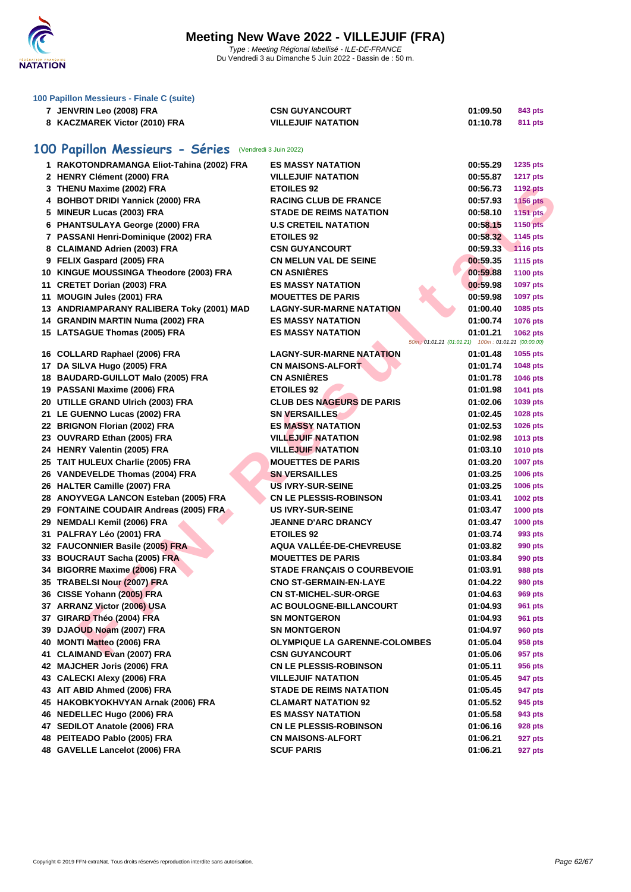

|    | 100 Papillon Messieurs - Finale C (suite)              |                                      |                                                    |                 |
|----|--------------------------------------------------------|--------------------------------------|----------------------------------------------------|-----------------|
|    | 7 JENVRIN Leo (2008) FRA                               | <b>CSN GUYANCOURT</b>                | 01:09.50                                           | 843 pts         |
|    | 8 KACZMAREK Victor (2010) FRA                          | <b>VILLEJUIF NATATION</b>            | 01:10.78                                           | 811 pts         |
|    |                                                        |                                      |                                                    |                 |
|    | 100 Papillon Messieurs - Séries (Vendredi 3 Juin 2022) |                                      |                                                    |                 |
|    | 1 RAKOTONDRAMANGA Eliot-Tahina (2002) FRA              | <b>ES MASSY NATATION</b>             | 00:55.29                                           | <b>1235 pts</b> |
|    | 2 HENRY Clément (2000) FRA                             | <b>VILLEJUIF NATATION</b>            | 00:55.87                                           | <b>1217 pts</b> |
|    | 3 THENU Maxime (2002) FRA                              | <b>ETOILES 92</b>                    | 00:56.73                                           | <b>1192 pts</b> |
|    | 4 BOHBOT DRIDI Yannick (2000) FRA                      | <b>RACING CLUB DE FRANCE</b>         | 00:57.93                                           | <b>1156 pts</b> |
|    | 5 MINEUR Lucas (2003) FRA                              | <b>STADE DE REIMS NATATION</b>       | 00:58.10                                           | <b>1151 pts</b> |
|    | 6 PHANTSULAYA George (2000) FRA                        | <b>U.S CRETEIL NATATION</b>          | 00:58.15                                           | <b>1150 pts</b> |
|    | 7 PASSANI Henri-Dominique (2002) FRA                   | <b>ETOILES 92</b>                    | 00:58.32                                           | 1145 pts        |
|    | 8 CLAIMAND Adrien (2003) FRA                           | <b>CSN GUYANCOURT</b>                | 00:59.33                                           | <b>1116 pts</b> |
|    | 9 FELIX Gaspard (2005) FRA                             | <b>CN MELUN VAL DE SEINE</b>         | 00:59.35                                           | <b>1115 pts</b> |
|    | 10 KINGUE MOUSSINGA Theodore (2003) FRA                | <b>CN ASNIÈRES</b>                   | 00:59.88                                           | <b>1100 pts</b> |
|    | 11 CRETET Dorian (2003) FRA                            | <b>ES MASSY NATATION</b>             | 00:59.98                                           | 1097 pts        |
| 11 | MOUGIN Jules (2001) FRA                                | <b>MOUETTES DE PARIS</b>             | 00:59.98                                           | 1097 pts        |
|    | 13 ANDRIAMPARANY RALIBERA Toky (2001) MAD              | <b>LAGNY-SUR-MARNE NATATION</b>      | 01:00.40                                           | 1085 pts        |
|    | 14 GRANDIN MARTIN Numa (2002) FRA                      | <b>ES MASSY NATATION</b>             | 01:00.74                                           | <b>1076 pts</b> |
|    | 15 LATSAGUE Thomas (2005) FRA                          | <b>ES MASSY NATATION</b>             | 01:01.21                                           | 1062 pts        |
|    |                                                        |                                      | 50m; 01:01.21 (01:01.21) 100m: 01:01.21 (00:00.00) |                 |
|    | 16 COLLARD Raphael (2006) FRA                          | <b>LAGNY-SUR-MARNE NATATION</b>      | 01:01.48                                           | 1055 pts        |
|    | 17 DA SILVA Hugo (2005) FRA                            | <b>CN MAISONS-ALFORT</b>             | 01:01.74                                           | 1048 pts        |
|    | 18 BAUDARD-GUILLOT Malo (2005) FRA                     | <b>CN ASNIERES</b>                   | 01:01.78                                           | 1046 pts        |
|    | 19 PASSANI Maxime (2006) FRA                           | <b>ETOILES 92</b>                    | 01:01.98                                           | 1041 pts        |
|    | 20 UTILLE GRAND Ulrich (2003) FRA                      | <b>CLUB DES NAGEURS DE PARIS</b>     | 01:02.06                                           | 1039 pts        |
|    | 21 LE GUENNO Lucas (2002) FRA                          | <b>SN VERSAILLES</b>                 | 01:02.45                                           | 1028 pts        |
|    | 22 BRIGNON Florian (2002) FRA                          | <b>ES MASSY NATATION</b>             | 01:02.53                                           | 1026 pts        |
|    | 23 OUVRARD Ethan (2005) FRA                            | <b>VILLEJUIF NATATION</b>            | 01:02.98                                           | 1013 pts        |
|    | 24 HENRY Valentin (2005) FRA                           | <b>VILLEJUIF NATATION</b>            | 01:03.10                                           | <b>1010 pts</b> |
|    | 25 TAIT HULEUX Charlie (2005) FRA                      | <b>MOUETTES DE PARIS</b>             | 01:03.20                                           | <b>1007 pts</b> |
|    | 26 VANDEVELDE Thomas (2004) FRA                        | <b>SN VERSAILLES</b>                 | 01:03.25                                           | 1006 pts        |
|    | 26 HALTER Camille (2007) FRA                           | <b>US IVRY-SUR-SEINE</b>             | 01:03.25                                           | 1006 pts        |
|    | 28 ANOYVEGA LANCON Esteban (2005) FRA                  | <b>CN LE PLESSIS-ROBINSON</b>        | 01:03.41                                           | 1002 pts        |
|    | 29 FONTAINE COUDAIR Andreas (2005) FRA                 | <b>US IVRY-SUR-SEINE</b>             | 01:03.47                                           | <b>1000 pts</b> |
|    | 29 NEMDALI Kemil (2006) FRA                            | <b>JEANNE D'ARC DRANCY</b>           | 01:03.47                                           | <b>1000 pts</b> |
|    | 31 PALFRAY Léo (2001) FRA                              | <b>ETOILES 92</b>                    | 01:03.74                                           | 993 pts         |
|    | 32 FAUCONNIER Basile (2005) FRA                        | AQUA VALLÉE-DE-CHEVREUSE             | 01:03.82                                           | 990 pts         |
|    | 33 BOUCRAUT Sacha (2005) FRA                           | <b>MOUETTES DE PARIS</b>             | 01:03.84                                           | 990 pts         |
|    | 34 BIGORRE Maxime (2006) FRA                           | <b>STADE FRANÇAIS O COURBEVOIE</b>   | 01:03.91                                           | <b>988 pts</b>  |
|    | 35 TRABELSI Nour (2007) FRA                            | <b>CNO ST-GERMAIN-EN-LAYE</b>        | 01:04.22                                           | 980 pts         |
|    | 36 CISSE Yohann (2005) FRA                             | <b>CN ST-MICHEL-SUR-ORGE</b>         | 01:04.63                                           | 969 pts         |
|    | 37 ARRANZ Victor (2006) USA                            | <b>AC BOULOGNE-BILLANCOURT</b>       | 01:04.93                                           | 961 pts         |
|    | 37 GIRARD Théo (2004) FRA                              | <b>SN MONTGERON</b>                  | 01:04.93                                           | 961 pts         |
|    | 39 DJAOUD Noam (2007) FRA                              | <b>SN MONTGERON</b>                  | 01:04.97                                           | 960 pts         |
|    | 40 MONTI Matteo (2006) FRA                             | <b>OLYMPIQUE LA GARENNE-COLOMBES</b> | 01:05.04                                           | 958 pts         |
|    | 41 CLAIMAND Evan (2007) FRA                            | <b>CSN GUYANCOURT</b>                | 01:05.06                                           | 957 pts         |

 **BOUCRAUT Sacha (2005) FRA MOUETTES DE PARIS 01:03.84 990 pts BIGORRE Maxime (2006) FRA STADE FRANÇAIS O COURBEVOIE 01:03.91 988 pts TRABELSI Nour (2007) FRA CNO ST-GERMAIN-EN-LAYE 01:04.22 980 pts CISSE Yohann (2005) FRA CN ST-MICHEL-SUR-ORGE 01:04.63 969 pts ARRANZ Victor (2006) USA AC BOULOGNE-BILLANCOURT 01:04.93 961 pts GIRARD Théo (2004) FRA SN MONTGERON 01:04.93 961 pts DJAOUD Noam (2007) FRA SN MONTGERON 01:04.97 960 pts MONTI Matteo (2006) FRA OLYMPIQUE LA GARENNE-COLOMBES 01:05.04 958 pts CLAIMAND Evan (2007) FRA CSN GUYANCOURT 01:05.06 957 pts MAJCHER Joris (2006) FRA CN LE PLESSIS-ROBINSON 01:05.11 956 pts CALECKI Alexy (2006) FRA VILLEJUIF NATATION 01:05.45 947 pts AIT ABID Ahmed (2006) FRA STADE DE REIMS NATATION 01:05.45 947 pts HAKOBKYOKHVYAN Arnak (2006) FRA CLAMART NATATION 92 01:05.52 945 pts NEDELLEC Hugo (2006) FRA ES MASSY NATATION 01:05.58 943 pts SEDILOT Anatole (2006) FRA CN LE PLESSIS-ROBINSON 01:06.16 928 pts PEITEADO Pablo (2005) FRA CN MAISONS-ALFORT 01:06.21 927 pts GAVELLE Lancelot (2006) FRA SCUF PARIS 01:06.21 927 pts**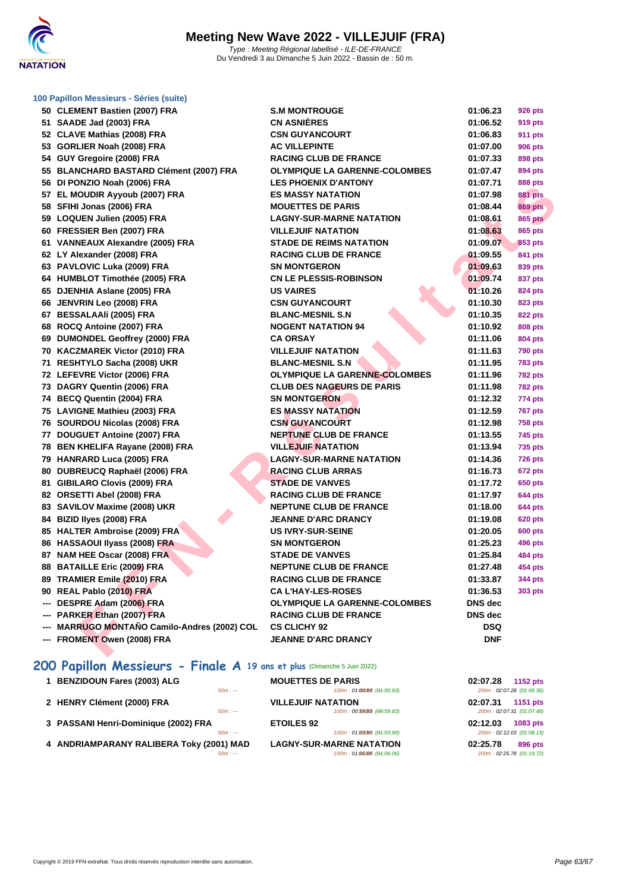

| 50 CLEMENT Bastien (2007) FRA                | <b>S.M MONTROUGE</b>                 | 01:06.23       | <b>926 pts</b> |
|----------------------------------------------|--------------------------------------|----------------|----------------|
| 51 SAADE Jad (2003) FRA                      | <b>CN ASNIÈRES</b>                   | 01:06.52       | <b>919 pts</b> |
| 52 CLAVE Mathias (2008) FRA                  | <b>CSN GUYANCOURT</b>                | 01:06.83       | <b>911 pts</b> |
| 53 GORLIER Noah (2008) FRA                   | <b>AC VILLEPINTE</b>                 | 01:07.00       | <b>906 pts</b> |
| 54 GUY Gregoire (2008) FRA                   | <b>RACING CLUB DE FRANCE</b>         | 01:07.33       | <b>898 pts</b> |
| 55 BLANCHARD BASTARD Clément (2007) FRA      | <b>OLYMPIQUE LA GARENNE-COLOMBES</b> | 01:07.47       | 894 pts        |
| 56 DI PONZIO Noah (2006) FRA                 | <b>LES PHOENIX D'ANTONY</b>          | 01:07.71       | <b>888 pts</b> |
| 57 EL MOUDIR Ayyoub (2007) FRA               | <b>ES MASSY NATATION</b>             | 01:07.98       | <b>881 pts</b> |
| 58 SFIHI Jonas (2006) FRA                    | <b>MOUETTES DE PARIS</b>             | 01:08.44       | <b>869 pts</b> |
| 59 LOQUEN Julien (2005) FRA                  | <b>LAGNY-SUR-MARNE NATATION</b>      | 01:08.61       | <b>865 pts</b> |
| 60 FRESSIER Ben (2007) FRA                   | <b>VILLEJUIF NATATION</b>            | 01:08.63       | <b>865 pts</b> |
| 61 VANNEAUX Alexandre (2005) FRA             | <b>STADE DE REIMS NATATION</b>       | 01:09.07       | 853 pts        |
| 62 LY Alexander (2008) FRA                   | <b>RACING CLUB DE FRANCE</b>         | 01:09.55       | <b>841 pts</b> |
| 63 PAVLOVIC Luka (2009) FRA                  | <b>SN MONTGERON</b>                  | 01:09.63       | 839 pts        |
| 64 HUMBLOT Timothée (2005) FRA               | <b>CN LE PLESSIS-ROBINSON</b>        | 01:09.74       | 837 pts        |
| 65 DJENHIA Aslane (2005) FRA                 | <b>US VAIRES</b>                     | 01:10.26       | <b>824 pts</b> |
| 66 JENVRIN Leo (2008) FRA                    | <b>CSN GUYANCOURT</b>                | 01:10.30       | <b>823 pts</b> |
| 67 BESSALAAIi (2005) FRA                     | <b>BLANC-MESNIL S.N</b>              | 01:10.35       | <b>822 pts</b> |
| 68 ROCQ Antoine (2007) FRA                   | <b>NOGENT NATATION 94</b>            | 01:10.92       | <b>808 pts</b> |
| 69 DUMONDEL Geoffrey (2000) FRA              | <b>CA ORSAY</b>                      | 01:11.06       | <b>804 pts</b> |
| 70 KACZMAREK Victor (2010) FRA               | <b>VILLEJUIF NATATION</b>            | 01:11.63       | <b>790 pts</b> |
| 71 RESHTYLO Sacha (2008) UKR                 | <b>BLANC-MESNIL S.N</b>              | 01:11.95       | <b>783 pts</b> |
| 72 LEFEVRE Victor (2006) FRA                 | <b>OLYMPIQUE LA GARENNE-COLOMBES</b> | 01:11.96       | <b>782 pts</b> |
| 73 DAGRY Quentin (2006) FRA                  | <b>CLUB DES NAGEURS DE PARIS</b>     | 01:11.98       | <b>782 pts</b> |
| 74 BECQ Quentin (2004) FRA                   | <b>SN MONTGERON</b>                  | 01:12.32       | 774 pts        |
| 75 LAVIGNE Mathieu (2003) FRA                | <b>ES MASSY NATATION</b>             | 01:12.59       | <b>767 pts</b> |
| 76 SOURDOU Nicolas (2008) FRA                | <b>CSN GUYANCOURT</b>                | 01:12.98       | <b>758 pts</b> |
| 77 DOUGUET Antoine (2007) FRA                | <b>NEPTUNE CLUB DE FRANCE</b>        | 01:13.55       | <b>745 pts</b> |
| 78 BEN KHELIFA Rayane (2008) FRA             | <b>VILLEJUIF NATATION</b>            | 01:13.94       | <b>735 pts</b> |
| 79 HANRARD Luca (2005) FRA                   | <b>LAGNY-SUR-MARNE NATATION</b>      | 01:14.36       | <b>726 pts</b> |
| 80 DUBREUCQ Raphaël (2006) FRA               | <b>RACING CLUB ARRAS</b>             | 01:16.73       | 672 pts        |
| 81 GIBILARO Clovis (2009) FRA                | <b>STADE DE VANVES</b>               | 01:17.72       | <b>650 pts</b> |
| 82 ORSETTI Abel (2008) FRA                   | <b>RACING CLUB DE FRANCE</b>         | 01:17.97       | <b>644 pts</b> |
| 83 SAVILOV Maxime (2008) UKR                 | <b>NEPTUNE CLUB DE FRANCE</b>        | 01:18.00       | <b>644 pts</b> |
| 84 BIZID Ilyes (2008) FRA                    | <b>JEANNE D'ARC DRANCY</b>           | 01:19.08       | <b>620 pts</b> |
| 85 HALTER Ambroise (2009) FRA                | <b>US IVRY-SUR-SEINE</b>             | 01:20.05       | <b>600 pts</b> |
| 86 HASSAOUI Ilyass (2008) FRA                | <b>SN MONTGERON</b>                  | 01:25.23       | <b>496 pts</b> |
| 87 NAM HEE Oscar (2008) FRA                  | <b>STADE DE VANVES</b>               | 01:25.84       | <b>484 pts</b> |
| 88 BATAILLE Eric (2009) FRA                  | <b>NEPTUNE CLUB DE FRANCE</b>        | 01:27.48       | 454 pts        |
| 89 TRAMIER Emile (2010) FRA                  | <b>RACING CLUB DE FRANCE</b>         | 01:33.87       | 344 pts        |
| 90 REAL Pablo (2010) FRA                     | <b>CA L'HAY-LES-ROSES</b>            | 01:36.53       | <b>303 pts</b> |
| --- DESPRE Adam (2006) FRA                   | <b>OLYMPIQUE LA GARENNE-COLOMBES</b> | <b>DNS</b> dec |                |
| --- PARKER Ethan (2007) FRA                  | <b>RACING CLUB DE FRANCE</b>         | <b>DNS</b> dec |                |
| --- MARRUGO MONTAÑO Camilo-Andres (2002) COL | <b>CS CLICHY 92</b>                  | <b>DSQ</b>     |                |
| --- FROMENT Owen (2008) FRA                  | <b>JEANNE D'ARC DRANCY</b>           | <b>DNF</b>     |                |
|                                              |                                      |                |                |

## **200 Papillon Messieurs - Finale A 19 ans et plus** (Dimanche 5 Juin 2022)

| 1 BENZIDOUN Fares (2003) ALG             |          | <b>MOUETTES DE PARIS</b>        | 02:07.28 | 1152 pts                  |
|------------------------------------------|----------|---------------------------------|----------|---------------------------|
|                                          | $50m: -$ | 100m: 01:06098 : (01:00.93)     |          | 200m: 02:07.28 (01:06.35) |
| 2 HENRY Clément (2000) FRA               |          | <b>VILLEJUIF NATATION</b>       | 02:07.31 | 1151 pts                  |
|                                          | $50m: -$ | 100m: 00:59(88 : (00:59.83)     |          | 200m: 02:07.31 (01:07.48) |
| 3 PASSANI Henri-Dominique (2002) FRA     |          | <b>ETOILES 92</b>               | 02:12.03 | 1083 pts                  |
|                                          | $50m: -$ | 100m: 01:03/90 : (01:03.90)     |          | 200m: 02:12.03 (01:08.13) |
| 4 ANDRIAMPARANY RALIBERA Toky (2001) MAD |          | <b>LAGNY-SUR-MARNE NATATION</b> | 02:25.78 | 896 pts                   |
|                                          | $50m: -$ | 100m: 01:06:06 : (01:06.06)     |          | 200m: 02:25.78 (01:19.72) |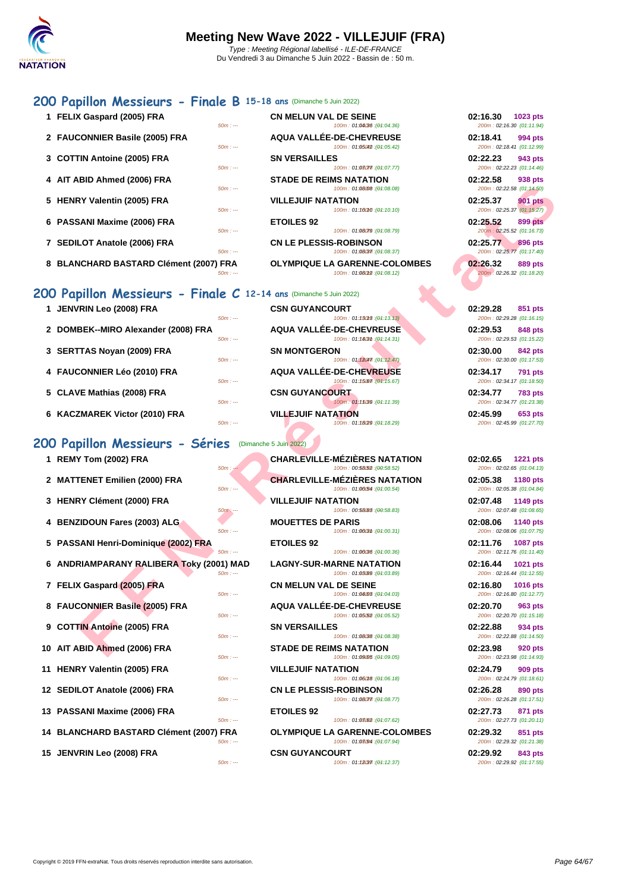## **[200 Pa](http://www.ffnatation.fr/webffn/index.php)pillon Messieurs - Finale B 15-18 ans** (Dimanche 5 Juin 2022)

**1 FELIX Gaspard (2005) FRA CN MELUN VAL DE SEINE**<br>
<sup>5001</sup> **100m 100m** 100m : 01:04036 : (01:04.36) 2 **FAUCONNIER Basile (2005) FRA AQUA VALLÉE-DE-CHEVREUSE** 50m : --- 100m : 01:05.02 100m : 01:05.02 200m : 01:05.42 **3 [COTTIN Antoine \(2005\) FRA](http://www.ffnatation.fr/webffn/resultats.php?idact=nat&go=epr&idcpt=78300&idepr=83) SN VERSAILLES** 100m : 01:080m : (04:07.77) **4 AIT ABID Ahmed (2006) FRA STADE DE REIMS NATATION 02:22.58 938 pts**  $50m : -100m : 01:08.08$  (01:08.08) **5 HENRY Valentin (2005) FRA VILLEJUIF NATATION 100m**: 01:<br>50 **100m**: 01: 100m : 01:16010 : (01:10.10) **6 PASSANI Maxime (2006) FRA ETOILES 92 02:25.52 899 pts**  $50m : -100m : 01:08.79$  (01:08.79) **7 SEDILOT Anatole (2006) FRA CN LE PLESSIS-ROBINSON 02:25.77 896 pts**  $50m : -100m : 01:08.37$ **8 BLANCHARD BASTARD Clément (2007) FRA OLYMPIQUE LA GARENNE-COLOMBES 02:26.32 889 pts**  $50m : -100m : 01:08(32) \cdot (04:08.12)$ 

## **200 Papillon Messieurs - Finale C 12-**

- **1 JENVRIN Leo (2008) FRA**  $\frac{50m}{2}$
- **2 DOMBEK--MIRO Alexander (2008) FRA**
- **3 SERTTAS Noyan (2009) FRA**  $\frac{50m}{100}$
- **4 FAUCONNIER Léo (2010) FRA**  $\frac{50m}{17}$
- **5 CLAVE Mathias (2008) FRA**  $\frac{50m}{4}$
- **6 KACZMAREK Victor (2010) FRA 600:59**

## **200 Papillon Messieurs - Séries** (Dimanche 5 Juin 2022)

- **1 REMY Tom (2002) FRA**
- **2 MATTENET Emilien (2000) FRA**
- **3 HENRY Clément (2000) FRA**
- **4 BENZIDOUN Fares (2003) ALG 60m 11**
- **5 PASSANI Henri-Dominique (2002) FRA**
- **6** ANDRIAMPARANY RALIBERA Toky (2001) MAD
- **7 FELIX Gaspard (2005) FRA**
- **8 FAUCONNIER Basile (2005) FRA**  $\frac{50m}{20}$
- **9 COTTIN Antoine (2005) FRA**
- **10 AIT ABID Ahmed (2006) FRA 50min**
- **11 HENRY Valentin (2005) FRA**
- **12 SEDILOT Anatole (2006) FRA BODING BODING SOME**
- **13 PASSANI Maxime (2006) FRA**
- **14 BLANCHARD BASTARD Clément (2007) FRA OLYMPIQUE LA GARENNE-COLOMBES 02:29.32 851 pts**
- **15 JENVRIN Leo (2008) FRA CSN GUYANCOURT 02:29.92 843 pts**

|          | <b>2 <math>C</math></b> 12-14 ans (Dimanche 5 Juin 2022) |                                                         |
|----------|----------------------------------------------------------|---------------------------------------------------------|
| $50m: -$ | <b>CSN GUYANCOURT</b><br>100m: 01:18018 : (01:13.13)     | 02:29.28<br>851 pts<br>200m: 02:29.28 (01:16.15)        |
| $50m: -$ | AQUA VALLÉE-DE-CHEVREUSE<br>100m: 01:180m:(04:14.31)     | 02:29.53<br>848 pts<br>200m: 02:29.53 (01:15.22)        |
| $50m: -$ | <b>SN MONTGERON</b><br>100m: 01:12.47) : (01:12.47)      | 02:30.00<br>842 pts<br>200m: 02:30.00 (01:17.53)        |
| $50m: -$ | AQUA VALLÉE-DE-CHEVREUSE<br>100m: 01:15067 : (01:15.67)  | 02:34.17<br><b>791 pts</b><br>200m: 02:34.17 (01:18.50) |
| $50m: -$ | <b>CSN GUYANCOURT</b><br>100m: 01:15039 : (01:11.39)     | 02:34.77<br><b>783 pts</b><br>200m: 02:34.77 (01:23.38) |
| $50m: -$ | <b>VILLEJUIF NATATION</b><br>100m: 01:18(29 : (01:18.29) | 02:45.99<br>653 pts<br>200m: 02:45.99 (01:27.70)        |

| $50m: -$                                                       | 100m: 01:08.08 : (01:08.08)                                         | 200m: 02:22.58 (01:14.50)                                |
|----------------------------------------------------------------|---------------------------------------------------------------------|----------------------------------------------------------|
| RY Valentin (2005) FRA<br>$50m: -$                             | <b>VILLEJUIF NATATION</b><br>100m: 01:10010 : (04:10.10)            | 02:25.37<br><b>901 pts</b><br>200m: 02:25.37 (01:15.27)  |
| SANI Maxime (2006) FRA<br>$50m: -$                             | <b>ETOILES 92</b><br>100m: 01:08079 : (01:08.79)                    | 02:25.52<br>899 pts<br>200m: 02:25.52 (01:16.73)         |
| LOT Anatole (2006) FRA<br>$50m: -$                             | <b>CN LE PLESSIS-ROBINSON</b><br>100m: 01:08(37): (01:08.37)        | 02:25.77<br>896 pts<br>200m: 02:25.77 (01:17.40)         |
| <b>NCHARD BASTARD Clément (2007) FRA</b><br>$50m: -$           | <b>OLYMPIQUE LA GARENNE-COLOMBES</b><br>100m: 01:08012 : (01:08.12) | 02:26.32<br><b>889 pts</b><br>200m: 02:26.32 (01:18.20)  |
| $pillon$ Messieurs - Finale C 12-14 ans (Dimanche 5 Juin 2022) |                                                                     |                                                          |
| /RIN Leo (2008) FRA<br>$50m: -$                                | <b>CSN GUYANCOURT</b><br>100m: 01:13018 : (01:13.13)                | 02:29.28<br>851 pts<br>200m: 02:29.28 (01:16.15)         |
| BEK--MIRO Alexander (2008) FRA<br>$50m: -$                     | <b>AQUA VALLÉE-DE-CHEVREUSE</b><br>100m: 01:14(3th:(01:14.31)       | 02:29.53<br><b>848 pts</b><br>200m: 02:29.53 (01:15.22)  |
| FTAS Noyan (2009) FRA<br>$50m: -$                              | <b>SN MONTGERON</b><br>100m: 01:12047 : (01:12.47)                  | 02:30.00<br>842 pts<br>200m: 02:30.00 (01:17.53)         |
| CONNIER Léo (2010) FRA<br>$50m: -$                             | <b>AQUA VALLEE-DE-CHEVREUSE</b><br>100m: 01:15.67 : (01:15.67)      | 02:34.17<br><b>791 pts</b><br>200m: 02:34.17 (01:18.50)  |
| /E Mathias (2008) FRA<br>$50m: -$                              | <b>CSN GUYANCOURT</b><br>100m: 01:15039 : (04:11.39)                | 02:34.77<br><b>783 pts</b><br>200m: 02:34.77 (01:23.38)  |
| ZMAREK Victor (2010) FRA<br>$50m: -$                           | <b>VILLEJUIF NATATION</b><br>100m: 01:1829 : (01:18.29)             | 02:45.99<br>653 pts<br>200m: 02:45.99 (01:27.70)         |
| pillon Messieurs - Séries                                      | (Dimanche 5 Juin 2022)                                              |                                                          |
| Y Tom (2002) FRA<br>$50m:$ $-$                                 | <b>CHARLEVILLE-MEZIERES NATATION</b><br>100m: 00:58.52 : (00:58.52) | 02:02.65<br><b>1221 pts</b><br>200m: 02:02.65 (01:04.13) |
| TENET Emilien (2000) FRA<br>$50m: -$                           | <b>CHARLEVILLE-MEZIERES NATATION</b><br>100m: 01:00/54 : (01:00.54) | 02:05.38<br><b>1180 pts</b><br>200m: 02:05.38 (01:04.84) |
| RY Clément (2000) FRA<br>$50m: -$                              | <b>VILLEJUIF NATATION</b><br>100m: 00:58088 : (00:58.83)            | 02:07.48<br>1149 pts<br>200m: 02:07.48 (01:08.65)        |
| ZIDOUN Fares (2003) ALG<br>$50m: -$                            | <b>MOUETTES DE PARIS</b><br>100m: 01:06(3th : (01:00.31)            | 02:08.06<br>1140 pts<br>200m: 02:08.06 (01:07.75)        |
| SANI Henri-Dominique (2002) FRA<br>$50m: -$                    | <b>ETOILES 92</b><br>100m: 01:00036 : (01:00.36)                    | 02:11.76<br>1087 pts<br>200m: 02:11.76 (01:11.40)        |
| RIAMPARANY RALIBERA Toky (2001) MAD                            | <b>LAGNY-SUR-MARNE NATATION</b>                                     | 02:16.44<br>1021 pts                                     |
| $50m: -$<br>X Gaspard (2005) FRA                               | 100m: 01:03/89 : (01:03.89)<br><b>CN MELUN VAL DE SEINE</b>         | 200m: 02:16.44 (01:12.55)<br>02:16.80<br>1016 pts        |
| $50m: -$<br><b>CONNIER Basile (2005) FRA</b>                   | 100m: 01:04.03 : (01:04.03)<br><b>AQUA VALLÉE-DE-CHEVREUSE</b>      | 200m: 02:16.80 (01:12.77)<br>02:20.70<br><b>963 pts</b>  |
| $50m: -$<br>TIN Antoine (2005) FRA                             | 100m: 01:05.52 : (01:05.52)<br><b>SN VERSAILLES</b>                 | 200m: 02:20.70 (01:15.18)<br>02:22.88<br>934 pts         |
| $50m: -$<br><b>\BID Ahmed (2006) FRA</b>                       | 100m: 01:08038 : (01:08.38)<br><b>STADE DE REIMS NATATION</b>       | 200m: 02:22.88 (01:14.50)<br>02:23.98<br>920 pts         |
| $50m: -$<br>RY Valentin (2005) FRA                             | 100m: 01:09:05 : (01:09.05)<br><b>VILLEJUIF NATATION</b>            | 200m: 02:23.98 (01:14.93)<br>02:24.79<br>909 pts         |
| $50m: -$<br>LOT Anatole (2006) FRA                             | 100m: 01:06018 : (01:06.18)<br><b>CN LE PLESSIS-ROBINSON</b>        | 200m: 02:24.79 (01:18.61)<br>02:26.28<br>890 pts         |
| $50m: -$<br>SANI Maxime (2006) FRA                             | 100m: 01:08077 : (01:08.77)<br><b>ETOILES 92</b>                    | 200m: 02:26.28 (01:17.51)<br>02:27.73<br>871 pts         |
| $50m: -$                                                       | 100m: 01:08.62 : (01:07.62)                                         | 200m: 02:27.73 (01:20.11)                                |
| <b>NCHARD RASTARD Clámant (2007) FRA</b>                       | OI YMPIOUE LA GARENNE-COLOMRES                                      | በጋ-ጋQ 3ጋ<br>851 nte                                      |

 $50m : -100m : 01:08094 : (01:07.94)$  $100m : 01:18087/(01:12.37)$ 

| 02:16.30 1023 pts | 200m: 02:16.30 (01:11.94)            |
|-------------------|--------------------------------------|
| 02:18.41 994 pts  | 200m: 02:18.41 (01:12.99)            |
| 02:22.23 943 pts  | 200m: 02:22.23 (01:14.46)            |
| 02:22.58 938 pts  | 200m: 02:22.58 (01:14.50)            |
| 02:25.37 901 pts  | 200m: 02:25.37 (01:15.27)            |
| 02:25.52 899 pts  | 200m: 02:25.52 (01:16.73)            |
| 02:25.77 896 pts  | 200m: 02:25.77 (01:17.40)            |
| 02:26.32          | 889 pts<br>200m: 02:26.32 (01:18.20) |

| 02:29.28<br>200m: 02:29.28 (01:16.15) | 851 pts        |
|---------------------------------------|----------------|
| 02:29.53<br>200m: 02:29.53 (01:15.22) | <b>848 pts</b> |
| 02:30.00<br>200m: 02:30.00 (01:17.53) | 842 pts        |
| 02:34.17<br>200m: 02:34.17 (01:18.50) | 791 pts        |
| 02:34.77                              | <b>783 pts</b> |
| 200m: 02:34.77 (01:23.38)             |                |

| 02:02.65 1221 pts<br>$200m : 02:02.65$ (01:04.13) |  |
|---------------------------------------------------|--|
| 02:05.38 1180 pts<br>200m: 02:05.38 (01:04.84)    |  |
| 02:07.48 1149 pts<br>200m: 02:07.48 (01:08.65)    |  |
| 02:08.06 1140 pts<br>200m: 02:08.06 (01:07.75)    |  |
| 02:11.76 1087 pts<br>200m: 02:11.76 (01:11.40)    |  |
| 02:16.44 1021 pts<br>200m: 02:16.44 (01:12.55)    |  |
| 02:16.80 1016 pts<br>200m: 02:16.80 (01:12.77)    |  |
| 02:20.70 963 pts<br>200m: 02:20.70 (01:15.18)     |  |
| 02:22.88 934 pts<br>200m: 02:22.88 (01:14.50)     |  |
| 02:23.98 920 pts<br>200m: 02:23.98 (01:14.93)     |  |
| 02:24.79 909 pts<br>200m: 02:24.79 (01:18.61)     |  |
| 02:26.28 890 pts<br>200m: 02:26.28 (01:17.51)     |  |
| 02:27.73 871 pts<br>200m: 02:27.73 (01:20.11)     |  |
| 02:29.32 851 pts<br>200m: 02:29.32 (01:21.38)     |  |
| 02:29.92 843 pts<br>200m: 02:29.92 (01:17.55)     |  |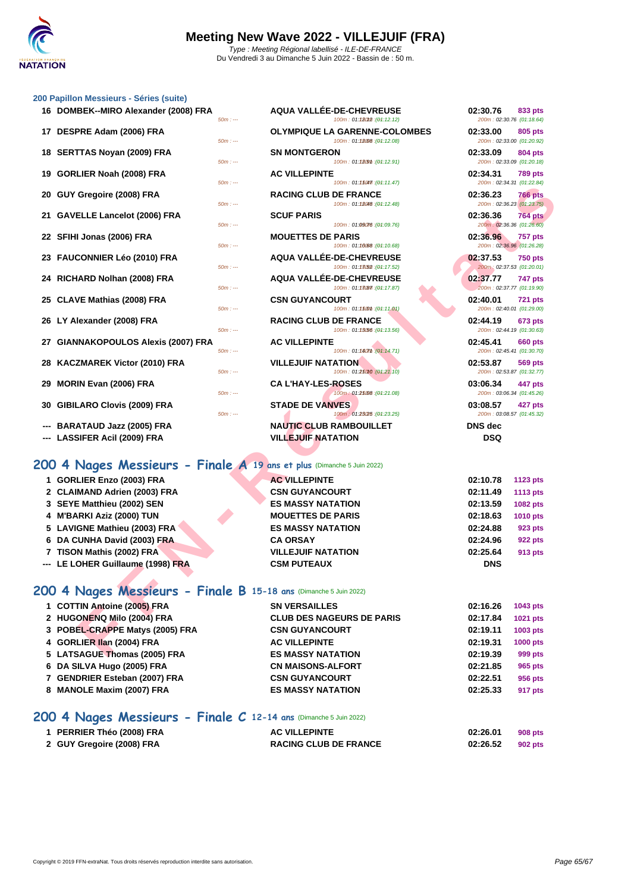### **[200 Papil](http://www.ffnatation.fr/webffn/index.php)lon Messieurs - Séries (suite)**

| 16 DOMBEK--MIRO Alexander (2008) FRA | $50m: -$  | <b>AQUA VALLÉE-DE-CHEVREUSE</b><br>100m: 01:180M2:(04:12.12)        | 02:30.76<br>200m: 02:30.76 (01:18.64) | 833 pts        |
|--------------------------------------|-----------|---------------------------------------------------------------------|---------------------------------------|----------------|
| 17 DESPRE Adam (2006) FRA            | $50m: -$  | <b>OLYMPIQUE LA GARENNE-COLOMBES</b><br>100m: 01:12008 : (04:12.08) | 02:33.00<br>200m: 02:33.00 (01:20.92) | <b>805 pts</b> |
| 18 SERTTAS Noyan (2009) FRA          | $50m: -$  | <b>SN MONTGERON</b><br>100m: 01:1209m: (04:12.91)                   | 02:33.09<br>200m: 02:33.09 (01:20.18) | <b>804 pts</b> |
| 19 GORLIER Noah (2008) FRA           | $50m: --$ | <b>AC VILLEPINTE</b><br>100m: 01:15047. (04:11.47)                  | 02:34.31<br>200m: 02:34.31 (01:22.84) | <b>789 pts</b> |
| 20 GUY Gregoire (2008) FRA           | $50m: -$  | <b>RACING CLUB DE FRANCE</b><br>100m: 01:18048 : (01:12.48)         | 02:36.23<br>200m: 02:36.23 (01:23.75) | <b>766 pts</b> |
| 21 GAVELLE Lancelot (2006) FRA       | $50m: -$  | <b>SCUF PARIS</b><br>100m: 01:09076 : (01:09.76)                    | 02:36.36<br>200m: 02:36.36 (01:26.60) | <b>764 pts</b> |
| 22 SFIHI Jonas (2006) FRA            | $50m: --$ | <b>MOUETTES DE PARIS</b><br>100m: 01:10:08 : (01:10.68)             | 02:36.96<br>200m: 02:36.96 (01:26.28) | <b>757 pts</b> |
| 23 FAUCONNIER Léo (2010) FRA         | $50m: -$  | AQUA VALLÉE-DE-CHEVREUSE<br>100m: 01:13(52): (01:17.52)             | 02:37.53<br>200m: 02:37.53 (01:20.01) | <b>750 pts</b> |
| 24 RICHARD Nolhan (2008) FRA         | $50m: -$  | AQUA VALLÉE-DE-CHEVREUSE<br>100m: 01:13087 : (04:17.87)             | 02:37.77<br>200m: 02:37.77 (01:19.90) | 747 pts        |
| 25 CLAVE Mathias (2008) FRA          | $50m: -$  | <b>CSN GUYANCOURT</b><br>100m: 01:1500m: (01:11.01)                 | 02:40.01<br>200m: 02:40.01 (01:29.00) | <b>721 pts</b> |
| 26 LY Alexander (2008) FRA           | $50m: -$  | <b>RACING CLUB DE FRANCE</b><br>100m: 01:13.56 : (01:13.56)         | 02:44.19<br>200m: 02:44.19 (01:30.63) | <b>673 pts</b> |
| 27 GIANNAKOPOULOS Alexis (2007) FRA  | $50m: -$  | <b>AC VILLEPINTE</b><br>100m: 01:180mm : (01:14.71)                 | 02:45.41<br>200m: 02:45.41 (01:30.70) | <b>660 pts</b> |
| 28 KACZMAREK Victor (2010) FRA       | $50m: --$ | <b>VILLEJUIF NATATION</b><br>100m: 01:25010 : (01:21.10)            | 02:53.87<br>200m: 02:53.87 (01:32.77) | <b>569 pts</b> |
| 29 MORIN Evan (2006) FRA             | $50m: -$  | <b>CAL'HAY-LES-ROSES</b><br>100m: 01:25008:(04:21.08)               | 03:06.34<br>200m: 03:06.34 (01:45.26) | 447 pts        |
| 30 GIBILARO Clovis (2009) FRA        | $50m: -$  | <b>STADE DE VANVES</b><br>100m: 01:23(25 : (01:23.25)               | 03:08.57<br>200m: 03:08.57 (01:45.32) | 427 pts        |
| --- BARATAUD Jazz (2005) FRA         |           | <b>NAUTIC CLUB RAMBOUILLET</b>                                      | <b>DNS</b> dec                        |                |

|                                     | $50m: -$  |                                | 100m: 01:15047. (04:11.47)        | 200m:02        |
|-------------------------------------|-----------|--------------------------------|-----------------------------------|----------------|
| 20 GUY Gregoire (2008) FRA          |           | <b>RACING CLUB DE FRANCE</b>   |                                   | 02:36.23       |
|                                     | $50m: -$  |                                | 100m: 01:18048 : (04:12.48)       | 200m:02        |
| 21 GAVELLE Lancelot (2006) FRA      |           | <b>SCUF PARIS</b>              |                                   | 02:36.36       |
|                                     | $50m: --$ |                                | 100m: 01:09076 : (01:09.76)       | 200m:02        |
| 22 SFIHI Jonas (2006) FRA           |           | <b>MOUETTES DE PARIS</b>       |                                   | 02:36.96       |
|                                     | $50m: -$  |                                | 100m: 01:10088 : (01:10.68)       | 200m:02        |
| 23 FAUCONNIER Léo (2010) FRA        |           |                                | AQUA VALLÉE-DE-CHEVREUSE          | 02:37.53       |
|                                     | $50m: --$ |                                | 100m: 01:13052 : (04:17.52)       | 200m:02        |
| 24 RICHARD Nolhan (2008) FRA        |           |                                | AQUA VALLÉE-DE-CHEVREUSE          | 02:37.77       |
|                                     | $50m: -$  |                                | 100m: 01:13087 : (04:17.87)       | 200m:02        |
| 25 CLAVE Mathias (2008) FRA         |           | <b>CSN GUYANCOURT</b>          |                                   | 02:40.01       |
|                                     | $50m: -$  |                                | 100m: 01:1500m: (01:11.01)        | 200m:02        |
| 26 LY Alexander (2008) FRA          |           | <b>RACING CLUB DE FRANCE</b>   |                                   | 02:44.19       |
|                                     | $50m: -$  |                                | $100m: 01:13.56$ : ( $04:13.56$ ) | 200m:02        |
| 27 GIANNAKOPOULOS Alexis (2007) FRA |           | <b>AC VILLEPINTE</b>           |                                   | 02:45.41       |
|                                     | $50m: -$  |                                | 100m: 01:180mm: (01:14.71)        | 200m:02        |
| 28 KACZMAREK Victor (2010) FRA      |           | <b>VILLEJUIF NATATION</b>      |                                   | 02:53.87       |
|                                     | $50m: -$  |                                | 100m: 01:25010 : (01:21.10)       | 200m:02        |
| 29 MORIN Evan (2006) FRA            |           | <b>CAL'HAY-LES-ROSES</b>       |                                   | 03:06.34       |
|                                     | $50m: -$  |                                | 100m: 01.25008: (04.21.08)        | 200m:03        |
| 30 GIBILARO Clovis (2009) FRA       |           | <b>STADE DE VANVES</b>         |                                   | 03:08.57       |
|                                     | $50m: -$  |                                | 100m: 01:23025 : (01:23.25)       | 200m:03        |
| --- BARATAUD Jazz (2005) FRA        |           | <b>NAUTIC CLUB RAMBOUILLET</b> |                                   | <b>DNS</b> dec |
| --- LASSIFER Acil (2009) FRA        |           | <b>VILLEJUIF NATATION</b>      |                                   | <b>DSQ</b>     |
|                                     |           |                                |                                   |                |

### **17 DESPRIE Additional COLOMBES 02:33.00 805 pts 01:2780 02:33.00** *01:20.92 01:20.92 01:20.92 01:20.92* **188 189 <b>188 189 <b>188 189 19:12.91 02:33.09 02:33.09 804 pts**<br> **189 19:189 19:12.91 02:33.09 01:20.18** 200m : 02:33.09 (01:20.18) **19 GORLIER Noah (2008) FRA AC VILLEPINTE 02:34.31 789 pts** 200m : 02:34.31 (01:22.84) **20 GUY Gregoire (2008) FRA RACING CLUB DE FRANCE 02:36.23 766 pts** 200m : 02:36.23 (01:23.75) **21 GAVELLE Lancelot (2006) FRA SCUF PARIS 02:36.36 764 pts** 200m : 02:36.36 (01:26.60) **22 SFIHI Jonas (2006) FRA MOUETTES DE PARIS 02:36.96 757 pts** 200m : 02:36.96 (01:26.28) **22:37.53 750 pts**  $200m$  : 02:37.53 (01:20.01) **24 RICHARD Nolhan (2008) FRA AQUA VALLÉE-DE-CHEVREUSE 02:37.77 747 pts** -<br>200m : 02:37.77 (01:19.90) **25 CLAVE Mathias (2008) FRA CSN GUYANCOURT 02:40.01 721 pts** 200m : 02:40.01 (01:29.00) **26 LY Alexander (2008) FRA RACING CLUB DE FRANCE 02:44.19 673 pts** 200m : 02:44.19 (01:30.63) **27 GIANNAKOPOULOS Alexis (2007) FRA AC VILLEPINTE 02:45.41 660 pts** 200m : 02:45.41 (01:30.70) **28 KACZMAREK Victor (2010) FRA VILLEJUIF NATATION 02:53.87 569 pts** 200m : 02:53.87 (01:32.77) **29 MORIN Evan (2006) FRA CA L'HAY-LES-ROSES 03:06.34 447 pts** 200m : 03:06.34 (01:45.26) **30 GIBILARO Clovis (2009) FRA STADE DE VANVES 03:08.57 427 pts** 50m : --- 100m : 01:23.25 150m : --- (01:23.25) 200m : 03:08.57 (01:45.32)

## **200 4 Nages Messieurs - Finale A 19 ans et plus** (Dimanche 5 Juin 2022)

|     |                                                                        |           | 100111. U1. I W11.  U1. 11. 11.                                | 20011.02.07.01 101.22.07              |                 |
|-----|------------------------------------------------------------------------|-----------|----------------------------------------------------------------|---------------------------------------|-----------------|
|     | 20 GUY Gregoire (2008) FRA                                             | $50m: -$  | <b>RACING CLUB DE FRANCE</b><br>100m: 01:18048 : (01:12.48)    | 02:36.23<br>200m: 02:36.23 (01:23.75) | <b>766 pts</b>  |
|     | 21 GAVELLE Lancelot (2006) FRA                                         |           | <b>SCUF PARIS</b>                                              | 02:36.36                              | <b>764 pts</b>  |
|     |                                                                        | $50m: -$  | 100m: 01:09076 : (01:09.76)                                    | 200m: 02:36.36 (01:26.60)             |                 |
|     | 22 SFIHI Jonas (2006) FRA                                              |           | <b>MOUETTES DE PARIS</b>                                       | 02:36.96                              | <b>757 pts</b>  |
|     |                                                                        | $50m: -$  | (04:10.68): 100m: 01:10.68                                     | 200m: 02:36.96 (01:26.28)             |                 |
|     | 23 FAUCONNIER Léo (2010) FRA                                           | $50m: -$  | <b>AQUA VALLÉE-DE-CHEVREUSE</b><br>100m: 01:13(52): (04:17.52) | 02:37.53<br>200m: 02:37.53 (01:20.01) | <b>750 pts</b>  |
|     | 24 RICHARD Nolhan (2008) FRA                                           |           | <b>AQUA VALLÉE-DE-CHEVREUSE</b>                                | 02:37.77                              | <b>747 pts</b>  |
|     |                                                                        | $50m: -$  | 100m: 01:13087 : (01:17.87)                                    | 200m: 02:37.77 (01:19.90)             |                 |
|     | 25 CLAVE Mathias (2008) FRA                                            |           | <b>CSN GUYANCOURT</b>                                          | 02:40.01                              | <b>721 pts</b>  |
|     |                                                                        | 50m : --- | 100m: 01:1500m: (04:11.01)                                     | 200m: 02:40.01 (01:29.00)             |                 |
|     | 26 LY Alexander (2008) FRA                                             |           | <b>RACING CLUB DE FRANCE</b>                                   | 02:44.19                              | <b>673 pts</b>  |
|     |                                                                        | $50m: -$  | 100m: 01:13.56 : (01:13.56)                                    | 200m: 02:44.19 (01:30.63)             |                 |
|     | 27 GIANNAKOPOULOS Alexis (2007) FRA                                    |           | <b>AC VILLEPINTE</b>                                           | 02:45.41                              | <b>660 pts</b>  |
|     |                                                                        | $50m: -$  | 100m: 01:180m : (01:14.71)                                     | 200m: 02:45.41 (01:30.70)             |                 |
|     | 28 KACZMAREK Victor (2010) FRA                                         |           | <b>VILLEJUIF NATATION</b>                                      | 02:53.87                              | 569 pts         |
|     |                                                                        | $50m: -$  | 100m: 01:25010 : (01:21.10)                                    | 200m: 02:53.87 (01:32.77)             |                 |
|     | 29 MORIN Evan (2006) FRA                                               | $50m: -$  | <b>CA L'HAY-LES-ROSES</b><br>100m: 01:25008 : (01:21.08)       | 03:06.34<br>200m: 03:06.34 (01:45.26) | 447 pts         |
|     |                                                                        |           |                                                                |                                       |                 |
| 30. | <b>GIBILARO Clovis (2009) FRA</b>                                      | $50m: -$  | <b>STADE DE VANVES</b><br>100m: 01:23(25 : (01:23.25)          | 03:08.57<br>200m: 03:08.57 (01:45.32) | 427 pts         |
|     | <b>BARATAUD Jazz (2005) FRA</b>                                        |           | <b>NAUTIC CLUB RAMBOUILLET</b>                                 | <b>DNS</b> dec                        |                 |
|     | --- LASSIFER Acil (2009) FRA                                           |           | <b>VILLEJUIF NATATION</b>                                      | <b>DSQ</b>                            |                 |
|     |                                                                        |           |                                                                |                                       |                 |
|     |                                                                        |           |                                                                |                                       |                 |
|     | 200 4 Nages Messieurs - Finale A 19 ans et plus (Dimanche 5 Juin 2022) |           |                                                                |                                       |                 |
|     | 1 GORLIER Enzo (2003) FRA                                              |           | <b>AC VILLEPINTE</b>                                           | 02:10.78                              | 1123 pts        |
|     | 2 CLAIMAND Adrien (2003) FRA                                           |           | <b>CSN GUYANCOURT</b>                                          | 02:11.49                              | <b>1113 pts</b> |
|     | 3 SEYE Matthieu (2002) SEN                                             |           | <b>ES MASSY NATATION</b>                                       | 02:13.59                              | 1082 pts        |
|     | 4 M'BARKI Aziz (2000) TUN                                              |           | <b>MOUETTES DE PARIS</b>                                       | 02:18.63                              | <b>1010 pts</b> |
|     | 5 LAVIGNE Mathieu (2003) FRA                                           |           | <b>ES MASSY NATATION</b>                                       | 02:24.88                              | 923 pts         |
|     | 6 DA CUNHA David (2003) FRA                                            |           | <b>CA ORSAY</b>                                                | 02:24.96                              | <b>922 pts</b>  |
|     | 7 TISON Mathis (2002) FRA                                              |           | <b>VILLEJUIF NATATION</b>                                      | 02:25.64                              | 913 pts         |
|     | --- LE LOHER Guillaume (1998) FRA                                      |           | <b>CSM PUTEAUX</b>                                             | <b>DNS</b>                            |                 |
|     |                                                                        |           |                                                                |                                       |                 |
|     | 200 4 Nages Messieurs - Finale B 15-18 ans (Dimanche 5 Juin 2022)      |           |                                                                |                                       |                 |
|     |                                                                        |           |                                                                |                                       |                 |
|     | 1 COTTIN Antoine (2005) FRA                                            |           | <b>SN VERSAILLES</b>                                           | 02:16.26                              | 1043 pts        |
|     | 2 HUGONENQ Milo (2004) FRA                                             |           | <b>CLUB DES NAGEURS DE PARIS</b>                               | 02:17.84                              | 1021 pts        |
|     | 3 POBEL-CRAPPE Matys (2005) FRA                                        |           | <b>CSN GUYANCOURT</b>                                          | 02:19.11                              | 1003 pts        |
|     | 4 GORLIER IIan (2004) FRA                                              |           | <b>AC VILLEPINTE</b>                                           | 02:19.31                              | 1000 pts        |
|     | 5 LATSAGUE Thomas (2005) FRA                                           |           | <b>ES MASSY NATATION</b>                                       | 02:19.39                              | 999 pts         |

## **200 4 Nages Messieurs - Finale B 15-18 ans** (Dimanche 5 Juin 2022)

| 1 COTTIN Antoine (2005) FRA     | <b>SN VERSAILLES</b>             | 02:16.26 | 1043 pts        |
|---------------------------------|----------------------------------|----------|-----------------|
| 2 HUGONENQ Milo (2004) FRA      | <b>CLUB DES NAGEURS DE PARIS</b> | 02:17.84 | 1021 pts        |
| 3 POBEL-CRAPPE Matys (2005) FRA | <b>CSN GUYANCOURT</b>            | 02:19.11 | 1003 pts        |
| 4 GORLIER IIan (2004) FRA       | <b>AC VILLEPINTE</b>             | 02:19.31 | <b>1000 pts</b> |
| 5 LATSAGUE Thomas (2005) FRA    | <b>ES MASSY NATATION</b>         | 02:19.39 | 999 pts         |
| 6 DA SILVA Hugo (2005) FRA      | <b>CN MAISONS-ALFORT</b>         | 02:21.85 | 965 pts         |
| 7 GENDRIER Esteban (2007) FRA   | <b>CSN GUYANCOURT</b>            | 02:22.51 | 956 pts         |
| 8 MANOLE Maxim (2007) FRA       | <b>ES MASSY NATATION</b>         | 02:25.33 | 917 pts         |
|                                 |                                  |          |                 |

## **200 4 Nages Messieurs - Finale C 12-14 ans** (Dimanche 5 Juin 2022)

| 1 PERRIER Théo (2008) FRA | <b>AC VILLEPINTE</b>         | 02:26.01 | 908 pts |
|---------------------------|------------------------------|----------|---------|
| 2 GUY Gregoire (2008) FRA | <b>RACING CLUB DE FRANCE</b> | 02:26.52 | 902 pts |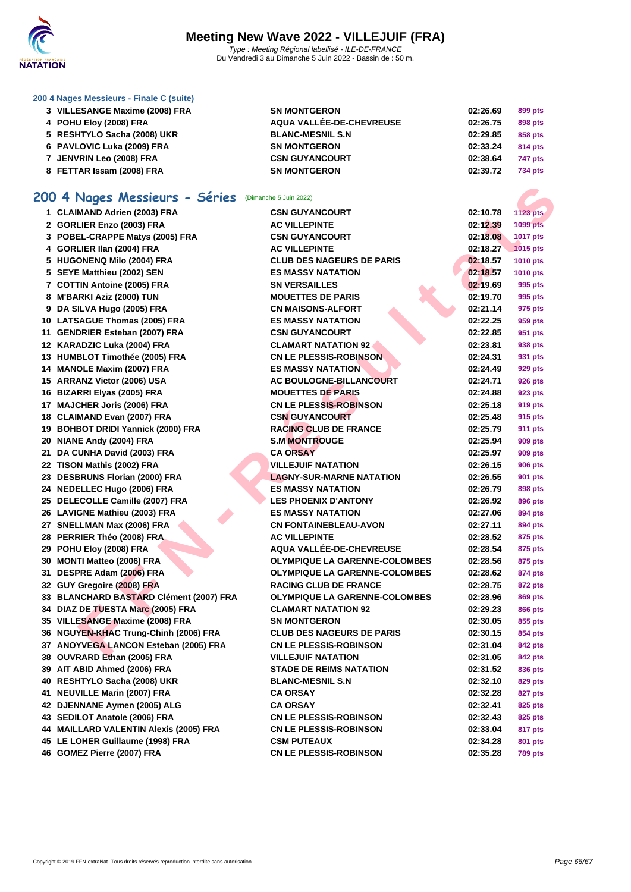

### **[200 4 Nag](http://www.ffnatation.fr/webffn/index.php)es Messieurs - Finale C (suite)**

| 3 VILLESANGE Maxime (2008) FRA | <b>SN MONTGERON</b>      | 02:26.69 | 899 pts        |
|--------------------------------|--------------------------|----------|----------------|
| 4 POHU Eloy (2008) FRA         | AQUA VALLÉE-DE-CHEVREUSE | 02:26.75 | 898 pts        |
| 5 RESHTYLO Sacha (2008) UKR    | <b>BLANC-MESNIL S.N</b>  | 02:29.85 | 858 pts        |
| 6 PAVLOVIC Luka (2009) FRA     | <b>SN MONTGERON</b>      | 02:33.24 | 814 pts        |
| 7 JENVRIN Leo (2008) FRA       | <b>CSN GUYANCOURT</b>    | 02:38.64 | 747 pts        |
| 8 FETTAR Issam (2008) FRA      | <b>SN MONTGERON</b>      | 02:39.72 | <b>734 pts</b> |

## **200 4 Nages Messieurs - Séries** (Dimanche 5 Juin 2022)

| 200 4 Nages Messieurs - Séries (Dimanche 5 Juin 2022)        |                                      |          |                 |
|--------------------------------------------------------------|--------------------------------------|----------|-----------------|
| 1 CLAIMAND Adrien (2003) FRA                                 | <b>CSN GUYANCOURT</b>                | 02:10.78 | <b>1123 pts</b> |
| 2 GORLIER Enzo (2003) FRA                                    | <b>AC VILLEPINTE</b>                 | 02:12.39 | 1099 pts        |
| 3 POBEL-CRAPPE Matys (2005) FRA                              | <b>CSN GUYANCOURT</b>                | 02:18.08 | 1017 pts        |
| 4 GORLIER IIan (2004) FRA                                    | <b>AC VILLEPINTE</b>                 | 02:18.27 | 1015 pts        |
| 5 HUGONENQ Milo (2004) FRA                                   | <b>CLUB DES NAGEURS DE PARIS</b>     | 02:18.57 | 1010 pts        |
| 5 SEYE Matthieu (2002) SEN                                   | <b>ES MASSY NATATION</b>             | 02:18.57 | <b>1010 pts</b> |
| 7 COTTIN Antoine (2005) FRA                                  | <b>SN VERSAILLES</b>                 | 02:19.69 | 995 pts         |
| 8 M'BARKI Aziz (2000) TUN                                    | <b>MOUETTES DE PARIS</b>             | 02:19.70 | 995 pts         |
| 9 DA SILVA Hugo (2005) FRA                                   | <b>CN MAISONS-ALFORT</b>             | 02:21.14 | 975 pts         |
| 10 LATSAGUE Thomas (2005) FRA                                | <b>ES MASSY NATATION</b>             | 02:22.25 | 959 pts         |
| 11 GENDRIER Esteban (2007) FRA                               | <b>CSN GUYANCOURT</b>                | 02:22.85 | 951 pts         |
| 12 KARADZIC Luka (2004) FRA                                  | <b>CLAMART NATATION 92</b>           | 02:23.81 | 938 pts         |
| 13 HUMBLOT Timothée (2005) FRA                               | <b>CN LE PLESSIS-ROBINSON</b>        | 02:24.31 | 931 pts         |
| 14 MANOLE Maxim (2007) FRA                                   | <b>ES MASSY NATATION</b>             | 02:24.49 | 929 pts         |
| 15 ARRANZ Victor (2006) USA                                  | <b>AC BOULOGNE-BILLANCOURT</b>       | 02:24.71 | 926 pts         |
| 16 BIZARRI Elyas (2005) FRA                                  | <b>MOUETTES DE PARIS</b>             | 02:24.88 | 923 pts         |
| 17 MAJCHER Joris (2006) FRA                                  | <b>CN LE PLESSIS-ROBINSON</b>        | 02:25.18 | 919 pts         |
| 18 CLAIMAND Evan (2007) FRA                                  | <b>CSN GUYANCOURT</b>                | 02:25.48 | 915 pts         |
| 19 BOHBOT DRIDI Yannick (2000) FRA                           | <b>RACING CLUB DE FRANCE</b>         | 02:25.79 | 911 pts         |
| 20 NIANE Andy (2004) FRA                                     | <b>S.M MONTROUGE</b>                 | 02:25.94 | 909 pts         |
| 21 DA CUNHA David (2003) FRA                                 | <b>CA ORSAY</b>                      | 02:25.97 | 909 pts         |
| 22 TISON Mathis (2002) FRA                                   | <b>VILLEJUIF NATATION</b>            | 02:26.15 | <b>906 pts</b>  |
| 23 DESBRUNS Florian (2000) FRA                               | <b>LAGNY-SUR-MARNE NATATION</b>      | 02:26.55 | 901 pts         |
| 24 NEDELLEC Hugo (2006) FRA                                  | <b>ES MASSY NATATION</b>             | 02:26.79 | 898 pts         |
| 25 DELECOLLE Camille (2007) FRA                              | <b>LES PHOENIX D'ANTONY</b>          | 02:26.92 | 896 pts         |
| 26 LAVIGNE Mathieu (2003) FRA                                | <b>ES MASSY NATATION</b>             | 02:27.06 | 894 pts         |
| 27 SNELLMAN Max (2006) FRA                                   | <b>CN FONTAINEBLEAU-AVON</b>         | 02:27.11 | 894 pts         |
| 28 PERRIER Théo (2008) FRA                                   | <b>AC VILLEPINTE</b>                 | 02:28.52 | 875 pts         |
| 29 POHU Eloy (2008) FRA                                      | <b>AQUA VALLÉE-DE-CHEVREUSE</b>      | 02:28.54 | 875 pts         |
| 30 MONTI Matteo (2006) FRA                                   | <b>OLYMPIQUE LA GARENNE-COLOMBES</b> | 02:28.56 | 875 pts         |
| 31 DESPRE Adam (2006) FRA                                    | <b>OLYMPIQUE LA GARENNE-COLOMBES</b> | 02:28.62 | 874 pts         |
| 32 GUY Gregoire (2008) FRA                                   | <b>RACING CLUB DE FRANCE</b>         | 02:28.75 | 872 pts         |
| 33 BLANCHARD BASTARD Clément (2007) FRA                      | <b>OLYMPIQUE LA GARENNE-COLOMBES</b> | 02:28.96 | <b>869 pts</b>  |
| 34 DIAZ DE TUESTA Marc (2005) FRA                            | <b>CLAMART NATATION 92</b>           | 02:29.23 | 866 pts         |
| 35 VILLESANGE Maxime (2008) FRA                              | <b>SN MONTGERON</b>                  | 02:30.05 | 855 pts         |
| 36 NGUYEN-KHAC Trung-Chinh (2006) FRA                        | <b>CLUB DES NAGEURS DE PARIS</b>     | 02:30.15 | 854 pts         |
| 37 ANOYVEGA LANCON Esteban (2005) FRA                        | <b>CN LE PLESSIS-ROBINSON</b>        | 02:31.04 | <b>842 pts</b>  |
|                                                              | <b>VILLEJUIF NATATION</b>            |          | 842 pts         |
| 38 OUVRARD Ethan (2005) FRA                                  |                                      | 02:31.05 |                 |
| 39 AIT ABID Ahmed (2006) FRA                                 | <b>STADE DE REIMS NATATION</b>       | 02:31.52 | 836 pts         |
| 40 RESHTYLO Sacha (2008) UKR<br>41 NEUVILLE Marin (2007) FRA | <b>BLANC-MESNIL S.N</b>              | 02:32.10 | 829 pts         |
|                                                              | CA ORSAY                             | 02:32.28 | 827 pts         |
| 42 DJENNANE Aymen (2005) ALG                                 | CA ORSAY                             | 02:32.41 | 825 pts         |
| 43 SEDILOT Anatole (2006) FRA                                | <b>CN LE PLESSIS-ROBINSON</b>        | 02:32.43 | 825 pts         |
| 44 MAILLARD VALENTIN Alexis (2005) FRA                       | <b>CN LE PLESSIS-ROBINSON</b>        | 02:33.04 | 817 pts         |
| 45 LE LOHER Guillaume (1998) FRA                             | <b>CSM PUTEAUX</b>                   | 02:34.28 | 801 pts         |
| 46 GOMEZ Pierre (2007) FRA                                   | <b>CN LE PLESSIS-ROBINSON</b>        | 02:35.28 | <b>789 pts</b>  |